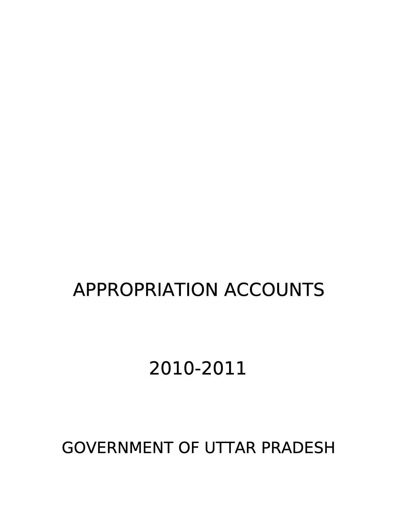## GOVERNMENT OF UTTAR PRADESH

# 2010-2011

## APPROPRIATION ACCOUNTS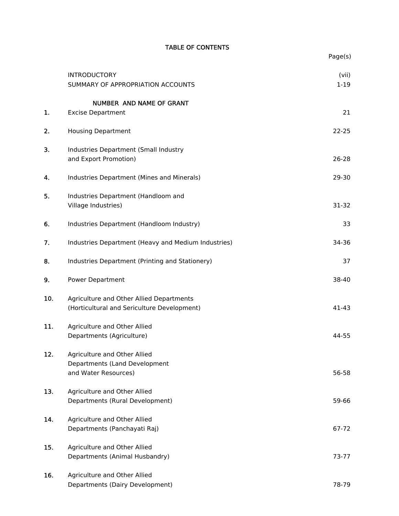#### TABLE OF CONTENTS

|     |                                                                                         | Page(s)           |
|-----|-----------------------------------------------------------------------------------------|-------------------|
|     | <b>INTRODUCTORY</b><br>SUMMARY OF APPROPRIATION ACCOUNTS                                | (vii)<br>$1 - 19$ |
|     | NUMBER AND NAME OF GRANT                                                                |                   |
| 1.  | <b>Excise Department</b>                                                                | 21                |
| 2.  | <b>Housing Department</b>                                                               | $22 - 25$         |
| 3.  | Industries Department (Small Industry<br>and Export Promotion)                          | 26-28             |
| 4.  | Industries Department (Mines and Minerals)                                              | 29-30             |
| 5.  | Industries Department (Handloom and<br>Village Industries)                              | 31-32             |
| 6.  | Industries Department (Handloom Industry)                                               | 33                |
| 7.  | Industries Department (Heavy and Medium Industries)                                     | 34-36             |
| 8.  | Industries Department (Printing and Stationery)                                         | 37                |
| 9.  | <b>Power Department</b>                                                                 | 38-40             |
| 10. | Agriculture and Other Allied Departments<br>(Horticultural and Sericulture Development) | 41-43             |
| 11. | Agriculture and Other Allied<br>Departments (Agriculture)                               | 44-55             |
| 12. | Agriculture and Other Allied<br>Departments (Land Development<br>and Water Resources)   | 56-58             |
| 13. | Agriculture and Other Allied<br>Departments (Rural Development)                         | 59-66             |
| 14. | Agriculture and Other Allied<br>Departments (Panchayati Raj)                            | 67-72             |
| 15. | Agriculture and Other Allied<br>Departments (Animal Husbandry)                          | 73-77             |
| 16. | Agriculture and Other Allied<br>Departments (Dairy Development)                         | 78-79             |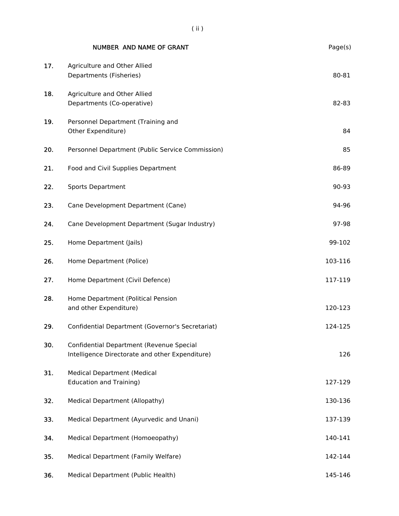|     | NUMBER AND NAME OF GRANT                                                                    | Page(s) |
|-----|---------------------------------------------------------------------------------------------|---------|
| 17. | Agriculture and Other Allied<br>Departments (Fisheries)                                     | 80-81   |
| 18. | Agriculture and Other Allied<br>Departments (Co-operative)                                  | 82-83   |
| 19. | Personnel Department (Training and<br>Other Expenditure)                                    | 84      |
| 20. | Personnel Department (Public Service Commission)                                            | 85      |
| 21. | Food and Civil Supplies Department                                                          | 86-89   |
| 22. | <b>Sports Department</b>                                                                    | 90-93   |
| 23. | Cane Development Department (Cane)                                                          | 94-96   |
| 24. | Cane Development Department (Sugar Industry)                                                | 97-98   |
| 25. | Home Department (Jails)                                                                     | 99-102  |
| 26. | Home Department (Police)                                                                    | 103-116 |
| 27. | Home Department (Civil Defence)                                                             | 117-119 |
| 28. | Home Department (Political Pension<br>and other Expenditure)                                | 120-123 |
| 29. | Confidential Department (Governor's Secretariat)                                            | 124-125 |
| 30. | Confidential Department (Revenue Special<br>Intelligence Directorate and other Expenditure) | 126     |
| 31. | <b>Medical Department (Medical</b><br><b>Education and Training)</b>                        | 127-129 |
| 32. | Medical Department (Allopathy)                                                              | 130-136 |
| 33. | Medical Department (Ayurvedic and Unani)                                                    | 137-139 |
| 34. | Medical Department (Homoeopathy)                                                            | 140-141 |
| 35. | Medical Department (Family Welfare)                                                         | 142-144 |
| 36. | Medical Department (Public Health)                                                          | 145-146 |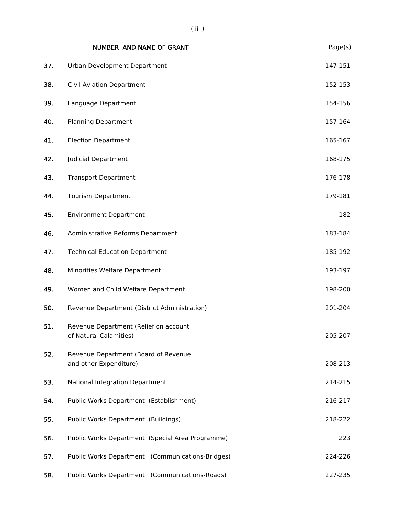|     | NUMBER AND NAME OF GRANT                                        | Page(s) |
|-----|-----------------------------------------------------------------|---------|
| 37. | Urban Development Department                                    | 147-151 |
| 38. | <b>Civil Aviation Department</b>                                | 152-153 |
| 39. | Language Department                                             | 154-156 |
| 40. | <b>Planning Department</b>                                      | 157-164 |
| 41. | <b>Election Department</b>                                      | 165-167 |
| 42. | <b>Judicial Department</b>                                      | 168-175 |
| 43. | <b>Transport Department</b>                                     | 176-178 |
| 44. | <b>Tourism Department</b>                                       | 179-181 |
| 45. | <b>Environment Department</b>                                   | 182     |
| 46. | Administrative Reforms Department                               | 183-184 |
| 47. | <b>Technical Education Department</b>                           | 185-192 |
| 48. | Minorities Welfare Department                                   | 193-197 |
| 49. | Women and Child Welfare Department                              | 198-200 |
| 50. | Revenue Department (District Administration)                    | 201-204 |
| 51. | Revenue Department (Relief on account<br>of Natural Calamities) | 205-207 |
| 52. | Revenue Department (Board of Revenue<br>and other Expenditure)  | 208-213 |
| 53. | National Integration Department                                 | 214-215 |
| 54. | Public Works Department (Establishment)                         | 216-217 |
| 55. | Public Works Department (Buildings)                             | 218-222 |
| 56. | Public Works Department (Special Area Programme)                | 223     |
| 57. | Public Works Department (Communications-Bridges)                | 224-226 |
| 58. | Public Works Department (Communications-Roads)                  | 227-235 |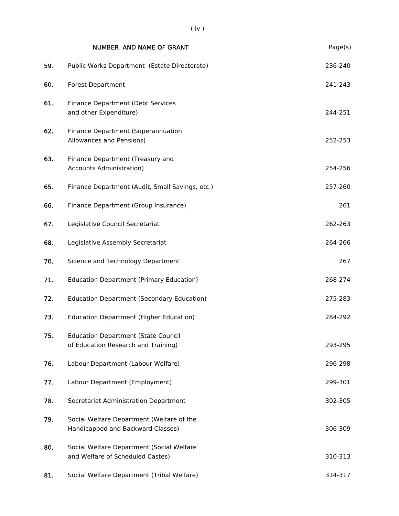|     | <b>NUMBER AND NAME OF GRANT</b>                                                   | Page(s) |
|-----|-----------------------------------------------------------------------------------|---------|
| 59. | Public Works Department (Estate Directorate)                                      | 236-240 |
| 60. | <b>Forest Department</b>                                                          | 241-243 |
| 61. | Finance Department (Debt Services<br>and other Expenditure)                       | 244-251 |
| 62. | Finance Department (Superannuation<br>Allowances and Pensions)                    | 252-253 |
| 63. | Finance Department (Treasury and<br><b>Accounts Administration)</b>               | 254-256 |
| 65. | Finance Department (Audit, Small Savings, etc.)                                   | 257-260 |
| 66. | Finance Department (Group Insurance)                                              | 261     |
| 67. | Legislative Council Secretariat                                                   | 262-263 |
| 68. | Legislative Assembly Secretariat                                                  | 264-266 |
| 70. | Science and Technology Department                                                 | 267     |
| 71. | <b>Education Department (Primary Education)</b>                                   | 268-274 |
| 72. | <b>Education Department (Secondary Education)</b>                                 | 275-283 |
| 73. | <b>Education Department (Higher Education)</b>                                    | 284-292 |
| 75. | <b>Education Department (State Council</b><br>of Education Research and Training) | 293-295 |
| 76. | Labour Department (Labour Welfare)                                                | 296-298 |
| 77. | Labour Department (Employment)                                                    | 299-301 |
| 78. | Secretariat Administration Department                                             | 302-305 |
| 79. | Social Welfare Department (Welfare of the<br>Handicapped and Backward Classes)    | 306-309 |
| 80. | Social Welfare Department (Social Welfare<br>and Welfare of Scheduled Castes)     | 310-313 |
| 81. | Social Welfare Department (Tribal Welfare)                                        | 314-317 |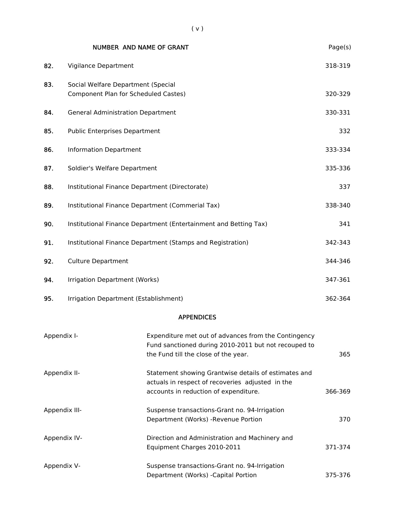|                                                     | NUMBER AND NAME OF GRANT                                                   |                                                                                                              | Page(s) |  |
|-----------------------------------------------------|----------------------------------------------------------------------------|--------------------------------------------------------------------------------------------------------------|---------|--|
| 82.                                                 | Vigilance Department                                                       |                                                                                                              | 318-319 |  |
| 83.                                                 | Social Welfare Department (Special<br>Component Plan for Scheduled Castes) |                                                                                                              | 320-329 |  |
| 84.                                                 | <b>General Administration Department</b>                                   |                                                                                                              | 330-331 |  |
| 85.                                                 | <b>Public Enterprises Department</b>                                       |                                                                                                              | 332     |  |
| 86.                                                 | <b>Information Department</b>                                              |                                                                                                              | 333-334 |  |
| 87.                                                 | Soldier's Welfare Department                                               |                                                                                                              |         |  |
| 88.                                                 | Institutional Finance Department (Directorate)                             |                                                                                                              |         |  |
| 89.                                                 | Institutional Finance Department (Commerial Tax)                           |                                                                                                              |         |  |
| 90.                                                 |                                                                            | Institutional Finance Department (Entertainment and Betting Tax)                                             | 341     |  |
| 91.                                                 |                                                                            | Institutional Finance Department (Stamps and Registration)                                                   | 342-343 |  |
| 92.                                                 | <b>Culture Department</b>                                                  |                                                                                                              | 344-346 |  |
| 94.                                                 | Irrigation Department (Works)                                              |                                                                                                              | 347-361 |  |
| 95.                                                 | Irrigation Department (Establishment)                                      |                                                                                                              | 362-364 |  |
|                                                     |                                                                            | <b>APPENDICES</b>                                                                                            |         |  |
| Appendix I-<br>the Fund till the close of the year. |                                                                            | Expenditure met out of advances from the Contingency<br>Fund sanctioned during 2010-2011 but not recouped to | 365     |  |

Appendix II- Statement showing Grantwise details of estimates and

|               | actuals in respect of recoveries adjusted in the<br>accounts in reduction of expenditure. | 366-369 |
|---------------|-------------------------------------------------------------------------------------------|---------|
| Appendix III- | Suspense transactions-Grant no. 94-Irrigation<br>Department (Works) - Revenue Portion     | 370.    |
| Appendix IV-  | Direction and Administration and Machinery and<br>Equipment Charges 2010-2011             | 371-374 |
| Appendix V-   | Suspense transactions-Grant no. 94-Irrigation<br>Department (Works) - Capital Portion     | 375-376 |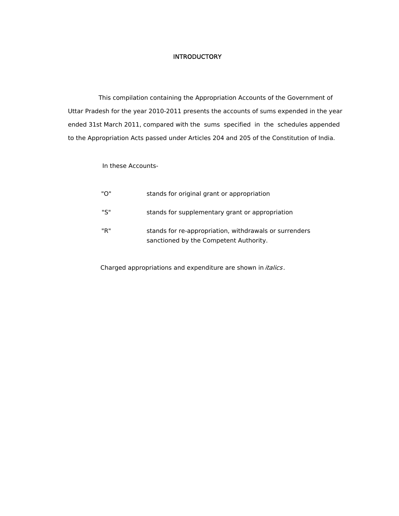#### **INTRODUCTORY**

 This compilation containing the Appropriation Accounts of the Government of Uttar Pradesh for the year 2010-2011 presents the accounts of sums expended in the year ended 31st March 2011, compared with the sums specified in the schedules appended to the Appropriation Acts passed under Articles 204 and 205 of the Constitution of India.

#### In these Accounts-

| "በ" | stands for original grant or appropriation                                                       |
|-----|--------------------------------------------------------------------------------------------------|
| "S" | stands for supplementary grant or appropriation                                                  |
| "R" | stands for re-appropriation, withdrawals or surrenders<br>sanctioned by the Competent Authority. |

Charged appropriations and expenditure are shown in *italics*.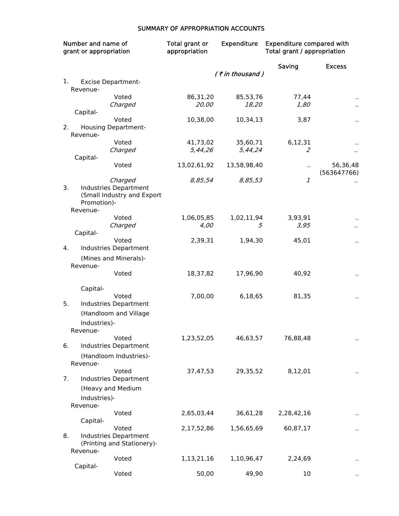#### SUMMARY OF APPROPRIATION ACCOUNTS

| Number and name of<br>grant or appropriation |                          | Total grant or<br>appropriation                            | <b>Expenditure</b> | <b>Expenditure compared with</b><br>Total grant / appropriation |                |                      |
|----------------------------------------------|--------------------------|------------------------------------------------------------|--------------------|-----------------------------------------------------------------|----------------|----------------------|
|                                              |                          |                                                            |                    | (₹in thousand)                                                  | Saving         | <b>Excess</b>        |
| 1.                                           |                          | <b>Excise Department-</b>                                  |                    |                                                                 |                |                      |
|                                              | Revenue-                 |                                                            |                    |                                                                 |                |                      |
|                                              |                          | Voted                                                      | 86,31,20           | 85,53,76                                                        | 77,44          |                      |
|                                              |                          | Charged                                                    | 20,00              | 18,20                                                           | 1,80           |                      |
|                                              | Capital-                 | Voted                                                      | 10,38,00           | 10,34,13                                                        | 3,87           |                      |
| 2.                                           | Revenue-                 | <b>Housing Department-</b>                                 |                    |                                                                 |                | $\ddot{\phantom{a}}$ |
|                                              |                          | Voted                                                      | 41,73,02           | 35,60,71                                                        | 6,12,31        |                      |
|                                              |                          | Charged                                                    | 5,44,26            | 5,44,24                                                         | $\overline{z}$ |                      |
|                                              | Capital-                 |                                                            |                    |                                                                 |                |                      |
|                                              |                          | Voted                                                      | 13,02,61,92        | 13,58,98,40                                                     | $\sim$         | 56,36,48             |
|                                              |                          | Charged                                                    | 8,85,54            | 8,85,53                                                         | 1              | (563647766)          |
| 3.                                           | Promotion)-<br>Revenue-  | <b>Industries Department</b><br>(Small Industry and Export |                    |                                                                 |                |                      |
|                                              |                          | Voted                                                      | 1,06,05,85         | 1,02,11,94                                                      | 3,93,91        |                      |
|                                              |                          | Charged                                                    | 4,00               | 5                                                               | 3,95           |                      |
|                                              | Capital-                 |                                                            |                    |                                                                 |                |                      |
| 4.                                           |                          | Voted<br>Industries Department                             | 2,39,31            | 1,94,30                                                         | 45,01          | .,                   |
|                                              | Revenue-                 | (Mines and Minerals)-<br>Voted                             | 18,37,82           | 17,96,90                                                        | 40,92          | $\cdot$              |
|                                              | Capital-                 |                                                            |                    |                                                                 |                |                      |
|                                              |                          | Voted                                                      | 7,00,00            | 6,18,65                                                         | 81,35          |                      |
| 5.                                           |                          | Industries Department                                      |                    |                                                                 |                |                      |
|                                              |                          | (Handloom and Village                                      |                    |                                                                 |                |                      |
|                                              | Industries)-<br>Revenue- |                                                            |                    |                                                                 |                |                      |
|                                              |                          | Voted                                                      | 1,23,52,05         | 46,63,57                                                        | 76,88,48       |                      |
| 6.                                           |                          | Industries Department                                      |                    |                                                                 |                |                      |
|                                              | Revenue-                 | (Handloom Industries)-                                     |                    |                                                                 |                |                      |
|                                              |                          | Voted                                                      | 37,47,53           | 29,35,52                                                        | 8,12,01        |                      |
| 7.                                           |                          | Industries Department                                      |                    |                                                                 |                |                      |
|                                              |                          | (Heavy and Medium                                          |                    |                                                                 |                |                      |
|                                              | Industries)-             |                                                            |                    |                                                                 |                |                      |
|                                              | Revenue-                 |                                                            |                    |                                                                 |                |                      |
|                                              |                          | Voted                                                      | 2,65,03,44         | 36,61,28                                                        | 2,28,42,16     |                      |
|                                              | Capital-                 | Voted                                                      | 2,17,52,86         | 1,56,65,69                                                      | 60,87,17       |                      |
| 8.                                           |                          | Industries Department<br>(Printing and Stationery)-        |                    |                                                                 |                | .,                   |
|                                              | Revenue-                 |                                                            |                    |                                                                 |                |                      |
|                                              |                          | Voted                                                      | 1,13,21,16         | 1,10,96,47                                                      | 2,24,69        |                      |
|                                              | Capital-                 |                                                            |                    |                                                                 |                |                      |
|                                              |                          | Voted                                                      | 50,00              | 49,90                                                           | 10             |                      |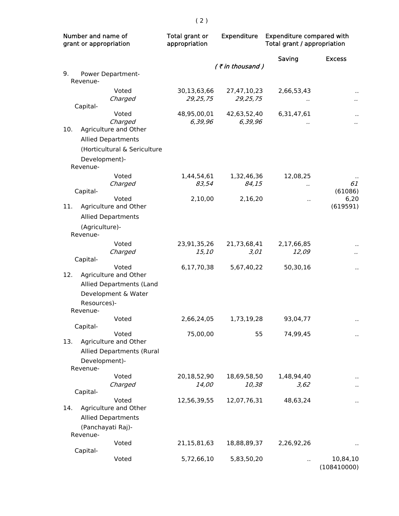| Number and name of<br>grant or appropriation |                            | Total grant or<br>appropriation                                                   | <b>Expenditure</b>        | <b>Expenditure compared with</b><br>Total grant / appropriation |                      |                         |
|----------------------------------------------|----------------------------|-----------------------------------------------------------------------------------|---------------------------|-----------------------------------------------------------------|----------------------|-------------------------|
|                                              |                            |                                                                                   |                           | (₹in thousand)                                                  | Saving               | <b>Excess</b>           |
| 9.                                           | Revenue-                   | Power Department-                                                                 |                           |                                                                 |                      |                         |
|                                              | Capital-                   | Voted<br>Charged                                                                  | 30,13,63,66<br>29, 25, 75 | 27,47,10,23<br>29,25,75                                         | 2,66,53,43           | $\ddot{\phantom{0}}$    |
| 10.                                          |                            | Voted<br>Charged<br>Agriculture and Other                                         | 48,95,00,01<br>6,39,96    | 42,63,52,40<br>6,39,96                                          | 6,31,47,61           | $\ddot{\phantom{0}}$    |
|                                              |                            | <b>Allied Departments</b>                                                         |                           |                                                                 |                      |                         |
|                                              | Development)-              | (Horticultural & Sericulture                                                      |                           |                                                                 |                      |                         |
|                                              | Revenue-                   | Voted<br>Charged                                                                  | 1,44,54,61<br>83,54       | 1,32,46,36<br>84,15                                             | 12,08,25             | 61                      |
|                                              | Capital-                   | Voted                                                                             | 2,10,00                   | 2,16,20                                                         | $\ddot{\phantom{a}}$ | (61086)<br>6,20         |
| 11.                                          |                            | Agriculture and Other<br><b>Allied Departments</b>                                |                           |                                                                 |                      | (619591)                |
|                                              | (Agriculture)-<br>Revenue- |                                                                                   |                           |                                                                 |                      |                         |
|                                              | Capital-                   | Voted<br>Charged                                                                  | 23,91,35,26<br>15,10      | 21,73,68,41<br>3,01                                             | 2,17,66,85<br>12,09  |                         |
| 12.                                          | Resources)-<br>Revenue-    | Voted<br>Agriculture and Other<br>Allied Departments (Land<br>Development & Water | 6,17,70,38                | 5,67,40,22                                                      | 50,30,16             |                         |
|                                              | Capital-                   | Voted                                                                             | 2,66,24,05                | 1,73,19,28                                                      | 93,04,77             | $\ddot{\phantom{a}}$    |
| 13.                                          | Development)-<br>Revenue-  | Voted<br>Agriculture and Other<br>Allied Departments (Rural                       | 75,00,00                  | 55                                                              | 74,99,45             |                         |
|                                              | Capital-                   | Voted<br>Charged                                                                  | 20,18,52,90<br>14,00      | 18,69,58,50<br>10,38                                            | 1,48,94,40<br>3,62   |                         |
| 14.                                          | Revenue-                   | Voted<br>Agriculture and Other<br><b>Allied Departments</b><br>(Panchayati Raj)-  | 12,56,39,55               | 12,07,76,31                                                     | 48,63,24             |                         |
|                                              | Capital-                   | Voted                                                                             | 21,15,81,63               | 18,88,89,37                                                     | 2,26,92,26           |                         |
|                                              |                            | Voted                                                                             | 5,72,66,10                | 5,83,50,20                                                      |                      | 10,84,10<br>(108410000) |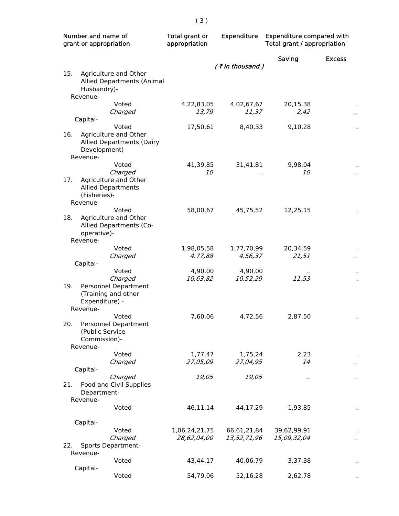| Number and name of<br>grant or appropriation |                                                                                           | Total grant or<br>appropriation | <b>Expenditure</b>         | <b>Expenditure compared with</b><br>Total grant / appropriation |                      |
|----------------------------------------------|-------------------------------------------------------------------------------------------|---------------------------------|----------------------------|-----------------------------------------------------------------|----------------------|
|                                              |                                                                                           |                                 |                            | Saving                                                          | <b>Excess</b>        |
| 15.                                          | Agriculture and Other<br>Allied Departments (Animal<br>Husbandry)-                        |                                 | $($ ₹ in thousand)         |                                                                 |                      |
|                                              | Revenue-                                                                                  |                                 |                            |                                                                 |                      |
|                                              | Voted<br>Charged<br>Capital-                                                              | 4,22,83,05<br>13,79             | 4,02,67,67<br>11,37        | 20,15,38<br>2,42                                                | $\ddot{\phantom{0}}$ |
|                                              | Voted                                                                                     | 17,50,61                        | 8,40,33                    | 9,10,28                                                         | $\ddot{\phantom{0}}$ |
| 16.                                          | Agriculture and Other<br><b>Allied Departments (Dairy</b><br>Development)-<br>Revenue-    |                                 |                            |                                                                 |                      |
|                                              | Voted                                                                                     | 41,39,85                        | 31,41,81                   | 9,98,04                                                         | $\ddot{\phantom{0}}$ |
| 17.                                          | Charged<br>Agriculture and Other<br><b>Allied Departments</b><br>(Fisheries)-<br>Revenue- | 10                              |                            | <i>10</i>                                                       | $\ddot{\phantom{0}}$ |
| 18.                                          | Voted<br>Agriculture and Other<br>Allied Departments (Co-<br>operative)-                  | 58,00,67                        | 45,75,52                   | 12,25,15                                                        | $\ddot{\phantom{0}}$ |
|                                              | Revenue-<br>Voted                                                                         | 1,98,05,58                      | 1,77,70,99                 | 20,34,59                                                        |                      |
|                                              | Charged                                                                                   | 4,77,88                         | 4,56,37                    | 21,51                                                           | $\ddot{\phantom{0}}$ |
|                                              | Capital-                                                                                  |                                 |                            |                                                                 |                      |
| 19.                                          | Voted<br>Charged<br>Personnel Department<br>(Training and other<br>Expenditure) -         | 4,90,00<br>10,63,82             | 4,90,00<br>10,52,29        | 11,53                                                           | Ϋ,                   |
|                                              | Revenue-                                                                                  |                                 |                            |                                                                 |                      |
| 20.                                          | Voted<br>Personnel Department<br>(Public Service<br>Commission)-<br>Revenue-              | 7,60,06                         | 4,72,56                    | 2,87,50                                                         |                      |
|                                              | Voted                                                                                     | 1,77,47                         | 1,75,24                    | 2,23                                                            |                      |
|                                              | Charged<br>Capital-                                                                       | 27,05,09                        | 27,04,95                   | 14                                                              |                      |
| 21.                                          | Charged<br>Food and Civil Supplies<br>Department-<br>Revenue-                             | 19,05                           | 19,05                      | .,                                                              |                      |
|                                              | Voted                                                                                     | 46,11,14                        | 44,17,29                   | 1,93,85                                                         |                      |
|                                              | Capital-                                                                                  |                                 |                            |                                                                 |                      |
| 22.                                          | Voted<br>Charged<br>Sports Department-                                                    | 1,06,24,21,75<br>28,62,04,00    | 66,61,21,84<br>13,52,71,96 | 39,62,99,91<br>15,09,32,04                                      |                      |
|                                              | Revenue-<br>Voted                                                                         | 43,44,17                        | 40,06,79                   | 3,37,38                                                         |                      |
|                                              | Capital-                                                                                  |                                 |                            |                                                                 |                      |
|                                              | Voted                                                                                     | 54,79,06                        | 52,16,28                   | 2,62,78                                                         |                      |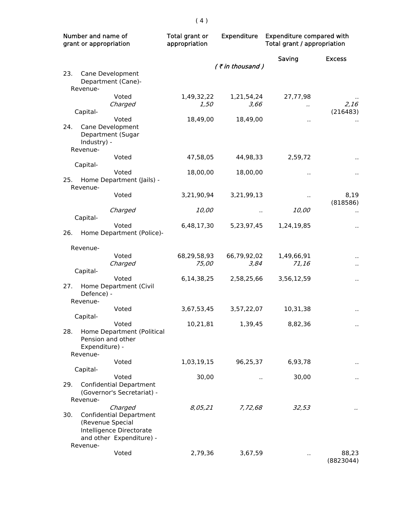| Number and name of<br>grant or appropriation |                                                                                                                       | Total grant or<br>appropriation | Expenditure         | <b>Expenditure compared with</b><br>Total grant / appropriation |                      |  |
|----------------------------------------------|-----------------------------------------------------------------------------------------------------------------------|---------------------------------|---------------------|-----------------------------------------------------------------|----------------------|--|
|                                              |                                                                                                                       |                                 | $($ ₹ in thousand)  | Saving                                                          | <b>Excess</b>        |  |
| 23.<br>Revenue-                              | Cane Development<br>Department (Cane)-                                                                                |                                 |                     |                                                                 |                      |  |
| Capital-                                     | Voted<br>Charged                                                                                                      | 1,49,32,22<br>1,50              | 1,21,54,24<br>3,66  | 27,77,98<br>                                                    | 2,16<br>(216483)     |  |
| 24.<br>Industry) -<br>Revenue-               | Voted<br>Cane Development<br>Department (Sugar                                                                        | 18,49,00                        | 18,49,00            | $\sim$                                                          |                      |  |
|                                              | Voted                                                                                                                 | 47,58,05                        | 44,98,33            | 2,59,72                                                         |                      |  |
| Capital-<br>25.<br>Revenue-                  | Voted<br>Home Department (Jails) -                                                                                    | 18,00,00                        | 18,00,00            | $\ddot{\phantom{a}}$                                            |                      |  |
|                                              | Voted                                                                                                                 | 3,21,90,94                      | 3,21,99,13          |                                                                 | 8,19<br>(818586)     |  |
| Capital-                                     | Charged                                                                                                               | <i>10,00</i>                    |                     | 10,00                                                           |                      |  |
| 26.                                          | Voted<br>Home Department (Police)-                                                                                    | 6,48,17,30                      | 5,23,97,45          | 1,24,19,85                                                      |                      |  |
| Revenue-                                     |                                                                                                                       |                                 |                     |                                                                 |                      |  |
|                                              | Voted<br>Charged                                                                                                      | 68,29,58,93<br>75,00            | 66,79,92,02<br>3,84 | 1,49,66,91<br>71,16                                             |                      |  |
| Capital-<br>27.<br>Defence) -<br>Revenue-    | Voted<br>Home Department (Civil                                                                                       | 6,14,38,25                      | 2,58,25,66          | 3,56,12,59                                                      | .,                   |  |
| Capital-                                     | Voted                                                                                                                 | 3,67,53,45                      | 3,57,22,07          | 10,31,38                                                        | $\ddot{\phantom{1}}$ |  |
| 28.<br>Revenue-                              | Voted<br>Home Department (Political<br>Pension and other<br>Expenditure) -                                            | 10,21,81                        | 1,39,45             | 8,82,36                                                         |                      |  |
| Capital-                                     | Voted                                                                                                                 | 1,03,19,15                      | 96,25,37            | 6,93,78                                                         |                      |  |
| 29.<br>Revenue-                              | Voted<br><b>Confidential Department</b><br>(Governor's Secretariat) -                                                 | 30,00                           |                     | 30,00                                                           |                      |  |
| 30.<br>Revenue-                              | Charged<br><b>Confidential Department</b><br>(Revenue Special<br>Intelligence Directorate<br>and other Expenditure) - | 8,05,21                         | 7,72,68             | 32,53                                                           | $\cdot$              |  |
|                                              | Voted                                                                                                                 | 2,79,36                         | 3,67,59             |                                                                 | 88,23<br>(8823044)   |  |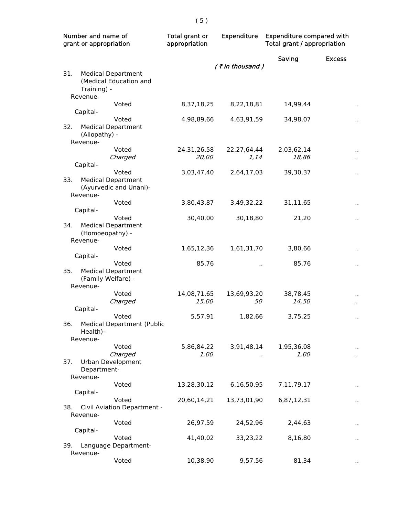| Number and name of<br>grant or appropriation                                | Total grant or<br>appropriation | <b>Expenditure</b>   | <b>Expenditure compared with</b><br>Total grant / appropriation |                                 |
|-----------------------------------------------------------------------------|---------------------------------|----------------------|-----------------------------------------------------------------|---------------------------------|
|                                                                             |                                 |                      | Saving                                                          | <b>Excess</b>                   |
| 31.<br><b>Medical Department</b><br>(Medical Education and<br>Training) -   |                                 | $($ ₹ in thousand)   |                                                                 |                                 |
| Revenue-                                                                    |                                 |                      |                                                                 |                                 |
| Voted                                                                       | 8,37,18,25                      | 8,22,18,81           | 14,99,44                                                        | $\ddot{\phantom{0}}$            |
| Capital-                                                                    |                                 |                      |                                                                 |                                 |
| Voted<br>32.<br><b>Medical Department</b><br>(Allopathy) -<br>Revenue-      | 4,98,89,66                      | 4,63,91,59           | 34,98,07                                                        | $\ddot{\phantom{1}}$            |
| Voted                                                                       | 24, 31, 26, 58                  | 22, 27, 64, 44       | 2,03,62,14                                                      | $\ddot{\phantom{0}}$            |
| Charged                                                                     | 20,00                           | 1, 14                | 18,86                                                           | $\ddot{\phantom{a}}$            |
| Capital-                                                                    |                                 |                      |                                                                 |                                 |
| Voted<br>33.<br><b>Medical Department</b><br>(Ayurvedic and Unani)-         | 3,03,47,40                      | 2,64,17,03           | 39,30,37                                                        | $\ddot{\phantom{1}}$            |
| Revenue-                                                                    |                                 |                      |                                                                 |                                 |
| Voted<br>Capital-                                                           | 3,80,43,87                      | 3,49,32,22           | 31,11,65                                                        | $\cdot$                         |
| Voted                                                                       | 30,40,00                        | 30,18,80             | 21,20                                                           |                                 |
| <b>Medical Department</b><br>34.<br>(Homoeopathy) -                         |                                 |                      |                                                                 | $\ddot{\phantom{0}}$            |
| Revenue-                                                                    |                                 |                      |                                                                 |                                 |
| Voted                                                                       | 1,65,12,36                      | 1,61,31,70           | 3,80,66                                                         | $\cdot$                         |
| Capital-                                                                    |                                 |                      |                                                                 |                                 |
| Voted<br>35.<br><b>Medical Department</b><br>(Family Welfare) -<br>Revenue- | 85,76                           | $\ddot{\phantom{a}}$ | 85,76                                                           | $\ddot{\phantom{0}}$            |
| Voted                                                                       | 14,08,71,65                     | 13,69,93,20          | 38,78,45                                                        | $\cdot$                         |
| Charged                                                                     | 15,00                           | 50                   | 14,50                                                           | $\ddot{\phantom{0}}$            |
| Capital-                                                                    |                                 |                      |                                                                 |                                 |
| Voted<br><b>Medical Department (Public</b><br>36.<br>Health)-<br>Revenue-   | 5,57,91                         | 1,82,66              | 3,75,25                                                         | $\ddot{\phantom{0}}$            |
| Voted                                                                       | 5,86,84,22                      | 3,91,48,14           | 1,95,36,08                                                      |                                 |
| Charged                                                                     | 1,00                            |                      | 1,00                                                            | $\ddot{\phantom{0}}$<br>$\cdot$ |
| Urban Development<br>37.<br>Department-<br>Revenue-                         |                                 |                      |                                                                 |                                 |
| Voted                                                                       | 13,28,30,12                     | 6,16,50,95           | 7,11,79,17                                                      |                                 |
| Capital-                                                                    |                                 |                      |                                                                 |                                 |
| Voted<br>38.<br>Civil Aviation Department -<br>Revenue-                     | 20,60,14,21                     | 13,73,01,90          | 6,87,12,31                                                      | .,                              |
| Voted                                                                       | 26,97,59                        | 24,52,96             | 2,44,63                                                         |                                 |
| Capital-                                                                    |                                 |                      |                                                                 |                                 |
| Voted                                                                       | 41,40,02                        | 33,23,22             | 8,16,80                                                         |                                 |
| 39.<br>Language Department-<br>Revenue-                                     |                                 |                      |                                                                 |                                 |
| Voted                                                                       | 10,38,90                        | 9,57,56              | 81,34                                                           |                                 |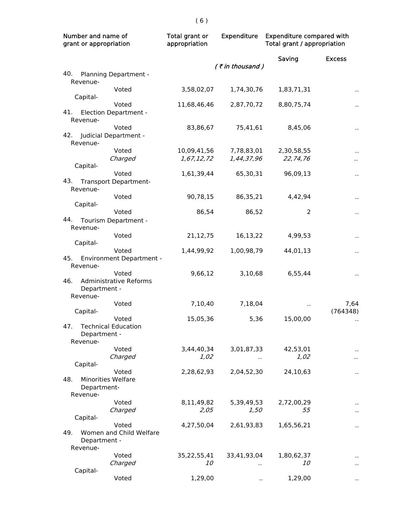| Saving<br><b>Excess</b><br>(₹in thousand)<br>40.<br>Planning Department -<br>Revenue-<br>3,58,02,07<br>1,74,30,76<br>Voted<br>1,83,71,31<br>Capital-<br>Voted<br>11,68,46,46<br>8,80,75,74<br>2,87,70,72<br>$\ddot{\phantom{0}}$<br>41.<br>Election Department -<br>Revenue-<br>Voted<br>83,86,67<br>8,45,06<br>75,41,61<br>$\ddot{\phantom{0}}$<br>42.<br>Judicial Department -<br>Revenue-<br>Voted<br>10,09,41,56<br>7,78,83,01<br>2,30,58,55<br>Charged<br>1,67,12,72<br>1,44,37,96<br>22,74,76<br>$\ddot{\phantom{0}}$<br>Capital-<br>Voted<br>1,61,39,44<br>65,30,31<br>96,09,13<br>.,<br>43.<br><b>Transport Department-</b><br>Revenue-<br>Voted<br>90,78,15<br>86,35,21<br>4,42,94<br>$\cdot$<br>Capital-<br>Voted<br>86,54<br>86,52<br>2<br>$\ddot{\phantom{0}}$<br>44.<br>Tourism Department -<br>Revenue-<br>Voted<br>21,12,75<br>16,13,22<br>4,99,53<br>.,<br>Capital-<br>Voted<br>1,44,99,92<br>1,00,98,79<br>44,01,13<br>$\ddot{\phantom{0}}$<br>45.<br><b>Environment Department -</b><br>Revenue-<br>Voted<br>9,66,12<br>3,10,68<br>6,55,44<br>$\ddot{\phantom{0}}$<br>46.<br><b>Administrative Reforms</b><br>Department -<br>Revenue-<br>Voted<br>7,10,40<br>7,64<br>7,18,04<br>Capital-<br>(764348)<br>15,05,36<br>5,36<br>15,00,00<br>Voted<br>47.<br><b>Technical Education</b><br>Department -<br>Revenue-<br>Voted<br>3,44,40,34<br>3,01,87,33<br>42,53,01<br>Charged<br>1,02<br>1,02<br>$\ddot{\phantom{a}}$<br>Capital-<br>Voted<br>2,28,62,93<br>2,04,52,30<br>24,10,63<br>.,<br><b>Minorities Welfare</b><br>48.<br>Department-<br>Revenue-<br>Voted<br>8,11,49,82<br>5,39,49,53<br>2,72,00,29<br>Charged<br>2,05<br>1,50<br>55<br>Capital-<br>4,27,50,04<br>2,61,93,83<br>Voted<br>1,65,56,21<br>.,<br>49.<br>Women and Child Welfare<br>Department -<br>Revenue-<br>Voted<br>35,22,55,41<br>33,41,93,04<br>1,80,62,37<br>Charged<br><i>10</i><br><i>10</i><br>Capital-<br>Voted<br>1,29,00<br>1,29,00 | Number and name of<br>grant or appropriation | Total grant or<br>appropriation | <b>Expenditure</b> |  | <b>Expenditure compared with</b><br>Total grant / appropriation |  |
|-------------------------------------------------------------------------------------------------------------------------------------------------------------------------------------------------------------------------------------------------------------------------------------------------------------------------------------------------------------------------------------------------------------------------------------------------------------------------------------------------------------------------------------------------------------------------------------------------------------------------------------------------------------------------------------------------------------------------------------------------------------------------------------------------------------------------------------------------------------------------------------------------------------------------------------------------------------------------------------------------------------------------------------------------------------------------------------------------------------------------------------------------------------------------------------------------------------------------------------------------------------------------------------------------------------------------------------------------------------------------------------------------------------------------------------------------------------------------------------------------------------------------------------------------------------------------------------------------------------------------------------------------------------------------------------------------------------------------------------------------------------------------------------------------------------------------------------------------------------------------------------------------------------------------------------|----------------------------------------------|---------------------------------|--------------------|--|-----------------------------------------------------------------|--|
|                                                                                                                                                                                                                                                                                                                                                                                                                                                                                                                                                                                                                                                                                                                                                                                                                                                                                                                                                                                                                                                                                                                                                                                                                                                                                                                                                                                                                                                                                                                                                                                                                                                                                                                                                                                                                                                                                                                                     |                                              |                                 |                    |  |                                                                 |  |
|                                                                                                                                                                                                                                                                                                                                                                                                                                                                                                                                                                                                                                                                                                                                                                                                                                                                                                                                                                                                                                                                                                                                                                                                                                                                                                                                                                                                                                                                                                                                                                                                                                                                                                                                                                                                                                                                                                                                     |                                              |                                 |                    |  |                                                                 |  |
|                                                                                                                                                                                                                                                                                                                                                                                                                                                                                                                                                                                                                                                                                                                                                                                                                                                                                                                                                                                                                                                                                                                                                                                                                                                                                                                                                                                                                                                                                                                                                                                                                                                                                                                                                                                                                                                                                                                                     |                                              |                                 |                    |  |                                                                 |  |
|                                                                                                                                                                                                                                                                                                                                                                                                                                                                                                                                                                                                                                                                                                                                                                                                                                                                                                                                                                                                                                                                                                                                                                                                                                                                                                                                                                                                                                                                                                                                                                                                                                                                                                                                                                                                                                                                                                                                     |                                              |                                 |                    |  |                                                                 |  |
|                                                                                                                                                                                                                                                                                                                                                                                                                                                                                                                                                                                                                                                                                                                                                                                                                                                                                                                                                                                                                                                                                                                                                                                                                                                                                                                                                                                                                                                                                                                                                                                                                                                                                                                                                                                                                                                                                                                                     |                                              |                                 |                    |  |                                                                 |  |
|                                                                                                                                                                                                                                                                                                                                                                                                                                                                                                                                                                                                                                                                                                                                                                                                                                                                                                                                                                                                                                                                                                                                                                                                                                                                                                                                                                                                                                                                                                                                                                                                                                                                                                                                                                                                                                                                                                                                     |                                              |                                 |                    |  |                                                                 |  |
|                                                                                                                                                                                                                                                                                                                                                                                                                                                                                                                                                                                                                                                                                                                                                                                                                                                                                                                                                                                                                                                                                                                                                                                                                                                                                                                                                                                                                                                                                                                                                                                                                                                                                                                                                                                                                                                                                                                                     |                                              |                                 |                    |  |                                                                 |  |
|                                                                                                                                                                                                                                                                                                                                                                                                                                                                                                                                                                                                                                                                                                                                                                                                                                                                                                                                                                                                                                                                                                                                                                                                                                                                                                                                                                                                                                                                                                                                                                                                                                                                                                                                                                                                                                                                                                                                     |                                              |                                 |                    |  |                                                                 |  |
|                                                                                                                                                                                                                                                                                                                                                                                                                                                                                                                                                                                                                                                                                                                                                                                                                                                                                                                                                                                                                                                                                                                                                                                                                                                                                                                                                                                                                                                                                                                                                                                                                                                                                                                                                                                                                                                                                                                                     |                                              |                                 |                    |  |                                                                 |  |
|                                                                                                                                                                                                                                                                                                                                                                                                                                                                                                                                                                                                                                                                                                                                                                                                                                                                                                                                                                                                                                                                                                                                                                                                                                                                                                                                                                                                                                                                                                                                                                                                                                                                                                                                                                                                                                                                                                                                     |                                              |                                 |                    |  |                                                                 |  |
|                                                                                                                                                                                                                                                                                                                                                                                                                                                                                                                                                                                                                                                                                                                                                                                                                                                                                                                                                                                                                                                                                                                                                                                                                                                                                                                                                                                                                                                                                                                                                                                                                                                                                                                                                                                                                                                                                                                                     |                                              |                                 |                    |  |                                                                 |  |
|                                                                                                                                                                                                                                                                                                                                                                                                                                                                                                                                                                                                                                                                                                                                                                                                                                                                                                                                                                                                                                                                                                                                                                                                                                                                                                                                                                                                                                                                                                                                                                                                                                                                                                                                                                                                                                                                                                                                     |                                              |                                 |                    |  |                                                                 |  |
|                                                                                                                                                                                                                                                                                                                                                                                                                                                                                                                                                                                                                                                                                                                                                                                                                                                                                                                                                                                                                                                                                                                                                                                                                                                                                                                                                                                                                                                                                                                                                                                                                                                                                                                                                                                                                                                                                                                                     |                                              |                                 |                    |  |                                                                 |  |
|                                                                                                                                                                                                                                                                                                                                                                                                                                                                                                                                                                                                                                                                                                                                                                                                                                                                                                                                                                                                                                                                                                                                                                                                                                                                                                                                                                                                                                                                                                                                                                                                                                                                                                                                                                                                                                                                                                                                     |                                              |                                 |                    |  |                                                                 |  |
|                                                                                                                                                                                                                                                                                                                                                                                                                                                                                                                                                                                                                                                                                                                                                                                                                                                                                                                                                                                                                                                                                                                                                                                                                                                                                                                                                                                                                                                                                                                                                                                                                                                                                                                                                                                                                                                                                                                                     |                                              |                                 |                    |  |                                                                 |  |
|                                                                                                                                                                                                                                                                                                                                                                                                                                                                                                                                                                                                                                                                                                                                                                                                                                                                                                                                                                                                                                                                                                                                                                                                                                                                                                                                                                                                                                                                                                                                                                                                                                                                                                                                                                                                                                                                                                                                     |                                              |                                 |                    |  |                                                                 |  |
|                                                                                                                                                                                                                                                                                                                                                                                                                                                                                                                                                                                                                                                                                                                                                                                                                                                                                                                                                                                                                                                                                                                                                                                                                                                                                                                                                                                                                                                                                                                                                                                                                                                                                                                                                                                                                                                                                                                                     |                                              |                                 |                    |  |                                                                 |  |
|                                                                                                                                                                                                                                                                                                                                                                                                                                                                                                                                                                                                                                                                                                                                                                                                                                                                                                                                                                                                                                                                                                                                                                                                                                                                                                                                                                                                                                                                                                                                                                                                                                                                                                                                                                                                                                                                                                                                     |                                              |                                 |                    |  |                                                                 |  |
|                                                                                                                                                                                                                                                                                                                                                                                                                                                                                                                                                                                                                                                                                                                                                                                                                                                                                                                                                                                                                                                                                                                                                                                                                                                                                                                                                                                                                                                                                                                                                                                                                                                                                                                                                                                                                                                                                                                                     |                                              |                                 |                    |  |                                                                 |  |
|                                                                                                                                                                                                                                                                                                                                                                                                                                                                                                                                                                                                                                                                                                                                                                                                                                                                                                                                                                                                                                                                                                                                                                                                                                                                                                                                                                                                                                                                                                                                                                                                                                                                                                                                                                                                                                                                                                                                     |                                              |                                 |                    |  |                                                                 |  |
|                                                                                                                                                                                                                                                                                                                                                                                                                                                                                                                                                                                                                                                                                                                                                                                                                                                                                                                                                                                                                                                                                                                                                                                                                                                                                                                                                                                                                                                                                                                                                                                                                                                                                                                                                                                                                                                                                                                                     |                                              |                                 |                    |  |                                                                 |  |
|                                                                                                                                                                                                                                                                                                                                                                                                                                                                                                                                                                                                                                                                                                                                                                                                                                                                                                                                                                                                                                                                                                                                                                                                                                                                                                                                                                                                                                                                                                                                                                                                                                                                                                                                                                                                                                                                                                                                     |                                              |                                 |                    |  |                                                                 |  |
|                                                                                                                                                                                                                                                                                                                                                                                                                                                                                                                                                                                                                                                                                                                                                                                                                                                                                                                                                                                                                                                                                                                                                                                                                                                                                                                                                                                                                                                                                                                                                                                                                                                                                                                                                                                                                                                                                                                                     |                                              |                                 |                    |  |                                                                 |  |
|                                                                                                                                                                                                                                                                                                                                                                                                                                                                                                                                                                                                                                                                                                                                                                                                                                                                                                                                                                                                                                                                                                                                                                                                                                                                                                                                                                                                                                                                                                                                                                                                                                                                                                                                                                                                                                                                                                                                     |                                              |                                 |                    |  |                                                                 |  |
|                                                                                                                                                                                                                                                                                                                                                                                                                                                                                                                                                                                                                                                                                                                                                                                                                                                                                                                                                                                                                                                                                                                                                                                                                                                                                                                                                                                                                                                                                                                                                                                                                                                                                                                                                                                                                                                                                                                                     |                                              |                                 |                    |  |                                                                 |  |
|                                                                                                                                                                                                                                                                                                                                                                                                                                                                                                                                                                                                                                                                                                                                                                                                                                                                                                                                                                                                                                                                                                                                                                                                                                                                                                                                                                                                                                                                                                                                                                                                                                                                                                                                                                                                                                                                                                                                     |                                              |                                 |                    |  |                                                                 |  |
|                                                                                                                                                                                                                                                                                                                                                                                                                                                                                                                                                                                                                                                                                                                                                                                                                                                                                                                                                                                                                                                                                                                                                                                                                                                                                                                                                                                                                                                                                                                                                                                                                                                                                                                                                                                                                                                                                                                                     |                                              |                                 |                    |  |                                                                 |  |
|                                                                                                                                                                                                                                                                                                                                                                                                                                                                                                                                                                                                                                                                                                                                                                                                                                                                                                                                                                                                                                                                                                                                                                                                                                                                                                                                                                                                                                                                                                                                                                                                                                                                                                                                                                                                                                                                                                                                     |                                              |                                 |                    |  |                                                                 |  |
|                                                                                                                                                                                                                                                                                                                                                                                                                                                                                                                                                                                                                                                                                                                                                                                                                                                                                                                                                                                                                                                                                                                                                                                                                                                                                                                                                                                                                                                                                                                                                                                                                                                                                                                                                                                                                                                                                                                                     |                                              |                                 |                    |  |                                                                 |  |
|                                                                                                                                                                                                                                                                                                                                                                                                                                                                                                                                                                                                                                                                                                                                                                                                                                                                                                                                                                                                                                                                                                                                                                                                                                                                                                                                                                                                                                                                                                                                                                                                                                                                                                                                                                                                                                                                                                                                     |                                              |                                 |                    |  |                                                                 |  |
|                                                                                                                                                                                                                                                                                                                                                                                                                                                                                                                                                                                                                                                                                                                                                                                                                                                                                                                                                                                                                                                                                                                                                                                                                                                                                                                                                                                                                                                                                                                                                                                                                                                                                                                                                                                                                                                                                                                                     |                                              |                                 |                    |  |                                                                 |  |
|                                                                                                                                                                                                                                                                                                                                                                                                                                                                                                                                                                                                                                                                                                                                                                                                                                                                                                                                                                                                                                                                                                                                                                                                                                                                                                                                                                                                                                                                                                                                                                                                                                                                                                                                                                                                                                                                                                                                     |                                              |                                 |                    |  |                                                                 |  |
|                                                                                                                                                                                                                                                                                                                                                                                                                                                                                                                                                                                                                                                                                                                                                                                                                                                                                                                                                                                                                                                                                                                                                                                                                                                                                                                                                                                                                                                                                                                                                                                                                                                                                                                                                                                                                                                                                                                                     |                                              |                                 |                    |  |                                                                 |  |
|                                                                                                                                                                                                                                                                                                                                                                                                                                                                                                                                                                                                                                                                                                                                                                                                                                                                                                                                                                                                                                                                                                                                                                                                                                                                                                                                                                                                                                                                                                                                                                                                                                                                                                                                                                                                                                                                                                                                     |                                              |                                 |                    |  |                                                                 |  |
|                                                                                                                                                                                                                                                                                                                                                                                                                                                                                                                                                                                                                                                                                                                                                                                                                                                                                                                                                                                                                                                                                                                                                                                                                                                                                                                                                                                                                                                                                                                                                                                                                                                                                                                                                                                                                                                                                                                                     |                                              |                                 |                    |  |                                                                 |  |
|                                                                                                                                                                                                                                                                                                                                                                                                                                                                                                                                                                                                                                                                                                                                                                                                                                                                                                                                                                                                                                                                                                                                                                                                                                                                                                                                                                                                                                                                                                                                                                                                                                                                                                                                                                                                                                                                                                                                     |                                              |                                 |                    |  |                                                                 |  |
|                                                                                                                                                                                                                                                                                                                                                                                                                                                                                                                                                                                                                                                                                                                                                                                                                                                                                                                                                                                                                                                                                                                                                                                                                                                                                                                                                                                                                                                                                                                                                                                                                                                                                                                                                                                                                                                                                                                                     |                                              |                                 |                    |  |                                                                 |  |
|                                                                                                                                                                                                                                                                                                                                                                                                                                                                                                                                                                                                                                                                                                                                                                                                                                                                                                                                                                                                                                                                                                                                                                                                                                                                                                                                                                                                                                                                                                                                                                                                                                                                                                                                                                                                                                                                                                                                     |                                              |                                 |                    |  |                                                                 |  |
|                                                                                                                                                                                                                                                                                                                                                                                                                                                                                                                                                                                                                                                                                                                                                                                                                                                                                                                                                                                                                                                                                                                                                                                                                                                                                                                                                                                                                                                                                                                                                                                                                                                                                                                                                                                                                                                                                                                                     |                                              |                                 |                    |  |                                                                 |  |
|                                                                                                                                                                                                                                                                                                                                                                                                                                                                                                                                                                                                                                                                                                                                                                                                                                                                                                                                                                                                                                                                                                                                                                                                                                                                                                                                                                                                                                                                                                                                                                                                                                                                                                                                                                                                                                                                                                                                     |                                              |                                 |                    |  |                                                                 |  |
|                                                                                                                                                                                                                                                                                                                                                                                                                                                                                                                                                                                                                                                                                                                                                                                                                                                                                                                                                                                                                                                                                                                                                                                                                                                                                                                                                                                                                                                                                                                                                                                                                                                                                                                                                                                                                                                                                                                                     |                                              |                                 |                    |  |                                                                 |  |
|                                                                                                                                                                                                                                                                                                                                                                                                                                                                                                                                                                                                                                                                                                                                                                                                                                                                                                                                                                                                                                                                                                                                                                                                                                                                                                                                                                                                                                                                                                                                                                                                                                                                                                                                                                                                                                                                                                                                     |                                              |                                 |                    |  |                                                                 |  |
|                                                                                                                                                                                                                                                                                                                                                                                                                                                                                                                                                                                                                                                                                                                                                                                                                                                                                                                                                                                                                                                                                                                                                                                                                                                                                                                                                                                                                                                                                                                                                                                                                                                                                                                                                                                                                                                                                                                                     |                                              |                                 |                    |  |                                                                 |  |
|                                                                                                                                                                                                                                                                                                                                                                                                                                                                                                                                                                                                                                                                                                                                                                                                                                                                                                                                                                                                                                                                                                                                                                                                                                                                                                                                                                                                                                                                                                                                                                                                                                                                                                                                                                                                                                                                                                                                     |                                              |                                 |                    |  |                                                                 |  |
|                                                                                                                                                                                                                                                                                                                                                                                                                                                                                                                                                                                                                                                                                                                                                                                                                                                                                                                                                                                                                                                                                                                                                                                                                                                                                                                                                                                                                                                                                                                                                                                                                                                                                                                                                                                                                                                                                                                                     |                                              |                                 |                    |  |                                                                 |  |
|                                                                                                                                                                                                                                                                                                                                                                                                                                                                                                                                                                                                                                                                                                                                                                                                                                                                                                                                                                                                                                                                                                                                                                                                                                                                                                                                                                                                                                                                                                                                                                                                                                                                                                                                                                                                                                                                                                                                     |                                              |                                 |                    |  |                                                                 |  |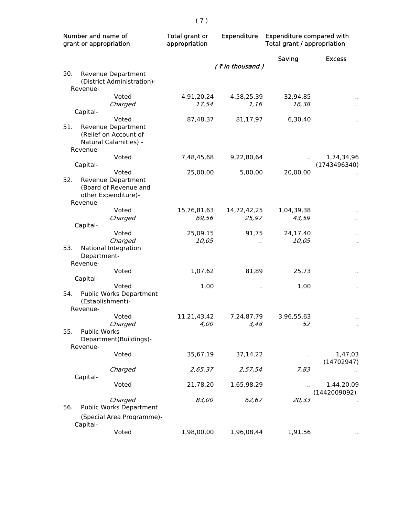| Number and name of<br>grant or appropriation |                                                  | Total grant or<br>appropriation | <b>Expenditure</b> |                      | <b>Expenditure compared with</b><br>Total grant / appropriation |  |
|----------------------------------------------|--------------------------------------------------|---------------------------------|--------------------|----------------------|-----------------------------------------------------------------|--|
|                                              |                                                  |                                 | (₹in thousand)     | Saving               | <b>Excess</b>                                                   |  |
| 50.                                          | Revenue Department<br>(District Administration)- |                                 |                    |                      |                                                                 |  |
|                                              | Revenue-                                         |                                 |                    |                      |                                                                 |  |
|                                              | Voted                                            | 4,91,20,24                      | 4,58,25,39         | 32,94,85             | $\ddot{\phantom{0}}$                                            |  |
|                                              | Charged                                          | 17,54                           | <i>1,16</i>        | 16,38                | $\ddot{\phantom{a}}$                                            |  |
|                                              | Capital-                                         |                                 |                    |                      |                                                                 |  |
|                                              | Voted                                            | 87,48,37                        | 81,17,97           | 6,30,40              | $\ddot{\phantom{1}}$                                            |  |
| 51.                                          | Revenue Department                               |                                 |                    |                      |                                                                 |  |
|                                              | (Relief on Account of<br>Natural Calamities) -   |                                 |                    |                      |                                                                 |  |
|                                              | Revenue-                                         |                                 |                    |                      |                                                                 |  |
|                                              | Voted                                            | 7,48,45,68                      | 9,22,80,64         |                      | 1,74,34,96                                                      |  |
|                                              | Capital-                                         |                                 |                    |                      | (1743496340)                                                    |  |
|                                              | Voted                                            | 25,00,00                        | 5,00,00            | 20,00,00             |                                                                 |  |
| 52.                                          | Revenue Department                               |                                 |                    |                      |                                                                 |  |
|                                              | (Board of Revenue and                            |                                 |                    |                      |                                                                 |  |
|                                              | other Expenditure)-                              |                                 |                    |                      |                                                                 |  |
|                                              | Revenue-                                         |                                 |                    |                      |                                                                 |  |
|                                              | Voted                                            | 15,76,81,63                     | 14,72,42,25        | 1,04,39,38           |                                                                 |  |
|                                              | Charged                                          | 69,56                           | 25,97              | 43,59                | $\ddot{\phantom{0}}$                                            |  |
|                                              | Capital-                                         |                                 |                    |                      |                                                                 |  |
|                                              | Voted                                            | 25,09,15                        | 91,75              | 24,17,40             | $\ddot{\phantom{0}}$                                            |  |
| 53.                                          | Charged                                          | 10,05                           |                    | 10,05                | $\ddot{\phantom{0}}$                                            |  |
|                                              | National Integration<br>Department-              |                                 |                    |                      |                                                                 |  |
|                                              | Revenue-                                         |                                 |                    |                      |                                                                 |  |
|                                              | Voted                                            | 1,07,62                         | 81,89              | 25,73                |                                                                 |  |
|                                              | Capital-                                         |                                 |                    |                      |                                                                 |  |
|                                              | Voted                                            | 1,00                            | Ω,                 | 1,00                 | $\ddot{\phantom{0}}$                                            |  |
| 54.                                          | Public Works Department                          |                                 |                    |                      |                                                                 |  |
|                                              | (Establishment)-                                 |                                 |                    |                      |                                                                 |  |
|                                              | Revenue-                                         |                                 |                    |                      |                                                                 |  |
|                                              | Voted                                            | 11,21,43,42                     | 7,24,87,79         | 3,96,55,63           |                                                                 |  |
|                                              | Charged                                          | 4,00                            | 3,48               | 52                   |                                                                 |  |
| 55.                                          | <b>Public Works</b>                              |                                 |                    |                      |                                                                 |  |
|                                              | Department(Buildings)-                           |                                 |                    |                      |                                                                 |  |
|                                              | Revenue-                                         |                                 |                    |                      |                                                                 |  |
|                                              | Voted                                            | 35,67,19                        | 37,14,22           | $\ddot{\phantom{a}}$ | 1,47,03<br>(14702947)                                           |  |
|                                              | Charged                                          | 2,65,37                         | 2,57,54            | 7,83                 |                                                                 |  |
|                                              | Capital-                                         |                                 |                    |                      |                                                                 |  |
|                                              | Voted                                            | 21,78,20                        | 1,65,98,29         |                      | 1,44,20,09                                                      |  |
|                                              |                                                  |                                 |                    |                      | (1442009092)                                                    |  |
|                                              | Charged                                          | 83,00                           | 62,67              | 20,33                |                                                                 |  |
| 56.                                          | Public Works Department                          |                                 |                    |                      |                                                                 |  |
|                                              | (Special Area Programme)-                        |                                 |                    |                      |                                                                 |  |
|                                              | Capital-                                         |                                 |                    |                      |                                                                 |  |
|                                              | Voted                                            | 1,98,00,00                      | 1,96,08,44         | 1,91,56              |                                                                 |  |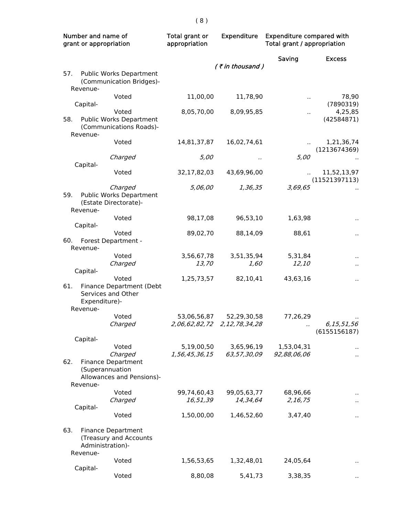| Number and name of<br>grant or appropriation |                                       | <b>Expenditure</b><br>Total grant or<br>appropriation                      |                         | <b>Expenditure compared with</b><br>Total grant / appropriation |                       |                              |
|----------------------------------------------|---------------------------------------|----------------------------------------------------------------------------|-------------------------|-----------------------------------------------------------------|-----------------------|------------------------------|
|                                              |                                       |                                                                            |                         | $($ ₹ in thousand)                                              | Saving                | <b>Excess</b>                |
| 57.                                          |                                       | Public Works Department<br>(Communication Bridges)-                        |                         |                                                                 |                       |                              |
|                                              | Revenue-<br>Capital-                  | Voted                                                                      | 11,00,00                | 11,78,90                                                        | $\sim$                | 78,90<br>(7890319)           |
| 58.                                          |                                       | Voted<br><b>Public Works Department</b><br>(Communications Roads)-         | 8,05,70,00              | 8,09,95,85                                                      | $\ddot{\phantom{a}}$  | 4,25,85<br>(42584871)        |
|                                              | Revenue-                              | Voted                                                                      | 14,81,37,87             | 16,02,74,61                                                     |                       | 1,21,36,74<br>(1213674369)   |
|                                              | Capital-                              | Charged                                                                    | 5,00                    |                                                                 | 5,00                  |                              |
|                                              |                                       | Voted                                                                      | 32,17,82,03             | 43,69,96,00                                                     |                       | 11,52,13,97<br>(11521397113) |
| 59.                                          | Revenue-                              | Charged<br>Public Works Department<br>(Estate Directorate)-                | 5,06,00                 | 1,36,35                                                         | 3,69,65               |                              |
|                                              | Capital-                              | Voted                                                                      | 98,17,08                | 96,53,10                                                        | 1,63,98               |                              |
| 60.                                          | Revenue-                              | Voted<br>Forest Department -                                               | 89,02,70                | 88,14,09                                                        | 88,61                 | Ω,                           |
|                                              |                                       | Voted<br>Charged                                                           | 3,56,67,78<br>13,70     | 3,51,35,94<br>1,60                                              | 5,31,84<br>12,10      | $\ddot{\phantom{1}}$         |
| 61.                                          | Capital-<br>Expenditure)-<br>Revenue- | Voted<br>Finance Department (Debt<br>Services and Other                    | 1,25,73,57              | 82,10,41                                                        | 43,63,16              | $\ddot{\phantom{a}}$         |
|                                              |                                       | Voted<br>Charged                                                           | 53,06,56,87             | 52,29,30,58<br>2,06,62,82,72 2,12,78,34,28                      | 77,26,29<br>.,        | 6,15,51,56<br>(6155156187)   |
|                                              | Capital-                              |                                                                            | 5,19,00,50              | 3,65,96,19                                                      | 1,53,04,31            |                              |
| 62.                                          | (Superannuation<br>Revenue-           | Voted<br>Charged<br><b>Finance Department</b><br>Allowances and Pensions)- | 1,56,45,36,15           | 63,57,30,09                                                     | 92,88,06,06           | $\ddot{\phantom{1}}$         |
|                                              |                                       | Voted<br>Charged                                                           | 99,74,60,43<br>16,51,39 | 99,05,63,77<br>14,34,64                                         | 68,96,66<br>2, 16, 75 |                              |
|                                              | Capital-                              | Voted                                                                      | 1,50,00,00              | 1,46,52,60                                                      | 3,47,40               | .,                           |
| 63.                                          | Administration)-<br>Revenue-          | <b>Finance Department</b><br>(Treasury and Accounts                        |                         |                                                                 |                       |                              |
|                                              |                                       | Voted                                                                      | 1,56,53,65              | 1,32,48,01                                                      | 24,05,64              |                              |
|                                              | Capital-                              | Voted                                                                      | 8,80,08                 | 5,41,73                                                         | 3,38,35               |                              |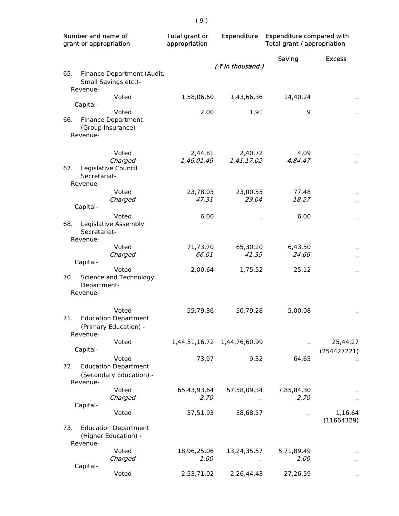| Number and name of<br>grant or appropriation                                            | Total grant or<br>Expenditure<br>appropriation |                             | <b>Expenditure compared with</b><br>Total grant / appropriation |                         |
|-----------------------------------------------------------------------------------------|------------------------------------------------|-----------------------------|-----------------------------------------------------------------|-------------------------|
|                                                                                         |                                                | $($ ₹ in thousand)          | Saving                                                          | <b>Excess</b>           |
| 65.<br>Finance Department (Audit,<br>Small Savings etc.)-<br>Revenue-                   |                                                |                             |                                                                 |                         |
| Voted                                                                                   | 1,58,06,60                                     | 1,43,66,36                  | 14,40,24                                                        | н.                      |
| Capital-<br>Voted<br>66.<br><b>Finance Department</b><br>(Group Insurance)-<br>Revenue- | 2,00                                           | 1,91                        | 9                                                               |                         |
| Voted<br>Charged<br>67.<br>Legislative Council<br>Secretariat-<br>Revenue-              | 2,44,81<br>1,46,01,49                          | 2,40,72<br>1,41,17,02       | 4,09<br>4,84,47                                                 |                         |
| Voted<br>Charged                                                                        | 23,78,03<br>47,31                              | 23,00,55<br>29,04           | 77,48<br>18,27                                                  |                         |
| Capital-                                                                                |                                                |                             |                                                                 | $\ddot{\phantom{0}}$    |
| Voted<br>68.<br>Legislative Assembly<br>Secretariat-<br>Revenue-                        | 6,00                                           |                             | 6,00                                                            | Ω,                      |
| Voted<br>Charged                                                                        | 71,73,70<br>66,01                              | 65,30,20<br>41,35           | 6,43,50<br>24,66                                                |                         |
| Capital-                                                                                |                                                |                             |                                                                 |                         |
| Voted<br>Science and Technology<br>70.<br>Department-<br>Revenue-                       | 2,00,64                                        | 1,75,52                     | 25,12                                                           | П,                      |
| Voted<br>71.<br><b>Education Department</b><br>(Primary Education) -<br>Revenue-        | 55,79,36                                       | 50,79,28                    | 5,00,08                                                         | н,                      |
| Voted<br>Capital-                                                                       |                                                | 1,44,51,16,72 1,44,76,60,99 |                                                                 | 25,44,27<br>(254427221) |
| Voted<br>72.<br><b>Education Department</b><br>(Secondary Education) -<br>Revenue-      | 73,97                                          | 9,32                        | 64,65                                                           |                         |
| Voted<br>Charged                                                                        | 65,43,93,64<br>2,70                            | 57,58,09,34<br>$\epsilon$ . | 7,85,84,30<br>2,70                                              |                         |
| Capital-<br>Voted                                                                       | 37,51,93                                       | 38,68,57                    |                                                                 | 1,16,64                 |
| <b>Education Department</b><br>73.<br>(Higher Education) -<br>Revenue-                  |                                                |                             |                                                                 | (11664329)              |
| Voted<br>Charged                                                                        | 18,96,25,06<br>1,00                            | 13,24,35,57<br>$\cdot$ .    | 5,71,89,49<br>1,00                                              |                         |
| Capital-<br>Voted                                                                       | 2,53,71,02                                     | 2,26,44,43                  | 27,26,59                                                        |                         |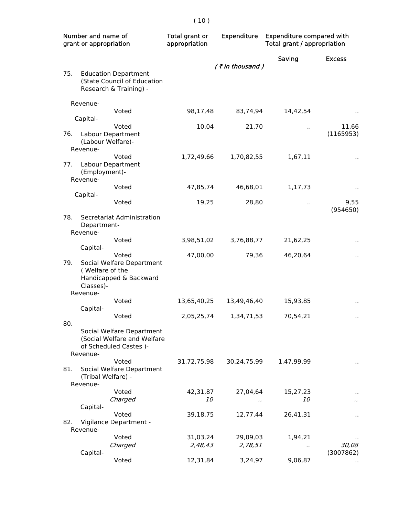| Number and name of<br>grant or appropriation |                                | <b>Expenditure</b><br>Total grant or<br>appropriation                                |             | <b>Expenditure compared with</b><br>Total grant / appropriation |                      |                      |
|----------------------------------------------|--------------------------------|--------------------------------------------------------------------------------------|-------------|-----------------------------------------------------------------|----------------------|----------------------|
|                                              |                                |                                                                                      |             | $($ ₹ in thousand)                                              | Saving               | <b>Excess</b>        |
| 75.                                          |                                | <b>Education Department</b><br>(State Council of Education<br>Research & Training) - |             |                                                                 |                      |                      |
|                                              | Revenue-                       |                                                                                      |             |                                                                 |                      |                      |
|                                              | Capital-                       | Voted                                                                                | 98,17,48    | 83,74,94                                                        | 14,42,54             |                      |
| 76.                                          |                                | Voted<br>Labour Department<br>(Labour Welfare)-                                      | 10,04       | 21,70                                                           | ٠.                   | 11,66<br>(1165953)   |
|                                              | Revenue-                       |                                                                                      |             |                                                                 |                      |                      |
| 77.                                          | (Employment)-<br>Revenue-      | Voted<br>Labour Department                                                           | 1,72,49,66  | 1,70,82,55                                                      | 1,67,11              |                      |
|                                              |                                | Voted                                                                                | 47,85,74    | 46,68,01                                                        | 1,17,73              | $\ddot{\phantom{0}}$ |
|                                              | Capital-                       | Voted                                                                                | 19,25       | 28,80                                                           | $\ddot{\phantom{a}}$ | 9,55<br>(954650)     |
| 78.                                          | Department-<br>Revenue-        | Secretariat Administration                                                           |             |                                                                 |                      |                      |
|                                              |                                | Voted                                                                                | 3,98,51,02  | 3,76,88,77                                                      | 21,62,25             | $\ddot{\phantom{0}}$ |
| 79.                                          | Capital-<br>(Welfare of the    | Voted<br>Social Welfare Department                                                   | 47,00,00    | 79,36                                                           | 46,20,64             | $\ddot{\phantom{1}}$ |
|                                              | Classes)-                      | Handicapped & Backward                                                               |             |                                                                 |                      |                      |
|                                              | Revenue-                       | Voted                                                                                | 13,65,40,25 | 13,49,46,40                                                     | 15,93,85             |                      |
|                                              | Capital-                       |                                                                                      |             |                                                                 |                      | $\ddot{\phantom{0}}$ |
| 80.                                          |                                | Voted                                                                                | 2,05,25,74  | 1,34,71,53                                                      | 70,54,21             | .,                   |
|                                              |                                | Social Welfare Department<br>(Social Welfare and Welfare<br>of Scheduled Castes)-    |             |                                                                 |                      |                      |
|                                              | Revenue-                       | Voted                                                                                | 31,72,75,98 | 30,24,75,99                                                     | 1,47,99,99           |                      |
| 81.                                          | (Tribal Welfare) -<br>Revenue- | Social Welfare Department                                                            |             |                                                                 |                      | ٠,                   |
|                                              |                                | Voted                                                                                | 42,31,87    | 27,04,64                                                        | 15,27,23             |                      |
|                                              |                                | Charged                                                                              | 10          |                                                                 | <i>10</i>            |                      |
|                                              | Capital-                       | Voted                                                                                | 39,18,75    | 12,77,44                                                        | 26,41,31             |                      |
| 82.                                          |                                | Vigilance Department -                                                               |             |                                                                 |                      |                      |
|                                              | Revenue-                       | Voted                                                                                | 31,03,24    | 29,09,03                                                        | 1,94,21              |                      |
|                                              | Capital-                       | Charged                                                                              | 2,48,43     | 2,78,51                                                         |                      | 30,08<br>(3007862)   |
|                                              |                                | Voted                                                                                | 12,31,84    | 3,24,97                                                         | 9,06,87              |                      |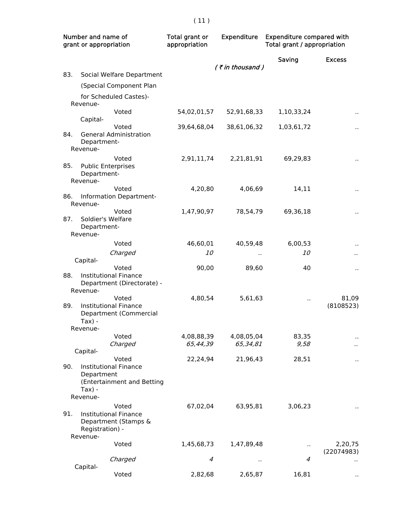| Number and name of<br>grant or appropriation |                                                      | Total grant or<br><b>Expenditure</b><br>appropriation               |             | <b>Expenditure compared with</b><br>Total grant / appropriation |                      |                       |
|----------------------------------------------|------------------------------------------------------|---------------------------------------------------------------------|-------------|-----------------------------------------------------------------|----------------------|-----------------------|
|                                              |                                                      |                                                                     |             | (₹in thousand)                                                  | Saving               | <b>Excess</b>         |
| 83.                                          |                                                      | Social Welfare Department                                           |             |                                                                 |                      |                       |
|                                              |                                                      | (Special Component Plan                                             |             |                                                                 |                      |                       |
|                                              |                                                      | for Scheduled Castes)-                                              |             |                                                                 |                      |                       |
|                                              | Revenue-<br>Capital-                                 | Voted                                                               | 54,02,01,57 | 52,91,68,33                                                     | 1,10,33,24           |                       |
| 84.                                          | Department-<br>Revenue-                              | Voted<br><b>General Administration</b>                              | 39,64,68,04 | 38,61,06,32                                                     | 1,03,61,72           |                       |
| 85.                                          | <b>Public Enterprises</b><br>Department-<br>Revenue- | Voted                                                               | 2,91,11,74  | 2,21,81,91                                                      | 69,29,83             |                       |
| 86.                                          | Revenue-                                             | Voted<br>Information Department-                                    | 4,20,80     | 4,06,69                                                         | 14,11                |                       |
| 87.                                          | Soldier's Welfare<br>Department-<br>Revenue-         | Voted                                                               | 1,47,90,97  | 78,54,79                                                        | 69,36,18             |                       |
|                                              |                                                      | Voted                                                               | 46,60,01    | 40,59,48                                                        | 6,00,53              | .,                    |
|                                              |                                                      | Charged                                                             | <i>10</i>   |                                                                 | <i>10</i>            |                       |
|                                              | Capital-                                             |                                                                     |             |                                                                 |                      |                       |
| 88.                                          | Revenue-                                             | Voted<br><b>Institutional Finance</b><br>Department (Directorate) - | 90,00       | 89,60                                                           | 40                   | .,                    |
| 89.                                          | $Tax) -$<br>Revenue-                                 | Voted<br><b>Institutional Finance</b><br>Department (Commercial     | 4,80,54     | 5,61,63                                                         |                      | 81,09<br>(8108523)    |
|                                              |                                                      | Voted                                                               | 4,08,88,39  | 4,08,05,04                                                      | 83,35                |                       |
|                                              | Capital-                                             | Charged                                                             | 65,44,39    | 65,34,81                                                        | 9,58                 |                       |
| 90.                                          | Department<br>$Tax$ ) -<br>Revenue-                  | Voted<br>Institutional Finance<br>(Entertainment and Betting        | 22,24,94    | 21,96,43                                                        | 28,51                |                       |
| 91.                                          | Registration) -<br>Revenue-                          | Voted<br><b>Institutional Finance</b><br>Department (Stamps &       | 67,02,04    | 63,95,81                                                        | 3,06,23              |                       |
|                                              |                                                      | Voted                                                               | 1,45,68,73  | 1,47,89,48                                                      | $\ddot{\phantom{1}}$ | 2,20,75<br>(22074983) |
|                                              | Capital-                                             | Charged                                                             | 4           |                                                                 | $\overline{4}$       |                       |
|                                              |                                                      | Voted                                                               | 2,82,68     | 2,65,87                                                         | 16,81                |                       |

( 11 )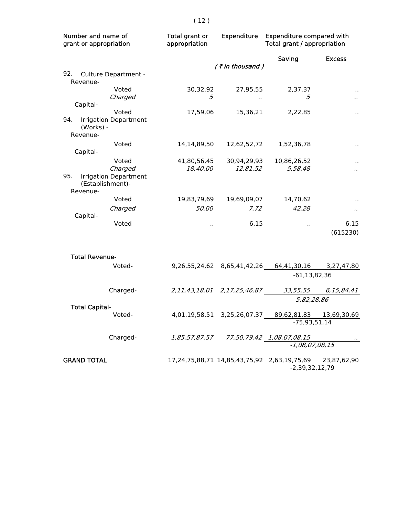| Number and name of<br>grant or appropriation |                              | Total grant or<br>appropriation | <b>Expenditure</b>                      | <b>Expenditure compared with</b><br>Total grant / appropriation |                      |
|----------------------------------------------|------------------------------|---------------------------------|-----------------------------------------|-----------------------------------------------------------------|----------------------|
|                                              |                              |                                 |                                         | Saving                                                          | <b>Excess</b>        |
|                                              |                              |                                 | (₹in thousand)                          |                                                                 |                      |
| 92.                                          | Culture Department -         |                                 |                                         |                                                                 |                      |
| Revenue-                                     | Voted                        | 30,32,92                        | 27,95,55                                | 2,37,37                                                         |                      |
|                                              | Charged                      | 5                               | $\cdot$                                 | 5                                                               |                      |
| Capital-                                     |                              |                                 |                                         |                                                                 |                      |
|                                              | Voted                        | 17,59,06                        | 15,36,21                                | 2,22,85                                                         |                      |
| 94.<br>(Works) -<br>Revenue-                 | <b>Irrigation Department</b> |                                 |                                         |                                                                 |                      |
|                                              | Voted                        | 14,14,89,50                     | 12,62,52,72                             | 1,52,36,78                                                      |                      |
| Capital-                                     |                              |                                 |                                         |                                                                 |                      |
|                                              | Voted                        | 41,80,56,45                     | 30,94,29,93                             | 10,86,26,52                                                     |                      |
|                                              | Charged                      | <i>18,40,00</i>                 | 12,81,52                                | 5,58,48                                                         | $\ddot{\phantom{a}}$ |
| 95.<br>(Establishment)-<br>Revenue-          | <b>Irrigation Department</b> |                                 |                                         |                                                                 |                      |
|                                              | Voted                        | 19,83,79,69                     | 19,69,09,07                             | 14,70,62                                                        |                      |
|                                              | Charged                      | 50,00                           | 7,72                                    | 42,28                                                           | $\ddot{\phantom{a}}$ |
| Capital-                                     |                              |                                 |                                         |                                                                 |                      |
|                                              | Voted                        | $\sim$                          | 6,15                                    | $\ddot{\phantom{1}}$                                            | 6,15<br>(615230)     |
| <b>Total Revenue-</b>                        |                              |                                 |                                         |                                                                 |                      |
|                                              | Voted-                       |                                 | 9,26,55,24,62 8,65,41,42,26 64,41,30,16 |                                                                 | 3,27,47,80           |
|                                              |                              |                                 |                                         | $-61, 13, 82, 36$                                               |                      |
|                                              | Charged-                     |                                 |                                         | 33,55,55                                                        | 6,15,84,41           |
|                                              |                              |                                 |                                         | 5,82,28,86                                                      |                      |
| <b>Total Capital-</b>                        |                              |                                 |                                         |                                                                 |                      |
|                                              | Voted-                       |                                 | 4,01,19,58,51 3,25,26,07,37             | 89,62,81,83<br>$-75,93,51,14$                                   | 13,69,30,69          |
|                                              |                              |                                 |                                         |                                                                 |                      |
|                                              | Charged-                     |                                 | 1,85,57,87,57 77,50,79,42 1,08,07,08,15 |                                                                 |                      |
|                                              |                              |                                 |                                         | $-1,08,07,08,15$                                                |                      |
| <b>GRAND TOTAL</b>                           |                              |                                 |                                         | 17,24,75,88,71 14,85,43,75,92 2,63,19,75,69 23,87,62,90         |                      |
|                                              |                              |                                 |                                         | $-2,39,32,12,79$                                                |                      |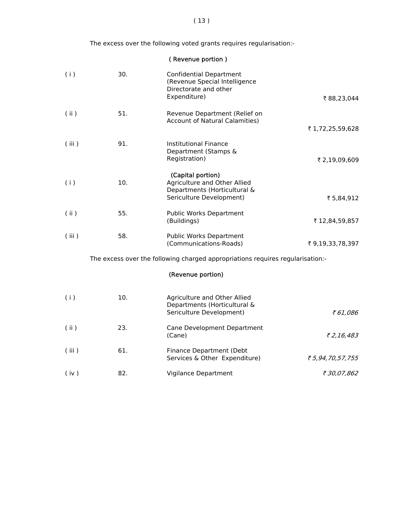The excess over the following voted grants requires regularisation:-

( Revenue portion )

| (i)   | 30. | <b>Confidential Department</b><br>(Revenue Special Intelligence<br>Directorate and other<br>Expenditure)      | ₹88,23,044      |
|-------|-----|---------------------------------------------------------------------------------------------------------------|-----------------|
| (i)   | 51. | Revenue Department (Relief on<br><b>Account of Natural Calamities)</b>                                        | ₹1,72,25,59,628 |
| (iii) | 91. | Institutional Finance<br>Department (Stamps &<br>Registration)                                                | ₹ 2,19,09,609   |
| (i)   | 10. | (Capital portion)<br>Agriculture and Other Allied<br>Departments (Horticultural &<br>Sericulture Development) | ₹ 5,84,912      |
| (ii)  | 55. | Public Works Department<br>(Buildings)                                                                        | ₹ 12,84,59,857  |
| (iii) | 58. | Public Works Department<br>(Communications-Roads)                                                             | ₹9,19,33,78,397 |
|       |     | The excess over the following charged appropriations requires regularisation:-                                |                 |
|       |     | (Revenue portion)                                                                                             |                 |

| (i)   | 10. | Agriculture and Other Allied<br>Departments (Horticultural &<br>Sericulture Development) | ₹61,086          |
|-------|-----|------------------------------------------------------------------------------------------|------------------|
| (ii)  | 23. | Cane Development Department<br>(Cane)                                                    | ₹2,16,483        |
| (iii) | 61. | Finance Department (Debt<br>Services & Other Expenditure)                                | ₹ 5,94,70,57,755 |
| (iv)  | 82. | Vigilance Department                                                                     | ₹ 30,07,862      |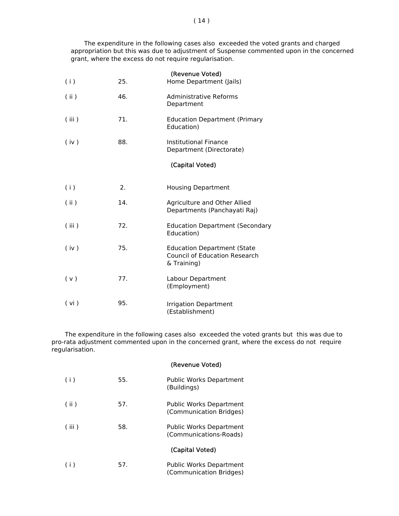The expenditure in the following cases also exceeded the voted grants and charged appropriation but this was due to adjustment of Suspense commented upon in the concerned grant, where the excess do not require regularisation.

| (i)   | 25. | (Revenue Voted)<br>Home Department (Jails)                                                |
|-------|-----|-------------------------------------------------------------------------------------------|
| (i)   | 46. | Administrative Reforms<br>Department                                                      |
| (iii) | 71. | <b>Education Department (Primary</b><br>Education)                                        |
| (iv)  | 88. | <b>Institutional Finance</b><br>Department (Directorate)                                  |
|       |     | (Capital Voted)                                                                           |
| (i)   | 2.  | <b>Housing Department</b>                                                                 |
| (i)   | 14. | Agriculture and Other Allied<br>Departments (Panchayati Raj)                              |
| (iii) | 72. | <b>Education Department (Secondary</b><br>Education)                                      |
| (iv)  | 75. | <b>Education Department (State</b><br><b>Council of Education Research</b><br>& Training) |
| (v)   | 77. | Labour Department<br>(Employment)                                                         |
| (vi)  | 95. | <b>Irrigation Department</b><br>(Establishment)                                           |

 The expenditure in the following cases also exceeded the voted grants but this was due to pro-rata adjustment commented upon in the concerned grant, where the excess do not require regularisation.

(Revenue Voted)

| (i)   | 55. | Public Works Department<br>(Buildings)                    |
|-------|-----|-----------------------------------------------------------|
| (i)   | 57. | <b>Public Works Department</b><br>(Communication Bridges) |
| (iii) | 58. | Public Works Department<br>(Communications-Roads)         |
|       |     | (Capital Voted)                                           |
| (i)   | 57. | <b>Public Works Department</b><br>(Communication Bridges) |

#### $(14)$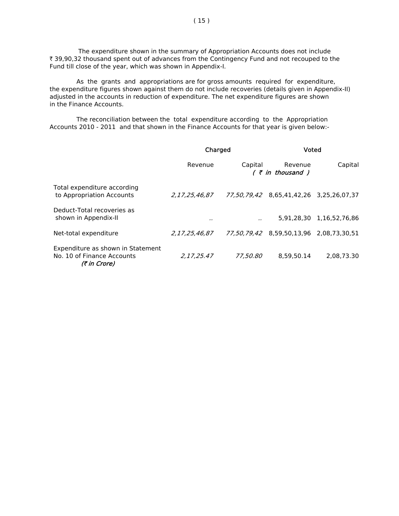The expenditure shown in the summary of Appropriation Accounts does not include ₹ 39,90,32 thousand spent out of advances from the Contingency Fund and not recouped to the Fund till close of the year, which was shown in Appendix-I.

 As the grants and appropriations are for gross amounts required for expenditure, the expenditure figures shown against them do not include recoveries (details given in Appendix-II) adjusted in the accounts in reduction of expenditure. The net expenditure figures are shown in the Finance Accounts.

 The reconciliation between the total expenditure according to the Appropriation Accounts 2010 - 2011 and that shown in the Finance Accounts for that year is given below:-

|                                                                                 | Charged       |          | Voted                                   |                          |
|---------------------------------------------------------------------------------|---------------|----------|-----------------------------------------|--------------------------|
|                                                                                 | Revenue       | Capital  | Revenue<br>( ₹ in thousand )            | Capital                  |
| Total expenditure according<br>to Appropriation Accounts                        | 2.17.25.46.87 |          | 77,50,79,42 8,65,41,42,26 3,25,26,07,37 |                          |
| Deduct-Total recoveries as<br>shown in Appendix-II                              |               |          |                                         | 5.91.28.30 1.16.52.76.86 |
| Net-total expenditure                                                           | 2,17,25,46,87 |          | 77,50,79,42 8,59,50,13,96 2,08,73,30,51 |                          |
| Expenditure as shown in Statement<br>No. 10 of Finance Accounts<br>(₹ in Crore) | 2.17.25.47    | 77,50,80 | 8.59.50.14                              | 2.08.73.30               |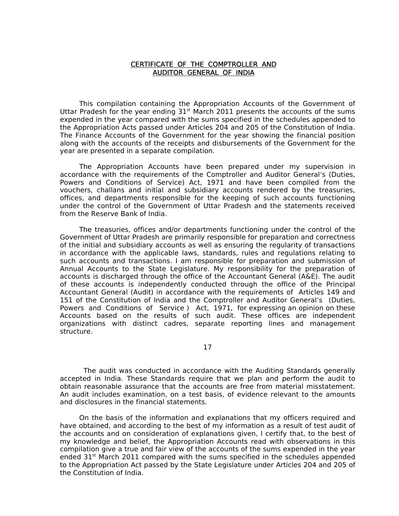#### CERTIFICATE OF THE COMPTROLLER AND AUDITOR GENERAL OF INDIA

 This compilation containing the Appropriation Accounts of the Government of Uttar Pradesh for the year ending  $31<sup>st</sup>$  March 2011 presents the accounts of the sums expended in the year compared with the sums specified in the schedules appended to the Appropriation Acts passed under Articles 204 and 205 of the Constitution of India. The Finance Accounts of the Government for the year showing the financial position along with the accounts of the receipts and disbursements of the Government for the year are presented in a separate compilation.

 The Appropriation Accounts have been prepared under my supervision in accordance with the requirements of the Comptroller and Auditor General's (Duties, Powers and Conditions of Service) Act, 1971 and have been compiled from the vouchers, challans and initial and subsidiary accounts rendered by the treasuries, offices, and departments responsible for the keeping of such accounts functioning under the control of the Government of Uttar Pradesh and the statements received from the Reserve Bank of India.

 The treasuries, offices and/or departments functioning under the control of the Government of Uttar Pradesh are primarily responsible for preparation and correctness of the initial and subsidiary accounts as well as ensuring the regularity of transactions in accordance with the applicable laws, standards, rules and regulations relating to such accounts and transactions. I am responsible for preparation and submission of Annual Accounts to the State Legislature. My responsibility for the preparation of accounts is discharged through the office of the Accountant General (A&E). The audit of these accounts is independently conducted through the office of the Principal Accountant General (Audit) in accordance with the requirements of Articles 149 and 151 of the Constitution of India and the Comptroller and Auditor General's (Duties, Powers and Conditions of Service ) Act, 1971, for expressing an opinion on these Accounts based on the results of such audit. These offices are independent organizations with distinct cadres, separate reporting lines and management structure.

17

 The audit was conducted in accordance with the Auditing Standards generally accepted in India. These Standards require that we plan and perform the audit to obtain reasonable assurance that the accounts are free from material misstatement. An audit includes examination, on a test basis, of evidence relevant to the amounts and disclosures in the financial statements.

 On the basis of the information and explanations that my officers required and have obtained, and according to the best of my information as a result of test audit of the accounts and on consideration of explanations given, I certify that, to the best of my knowledge and belief, the Appropriation Accounts read with observations in this compilation give a true and fair view of the accounts of the sums expended in the year ended  $31<sup>st</sup>$  March 2011 compared with the sums specified in the schedules appended to the Appropriation Act passed by the State Legislature under Articles 204 and 205 of the Constitution of India.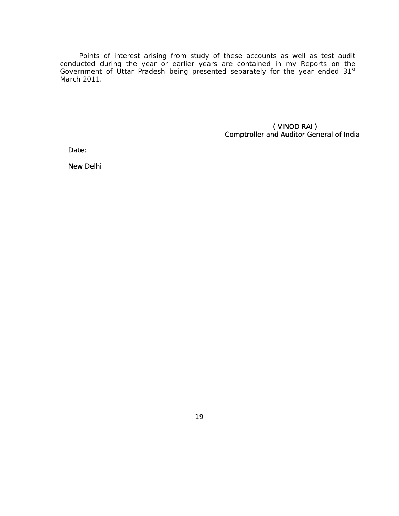Points of interest arising from study of these accounts as well as test audit conducted during the year or earlier years are contained in my Reports on the Government of Uttar Pradesh being presented separately for the year ended  $31<sup>st</sup>$ March 2011.

 ( VINOD RAI ) Comptroller and Auditor General of India

Date:

New Delhi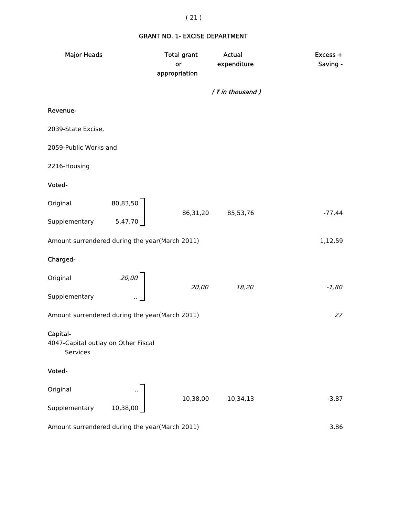### GRANT NO. 1- EXCISE DEPARTMENT

| <b>Major Heads</b>                                          |                                                    | <b>Total grant</b><br>or<br>appropriation | <b>Actual</b><br>expenditure | Excess +<br>Saving - |
|-------------------------------------------------------------|----------------------------------------------------|-------------------------------------------|------------------------------|----------------------|
|                                                             |                                                    |                                           | (₹in thousand)               |                      |
| Revenue-                                                    |                                                    |                                           |                              |                      |
| 2039-State Excise,                                          |                                                    |                                           |                              |                      |
| 2059-Public Works and                                       |                                                    |                                           |                              |                      |
| 2216-Housing                                                |                                                    |                                           |                              |                      |
| Voted-                                                      |                                                    |                                           |                              |                      |
| Original                                                    | $\begin{array}{c} 80,83,50 \\ 5,47,70 \end{array}$ | 86,31,20                                  |                              | $-77,44$             |
| Supplementary                                               |                                                    |                                           | 85,53,76                     |                      |
| Amount surrendered during the year(March 2011)              |                                                    |                                           |                              | 1,12,59              |
| Charged-                                                    |                                                    |                                           |                              |                      |
| Original                                                    | 20,00                                              | 20,00                                     | 18,20                        | $-1,80$              |
| Supplementary                                               |                                                    |                                           |                              |                      |
| Amount surrendered during the year(March 2011)              |                                                    |                                           |                              | 27                   |
| Capital-<br>4047-Capital outlay on Other Fiscal<br>Services |                                                    |                                           |                              |                      |
| Voted-                                                      |                                                    |                                           |                              |                      |
| Original                                                    |                                                    | 10,38,00                                  | 10,34,13                     | $-3,87$              |
| Supplementary                                               | 10,38,00                                           |                                           |                              |                      |
| Amount surrendered during the year(March 2011)              |                                                    |                                           |                              | 3,86                 |

## ( 21 )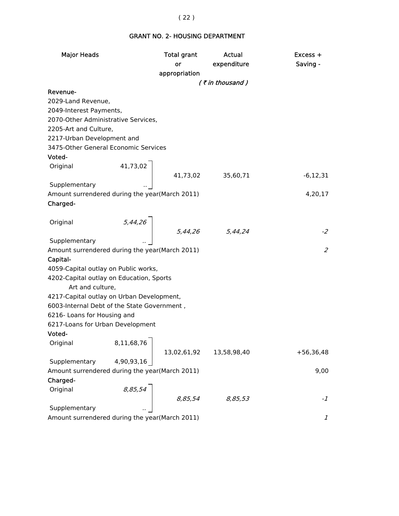## GRANT NO. 2- HOUSING DEPARTMENT

| <b>Major Heads</b>                             | <b>Total grant</b>                                                                   | Actual             | Excess +                    |
|------------------------------------------------|--------------------------------------------------------------------------------------|--------------------|-----------------------------|
|                                                | or                                                                                   | expenditure        | Saving -                    |
|                                                | appropriation                                                                        |                    |                             |
|                                                |                                                                                      | $($ ₹ in thousand) |                             |
| Revenue-                                       |                                                                                      |                    |                             |
| 2029-Land Revenue,                             |                                                                                      |                    |                             |
| 2049-Interest Payments,                        |                                                                                      |                    |                             |
| 2070-Other Administrative Services,            |                                                                                      |                    |                             |
| 2205-Art and Culture,                          |                                                                                      |                    |                             |
| 2217-Urban Development and                     |                                                                                      |                    |                             |
| 3475-Other General Economic Services           |                                                                                      |                    |                             |
| Voted-                                         |                                                                                      |                    |                             |
| Original                                       | $\left\{\n\begin{array}{ccc}\n41,73,02 & 41,73,02 & 35,60,71\n\end{array}\n\right\}$ |                    |                             |
|                                                |                                                                                      |                    | $-6,12,31$                  |
| Supplementary                                  |                                                                                      |                    |                             |
| Amount surrendered during the year(March 2011) |                                                                                      |                    | 4,20,17                     |
| Charged-                                       |                                                                                      |                    |                             |
|                                                |                                                                                      |                    |                             |
| Original                                       |                                                                                      |                    |                             |
|                                                | $\begin{array}{c cc}\n5,44,26 \\ & 5,44,26\n\end{array}$ 5,44,24                     |                    | $-2$                        |
| Supplementary                                  |                                                                                      |                    |                             |
| Amount surrendered during the year(March 2011) |                                                                                      |                    | $\mathcal{Z}_{\mathcal{C}}$ |
| Capital-                                       |                                                                                      |                    |                             |
| 4059-Capital outlay on Public works,           |                                                                                      |                    |                             |
| 4202-Capital outlay on Education, Sports       |                                                                                      |                    |                             |
| Art and culture,                               |                                                                                      |                    |                             |
| 4217-Capital outlay on Urban Development,      |                                                                                      |                    |                             |
| 6003-Internal Debt of the State Government,    |                                                                                      |                    |                             |
| 6216- Loans for Housing and                    |                                                                                      |                    |                             |
| 6217-Loans for Urban Development               |                                                                                      |                    |                             |
| Voted-                                         |                                                                                      |                    |                             |
| Original 8,11,68,76                            |                                                                                      |                    |                             |
|                                                | 13,02,61,92                                                                          | 13,58,98,40        | $+56,36,48$                 |
| 4,90,93,16<br>Supplementary                    |                                                                                      |                    |                             |
| Amount surrendered during the year(March 2011) |                                                                                      |                    | 9,00                        |
| Charged-                                       |                                                                                      |                    |                             |
| 8,85,54<br>Original                            |                                                                                      |                    |                             |
|                                                | 8,85,54                                                                              | 8,85,53            | $-1$                        |
| Supplementary                                  |                                                                                      |                    |                             |
| Amount surrendered during the year(March 2011) |                                                                                      |                    | $\mathcal{I}$               |

#### ( 22 )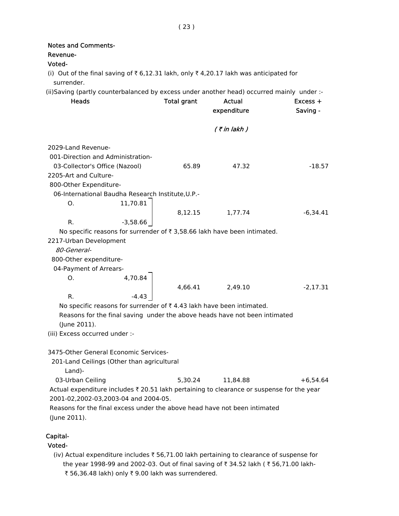| <b>Notes and Comments-</b><br>Revenue-<br>Voted- |                                                   |                    |                                                                                           |            |
|--------------------------------------------------|---------------------------------------------------|--------------------|-------------------------------------------------------------------------------------------|------------|
| surrender.                                       |                                                   |                    | (i) Out of the final saving of ₹ 6,12.31 lakh, only ₹ 4,20.17 lakh was anticipated for    |            |
|                                                  |                                                   |                    | (ii)Saving (partly counterbalanced by excess under another head) occurred mainly under :- |            |
| <b>Heads</b>                                     |                                                   | <b>Total grant</b> | Actual                                                                                    | $Excess +$ |
|                                                  |                                                   |                    | expenditure                                                                               | Saving -   |
|                                                  |                                                   |                    |                                                                                           |            |
|                                                  |                                                   |                    | (₹in lakh )                                                                               |            |
| 2029-Land Revenue-                               |                                                   |                    |                                                                                           |            |
|                                                  | 001-Direction and Administration-                 |                    |                                                                                           |            |
| 03-Collector's Office (Nazool)                   |                                                   | 65.89              | 47.32                                                                                     | $-18.57$   |
| 2205-Art and Culture-                            |                                                   |                    |                                                                                           |            |
| 800-Other Expenditure-                           |                                                   |                    |                                                                                           |            |
|                                                  | 06-International Baudha Research Institute, U.P.- |                    |                                                                                           |            |
| O.                                               | 11,70.81                                          |                    |                                                                                           |            |
|                                                  |                                                   |                    | 8,12.15 1,77.74                                                                           | $-6.34.41$ |
| R.                                               | $-3,58.66$                                        |                    |                                                                                           |            |
|                                                  |                                                   |                    | No specific reasons for surrender of ₹ 3,58.66 lakh have been intimated.                  |            |
| 2217-Urban Development                           |                                                   |                    |                                                                                           |            |
| 80-General-                                      |                                                   |                    |                                                                                           |            |
| 800-Other expenditure-                           |                                                   |                    |                                                                                           |            |
| 04-Payment of Arrears-                           |                                                   |                    |                                                                                           |            |
| O.                                               |                                                   |                    |                                                                                           |            |
|                                                  | 4,70.84                                           |                    | 4,66.41 2,49.10                                                                           | $-2,17.31$ |
| R.                                               |                                                   |                    |                                                                                           |            |
|                                                  |                                                   |                    | No specific reasons for surrender of $\bar{\tau}$ 4.43 lakh have been intimated.          |            |
|                                                  |                                                   |                    | Reasons for the final saving under the above heads have not been intimated                |            |
| (June 2011).                                     |                                                   |                    |                                                                                           |            |
| (iii) Excess occurred under :-                   |                                                   |                    |                                                                                           |            |
|                                                  |                                                   |                    |                                                                                           |            |
|                                                  | 3475-Other General Economic Services-             |                    |                                                                                           |            |
|                                                  | 201-Land Ceilings (Other than agricultural        |                    |                                                                                           |            |
| Land)-                                           |                                                   |                    |                                                                                           |            |
| 03-Urban Ceiling                                 |                                                   | 5,30.24            | 11,84.88                                                                                  | $+6,54.64$ |
|                                                  |                                                   |                    | Actual expenditure includes ₹ 20.51 lakh pertaining to clearance or suspense for the year |            |
|                                                  | 2001-02,2002-03,2003-04 and 2004-05.              |                    |                                                                                           |            |
|                                                  |                                                   |                    | Reasons for the final excess under the above head have not been intimated                 |            |
| (June 2011).                                     |                                                   |                    |                                                                                           |            |
|                                                  |                                                   |                    |                                                                                           |            |
| Capital-                                         |                                                   |                    |                                                                                           |            |
| Voted-                                           |                                                   |                    |                                                                                           |            |

(iv) Actual expenditure includes  $\bar{\tau}$  56,71.00 lakh pertaining to clearance of suspense for the year 1998-99 and 2002-03. Out of final saving of  $\bar{\tau}$  34.52 lakh ( $\bar{\tau}$  56,71.00 lakh-₹ 56,36.48 lakh) only ₹ 9.00 lakh was surrendered.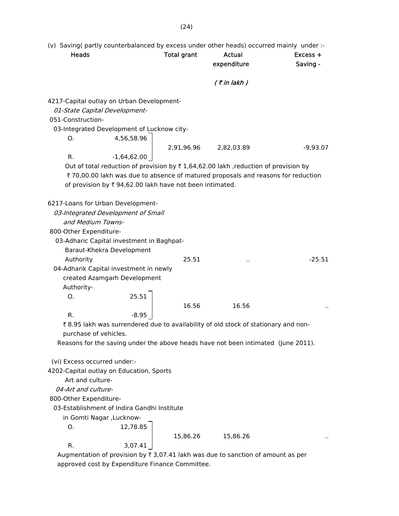(v) Saving( partly counterbalanced by excess under other heads) occurred mainly under :-

| Heads                                                                 |                                                          | <b>Total grant</b> | <b>Actual</b><br>expenditure                                                                         | $Excess +$<br>Saving - |
|-----------------------------------------------------------------------|----------------------------------------------------------|--------------------|------------------------------------------------------------------------------------------------------|------------------------|
|                                                                       |                                                          |                    | $($ ₹ in lakh $)$                                                                                    |                        |
| 4217-Capital outlay on Urban Development-                             |                                                          |                    |                                                                                                      |                        |
| 01-State Capital Development-                                         |                                                          |                    |                                                                                                      |                        |
| 051-Construction-                                                     |                                                          |                    |                                                                                                      |                        |
| 03-Integrated Development of Lucknow city-                            |                                                          |                    |                                                                                                      |                        |
| 0.                                                                    | 4,56,58.96                                               |                    |                                                                                                      |                        |
|                                                                       |                                                          | 2,91,96.96         | 2,82,03.89                                                                                           | $-9,93.07$             |
| R.                                                                    | $-1,64,62.00$                                            |                    |                                                                                                      |                        |
|                                                                       |                                                          |                    | Out of total reduction of provision by $\overline{\tau}$ 1,64,62.00 lakh , reduction of provision by |                        |
|                                                                       |                                                          |                    | ₹ 70,00.00 lakh was due to absence of matured proposals and reasons for reduction                    |                        |
|                                                                       | of provision by ₹ 94,62.00 lakh have not been intimated. |                    |                                                                                                      |                        |
|                                                                       |                                                          |                    |                                                                                                      |                        |
| 6217-Loans for Urban Development-                                     |                                                          |                    |                                                                                                      |                        |
| 03-Integrated Development of Small                                    |                                                          |                    |                                                                                                      |                        |
| and Medium Towns-                                                     |                                                          |                    |                                                                                                      |                        |
| 800-Other Expenditure-                                                |                                                          |                    |                                                                                                      |                        |
| 03-Adharic Capital investment in Baghpat-                             |                                                          |                    |                                                                                                      |                        |
|                                                                       | Baraut-Khekra Development                                |                    |                                                                                                      |                        |
| Authority                                                             |                                                          | 25.51              |                                                                                                      | $-25.51$               |
| 04-Adharik Capital investment in newly                                |                                                          |                    |                                                                                                      |                        |
|                                                                       | created Azamgarh Development                             |                    |                                                                                                      |                        |
| Authority-                                                            | 25.51                                                    |                    |                                                                                                      |                        |
| O.                                                                    |                                                          |                    |                                                                                                      |                        |
|                                                                       |                                                          | 16.56              | 16.56                                                                                                |                        |
| R.                                                                    | $-8.95$                                                  |                    |                                                                                                      |                        |
| purchase of vehicles.                                                 |                                                          |                    | ₹8.95 lakh was surrendered due to availability of old stock of stationary and non-                   |                        |
|                                                                       |                                                          |                    | Reasons for the saving under the above heads have not been intimated (June 2011).                    |                        |
|                                                                       |                                                          |                    |                                                                                                      |                        |
| (vi) Excess occurred under:-                                          |                                                          |                    |                                                                                                      |                        |
| 4202-Capital outlay on Education, Sports                              |                                                          |                    |                                                                                                      |                        |
| Art and culture-                                                      |                                                          |                    |                                                                                                      |                        |
| 04-Art and culture-                                                   |                                                          |                    |                                                                                                      |                        |
|                                                                       |                                                          |                    |                                                                                                      |                        |
| 800-Other Expenditure-<br>03-Establishment of Indira Gandhi Institute |                                                          |                    |                                                                                                      |                        |
| in Gomti Nagar, Lucknow-                                              |                                                          |                    |                                                                                                      |                        |
| O.                                                                    | 12,78.85                                                 |                    |                                                                                                      |                        |
|                                                                       |                                                          | 15,86.26           | 15,86.26                                                                                             |                        |
| R.                                                                    | 3,07.41                                                  |                    |                                                                                                      |                        |
|                                                                       |                                                          |                    | Augmentation of provision by $\overline{z}$ 3.07.41 lakh was due to sanction of amount as per        |                        |

Augmentation of provision by  $\bar{x}$  3,07.41 lakh was due to sanction of amount as per approved cost by Expenditure Finance Committee.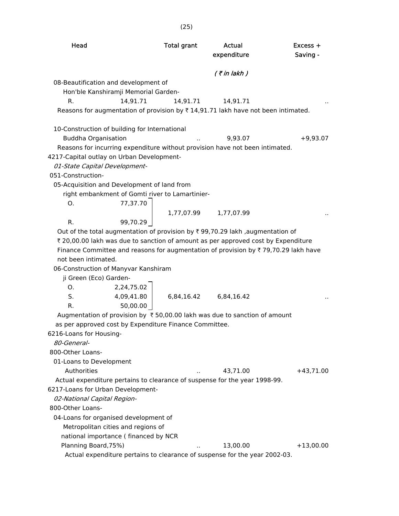| Head                                                                                                | <b>Total grant</b> | Actual<br>expenditure                                                      | $Excess +$<br>Saving - |
|-----------------------------------------------------------------------------------------------------|--------------------|----------------------------------------------------------------------------|------------------------|
|                                                                                                     |                    | $($ ₹ in lakh $)$                                                          |                        |
| 08-Beautification and development of                                                                |                    |                                                                            |                        |
| Hon'ble Kanshiramji Memorial Garden-                                                                |                    |                                                                            |                        |
| 14,91.71<br>R.                                                                                      | 14,91.71           | 14,91.71                                                                   |                        |
| Reasons for augmentation of provision by ₹14,91.71 lakh have not been intimated.                    |                    |                                                                            |                        |
|                                                                                                     |                    |                                                                            |                        |
| 10-Construction of building for International                                                       |                    |                                                                            |                        |
| <b>Buddha Organisation</b>                                                                          |                    | 9,93.07                                                                    | $+9,93.07$             |
| Reasons for incurring expenditure without provision have not been intimated.                        |                    |                                                                            |                        |
| 4217-Capital outlay on Urban Development-                                                           |                    |                                                                            |                        |
| 01-State Capital Development-                                                                       |                    |                                                                            |                        |
| 051-Construction-                                                                                   |                    |                                                                            |                        |
| 05-Acquisition and Development of land from                                                         |                    |                                                                            |                        |
| right embankment of Gomti river to Lamartinier-                                                     |                    |                                                                            |                        |
| 77,37.70<br>O.                                                                                      |                    |                                                                            |                        |
|                                                                                                     | 1,77,07.99         | 1,77,07.99                                                                 |                        |
| R.<br>99,70.29                                                                                      |                    |                                                                            |                        |
| Out of the total augmentation of provision by $\bar{\tau}$ 99,70.29 lakh ,augmentation of           |                    |                                                                            |                        |
| ₹ 20,00.00 lakh was due to sanction of amount as per approved cost by Expenditure                   |                    |                                                                            |                        |
| Finance Committee and reasons for augmentation of provision by $\overline{\tau}$ 79,70.29 lakh have |                    |                                                                            |                        |
| not been intimated.                                                                                 |                    |                                                                            |                        |
| 06-Construction of Manyvar Kanshiram                                                                |                    |                                                                            |                        |
| ji Green (Eco) Garden-                                                                              |                    |                                                                            |                        |
| 2,24,75.02<br>O.                                                                                    |                    |                                                                            |                        |
| S.<br>4,09,41.80                                                                                    |                    | 6,84,16.42 6,84,16.42                                                      |                        |
| 50,00.00<br>R.                                                                                      |                    |                                                                            |                        |
| Augmentation of provision by ₹50,00.00 lakh was due to sanction of amount                           |                    |                                                                            |                        |
| as per approved cost by Expenditure Finance Committee.                                              |                    |                                                                            |                        |
| 6216-Loans for Housing-                                                                             |                    |                                                                            |                        |
| 80-General-                                                                                         |                    |                                                                            |                        |
| 800-Other Loans-                                                                                    |                    |                                                                            |                        |
| 01-Loans to Development                                                                             |                    |                                                                            |                        |
| Authorities                                                                                         |                    | 43,71.00                                                                   | $+43,71.00$            |
| Actual expenditure pertains to clearance of suspense for the year 1998-99.                          |                    |                                                                            |                        |
| 6217-Loans for Urban Development-                                                                   |                    |                                                                            |                        |
| 02-National Capital Region-                                                                         |                    |                                                                            |                        |
| 800-Other Loans-                                                                                    |                    |                                                                            |                        |
| 04-Loans for organised development of                                                               |                    |                                                                            |                        |
| Metropolitan cities and regions of                                                                  |                    |                                                                            |                        |
| national importance (financed by NCR                                                                |                    |                                                                            |                        |
| Planning Board, 75%)                                                                                |                    | 13,00.00                                                                   | $+13,00.00$            |
|                                                                                                     |                    | Actual expenditure pertains to clearance of suspense for the year 2002-03. |                        |

(25)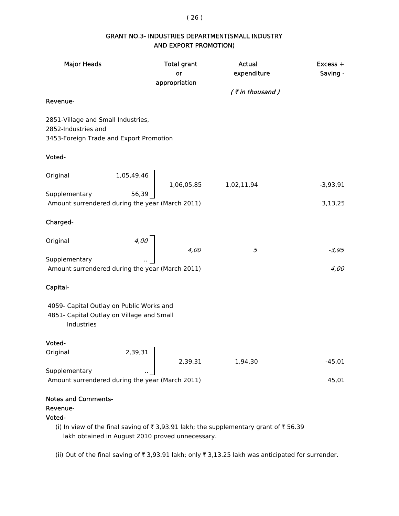( 26 )

#### GRANT NO.3- INDUSTRIES DEPARTMENT(SMALL INDUSTRY AND EXPORT PROMOTION)

| <b>Major Heads</b>                                                                                   |                         | <b>Total grant</b><br>or<br>appropriation | Actual<br>expenditure<br>(₹in thousand)                                             | Excess +<br>Saving - |
|------------------------------------------------------------------------------------------------------|-------------------------|-------------------------------------------|-------------------------------------------------------------------------------------|----------------------|
| Revenue-                                                                                             |                         |                                           |                                                                                     |                      |
| 2851-Village and Small Industries,<br>2852-Industries and<br>3453-Foreign Trade and Export Promotion |                         |                                           |                                                                                     |                      |
| Voted-                                                                                               |                         |                                           |                                                                                     |                      |
| Original                                                                                             | 1,05,49,46              |                                           | 1,06,05,85 1,02,11,94                                                               | $-3,93,91$           |
| Supplementary<br>Amount surrendered during the year (March 2011)                                     |                         |                                           |                                                                                     | 3,13,25              |
| Charged-                                                                                             |                         |                                           |                                                                                     |                      |
| Original                                                                                             | 4,00                    | 4,00                                      | 5                                                                                   | $-3,95$              |
| Supplementary<br>Amount surrendered during the year (March 2011)                                     |                         |                                           |                                                                                     | 4,00                 |
| Capital-                                                                                             |                         |                                           |                                                                                     |                      |
| 4059- Capital Outlay on Public Works and<br>4851- Capital Outlay on Village and Small<br>Industries  |                         |                                           |                                                                                     |                      |
| Voted-                                                                                               |                         |                                           |                                                                                     |                      |
| Original                                                                                             | $\mathbf{I}$<br>2,39,31 | 2,39,31                                   | 1,94,30                                                                             | $-45,01$             |
| Supplementary<br>Amount surrendered during the year (March 2011)                                     |                         |                                           |                                                                                     | 45,01                |
| <b>Notes and Comments-</b>                                                                           |                         |                                           |                                                                                     |                      |
| Revenue-<br>Voted-                                                                                   |                         |                                           |                                                                                     |                      |
|                                                                                                      |                         |                                           | (i) In view of the final saving of ₹3,93.91 lakh; the supplementary grant of ₹56.39 |                      |

lakh obtained in August 2010 proved unnecessary.

(ii) Out of the final saving of  $\bar{\tau}$  3,93.91 lakh; only  $\bar{\tau}$  3,13.25 lakh was anticipated for surrender.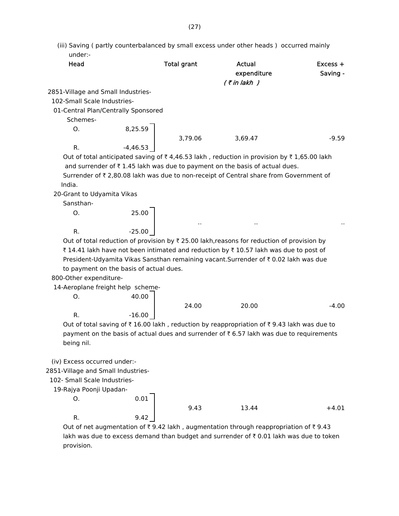(iii) Saving ( partly counterbalanced by small excess under other heads ) occurred mainly under:-

| Head                                |            | <b>Total grant</b> | Actual<br>expenditure<br>(₹in lakh )                                                      | $Excess +$<br>Saving - |
|-------------------------------------|------------|--------------------|-------------------------------------------------------------------------------------------|------------------------|
| 2851-Village and Small Industries-  |            |                    |                                                                                           |                        |
| 102-Small Scale Industries-         |            |                    |                                                                                           |                        |
| 01-Central Plan/Centrally Sponsored |            |                    |                                                                                           |                        |
| Schemes-                            |            |                    |                                                                                           |                        |
| O.                                  | 8,25.59    |                    |                                                                                           |                        |
|                                     |            | 3,79.06            | 3,69.47                                                                                   | $-9.59$                |
| R.                                  | $-4,46.53$ |                    |                                                                                           |                        |
|                                     |            |                    | Out of total anticipated saving of ₹4,46.53 lakh, reduction in provision by ₹1,65.00 lakh |                        |

and surrender of  $\bar{\tau}$  1.45 lakh was due to payment on the basis of actual dues.

Surrender of ₹ 2,80.08 lakh was due to non-receipt of Central share from Government of India.

20-Grant to Udyamita Vikas

Sansthan-

O. 25.00 R. 25.00

Out of total reduction of provision by  $\bar{x}$  25.00 lakh, reasons for reduction of provision by ₹ 14.41 lakh have not been intimated and reduction by ₹ 10.57 lakh was due to post of President-Udyamita Vikas Sansthan remaining vacant. Surrender of  $\bar{\tau}$  0.02 lakh was due to payment on the basis of actual dues.

800-Other expenditure-

14-Aeroplane freight help scheme-

O. 40.00

24.00 20.00 -4.00 R.  $-16.00$ 

.. .. ..

Out of total saving of  $\bar{\tau}$  16.00 lakh, reduction by reappropriation of  $\bar{\tau}$  9.43 lakh was due to payment on the basis of actual dues and surrender of  $\bar{\tau}$  6.57 lakh was due to requirements being nil.

(iv) Excess occurred under:-

2851-Village and Small Industries-

102- Small Scale Industries-

19-Rajya Poonji Upadan-

O. 0.01 R. 9.42

9.43 13.44 +4.01

Out of net augmentation of  $\bar{\tau}$  9.42 lakh, augmentation through reappropriation of  $\bar{\tau}$  9.43 lakh was due to excess demand than budget and surrender of  $\bar{\tau}$  0.01 lakh was due to token provision.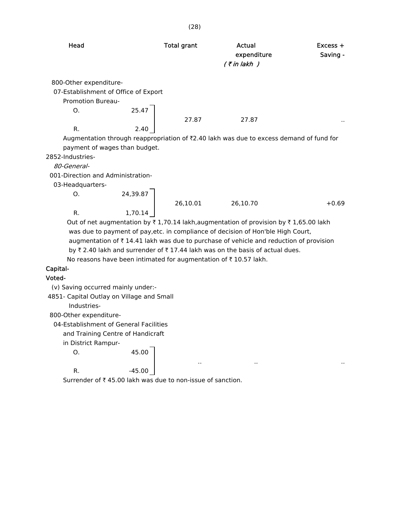| Head                                 |       | <b>Total grant</b> | Actual<br>expenditure<br>$($ ₹ in lakh $)$                                              | $Excess +$<br>Saving - |
|--------------------------------------|-------|--------------------|-----------------------------------------------------------------------------------------|------------------------|
| 800-Other expenditure-               |       |                    |                                                                                         |                        |
| 07-Establishment of Office of Export |       |                    |                                                                                         |                        |
| Promotion Bureau-                    |       |                    |                                                                                         |                        |
| O.                                   | 25.47 |                    |                                                                                         |                        |
|                                      |       | 27.87              | 27.87                                                                                   | $\sim$                 |
| R.                                   | 2.40  |                    |                                                                                         |                        |
|                                      |       |                    | Augmentation through reappropriation of ₹2.40 lakh was due to excess demand of fund for |                        |
| payment of wages than budget.        |       |                    |                                                                                         |                        |
| 2852-Industries-                     |       |                    |                                                                                         |                        |

80-General-

001-Direction and Administration-

03-Headquarters-

 $0. 24,39.87$ R. 1,70.14

26,10.01 26,10.70 +0.69

.. .. ..

Out of net augmentation by  $\bar{\tau}$  1,70.14 lakh,augmentation of provision by  $\bar{\tau}$  1,65.00 lakh was due to payment of pay,etc. in compliance of decision of Hon'ble High Court, augmentation of  $\bar{\tau}$  14.41 lakh was due to purchase of vehicle and reduction of provision

by  $\bar{\tau}$  2.40 lakh and surrender of  $\bar{\tau}$  17.44 lakh was on the basis of actual dues.

No reasons have been intimated for augmentation of  $\bar{\tau}$  10.57 lakh.

## Capital-

#### Voted-

(v) Saving occurred mainly under:-

4851- Capital Outlay on Village and Small

Industries-

800-Other expenditure-

04-Establishment of General Facilities

and Training Centre of Handicraft

in District Rampur-

O. 45.00

R.  $-45.00$ 

Surrender of  $\bar{\tau}$  45.00 lakh was due to non-issue of sanction.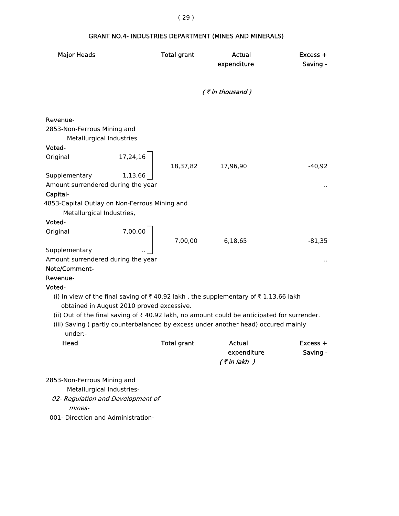## GRANT NO.4- INDUSTRIES DEPARTMENT (MINES AND MINERALS)

| <b>Major Heads</b>                                                  |                                           | <b>Total grant</b> | Actual<br>expenditure                                                                                  | Excess +<br>Saving - |
|---------------------------------------------------------------------|-------------------------------------------|--------------------|--------------------------------------------------------------------------------------------------------|----------------------|
|                                                                     |                                           |                    | $($ ₹ in thousand)                                                                                     |                      |
| Revenue-<br>2853-Non-Ferrous Mining and<br>Metallurgical Industries |                                           |                    |                                                                                                        |                      |
| Voted-                                                              |                                           |                    |                                                                                                        |                      |
| Original                                                            | 17,24,16                                  | 18,37,82           | 17,96,90                                                                                               | $-40,92$             |
| Supplementary<br>Amount surrendered during the year<br>Capital-     | 1,13,66                                   |                    |                                                                                                        |                      |
| 4853-Capital Outlay on Non-Ferrous Mining and                       |                                           |                    |                                                                                                        |                      |
| Metallurgical Industries,                                           |                                           |                    |                                                                                                        |                      |
| Voted-                                                              |                                           |                    |                                                                                                        |                      |
| Original                                                            | 7,00,00                                   |                    |                                                                                                        |                      |
|                                                                     |                                           | 7,00,00            | 6,18,65                                                                                                | $-81,35$             |
| Supplementary                                                       |                                           |                    |                                                                                                        |                      |
| Amount surrendered during the year                                  |                                           |                    |                                                                                                        |                      |
| Note/Comment-                                                       |                                           |                    |                                                                                                        |                      |
| Revenue-                                                            |                                           |                    |                                                                                                        |                      |
| Voted-                                                              |                                           |                    |                                                                                                        |                      |
|                                                                     | obtained in August 2010 proved excessive. |                    | (i) In view of the final saving of ₹40.92 lakh, the supplementary of ₹1,13.66 lakh                     |                      |
|                                                                     |                                           |                    | (ii) Out of the final saving of $\bar{\tau}$ 40.92 lakh, no amount could be anticipated for surrender. |                      |
| under:-                                                             |                                           |                    | (iii) Saving (partly counterbalanced by excess under another head) occured mainly                      |                      |
| Head                                                                |                                           | Total grant        | Actual                                                                                                 | Excess +             |
|                                                                     |                                           |                    | expenditure                                                                                            | Saving -             |
|                                                                     |                                           |                    | $($ ₹ in lakh $)$                                                                                      |                      |
|                                                                     |                                           |                    |                                                                                                        |                      |
| 2853-Non-Ferrous Mining and                                         |                                           |                    |                                                                                                        |                      |
| Metallurgical Industries-                                           |                                           |                    |                                                                                                        |                      |
| 02- Regulation and Development of<br>mines-                         |                                           |                    |                                                                                                        |                      |
| 001- Direction and Administration-                                  |                                           |                    |                                                                                                        |                      |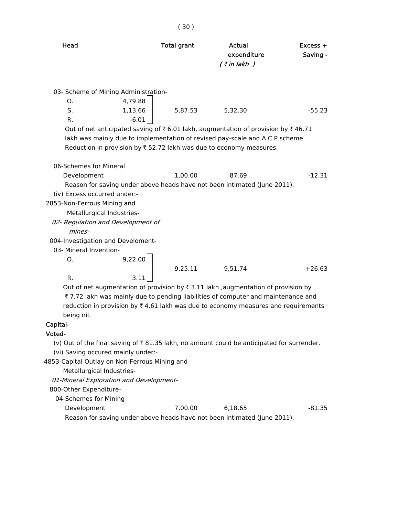| Head                                          |         | <b>Total grant</b> | Actual<br>expenditure<br>$($ ₹ in lakh $)$                                                                       | $Excess +$<br>Saving - |
|-----------------------------------------------|---------|--------------------|------------------------------------------------------------------------------------------------------------------|------------------------|
| 03- Scheme of Mining Administration-          |         |                    |                                                                                                                  |                        |
| O.                                            | 4,79.88 |                    |                                                                                                                  |                        |
| S.                                            | 1,13.66 | 5,87.53            | 5,32.30                                                                                                          | $-55.23$               |
| $R_{\cdot}$                                   | $-6.01$ |                    |                                                                                                                  |                        |
|                                               |         |                    | Out of net anticipated saving of $\overline{\xi}$ 6.01 lakh, augmentation of provision by $\overline{\xi}$ 46.71 |                        |
|                                               |         |                    | lakh was mainly due to implementation of revised pay-scale and A.C.P scheme.                                     |                        |
|                                               |         |                    | Reduction in provision by $\bar{\tau}$ 52.72 lakh was due to economy measures.                                   |                        |
|                                               |         |                    |                                                                                                                  |                        |
| 06-Schemes for Mineral                        |         |                    |                                                                                                                  |                        |
| Development                                   |         | 1,00.00            | 87.69                                                                                                            | $-12.31$               |
|                                               |         |                    | Reason for saving under above heads have not been intimated (June 2011).                                         |                        |
| (iv) Excess occurred under:-                  |         |                    |                                                                                                                  |                        |
| 2853-Non-Ferrous Mining and                   |         |                    |                                                                                                                  |                        |
| Metallurgical Industries-                     |         |                    |                                                                                                                  |                        |
| 02- Regulation and Development of             |         |                    |                                                                                                                  |                        |
| mines-                                        |         |                    |                                                                                                                  |                        |
| 004-Investigation and Develoment-             |         |                    |                                                                                                                  |                        |
| 03- Mineral Invention-                        |         |                    |                                                                                                                  |                        |
| O.                                            | 9,22.00 |                    |                                                                                                                  |                        |
|                                               |         | 9,25.11            | 9,51.74                                                                                                          | $+26.63$               |
| $R_{\cdot}$                                   | 3.11    |                    |                                                                                                                  |                        |
|                                               |         |                    | Out of net augmentation of provision by $\overline{\tau}$ 3.11 lakh, augmentation of provision by                |                        |
|                                               |         |                    | ₹7.72 lakh was mainly due to pending liabilities of computer and maintenance and                                 |                        |
|                                               |         |                    | reduction in provision by $\bar{\tau}$ 4.61 lakh was due to economy measures and requirements                    |                        |
| being nil.                                    |         |                    |                                                                                                                  |                        |
| Capital-                                      |         |                    |                                                                                                                  |                        |
| Voted-                                        |         |                    |                                                                                                                  |                        |
|                                               |         |                    | (v) Out of the final saving of $\overline{\xi}$ 81.35 lakh, no amount could be anticipated for surrender.        |                        |
| (vi) Saving occured mainly under:-            |         |                    |                                                                                                                  |                        |
| 4853-Capital Outlay on Non-Ferrous Mining and |         |                    |                                                                                                                  |                        |
| Metallurgical Industries-                     |         |                    |                                                                                                                  |                        |
| 01-Mineral Exploration and Development-       |         |                    |                                                                                                                  |                        |

( 30 )

800-Other Expenditure-

04-Schemes for Mining

Development 7,00.00 6,18.65 -81.35

Reason for saving under above heads have not been intimated (June 2011).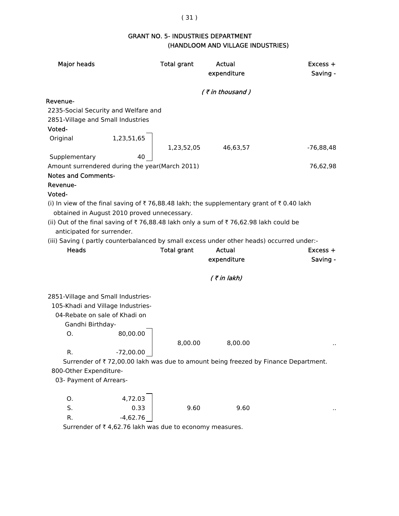#### ( 31 )

## GRANT NO. 5- INDUSTRIES DEPARTMENT (HANDLOOM AND VILLAGE INDUSTRIES)

| <b>Major heads</b>                                                                                                                        |             | <b>Total grant</b> | Actual<br>expenditure | Excess +<br>Saving -                                                               |
|-------------------------------------------------------------------------------------------------------------------------------------------|-------------|--------------------|-----------------------|------------------------------------------------------------------------------------|
|                                                                                                                                           |             |                    | $($ ₹ in thousand)    |                                                                                    |
| Revenue-                                                                                                                                  |             |                    |                       |                                                                                    |
| 2235-Social Security and Welfare and                                                                                                      |             |                    |                       |                                                                                    |
| 2851-Village and Small Industries                                                                                                         |             |                    |                       |                                                                                    |
| Voted-                                                                                                                                    |             |                    |                       |                                                                                    |
| Original                                                                                                                                  | 1,23,51,65  | 1,23,52,05         | 46,63,57              | $-76,88,48$                                                                        |
| Supplementary                                                                                                                             | 40          |                    |                       |                                                                                    |
| Amount surrendered during the year(March 2011)                                                                                            |             |                    |                       | 76,62,98                                                                           |
| <b>Notes and Comments-</b>                                                                                                                |             |                    |                       |                                                                                    |
| Revenue-                                                                                                                                  |             |                    |                       |                                                                                    |
| Voted-                                                                                                                                    |             |                    |                       |                                                                                    |
| (i) In view of the final saving of ₹ 76,88.48 lakh; the supplementary grant of ₹ 0.40 lakh<br>obtained in August 2010 proved unnecessary. |             |                    |                       |                                                                                    |
| (ii) Out of the final saving of ₹76,88.48 lakh only a sum of ₹76,62.98 lakh could be                                                      |             |                    |                       |                                                                                    |
| anticipated for surrender.                                                                                                                |             |                    |                       |                                                                                    |
| (iii) Saving (partly counterbalanced by small excess under other heads) occurred under:-                                                  |             |                    |                       |                                                                                    |
| <b>Heads</b>                                                                                                                              |             | <b>Total grant</b> | Actual                | $Excess +$                                                                         |
|                                                                                                                                           |             |                    | expenditure           | Saving -                                                                           |
|                                                                                                                                           |             |                    | $($ ₹ in lakh)        |                                                                                    |
|                                                                                                                                           |             |                    |                       |                                                                                    |
| 2851-Village and Small Industries-<br>105-Khadi and Village Industries-                                                                   |             |                    |                       |                                                                                    |
| 04-Rebate on sale of Khadi on                                                                                                             |             |                    |                       |                                                                                    |
| Gandhi Birthday-                                                                                                                          |             |                    |                       |                                                                                    |
| Ο.                                                                                                                                        | 80,00.00    |                    |                       |                                                                                    |
|                                                                                                                                           |             | 8,00.00            | 8,00.00               |                                                                                    |
| R.                                                                                                                                        | $-72,00.00$ |                    |                       |                                                                                    |
|                                                                                                                                           |             |                    |                       | Surrender of ₹72,00.00 lakh was due to amount being freezed by Finance Department. |
| 800-Other Expenditure-                                                                                                                    |             |                    |                       |                                                                                    |
| 03- Payment of Arrears-                                                                                                                   |             |                    |                       |                                                                                    |
|                                                                                                                                           |             |                    |                       |                                                                                    |
| Ο.                                                                                                                                        | 4,72.03     |                    |                       |                                                                                    |
| S.                                                                                                                                        | 0.33        | 9.60               | 9.60                  |                                                                                    |
|                                                                                                                                           |             |                    |                       |                                                                                    |

Surrender of  $\bar{\tau}$  4,62.76 lakh was due to economy measures.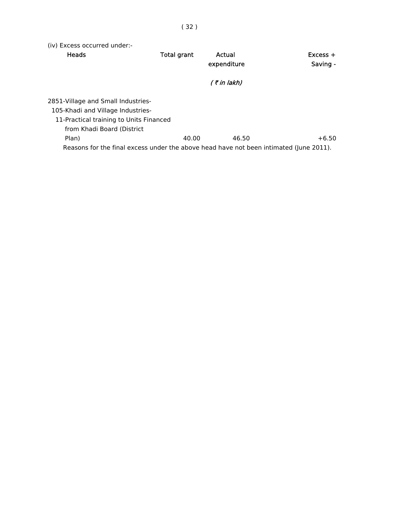(iv) Excess occurred under:-

| Heads                                                                                  | <b>Total grant</b> | Actual<br>expenditure | Excess +<br>Saving - |
|----------------------------------------------------------------------------------------|--------------------|-----------------------|----------------------|
|                                                                                        |                    |                       |                      |
|                                                                                        |                    | (₹in lakh)            |                      |
| 2851-Village and Small Industries-                                                     |                    |                       |                      |
| 105-Khadi and Village Industries-                                                      |                    |                       |                      |
| 11-Practical training to Units Financed                                                |                    |                       |                      |
| from Khadi Board (District                                                             |                    |                       |                      |
| Plan)                                                                                  | 40.00              | 46.50                 | $+6.50$              |
| Reasons for the final excess under the above head have not been intimated (June 2011). |                    |                       |                      |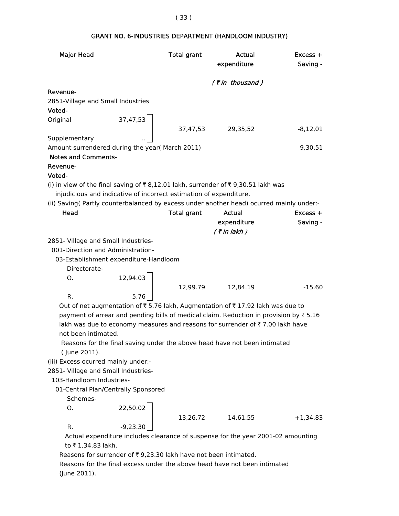| <b>Major Head</b>                   |                                                                    | <b>Total grant</b> | Actual<br>expenditure                                                                    | $Excess +$<br>Saving - |
|-------------------------------------|--------------------------------------------------------------------|--------------------|------------------------------------------------------------------------------------------|------------------------|
|                                     |                                                                    |                    |                                                                                          |                        |
|                                     |                                                                    |                    | (₹in thousand)                                                                           |                        |
| Revenue-                            |                                                                    |                    |                                                                                          |                        |
| 2851-Village and Small Industries   |                                                                    |                    |                                                                                          |                        |
| Voted-                              |                                                                    |                    |                                                                                          |                        |
| Original                            | 37,47,53                                                           |                    |                                                                                          |                        |
|                                     |                                                                    | 37,47,53           | 29,35,52                                                                                 | $-8,12,01$             |
| Supplementary                       |                                                                    |                    |                                                                                          |                        |
|                                     | Amount surrendered during the year( March 2011)                    |                    |                                                                                          | 9,30,51                |
| <b>Notes and Comments-</b>          |                                                                    |                    |                                                                                          |                        |
| Revenue-                            |                                                                    |                    |                                                                                          |                        |
| Voted-                              |                                                                    |                    |                                                                                          |                        |
|                                     |                                                                    |                    | (i) in view of the final saving of ₹8,12.01 lakh, surrender of ₹9,30.51 lakh was         |                        |
|                                     | injudicious and indicative of incorrect estimation of expenditure. |                    |                                                                                          |                        |
|                                     |                                                                    |                    | (ii) Saving (Partly counterbalanced by excess under another head) ocurred mainly under:- |                        |
| Head                                |                                                                    | <b>Total grant</b> | <b>Actual</b>                                                                            | Excess +               |
|                                     |                                                                    |                    | expenditure                                                                              | Saving -               |
|                                     |                                                                    |                    | $($ ₹ in lakh)                                                                           |                        |
| 2851- Village and Small Industries- |                                                                    |                    |                                                                                          |                        |
|                                     | 001-Direction and Administration-                                  |                    |                                                                                          |                        |
|                                     | 03-Establishment expenditure-Handloom                              |                    |                                                                                          |                        |
| Directorate-                        |                                                                    |                    |                                                                                          |                        |
| O <sub>1</sub>                      | 12,94.03                                                           |                    |                                                                                          |                        |
|                                     |                                                                    | 12,99.79           | 12,84.19                                                                                 | $-15.60$               |
| D                                   | <b>576</b>                                                         |                    |                                                                                          |                        |

#### Notes and Comments-

# $\overline{R}$

#### $\mathsf{v}$

R.  $5.76$ Out of net augmentation of  $\bar{\tau}$  5.76 lakh, Augmentation of  $\bar{\tau}$  17.92 lakh was due to payment of arrear and pending bills of medical claim. Reduction in provision by  $\bar{z}$  5.16 lakh was due to economy measures and reasons for surrender of  $\bar{\tau}$  7.00 lakh have not been intimated.

 Reasons for the final saving under the above head have not been intimated ( June 2011).

(iii) Excess ocurred mainly under:-

2851- Village and Small Industries-

### 103-Handloom Industries-

01-Central Plan/Centrally Sponsored

Schemes-

O. 22,50.02

R.  $-9,23.30$ 

13,26.72 14,61.55 +1,34.83

 Actual expenditure includes clearance of suspense for the year 2001-02 amounting to ₹ 1,34.83 lakh.

Reasons for surrender of  $\bar{\tau}$  9,23.30 lakh have not been intimated.

 Reasons for the final excess under the above head have not been intimated (June 2011).

### GRANT NO. 6-INDUSTRIES DEPARTMENT (HANDLOOM INDUSTRY)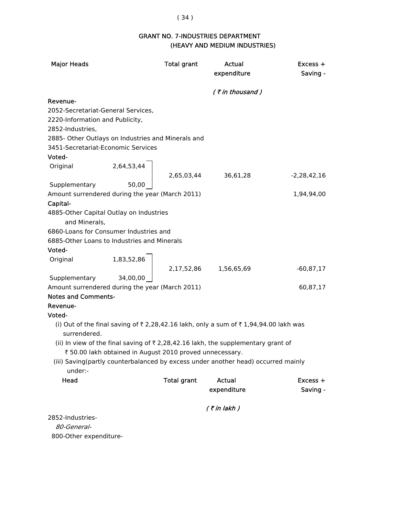# ( 34 )

# GRANT NO. 7-INDUSTRIES DEPARTMENT (HEAVY AND MEDIUM INDUSTRIES)

| <b>Major Heads</b>                                 |                                                          | <b>Total grant</b> | Actual<br>expenditure                                                                        | $Excess +$<br>Saving - |
|----------------------------------------------------|----------------------------------------------------------|--------------------|----------------------------------------------------------------------------------------------|------------------------|
|                                                    |                                                          |                    | (₹in thousand)                                                                               |                        |
| Revenue-                                           |                                                          |                    |                                                                                              |                        |
| 2052-Secretariat-General Services,                 |                                                          |                    |                                                                                              |                        |
| 2220-Information and Publicity,                    |                                                          |                    |                                                                                              |                        |
| 2852-Industries,                                   |                                                          |                    |                                                                                              |                        |
| 2885- Other Outlays on Industries and Minerals and |                                                          |                    |                                                                                              |                        |
| 3451-Secretariat-Economic Services                 |                                                          |                    |                                                                                              |                        |
| Voted-                                             |                                                          |                    |                                                                                              |                        |
| Original                                           | 2,64,53,44                                               |                    |                                                                                              |                        |
|                                                    |                                                          | 2,65,03,44         | 36,61,28                                                                                     | -2,28,42,16            |
| Supplementary                                      | 50,00                                                    |                    |                                                                                              |                        |
| Amount surrendered during the year (March 2011)    |                                                          |                    |                                                                                              | 1,94,94,00             |
| Capital-                                           |                                                          |                    |                                                                                              |                        |
| 4885-Other Capital Outlay on Industries            |                                                          |                    |                                                                                              |                        |
| and Minerals,                                      |                                                          |                    |                                                                                              |                        |
| 6860-Loans for Consumer Industries and             |                                                          |                    |                                                                                              |                        |
| 6885-Other Loans to Industries and Minerals        |                                                          |                    |                                                                                              |                        |
| Voted-                                             |                                                          |                    |                                                                                              |                        |
| Original                                           | 1,83,52,86                                               |                    |                                                                                              |                        |
|                                                    |                                                          |                    | 2,17,52,86 1,56,65,69                                                                        | $-60,87,17$            |
| Supplementary                                      | 34,00,00                                                 |                    |                                                                                              |                        |
| Amount surrendered during the year (March 2011)    |                                                          |                    |                                                                                              | 60,87,17               |
| <b>Notes and Comments-</b>                         |                                                          |                    |                                                                                              |                        |
| Revenue-                                           |                                                          |                    |                                                                                              |                        |
| Voted-                                             |                                                          |                    |                                                                                              |                        |
|                                                    |                                                          |                    | (i) Out of the final saving of ₹2,28,42.16 lakh, only a sum of ₹1,94,94.00 lakh was          |                        |
| surrendered.                                       |                                                          |                    |                                                                                              |                        |
|                                                    |                                                          |                    | (ii) In view of the final saving of $\bar{\tau}$ 2,28,42.16 lakh, the supplementary grant of |                        |
|                                                    | ₹ 50.00 lakh obtained in August 2010 proved unnecessary. |                    |                                                                                              |                        |
|                                                    |                                                          |                    | (iii) Saving(partly counterbalanced by excess under another head) occurred mainly            |                        |
| under:-                                            |                                                          |                    |                                                                                              |                        |
| Head                                               |                                                          | <b>Total grant</b> | Actual                                                                                       | Excess +               |
|                                                    |                                                          |                    | expenditure                                                                                  | Saving -               |
|                                                    |                                                          |                    |                                                                                              |                        |
|                                                    |                                                          |                    | $($ ₹ in lakh)                                                                               |                        |
| 2852-Industries-                                   |                                                          |                    |                                                                                              |                        |

80-General-

800-Other expenditure-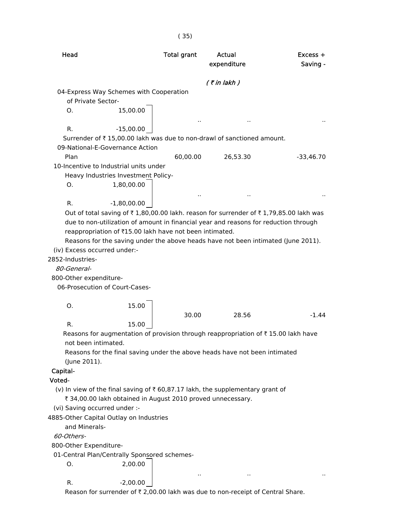| Head                                                                                                                                                                          | <b>Total grant</b> | Actual<br>expenditure | $Excess +$<br>Saving - |
|-------------------------------------------------------------------------------------------------------------------------------------------------------------------------------|--------------------|-----------------------|------------------------|
|                                                                                                                                                                               |                    | $($ ₹ in lakh $)$     |                        |
| 04-Express Way Schemes with Cooperation                                                                                                                                       |                    |                       |                        |
| of Private Sector-                                                                                                                                                            |                    |                       |                        |
| 15,00.00<br>Ο.                                                                                                                                                                |                    |                       |                        |
|                                                                                                                                                                               |                    |                       |                        |
| R.<br>$-15,00.00$<br>Surrender of ₹15,00.00 lakh was due to non-drawl of sanctioned amount.<br>09-National-E-Governance Action                                                |                    |                       |                        |
| Plan                                                                                                                                                                          | 60,00.00           | 26,53.30              | $-33,46.70$            |
| 10-Incentive to Industrial units under                                                                                                                                        |                    |                       |                        |
| Heavy Industries Investment Policy-                                                                                                                                           |                    |                       |                        |
| О.<br>1,80,00.00                                                                                                                                                              |                    |                       |                        |
|                                                                                                                                                                               |                    |                       |                        |
| $-1,80,00.00$<br>R.                                                                                                                                                           |                    |                       |                        |
| Out of total saving of ₹1,80,00.00 lakh. reason for surrender of ₹1,79,85.00 lakh was<br>due to non-utilization of amount in financial year and reasons for reduction through |                    |                       |                        |
| reappropriation of ₹15.00 lakh have not been intimated.                                                                                                                       |                    |                       |                        |
| Reasons for the saving under the above heads have not been intimated (June 2011).<br>(iv) Excess occurred under:-                                                             |                    |                       |                        |
| 2852-Industries-                                                                                                                                                              |                    |                       |                        |
| 80-General-                                                                                                                                                                   |                    |                       |                        |
| 800-Other expenditure-                                                                                                                                                        |                    |                       |                        |
| 06-Prosecution of Court-Cases-                                                                                                                                                |                    |                       |                        |
|                                                                                                                                                                               |                    |                       |                        |
| 15.00<br>Ο.                                                                                                                                                                   |                    |                       |                        |
|                                                                                                                                                                               | 30.00              | 28.56                 | $-1.44$                |
| R.<br>15.00                                                                                                                                                                   |                    |                       |                        |
| Reasons for augmentation of provision through reappropriation of $\bar{\tau}$ 15.00 lakh have<br>not been intimated.                                                          |                    |                       |                        |
| Reasons for the final saving under the above heads have not been intimated<br>(June 2011).                                                                                    |                    |                       |                        |
| Capital-                                                                                                                                                                      |                    |                       |                        |
| Voted-                                                                                                                                                                        |                    |                       |                        |
| (v) In view of the final saving of $\bar{\tau}$ 60,87.17 lakh, the supplementary grant of                                                                                     |                    |                       |                        |
| ₹ 34,00.00 lakh obtained in August 2010 proved unnecessary.                                                                                                                   |                    |                       |                        |
| (vi) Saving occurred under :-                                                                                                                                                 |                    |                       |                        |
| 4885-Other Capital Outlay on Industries                                                                                                                                       |                    |                       |                        |
| and Minerals-                                                                                                                                                                 |                    |                       |                        |
| 60-Others-                                                                                                                                                                    |                    |                       |                        |
| 800-Other Expenditure-                                                                                                                                                        |                    |                       |                        |
| 01-Central Plan/Centrally Sponsored schemes-                                                                                                                                  |                    |                       |                        |
| 2,00.00<br>О.                                                                                                                                                                 |                    |                       |                        |
|                                                                                                                                                                               |                    |                       |                        |
| R.<br>$-2,00.00$                                                                                                                                                              |                    |                       |                        |
| Reason for surrender of ₹ 2,00.00 lakh was due to non-receipt of Central Share.                                                                                               |                    |                       |                        |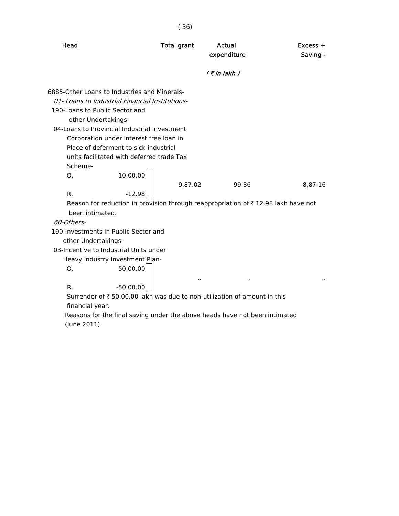|                                                                                               | (36)                 |                       |                        |
|-----------------------------------------------------------------------------------------------|----------------------|-----------------------|------------------------|
| Head                                                                                          | <b>Total grant</b>   | Actual<br>expenditure | $Excess +$<br>Saving - |
|                                                                                               |                      | $($ ₹ in lakh $)$     |                        |
| 6885-Other Loans to Industries and Minerals-                                                  |                      |                       |                        |
| 01- Loans to Industrial Financial Institutions-                                               |                      |                       |                        |
| 190-Loans to Public Sector and                                                                |                      |                       |                        |
| other Undertakings-                                                                           |                      |                       |                        |
| 04-Loans to Provincial Industrial Investment                                                  |                      |                       |                        |
| Corporation under interest free loan in                                                       |                      |                       |                        |
| Place of deferment to sick industrial                                                         |                      |                       |                        |
| units facilitated with deferred trade Tax                                                     |                      |                       |                        |
| Scheme-                                                                                       |                      |                       |                        |
| 10,00.00<br>O.                                                                                |                      |                       |                        |
|                                                                                               | 9,87.02              | 99.86                 | $-8,87.16$             |
| R.<br>$-12.98$                                                                                |                      |                       |                        |
| Reason for reduction in provision through reappropriation of $\bar{\tau}$ 12.98 lakh have not |                      |                       |                        |
| been intimated.                                                                               |                      |                       |                        |
| 60-Others-                                                                                    |                      |                       |                        |
| 190-Investments in Public Sector and                                                          |                      |                       |                        |
| other Undertakings-                                                                           |                      |                       |                        |
| 03-Incentive to Industrial Units under                                                        |                      |                       |                        |
| Heavy Industry Investment Plan-                                                               |                      |                       |                        |
| Ο.<br>50,00.00                                                                                |                      |                       |                        |
|                                                                                               | $\ddot{\phantom{a}}$ |                       |                        |
| R.<br>$-50,00.00$                                                                             |                      |                       |                        |
| Surrender of ₹ 50,00.00 lakh was due to non-utilization of amount in this                     |                      |                       |                        |
| financial year.<br>Reasons for the final saving under the above heads have not been intimated |                      |                       |                        |

(June 2011).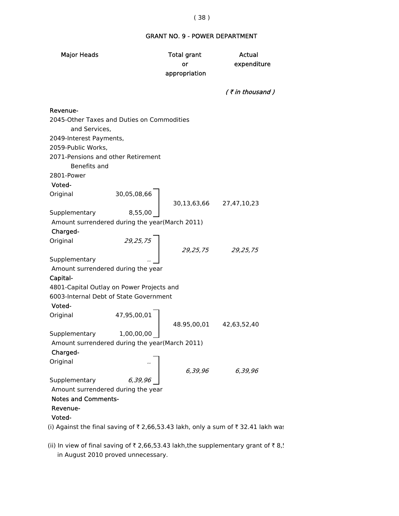#### GRANT NO. 9 - POWER DEPARTMENT

Major Heads Total grant Actual or expenditure appropriation  $($  ₹ in thousand ) Revenue- 2045-Other Taxes and Duties on Commodities and Services, 2049-Interest Payments, 2059-Public Works, 2071-Pensions and other Retirement Benefits and 2801-Power Voted- Original 30,05,08,66 30,13,63,66 27,47,10,23 Supplementary Amount surrendered during the year(March 2011) Charged- Original 29,25,75 29,25,75 29,25,75 Supplementary Amount surrendered during the year Capital- 4801-Capital Outlay on Power Projects and 6003-Internal Debt of State Government Voted- Original 47,95,00,01 48.95,00,01 42,63,52,40 Supplementary 1,00,00,00 Amount surrendered during the year(March 2011) Charged- **Original** 6,39,96 6,39,96 Supplementary 6,39,96 Amount surrendered during the year Notes and Comments- Revenue- Voted- (i) Against the final saving of  $\bar{\tau}$  2,66,53.43 lakh, only a sum of  $\bar{\tau}$  32.41 lakh was

(ii) In view of final saving of  $\bar{\tau}$  2,66,53.43 lakh,the supplementary grant of  $\bar{\tau}$  8,!

in August 2010 proved unnecessary.

#### ( 38 )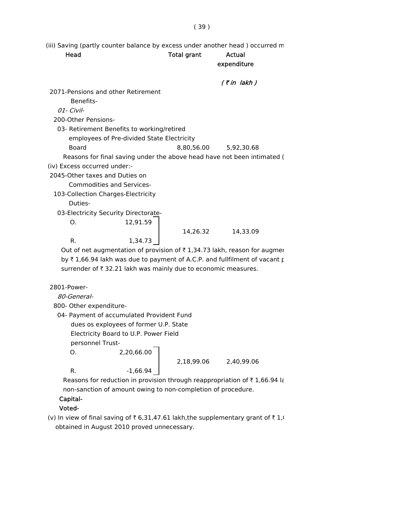( 39 )

(iii) Saving (partly counter balance by excess under another head ) occurred m

Head **Total grant** Actual expenditure

|                                    |                                                                                       |                       | (₹in lakh) |  |
|------------------------------------|---------------------------------------------------------------------------------------|-----------------------|------------|--|
| 2071-Pensions and other Retirement |                                                                                       |                       |            |  |
| Benefits-                          |                                                                                       |                       |            |  |
| 01- Civil-                         |                                                                                       |                       |            |  |
| 200-Other Pensions-                |                                                                                       |                       |            |  |
|                                    | 03- Retirement Benefits to working/retired                                            |                       |            |  |
|                                    | employees of Pre-divided State Electricity                                            |                       |            |  |
| Board                              |                                                                                       | 8,80,56.00 5,92,30.68 |            |  |
|                                    | Reasons for final saving under the above head have not been intimated (               |                       |            |  |
| (iv) Excess occurred under:-       |                                                                                       |                       |            |  |
| 2045-Other taxes and Duties on     |                                                                                       |                       |            |  |
|                                    | <b>Commodities and Services-</b>                                                      |                       |            |  |
| 103-Collection Charges-Electricity |                                                                                       |                       |            |  |
| Duties-                            |                                                                                       |                       |            |  |
|                                    | 03-Electricity Security Directorate-                                                  |                       |            |  |
| O.                                 | 12,91.59                                                                              |                       |            |  |
|                                    |                                                                                       | 14,26.32              | 14,33.09   |  |
| R.                                 | 1,34.73                                                                               |                       |            |  |
|                                    | Out of net augmentation of provision of $\bar{\tau}$ 1,34.73 lakh, reason for augment |                       |            |  |
|                                    | by ₹1,66.94 lakh was due to payment of A.C.P. and fullfilment of vacant p             |                       |            |  |
|                                    | $\blacksquare$                                                                        |                       |            |  |

surrender of  $\bar{\tau}$  32.21 lakh was mainly due to economic measures.

### 2801-Power-

80-General-

800- Other expenditure-

04- Payment of accumulated Provident Fund

dues os exployees of former U.P. State

Electricity Board to U.P. Power Field

personnel Trust-

O. 2,20,66.00

2,18,99.06 2,40,99.06

R.  $-1,66.94$ 

Reasons for reduction in provision through reappropriation of  $\bar{\tau}$  1,66.94 la non-sanction of amount owing to non-completion of procedure.

# Capital-

# Voted-

(v) In view of final saving of  $\bar{\tau}$  6,31,47.61 lakh,the supplementary grant of  $\bar{\tau}$  1, obtained in August 2010 proved unnecessary.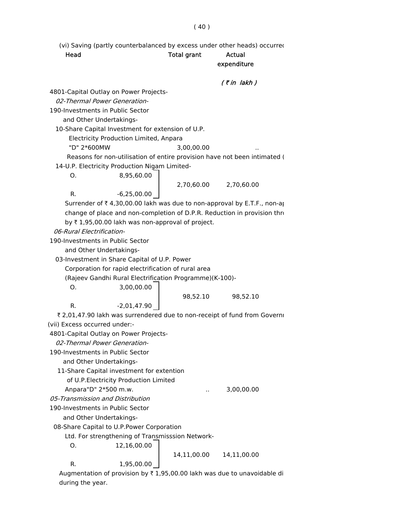(vi) Saving (partly counterbalanced by excess under other heads) occurred

# Head **Total grant** Actual expenditure

### $($  ₹ in lakh  $)$

4801-Capital Outlay on Power Projects-

02-Thermal Power Generation-

190-Investments in Public Sector

and Other Undertakings-

10-Share Capital Investment for extension of U.P.

Electricity Production Limited, Anpara

"D" 2\*600MW 3,00,00.00 ..

Reasons for non-utilisation of entire provision have not been intimated (

14-U.P. Electricity Production Nigam Limited-

O. 8,95,60.00

2,70,60.00 2,70,60.00

R.  $-6,25,00.00$ 

Surrender of  $\bar{\tau}$  4,30,00.00 lakh was due to non-approval by E.T.F., non-ap change of place and non-completion of D.P.R. Reduction in provision thro by  $\bar{\tau}$  1,95,00.00 lakh was non-approval of project.

06-Rural Electrification-

190-Investments in Public Sector

and Other Undertakings-

03-Investment in Share Capital of U.P. Power

Corporation for rapid electrification of rural area

(Rajeev Gandhi Rural Electrification Programme)(K-100)-

O. 3,00,00.00

98,52.10 98,52.10

R.  $-2,01,47.90$ 

₹ 2,01,47.90 lakh was surrendered due to non-receipt of fund from Governi (vii) Excess occurred under:-

4801-Capital Outlay on Power Projects-

02-Thermal Power Generation-

190-Investments in Public Sector

and Other Undertakings-

11-Share Capital investment for extention

of U.P.Electricity Production Limited

Anpara"D" 2\*500 m.w. .. 3,00,00.00

05-Transmission and Distribution

190-Investments in Public Sector

and Other Undertakings-

08-Share Capital to U.P.Power Corporation

Ltd. For strengthening of Transmisssion Network-

O. 12,16,00.00

14,11,00.00 14,11,00.00

R. 1,95,00.00

Augmentation of provision by  $\bar{\tau}$  1,95,00.00 lakh was due to unavoidable di during the year.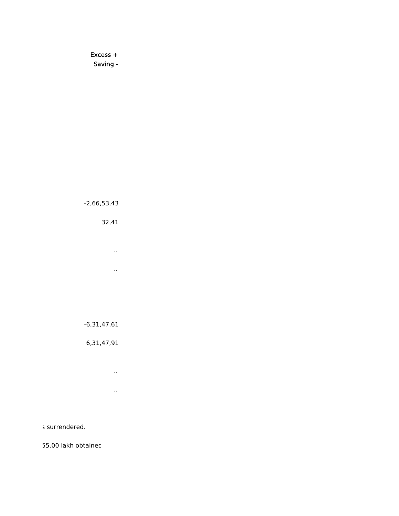Excess + Saving -

-2,66,53,43

32,41 ..

..

-6,31,47,61

6,31,47,91

..  $\mathcal{L}^{\text{max}}_{\text{max}}$ 

s surrendered.

55.00 lakh obtained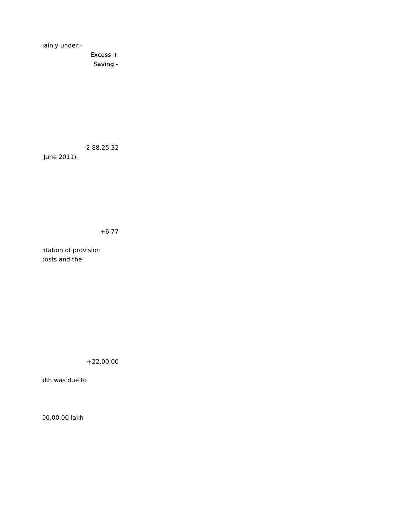mainly under:-

 Excess + Saving -

-2,88,25.32

(June 2011).

+6.77

ntation of provision posts and the

+22,00.00

akh was due to

00,00.00 lakh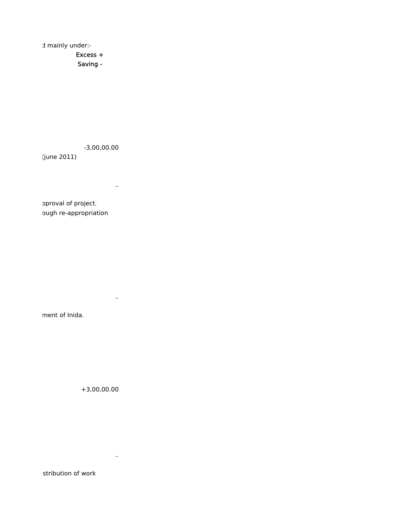d mainly under:-

 Excess + Saving -

-3,00,00.00

(june 2011)

..

pproval of project, ough re-appropriation

..

ment of Inida.

+3,00,00.00

..

stribution of work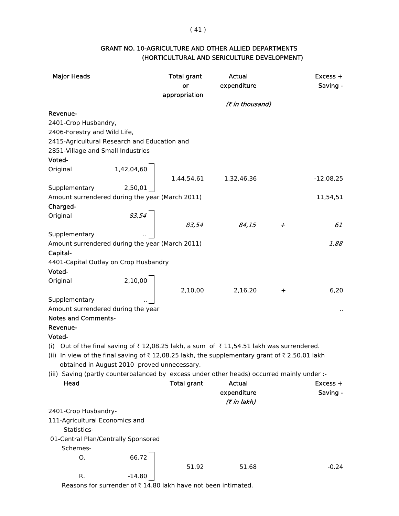# ( 41 )

| <b>GRANT NO. 10-AGRICULTURE AND OTHER ALLIED DEPARTMENTS</b> |  |
|--------------------------------------------------------------|--|
| (HORTICULTURAL AND SERICULTURE DEVELOPMENT)                  |  |

| <b>Major Heads</b>                              |          | <b>Total grant</b>                                                                           | Actual                                                                                                                         |           | $Excess +$  |
|-------------------------------------------------|----------|----------------------------------------------------------------------------------------------|--------------------------------------------------------------------------------------------------------------------------------|-----------|-------------|
|                                                 |          | or                                                                                           | expenditure                                                                                                                    |           | Saving -    |
|                                                 |          | appropriation                                                                                |                                                                                                                                |           |             |
|                                                 |          |                                                                                              | (₹ in thousand)                                                                                                                |           |             |
| Revenue-                                        |          |                                                                                              |                                                                                                                                |           |             |
| 2401-Crop Husbandry,                            |          |                                                                                              |                                                                                                                                |           |             |
| 2406-Forestry and Wild Life,                    |          |                                                                                              |                                                                                                                                |           |             |
| 2415-Agricultural Research and Education and    |          |                                                                                              |                                                                                                                                |           |             |
| 2851-Village and Small Industries               |          |                                                                                              |                                                                                                                                |           |             |
| Voted-                                          |          |                                                                                              |                                                                                                                                |           |             |
| Original                                        |          | $\left.\begin{array}{ccc} 1,42,04,60 & \\ & 1,44,54,61 & \\ 1,32,46,36 & \end{array}\right $ |                                                                                                                                |           |             |
|                                                 |          |                                                                                              |                                                                                                                                |           | $-12,08,25$ |
| Supplementary                                   |          |                                                                                              |                                                                                                                                |           |             |
| Amount surrendered during the year (March 2011) |          |                                                                                              |                                                                                                                                |           | 11,54,51    |
| Charged-                                        |          |                                                                                              |                                                                                                                                |           |             |
| Original                                        |          |                                                                                              |                                                                                                                                |           |             |
|                                                 | 83,54    | 83,54                                                                                        | 84,15                                                                                                                          | $^{+}$    | 61          |
| Supplementary                                   |          |                                                                                              |                                                                                                                                |           |             |
| Amount surrendered during the year (March 2011) |          |                                                                                              |                                                                                                                                |           | 1,88        |
| Capital-                                        |          |                                                                                              |                                                                                                                                |           |             |
|                                                 |          |                                                                                              |                                                                                                                                |           |             |
| 4401-Capital Outlay on Crop Husbandry<br>Voted- |          |                                                                                              |                                                                                                                                |           |             |
|                                                 |          |                                                                                              |                                                                                                                                |           |             |
| Original                                        | 2,10,00  |                                                                                              |                                                                                                                                |           |             |
|                                                 |          | 2,10,00                                                                                      | 2,16,20                                                                                                                        | $\ddot{}$ | 6,20        |
| Supplementary                                   |          |                                                                                              |                                                                                                                                |           |             |
| Amount surrendered during the year              |          |                                                                                              |                                                                                                                                |           |             |
| <b>Notes and Comments-</b>                      |          |                                                                                              |                                                                                                                                |           |             |
| Revenue-                                        |          |                                                                                              |                                                                                                                                |           |             |
| Voted-                                          |          |                                                                                              |                                                                                                                                |           |             |
|                                                 |          |                                                                                              | (i) Out of the final saving of ₹12,08.25 lakh, a sum of ₹11,54.51 lakh was surrendered.                                        |           |             |
|                                                 |          |                                                                                              | (ii) In view of the final saving of $\overline{\tau}$ 12,08.25 lakh, the supplementary grant of $\overline{\tau}$ 2,50.01 lakh |           |             |
|                                                 |          | obtained in August 2010 proved unnecessary.                                                  |                                                                                                                                |           |             |
|                                                 |          |                                                                                              | (iii) Saving (partly counterbalanced by excess under other heads) occurred mainly under :-                                     |           |             |
| Head                                            |          | <b>Total grant</b>                                                                           | <b>Actual</b>                                                                                                                  |           | $Excess +$  |
|                                                 |          |                                                                                              | expenditure                                                                                                                    |           | Saving -    |
|                                                 |          |                                                                                              | (7 in lakh)                                                                                                                    |           |             |
| 2401-Crop Husbandry-                            |          |                                                                                              |                                                                                                                                |           |             |
| 111-Agricultural Economics and                  |          |                                                                                              |                                                                                                                                |           |             |
| Statistics-                                     |          |                                                                                              |                                                                                                                                |           |             |
| 01-Central Plan/Centrally Sponsored             |          |                                                                                              |                                                                                                                                |           |             |
| Schemes-                                        |          |                                                                                              |                                                                                                                                |           |             |
| О.                                              | 66.72    |                                                                                              |                                                                                                                                |           |             |
|                                                 |          | 51.92                                                                                        | 51.68                                                                                                                          |           | $-0.24$     |
| R.                                              | $-14.80$ |                                                                                              |                                                                                                                                |           |             |

Reasons for surrender of  $\bar{\tau}$  14.80 lakh have not been intimated.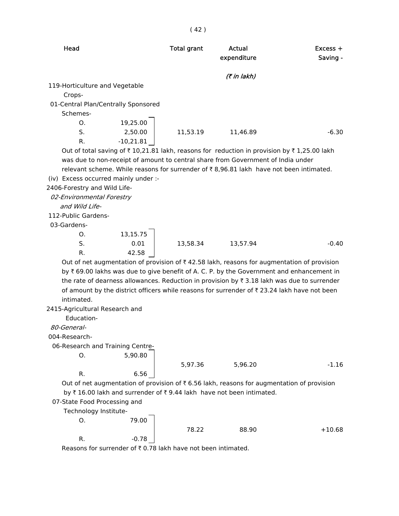| Head                                 |             | <b>Total grant</b> | Actual<br>expenditure                                                                                              | $Excess +$<br>Saving - |
|--------------------------------------|-------------|--------------------|--------------------------------------------------------------------------------------------------------------------|------------------------|
|                                      |             |                    | (₹ in lakh)                                                                                                        |                        |
| 119-Horticulture and Vegetable       |             |                    |                                                                                                                    |                        |
| Crops-                               |             |                    |                                                                                                                    |                        |
| 01-Central Plan/Centrally Sponsored  |             |                    |                                                                                                                    |                        |
| Schemes-                             |             |                    |                                                                                                                    |                        |
| O.                                   | 19,25.00    |                    |                                                                                                                    |                        |
| S.                                   | 2,50.00     | 11,53.19           | 11,46.89                                                                                                           | $-6.30$                |
| R.                                   | $-10,21.81$ |                    |                                                                                                                    |                        |
|                                      |             |                    | Out of total saving of $\bar{\tau}$ 10,21.81 lakh, reasons for reduction in provision by $\bar{\tau}$ 1,25.00 lakh |                        |
|                                      |             |                    | was due to non-receipt of amount to central share from Government of India under                                   |                        |
|                                      |             |                    | relevant scheme. While reasons for surrender of ₹8,96.81 lakh have not been intimated.                             |                        |
| (iv) Excess occurred mainly under :- |             |                    |                                                                                                                    |                        |
| 2406-Forestry and Wild Life-         |             |                    |                                                                                                                    |                        |
| 02-Environmental Forestry            |             |                    |                                                                                                                    |                        |
| and Wild Life-                       |             |                    |                                                                                                                    |                        |
| 112-Public Gardens-                  |             |                    |                                                                                                                    |                        |
| 03-Gardens-                          |             |                    |                                                                                                                    |                        |
| O.                                   | 13,15.75    |                    |                                                                                                                    |                        |
| S.                                   | 0.01        | 13,58.34           | 13,57.94                                                                                                           | $-0.40$                |
| R.                                   | 42.58       |                    |                                                                                                                    |                        |
|                                      |             |                    | Out of net augmentation of provision of $\overline{\tau}$ 42.58 lakh, reasons for augmentation of provision        |                        |
|                                      |             |                    | by ₹ 69.00 lakhs was due to give benefit of A. C. P. by the Government and enhancement in                          |                        |
|                                      |             |                    | the rate of dearness allowances. Reduction in provision by ₹ 3.18 lakh was due to surrender                        |                        |
|                                      |             |                    | of amount by the district officers while reasons for surrender of ₹ 23.24 lakh have not been                       |                        |
| intimated.                           |             |                    |                                                                                                                    |                        |
| 2415-Agricultural Research and       |             |                    |                                                                                                                    |                        |
| Education-                           |             |                    |                                                                                                                    |                        |
| 80-General-                          |             |                    |                                                                                                                    |                        |
| 004-Research-                        |             |                    |                                                                                                                    |                        |
| 06-Research and Training Centre-     |             |                    |                                                                                                                    |                        |
| O.                                   | 5,90.80     |                    |                                                                                                                    |                        |
|                                      |             | 5,97.36            | 5,96.20                                                                                                            | $-1.16$                |
| R.                                   | 6.56        |                    |                                                                                                                    |                        |
|                                      |             |                    | Out of net augmentation of provision of ₹6.56 lakh, reasons for augmentation of provision                          |                        |
|                                      |             |                    | by ₹16.00 lakh and surrender of ₹9.44 lakh have not been intimated.                                                |                        |
| 07-State Food Processing and         |             |                    |                                                                                                                    |                        |
| Technology Institute-                |             |                    |                                                                                                                    |                        |
| О.                                   | 79.00       |                    |                                                                                                                    |                        |
|                                      |             | 78.22              | 88.90                                                                                                              | $+10.68$               |
| R.                                   | -0.78       |                    |                                                                                                                    |                        |
|                                      |             |                    |                                                                                                                    |                        |

Reasons for surrender of  $\bar{\tau}$  0.78 lakh have not been intimated.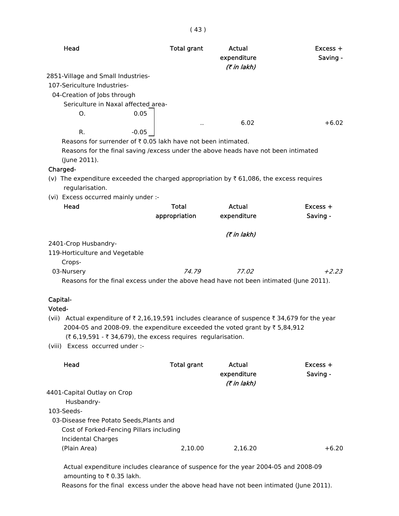| Head                                                                                               | <b>Total grant</b> | Actual<br>expenditure<br>(₹ in lakh) | $Excess +$<br>Saving - |
|----------------------------------------------------------------------------------------------------|--------------------|--------------------------------------|------------------------|
| 2851-Village and Small Industries-                                                                 |                    |                                      |                        |
| 107-Sericulture Industries-                                                                        |                    |                                      |                        |
| 04-Creation of Jobs through                                                                        |                    |                                      |                        |
| Sericulture in Naxal affected area-                                                                |                    |                                      |                        |
| 0.05<br>O.                                                                                         |                    |                                      |                        |
|                                                                                                    |                    | 6.02                                 | $+6.02$                |
| R.<br>$-0.05$                                                                                      |                    |                                      |                        |
| Reasons for surrender of ₹0.05 lakh have not been intimated.                                       |                    |                                      |                        |
| Reasons for the final saving / excess under the above heads have not been intimated                |                    |                                      |                        |
| (June 2011).                                                                                       |                    |                                      |                        |
| Charged-                                                                                           |                    |                                      |                        |
| (v) The expenditure exceeded the charged appropriation by $\bar{\tau}$ 61,086, the excess requires |                    |                                      |                        |
| regularisation.                                                                                    |                    |                                      |                        |
| (vi) Excess occurred mainly under :-<br>Head                                                       | <b>Total</b>       | Actual                               | $Excess +$             |
|                                                                                                    | appropriation      | expenditure                          | Saving -               |
|                                                                                                    |                    |                                      |                        |
|                                                                                                    |                    | (7 in lakh)                          |                        |
| 2401-Crop Husbandry-                                                                               |                    |                                      |                        |
| 119-Horticulture and Vegetable                                                                     |                    |                                      |                        |
| Crops-                                                                                             |                    |                                      |                        |
| 03-Nursery                                                                                         | 74.79              | 77.02                                | $+2.23$                |
| Reasons for the final excess under the above head have not been intimated (June 2011).             |                    |                                      |                        |
|                                                                                                    |                    |                                      |                        |
| Capital-                                                                                           |                    |                                      |                        |
| Voted-                                                                                             |                    |                                      |                        |
| (vii) Actual expenditure of ₹ 2,16,19,591 includes clearance of suspence ₹ 34,679 for the year     |                    |                                      |                        |
| 2004-05 and 2008-09. the expenditure exceeded the voted grant by ₹ 5,84,912                        |                    |                                      |                        |
| $(3.6, 19.591 - 34.679)$ , the excess requires regularisation.                                     |                    |                                      |                        |
| (viii) Excess occurred under :-                                                                    |                    |                                      |                        |
| Head                                                                                               | <b>Total grant</b> | Actual                               | Excess +               |
|                                                                                                    |                    | expenditure                          | Saving -               |
|                                                                                                    |                    | (7 in lakh)                          |                        |
| 4401-Capital Outlay on Crop                                                                        |                    |                                      |                        |
| Husbandry-                                                                                         |                    |                                      |                        |
| 103-Seeds-                                                                                         |                    |                                      |                        |
| 03-Disease free Potato Seeds, Plants and                                                           |                    |                                      |                        |
| Cost of Forked-Fencing Pillars including                                                           |                    |                                      |                        |
| <b>Incidental Charges</b>                                                                          |                    |                                      |                        |
| (Plain Area)                                                                                       | 2,10.00            | 2,16.20                              | $+6.20$                |
|                                                                                                    |                    |                                      |                        |

( 43 )

 Actual expenditure includes clearance of suspence for the year 2004-05 and 2008-09 amounting to  $\bar{\tau}$  0.35 lakh.

Reasons for the final excess under the above head have not been intimated (June 2011).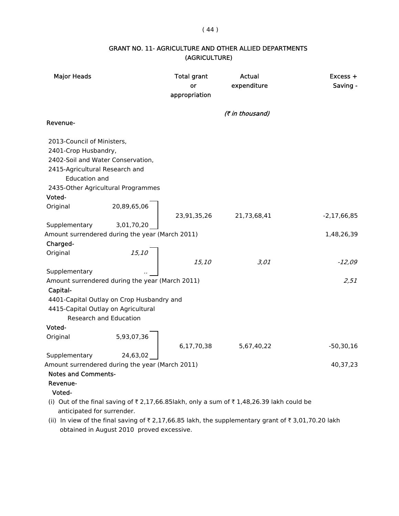### $(44)$

# GRANT NO. 11- AGRICULTURE AND OTHER ALLIED DEPARTMENTS (AGRICULTURE)

| <b>Major Heads</b>                  |                                                 | <b>Total grant</b><br>or<br>appropriation | <b>Actual</b><br>expenditure                                                            | $Excess +$<br>Saving - |
|-------------------------------------|-------------------------------------------------|-------------------------------------------|-----------------------------------------------------------------------------------------|------------------------|
|                                     |                                                 |                                           | (₹ in thousand)                                                                         |                        |
| Revenue-                            |                                                 |                                           |                                                                                         |                        |
| 2013-Council of Ministers,          |                                                 |                                           |                                                                                         |                        |
| 2401-Crop Husbandry,                |                                                 |                                           |                                                                                         |                        |
| 2402-Soil and Water Conservation,   |                                                 |                                           |                                                                                         |                        |
| 2415-Agricultural Research and      |                                                 |                                           |                                                                                         |                        |
| <b>Education and</b>                |                                                 |                                           |                                                                                         |                        |
|                                     | 2435-Other Agricultural Programmes              |                                           |                                                                                         |                        |
| Voted-                              |                                                 |                                           |                                                                                         |                        |
| Original                            | 20,89,65,06                                     |                                           |                                                                                         |                        |
|                                     |                                                 | 23,91,35,26                               | 21,73,68,41                                                                             | $-2,17,66,85$          |
| Supplementary                       | 3,01,70,20                                      |                                           |                                                                                         |                        |
|                                     | Amount surrendered during the year (March 2011) |                                           |                                                                                         | 1,48,26,39             |
| Charged-                            |                                                 |                                           |                                                                                         |                        |
| Original                            | 15,10                                           |                                           |                                                                                         |                        |
|                                     |                                                 | 15,10                                     | 3,01                                                                                    | $-12,09$               |
| Supplementary                       |                                                 |                                           |                                                                                         |                        |
|                                     | Amount surrendered during the year (March 2011) |                                           |                                                                                         | 2,51                   |
| Capital-                            |                                                 |                                           |                                                                                         |                        |
|                                     | 4401-Capital Outlay on Crop Husbandry and       |                                           |                                                                                         |                        |
| 4415-Capital Outlay on Agricultural |                                                 |                                           |                                                                                         |                        |
|                                     | <b>Research and Education</b>                   |                                           |                                                                                         |                        |
| Voted-                              |                                                 |                                           |                                                                                         |                        |
| Original                            | 5,93,07,36                                      |                                           |                                                                                         |                        |
|                                     |                                                 | 6,17,70,38                                | 5,67,40,22                                                                              | $-50,30,16$            |
| Supplementary                       | 24,63,02                                        |                                           |                                                                                         |                        |
|                                     | Amount surrendered during the year (March 2011) |                                           |                                                                                         | 40,37,23               |
| <b>Notes and Comments-</b>          |                                                 |                                           |                                                                                         |                        |
| Revenue-                            |                                                 |                                           |                                                                                         |                        |
| Voted-                              |                                                 |                                           |                                                                                         |                        |
|                                     |                                                 |                                           | (i) Out of the final saving of ₹2,17,66.85lakh, only a sum of ₹1,48,26.39 lakh could be |                        |
| anticipated for surrender.          |                                                 |                                           |                                                                                         |                        |

(ii) In view of the final saving of  $\bar{z}$  2,17,66.85 lakh, the supplementary grant of  $\bar{z}$  3,01,70.20 lakh obtained in August 2010 proved excessive.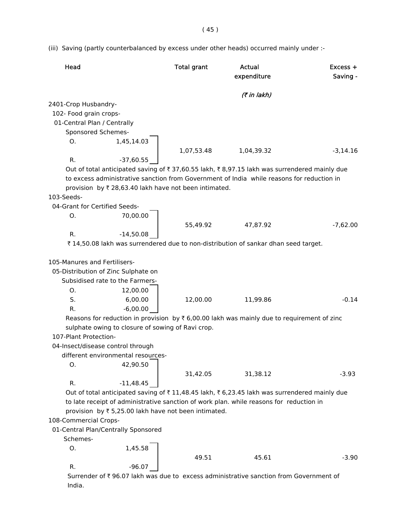(iii) Saving (partly counterbalanced by excess under other heads) occurred mainly under :-

| Head                               |                                                                                    | <b>Total grant</b> | Actual<br>expenditure                                                                                 | $Excess +$<br>Saving - |
|------------------------------------|------------------------------------------------------------------------------------|--------------------|-------------------------------------------------------------------------------------------------------|------------------------|
|                                    |                                                                                    |                    | (₹ in lakh)                                                                                           |                        |
| 2401-Crop Husbandry-               |                                                                                    |                    |                                                                                                       |                        |
| 102- Food grain crops-             |                                                                                    |                    |                                                                                                       |                        |
| 01-Central Plan / Centrally        |                                                                                    |                    |                                                                                                       |                        |
| Sponsored Schemes-                 |                                                                                    |                    |                                                                                                       |                        |
| O.                                 | 1,45,14.03                                                                         |                    |                                                                                                       |                        |
|                                    |                                                                                    | 1,07,53.48         | 1,04,39.32                                                                                            | $-3,14.16$             |
| R.                                 | $-37,60.55$                                                                        |                    |                                                                                                       |                        |
|                                    |                                                                                    |                    | Out of total anticipated saving of ₹ 37,60.55 lakh, ₹ 8,97.15 lakh was surrendered mainly due         |                        |
|                                    |                                                                                    |                    | to excess administrative sanction from Government of India while reasons for reduction in             |                        |
|                                    | provision by ₹ 28,63.40 lakh have not been intimated.                              |                    |                                                                                                       |                        |
| 103-Seeds-                         |                                                                                    |                    |                                                                                                       |                        |
| 04-Grant for Certified Seeds-      |                                                                                    |                    |                                                                                                       |                        |
| Ο.                                 | 70,00.00                                                                           |                    |                                                                                                       |                        |
|                                    |                                                                                    | 55,49.92           | 47,87.92                                                                                              | $-7,62.00$             |
| R.                                 | $-14,50.08$                                                                        |                    |                                                                                                       |                        |
|                                    |                                                                                    |                    | ₹ 14,50.08 lakh was surrendered due to non-distribution of sankar dhan seed target.                   |                        |
| 105-Manures and Fertilisers-<br>O. | 05-Distribution of Zinc Sulphate on<br>Subsidised rate to the Farmers-<br>12,00.00 |                    |                                                                                                       |                        |
| S.                                 | 6,00.00                                                                            | 12,00.00           | 11,99.86                                                                                              | $-0.14$                |
| R.                                 | $-6,00.00$                                                                         |                    |                                                                                                       |                        |
|                                    |                                                                                    |                    | Reasons for reduction in provision by $\bar{\tau}$ 6,00.00 lakh was mainly due to requirement of zinc |                        |
|                                    | sulphate owing to closure of sowing of Ravi crop.                                  |                    |                                                                                                       |                        |
| 107-Plant Protection-              |                                                                                    |                    |                                                                                                       |                        |
|                                    | 04-Insect/disease control through                                                  |                    |                                                                                                       |                        |
|                                    | different environmental resources-                                                 |                    |                                                                                                       |                        |
| Ο.                                 | 42,90.50                                                                           |                    |                                                                                                       |                        |
|                                    |                                                                                    | 31,42.05           | 31,38.12                                                                                              | $-3.93$                |
| R.                                 | $-11,48.45$                                                                        |                    |                                                                                                       |                        |
|                                    |                                                                                    |                    | Out of total anticipated saving of ₹11,48.45 lakh, ₹6,23.45 lakh was surrendered mainly due           |                        |
|                                    |                                                                                    |                    | to late receipt of administrative sanction of work plan. while reasons for reduction in               |                        |
|                                    | provision by ₹ 5,25.00 lakh have not been intimated.                               |                    |                                                                                                       |                        |
| 108-Commercial Crops-              |                                                                                    |                    |                                                                                                       |                        |
|                                    | 01-Central Plan/Centrally Sponsored                                                |                    |                                                                                                       |                        |
| Schemes-                           |                                                                                    |                    |                                                                                                       |                        |
| Ο.                                 | 1,45.58                                                                            |                    |                                                                                                       |                        |
|                                    |                                                                                    | 49.51              | 45.61                                                                                                 | $-3.90$                |
| R.                                 | $-96.07$                                                                           |                    |                                                                                                       |                        |

Surrender of  $\bar{\tau}$  96.07 lakh was due to excess administrative sanction from Government of India.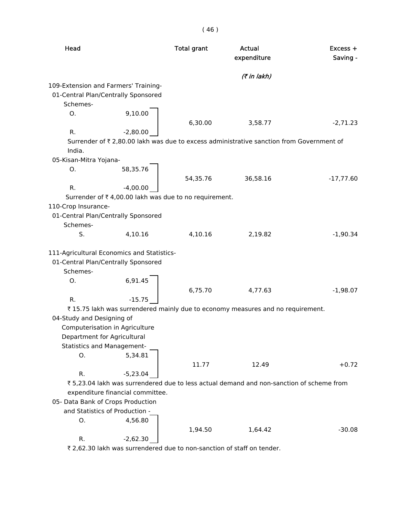| Head                      |                                                                             | <b>Total grant</b> | Actual<br>expenditure                                                                    | Excess +<br>Saving - |
|---------------------------|-----------------------------------------------------------------------------|--------------------|------------------------------------------------------------------------------------------|----------------------|
|                           |                                                                             |                    | (₹ in lakh)                                                                              |                      |
| Schemes-                  | 109-Extension and Farmers' Training-<br>01-Central Plan/Centrally Sponsored |                    |                                                                                          |                      |
|                           |                                                                             |                    |                                                                                          |                      |
| Ο.                        | 9,10.00                                                                     | 6,30.00            | 3,58.77                                                                                  | $-2,71.23$           |
| R.                        | $-2,80.00$                                                                  |                    |                                                                                          |                      |
| India.                    |                                                                             |                    | Surrender of ₹ 2,80.00 lakh was due to excess administrative sanction from Government of |                      |
| 05-Kisan-Mitra Yojana-    |                                                                             |                    |                                                                                          |                      |
| О.                        | 58,35.76                                                                    |                    |                                                                                          |                      |
|                           |                                                                             | 54,35.76           | 36,58.16                                                                                 | $-17,77.60$          |
| R.                        | $-4,00.00$                                                                  |                    |                                                                                          |                      |
|                           | Surrender of ₹4,00.00 lakh was due to no requirement.                       |                    |                                                                                          |                      |
| 110-Crop Insurance-       |                                                                             |                    |                                                                                          |                      |
|                           | 01-Central Plan/Centrally Sponsored                                         |                    |                                                                                          |                      |
| Schemes-                  |                                                                             |                    |                                                                                          |                      |
| S.                        | 4,10.16                                                                     | 4,10.16            | 2,19.82                                                                                  | $-1,90.34$           |
|                           |                                                                             |                    |                                                                                          |                      |
|                           | 111-Agricultural Economics and Statistics-                                  |                    |                                                                                          |                      |
|                           | 01-Central Plan/Centrally Sponsored                                         |                    |                                                                                          |                      |
| Schemes-                  |                                                                             |                    |                                                                                          |                      |
| Ο.                        | 6,91.45                                                                     |                    |                                                                                          |                      |
|                           |                                                                             | 6,75.70            | 4,77.63                                                                                  | $-1,98.07$           |
| R.                        | $-15.75$                                                                    |                    |                                                                                          |                      |
|                           |                                                                             |                    | ₹15.75 lakh was surrendered mainly due to economy measures and no requirement.           |                      |
| 04-Study and Designing of |                                                                             |                    |                                                                                          |                      |
|                           | Computerisation in Agriculture                                              |                    |                                                                                          |                      |
|                           | Department for Agricultural                                                 |                    |                                                                                          |                      |
|                           | <b>Statistics and Management-</b>                                           |                    |                                                                                          |                      |
| Ο.                        | 5,34.81                                                                     |                    |                                                                                          |                      |
|                           |                                                                             |                    |                                                                                          |                      |
|                           |                                                                             | 11.77              | 12.49                                                                                    | $+0.72$              |
| R.                        | $-5,23.04$                                                                  |                    |                                                                                          |                      |
|                           |                                                                             |                    | ₹5,23.04 lakh was surrendered due to less actual demand and non-sanction of scheme from  |                      |
|                           | expenditure financial committee.                                            |                    |                                                                                          |                      |
|                           | 05- Data Bank of Crops Production                                           |                    |                                                                                          |                      |
|                           | and Statistics of Production -                                              |                    |                                                                                          |                      |
| О.                        | 4,56.80                                                                     |                    |                                                                                          |                      |
|                           |                                                                             | 1,94.50            | 1,64.42                                                                                  | $-30.08$             |
| R.                        | $-2,62.30$                                                                  |                    |                                                                                          |                      |

 $\bar{\tau}$  2,62.30 lakh was surrendered due to non-sanction of staff on tender.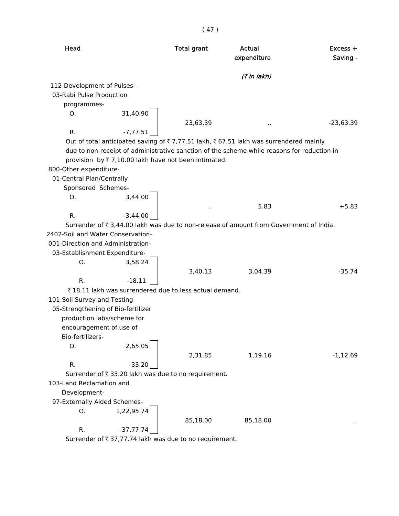|                                                                  |             | (41)                                                   |                                                                                            |                        |
|------------------------------------------------------------------|-------------|--------------------------------------------------------|--------------------------------------------------------------------------------------------|------------------------|
| Head                                                             |             | <b>Total grant</b>                                     | Actual<br>expenditure                                                                      | $Excess +$<br>Saving - |
|                                                                  |             |                                                        | (7 in lakh)                                                                                |                        |
| 112-Development of Pulses-                                       |             |                                                        |                                                                                            |                        |
| 03-Rabi Pulse Production                                         |             |                                                        |                                                                                            |                        |
| programmes-                                                      |             |                                                        |                                                                                            |                        |
| O.                                                               | 31,40.90    |                                                        |                                                                                            |                        |
| R.                                                               | $-7,77.51$  | 23,63.39                                               |                                                                                            | $-23,63.39$            |
|                                                                  |             |                                                        | Out of total anticipated saving of ₹7,77.51 lakh, ₹67.51 lakh was surrendered mainly       |                        |
|                                                                  |             |                                                        | due to non-receipt of administrative sanction of the scheme while reasons for reduction in |                        |
|                                                                  |             | provision by ₹7,10.00 lakh have not been intimated.    |                                                                                            |                        |
| 800-Other expenditure-                                           |             |                                                        |                                                                                            |                        |
| 01-Central Plan/Centrally                                        |             |                                                        |                                                                                            |                        |
| Sponsored Schemes-                                               |             |                                                        |                                                                                            |                        |
| O.                                                               | 3,44.00     |                                                        |                                                                                            | $+5.83$                |
| R.                                                               | $-3,44.00$  | $\sim$                                                 | 5.83                                                                                       |                        |
|                                                                  |             |                                                        | Surrender of ₹3,44.00 lakh was due to non-release of amount from Government of India.      |                        |
| 2402-Soil and Water Conservation-                                |             |                                                        |                                                                                            |                        |
| 001-Direction and Administration-                                |             |                                                        |                                                                                            |                        |
| 03-Establishment Expenditure-                                    |             |                                                        |                                                                                            |                        |
| O.                                                               | 3,58.24     |                                                        |                                                                                            |                        |
|                                                                  |             | 3,40.13                                                | 3,04.39                                                                                    | $-35.74$               |
| R.                                                               | $-18.11$    |                                                        |                                                                                            |                        |
|                                                                  |             | ₹18.11 lakh was surrendered due to less actual demand. |                                                                                            |                        |
| 101-Soil Survey and Testing-                                     |             |                                                        |                                                                                            |                        |
| 05-Strengthening of Bio-fertilizer<br>production labs/scheme for |             |                                                        |                                                                                            |                        |
| encouragement of use of                                          |             |                                                        |                                                                                            |                        |
| Bio-fertilizers-                                                 |             |                                                        |                                                                                            |                        |
| O.                                                               | 2,65.05     |                                                        |                                                                                            |                        |
|                                                                  |             | 2,31.85                                                | 1,19.16                                                                                    | $-1,12.69$             |
| R.                                                               | $-33.20$    |                                                        |                                                                                            |                        |
|                                                                  |             | Surrender of ₹ 33.20 lakh was due to no requirement.   |                                                                                            |                        |
| 103-Land Reclamation and                                         |             |                                                        |                                                                                            |                        |
| Development-                                                     |             |                                                        |                                                                                            |                        |
| 97-Externally Aided Schemes-                                     |             |                                                        |                                                                                            |                        |
| O.                                                               | 1,22,95.74  |                                                        |                                                                                            |                        |
| R.                                                               | $-37,77.74$ | 85,18.00                                               | 85,18.00                                                                                   |                        |

Surrender of  $\bar{t}$  37,77.74 lakh was due to no requirement.

# $(47)$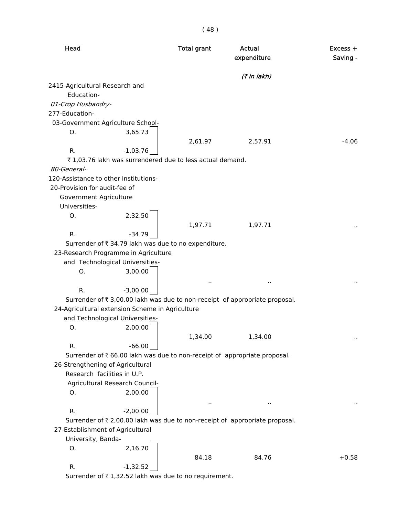| Head                                  |                                                          | <b>Total grant</b> | Actual<br>expenditure                                                       | $Excess +$<br>Saving - |
|---------------------------------------|----------------------------------------------------------|--------------------|-----------------------------------------------------------------------------|------------------------|
|                                       |                                                          |                    | (7 in lakh)                                                                 |                        |
| 2415-Agricultural Research and        |                                                          |                    |                                                                             |                        |
| Education-                            |                                                          |                    |                                                                             |                        |
| 01-Crop Husbandry-                    |                                                          |                    |                                                                             |                        |
| 277-Education-                        |                                                          |                    |                                                                             |                        |
|                                       | 03-Government Agriculture School-                        |                    |                                                                             |                        |
| O.                                    | 3,65.73                                                  |                    |                                                                             |                        |
|                                       |                                                          | 2,61.97            | 2,57.91                                                                     | $-4.06$                |
| R.                                    | $-1,03.76$                                               |                    |                                                                             |                        |
|                                       | ₹1,03.76 lakh was surrendered due to less actual demand. |                    |                                                                             |                        |
| 80-General-                           |                                                          |                    |                                                                             |                        |
| 120-Assistance to other Institutions- |                                                          |                    |                                                                             |                        |
| 20-Provision for audit-fee of         |                                                          |                    |                                                                             |                        |
| Government Agriculture                |                                                          |                    |                                                                             |                        |
| Universities-                         |                                                          |                    |                                                                             |                        |
| Ο.                                    | 2.32.50                                                  |                    |                                                                             |                        |
|                                       |                                                          | 1,97.71            | 1,97.71                                                                     |                        |
| R.                                    | $-34.79$                                                 |                    |                                                                             |                        |
|                                       | Surrender of ₹ 34.79 lakh was due to no expenditure.     |                    |                                                                             |                        |
|                                       | 23-Research Programme in Agriculture                     |                    |                                                                             |                        |
|                                       | and Technological Universities-                          |                    |                                                                             |                        |
| О.                                    | 3,00.00                                                  |                    |                                                                             |                        |
|                                       |                                                          | $\sim$             | $\ddot{\phantom{1}}$                                                        |                        |
| R.                                    | $-3,00.00$                                               |                    |                                                                             |                        |
|                                       |                                                          |                    | Surrender of ₹3,00.00 lakh was due to non-receipt of appropriate proposal.  |                        |
|                                       | 24-Agricultural extension Scheme in Agriculture          |                    |                                                                             |                        |
|                                       | and Technological Universities-                          |                    |                                                                             |                        |
| O.                                    | 2,00.00                                                  |                    |                                                                             |                        |
|                                       |                                                          | 1,34.00            | 1,34.00                                                                     |                        |
| R.                                    | $-66.00$                                                 |                    |                                                                             |                        |
|                                       |                                                          |                    | Surrender of ₹ 66.00 lakh was due to non-receipt of appropriate proposal.   |                        |
| 26-Strengthening of Agricultural      |                                                          |                    |                                                                             |                        |
|                                       | Research facilities in U.P.                              |                    |                                                                             |                        |
|                                       | Agricultural Research Council-                           |                    |                                                                             |                        |
| O.                                    | 2,00.00                                                  |                    |                                                                             |                        |
|                                       |                                                          | $\sim$             | $\blacksquare$                                                              |                        |
| R.                                    | $-2,00.00$                                               |                    |                                                                             |                        |
|                                       |                                                          |                    | Surrender of ₹ 2,00.00 lakh was due to non-receipt of appropriate proposal. |                        |
| 27-Establishment of Agricultural      |                                                          |                    |                                                                             |                        |
| University, Banda-                    |                                                          |                    |                                                                             |                        |
| Ο.                                    | 2,16.70                                                  |                    |                                                                             |                        |
|                                       |                                                          | 84.18              | 84.76                                                                       | $+0.58$                |
| R.                                    | $-1,32.52$                                               |                    |                                                                             |                        |
|                                       | Surrender of ₹1,32.52 lakh was due to no requirement.    |                    |                                                                             |                        |
|                                       |                                                          |                    |                                                                             |                        |

( 48 )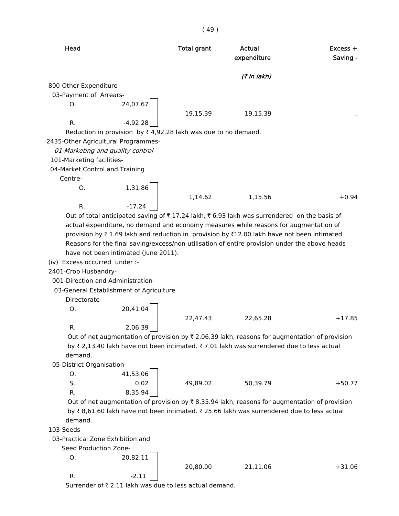# ( 49 )

| Head                                |                                                                           | <b>Total grant</b> | <b>Actual</b><br>expenditure                                                                  | Excess +<br>Saving - |
|-------------------------------------|---------------------------------------------------------------------------|--------------------|-----------------------------------------------------------------------------------------------|----------------------|
|                                     |                                                                           |                    | (7 in lakh)                                                                                   |                      |
| 800-Other Expenditure-              |                                                                           |                    |                                                                                               |                      |
| 03-Payment of Arrears-              |                                                                           |                    |                                                                                               |                      |
| Ο.                                  | 24,07.67                                                                  |                    |                                                                                               |                      |
|                                     |                                                                           | 19,15.39           | 19,15.39                                                                                      |                      |
| R.                                  | $-4,92.28$                                                                |                    |                                                                                               |                      |
|                                     | Reduction in provision by $\bar{\tau}$ 4,92.28 lakh was due to no demand. |                    |                                                                                               |                      |
| 2435-Other Agricultural Programmes- |                                                                           |                    |                                                                                               |                      |
| 01-Marketing and quality control-   |                                                                           |                    |                                                                                               |                      |
| 101-Marketing facilities-           |                                                                           |                    |                                                                                               |                      |
| 04-Market Control and Training      |                                                                           |                    |                                                                                               |                      |
| Centre-                             |                                                                           |                    |                                                                                               |                      |
| O.                                  | 1,31.86                                                                   |                    |                                                                                               |                      |
|                                     |                                                                           | 1,14.62            | 1,15.56                                                                                       | $+0.94$              |
| R.                                  | $-17.24$                                                                  |                    |                                                                                               |                      |
|                                     |                                                                           |                    | Out of total anticipated saving of ₹17.24 lakh, ₹6.93 lakh was surrendered on the basis of    |                      |
|                                     |                                                                           |                    | actual expenditure, no demand and economy measures while reasons for augmentation of          |                      |
|                                     |                                                                           |                    | provision by ₹1.69 lakh and reduction in provision by ₹12.00 lakh have not been intimated.    |                      |
|                                     |                                                                           |                    | Reasons for the final saving/excess/non-utilisation of entire provision under the above heads |                      |
|                                     | have not been intimated (June 2011).                                      |                    |                                                                                               |                      |
| (iv) Excess occurred under :-       |                                                                           |                    |                                                                                               |                      |
| 2401-Crop Husbandry-                |                                                                           |                    |                                                                                               |                      |
| 001-Direction and Administration-   |                                                                           |                    |                                                                                               |                      |
|                                     | 03-General Establishment of Agriculture                                   |                    |                                                                                               |                      |
| Directorate-                        |                                                                           |                    |                                                                                               |                      |
| O.                                  | 20,41.04                                                                  |                    |                                                                                               |                      |
|                                     |                                                                           | 22,47.43           | 22,65.28                                                                                      | $+17.85$             |
| R.                                  | 2,06.39                                                                   |                    |                                                                                               |                      |
|                                     |                                                                           |                    | Out of net augmentation of provision by ₹ 2,06.39 lakh, reasons for augmentation of provision |                      |
|                                     |                                                                           |                    | by ₹ 2,13.40 lakh have not been intimated. ₹ 7.01 lakh was surrendered due to less actual     |                      |
| demand.                             |                                                                           |                    |                                                                                               |                      |
| 05-District Organisation-           |                                                                           |                    |                                                                                               |                      |
| O.                                  | 41,53.06                                                                  |                    |                                                                                               |                      |
| S.                                  | 0.02                                                                      | 49,89.02           | 50,39.79                                                                                      | $+50.77$             |
| R.                                  | 8,35.94                                                                   |                    |                                                                                               |                      |
|                                     |                                                                           |                    | Out of net augmentation of provision by ₹8,35.94 lakh, reasons for augmentation of provision  |                      |
|                                     |                                                                           |                    | by ₹8,61.60 lakh have not been intimated. ₹25.66 lakh was surrendered due to less actual      |                      |
| demand.                             |                                                                           |                    |                                                                                               |                      |
| 103-Seeds-                          |                                                                           |                    |                                                                                               |                      |
| 03-Practical Zone Exhibition and    |                                                                           |                    |                                                                                               |                      |
| Seed Production Zone-               |                                                                           |                    |                                                                                               |                      |
| 0.                                  | 20,82.11                                                                  |                    |                                                                                               |                      |
|                                     |                                                                           | 20,80.00           | 21,11.06                                                                                      | $+31.06$             |
| R.                                  | $-2.11$                                                                   |                    |                                                                                               |                      |
|                                     | Surrender of ₹2.11 lakh was due to less actual demand.                    |                    |                                                                                               |                      |
|                                     |                                                                           |                    |                                                                                               |                      |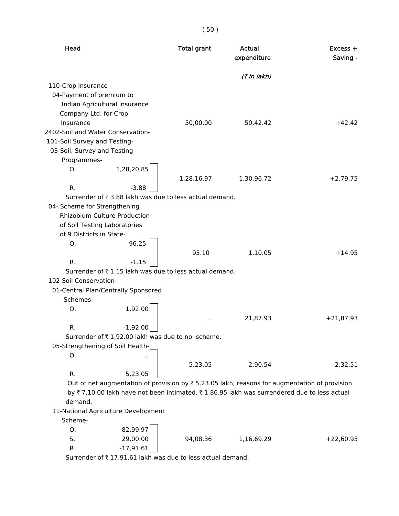( 50 )

| Head                                                                |             | <b>Total grant</b>                                                      | Actual<br>expenditure | $Excess +$<br>Saving -                                                                        |
|---------------------------------------------------------------------|-------------|-------------------------------------------------------------------------|-----------------------|-----------------------------------------------------------------------------------------------|
|                                                                     |             |                                                                         | (₹ in lakh)           |                                                                                               |
| 110-Crop Insurance-                                                 |             |                                                                         |                       |                                                                                               |
| 04-Payment of premium to                                            |             |                                                                         |                       |                                                                                               |
| Indian Agricultural Insurance                                       |             |                                                                         |                       |                                                                                               |
| Company Ltd. for Crop                                               |             |                                                                         |                       |                                                                                               |
| Insurance                                                           |             | 50,00.00                                                                | 50,42.42              | $+42.42$                                                                                      |
| 2402-Soil and Water Conservation-                                   |             |                                                                         |                       |                                                                                               |
| 101-Soil Survey and Testing-                                        |             |                                                                         |                       |                                                                                               |
| 03-Soil, Survey and Testing                                         |             |                                                                         |                       |                                                                                               |
| Programmes-                                                         |             |                                                                         |                       |                                                                                               |
| O.                                                                  | 1,28,20.85  |                                                                         |                       |                                                                                               |
|                                                                     |             | 1,28,16.97                                                              | 1,30,96.72            | $+2,79.75$                                                                                    |
| R.                                                                  | $-3.88$     |                                                                         |                       |                                                                                               |
|                                                                     |             | Surrender of ₹3.88 lakh was due to less actual demand.                  |                       |                                                                                               |
| 04- Scheme for Strengthening<br><b>Rhizobium Culture Production</b> |             |                                                                         |                       |                                                                                               |
| of Soil Testing Laboratories                                        |             |                                                                         |                       |                                                                                               |
| of 9 Districts in State-                                            |             |                                                                         |                       |                                                                                               |
| Ο.                                                                  | 96.25       |                                                                         |                       |                                                                                               |
|                                                                     |             | 95.10                                                                   | 1,10.05               | $+14.95$                                                                                      |
| R.                                                                  | $-1.15$     |                                                                         |                       |                                                                                               |
|                                                                     |             | Surrender of ₹1.15 lakh was due to less actual demand.                  |                       |                                                                                               |
| 102-Soil Conservation-                                              |             |                                                                         |                       |                                                                                               |
| 01-Central Plan/Centrally Sponsored                                 |             |                                                                         |                       |                                                                                               |
| Schemes-                                                            |             |                                                                         |                       |                                                                                               |
| Ο.                                                                  | 1,92.00     |                                                                         |                       |                                                                                               |
|                                                                     |             |                                                                         | 21,87.93              | $+21,87.93$                                                                                   |
| R.                                                                  | $-1,92.00$  |                                                                         |                       |                                                                                               |
|                                                                     |             | Surrender of ₹1,92.00 lakh was due to no scheme.                        |                       |                                                                                               |
| 05-Strengthening of Soil Health-                                    |             |                                                                         |                       |                                                                                               |
| О.                                                                  |             |                                                                         |                       |                                                                                               |
|                                                                     |             | 5,23.05                                                                 | 2,90.54               | $-2,32.51$                                                                                    |
| R.                                                                  | 5,23.05     |                                                                         |                       |                                                                                               |
|                                                                     |             |                                                                         |                       | Out of net augmentation of provision by ₹ 5,23.05 lakh, reasons for augmentation of provision |
|                                                                     |             |                                                                         |                       | by ₹7,10.00 lakh have not been intimated. ₹1,86.95 lakh was surrendered due to less actual    |
| demand.                                                             |             |                                                                         |                       |                                                                                               |
| 11-National Agriculture Development                                 |             |                                                                         |                       |                                                                                               |
| Scheme-                                                             |             |                                                                         |                       |                                                                                               |
| О.                                                                  | 82,99.97    |                                                                         |                       |                                                                                               |
| S.                                                                  | 29,00.00    | 94,08.36                                                                | 1,16,69.29            | $+22,60.93$                                                                                   |
| R.                                                                  | $-17,91.61$ | Surrender of $\overline{z}$ 17.91.61 lakh was due to less actual demand |                       |                                                                                               |
|                                                                     |             |                                                                         |                       |                                                                                               |

Surrender of  $\zeta$  17,91.61 lakh was due to less actual demand.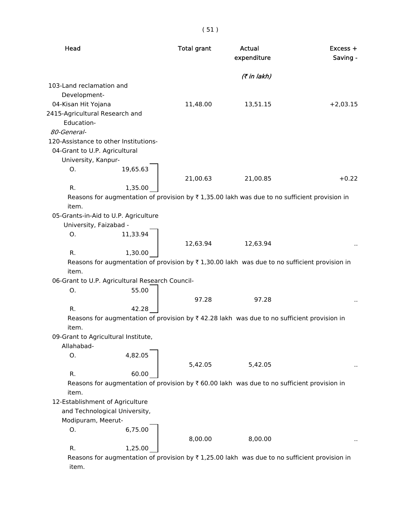| × | m. |
|---|----|

| (7 in lakh)<br>103-Land reclamation and<br>Development-<br>04-Kisan Hit Yojana<br>11,48.00<br>$+2,03.15$<br>13,51.15<br>2415-Agricultural Research and<br>Education-<br>80-General-<br>120-Assistance to other Institutions-<br>04-Grant to U.P. Agricultural<br>University, Kanpur-<br>Ο.<br>19,65.63<br>21,00.63<br>21,00.85<br>$+0.22$<br>R.<br>1,35.00<br>Reasons for augmentation of provision by $\overline{\tau}$ 1,35.00 lakh was due to no sufficient provision in<br>item.<br>05-Grants-in-Aid to U.P. Agriculture<br>University, Faizabad -<br>0.<br>11,33.94<br>12,63.94<br>12,63.94<br>R.<br>1,30.00<br>Reasons for augmentation of provision by $\overline{\tau}$ 1,30.00 lakh was due to no sufficient provision in<br>item.<br>06-Grant to U.P. Agricultural Research Council-<br>55.00<br>Ο.<br>97.28<br>97.28<br>R.<br>42.28<br>Reasons for augmentation of provision by $\bar{\tau}$ 42.28 lakh was due to no sufficient provision in<br>item.<br>09-Grant to Agricultural Institute,<br>Allahabad-<br>4,82.05<br>Ο.<br>5,42.05<br>5,42.05<br>R.<br>60.00<br>Reasons for augmentation of provision by $\overline{\tau}$ 60.00 lakh was due to no sufficient provision in<br>item.<br>12-Establishment of Agriculture<br>and Technological University,<br>Modipuram, Meerut-<br>6,75.00<br>Ο.<br>8,00.00<br>8,00.00<br>1,25.00<br>R.<br>Reasons for augmentation of provision by $\bar{\tau}$ 1,25.00 lakh was due to no sufficient provision in | Head | <b>Total grant</b> | <b>Actual</b><br>expenditure | $Excess +$<br>Saving - |
|--------------------------------------------------------------------------------------------------------------------------------------------------------------------------------------------------------------------------------------------------------------------------------------------------------------------------------------------------------------------------------------------------------------------------------------------------------------------------------------------------------------------------------------------------------------------------------------------------------------------------------------------------------------------------------------------------------------------------------------------------------------------------------------------------------------------------------------------------------------------------------------------------------------------------------------------------------------------------------------------------------------------------------------------------------------------------------------------------------------------------------------------------------------------------------------------------------------------------------------------------------------------------------------------------------------------------------------------------------------------------------------------------------------------------------------------------------------------|------|--------------------|------------------------------|------------------------|
|                                                                                                                                                                                                                                                                                                                                                                                                                                                                                                                                                                                                                                                                                                                                                                                                                                                                                                                                                                                                                                                                                                                                                                                                                                                                                                                                                                                                                                                                    |      |                    |                              |                        |
|                                                                                                                                                                                                                                                                                                                                                                                                                                                                                                                                                                                                                                                                                                                                                                                                                                                                                                                                                                                                                                                                                                                                                                                                                                                                                                                                                                                                                                                                    |      |                    |                              |                        |
|                                                                                                                                                                                                                                                                                                                                                                                                                                                                                                                                                                                                                                                                                                                                                                                                                                                                                                                                                                                                                                                                                                                                                                                                                                                                                                                                                                                                                                                                    |      |                    |                              |                        |
|                                                                                                                                                                                                                                                                                                                                                                                                                                                                                                                                                                                                                                                                                                                                                                                                                                                                                                                                                                                                                                                                                                                                                                                                                                                                                                                                                                                                                                                                    |      |                    |                              |                        |
|                                                                                                                                                                                                                                                                                                                                                                                                                                                                                                                                                                                                                                                                                                                                                                                                                                                                                                                                                                                                                                                                                                                                                                                                                                                                                                                                                                                                                                                                    |      |                    |                              |                        |
|                                                                                                                                                                                                                                                                                                                                                                                                                                                                                                                                                                                                                                                                                                                                                                                                                                                                                                                                                                                                                                                                                                                                                                                                                                                                                                                                                                                                                                                                    |      |                    |                              |                        |
|                                                                                                                                                                                                                                                                                                                                                                                                                                                                                                                                                                                                                                                                                                                                                                                                                                                                                                                                                                                                                                                                                                                                                                                                                                                                                                                                                                                                                                                                    |      |                    |                              |                        |
|                                                                                                                                                                                                                                                                                                                                                                                                                                                                                                                                                                                                                                                                                                                                                                                                                                                                                                                                                                                                                                                                                                                                                                                                                                                                                                                                                                                                                                                                    |      |                    |                              |                        |
|                                                                                                                                                                                                                                                                                                                                                                                                                                                                                                                                                                                                                                                                                                                                                                                                                                                                                                                                                                                                                                                                                                                                                                                                                                                                                                                                                                                                                                                                    |      |                    |                              |                        |
|                                                                                                                                                                                                                                                                                                                                                                                                                                                                                                                                                                                                                                                                                                                                                                                                                                                                                                                                                                                                                                                                                                                                                                                                                                                                                                                                                                                                                                                                    |      |                    |                              |                        |
|                                                                                                                                                                                                                                                                                                                                                                                                                                                                                                                                                                                                                                                                                                                                                                                                                                                                                                                                                                                                                                                                                                                                                                                                                                                                                                                                                                                                                                                                    |      |                    |                              |                        |
|                                                                                                                                                                                                                                                                                                                                                                                                                                                                                                                                                                                                                                                                                                                                                                                                                                                                                                                                                                                                                                                                                                                                                                                                                                                                                                                                                                                                                                                                    |      |                    |                              |                        |
|                                                                                                                                                                                                                                                                                                                                                                                                                                                                                                                                                                                                                                                                                                                                                                                                                                                                                                                                                                                                                                                                                                                                                                                                                                                                                                                                                                                                                                                                    |      |                    |                              |                        |
|                                                                                                                                                                                                                                                                                                                                                                                                                                                                                                                                                                                                                                                                                                                                                                                                                                                                                                                                                                                                                                                                                                                                                                                                                                                                                                                                                                                                                                                                    |      |                    |                              |                        |
|                                                                                                                                                                                                                                                                                                                                                                                                                                                                                                                                                                                                                                                                                                                                                                                                                                                                                                                                                                                                                                                                                                                                                                                                                                                                                                                                                                                                                                                                    |      |                    |                              |                        |
|                                                                                                                                                                                                                                                                                                                                                                                                                                                                                                                                                                                                                                                                                                                                                                                                                                                                                                                                                                                                                                                                                                                                                                                                                                                                                                                                                                                                                                                                    |      |                    |                              |                        |
|                                                                                                                                                                                                                                                                                                                                                                                                                                                                                                                                                                                                                                                                                                                                                                                                                                                                                                                                                                                                                                                                                                                                                                                                                                                                                                                                                                                                                                                                    |      |                    |                              |                        |
|                                                                                                                                                                                                                                                                                                                                                                                                                                                                                                                                                                                                                                                                                                                                                                                                                                                                                                                                                                                                                                                                                                                                                                                                                                                                                                                                                                                                                                                                    |      |                    |                              |                        |
|                                                                                                                                                                                                                                                                                                                                                                                                                                                                                                                                                                                                                                                                                                                                                                                                                                                                                                                                                                                                                                                                                                                                                                                                                                                                                                                                                                                                                                                                    |      |                    |                              |                        |
|                                                                                                                                                                                                                                                                                                                                                                                                                                                                                                                                                                                                                                                                                                                                                                                                                                                                                                                                                                                                                                                                                                                                                                                                                                                                                                                                                                                                                                                                    |      |                    |                              |                        |
|                                                                                                                                                                                                                                                                                                                                                                                                                                                                                                                                                                                                                                                                                                                                                                                                                                                                                                                                                                                                                                                                                                                                                                                                                                                                                                                                                                                                                                                                    |      |                    |                              |                        |
|                                                                                                                                                                                                                                                                                                                                                                                                                                                                                                                                                                                                                                                                                                                                                                                                                                                                                                                                                                                                                                                                                                                                                                                                                                                                                                                                                                                                                                                                    |      |                    |                              |                        |
|                                                                                                                                                                                                                                                                                                                                                                                                                                                                                                                                                                                                                                                                                                                                                                                                                                                                                                                                                                                                                                                                                                                                                                                                                                                                                                                                                                                                                                                                    |      |                    |                              |                        |
|                                                                                                                                                                                                                                                                                                                                                                                                                                                                                                                                                                                                                                                                                                                                                                                                                                                                                                                                                                                                                                                                                                                                                                                                                                                                                                                                                                                                                                                                    |      |                    |                              |                        |
|                                                                                                                                                                                                                                                                                                                                                                                                                                                                                                                                                                                                                                                                                                                                                                                                                                                                                                                                                                                                                                                                                                                                                                                                                                                                                                                                                                                                                                                                    |      |                    |                              |                        |
|                                                                                                                                                                                                                                                                                                                                                                                                                                                                                                                                                                                                                                                                                                                                                                                                                                                                                                                                                                                                                                                                                                                                                                                                                                                                                                                                                                                                                                                                    |      |                    |                              |                        |
|                                                                                                                                                                                                                                                                                                                                                                                                                                                                                                                                                                                                                                                                                                                                                                                                                                                                                                                                                                                                                                                                                                                                                                                                                                                                                                                                                                                                                                                                    |      |                    |                              |                        |
|                                                                                                                                                                                                                                                                                                                                                                                                                                                                                                                                                                                                                                                                                                                                                                                                                                                                                                                                                                                                                                                                                                                                                                                                                                                                                                                                                                                                                                                                    |      |                    |                              |                        |
|                                                                                                                                                                                                                                                                                                                                                                                                                                                                                                                                                                                                                                                                                                                                                                                                                                                                                                                                                                                                                                                                                                                                                                                                                                                                                                                                                                                                                                                                    |      |                    |                              |                        |
|                                                                                                                                                                                                                                                                                                                                                                                                                                                                                                                                                                                                                                                                                                                                                                                                                                                                                                                                                                                                                                                                                                                                                                                                                                                                                                                                                                                                                                                                    |      |                    |                              |                        |
|                                                                                                                                                                                                                                                                                                                                                                                                                                                                                                                                                                                                                                                                                                                                                                                                                                                                                                                                                                                                                                                                                                                                                                                                                                                                                                                                                                                                                                                                    |      |                    |                              |                        |
|                                                                                                                                                                                                                                                                                                                                                                                                                                                                                                                                                                                                                                                                                                                                                                                                                                                                                                                                                                                                                                                                                                                                                                                                                                                                                                                                                                                                                                                                    |      |                    |                              |                        |
|                                                                                                                                                                                                                                                                                                                                                                                                                                                                                                                                                                                                                                                                                                                                                                                                                                                                                                                                                                                                                                                                                                                                                                                                                                                                                                                                                                                                                                                                    |      |                    |                              |                        |
|                                                                                                                                                                                                                                                                                                                                                                                                                                                                                                                                                                                                                                                                                                                                                                                                                                                                                                                                                                                                                                                                                                                                                                                                                                                                                                                                                                                                                                                                    |      |                    |                              |                        |
|                                                                                                                                                                                                                                                                                                                                                                                                                                                                                                                                                                                                                                                                                                                                                                                                                                                                                                                                                                                                                                                                                                                                                                                                                                                                                                                                                                                                                                                                    |      |                    |                              |                        |
|                                                                                                                                                                                                                                                                                                                                                                                                                                                                                                                                                                                                                                                                                                                                                                                                                                                                                                                                                                                                                                                                                                                                                                                                                                                                                                                                                                                                                                                                    |      |                    |                              |                        |

item.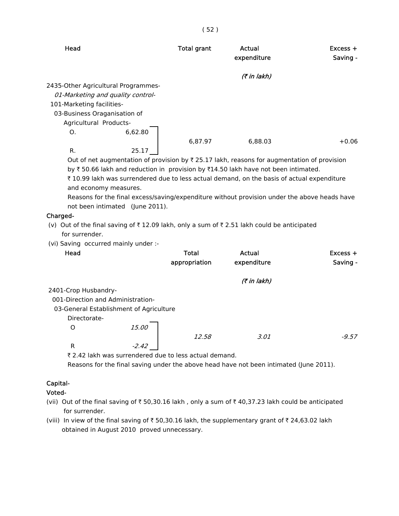| Head                                |                                   | <b>Total grant</b> | Actual<br>expenditure                                                                                               | $Excess +$<br>Saving - |
|-------------------------------------|-----------------------------------|--------------------|---------------------------------------------------------------------------------------------------------------------|------------------------|
|                                     |                                   |                    | (₹ in lakh)                                                                                                         |                        |
| 2435-Other Agricultural Programmes- |                                   |                    |                                                                                                                     |                        |
|                                     | 01-Marketing and quality control- |                    |                                                                                                                     |                        |
| 101-Marketing facilities-           |                                   |                    |                                                                                                                     |                        |
| 03-Business Oraganisation of        |                                   |                    |                                                                                                                     |                        |
| Agricultural Products-              |                                   |                    |                                                                                                                     |                        |
| O.                                  | 6,62.80                           |                    |                                                                                                                     |                        |
|                                     |                                   | 6,87.97            | 6.88.03                                                                                                             | $+0.06$                |
| R.                                  | 25.17                             |                    |                                                                                                                     |                        |
|                                     |                                   |                    | Out of net augmentation of provision by $\bar{\tau}$ 25.17 lakh, reasons for augmentation of provision              |                        |
|                                     |                                   |                    | by $\overline{\tau}$ 50.66 lakh and reduction in provision by $\overline{\tau}$ 14.50 lakh have not been intimated. |                        |
|                                     |                                   |                    | ₹10.99 lakh was surrendered due to less actual demand, on the basis of actual expenditure                           |                        |

and economy measures.

 Reasons for the final excess/saving/expenditure without provision under the above heads have not been intimated (June 2011).

#### Charged-

(v) Out of the final saving of  $\bar{\tau}$  12.09 lakh, only a sum of  $\bar{\tau}$  2.51 lakh could be anticipated for surrender.

(vi) Saving occurred mainly under :-

| Head                                    |         | <b>Total</b>  | Actual      | $Excess +$ |
|-----------------------------------------|---------|---------------|-------------|------------|
|                                         |         | appropriation | expenditure | Saving -   |
|                                         |         |               | (7 in lakh) |            |
| 2401-Crop Husbandry-                    |         |               |             |            |
| 001-Direction and Administration-       |         |               |             |            |
| 03-General Establishment of Agriculture |         |               |             |            |
| Directorate-                            |         |               |             |            |
| O                                       | 15.00   |               |             |            |
|                                         |         | 12.58         | 3.01        | $-9.57$    |
| R                                       | $-2.42$ |               |             |            |

₹ 2.42 lakh was surrendered due to less actual demand.

Reasons for the final saving under the above head have not been intimated (June 2011).

### Capital-

Voted-

(vii) Out of the final saving of  $\bar{\tau}$  50,30.16 lakh, only a sum of  $\bar{\tau}$  40,37.23 lakh could be anticipated for surrender.

(viii) In view of the final saving of  $\bar{\tau}$  50,30.16 lakh, the supplementary grant of  $\bar{\tau}$  24,63.02 lakh obtained in August 2010 proved unnecessary.

( 52 )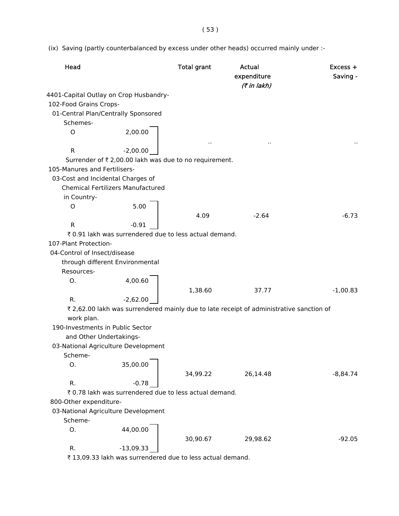(ix) Saving (partly counterbalanced by excess under other heads) occurred mainly under :-

| Head                                   |                                                        | <b>Total grant</b> | <b>Actual</b><br>expenditure<br>(7 in lakh)                                             | $Excess +$<br>Saving - |
|----------------------------------------|--------------------------------------------------------|--------------------|-----------------------------------------------------------------------------------------|------------------------|
| 4401-Capital Outlay on Crop Husbandry- |                                                        |                    |                                                                                         |                        |
| 102-Food Grains Crops-                 |                                                        |                    |                                                                                         |                        |
| 01-Central Plan/Centrally Sponsored    |                                                        |                    |                                                                                         |                        |
| Schemes-                               |                                                        |                    |                                                                                         |                        |
| O                                      | 2,00.00                                                | $\sim$             | $\ddot{\phantom{1}}$                                                                    |                        |
| $\mathsf{R}$                           | $-2,00.00$                                             |                    |                                                                                         |                        |
|                                        | Surrender of ₹ 2,00.00 lakh was due to no requirement. |                    |                                                                                         |                        |
| 105-Manures and Fertilisers-           |                                                        |                    |                                                                                         |                        |
| 03-Cost and Incidental Charges of      |                                                        |                    |                                                                                         |                        |
|                                        | <b>Chemical Fertilizers Manufactured</b>               |                    |                                                                                         |                        |
| in Country-                            |                                                        |                    |                                                                                         |                        |
| $\circ$                                | 5.00                                                   |                    |                                                                                         |                        |
|                                        |                                                        | 4.09               | $-2.64$                                                                                 | $-6.73$                |
| $\mathsf{R}$                           | $-0.91$                                                |                    |                                                                                         |                        |
|                                        | ₹ 0.91 lakh was surrendered due to less actual demand. |                    |                                                                                         |                        |
| 107-Plant Protection-                  |                                                        |                    |                                                                                         |                        |
| 04-Control of Insect/disease           |                                                        |                    |                                                                                         |                        |
| through different Environmental        |                                                        |                    |                                                                                         |                        |
| Resources-                             |                                                        |                    |                                                                                         |                        |
| Ο.                                     | 4,00.60                                                |                    |                                                                                         |                        |
|                                        |                                                        | 1,38.60            | 37.77                                                                                   | $-1,00.83$             |
| R.                                     | $-2,62.00$                                             |                    |                                                                                         |                        |
|                                        |                                                        |                    | ₹ 2,62.00 lakh was surrendered mainly due to late receipt of administrative sanction of |                        |
| work plan.                             |                                                        |                    |                                                                                         |                        |
| 190-Investments in Public Sector       |                                                        |                    |                                                                                         |                        |
| and Other Undertakings-                |                                                        |                    |                                                                                         |                        |
| 03-National Agriculture Development    |                                                        |                    |                                                                                         |                        |
| Scheme-                                |                                                        |                    |                                                                                         |                        |
| Ο.                                     | 35,00.00                                               |                    |                                                                                         |                        |
|                                        |                                                        | 34,99.22           | 26,14.48                                                                                | $-8,84.74$             |
| R.                                     | $-0.78$                                                |                    |                                                                                         |                        |
|                                        | ₹ 0.78 lakh was surrendered due to less actual demand. |                    |                                                                                         |                        |
| 800-Other expenditure-                 |                                                        |                    |                                                                                         |                        |
| 03-National Agriculture Development    |                                                        |                    |                                                                                         |                        |
| Scheme-                                |                                                        |                    |                                                                                         |                        |
| Ο.                                     | 44,00.00                                               |                    |                                                                                         |                        |
|                                        |                                                        | 30,90.67           | 29,98.62                                                                                | $-92.05$               |
| R.                                     | $-13,09.33$                                            |                    |                                                                                         |                        |

 $\bar{X}$  13,09.33 lakh was surrendered due to less actual demand.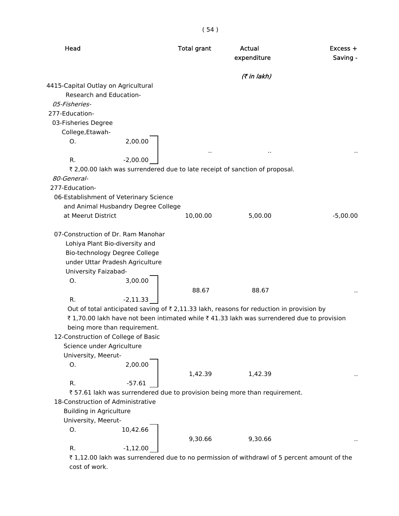| Head                                                                                                                                                                   |            | <b>Total grant</b> | Actual<br>expenditure                                                                                    | $Excess +$<br>Saving - |
|------------------------------------------------------------------------------------------------------------------------------------------------------------------------|------------|--------------------|----------------------------------------------------------------------------------------------------------|------------------------|
|                                                                                                                                                                        |            |                    | (7 in lakh)                                                                                              |                        |
| 4415-Capital Outlay on Agricultural                                                                                                                                    |            |                    |                                                                                                          |                        |
| Research and Education-                                                                                                                                                |            |                    |                                                                                                          |                        |
| 05-Fisheries-                                                                                                                                                          |            |                    |                                                                                                          |                        |
| 277-Education-                                                                                                                                                         |            |                    |                                                                                                          |                        |
| 03-Fisheries Degree                                                                                                                                                    |            |                    |                                                                                                          |                        |
| College, Etawah-                                                                                                                                                       |            |                    |                                                                                                          |                        |
| Ο.                                                                                                                                                                     | 2,00.00    | $\sim$             |                                                                                                          |                        |
| R.                                                                                                                                                                     | $-2,00.00$ |                    |                                                                                                          |                        |
|                                                                                                                                                                        |            |                    | ₹ 2,00.00 lakh was surrendered due to late receipt of sanction of proposal.                              |                        |
| 80-General-                                                                                                                                                            |            |                    |                                                                                                          |                        |
| 277-Education-                                                                                                                                                         |            |                    |                                                                                                          |                        |
| 06-Establishment of Veterinary Science                                                                                                                                 |            |                    |                                                                                                          |                        |
| and Animal Husbandry Degree College                                                                                                                                    |            |                    |                                                                                                          |                        |
| at Meerut District                                                                                                                                                     |            | 10,00.00           | 5,00.00                                                                                                  | $-5,00.00$             |
| 07-Construction of Dr. Ram Manohar<br>Lohiya Plant Bio-diversity and<br>Bio-technology Degree College<br>under Uttar Pradesh Agriculture<br>University Faizabad-<br>O. | 3,00.00    |                    |                                                                                                          |                        |
|                                                                                                                                                                        |            | 88.67              | 88.67                                                                                                    |                        |
| R.                                                                                                                                                                     | $-2,11.33$ |                    |                                                                                                          |                        |
|                                                                                                                                                                        |            |                    | Out of total anticipated saving of $\overline{\tau}$ 2,11.33 lakh, reasons for reduction in provision by |                        |
|                                                                                                                                                                        |            |                    | ₹1,70.00 lakh have not been intimated while ₹41.33 lakh was surrendered due to provision                 |                        |
| being more than requirement.                                                                                                                                           |            |                    |                                                                                                          |                        |
| 12-Construction of College of Basic<br>Science under Agriculture                                                                                                       |            |                    |                                                                                                          |                        |
| University, Meerut-                                                                                                                                                    |            |                    |                                                                                                          |                        |
| О.                                                                                                                                                                     | 2,00.00    |                    |                                                                                                          |                        |
|                                                                                                                                                                        |            | 1,42.39            | 1,42.39                                                                                                  |                        |
| R.                                                                                                                                                                     | $-57.61$   |                    |                                                                                                          |                        |
|                                                                                                                                                                        |            |                    | ₹57.61 lakh was surrendered due to provision being more than requirement.                                |                        |
| 18-Construction of Administrative                                                                                                                                      |            |                    |                                                                                                          |                        |
| <b>Building in Agriculture</b>                                                                                                                                         |            |                    |                                                                                                          |                        |
| University, Meerut-                                                                                                                                                    |            |                    |                                                                                                          |                        |
| О.                                                                                                                                                                     | 10,42.66   |                    |                                                                                                          |                        |
| R.                                                                                                                                                                     | $-1,12.00$ | 9,30.66            | 9,30.66                                                                                                  |                        |

 $\bar{\tau}$  1,12.00 lakh was surrendered due to no permission of withdrawl of 5 percent amount of the cost of work.

( 54 )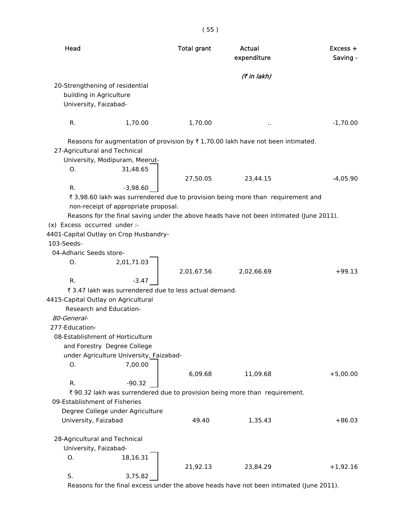| Head                                |                                                        | <b>Total grant</b> | Actual<br>expenditure                                                                   | $Excess +$<br>Saving - |
|-------------------------------------|--------------------------------------------------------|--------------------|-----------------------------------------------------------------------------------------|------------------------|
|                                     |                                                        |                    | (7 in lakh)                                                                             |                        |
| 20-Strengthening of residential     |                                                        |                    |                                                                                         |                        |
| building in Agriculture             |                                                        |                    |                                                                                         |                        |
| University, Faizabad-               |                                                        |                    |                                                                                         |                        |
|                                     |                                                        |                    |                                                                                         |                        |
| R.                                  | 1,70.00                                                | 1,70.00            |                                                                                         | $-1,70.00$             |
|                                     |                                                        |                    | Reasons for augmentation of provision by ₹1,70.00 lakh have not been intimated.         |                        |
| 27-Agricultural and Technical       |                                                        |                    |                                                                                         |                        |
|                                     | University, Modipuram, Meerut-                         |                    |                                                                                         |                        |
| О.                                  | 31,48.65                                               |                    |                                                                                         |                        |
|                                     |                                                        | 27,50.05           | 23,44.15                                                                                | $-4,05.90$             |
| R.                                  | $-3,98.60$                                             |                    |                                                                                         |                        |
|                                     |                                                        |                    | ₹ 3,98.60 lakh was surrendered due to provision being more than requirement and         |                        |
|                                     | non-receipt of appropriate proposal.                   |                    |                                                                                         |                        |
|                                     |                                                        |                    | Reasons for the final saving under the above heads have not been intimated (June 2011). |                        |
| (x) Excess occurred under :-        |                                                        |                    |                                                                                         |                        |
|                                     | 4401-Capital Outlay on Crop Husbandry-                 |                    |                                                                                         |                        |
| 103-Seeds-                          |                                                        |                    |                                                                                         |                        |
| 04-Adharic Seeds store-             |                                                        |                    |                                                                                         |                        |
| O.                                  | 2,01,71.03                                             |                    |                                                                                         |                        |
|                                     |                                                        | 2,01,67.56         | 2,02,66.69                                                                              | $+99.13$               |
| R.                                  | $-3.47$                                                |                    |                                                                                         |                        |
|                                     | ₹ 3.47 lakh was surrendered due to less actual demand. |                    |                                                                                         |                        |
| 4415-Capital Outlay on Agricultural |                                                        |                    |                                                                                         |                        |
| Research and Education-             |                                                        |                    |                                                                                         |                        |
| 80-General-                         |                                                        |                    |                                                                                         |                        |
| 277-Education-                      |                                                        |                    |                                                                                         |                        |
| 08-Establishment of Horticulture    |                                                        |                    |                                                                                         |                        |
|                                     | and Forestry Degree College                            |                    |                                                                                         |                        |
|                                     | under Agriculture University, Faizabad-                |                    |                                                                                         |                        |
| О.                                  | 7,00.00                                                |                    |                                                                                         |                        |
|                                     |                                                        | 6,09.68            | 11,09.68                                                                                | $+5,00.00$             |
| R.                                  | $-90.32$                                               |                    |                                                                                         |                        |
|                                     |                                                        |                    | ₹ 90.32 lakh was surrendered due to provision being more than requirement.              |                        |
| 09-Establishment of Fisheries       |                                                        |                    |                                                                                         |                        |
|                                     | Degree College under Agriculture                       |                    |                                                                                         |                        |
| University, Faizabad                |                                                        | 49.40              | 1,35.43                                                                                 | $+86.03$               |
|                                     |                                                        |                    |                                                                                         |                        |
| 28-Agricultural and Technical       |                                                        |                    |                                                                                         |                        |
| University, Faizabad-               |                                                        |                    |                                                                                         |                        |
| О.                                  | 18,16.31                                               |                    |                                                                                         |                        |
|                                     |                                                        | 21,92.13           | 23,84.29                                                                                | $+1,92.16$             |
| S.                                  | 3,75.82                                                |                    |                                                                                         |                        |
|                                     |                                                        |                    |                                                                                         |                        |

Reasons for the final excess under the above heads have not been intimated (June 2011).

# ( 55 )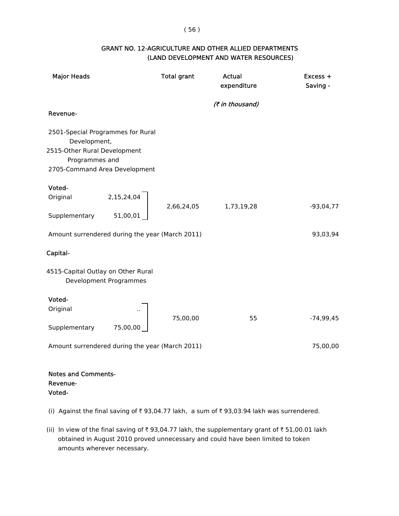#### ( 56 )

### GRANT NO. 12-AGRICULTURE AND OTHER ALLIED DEPARTMENTS (LAND DEVELOPMENT AND WATER RESOURCES)

| <b>Major Heads</b>                                |                        | <b>Total grant</b> | Actual<br>expenditure | Excess +<br>Saving - |
|---------------------------------------------------|------------------------|--------------------|-----------------------|----------------------|
| Revenue-                                          |                        |                    | (₹ in thousand)       |                      |
|                                                   |                        |                    |                       |                      |
| 2501-Special Programmes for Rural<br>Development, |                        |                    |                       |                      |
| 2515-Other Rural Development<br>Programmes and    |                        |                    |                       |                      |
| 2705-Command Area Development                     |                        |                    |                       |                      |
| Voted-                                            |                        |                    |                       |                      |
| Original                                          | 2,15,24,04             |                    |                       |                      |
| Supplementary                                     | 51,00,01               | 2,66,24,05         | 1,73,19,28            | $-93,04,77$          |
| Amount surrendered during the year (March 2011)   |                        |                    |                       | 93,03,94             |
| Capital-                                          |                        |                    |                       |                      |
| 4515-Capital Outlay on Other Rural                | Development Programmes |                    |                       |                      |
| Voted-                                            |                        |                    |                       |                      |
| Original                                          |                        | 75,00,00           | 55                    | $-74,99,45$          |
| Supplementary                                     | 75,00,00               |                    |                       |                      |
| Amount surrendered during the year (March 2011)   |                        |                    |                       | 75,00,00             |
|                                                   |                        |                    |                       |                      |
| <b>Notes and Comments-</b>                        |                        |                    |                       |                      |

# Revenue-

- Voted-
- (i) Against the final saving of  $\bar{\tau}$  93,04.77 lakh, a sum of  $\bar{\tau}$  93,03.94 lakh was surrendered.
- (ii) In view of the final saving of  $\bar{\tau}$  93,04.77 lakh, the supplementary grant of  $\bar{\tau}$  51,00.01 lakh obtained in August 2010 proved unnecessary and could have been limited to token amounts wherever necessary.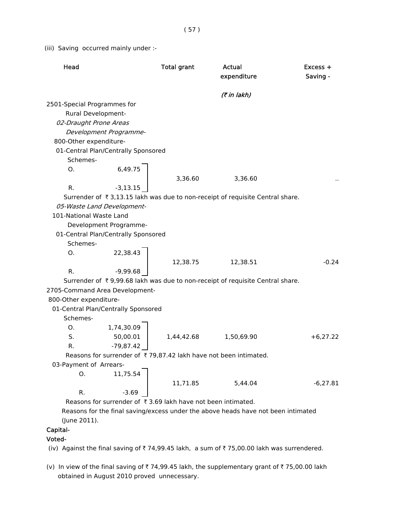(iii) Saving occurred mainly under :-

| Head                                |             | <b>Total grant</b>                                               | Actual<br>expenditure                                                             | Excess +<br>Saving - |
|-------------------------------------|-------------|------------------------------------------------------------------|-----------------------------------------------------------------------------------|----------------------|
|                                     |             |                                                                  | (7 in lakh)                                                                       |                      |
| 2501-Special Programmes for         |             |                                                                  |                                                                                   |                      |
| Rural Development-                  |             |                                                                  |                                                                                   |                      |
| 02-Draught Prone Areas              |             |                                                                  |                                                                                   |                      |
| Development Programme-              |             |                                                                  |                                                                                   |                      |
| 800-Other expenditure-              |             |                                                                  |                                                                                   |                      |
| 01-Central Plan/Centrally Sponsored |             |                                                                  |                                                                                   |                      |
| Schemes-                            |             |                                                                  |                                                                                   |                      |
| O.                                  | 6,49.75     |                                                                  |                                                                                   |                      |
|                                     |             | 3,36.60                                                          | 3,36.60                                                                           |                      |
| R.                                  | $-3,13.15$  |                                                                  |                                                                                   |                      |
|                                     |             |                                                                  | Surrender of ₹3,13.15 lakh was due to non-receipt of requisite Central share.     |                      |
| 05-Waste Land Development-          |             |                                                                  |                                                                                   |                      |
| 101-National Waste Land             |             |                                                                  |                                                                                   |                      |
| Development Programme-              |             |                                                                  |                                                                                   |                      |
| 01-Central Plan/Centrally Sponsored |             |                                                                  |                                                                                   |                      |
| Schemes-                            |             |                                                                  |                                                                                   |                      |
| O.                                  | 22,38.43    |                                                                  |                                                                                   |                      |
|                                     |             | 12,38.75                                                         | 12,38.51                                                                          | $-0.24$              |
| R.                                  | -9,99.68    |                                                                  |                                                                                   |                      |
|                                     |             |                                                                  | Surrender of ₹9,99.68 lakh was due to non-receipt of requisite Central share.     |                      |
| 2705-Command Area Development-      |             |                                                                  |                                                                                   |                      |
| 800-Other expenditure-              |             |                                                                  |                                                                                   |                      |
| 01-Central Plan/Centrally Sponsored |             |                                                                  |                                                                                   |                      |
| Schemes-                            |             |                                                                  |                                                                                   |                      |
| 0.                                  | 1,74,30.09  |                                                                  |                                                                                   |                      |
| S.                                  | 50,00.01    | 1,44,42.68                                                       | 1,50,69.90                                                                        | $+6,27.22$           |
| R.                                  | $-79,87.42$ |                                                                  |                                                                                   |                      |
|                                     |             | Reasons for surrender of ₹79,87.42 lakh have not been intimated. |                                                                                   |                      |
| 03-Payment of Arrears-              |             |                                                                  |                                                                                   |                      |
| O.                                  | 11,75.54    |                                                                  |                                                                                   |                      |
|                                     |             | 11,71.85                                                         | 5,44.04                                                                           | $-6,27.81$           |
| R.                                  | $-3.69$     |                                                                  |                                                                                   |                      |
|                                     |             | Reasons for surrender of ₹3.69 lakh have not been intimated.     |                                                                                   |                      |
|                                     |             |                                                                  | Reasons for the final saving/excess under the above heads have not been intimated |                      |
| (June 2011).                        |             |                                                                  |                                                                                   |                      |

# Capital-

# Voted-

(iv) Against the final saving of  $\bar{\tau}$  74,99.45 lakh, a sum of  $\bar{\tau}$  75,00.00 lakh was surrendered.

(v) In view of the final saving of  $\bar{z}$  74,99.45 lakh, the supplementary grant of  $\bar{z}$  75,00.00 lakh obtained in August 2010 proved unnecessary.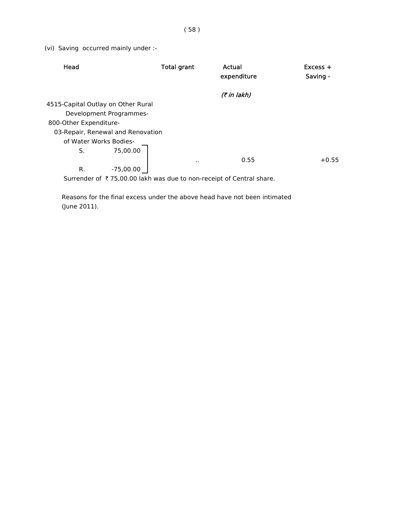(vi) Saving occurred mainly under :-

| Head                               |                                   | Total grant | Actual<br>expenditure                                                | $Excess +$<br>Saving - |
|------------------------------------|-----------------------------------|-------------|----------------------------------------------------------------------|------------------------|
|                                    |                                   |             | (₹ in lakh)                                                          |                        |
| 4515-Capital Outlay on Other Rural |                                   |             |                                                                      |                        |
|                                    | Development Programmes-           |             |                                                                      |                        |
| 800-Other Expenditure-             |                                   |             |                                                                      |                        |
|                                    | 03-Repair, Renewal and Renovation |             |                                                                      |                        |
| of Water Works Bodies-             |                                   |             |                                                                      |                        |
| S.                                 | 75,00.00                          |             |                                                                      |                        |
|                                    |                                   | ٠.          | 0.55                                                                 | $+0.55$                |
| R.                                 | -75,00.00                         |             |                                                                      |                        |
|                                    |                                   |             | Surrender of ₹75,00.00 lakh was due to non-receipt of Central share. |                        |

 Reasons for the final excess under the above head have not been intimated (June 2011).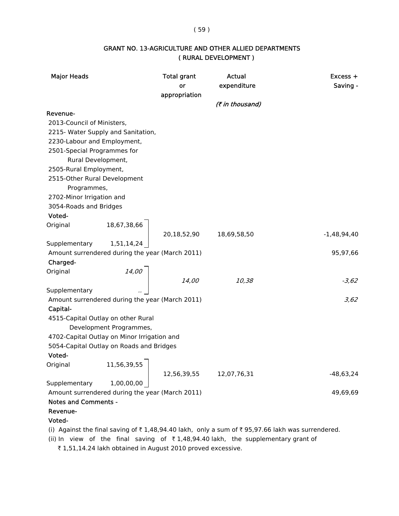### ( 59 )

# GRANT NO. 13-AGRICULTURE AND OTHER ALLIED DEPARTMENTS ( RURAL DEVELOPMENT )

| <b>Major Heads</b>           |                                                 | <b>Total grant</b><br>or<br>appropriation | Actual<br>expenditure<br>(₹ in thousand)                                                                                  | $Excess +$<br>Saving - |
|------------------------------|-------------------------------------------------|-------------------------------------------|---------------------------------------------------------------------------------------------------------------------------|------------------------|
| Revenue-                     |                                                 |                                           |                                                                                                                           |                        |
| 2013-Council of Ministers,   |                                                 |                                           |                                                                                                                           |                        |
|                              | 2215- Water Supply and Sanitation,              |                                           |                                                                                                                           |                        |
| 2230-Labour and Employment,  |                                                 |                                           |                                                                                                                           |                        |
| 2501-Special Programmes for  |                                                 |                                           |                                                                                                                           |                        |
| Rural Development,           |                                                 |                                           |                                                                                                                           |                        |
| 2505-Rural Employment,       |                                                 |                                           |                                                                                                                           |                        |
| 2515-Other Rural Development |                                                 |                                           |                                                                                                                           |                        |
| Programmes,                  |                                                 |                                           |                                                                                                                           |                        |
| 2702-Minor Irrigation and    |                                                 |                                           |                                                                                                                           |                        |
| 3054-Roads and Bridges       |                                                 |                                           |                                                                                                                           |                        |
| Voted-                       |                                                 |                                           |                                                                                                                           |                        |
| Original                     | 18,67,38,66                                     | 20,18,52,90                               | 18,69,58,50                                                                                                               | $-1,48,94,40$          |
| Supplementary                | 1,51,14,24                                      |                                           |                                                                                                                           |                        |
|                              | Amount surrendered during the year (March 2011) |                                           |                                                                                                                           | 95,97,66               |
| Charged-                     |                                                 |                                           |                                                                                                                           |                        |
| Original                     |                                                 |                                           |                                                                                                                           |                        |
|                              | $14,00$                                         | 14,00                                     | 10,38                                                                                                                     | $-3,62$                |
| Supplementary                |                                                 |                                           |                                                                                                                           |                        |
|                              | Amount surrendered during the year (March 2011) |                                           |                                                                                                                           | 3,62                   |
| Capital-                     |                                                 |                                           |                                                                                                                           |                        |
|                              | 4515-Capital Outlay on other Rural              |                                           |                                                                                                                           |                        |
|                              | Development Programmes,                         |                                           |                                                                                                                           |                        |
|                              | 4702-Capital Outlay on Minor Irrigation and     |                                           |                                                                                                                           |                        |
|                              | 5054-Capital Outlay on Roads and Bridges        |                                           |                                                                                                                           |                        |
| Voted-                       |                                                 |                                           |                                                                                                                           |                        |
| Original                     | 11,56,39,55                                     |                                           |                                                                                                                           |                        |
|                              |                                                 | 12,56,39,55                               | 12,07,76,31                                                                                                               | $-48,63,24$            |
| Supplementary                | 1,00,00,00                                      |                                           |                                                                                                                           |                        |
| <b>Notes and Comments -</b>  | Amount surrendered during the year (March 2011) |                                           |                                                                                                                           | 49,69,69               |
| Revenue-                     |                                                 |                                           |                                                                                                                           |                        |
| Voted-                       |                                                 |                                           |                                                                                                                           |                        |
|                              |                                                 |                                           | (i) Against the final saving of $\overline{z}$ 1 48 94 40 lakh only a sum of $\overline{z}$ 95 97 66 lakh was surrendered |                        |

(i) Against the final saving of  $\bar{\tau}$  1,48,94.40 lakh, only a sum of  $\bar{\tau}$  95,97.66 lakh was surrendered.

(ii) In view of the final saving of  $\bar{\tau}$  1,48,94.40 lakh, the supplementary grant of

₹ 1,51,14.24 lakh obtained in August 2010 proved excessive.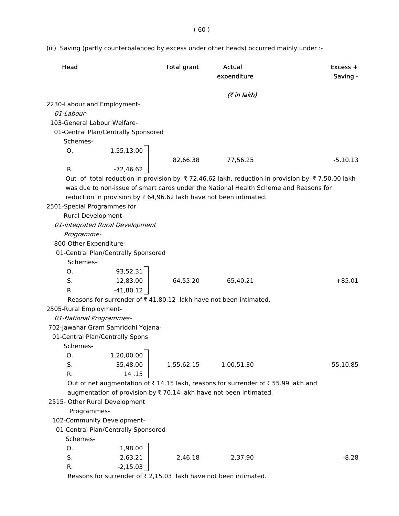( 60 )

(iii) Saving (partly counterbalanced by excess under other heads) occurred mainly under :-

| Head                                                               | <b>Total grant</b> | Actual<br>expenditure                                                                                                          | $Excess +$<br>Saving - |
|--------------------------------------------------------------------|--------------------|--------------------------------------------------------------------------------------------------------------------------------|------------------------|
|                                                                    |                    | (7 in lakh)                                                                                                                    |                        |
| 2230-Labour and Employment-<br>01-Labour-                          |                    |                                                                                                                                |                        |
| 103-General Labour Welfare-                                        |                    |                                                                                                                                |                        |
|                                                                    |                    |                                                                                                                                |                        |
| 01-Central Plan/Centrally Sponsored<br>Schemes-                    |                    |                                                                                                                                |                        |
| 1,55,13.00<br>0.                                                   |                    |                                                                                                                                |                        |
|                                                                    | 82,66.38           | 77,56.25                                                                                                                       | $-5,10.13$             |
| $-72,46.62$<br>R.                                                  |                    |                                                                                                                                |                        |
|                                                                    |                    | Out of total reduction in provision by $\overline{\xi}$ 72,46.62 lakh, reduction in provision by $\overline{\xi}$ 7,50.00 lakh |                        |
|                                                                    |                    | was due to non-issue of smart cards under the National Health Scheme and Reasons for                                           |                        |
| reduction in provision by ₹ 64,96.62 lakh have not been intimated. |                    |                                                                                                                                |                        |
| 2501-Special Programmes for                                        |                    |                                                                                                                                |                        |
| Rural Development-                                                 |                    |                                                                                                                                |                        |
| 01-Integrated Rural Development                                    |                    |                                                                                                                                |                        |
| Programme-                                                         |                    |                                                                                                                                |                        |
| 800-Other Expenditure-                                             |                    |                                                                                                                                |                        |
| 01-Central Plan/Centrally Sponsored                                |                    |                                                                                                                                |                        |
| Schemes-                                                           |                    |                                                                                                                                |                        |
| 93,52.31<br>0.                                                     |                    |                                                                                                                                |                        |
| S.<br>12,83.00                                                     | 64,55.20           | 65,40.21                                                                                                                       | $+85.01$               |
| $-41,80.12$<br>R.                                                  |                    |                                                                                                                                |                        |
| Reasons for surrender of ₹41,80.12 lakh have not been intimated.   |                    |                                                                                                                                |                        |
| 2505-Rural Employment-                                             |                    |                                                                                                                                |                        |
| 01-National Programmes-                                            |                    |                                                                                                                                |                        |
| 702-Jawahar Gram Samriddhi Yojana-                                 |                    |                                                                                                                                |                        |
| 01-Central Plan/Centrally Spons                                    |                    |                                                                                                                                |                        |
| Schemes-                                                           |                    |                                                                                                                                |                        |
| 1,20,00.00<br>О.                                                   |                    |                                                                                                                                |                        |
| S.<br>35,48.00                                                     | 1,55,62.15         | 1,00,51.30                                                                                                                     | $-55,10.85$            |
| R.<br>14.15                                                        |                    |                                                                                                                                |                        |
|                                                                    |                    | Out of net augmentation of ₹14.15 lakh, reasons for surrender of ₹55.99 lakh and                                               |                        |
| augmentation of provision by ₹70.14 lakh have not been intimated.  |                    |                                                                                                                                |                        |
| 2515- Other Rural Development                                      |                    |                                                                                                                                |                        |
| Programmes-                                                        |                    |                                                                                                                                |                        |
| 102-Community Development-                                         |                    |                                                                                                                                |                        |
| 01-Central Plan/Centrally Sponsored                                |                    |                                                                                                                                |                        |
| Schemes-                                                           |                    |                                                                                                                                |                        |
| 1,98.00<br>О.                                                      |                    |                                                                                                                                |                        |
| 2,63.21<br>S.                                                      | 2,46.18            | 2,37.90                                                                                                                        | $-8.28$                |
| $-2,15.03$<br>R.                                                   |                    |                                                                                                                                |                        |

Reasons for surrender of  $\bar{\tau}$  2,15.03 lakh have not been intimated.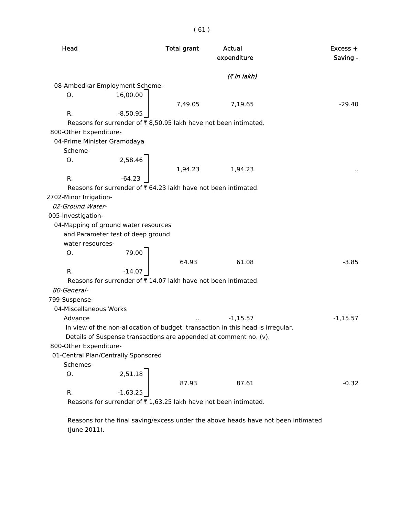| Head                                    |                                   | <b>Total grant</b>                                             | Actual<br>expenditure                                                           | Excess +<br>Saving - |
|-----------------------------------------|-----------------------------------|----------------------------------------------------------------|---------------------------------------------------------------------------------|----------------------|
|                                         |                                   |                                                                | (7 in lakh)                                                                     |                      |
| 08-Ambedkar Employment Scheme-          |                                   |                                                                |                                                                                 |                      |
| О.                                      | 16,00.00                          |                                                                |                                                                                 |                      |
|                                         |                                   | 7,49.05                                                        | 7,19.65                                                                         | $-29.40$             |
| R.                                      | $-8,50.95$                        |                                                                |                                                                                 |                      |
|                                         |                                   |                                                                | Reasons for surrender of ₹8,50.95 lakh have not been intimated.                 |                      |
| 800-Other Expenditure-                  |                                   |                                                                |                                                                                 |                      |
| 04-Prime Minister Gramodaya             |                                   |                                                                |                                                                                 |                      |
| Scheme-                                 |                                   |                                                                |                                                                                 |                      |
| Ο.                                      | 2,58.46                           |                                                                |                                                                                 |                      |
|                                         |                                   | 1,94.23                                                        | 1,94.23                                                                         |                      |
| R.                                      | $-64.23$                          |                                                                |                                                                                 |                      |
|                                         |                                   | Reasons for surrender of ₹ 64.23 lakh have not been intimated. |                                                                                 |                      |
| 2702-Minor Irrigation-                  |                                   |                                                                |                                                                                 |                      |
| 02-Ground Water-                        |                                   |                                                                |                                                                                 |                      |
| 005-Investigation-                      |                                   |                                                                |                                                                                 |                      |
| 04-Mapping of ground water resources    |                                   |                                                                |                                                                                 |                      |
|                                         | and Parameter test of deep ground |                                                                |                                                                                 |                      |
| water resources-                        |                                   |                                                                |                                                                                 |                      |
| Ο.                                      | 79.00                             |                                                                |                                                                                 |                      |
|                                         |                                   | 64.93                                                          | 61.08                                                                           | $-3.85$              |
| R.                                      | $-14.07$                          |                                                                |                                                                                 |                      |
| 80-General-                             |                                   | Reasons for surrender of ₹14.07 lakh have not been intimated.  |                                                                                 |                      |
|                                         |                                   |                                                                |                                                                                 |                      |
| 799-Suspense-<br>04-Miscellaneous Works |                                   |                                                                |                                                                                 |                      |
| Advance                                 |                                   |                                                                | $-1,15.57$                                                                      | $-1,15.57$           |
|                                         |                                   |                                                                | In view of the non-allocation of budget, transaction in this head is irregular. |                      |
|                                         |                                   |                                                                | Details of Suspense transactions are appended at comment no. (v).               |                      |
| 800-Other Expenditure-                  |                                   |                                                                |                                                                                 |                      |
| 01-Central Plan/Centrally Sponsored     |                                   |                                                                |                                                                                 |                      |
| Schemes-                                |                                   |                                                                |                                                                                 |                      |
| О.                                      | 2,51.18                           |                                                                |                                                                                 |                      |
|                                         |                                   | 87.93                                                          | 87.61                                                                           | $-0.32$              |
| R.                                      | $-1,63.25$                        |                                                                |                                                                                 |                      |
|                                         |                                   |                                                                | Reasons for surrender of ₹1,63.25 lakh have not been intimated.                 |                      |

 Reasons for the final saving/excess under the above heads have not been intimated (June 2011).

# ( 61 )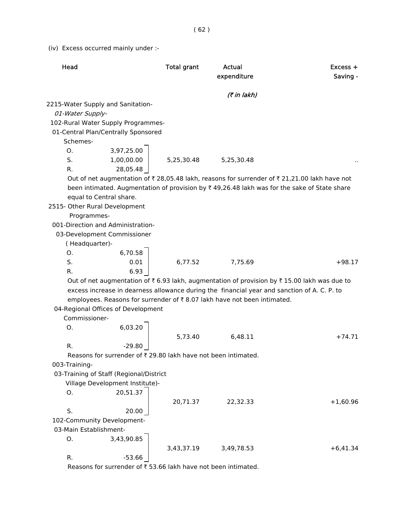(iv) Excess occurred mainly under :-

| Head                                    |                                 | <b>Total grant</b>                                             | <b>Actual</b><br>expenditure                                                                  | Excess +<br>Saving - |
|-----------------------------------------|---------------------------------|----------------------------------------------------------------|-----------------------------------------------------------------------------------------------|----------------------|
|                                         |                                 |                                                                | (7 in lakh)                                                                                   |                      |
| 2215-Water Supply and Sanitation-       |                                 |                                                                |                                                                                               |                      |
| 01-Water Supply-                        |                                 |                                                                |                                                                                               |                      |
| 102-Rural Water Supply Programmes-      |                                 |                                                                |                                                                                               |                      |
| 01-Central Plan/Centrally Sponsored     |                                 |                                                                |                                                                                               |                      |
| Schemes-                                |                                 |                                                                |                                                                                               |                      |
| O.                                      | 3,97,25.00                      |                                                                |                                                                                               |                      |
| S.                                      | 1,00,00.00                      | 5,25,30.48                                                     | 5,25,30.48                                                                                    |                      |
| R.                                      | 28,05.48                        |                                                                |                                                                                               |                      |
|                                         |                                 |                                                                | Out of net augmentation of ₹ 28,05.48 lakh, reasons for surrender of ₹ 21,21.00 lakh have not |                      |
|                                         |                                 |                                                                | been intimated. Augmentation of provision by ₹49,26.48 lakh was for the sake of State share   |                      |
| equal to Central share.                 |                                 |                                                                |                                                                                               |                      |
| 2515- Other Rural Development           |                                 |                                                                |                                                                                               |                      |
| Programmes-                             |                                 |                                                                |                                                                                               |                      |
| 001-Direction and Administration-       |                                 |                                                                |                                                                                               |                      |
| 03-Development Commissioner             |                                 |                                                                |                                                                                               |                      |
| (Headquarter)-                          |                                 |                                                                |                                                                                               |                      |
| O.                                      | 6,70.58                         |                                                                |                                                                                               |                      |
| S.                                      | 0.01                            | 6,77.52                                                        | 7,75.69                                                                                       | $+98.17$             |
| R.                                      | 6.93                            |                                                                |                                                                                               |                      |
|                                         |                                 |                                                                | Out of net augmentation of ₹ 6.93 lakh, augmentation of provision by ₹ 15.00 lakh was due to  |                      |
|                                         |                                 |                                                                | excess increase in dearness allowance during the financial year and sanction of A. C. P. to   |                      |
|                                         |                                 |                                                                | employees. Reasons for surrender of ₹8.07 lakh have not been intimated.                       |                      |
| 04-Regional Offices of Development      |                                 |                                                                |                                                                                               |                      |
| Commissioner-                           |                                 |                                                                |                                                                                               |                      |
| О.                                      | 6,03.20                         |                                                                |                                                                                               |                      |
|                                         |                                 | 5,73.40                                                        | 6,48.11                                                                                       | $+74.71$             |
| R.                                      | $-29.80$                        |                                                                |                                                                                               |                      |
|                                         |                                 | Reasons for surrender of ₹ 29.80 lakh have not been intimated. |                                                                                               |                      |
| 003-Training-                           |                                 |                                                                |                                                                                               |                      |
| 03-Training of Staff (Regional/District |                                 |                                                                |                                                                                               |                      |
|                                         | Village Development Institute)- |                                                                |                                                                                               |                      |
| O.                                      | 20,51.37                        |                                                                |                                                                                               |                      |
|                                         |                                 | 20,71.37                                                       | 22,32.33                                                                                      | $+1,60.96$           |
| S.                                      | 20.00                           |                                                                |                                                                                               |                      |
| 102-Community Development-              |                                 |                                                                |                                                                                               |                      |
| 03-Main Establishment-                  |                                 |                                                                |                                                                                               |                      |
| О.                                      |                                 |                                                                |                                                                                               |                      |
|                                         | 3,43,90.85                      |                                                                |                                                                                               |                      |
|                                         |                                 | 3,43,37.19                                                     | 3,49,78.53                                                                                    | $+6,41.34$           |

Reasons for surrender of  $\bar{\tau}$  53.66 lakh have not been intimated.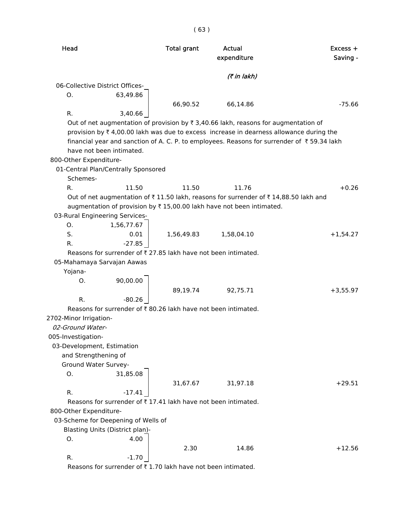Head **Total grant** Actual Excess + expenditure Saving - $($ ₹ in lakh) 06-Collective District Offices-O. 63,49.86 66,90.52 66,14.86 -75.66 R. 3,40.66 Out of net augmentation of provision by  $\bar{\tau}$  3,40.66 lakh, reasons for augmentation of provision by  $\bar{\tau}$  4,00.00 lakh was due to excess increase in dearness allowance during the financial year and sanction of A. C. P. to employees. Reasons for surrender of  $\bar{\tau}$  59.34 lakh have not been intimated. 800-Other Expenditure- 01-Central Plan/Centrally Sponsored Schemes-R. 11.50 11.50 11.76 +0.26 Out of net augmentation of  $\bar{\tau}$  11.50 lakh, reasons for surrender of  $\bar{\tau}$  14,88.50 lakh and augmentation of provision by  $\bar{\tau}$  15,00.00 lakh have not been intimated. 03-Rural Engineering Services-O. 1,56,77.67 S. 0.01 1.56.49.83 1.58.04.10 +1.54.27  $R.$   $-27.85$ Reasons for surrender of  $\bar{\tau}$  27.85 lakh have not been intimated. 05-Mahamaya Sarvajan Aawas Yojana- O. 90,00.00 89,19.74 92,75.71 +3,55.97  $R.$   $-80.26$ Reasons for surrender of  $\bar{x}$  80.26 lakh have not been intimated. 2702-Minor Irrigation- 02-Ground Water- 005-Investigation- 03-Development, Estimation and Strengthening of Ground Water Survey-O. 31,85.08 31,67.67 31,97.18 +29.51 R.  $-17.41$ Reasons for surrender of  $\bar{\tau}$  17.41 lakh have not been intimated. 800-Other Expenditure- 03-Scheme for Deepening of Wells of Blasting Units (District plan)- O. 4.00 2.30 14.86 +12.56

Reasons for surrender of  $\bar{\tau}$  1.70 lakh have not been intimated.

R.  $-1.70$ 

( 63 )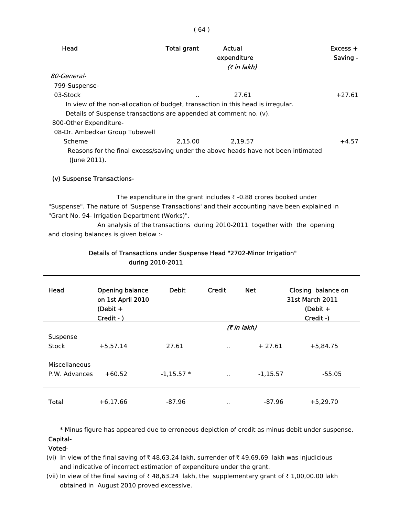| Head                           | <b>Total grant</b>                                                                | Actual<br>expenditure<br>(₹ in lakh) | $Excess +$<br>Saving - |
|--------------------------------|-----------------------------------------------------------------------------------|--------------------------------------|------------------------|
| <i>80-General-</i>             |                                                                                   |                                      |                        |
| 799-Suspense-                  |                                                                                   |                                      |                        |
| 03-Stock                       | $\cdot$ .                                                                         | 27.61                                | $+27.61$               |
|                                | In view of the non-allocation of budget, transaction in this head is irregular.   |                                      |                        |
|                                | Details of Suspense transactions are appended at comment no. (v).                 |                                      |                        |
| 800-Other Expenditure-         |                                                                                   |                                      |                        |
| 08-Dr. Ambedkar Group Tubewell |                                                                                   |                                      |                        |
| Scheme                         | 2.15.00                                                                           | 2.19.57                              | $+4.57$                |
| (June 2011).                   | Reasons for the final excess/saving under the above heads have not been intimated |                                      |                        |
|                                |                                                                                   |                                      |                        |

### (v) Suspense Transactions-

The expenditure in the grant includes  $\bar{\tau}$  -0.88 crores booked under "Suspense". The nature of 'Suspense Transactions' and their accounting have been explained in "Grant No. 94- Irrigation Department (Works)".

An analysis of the transactions during 2010-2011 together with the opening and closing balances is given below :-

| Head          | Opening balance<br>on 1st April 2010<br>(Debit $+$<br>Credit - ) | <b>Debit</b> | Credit               | <b>Net</b>  | Closing balance on<br><b>31st March 2011</b><br>(Debit $+$<br>Credit -) |
|---------------|------------------------------------------------------------------|--------------|----------------------|-------------|-------------------------------------------------------------------------|
|               |                                                                  |              |                      | (7 in lakh) |                                                                         |
| Suspense      |                                                                  |              |                      |             |                                                                         |
| Stock         | $+5,57.14$                                                       | 27.61        | $\ddot{\phantom{a}}$ | $+27.61$    | $+5,84.75$                                                              |
| Miscellaneous |                                                                  |              |                      |             |                                                                         |
| P.W. Advances | $+60.52$                                                         | $-1,15.57*$  | $\cdot$ .            | $-1,15.57$  | $-55.05$                                                                |
| Total         | $+6,17.66$                                                       | $-87.96$     | $\cdot$ .            | $-87.96$    | $+5,29.70$                                                              |

### Details of Transactions under Suspense Head "2702-Minor Irrigation" during 2010-2011

 \* Minus figure has appeared due to erroneous depiction of credit as minus debit under suspense. Capital-

Voted-

- (vi) In view of the final saving of  $\bar{\tau}$  48,63.24 lakh, surrender of  $\bar{\tau}$  49,69.69 lakh was injudicious and indicative of incorrect estimation of expenditure under the grant.
- (vii) In view of the final saving of  $\bar{\tau}$  48,63.24 lakh, the supplementary grant of  $\bar{\tau}$  1,00,00.00 lakh obtained in August 2010 proved excessive.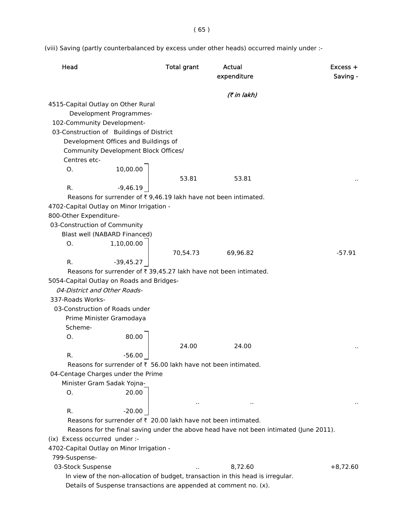( 65 )

(viii) Saving (partly counterbalanced by excess under other heads) occurred mainly under :-

| Head                                                                                   | <b>Total grant</b> | Actual<br>expenditure |            |  |
|----------------------------------------------------------------------------------------|--------------------|-----------------------|------------|--|
|                                                                                        |                    | (₹ in lakh)           |            |  |
| 4515-Capital Outlay on Other Rural                                                     |                    |                       |            |  |
| Development Programmes-                                                                |                    |                       |            |  |
| 102-Community Development-                                                             |                    |                       |            |  |
| 03-Construction of Buildings of District                                               |                    |                       |            |  |
| Development Offices and Buildings of                                                   |                    |                       |            |  |
| Community Development Block Offices/                                                   |                    |                       |            |  |
| Centres etc-                                                                           |                    |                       |            |  |
| 10,00.00<br>Ο.                                                                         |                    |                       |            |  |
|                                                                                        | 53.81              | 53.81                 |            |  |
| R.<br>-9,46.19                                                                         |                    |                       |            |  |
| Reasons for surrender of ₹9,46.19 lakh have not been intimated.                        |                    |                       |            |  |
| 4702-Capital Outlay on Minor Irrigation -                                              |                    |                       |            |  |
| 800-Other Expenditure-                                                                 |                    |                       |            |  |
| 03-Construction of Community                                                           |                    |                       |            |  |
| Blast well (NABARD Financed)<br>1,10,00.00<br>Ο.                                       |                    |                       |            |  |
|                                                                                        | 70,54.73           | 69,96.82              | $-57.91$   |  |
| R.<br>$-39,45.27$                                                                      |                    |                       |            |  |
| Reasons for surrender of ₹ 39,45.27 lakh have not been intimated.                      |                    |                       |            |  |
| 5054-Capital Outlay on Roads and Bridges-                                              |                    |                       |            |  |
| 04-District and Other Roads-                                                           |                    |                       |            |  |
| 337-Roads Works-                                                                       |                    |                       |            |  |
| 03-Construction of Roads under                                                         |                    |                       |            |  |
| Prime Minister Gramodaya                                                               |                    |                       |            |  |
| Scheme-                                                                                |                    |                       |            |  |
| 80.00<br>Ο.                                                                            |                    |                       |            |  |
|                                                                                        | 24.00              | 24.00                 |            |  |
| $-56.00$<br>R.                                                                         |                    |                       |            |  |
| Reasons for surrender of ₹ 56.00 lakh have not been intimated.                         |                    |                       |            |  |
| 04-Centage Charges under the Prime                                                     |                    |                       |            |  |
| Minister Gram Sadak Yojna-                                                             |                    |                       |            |  |
| 20.00<br>О.                                                                            |                    |                       |            |  |
|                                                                                        | $\cdot$ .          | $\cdot$ .             |            |  |
| $-20.00$<br>R.                                                                         |                    |                       |            |  |
| Reasons for surrender of ₹ 20.00 lakh have not been intimated.                         |                    |                       |            |  |
| Reasons for the final saving under the above head have not been intimated (June 2011). |                    |                       |            |  |
| (ix) Excess occurred under :-                                                          |                    |                       |            |  |
| 4702-Capital Outlay on Minor Irrigation -                                              |                    |                       |            |  |
| 799-Suspense-                                                                          |                    |                       |            |  |
| 03-Stock Suspense                                                                      |                    | 8,72.60               | $+8,72.60$ |  |
| In view of the non-allocation of budget, transaction in this head is irregular.        |                    |                       |            |  |
| Details of Suspense transactions are appended at comment no. (x).                      |                    |                       |            |  |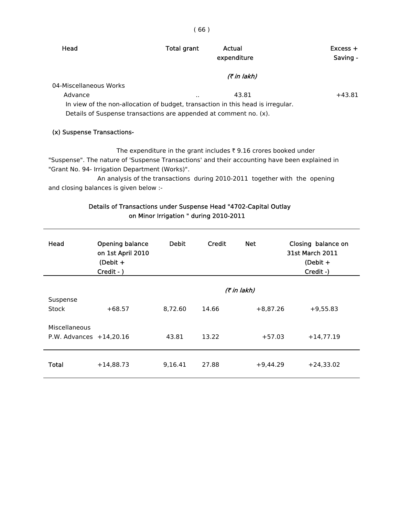| ۰,<br>I<br>× |  |
|--------------|--|
|              |  |

| Head                       | Total grant                                                       | Actual<br>expenditure                                                           | $Excess +$<br>Saving - |
|----------------------------|-------------------------------------------------------------------|---------------------------------------------------------------------------------|------------------------|
|                            |                                                                   | <i>(₹ in lakh)</i>                                                              |                        |
| 04-Miscellaneous Works     |                                                                   |                                                                                 |                        |
| Advance                    | $\cdots$                                                          | 43.81                                                                           | $+43.81$               |
|                            |                                                                   | In view of the non-allocation of budget, transaction in this head is irregular. |                        |
|                            | Details of Suspense transactions are appended at comment no. (x). |                                                                                 |                        |
|                            |                                                                   |                                                                                 |                        |
| (x) Suspense Transactions- |                                                                   |                                                                                 |                        |

The expenditure in the grant includes  $\bar{\tau}$  9.16 crores booked under "Suspense". The nature of 'Suspense Transactions' and their accounting have been explained in "Grant No. 94- Irrigation Department (Works)".

An analysis of the transactions during 2010-2011 together with the opening and closing balances is given below :-

# Details of Transactions under Suspense Head "4702-Capital Outlay on Minor Irrigation " during 2010-2011

| Head                                       | Opening balance<br>on 1st April 2010<br>(Debit $+$<br>Credit - ) | <b>Debit</b> | Credit | <b>Net</b>  | Closing balance on<br><b>31st March 2011</b><br>(Debit $+$<br>Credit -) |
|--------------------------------------------|------------------------------------------------------------------|--------------|--------|-------------|-------------------------------------------------------------------------|
|                                            |                                                                  |              |        | (7 in lakh) |                                                                         |
| Suspense<br><b>Stock</b>                   | $+68.57$                                                         | 8,72.60      | 14.66  | $+8,87.26$  | $+9,55.83$                                                              |
| Miscellaneous<br>P.W. Advances $+14,20.16$ |                                                                  | 43.81        | 13.22  | $+57.03$    | $+14,77.19$                                                             |
| Total                                      | $+14,88.73$                                                      | 9,16.41      | 27.88  | $+9,44.29$  | $+24,33.02$                                                             |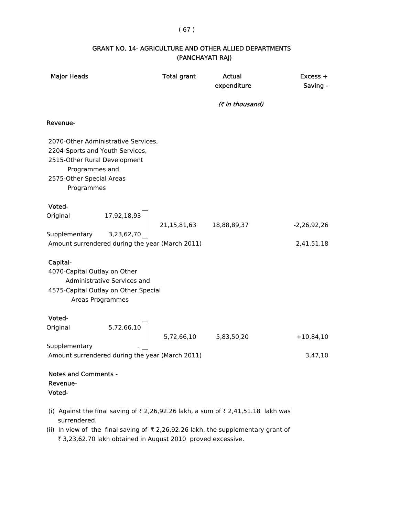## ( 67 )

## GRANT NO. 14- AGRICULTURE AND OTHER ALLIED DEPARTMENTS (PANCHAYATI RAJ)

| <b>Major Heads</b>                                                                                                                                                 | <b>Total grant</b> | <b>Actual</b><br>expenditure | $Excess +$<br>Saving - |
|--------------------------------------------------------------------------------------------------------------------------------------------------------------------|--------------------|------------------------------|------------------------|
|                                                                                                                                                                    |                    | (₹ in thousand)              |                        |
| Revenue-                                                                                                                                                           |                    |                              |                        |
| 2070-Other Administrative Services,<br>2204-Sports and Youth Services,<br>2515-Other Rural Development<br>Programmes and<br>2575-Other Special Areas<br>Programmes |                    |                              |                        |
| Voted-                                                                                                                                                             |                    |                              |                        |
| 17,92,18,93<br>Original                                                                                                                                            | 21,15,81,63        | 18,88,89,37                  | $-2,26,92,26$          |
| Supplementary<br>3,23,62,70<br>Amount surrendered during the year (March 2011)                                                                                     |                    |                              | 2,41,51,18             |
| Capital-<br>4070-Capital Outlay on Other<br>Administrative Services and<br>4575-Capital Outlay on Other Special<br>Areas Programmes                                |                    |                              |                        |
| Voted-                                                                                                                                                             |                    |                              |                        |
| 5,72,66,10<br>Original                                                                                                                                             | 5,72,66,10         | 5,83,50,20                   | $+10,84,10$            |
| Supplementary<br>Amount surrendered during the year (March 2011)                                                                                                   |                    |                              | 3,47,10                |
| <b>Notes and Comments -</b><br>Revenue-<br>Voted-                                                                                                                  |                    |                              |                        |
| (i) Against the final saving of ₹2,26,92.26 lakh, a sum of ₹2,41,51.18 lakh was                                                                                    |                    |                              |                        |

- surrendered. (ii) In view of the final saving of  $\bar{\tau}$  2,26,92.26 lakh, the supplementary grant of
	- ₹ 3,23,62.70 lakh obtained in August 2010 proved excessive.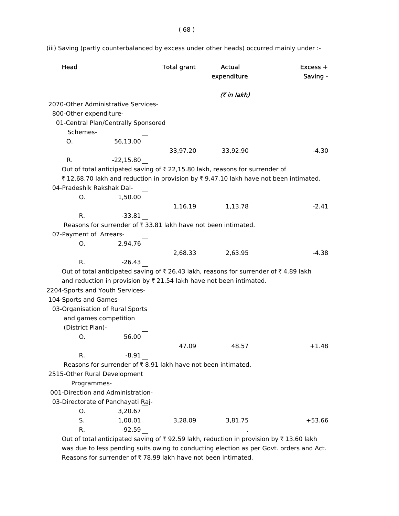(iii) Saving (partly counterbalanced by excess under other heads) occurred mainly under :-

| Head                                                                                  | <b>Total grant</b> | Actual<br>expenditure | $Excess +$<br>Saving - |
|---------------------------------------------------------------------------------------|--------------------|-----------------------|------------------------|
|                                                                                       |                    | (₹ in lakh)           |                        |
| 2070-Other Administrative Services-                                                   |                    |                       |                        |
| 800-Other expenditure-                                                                |                    |                       |                        |
| 01-Central Plan/Centrally Sponsored                                                   |                    |                       |                        |
| Schemes-                                                                              |                    |                       |                        |
| 56,13.00<br>O.                                                                        |                    |                       |                        |
|                                                                                       | 33,97.20           | 33,92.90              | $-4.30$                |
| R.<br>$-22,15.80$                                                                     |                    |                       |                        |
| Out of total anticipated saving of ₹ 22,15.80 lakh, reasons for surrender of          |                    |                       |                        |
| ₹12,68.70 lakh and reduction in provision by ₹9,47.10 lakh have not been intimated.   |                    |                       |                        |
| 04-Pradeshik Rakshak Dal-                                                             |                    |                       |                        |
| 1,50.00<br>O.                                                                         |                    |                       |                        |
|                                                                                       | 1,16.19            | 1,13.78               | $-2.41$                |
| $-33.81$<br>R.                                                                        |                    |                       |                        |
| Reasons for surrender of ₹ 33.81 lakh have not been intimated.                        |                    |                       |                        |
| 07-Payment of Arrears-                                                                |                    |                       |                        |
| 2,94.76<br>O.                                                                         |                    |                       |                        |
|                                                                                       | 2,68.33            | 2,63.95               | -4.38                  |
| $-26.43$<br>R.                                                                        |                    |                       |                        |
| Out of total anticipated saving of ₹ 26.43 lakh, reasons for surrender of ₹ 4.89 lakh |                    |                       |                        |
| and reduction in provision by ₹ 21.54 lakh have not been intimated.                   |                    |                       |                        |
| 2204-Sports and Youth Services-                                                       |                    |                       |                        |
| 104-Sports and Games-                                                                 |                    |                       |                        |
| 03-Organisation of Rural Sports                                                       |                    |                       |                        |
| and games competition                                                                 |                    |                       |                        |
| (District Plan)-                                                                      |                    |                       |                        |
| 56.00<br>O.                                                                           |                    |                       |                        |
|                                                                                       | 47.09              | 48.57                 | $+1.48$                |
| $-8.91$<br>R.                                                                         |                    |                       |                        |
| Reasons for surrender of ₹8.91 lakh have not been intimated.                          |                    |                       |                        |
| 2515-Other Rural Development                                                          |                    |                       |                        |
| Programmes-                                                                           |                    |                       |                        |
| 001-Direction and Administration-                                                     |                    |                       |                        |
| 03-Directorate of Panchayati Raj-                                                     |                    |                       |                        |
| O.<br>3,20.67                                                                         |                    |                       |                        |
| S.<br>1,00.01                                                                         | 3,28.09            | 3,81.75               | $+53.66$               |
| $-92.59$<br>R.                                                                        |                    |                       |                        |

Out of total anticipated saving of  $\bar{\tau}$  92.59 lakh, reduction in provision by  $\bar{\tau}$  13.60 lakh was due to less pending suits owing to conducting election as per Govt. orders and Act. Reasons for surrender of  $\bar{\tau}$  78.99 lakh have not been intimated.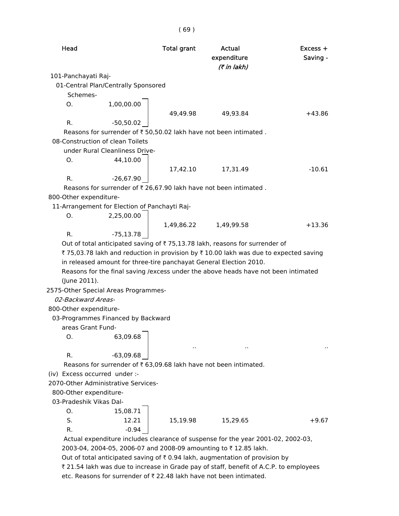| Head                                                                                  | <b>Total grant</b> | Actual<br>expenditure<br>(7 in lakh) | $Excess +$<br>Saving - |
|---------------------------------------------------------------------------------------|--------------------|--------------------------------------|------------------------|
| 101-Panchayati Raj-                                                                   |                    |                                      |                        |
| 01-Central Plan/Centrally Sponsored<br>Schemes-                                       |                    |                                      |                        |
| 1,00,00.00<br>0.                                                                      |                    |                                      |                        |
|                                                                                       | 49,49.98           | 49,93.84                             | +43.86                 |
| -50,50.02<br>R.                                                                       |                    |                                      |                        |
| Reasons for surrender of ₹ 50,50.02 lakh have not been intimated.                     |                    |                                      |                        |
| 08-Construction of clean Toilets                                                      |                    |                                      |                        |
| under Rural Cleanliness Drive-                                                        |                    |                                      |                        |
| Ο.<br>44,10.00                                                                        |                    |                                      |                        |
|                                                                                       |                    | 17,42.10 17,31.49                    | $-10.61$               |
| $-26,67.90$<br>R.                                                                     |                    |                                      |                        |
| Reasons for surrender of ₹ 26,67.90 lakh have not been intimated.                     |                    |                                      |                        |
| 800-Other expenditure-                                                                |                    |                                      |                        |
| 11-Arrangement for Election of Panchayti Raj-                                         |                    |                                      |                        |
| 2,25,00.00<br>Ο.                                                                      |                    |                                      |                        |
|                                                                                       |                    | 1,49,86.22 1,49,99.58                | $+13.36$               |
| R.<br>$-75,13.78$                                                                     |                    |                                      |                        |
| Out of total anticipated saving of ₹75,13.78 lakh, reasons for surrender of           |                    |                                      |                        |
| ₹ 75,03.78 lakh and reduction in provision by ₹ 10.00 lakh was due to expected saving |                    |                                      |                        |
| in released amount for three-tire panchayat General Election 2010.                    |                    |                                      |                        |
| Reasons for the final saving / excess under the above heads have not been intimated   |                    |                                      |                        |
| (June 2011).                                                                          |                    |                                      |                        |
| 2575-Other Special Areas Programmes-                                                  |                    |                                      |                        |
| 02-Backward Areas-                                                                    |                    |                                      |                        |
| 800-Other expenditure-                                                                |                    |                                      |                        |
| 03-Programmes Financed by Backward                                                    |                    |                                      |                        |
| areas Grant Fund-                                                                     |                    |                                      |                        |
| 63,09.68<br>О.                                                                        |                    |                                      |                        |
|                                                                                       |                    |                                      |                        |
| R.<br>$-63,09.68$                                                                     |                    |                                      |                        |
| Reasons for surrender of ₹ 63,09.68 lakh have not been intimated.                     |                    |                                      |                        |
| (iv) Excess occurred under :-                                                         |                    |                                      |                        |
| 2070-Other Administrative Services-                                                   |                    |                                      |                        |
| 800-Other expenditure-                                                                |                    |                                      |                        |
| 03-Pradeshik Vikas Dal-                                                               |                    |                                      |                        |
| 15,08.71<br>Ο.                                                                        |                    |                                      |                        |
| S.<br>12.21                                                                           | 15,19.98           | 15,29.65                             | $+9.67$                |
| R.                                                                                    | $-0.94$            |                                      |                        |
| Actual expenditure includes clearance of suspense for the year 2001-02, 2002-03,      |                    |                                      |                        |
| 2003-04, 2004-05, 2006-07 and 2008-09 amounting to ₹12.85 lakh.                       |                    |                                      |                        |
| Out of total anticipated saving of ₹0.94 lakh, augmentation of provision by           |                    |                                      |                        |

₹ 21.54 lakh was due to increase in Grade pay of staff, benefit of A.C.P. to employees etc. Reasons for surrender of  $\bar{\tau}$  22.48 lakh have not been intimated.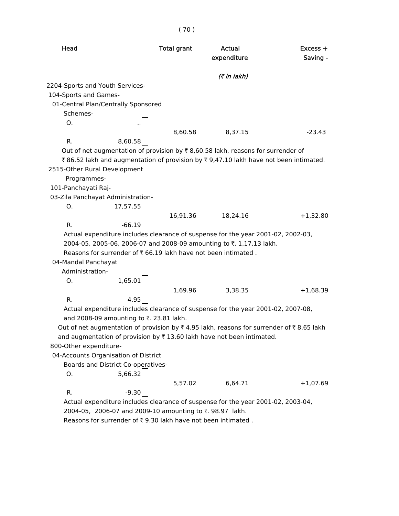| Head                                                                                    | <b>Total grant</b> | Actual<br>expenditure | $Excess +$<br>Saving - |
|-----------------------------------------------------------------------------------------|--------------------|-----------------------|------------------------|
|                                                                                         |                    |                       |                        |
|                                                                                         |                    | (7 in lakh)           |                        |
| 2204-Sports and Youth Services-                                                         |                    |                       |                        |
| 104-Sports and Games-                                                                   |                    |                       |                        |
| 01-Central Plan/Centrally Sponsored                                                     |                    |                       |                        |
| Schemes-                                                                                |                    |                       |                        |
| О.                                                                                      | 8,60.58            | 8,37.15               | $-23.43$               |
| R.<br>8,60.58                                                                           |                    |                       |                        |
| Out of net augmentation of provision by ₹8,60.58 lakh, reasons for surrender of         |                    |                       |                        |
| ₹86.52 lakh and augmentation of provision by ₹9,47.10 lakh have not been intimated.     |                    |                       |                        |
| 2515-Other Rural Development                                                            |                    |                       |                        |
| Programmes-                                                                             |                    |                       |                        |
| 101-Panchayati Raj-                                                                     |                    |                       |                        |
| 03-Zila Panchayat Administration-                                                       |                    |                       |                        |
| 17,57.55<br>О.                                                                          |                    |                       |                        |
|                                                                                         | 16,91.36           | 18,24.16              | $+1,32.80$             |
| R.<br>$-66.19$                                                                          |                    |                       |                        |
| Actual expenditure includes clearance of suspense for the year 2001-02, 2002-03,        |                    |                       |                        |
| 2004-05, 2005-06, 2006-07 and 2008-09 amounting to ₹. 1,17.13 lakh.                     |                    |                       |                        |
| Reasons for surrender of ₹ 66.19 lakh have not been intimated.                          |                    |                       |                        |
| 04-Mandal Panchayat                                                                     |                    |                       |                        |
| Administration-                                                                         |                    |                       |                        |
| 1,65.01<br>О.                                                                           |                    |                       |                        |
|                                                                                         | 1,69.96            | 3,38.35               | $+1,68.39$             |
| R.<br>4.95                                                                              |                    |                       |                        |
| Actual expenditure includes clearance of suspense for the year 2001-02, 2007-08,        |                    |                       |                        |
| and 2008-09 amounting to ₹. 23.81 lakh.                                                 |                    |                       |                        |
| Out of net augmentation of provision by ₹4.95 lakh, reasons for surrender of ₹8.65 lakh |                    |                       |                        |
| and augmentation of provision by ₹13.60 lakh have not been intimated.                   |                    |                       |                        |
| 800-Other expenditure-                                                                  |                    |                       |                        |
| 04-Accounts Organisation of District                                                    |                    |                       |                        |
| Boards and District Co-operatives-                                                      |                    |                       |                        |
| 5,66.32<br>О.                                                                           |                    |                       |                        |
|                                                                                         | 5,57.02            | 6,64.71               | $+1,07.69$             |
| R.<br>$-9.30$                                                                           |                    |                       |                        |
| Actual expenditure includes clearance of suspense for the year 2001-02, 2003-04,        |                    |                       |                        |
| 2004-05, 2006-07 and 2009-10 amounting to ₹. 98.97 lakh.                                |                    |                       |                        |

Reasons for surrender of  $\bar{\tau}$  9.30 lakh have not been intimated .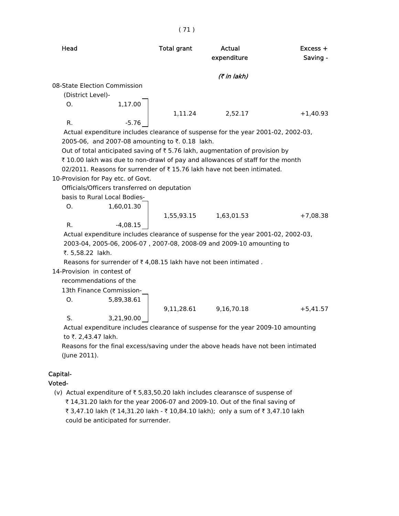| Head                                                                              | <b>Total grant</b> | Actual<br>expenditure | $Excess +$<br>Saving - |
|-----------------------------------------------------------------------------------|--------------------|-----------------------|------------------------|
|                                                                                   |                    | (7 in lakh)           |                        |
| 08-State Election Commission                                                      |                    |                       |                        |
| (District Level)-                                                                 |                    |                       |                        |
| 1,17.00<br>Ο.                                                                     |                    |                       |                        |
|                                                                                   | 1,11.24            | 2,52.17               | $+1,40.93$             |
| R.<br>$-5.76$                                                                     |                    |                       |                        |
| Actual expenditure includes clearance of suspense for the year 2001-02, 2002-03,  |                    |                       |                        |
| 2005-06, and 2007-08 amounting to ₹. 0.18 lakh.                                   |                    |                       |                        |
| Out of total anticipated saving of ₹5.76 lakh, augmentation of provision by       |                    |                       |                        |
| ₹ 10.00 lakh was due to non-drawl of pay and allowances of staff for the month    |                    |                       |                        |
| 02/2011. Reasons for surrender of ₹15.76 lakh have not been intimated.            |                    |                       |                        |
| 10-Provision for Pay etc. of Govt.                                                |                    |                       |                        |
| Officials/Officers transferred on deputation                                      |                    |                       |                        |
| basis to Rural Local Bodies-                                                      |                    |                       |                        |
| 1,60,01.30<br>0.                                                                  |                    |                       |                        |
|                                                                                   | 1,55,93.15         | 1,63,01.53            | $+7,08.38$             |
| R.<br>$-4,08.15$                                                                  |                    |                       |                        |
| Actual expenditure includes clearance of suspense for the year 2001-02, 2002-03,  |                    |                       |                        |
| 2003-04, 2005-06, 2006-07, 2007-08, 2008-09 and 2009-10 amounting to              |                    |                       |                        |
| ₹. 5,58.22 lakh.                                                                  |                    |                       |                        |
| Reasons for surrender of ₹4,08.15 lakh have not been intimated.                   |                    |                       |                        |
| 14-Provision in contest of                                                        |                    |                       |                        |
| recommendations of the                                                            |                    |                       |                        |
| 13th Finance Commission-                                                          |                    |                       |                        |
| 5,89,38.61<br>Ο.                                                                  |                    |                       |                        |
|                                                                                   | 9,11,28.61         | 9,16,70.18            | $+5,41.57$             |
| S.<br>3,21,90.00                                                                  |                    |                       |                        |
| Actual expenditure includes clearance of suspense for the year 2009-10 amounting  |                    |                       |                        |
| to ₹. 2,43.47 lakh.                                                               |                    |                       |                        |
| Reasons for the final excess/saving under the above heads have not been intimated |                    |                       |                        |

( 71 )

## Capital-

(June 2011).

Voted-

(v) Actual expenditure of  $\bar{z}$  5,83,50.20 lakh includes clearansce of suspense of  $\bar{\tau}$  14,31.20 lakh for the year 2006-07 and 2009-10. Out of the final saving of ₹ 3,47.10 lakh (₹ 14,31.20 lakh - ₹ 10,84.10 lakh); only a sum of ₹ 3,47.10 lakh could be anticipated for surrender.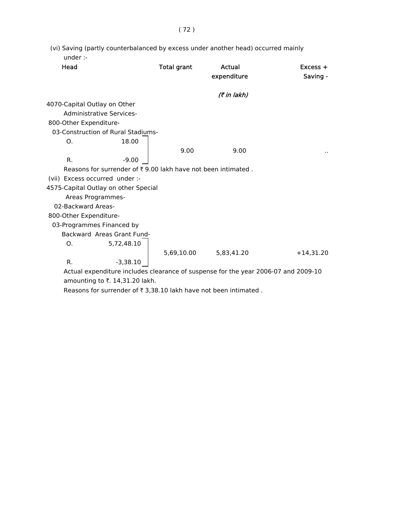| (vi) Saving (partly counterbalanced by excess under another head) occurred mainly |  |
|-----------------------------------------------------------------------------------|--|
| under :-                                                                          |  |

| Head                           |                                                               | <b>Total grant</b> | Actual<br>expenditure                                                              | $Excess +$<br>Saving - |
|--------------------------------|---------------------------------------------------------------|--------------------|------------------------------------------------------------------------------------|------------------------|
|                                |                                                               |                    | (₹ in lakh)                                                                        |                        |
| 4070-Capital Outlay on Other   |                                                               |                    |                                                                                    |                        |
|                                | Administrative Services-                                      |                    |                                                                                    |                        |
| 800-Other Expenditure-         |                                                               |                    |                                                                                    |                        |
|                                | 03-Construction of Rural Stadiums-                            |                    |                                                                                    |                        |
| O.                             | 18.00                                                         |                    |                                                                                    |                        |
|                                |                                                               | 9.00               | 9.00                                                                               |                        |
| R.                             | $-9.00$                                                       |                    |                                                                                    |                        |
|                                | Reasons for surrender of ₹ 9.00 lakh have not been intimated. |                    |                                                                                    |                        |
| (vii) Excess occurred under :- |                                                               |                    |                                                                                    |                        |
|                                | 4575-Capital Outlay on other Special                          |                    |                                                                                    |                        |
| Areas Programmes-              |                                                               |                    |                                                                                    |                        |
| 02-Backward Areas-             |                                                               |                    |                                                                                    |                        |
| 800-Other Expenditure-         |                                                               |                    |                                                                                    |                        |
| 03-Programmes Financed by      |                                                               |                    |                                                                                    |                        |
|                                | Backward Areas Grant Fund-                                    |                    |                                                                                    |                        |
| O.                             | 5,72,48.10                                                    |                    |                                                                                    |                        |
|                                |                                                               | 5,69,10.00         | 5,83,41.20                                                                         | $+14,31.20$            |
| R.                             | $-3,38.10$                                                    |                    |                                                                                    |                        |
|                                |                                                               |                    | Actual expenditure includes clearance of suspense for the year 2006-07 and 2009-10 |                        |
|                                |                                                               |                    |                                                                                    |                        |

amounting to  $\bar{\tau}$ . 14,31.20 lakh.

Reasons for surrender of  $\bar{\tau}$  3,38.10 lakh have not been intimated .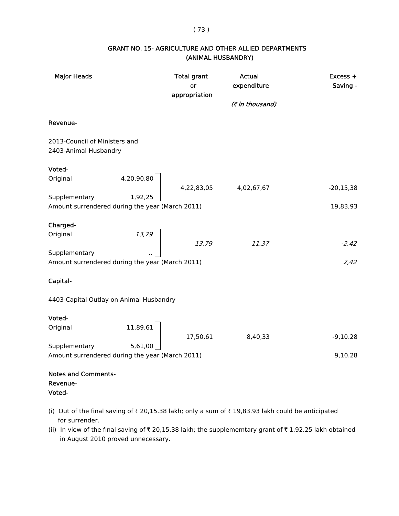#### ( 73 )

## GRANT NO. 15- AGRICULTURE AND OTHER ALLIED DEPARTMENTS (ANIMAL HUSBANDRY)

| <b>Major Heads</b>                                               |                                      | <b>Total grant</b><br>or<br>appropriation                                                                                                                                                                             | Actual<br>expenditure | Excess +<br>Saving - |
|------------------------------------------------------------------|--------------------------------------|-----------------------------------------------------------------------------------------------------------------------------------------------------------------------------------------------------------------------|-----------------------|----------------------|
|                                                                  |                                      |                                                                                                                                                                                                                       | (₹ in thousand)       |                      |
| Revenue-                                                         |                                      |                                                                                                                                                                                                                       |                       |                      |
| 2013-Council of Ministers and<br>2403-Animal Husbandry           |                                      |                                                                                                                                                                                                                       |                       |                      |
| Voted-                                                           |                                      |                                                                                                                                                                                                                       |                       |                      |
| Original                                                         |                                      | $\left\{\n \begin{array}{ccc}\n 4,20,90,80 \\  1,02,25\n \end{array}\n \right.\n \left.\n \begin{array}{ccc}\n 4,22,83,05\n \end{array}\n \right.\n \left.\n \begin{array}{ccc}\n 4,02,67,67\n \end{array}\n \right.$ |                       | $-20, 15, 38$        |
| Supplementary<br>Amount surrendered during the year (March 2011) |                                      |                                                                                                                                                                                                                       |                       | 19,83,93             |
| Charged-                                                         |                                      |                                                                                                                                                                                                                       |                       |                      |
| Original                                                         | $\begin{array}{c} 13,79 \end{array}$ | 13,79                                                                                                                                                                                                                 | 11,37                 | $-2,42$              |
| Supplementary<br>Amount surrendered during the year (March 2011) |                                      |                                                                                                                                                                                                                       |                       | 2,42                 |
| Capital-                                                         |                                      |                                                                                                                                                                                                                       |                       |                      |
| 4403-Capital Outlay on Animal Husbandry                          |                                      |                                                                                                                                                                                                                       |                       |                      |
| Voted-                                                           |                                      |                                                                                                                                                                                                                       |                       |                      |
| Original                                                         | 11,89,61                             | 17,50,61                                                                                                                                                                                                              | 8,40,33               | $-9,10.28$           |
| Supplementary                                                    | 5,61,00                              |                                                                                                                                                                                                                       |                       |                      |
| Amount surrendered during the year (March 2011)                  |                                      |                                                                                                                                                                                                                       |                       | 9,10.28              |
| <b>Notes and Comments-</b>                                       |                                      |                                                                                                                                                                                                                       |                       |                      |
| Revenue-<br>Voted-                                               |                                      |                                                                                                                                                                                                                       |                       |                      |

- (i) Out of the final saving of  $\bar{\tau}$  20,15.38 lakh; only a sum of  $\bar{\tau}$  19,83.93 lakh could be anticipated for surrender.
- (ii) In view of the final saving of  $\bar{\tau}$  20,15.38 lakh; the supplememtary grant of  $\bar{\tau}$  1,92.25 lakh obtained in August 2010 proved unnecessary.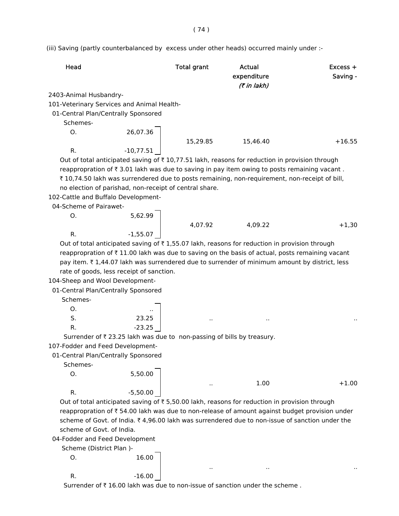(iii) Saving (partly counterbalanced by excess under other heads) occurred mainly under :-

| Head                                                                                                      | Total grant | Actual<br>expenditure<br>(7 in lakh) | $Excess +$<br>Saving - |
|-----------------------------------------------------------------------------------------------------------|-------------|--------------------------------------|------------------------|
| 2403-Animal Husbandry-                                                                                    |             |                                      |                        |
| 101-Veterinary Services and Animal Health-                                                                |             |                                      |                        |
| 01-Central Plan/Centrally Sponsored                                                                       |             |                                      |                        |
| Schemes-                                                                                                  |             |                                      |                        |
| O.                                                                                                        | 26,07.36    |                                      |                        |
|                                                                                                           | 15.29.85    | 15.46.40                             | $+16.55$               |
| $-10,77.51$<br>R.                                                                                         |             |                                      |                        |
| Out of total anticipated saving of $\bar{\tau}$ 10,77.51 lakh, reasons for reduction in provision through |             |                                      |                        |

reappropration of  $\bar{\tau}$  3.01 lakh was due to saving in pay item owing to posts remaining vacant. ₹ 10,74.50 lakh was surrendered due to posts remaining, non-requirement, non-receipt of bill, no election of parishad, non-receipt of central share.

102-Cattle and Buffalo Development-

04-Scheme of Pairawet-

O. 5,62.99

4,07.92 4,09.22 +1,30 R.  $-1.55.07$ 

 $1.00 +1.00$ 

.. .. ..

Out of total anticipated saving of  $\bar{\tau}$  1,55.07 lakh, reasons for reduction in provision through reappropration of  $\bar{\tau}$  11.00 lakh was due to saving on the basis of actual, posts remaining vacant pay item.  $\bar{\tau}$  1,44.07 lakh was surrendered due to surrender of minimum amount by district, less rate of goods, less receipt of sanction.

104-Sheep and Wool Development-

01-Central Plan/Centrally Sponsored

Schemes-

| О. | . .      |     |     |     |
|----|----------|-----|-----|-----|
| S. | 23.25    | . . | . . | . . |
| R. | $-23.25$ |     |     |     |

Surrender of  $\bar{\tau}$  23.25 lakh was due to non-passing of bills by treasury.

107-Fodder and Feed Development-

01-Central Plan/Centrally Sponsored

Schemes-

| O. | 5,50.00    |
|----|------------|
| R. | $-5,50.00$ |

Out of total anticipated saving of  $\bar{z}$  5,50.00 lakh, reasons for reduction in provision through reappropration of  $\bar{\tau}$  54.00 lakh was due to non-release of amount against budget provision under scheme of Govt. of India.  $\bar{\tau}$  4,96.00 lakh was surrendered due to non-issue of sanction under the scheme of Govt. of India.

04-Fodder and Feed Development

Scheme (District Plan )-

```
O. 16.00
R. -16.00
```
Surrender of  $\bar{\tau}$  16.00 lakh was due to non-issue of sanction under the scheme.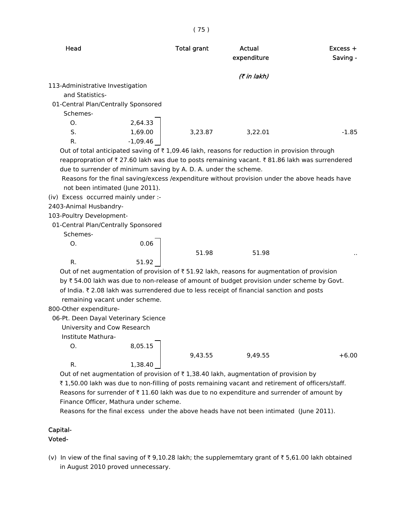|                                                                                                  | (75)               |                       |                        |
|--------------------------------------------------------------------------------------------------|--------------------|-----------------------|------------------------|
| Head                                                                                             | <b>Total grant</b> | Actual<br>expenditure | $Excess +$<br>Saving - |
|                                                                                                  |                    | (7 in lakh)           |                        |
| 113-Administrative Investigation                                                                 |                    |                       |                        |
| and Statistics-                                                                                  |                    |                       |                        |
| 01-Central Plan/Centrally Sponsored                                                              |                    |                       |                        |
| Schemes-                                                                                         |                    |                       |                        |
| 2,64.33<br>O.                                                                                    |                    |                       |                        |
| S.<br>1,69.00                                                                                    | 3,23.87            | 3,22.01               | $-1.85$                |
| $-1,09.46$<br>R.                                                                                 |                    |                       |                        |
| Out of total anticipated saving of ₹1,09.46 lakh, reasons for reduction in provision through     |                    |                       |                        |
| reappropration of ₹27.60 lakh was due to posts remaining vacant. ₹81.86 lakh was surrendered     |                    |                       |                        |
| due to surrender of minimum saving by A. D. A. under the scheme.                                 |                    |                       |                        |
| Reasons for the final saving/excess /expenditure without provision under the above heads have    |                    |                       |                        |
| not been intimated (June 2011).                                                                  |                    |                       |                        |
| (iv) Excess occurred mainly under :-                                                             |                    |                       |                        |
| 2403-Animal Husbandry-                                                                           |                    |                       |                        |
| 103-Poultry Development-                                                                         |                    |                       |                        |
| 01-Central Plan/Centrally Sponsored                                                              |                    |                       |                        |
| Schemes-                                                                                         |                    |                       |                        |
| 0.06<br>Ο.                                                                                       |                    |                       |                        |
|                                                                                                  | 51.98              | 51.98                 |                        |
| 51.92<br>R.                                                                                      |                    |                       |                        |
| Out of net augmentation of provision of ₹51.92 lakh, reasons for augmentation of provision       |                    |                       |                        |
| by ₹54.00 lakh was due to non-release of amount of budget provision under scheme by Govt.        |                    |                       |                        |
| of India. ₹2.08 lakh was surrendered due to less receipt of financial sanction and posts         |                    |                       |                        |
| remaining vacant under scheme.                                                                   |                    |                       |                        |
| 800-Other expenditure-                                                                           |                    |                       |                        |
| 06-Pt. Deen Dayal Veterinary Science                                                             |                    |                       |                        |
| University and Cow Research                                                                      |                    |                       |                        |
| Institute Mathura-                                                                               |                    |                       |                        |
| 8,05.15<br>O.                                                                                    |                    |                       |                        |
|                                                                                                  | 9,43.55            | 9,49.55               | $+6.00$                |
| 1,38.40<br>R.                                                                                    |                    |                       |                        |
| Out of net augmentation of provision of $\bar{\tau}$ 1,38.40 lakh, augmentation of provision by  |                    |                       |                        |
| ₹1,50.00 lakh was due to non-filling of posts remaining vacant and retirement of officers/staff. |                    |                       |                        |

Reasons for surrender of  $\bar{\tau}$  11.60 lakh was due to no expenditure and surrender of amount by Finance Officer, Mathura under scheme.

Reasons for the final excess under the above heads have not been intimated (June 2011).

# Capital-

## Voted-

(v) In view of the final saving of  $\bar{\tau}$  9,10.28 lakh; the supplememtary grant of  $\bar{\tau}$  5,61.00 lakh obtained in August 2010 proved unnecessary.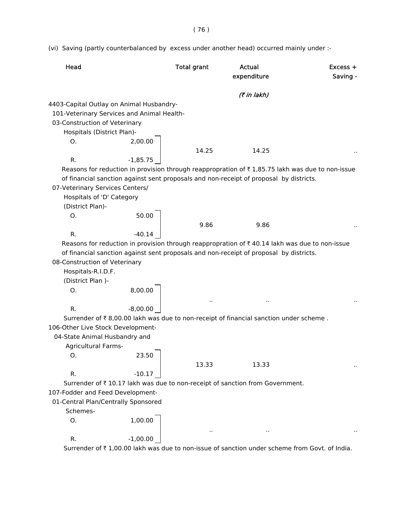( 76 )

(vi) Saving (partly counterbalanced by excess under another head) occurred mainly under :-

| Head                                       |            | <b>Total grant</b> | <b>Actual</b><br>expenditure                                                                                | $Excess +$<br>Saving - |
|--------------------------------------------|------------|--------------------|-------------------------------------------------------------------------------------------------------------|------------------------|
|                                            |            |                    | (₹ in lakh)                                                                                                 |                        |
| 4403-Capital Outlay on Animal Husbandry-   |            |                    |                                                                                                             |                        |
| 101-Veterinary Services and Animal Health- |            |                    |                                                                                                             |                        |
| 03-Construction of Veterinary              |            |                    |                                                                                                             |                        |
| Hospitals (District Plan)-                 |            |                    |                                                                                                             |                        |
| O.                                         | 2,00.00    |                    |                                                                                                             |                        |
|                                            |            | 14.25              | 14.25                                                                                                       |                        |
| R.                                         | $-1,85.75$ |                    |                                                                                                             |                        |
|                                            |            |                    | Reasons for reduction in provision through reappropration of $\bar{\tau}$ 1,85.75 lakh was due to non-issue |                        |
|                                            |            |                    | of financial sanction against sent proposals and non-receipt of proposal by districts.                      |                        |
| 07-Veterinary Services Centers/            |            |                    |                                                                                                             |                        |
| Hospitals of 'D' Category                  |            |                    |                                                                                                             |                        |
| (District Plan)-                           |            |                    |                                                                                                             |                        |
| O <sub>1</sub>                             | 50.00      |                    |                                                                                                             |                        |
|                                            |            | 9.86               | 9.86                                                                                                        |                        |
| R.                                         | $-40.14$   |                    |                                                                                                             |                        |
|                                            |            |                    | Reasons for reduction in provision through reappropration of $\bar{\tau}$ 40.14 lakh was due to non-issue   |                        |
| 08-Construction of Veterinary              |            |                    | of financial sanction against sent proposals and non-receipt of proposal by districts.                      |                        |
| Hospitals-R.I.D.F.                         |            |                    |                                                                                                             |                        |
| (District Plan)-                           |            |                    |                                                                                                             |                        |
| O.                                         | 8,00.00    |                    |                                                                                                             |                        |
|                                            |            | $\epsilon$ .       |                                                                                                             |                        |
| R.                                         | $-8,00.00$ |                    |                                                                                                             |                        |
|                                            |            |                    | Surrender of ₹8,00.00 lakh was due to non-receipt of financial sanction under scheme.                       |                        |
| 106-Other Live Stock Development-          |            |                    |                                                                                                             |                        |
| 04-State Animal Husbandry and              |            |                    |                                                                                                             |                        |
| <b>Agricultural Farms-</b>                 |            |                    |                                                                                                             |                        |
| Ο.                                         | 23.50      |                    |                                                                                                             |                        |
|                                            |            | 13.33              | 13.33                                                                                                       |                        |
| R.                                         | $-10.17$   |                    |                                                                                                             |                        |
|                                            |            |                    | Surrender of ₹10.17 lakh was due to non-receipt of sanction from Government.                                |                        |
| 107-Fodder and Feed Development-           |            |                    |                                                                                                             |                        |
| 01-Central Plan/Centrally Sponsored        |            |                    |                                                                                                             |                        |
| Schemes-                                   |            |                    |                                                                                                             |                        |
| O.                                         | 1,00.00    |                    |                                                                                                             |                        |
|                                            |            |                    |                                                                                                             |                        |
| R.                                         | $-1,00.00$ |                    |                                                                                                             |                        |

Surrender of ₹1,00.00 lakh was due to non-issue of sanction under scheme from Govt. of India.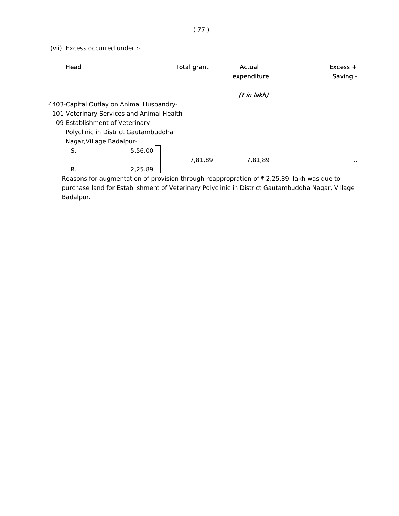(vii) Excess occurred under :-

| Head                                       | <b>Total grant</b> | Actual<br>expenditure | $Excess +$<br>Saving - |
|--------------------------------------------|--------------------|-----------------------|------------------------|
|                                            |                    | (₹ in lakh)           |                        |
| 4403-Capital Outlay on Animal Husbandry-   |                    |                       |                        |
| 101-Veterinary Services and Animal Health- |                    |                       |                        |
| 09-Establishment of Veterinary             |                    |                       |                        |
| Polyclinic in District Gautambuddha        |                    |                       |                        |
| Nagar, Village Badalpur-                   |                    |                       |                        |
| S.                                         | 5,56.00            |                       |                        |
|                                            | 7,81,89            | 7,81,89               | . .                    |
| R.<br>2,25.89                              |                    |                       |                        |

Reasons for augmentation of provision through reappropration of  $\bar{\tau}$  2,25.89 lakh was due to purchase land for Establishment of Veterinary Polyclinic in District Gautambuddha Nagar, Village Badalpur.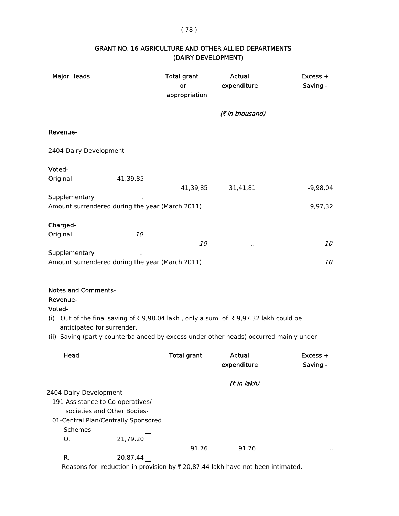## ( 78 )

## GRANT NO. 16-AGRICULTURE AND OTHER ALLIED DEPARTMENTS (DAIRY DEVELOPMENT)

| <b>Major Heads</b>                                                             |                                                 | <b>Total grant</b><br>or<br>appropriation | Actual<br>expenditure                                                                     | Excess +<br>Saving - |
|--------------------------------------------------------------------------------|-------------------------------------------------|-------------------------------------------|-------------------------------------------------------------------------------------------|----------------------|
|                                                                                |                                                 |                                           | (₹ in thousand)                                                                           |                      |
| Revenue-                                                                       |                                                 |                                           |                                                                                           |                      |
| 2404-Dairy Development                                                         |                                                 |                                           |                                                                                           |                      |
| Voted-                                                                         |                                                 |                                           |                                                                                           |                      |
| Original                                                                       | 41,39,85                                        | 41,39,85                                  | 31,41,81                                                                                  | $-9,98,04$           |
| Supplementary                                                                  |                                                 |                                           |                                                                                           |                      |
|                                                                                | Amount surrendered during the year (March 2011) |                                           |                                                                                           | 9,97,32              |
|                                                                                |                                                 |                                           |                                                                                           |                      |
| Charged-                                                                       |                                                 |                                           |                                                                                           |                      |
| Original                                                                       | <i>10</i>                                       | <i>10</i>                                 |                                                                                           | $-10$                |
| Supplementary                                                                  |                                                 |                                           |                                                                                           |                      |
|                                                                                | Amount surrendered during the year (March 2011) |                                           |                                                                                           | <i>10</i>            |
|                                                                                |                                                 |                                           |                                                                                           |                      |
| <b>Notes and Comments-</b><br>Revenue-<br>Voted-<br>anticipated for surrender. |                                                 |                                           | (i) Out of the final saving of ₹9,98.04 lakh, only a sum of ₹9,97.32 lakh could be        |                      |
|                                                                                |                                                 |                                           | (ii) Saving (partly counterbalanced by excess under other heads) occurred mainly under :- |                      |
| Head                                                                           |                                                 | <b>Total grant</b>                        | Actual<br>expenditure                                                                     | Excess +<br>Saving - |
|                                                                                |                                                 |                                           | (7 in lakh)                                                                               |                      |
| 2404-Dairy Development-                                                        |                                                 |                                           |                                                                                           |                      |
|                                                                                | 191-Assistance to Co-operatives/                |                                           |                                                                                           |                      |
|                                                                                | societies and Other Bodies-                     |                                           |                                                                                           |                      |
|                                                                                | 01-Central Plan/Centrally Sponsored             |                                           |                                                                                           |                      |
| Schemes-                                                                       |                                                 |                                           |                                                                                           |                      |
| О.                                                                             | 21,79.20                                        | 91.76                                     | 91.76                                                                                     |                      |

R.  $-20,87.44$ Reasons for reduction in provision by  $\bar{\tau}$  20,87.44 lakh have not been intimated.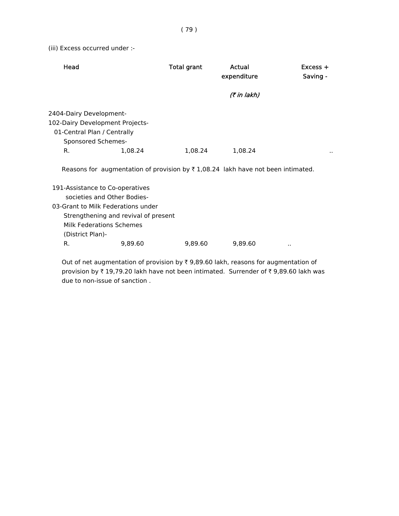(iii) Excess occurred under :-

| Head                                                                         |                                                                                                                                                                          | <b>Total grant</b> | Actual<br>expenditure | $Excess +$<br>Saving - |
|------------------------------------------------------------------------------|--------------------------------------------------------------------------------------------------------------------------------------------------------------------------|--------------------|-----------------------|------------------------|
|                                                                              |                                                                                                                                                                          |                    | (₹ in lakh)           |                        |
| 2404-Dairy Development-<br>01-Central Plan / Centrally<br>Sponsored Schemes- | 102-Dairy Development Projects-                                                                                                                                          |                    |                       |                        |
| R.                                                                           | 1,08.24                                                                                                                                                                  | 1,08.24            | 1,08.24               |                        |
|                                                                              | Reasons for augmentation of provision by $\overline{\tau}$ 1,08.24 lakh have not been intimated.                                                                         |                    |                       |                        |
| (District Plan)-                                                             | 191-Assistance to Co-operatives<br>societies and Other Bodies-<br>03-Grant to Milk Federations under<br>Strengthening and revival of present<br>Milk Federations Schemes |                    |                       |                        |
| R.                                                                           | 9,89.60                                                                                                                                                                  | 9,89.60            | 9,89.60               |                        |

Out of net augmentation of provision by  $\bar{\tau}$  9,89.60 lakh, reasons for augmentation of provision by  $\bar{\tau}$  19,79.20 lakh have not been intimated. Surrender of  $\bar{\tau}$  9,89.60 lakh was due to non-issue of sanction .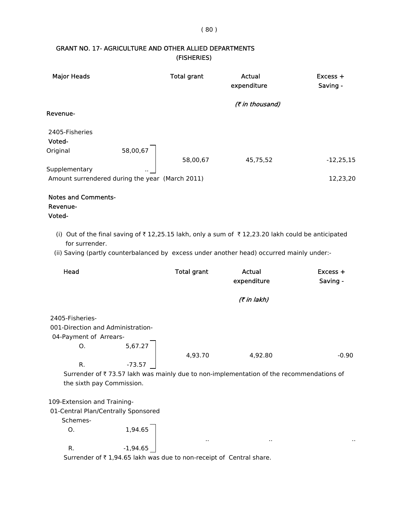# ( 80 )

## GRANT NO. 17- AGRICULTURE AND OTHER ALLIED DEPARTMENTS (FISHERIES)

| <b>Major Heads</b>                               |                                                 | <b>Total grant</b> | Actual<br>expenditure                                                                        | $Excess +$<br>Saving - |
|--------------------------------------------------|-------------------------------------------------|--------------------|----------------------------------------------------------------------------------------------|------------------------|
|                                                  |                                                 |                    | (₹ in thousand)                                                                              |                        |
| Revenue-                                         |                                                 |                    |                                                                                              |                        |
| 2405-Fisheries<br>Voted-                         |                                                 |                    |                                                                                              |                        |
| Original                                         | 58,00,67                                        |                    |                                                                                              |                        |
|                                                  |                                                 | 58,00,67           | 45,75,52                                                                                     | $-12,25,15$            |
| Supplementary                                    | ω,                                              |                    |                                                                                              |                        |
|                                                  | Amount surrendered during the year (March 2011) |                    |                                                                                              | 12,23,20               |
| <b>Notes and Comments-</b><br>Revenue-<br>Voted- |                                                 |                    |                                                                                              |                        |
| (i)<br>for surrender.                            |                                                 |                    | Out of the final saving of ₹12,25.15 lakh, only a sum of ₹12,23.20 lakh could be anticipated |                        |

(ii) Saving (partly counterbalanced by excess under another head) occurred mainly under:-

| Head                                |            | <b>Total grant</b> | Actual<br>expenditure                                                                   | $Excess +$<br>Saving - |
|-------------------------------------|------------|--------------------|-----------------------------------------------------------------------------------------|------------------------|
|                                     |            |                    | (₹ in lakh)                                                                             |                        |
| 2405-Fisheries-                     |            |                    |                                                                                         |                        |
| 001-Direction and Administration-   |            |                    |                                                                                         |                        |
| 04-Payment of Arrears-              |            |                    |                                                                                         |                        |
| Ο.                                  | 5,67.27    |                    |                                                                                         |                        |
|                                     |            | 4,93.70            | 4,92.80                                                                                 | $-0.90$                |
| R.                                  | $-73.57$   |                    |                                                                                         |                        |
|                                     |            |                    | Surrender of ₹73.57 lakh was mainly due to non-implementation of the recommendations of |                        |
| the sixth pay Commission.           |            |                    |                                                                                         |                        |
|                                     |            |                    |                                                                                         |                        |
| 109-Extension and Training-         |            |                    |                                                                                         |                        |
| 01-Central Plan/Centrally Sponsored |            |                    |                                                                                         |                        |
| Schemes-                            |            |                    |                                                                                         |                        |
| О.                                  | 1,94.65    |                    |                                                                                         |                        |
|                                     |            | $\sim$             | $\blacksquare$                                                                          | ٠,                     |
| R.                                  | $-1,94.65$ |                    |                                                                                         |                        |

Surrender of  $\bar{\tau}$  1,94.65 lakh was due to non-receipt of Central share.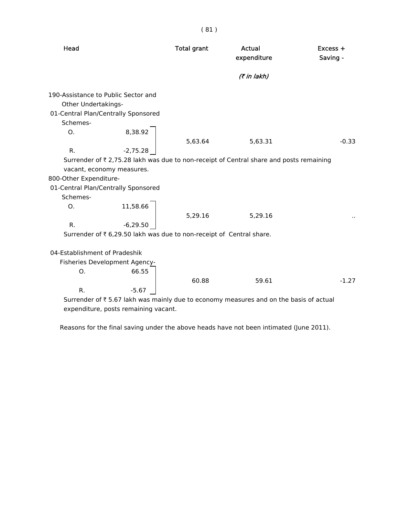| Head                                                                                              |                       | <b>Total grant</b>                                                   | Actual<br>expenditure                                                                   | $Excess +$<br>Saving - |
|---------------------------------------------------------------------------------------------------|-----------------------|----------------------------------------------------------------------|-----------------------------------------------------------------------------------------|------------------------|
|                                                                                                   |                       |                                                                      | (7 in lakh)                                                                             |                        |
| 190-Assistance to Public Sector and<br>Other Undertakings-<br>01-Central Plan/Centrally Sponsored |                       |                                                                      |                                                                                         |                        |
| Schemes-                                                                                          |                       |                                                                      |                                                                                         |                        |
| O.<br>R.                                                                                          | 8,38.92<br>$-2,75.28$ | 5,63.64                                                              | 5,63.31                                                                                 | $-0.33$                |
|                                                                                                   |                       |                                                                      | Surrender of ₹ 2,75.28 lakh was due to non-receipt of Central share and posts remaining |                        |
| vacant, economy measures.                                                                         |                       |                                                                      |                                                                                         |                        |
| 800-Other Expenditure-                                                                            |                       |                                                                      |                                                                                         |                        |
| 01-Central Plan/Centrally Sponsored<br>Schemes-                                                   |                       |                                                                      |                                                                                         |                        |
| О.                                                                                                | 11,58.66              | 5,29.16                                                              | 5,29.16                                                                                 |                        |
| R.                                                                                                | $-6,29.50$            |                                                                      |                                                                                         |                        |
|                                                                                                   |                       | Surrender of ₹ 6,29.50 lakh was due to non-receipt of Central share. |                                                                                         |                        |
| 04-Establishment of Pradeshik                                                                     |                       |                                                                      |                                                                                         |                        |
| Fisheries Development Agency-                                                                     |                       |                                                                      |                                                                                         |                        |
| О.                                                                                                | 66.55                 | 60.88                                                                | 59.61                                                                                   | $-1.27$                |
| R.                                                                                                | $-5.67$               |                                                                      |                                                                                         |                        |
|                                                                                                   |                       |                                                                      | Surrender of ₹5.67 lakh was mainly due to economy measures and on the basis of actual   |                        |

( 81 )

expenditure, posts remaining vacant.

Reasons for the final saving under the above heads have not been intimated (June 2011).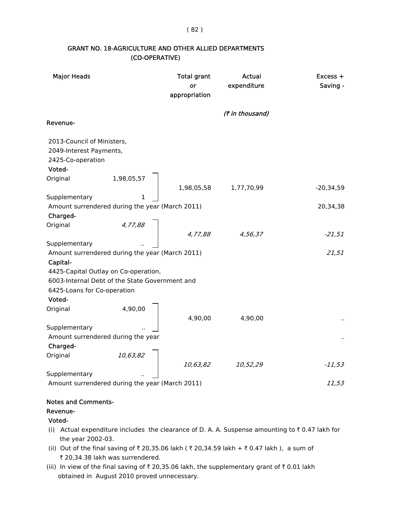( 82 )

#### GRANT NO. 18-AGRICULTURE AND OTHER ALLIED DEPARTMENTS (CO-OPERATIVE)

| <b>Major Heads</b>                                                                   |                                                                                        | <b>Total grant</b><br>or<br>appropriation | Actual<br>expenditure | Excess +<br>Saving - |
|--------------------------------------------------------------------------------------|----------------------------------------------------------------------------------------|-------------------------------------------|-----------------------|----------------------|
|                                                                                      |                                                                                        |                                           | (₹ in thousand)       |                      |
| Revenue-                                                                             |                                                                                        |                                           |                       |                      |
| 2013-Council of Ministers,<br>2049-Interest Payments,<br>2425-Co-operation<br>Voted- |                                                                                        |                                           |                       |                      |
| Original                                                                             | 1,98,05,57                                                                             |                                           |                       |                      |
| Supplementary                                                                        | $\mathbf{1}$                                                                           | 1,98,05,58                                | 1,77,70,99            | $-20,34,59$          |
| Charged-                                                                             | Amount surrendered during the year (March 2011)                                        |                                           |                       | 20,34,38             |
| Original                                                                             | 4,77,88                                                                                | 4,77,88                                   | 4,56,37               | $-21,51$             |
| Supplementary<br>Capital-                                                            | Amount surrendered during the year (March 2011)                                        |                                           |                       | 21,51                |
|                                                                                      | 4425-Capital Outlay on Co-operation,<br>6003-Internal Debt of the State Government and |                                           |                       |                      |
| 6425-Loans for Co-operation                                                          |                                                                                        |                                           |                       |                      |
| Voted-                                                                               |                                                                                        |                                           |                       |                      |
| Original                                                                             | 4,90,00                                                                                | 4,90,00                                   | 4,90,00               |                      |
| Supplementary                                                                        |                                                                                        |                                           |                       |                      |
| Amount surrendered during the year<br>Charged-                                       |                                                                                        |                                           |                       |                      |
| Original                                                                             | 10,63,82                                                                               | 10,63,82                                  | 10,52,29              | $-11,53$             |
| Supplementary                                                                        |                                                                                        |                                           |                       |                      |
|                                                                                      | Amount surrendered during the year (March 2011)                                        |                                           |                       | 11,53                |

## Notes and Comments-

Revenue-

#### Voted-

- (i) Actual expenditure includes the clearance of D. A. A. Suspense amounting to  $\bar{\tau}$  0.47 lakh for the year 2002-03.
- (ii) Out of the final saving of ₹ 20,35.06 lakh ( ₹ 20,34.59 lakh + ₹ 0.47 lakh ), a sum of ₹ 20,34.38 lakh was surrendered.
- (iii) In view of the final saving of  $\bar{z}$  20,35.06 lakh, the supplementary grant of  $\bar{z}$  0.01 lakh obtained in August 2010 proved unnecessary.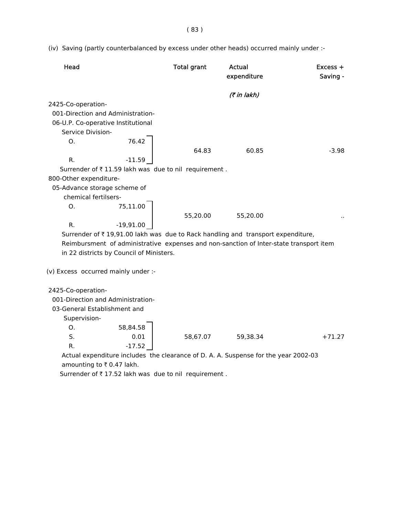( 83 )

(iv) Saving (partly counterbalanced by excess under other heads) occurred mainly under :-

| Head                                                                                   | <b>Total grant</b> | Actual<br>expenditure | $Excess +$<br>Saving - |
|----------------------------------------------------------------------------------------|--------------------|-----------------------|------------------------|
|                                                                                        |                    | (₹ in lakh)           |                        |
| 2425-Co-operation-                                                                     |                    |                       |                        |
| 001-Direction and Administration-                                                      |                    |                       |                        |
| 06-U.P. Co-operative Institutional                                                     |                    |                       |                        |
| Service Division-                                                                      |                    |                       |                        |
| 76.42<br>$\Omega$ .                                                                    |                    |                       |                        |
|                                                                                        | 64.83              | 60.85                 | $-3.98$                |
| R.<br>$-11.59$                                                                         |                    |                       |                        |
| Surrender of ₹11.59 lakh was due to nil requirement.                                   |                    |                       |                        |
| 800-Other expenditure-                                                                 |                    |                       |                        |
| 05-Advance storage scheme of                                                           |                    |                       |                        |
| chemical fertilsers-                                                                   |                    |                       |                        |
| 75,11.00<br>O.                                                                         |                    |                       |                        |
|                                                                                        | 55,20.00           | 55,20.00              |                        |
| R.<br>$-19,91.00$                                                                      |                    |                       |                        |
| Surrender of ₹19,91.00 lakh was due to Rack handling and transport expenditure,        |                    |                       |                        |
| Reimbursment of administrative expenses and non-sanction of Inter-state transport item |                    |                       |                        |
| in 22 districts by Council of Ministers.                                               |                    |                       |                        |

(v) Excess occurred mainly under :-

2425-Co-operation-

001-Direction and Administration-

03-General Establishment and

Supervision-

| 58,84.58 |          |
|----------|----------|
| 0.01     | 58,67.07 |
| $-17.52$ |          |

 Actual expenditure includes the clearance of D. A. A. Suspense for the year 2002-03 amounting to  $\bar{\tau}$  0.47 lakh.

S. 0.01 58,67.07 59,38.34 +71.27

Surrender of  $\bar{\tau}$  17.52 lakh was due to nil requirement.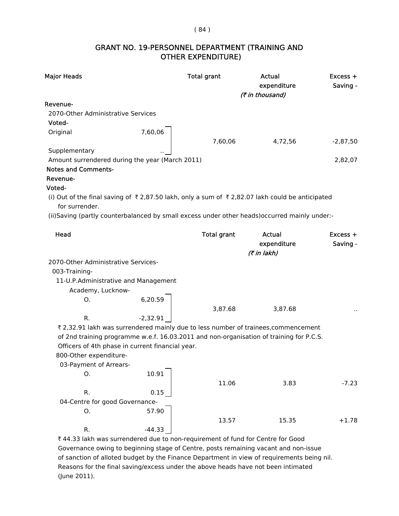#### ( 84 )

## GRANT NO. 19-PERSONNEL DEPARTMENT (TRAINING AND OTHER EXPENDITURE)

| <b>Major Heads</b>                                                                             |            | <b>Total grant</b> | Actual<br>expenditure<br>(₹ in thousand)                                                | Excess +<br>Saving - |
|------------------------------------------------------------------------------------------------|------------|--------------------|-----------------------------------------------------------------------------------------|----------------------|
| Revenue-                                                                                       |            |                    |                                                                                         |                      |
| 2070-Other Administrative Services                                                             |            |                    |                                                                                         |                      |
| Voted-                                                                                         |            |                    |                                                                                         |                      |
| Original                                                                                       | 7,60,06    |                    |                                                                                         |                      |
|                                                                                                |            | 7,60,06            | 4,72,56                                                                                 | $-2,87,50$           |
| Supplementary                                                                                  |            |                    |                                                                                         |                      |
| Amount surrendered during the year (March 2011)                                                |            |                    |                                                                                         | 2,82,07              |
| <b>Notes and Comments-</b>                                                                     |            |                    |                                                                                         |                      |
| Revenue-                                                                                       |            |                    |                                                                                         |                      |
| Voted-                                                                                         |            |                    |                                                                                         |                      |
| (i) Out of the final saving of ₹2,87.50 lakh, only a sum of ₹2,82.07 lakh could be anticipated |            |                    |                                                                                         |                      |
| for surrender.                                                                                 |            |                    |                                                                                         |                      |
| (ii)Saving (partly counterbalanced by small excess under other heads)occurred mainly under:-   |            |                    |                                                                                         |                      |
|                                                                                                |            |                    |                                                                                         |                      |
| Head                                                                                           |            | <b>Total grant</b> | Actual                                                                                  | $Excess +$           |
|                                                                                                |            |                    | expenditure                                                                             | Saving -             |
|                                                                                                |            |                    | (7 in lakh)                                                                             |                      |
| 2070-Other Administrative Services-                                                            |            |                    |                                                                                         |                      |
| 003-Training-                                                                                  |            |                    |                                                                                         |                      |
| 11-U.P.Administrative and Management                                                           |            |                    |                                                                                         |                      |
| Academy, Lucknow-                                                                              |            |                    |                                                                                         |                      |
| Ο.                                                                                             | 6,20.59    |                    |                                                                                         |                      |
|                                                                                                |            | 3,87.68            | 3,87.68                                                                                 |                      |
| R.                                                                                             | $-2,32.91$ |                    |                                                                                         |                      |
|                                                                                                |            |                    | ₹ 2,32.91 lakh was surrendered mainly due to less number of trainees, commencement      |                      |
|                                                                                                |            |                    | of 2nd training programme w.e.f. 16.03.2011 and non-organisation of training for P.C.S. |                      |
| Officers of 4th phase in current financial year.                                               |            |                    |                                                                                         |                      |
| 800-Other expenditure-                                                                         |            |                    |                                                                                         |                      |
| 03-Payment of Arrears-                                                                         |            |                    |                                                                                         |                      |
| О.                                                                                             | 10.91      |                    |                                                                                         |                      |
|                                                                                                |            | 11.06              | 3.83                                                                                    | $-7.23$              |
| R.                                                                                             | 0.15       |                    |                                                                                         |                      |
| 04-Centre for good Governance-                                                                 |            |                    |                                                                                         |                      |
| Ο.                                                                                             | 57.90      |                    |                                                                                         |                      |
|                                                                                                |            | 13.57              | 15.35                                                                                   | $+1.78$              |
| R.                                                                                             | $-44.33$   |                    |                                                                                         |                      |

₹ 44.33 lakh was surrendered due to non-requirement of fund for Centre for Good Governance owing to beginning stage of Centre, posts remaining vacant and non-issue of sanction of alloted budget by the Finance Department in view of requirements being nil. Reasons for the final saving/excess under the above heads have not been intimated (June 2011).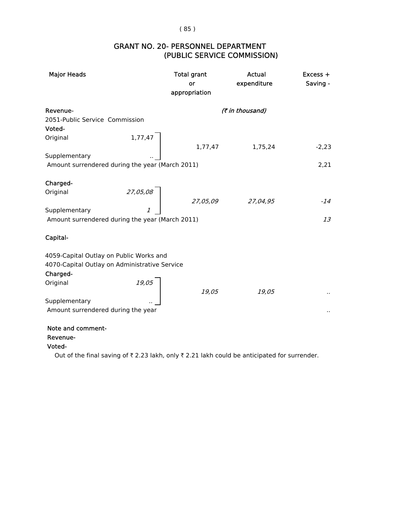( 85 )

## (PUBLIC SERVICE COMMISSION) GRANT NO. 20- PERSONNEL DEPARTMENT

| <b>Major Heads</b>                              | <b>Total grant</b><br>or<br>appropriation | Actual<br>expenditure | $Excess +$<br>Saving - |
|-------------------------------------------------|-------------------------------------------|-----------------------|------------------------|
| Revenue-                                        |                                           | (₹ in thousand)       |                        |
| 2051-Public Service Commission                  |                                           |                       |                        |
| Voted-                                          |                                           |                       |                        |
| 1,77,47<br>Original                             |                                           |                       |                        |
|                                                 | 1,77,47                                   | 1,75,24               | $-2,23$                |
| Supplementary                                   |                                           |                       |                        |
| Amount surrendered during the year (March 2011) |                                           |                       | 2,21                   |
|                                                 |                                           |                       |                        |
| Charged-                                        |                                           |                       |                        |
| 27,05,08<br>Original                            |                                           |                       |                        |
|                                                 | 27,05,09                                  | 27,04,95              | $-14$                  |
| Supplementary                                   |                                           |                       |                        |
| Amount surrendered during the year (March 2011) |                                           |                       | 13                     |
|                                                 |                                           |                       |                        |
| Capital-                                        |                                           |                       |                        |
|                                                 |                                           |                       |                        |
| 4059-Capital Outlay on Public Works and         |                                           |                       |                        |
| 4070-Capital Outlay on Administrative Service   |                                           |                       |                        |
| Charged-                                        |                                           |                       |                        |
| 19,05<br>Original                               |                                           |                       |                        |
|                                                 | 19,05                                     | 19,05                 | $\ddot{\phantom{0}}$   |
| Supplementary                                   |                                           |                       |                        |
| Amount surrendered during the year              |                                           |                       | $\cdot$ .              |
|                                                 |                                           |                       |                        |

Note and comment-

## Revenue-

Voted-

Out of the final saving of  $\bar{\tau}$  2.23 lakh, only  $\bar{\tau}$  2.21 lakh could be anticipated for surrender.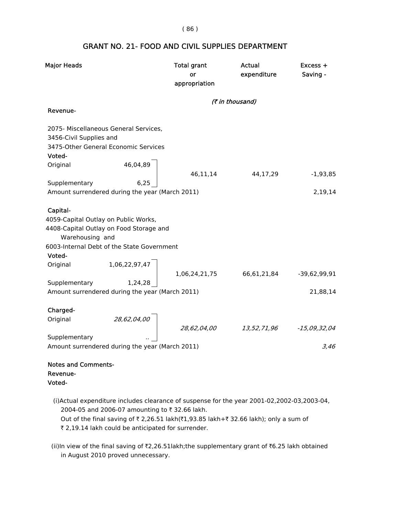( 86 )

## GRANT NO. 21- FOOD AND CIVIL SUPPLIES DEPARTMENT

| <b>Major Heads</b>                               |                                                                                                                                                                                                                                   | <b>Total grant</b><br>or<br>appropriation | Actual<br>expenditure | $Excess +$<br>Saving - |  |  |
|--------------------------------------------------|-----------------------------------------------------------------------------------------------------------------------------------------------------------------------------------------------------------------------------------|-------------------------------------------|-----------------------|------------------------|--|--|
|                                                  |                                                                                                                                                                                                                                   | (₹ in thousand)                           |                       |                        |  |  |
| Revenue-                                         |                                                                                                                                                                                                                                   |                                           |                       |                        |  |  |
| 3456-Civil Supplies and<br>Voted-                | 2075- Miscellaneous General Services,<br>3475-Other General Economic Services                                                                                                                                                     |                                           |                       |                        |  |  |
| Original                                         | 46,04,89                                                                                                                                                                                                                          |                                           |                       |                        |  |  |
|                                                  |                                                                                                                                                                                                                                   | 46,11,14                                  | 44,17,29              | $-1,93,85$             |  |  |
| Supplementary                                    | 6,25                                                                                                                                                                                                                              |                                           |                       |                        |  |  |
|                                                  | Amount surrendered during the year (March 2011)                                                                                                                                                                                   |                                           |                       | 2,19,14                |  |  |
| Capital-<br>Warehousing and                      | 4059-Capital Outlay on Public Works,<br>4408-Capital Outlay on Food Storage and<br>6003-Internal Debt of the State Government                                                                                                     |                                           |                       |                        |  |  |
| Voted-                                           | 1,06,22,97,47                                                                                                                                                                                                                     |                                           |                       |                        |  |  |
| Original                                         |                                                                                                                                                                                                                                   | 1,06,24,21,75                             | 66,61,21,84           | $-39,62,99,91$         |  |  |
| Supplementary                                    | 1,24,28                                                                                                                                                                                                                           |                                           |                       |                        |  |  |
|                                                  | Amount surrendered during the year (March 2011)                                                                                                                                                                                   |                                           |                       | 21,88,14               |  |  |
| Charged-<br>Original                             | 28,62,04,00                                                                                                                                                                                                                       |                                           |                       |                        |  |  |
|                                                  |                                                                                                                                                                                                                                   | 28,62,04,00                               | 13,52,71,96           | $-15,09,32,04$         |  |  |
| Supplementary                                    |                                                                                                                                                                                                                                   |                                           |                       |                        |  |  |
|                                                  | Amount surrendered during the year (March 2011)                                                                                                                                                                                   |                                           |                       | 3,46                   |  |  |
| <b>Notes and Comments-</b><br>Revenue-<br>Voted- |                                                                                                                                                                                                                                   |                                           |                       |                        |  |  |
|                                                  | (i)Actual expenditure includes clearance of suspense for the year 2001-02,2002-03,2003-04,<br>2004-05 and 2006-07 amounting to ₹32.66 lakh.<br>Out of the final saving of ₹2,26.51 lakh(₹1,93.85 lakh+₹32.66 lakh); only a sum of |                                           |                       |                        |  |  |

₹ 2,19.14 lakh could be anticipated for surrender.

 in August 2010 proved unnecessary. (ii)In view of the final saving of  $\bar{z}2,26.51$ lakh;the supplementary grant of  $\bar{z}6.25$  lakh obtained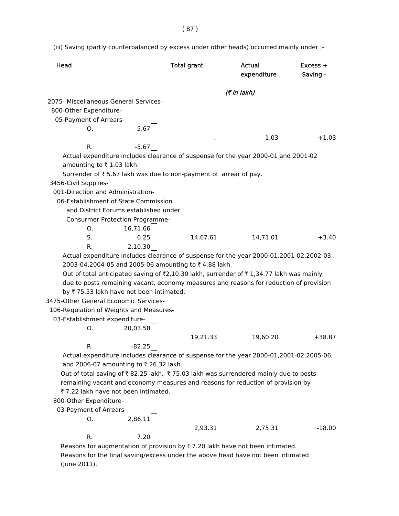( 87 )

(iii) Saving (partly counterbalanced by excess under other heads) occurred mainly under :-

| <b>Head</b>          |                                         |            | <b>Total grant</b>                                                                            | Actual<br>expenditure | Excess +<br>Saving - |
|----------------------|-----------------------------------------|------------|-----------------------------------------------------------------------------------------------|-----------------------|----------------------|
|                      |                                         |            |                                                                                               | (₹ in lakh)           |                      |
|                      | 2075- Miscellaneous General Services-   |            |                                                                                               |                       |                      |
|                      | 800-Other Expenditure-                  |            |                                                                                               |                       |                      |
|                      | 05-Payment of Arrears-                  |            |                                                                                               |                       |                      |
|                      | O.                                      | 5.67       |                                                                                               |                       |                      |
|                      |                                         |            |                                                                                               | 1.03                  | $+1.03$              |
|                      | R.                                      | $-5.67$    |                                                                                               |                       |                      |
|                      |                                         |            | Actual expenditure includes clearance of suspense for the year 2000-01 and 2001-02            |                       |                      |
|                      | amounting to ₹1.03 lakh.                |            |                                                                                               |                       |                      |
|                      |                                         |            | Surrender of ₹5.67 lakh was due to non-payment of arrear of pay.                              |                       |                      |
| 3456-Civil Supplies- |                                         |            |                                                                                               |                       |                      |
|                      | 001-Direction and Administration-       |            |                                                                                               |                       |                      |
|                      | 06-Establishment of State Commission    |            |                                                                                               |                       |                      |
|                      | and District Forums established under   |            |                                                                                               |                       |                      |
|                      | Consurmer Protection Programme-         |            |                                                                                               |                       |                      |
|                      | O.                                      | 16,71.66   |                                                                                               |                       |                      |
|                      | S.                                      | 6.25       | 14,67.61                                                                                      | 14,71.01              | $+3.40$              |
|                      | R.                                      | $-2,10.30$ |                                                                                               |                       |                      |
|                      |                                         |            | Actual expenditure includes clearance of suspense for the year 2000-01,2001-02,2002-03,       |                       |                      |
|                      |                                         |            | 2003-04,2004-05 and 2005-06 amounting to ₹4.88 lakh.                                          |                       |                      |
|                      |                                         |            | Out of total anticipated saving of ₹2,10.30 lakh, surrender of ₹1,34.77 lakh was mainly       |                       |                      |
|                      |                                         |            | due to posts remaining vacant, economy measures and reasons for reduction of provision        |                       |                      |
|                      | by ₹75.53 lakh have not been intimated. |            |                                                                                               |                       |                      |
|                      | 3475-Other General Economic Services-   |            |                                                                                               |                       |                      |
|                      | 106-Regulation of Weights and Measures- |            |                                                                                               |                       |                      |
|                      | 03-Establishment expenditure-           |            |                                                                                               |                       |                      |
|                      | O.                                      | 20,03.58   |                                                                                               |                       |                      |
|                      |                                         |            | 19,21.33                                                                                      | 19,60.20              | $+38.87$             |
|                      | R.                                      | $-82.25$   |                                                                                               |                       |                      |
|                      |                                         |            | Actual expenditure includes clearance of suspense for the year 2000-01,2001-02,2005-06,       |                       |                      |
|                      | and 2006-07 amounting to ₹ 26.32 lakh.  |            |                                                                                               |                       |                      |
|                      |                                         |            | Out of total saving of ₹82.25 lakh, ₹75.03 lakh was surrendered mainly due to posts           |                       |                      |
|                      |                                         |            | remaining vacant and economy measures and reasons for reduction of provision by               |                       |                      |
|                      | ₹7.22 lakh have not been intimated.     |            |                                                                                               |                       |                      |
|                      | 800-Other Expenditure-                  |            |                                                                                               |                       |                      |
|                      | 03-Payment of Arrears-                  |            |                                                                                               |                       |                      |
|                      | О.                                      | 2,86.11    |                                                                                               |                       |                      |
|                      |                                         |            | 2,93.31                                                                                       | 2,75.31               | $-18.00$             |
|                      | R.                                      | 7.20       |                                                                                               |                       |                      |
|                      |                                         |            | Reasons for augmentation of provision by $\overline{\tau}$ 7.20 lakh have not been intimated. |                       |                      |
|                      |                                         |            | cans for the final caving lovesse under the above bead bays not been intimated                |                       |                      |

 Reasons for the final saving/excess under the above head have not been intimated (June 2011).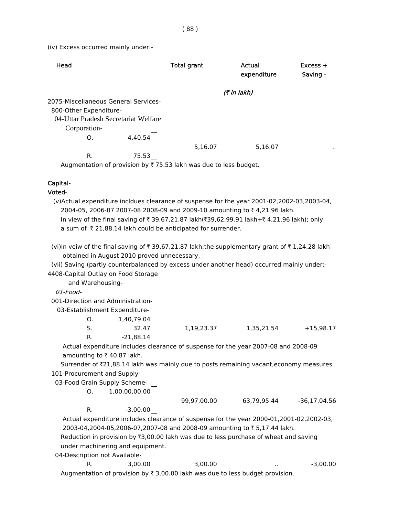(iv) Excess occurred mainly under:-

| Head |                        |                                      | <b>Total grant</b> | Actual<br>expenditure | $Excess +$<br>Saving - |
|------|------------------------|--------------------------------------|--------------------|-----------------------|------------------------|
|      |                        |                                      |                    | (7 in lakh)           |                        |
|      |                        | 2075-Miscellaneous General Services- |                    |                       |                        |
|      | 800-Other Expenditure- |                                      |                    |                       |                        |
|      |                        | 04-Uttar Pradesh Secretariat Welfare |                    |                       |                        |
|      | Corporation-           |                                      |                    |                       |                        |
|      | O.                     | 4,40.54                              |                    |                       |                        |
|      |                        |                                      | 5,16.07            | 5,16.07               | $\ddot{\phantom{1}}$   |
|      | R.                     | 75.53                                |                    |                       |                        |
|      | .<br>$\epsilon$        | . .                                  |                    |                       |                        |

Augmentation of provision by  $\bar{\tau}$  75.53 lakh was due to less budget.

## Capital-

#### Voted-

 (v)Actual expenditure incldues clearance of suspense for the year 2001-02,2002-03,2003-04, 2004-05, 2006-07 2007-08 2008-09 and 2009-10 amounting to ₹4,21.96 lakh. In view of the final saving of  $\bar{x}$  39,67,21.87 lakh( $\bar{x}$ 39,62,99.91 lakh+ $\bar{x}$  4,21.96 lakh); only a sum of  $\bar{\tau}$  21,88.14 lakh could be anticipated for surrender.

 obtained in August 2010 proved unnecessary. (vi)In veiw of the final saving of  $\bar{\tau}$  39,67,21.87 lakh;the supplementary grant of  $\bar{\tau}$  1,24.28 lakh

 (vii) Saving (partly counterbalanced by excess under another head) occurred mainly under:- 4408-Capital Outlay on Food Storage

and Warehousing-

01-Food-

001-Direction and Administration-

03-Establishment Expenditure-

|    | 1,40,79.04 |            |            |             |
|----|------------|------------|------------|-------------|
|    | 32.47      | 1,19,23.37 | 1,35,21.54 | $+15,98.17$ |
| R. | -21,88.14  |            |            |             |

 Actual expenditure includes clearance of suspense for the year 2007-08 and 2008-09 amounting to  $\bar{\tau}$  40.87 lakh.

Surrender of  $\bar{\ell}21,88.14$  lakh was mainly due to posts remaining vacant, economy measures. 101-Procurement and Supply-

03-Food Grain Supply Scheme-

O. 1,00,00,00.00

R.  $-3.00.00$ 

O. 1,40,79.04

99,97,00.00 63,79,95.44 -36,17,04.56

 Actual expenditure includes clearance of suspense for the year 2000-01,2001-02,2002-03, 2003-04,2004-05,2006-07,2007-08 and 2008-09 amounting to ₹5,17.44 lakh. Reduction in provision by  $\overline{x}3,00.00$  lakh was due to less purchase of wheat and saving

under machinering and equipment.

04-Description not Available-

R. 3,00.00 3,00.00 .. - 3,00.00 Augmentation of provision by  $\bar{\tau}$  3,00.00 lakh was due to less budget provision.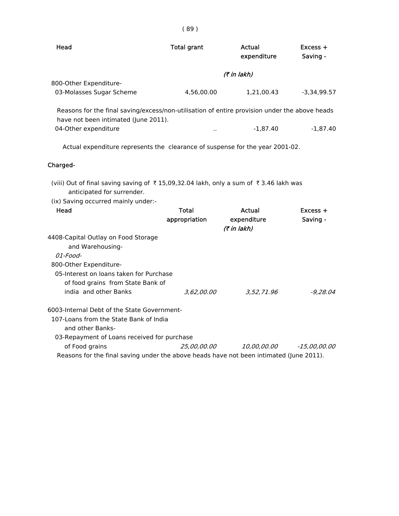| Head                                                                                                                                                                          | <b>Total grant</b>            | Actual<br>expenditure                | Excess +<br>Saving -   |
|-------------------------------------------------------------------------------------------------------------------------------------------------------------------------------|-------------------------------|--------------------------------------|------------------------|
|                                                                                                                                                                               |                               | (7 in lakh)                          |                        |
| 800-Other Expenditure-                                                                                                                                                        |                               |                                      |                        |
| 03-Molasses Sugar Scheme                                                                                                                                                      | 4,56,00.00                    | 1,21,00.43                           | $-3,34,99.57$          |
| Reasons for the final saving/excess/non-utilisation of entire provision under the above heads<br>have not been intimated (June 2011).                                         |                               |                                      |                        |
| 04-Other expenditure                                                                                                                                                          |                               | $-1,87.40$                           | $-1,87.40$             |
| Actual expenditure represents the clearance of suspense for the year 2001-02.                                                                                                 |                               |                                      |                        |
| Charged-                                                                                                                                                                      |                               |                                      |                        |
| (viii) Out of final saving saving of ₹15,09,32.04 lakh, only a sum of ₹3.46 lakh was<br>anticipated for surrender.<br>(ix) Saving occurred mainly under:-<br>Head             | <b>Total</b><br>appropriation | Actual<br>expenditure<br>(7 in lakh) | $Excess +$<br>Saving - |
| 4408-Capital Outlay on Food Storage<br>and Warehousing-<br>01-Food-<br>800-Other Expenditure-<br>05-Interest on loans taken for Purchase<br>of food grains from State Bank of |                               |                                      |                        |
| india and other Banks                                                                                                                                                         | 3,62,00.00                    | 3,52,71.96                           | $-9.28.04$             |
| 6003-Internal Debt of the State Government-<br>107-Loans from the State Bank of India<br>and other Banks-<br>03-Repayment of Loans received for purchase                      |                               |                                      |                        |
| of Food grains                                                                                                                                                                | 25,00,00.00                   | <i>10,00,00.00</i>                   | $-15,00,00.00$         |
| Reasons for the final saving under the above heads have not been intimated (June 2011).                                                                                       |                               |                                      |                        |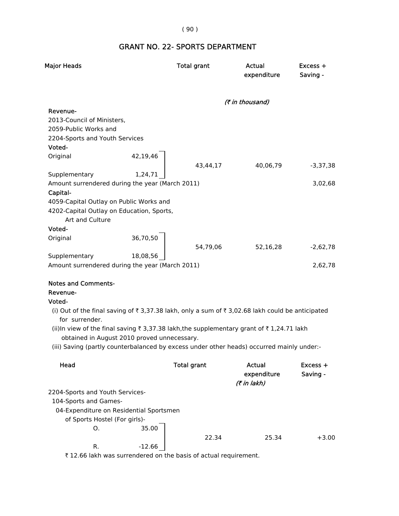## ( 90 )

# GRANT NO. 22- SPORTS DEPARTMENT

| <b>Major Heads</b>                              |          | <b>Total grant</b>                                                                               | Actual<br>expenditure | Excess +<br>Saving - |
|-------------------------------------------------|----------|--------------------------------------------------------------------------------------------------|-----------------------|----------------------|
|                                                 |          |                                                                                                  | (₹ in thousand)       |                      |
| Revenue-                                        |          |                                                                                                  |                       |                      |
| 2013-Council of Ministers,                      |          |                                                                                                  |                       |                      |
| 2059-Public Works and                           |          |                                                                                                  |                       |                      |
| 2204-Sports and Youth Services                  |          |                                                                                                  |                       |                      |
| Voted-                                          |          |                                                                                                  |                       |                      |
| Original                                        | 42,19,46 |                                                                                                  |                       |                      |
|                                                 |          | 43,44,17                                                                                         | 40,06,79              | $-3,37,38$           |
| Supplementary                                   | 1,24,71  |                                                                                                  |                       |                      |
| Amount surrendered during the year (March 2011) |          |                                                                                                  |                       | 3,02,68              |
| Capital-                                        |          |                                                                                                  |                       |                      |
| 4059-Capital Outlay on Public Works and         |          |                                                                                                  |                       |                      |
| 4202-Capital Outlay on Education, Sports,       |          |                                                                                                  |                       |                      |
| Art and Culture                                 |          |                                                                                                  |                       |                      |
| Voted-                                          |          |                                                                                                  |                       |                      |
| Original                                        | 36,70,50 |                                                                                                  |                       |                      |
|                                                 |          | 54,79,06                                                                                         | 52,16,28              | $-2,62,78$           |
| Supplementary                                   | 18,08,56 |                                                                                                  |                       |                      |
| Amount surrendered during the year (March 2011) |          |                                                                                                  |                       | 2,62,78              |
| <b>Notes and Comments-</b>                      |          |                                                                                                  |                       |                      |
| Revenue-                                        |          |                                                                                                  |                       |                      |
| Voted-                                          |          |                                                                                                  |                       |                      |
| for surrender.                                  |          | (i) Out of the final saving of ₹ 3,37.38 lakh, only a sum of ₹ 3,02.68 lakh could be anticipated |                       |                      |
|                                                 |          | (ii)In view of the final saving ₹ 3,37.38 lakh,the supplementary grant of ₹ 1,24.71 lakh         |                       |                      |
| obtained in August 2010 proved unnecessary.     |          |                                                                                                  |                       |                      |
|                                                 |          | (iii) Saving (partly counterbalanced by excess under other heads) occurred mainly under:-        |                       |                      |
| Head                                            |          | <b>Total grant</b>                                                                               | Actual                | Excess +             |
|                                                 |          |                                                                                                  | expenditure           | Saving -             |
|                                                 |          |                                                                                                  | (7 in lakh)           |                      |
| 2204-Sports and Youth Services-                 |          |                                                                                                  |                       |                      |
| 104-Sports and Games-                           |          |                                                                                                  |                       |                      |
| 04-Expenditure on Residential Sportsmen         |          |                                                                                                  |                       |                      |
| of Sports Hostel (For girls)-                   |          |                                                                                                  |                       |                      |
| Ο.                                              | 35.00    |                                                                                                  |                       |                      |
|                                                 |          | 22.34                                                                                            | 25.34                 | +3.00                |
| R.                                              | $-12.66$ |                                                                                                  |                       |                      |
|                                                 |          |                                                                                                  |                       |                      |

₹ 12.66 lakh was surrendered on the basis of actual requirement.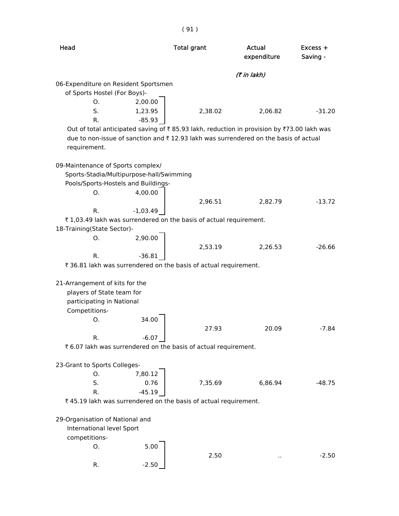| Head                                     |            | <b>Total grant</b>                                                                        | Actual<br>expenditure | $Excess +$<br>Saving - |
|------------------------------------------|------------|-------------------------------------------------------------------------------------------|-----------------------|------------------------|
|                                          |            |                                                                                           | (7 in lakh)           |                        |
| 06-Expenditure on Resident Sportsmen     |            |                                                                                           |                       |                        |
| of Sports Hostel (For Boys)-             |            |                                                                                           |                       |                        |
| O.                                       | 2,00.00    |                                                                                           |                       |                        |
| S.                                       | 1,23.95    | 2,38.02                                                                                   | 2,06.82               | $-31.20$               |
| R.                                       | $-85.93$   |                                                                                           |                       |                        |
|                                          |            | Out of total anticipated saving of ₹85.93 lakh, reduction in provision by ₹73.00 lakh was |                       |                        |
|                                          |            | due to non-issue of sanction and ₹12.93 lakh was surrendered on the basis of actual       |                       |                        |
| requirement.                             |            |                                                                                           |                       |                        |
| 09-Maintenance of Sports complex/        |            |                                                                                           |                       |                        |
| Sports-Stadia/Multipurpose-hall/Swimming |            |                                                                                           |                       |                        |
| Pools/Sports-Hostels and Buildings-      |            |                                                                                           |                       |                        |
| Ο.                                       | 4,00.00    |                                                                                           |                       |                        |
|                                          |            | 2,96.51                                                                                   | 2,82.79               | $-13.72$               |
| R.                                       | $-1,03.49$ |                                                                                           |                       |                        |
|                                          |            | ₹1,03.49 lakh was surrendered on the basis of actual requirement.                         |                       |                        |
| 18-Training(State Sector)-               |            |                                                                                           |                       |                        |
| O.                                       | 2,90.00    |                                                                                           |                       |                        |
|                                          |            | 2,53.19                                                                                   | 2,26.53               | $-26.66$               |
| R.                                       | $-36.81$   |                                                                                           |                       |                        |
|                                          |            | ₹ 36.81 lakh was surrendered on the basis of actual requirement.                          |                       |                        |
| 21-Arrangement of kits for the           |            |                                                                                           |                       |                        |
| players of State team for                |            |                                                                                           |                       |                        |
| participating in National                |            |                                                                                           |                       |                        |
| Competitions-                            |            |                                                                                           |                       |                        |
| Ο.                                       | 34.00      |                                                                                           |                       |                        |
|                                          |            | 27.93                                                                                     | 20.09                 | $-7.84$                |
| R.                                       | $-6.07$    |                                                                                           |                       |                        |
|                                          |            | ₹ 6.07 lakh was surrendered on the basis of actual requirement.                           |                       |                        |
|                                          |            |                                                                                           |                       |                        |
| 23-Grant to Sports Colleges-             |            |                                                                                           |                       |                        |
| Ο.                                       | 7,80.12    |                                                                                           |                       |                        |
| S.                                       | 0.76       | 7,35.69                                                                                   | 6,86.94               | $-48.75$               |
| R.                                       | $-45.19$   |                                                                                           |                       |                        |
|                                          |            | ₹45.19 lakh was surrendered on the basis of actual requirement.                           |                       |                        |
|                                          |            |                                                                                           |                       |                        |
| 29-Organisation of National and          |            |                                                                                           |                       |                        |
| International level Sport                |            |                                                                                           |                       |                        |
| competitions-                            |            |                                                                                           |                       |                        |
| Ο.                                       | 5.00       |                                                                                           |                       |                        |
|                                          |            | 2.50                                                                                      |                       | $-2.50$                |
| R.                                       | $-2.50$    |                                                                                           |                       |                        |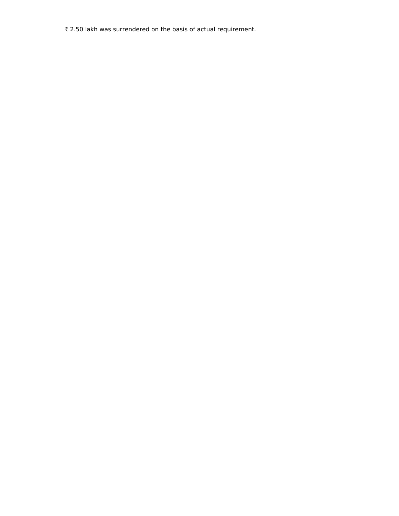₹ 2.50 lakh was surrendered on the basis of actual requirement.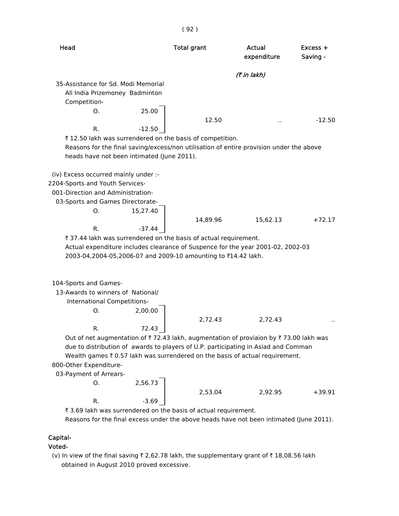| Head                                                                                                                                                                                                                                                                                                                                                                                                         | <b>Total grant</b> | Actual<br>expenditure | Excess +<br>Saving - |
|--------------------------------------------------------------------------------------------------------------------------------------------------------------------------------------------------------------------------------------------------------------------------------------------------------------------------------------------------------------------------------------------------------------|--------------------|-----------------------|----------------------|
|                                                                                                                                                                                                                                                                                                                                                                                                              |                    | (7 in lakh)           |                      |
| 35-Assistance for Sd. Modi Memorial                                                                                                                                                                                                                                                                                                                                                                          |                    |                       |                      |
| All India Prizemoney Badminton                                                                                                                                                                                                                                                                                                                                                                               |                    |                       |                      |
| Competition-                                                                                                                                                                                                                                                                                                                                                                                                 |                    |                       |                      |
| 25.00<br>O.                                                                                                                                                                                                                                                                                                                                                                                                  |                    |                       |                      |
|                                                                                                                                                                                                                                                                                                                                                                                                              | 12.50              |                       | $-12.50$             |
| $-12.50$<br>R.                                                                                                                                                                                                                                                                                                                                                                                               |                    |                       |                      |
| ₹12.50 lakh was surrendered on the basis of competition.                                                                                                                                                                                                                                                                                                                                                     |                    |                       |                      |
| Reasons for the final saving/excess/non utilisation of entire provision under the above                                                                                                                                                                                                                                                                                                                      |                    |                       |                      |
| heads have not been intimated (June 2011).                                                                                                                                                                                                                                                                                                                                                                   |                    |                       |                      |
| (iv) Excess occurred mainly under :-<br>2204-Sports and Youth Services-<br>001-Direction and Administration-<br>03-Sports and Games Directorate-<br>O.<br>15,27.40<br>R.<br>$-37.44$<br>₹ 37.44 lakh was surrendered on the basis of actual requirement.<br>Actual expenditure includes clearance of Suspence for the year 2001-02, 2002-03<br>2003-04,2004-05,2006-07 and 2009-10 amounting to ₹14.42 lakh. | 14,89.96           | 15,62.13              | $+72.17$             |
|                                                                                                                                                                                                                                                                                                                                                                                                              |                    |                       |                      |
| 104-Sports and Games-                                                                                                                                                                                                                                                                                                                                                                                        |                    |                       |                      |
| 13-Awards to winners of National/<br>International Competitions-                                                                                                                                                                                                                                                                                                                                             |                    |                       |                      |
| 2,00.00<br>Ο.                                                                                                                                                                                                                                                                                                                                                                                                |                    |                       |                      |
|                                                                                                                                                                                                                                                                                                                                                                                                              | 2,72.43            | 2,72.43               |                      |
| R.<br>72.43                                                                                                                                                                                                                                                                                                                                                                                                  |                    |                       |                      |
| Out of net augmentation of ₹72.43 lakh, augmentation of proviaion by ₹73.00 lakh was                                                                                                                                                                                                                                                                                                                         |                    |                       |                      |
| due to distribution of awards to players of U.P. participating in Asiad and Comman                                                                                                                                                                                                                                                                                                                           |                    |                       |                      |
| Wealth games $\bar{\tau}$ 0.57 lakh was surrendered on the basis of actual requirement.                                                                                                                                                                                                                                                                                                                      |                    |                       |                      |
| 800-Other Expenditure-                                                                                                                                                                                                                                                                                                                                                                                       |                    |                       |                      |
| 03-Payment of Arrears-                                                                                                                                                                                                                                                                                                                                                                                       |                    |                       |                      |
| 2,56.73<br>О.                                                                                                                                                                                                                                                                                                                                                                                                |                    |                       |                      |
|                                                                                                                                                                                                                                                                                                                                                                                                              | 2,53.04            | 2,92.95               | $+39.91$             |
| R.<br>$-3.69$                                                                                                                                                                                                                                                                                                                                                                                                |                    |                       |                      |

( 92 )

₹ 3.69 lakh was surrendered on the basis of actual requirement.

Reasons for the final excess under the above heads have not been intimated (June 2011).

## Capital-

#### Voted-

(v) In view of the final saving  $\bar{\tau}$  2,62.78 lakh, the supplementary grant of  $\bar{\tau}$  18,08.56 lakh obtained in August 2010 proved excessive.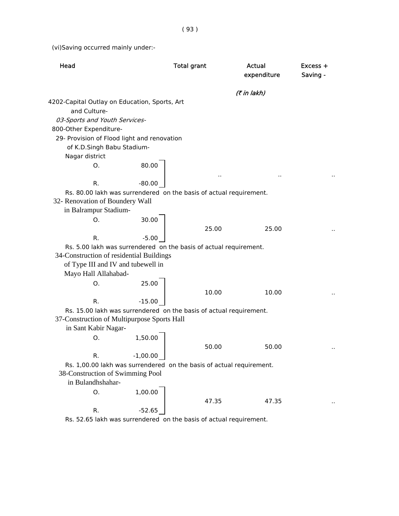( 93 )

(vi)Saving occurred mainly under:-

| Head                                                                 |            | <b>Total grant</b> |       | Actual<br>expenditure | $Excess +$<br>Saving - |
|----------------------------------------------------------------------|------------|--------------------|-------|-----------------------|------------------------|
|                                                                      |            |                    |       | (₹ in lakh)           |                        |
| 4202-Capital Outlay on Education, Sports, Art<br>and Culture-        |            |                    |       |                       |                        |
| 03-Sports and Youth Services-                                        |            |                    |       |                       |                        |
| 800-Other Expenditure-                                               |            |                    |       |                       |                        |
| 29- Provision of Flood light and renovation                          |            |                    |       |                       |                        |
| of K.D.Singh Babu Stadium-                                           |            |                    |       |                       |                        |
| Nagar district                                                       |            |                    |       |                       |                        |
| O.                                                                   | 80.00      |                    |       |                       |                        |
|                                                                      |            |                    |       |                       |                        |
| R.                                                                   | $-80.00$   |                    |       |                       |                        |
| Rs. 80.00 lakh was surrendered on the basis of actual requirement.   |            |                    |       |                       |                        |
| 32- Renovation of Boundery Wall                                      |            |                    |       |                       |                        |
| in Balrampur Stadium-                                                |            |                    |       |                       |                        |
| O.                                                                   | 30.00      |                    |       |                       |                        |
|                                                                      |            |                    | 25.00 | 25.00                 |                        |
| R.                                                                   | $-5.00$    |                    |       |                       |                        |
| Rs. 5.00 lakh was surrendered on the basis of actual requirement.    |            |                    |       |                       |                        |
| 34-Construction of residential Buildings                             |            |                    |       |                       |                        |
| of Type III and IV and tubewell in                                   |            |                    |       |                       |                        |
| Mayo Hall Allahabad-                                                 |            |                    |       |                       |                        |
| О.                                                                   | 25.00      |                    |       |                       |                        |
|                                                                      |            |                    | 10.00 | 10.00                 |                        |
| R.                                                                   | $-15.00$   |                    |       |                       |                        |
| Rs. 15.00 lakh was surrendered on the basis of actual requirement.   |            |                    |       |                       |                        |
| 37-Construction of Multipurpose Sports Hall<br>in Sant Kabir Nagar-  |            |                    |       |                       |                        |
| O.                                                                   |            |                    |       |                       |                        |
|                                                                      | 1,50.00    |                    | 50.00 | 50.00                 |                        |
| R.                                                                   | $-1,00.00$ |                    |       |                       |                        |
| Rs. 1,00.00 lakh was surrendered on the basis of actual requirement. |            |                    |       |                       |                        |
| 38-Construction of Swimming Pool                                     |            |                    |       |                       |                        |
| in Bulandhshahar-                                                    |            |                    |       |                       |                        |
| O.                                                                   | 1,00.00    |                    |       |                       |                        |
|                                                                      |            |                    | 47.35 | 47.35                 |                        |
| R.                                                                   | -52.65     |                    |       |                       |                        |
| Rs, 52,65 lakh was surrendered, on the basis of actual requirement   |            |                    |       |                       |                        |

Rs. 52.65 lakh was surrendered on the basis of actual requirement.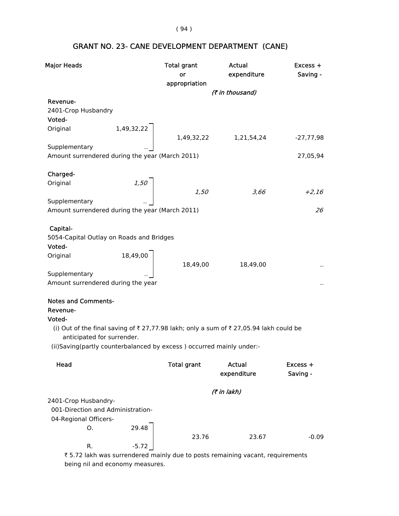( 94 )

# GRANT NO. 23- CANE DEVELOPMENT DEPARTMENT (CANE)

| <b>Major Heads</b>                              |                                     | <b>Total grant</b>                                                                   | Actual                | Excess +    |
|-------------------------------------------------|-------------------------------------|--------------------------------------------------------------------------------------|-----------------------|-------------|
|                                                 |                                     | or                                                                                   | expenditure           | Saving -    |
|                                                 |                                     | appropriation                                                                        |                       |             |
| Revenue-                                        |                                     |                                                                                      | (₹ in thousand)       |             |
| 2401-Crop Husbandry                             |                                     |                                                                                      |                       |             |
| Voted-                                          |                                     |                                                                                      |                       |             |
| Original                                        |                                     |                                                                                      |                       |             |
|                                                 | 1,49,32,22                          |                                                                                      | 1,49,32,22 1,21,54,24 | $-27,77,98$ |
| Supplementary                                   |                                     |                                                                                      |                       |             |
| Amount surrendered during the year (March 2011) |                                     |                                                                                      |                       | 27,05,94    |
|                                                 |                                     |                                                                                      |                       |             |
| Charged-                                        |                                     |                                                                                      |                       |             |
| Original                                        | $\begin{array}{c} 1,50 \end{array}$ |                                                                                      |                       |             |
| Supplementary                                   |                                     | 1,50                                                                                 | 3,66                  | $+2,16$     |
| Amount surrendered during the year (March 2011) |                                     |                                                                                      |                       | 26          |
|                                                 |                                     |                                                                                      |                       |             |
| Capital-                                        |                                     |                                                                                      |                       |             |
| 5054-Capital Outlay on Roads and Bridges        |                                     |                                                                                      |                       |             |
| Voted-                                          |                                     |                                                                                      |                       |             |
| Original                                        |                                     |                                                                                      |                       |             |
|                                                 | 18,49,00                            | 18,49,00                                                                             | 18,49,00              |             |
| Supplementary                                   |                                     |                                                                                      |                       |             |
| Amount surrendered during the year              |                                     |                                                                                      |                       |             |
| <b>Notes and Comments-</b>                      |                                     |                                                                                      |                       |             |
| Revenue-                                        |                                     |                                                                                      |                       |             |
| Voted-                                          |                                     |                                                                                      |                       |             |
|                                                 |                                     | (i) Out of the final saving of ₹27,77.98 lakh; only a sum of ₹27,05.94 lakh could be |                       |             |
| anticipated for surrender.                      |                                     |                                                                                      |                       |             |
|                                                 |                                     | (ii)Saving(partly counterbalanced by excess) occurred mainly under:-                 |                       |             |
|                                                 |                                     |                                                                                      |                       |             |
| Head                                            |                                     | <b>Total grant</b>                                                                   | Actual                | Excess +    |
|                                                 |                                     |                                                                                      | expenditure           | Saving -    |
|                                                 |                                     |                                                                                      | (7 in lakh)           |             |
| 2401-Crop Husbandry-                            |                                     |                                                                                      |                       |             |
| 001-Direction and Administration-               |                                     |                                                                                      |                       |             |
| 04-Regional Officers-                           |                                     |                                                                                      |                       |             |
| О.                                              | 29.48                               |                                                                                      |                       |             |
|                                                 |                                     | 23.76                                                                                | 23.67                 | $-0.09$     |
| R.                                              | $-5.72$                             |                                                                                      |                       |             |

₹ 5.72 lakh was surrendered mainly due to posts remaining vacant, requirements being nil and economy measures.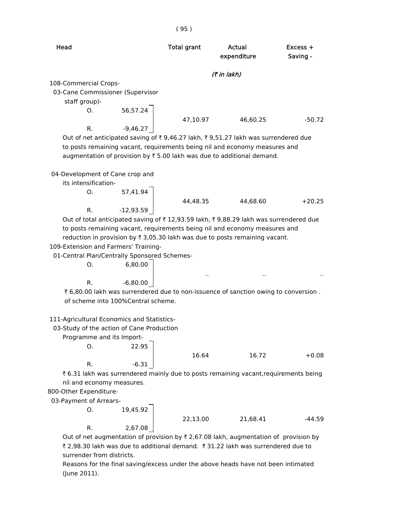| Head                                                                              | <b>Total grant</b> | Actual<br>expenditure | Excess +<br>Saving - |
|-----------------------------------------------------------------------------------|--------------------|-----------------------|----------------------|
|                                                                                   |                    | <i>(₹ in lakh)</i>    |                      |
| 108-Commercial Crops-                                                             |                    |                       |                      |
| 03-Cane Commissioner (Supervisor                                                  |                    |                       |                      |
| staff group)-                                                                     |                    |                       |                      |
| 56,57.24<br>$O_{\odot}$                                                           |                    |                       |                      |
|                                                                                   | 47.10.97           | 46.60.25              | $-50.72$             |
| $-9,46.27$<br>R.                                                                  |                    |                       |                      |
| Out of net anticipated saving of ₹9,46.27 lakh, ₹9,51.27 lakh was surrendered due |                    |                       |                      |
| to posts remaining vacant, requirements being nil and economy measures and        |                    |                       |                      |
| augmentation of provision by $\bar{\tau}$ 5.00 lakh was due to additional demand. |                    |                       |                      |
|                                                                                   |                    |                       |                      |

04-Development of Cane crop and

its intensification-

O. 57,41.94 R. -12,93.59

44,48.35 44,68.60 +20.25

Out of total anticipated saving of  $\bar{\tau}$  12,93.59 lakh,  $\bar{\tau}$  9,88.29 lakh was surrendered due to posts remaining vacant, requirements being nil and economy measures and reduction in provision by  $\bar{\tau}$  3,05.30 lakh was due to posts remaining vacant.

109-Extension and Farmers' Training-

01-Central Plan/Centrally Sponsored Schemes-

O. 6,80.00

 $R.$  -6,80.00

 $\bar{\tau}$  6,80.00 lakh was surrendered due to non-issuence of sanction owing to conversion. of scheme into 100%Central scheme.

#### 111-Agricultural Economics and Statistics-

03-Study of the action of Cane Production

Programme and its Import-

O. 22.95

R.  $-6.31$ 

16.64 16.72 +0.08

.. .. ..

 $\bar{\tau}$  6.31 lakh was surrendered mainly due to posts remaining vacant,requirements being nil and economy measures.

800-Other Expenditure-

03-Payment of Arrears-

O. 19,45.92 R. 2,67.08

22,13.00 21,68.41 -44.59

Out of net augmentation of provision by  $\bar{\tau}$  2,67.08 lakh, augmentation of provision by ₹ 2,98.30 lakh was due to additional demand. ₹ 31.22 lakh was surrendered due to surrender from districts.

 Reasons for the final saving/excess under the above heads have not been intimated (June 2011).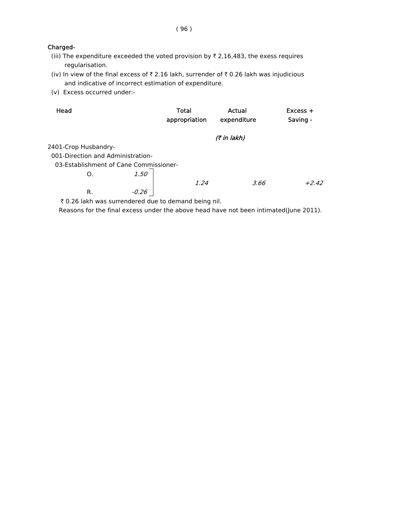### Charged-

- (iii) The expenditure exceeded the voted provision by  $\bar{\tau}$  2,16,483, the exess requires regularisation.
- (iv) In view of the final excess of  $\bar{\tau}$  2.16 lakh, surrender of  $\bar{\tau}$  0.26 lakh was injudicious and indicative of incorrect estimation of expenditure.
- (v) Excess occurred under:-

| Head                                   |         | <b>Total</b><br>appropriation | Actual<br>expenditure | $Excess +$<br>Saving - |
|----------------------------------------|---------|-------------------------------|-----------------------|------------------------|
|                                        |         |                               | (₹ in lakh)           |                        |
| 2401-Crop Husbandry-                   |         |                               |                       |                        |
| 001-Direction and Administration-      |         |                               |                       |                        |
| 03-Establishment of Cane Commissioner- |         |                               |                       |                        |
| O.                                     | 1.50    |                               |                       |                        |
|                                        |         | 1.24                          | 3.66                  | $+2.42$                |
| R.                                     | $-0.26$ |                               |                       |                        |
|                                        |         |                               |                       |                        |

₹ 0.26 lakh was surrendered due to demand being nil.

Reasons for the final excess under the above head have not been intimated(June 2011).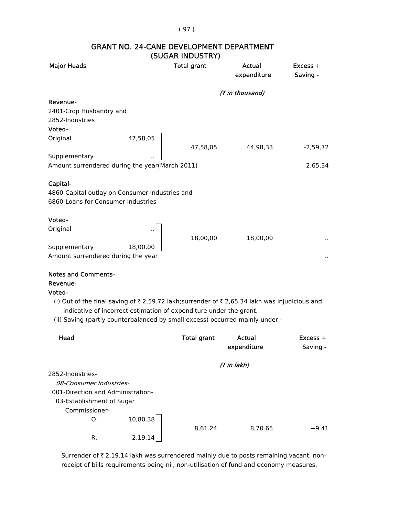#### ( 97 )

|                                                |          | 1999AN INDOSTINT   |                       |                        |
|------------------------------------------------|----------|--------------------|-----------------------|------------------------|
| <b>Major Heads</b>                             |          | <b>Total grant</b> | Actual<br>expenditure | $Excess +$<br>Saving - |
|                                                |          |                    | (₹ in thousand)       |                        |
| Revenue-                                       |          |                    |                       |                        |
| 2401-Crop Husbandry and                        |          |                    |                       |                        |
| 2852-Industries                                |          |                    |                       |                        |
| Voted-                                         |          |                    |                       |                        |
| Original                                       | 47,58,05 |                    |                       |                        |
|                                                |          | 47,58,05           | 44,98,33              | $-2,59,72$             |
| Supplementary                                  |          |                    |                       |                        |
| Amount surrendered during the year(March 2011) |          |                    |                       | 2,65,34                |
|                                                |          |                    |                       |                        |
| Capital-                                       |          |                    |                       |                        |
| 4860-Capital outlay on Consumer Industries and |          |                    |                       |                        |
| 6860-Loans for Consumer Industries             |          |                    |                       |                        |
|                                                |          |                    |                       |                        |
| Voted-                                         |          |                    |                       |                        |
| Original                                       |          |                    |                       |                        |
|                                                |          | 18,00,00           | 18,00,00              | $\sim$                 |
| Supplementary                                  | 18,00,00 |                    |                       |                        |
| Amount surrendered during the year             |          |                    |                       | .,                     |
|                                                |          |                    |                       |                        |
| <b>Notes and Comments-</b>                     |          |                    |                       |                        |

#### GRANT NO. 24-CANE DEVELOPMENT DEPARTMENT (SUGAR INDUSTRY)

### Revenue-

#### Voted-

(i) Out of the final saving of  $\bar{\tau}$  2,59.72 lakh;surrender of  $\bar{\tau}$  2,65.34 lakh was injudicious and indicative of incorrect estimation of expenditure under the grant.

(ii) Saving (partly counterbalanced by small excess) occurred mainly under:-

| Head                              |            | <b>Total grant</b> | Actual<br>expenditure | $Excess +$<br>Saving - |
|-----------------------------------|------------|--------------------|-----------------------|------------------------|
|                                   |            |                    | (7 in lakh)           |                        |
| 2852-Industries-                  |            |                    |                       |                        |
| 08-Consumer Industries-           |            |                    |                       |                        |
| 001-Direction and Administration- |            |                    |                       |                        |
| 03-Establishment of Sugar         |            |                    |                       |                        |
| Commissioner-                     |            |                    |                       |                        |
| O.                                | 10,80.38   |                    |                       |                        |
|                                   |            | 8,61.24            | 8,70.65               | $+9.41$                |
| R.                                | $-2.19.14$ |                    |                       |                        |

Surrender of  $\bar{\tau}$  2,19.14 lakh was surrendered mainly due to posts remaining vacant, nonreceipt of bills requirements being nil, non-utilisation of fund and economy measures.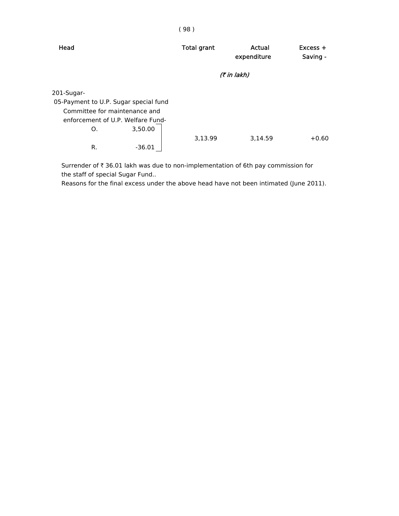| Head                                  | <b>Total grant</b> | Actual<br>expenditure | $Excess +$<br>Saving - |
|---------------------------------------|--------------------|-----------------------|------------------------|
|                                       |                    | (₹ in lakh)           |                        |
| 201-Sugar-                            |                    |                       |                        |
| 05-Payment to U.P. Sugar special fund |                    |                       |                        |
| Committee for maintenance and         |                    |                       |                        |
| enforcement of U.P. Welfare Fund-     |                    |                       |                        |
| 3,50.00<br>O.                         |                    |                       |                        |
|                                       | 3,13.99            | 3,14.59               | $+0.60$                |
| R.<br>-36.01                          |                    |                       |                        |

Surrender of  $\bar{\tau}$  36.01 lakh was due to non-implementation of 6th pay commission for the staff of special Sugar Fund..

Reasons for the final excess under the above head have not been intimated (June 2011).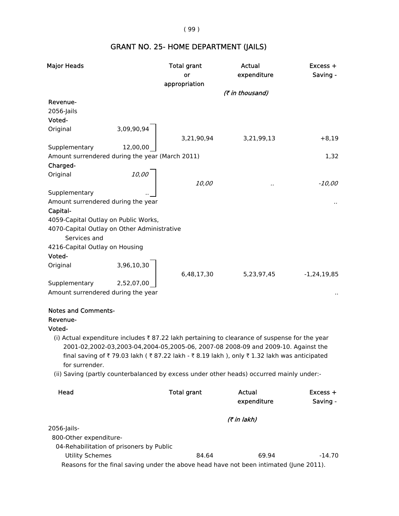( 99 )

# GRANT NO. 25- HOME DEPARTMENT (JAILS)

| Saving -                                                                                                                                                                     |
|------------------------------------------------------------------------------------------------------------------------------------------------------------------------------|
|                                                                                                                                                                              |
|                                                                                                                                                                              |
|                                                                                                                                                                              |
|                                                                                                                                                                              |
|                                                                                                                                                                              |
|                                                                                                                                                                              |
|                                                                                                                                                                              |
| $+8,19$                                                                                                                                                                      |
|                                                                                                                                                                              |
| 1,32                                                                                                                                                                         |
|                                                                                                                                                                              |
|                                                                                                                                                                              |
| $-10,00$                                                                                                                                                                     |
|                                                                                                                                                                              |
|                                                                                                                                                                              |
|                                                                                                                                                                              |
|                                                                                                                                                                              |
|                                                                                                                                                                              |
|                                                                                                                                                                              |
|                                                                                                                                                                              |
|                                                                                                                                                                              |
|                                                                                                                                                                              |
| $-1, 24, 19, 85$                                                                                                                                                             |
|                                                                                                                                                                              |
|                                                                                                                                                                              |
|                                                                                                                                                                              |
|                                                                                                                                                                              |
|                                                                                                                                                                              |
|                                                                                                                                                                              |
| (i) Actual expenditure includes ₹ 87.22 lakh pertaining to clearance of suspense for the year                                                                                |
|                                                                                                                                                                              |
|                                                                                                                                                                              |
|                                                                                                                                                                              |
| 2001-02,2002-03,2003-04,2004-05,2005-06, 2007-08 2008-09 and 2009-10. Against the<br>final saving of ₹79.03 lakh (₹87.22 lakh - ₹8.19 lakh), only ₹1.32 lakh was anticipated |

(ii) Saving (partly counterbalanced by excess under other heads) occurred mainly under:-

| Head                                                                                   | <b>Total grant</b> | Actual<br>expenditure | $Excess +$<br>Saving - |
|----------------------------------------------------------------------------------------|--------------------|-----------------------|------------------------|
|                                                                                        |                    | <i>(₹ in lakh)</i>    |                        |
| 2056-Jails-                                                                            |                    |                       |                        |
| 800-Other expenditure-                                                                 |                    |                       |                        |
| 04-Rehabilitation of prisoners by Public                                               |                    |                       |                        |
| Utility Schemes                                                                        | 84.64              | 69.94                 | $-14.70$               |
| Reasons for the final saving under the above head have not been intimated (June 2011). |                    |                       |                        |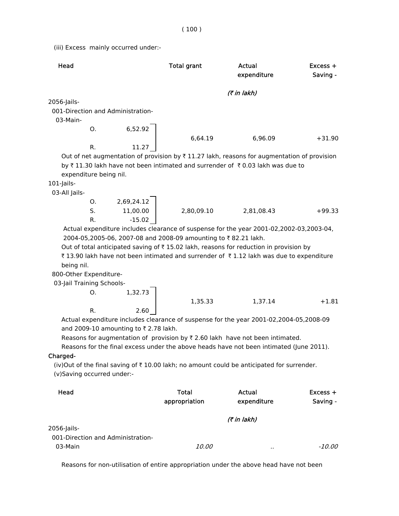(iii) Excess mainly occurred under:-

| Head          |                        |                                   | <b>Total grant</b> | Actual<br>expenditure                                                                                  | $Excess +$<br>Saving - |
|---------------|------------------------|-----------------------------------|--------------------|--------------------------------------------------------------------------------------------------------|------------------------|
|               |                        |                                   |                    | (₹ in lakh)                                                                                            |                        |
| 2056-Jails-   |                        |                                   |                    |                                                                                                        |                        |
|               |                        | 001-Direction and Administration- |                    |                                                                                                        |                        |
| 03-Main-      |                        |                                   |                    |                                                                                                        |                        |
|               | O.                     | 6.52.92                           |                    |                                                                                                        |                        |
|               |                        |                                   | 6.64.19            | 6.96.09                                                                                                | $+31.90$               |
|               | R.                     | 11.27                             |                    |                                                                                                        |                        |
|               |                        |                                   |                    | Out of net augmentation of provision by $\bar{\tau}$ 11.27 lakh, reasons for augmentation of provision |                        |
|               |                        |                                   |                    | by ₹11.30 lakh have not been intimated and surrender of ₹0.03 lakh was due to                          |                        |
|               | expenditure being nil. |                                   |                    |                                                                                                        |                        |
| $101$ -Jails- |                        |                                   |                    |                                                                                                        |                        |

03-All Jails-

| Ο. | 2,69,24.12 |            |            |          |
|----|------------|------------|------------|----------|
| S. | 11,00.00   | 2,80,09.10 | 2,81,08.43 | $+99.33$ |
| R. | $-15.02$   |            |            |          |

 Actual expenditure includes clearance of suspense for the year 2001-02,2002-03,2003-04, 2004-05,2005-06, 2007-08 and 2008-09 amounting to ₹82.21 lakh.

Out of total anticipated saving of  $\bar{\tau}$  15.02 lakh, reasons for reduction in provision by

₹ 13.90 lakh have not been intimated and surrender of ₹ 1.12 lakh was due to expenditure being nil.

800-Other Expenditure-

03-Jail Training Schools-

O. 1,32.73 1,35.33 1,37.14 +1.81 R. 2.60

 Actual expenditure includes clearance of suspense for the year 2001-02,2004-05,2008-09 and 2009-10 amounting to  $\bar{\tau}$  2.78 lakh.

Reasons for augmentation of provision by  $\bar{\tau}$  2.60 lakh have not been intimated.

Reasons for the final excess under the above heads have not been intimated (June 2011).

Charged-

(iv)Out of the final saving of  $\bar{\tau}$  10.00 lakh; no amount could be anticipated for surrender. (v)Saving occurred under:-

| Head                                             | <b>Total</b><br>appropriation | Actual<br>expenditure | $Excess +$<br>Saving - |  |  |
|--------------------------------------------------|-------------------------------|-----------------------|------------------------|--|--|
|                                                  | (7 in lakh)                   |                       |                        |  |  |
| 2056-Jails-<br>001-Direction and Administration- |                               |                       |                        |  |  |
| 03-Main                                          | <i>10.00</i>                  |                       | -10.00                 |  |  |

Reasons for non-utilisation of entire appropriation under the above head have not been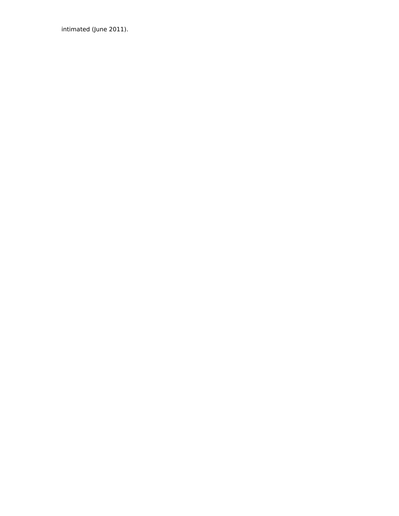intimated (June 2011).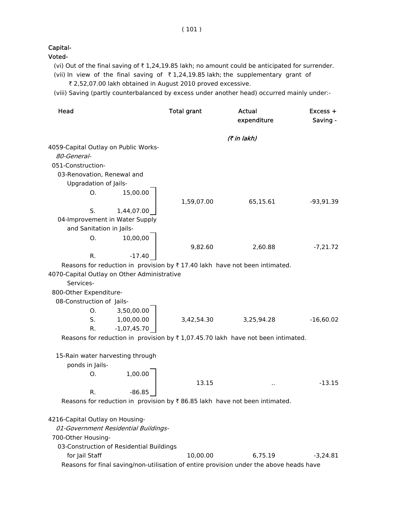Capital-

Voted-

- (vi) Out of the final saving of  $\bar{\tau}$  1,24,19.85 lakh; no amount could be anticipated for surrender.
- (vii) In view of the final saving of  $\bar{\tau}$  1,24,19.85 lakh; the supplementary grant of ₹ 2,52,07.00 lakh obtained in August 2010 proved excessive.
- (viii) Saving (partly counterbalanced by excess under another head) occurred mainly under:-

| Head                                                                                    | <b>Total grant</b> | <b>Actual</b><br>expenditure | $Excess +$<br>Saving - |
|-----------------------------------------------------------------------------------------|--------------------|------------------------------|------------------------|
|                                                                                         |                    | (₹ in lakh)                  |                        |
| 4059-Capital Outlay on Public Works-                                                    |                    |                              |                        |
| 80-General-                                                                             |                    |                              |                        |
| 051-Construction-                                                                       |                    |                              |                        |
| 03-Renovation, Renewal and                                                              |                    |                              |                        |
| <b>Upgradation of Jails-</b>                                                            |                    |                              |                        |
| 15,00.00<br>Ο.                                                                          |                    |                              |                        |
|                                                                                         | 1,59,07.00         | 65,15.61                     | $-93,91.39$            |
| S.<br>1,44,07.00                                                                        |                    |                              |                        |
| 04-Improvement in Water Supply                                                          |                    |                              |                        |
| and Sanitation in Jails-                                                                |                    |                              |                        |
| 10,00,00<br>О.                                                                          |                    |                              |                        |
|                                                                                         | 9,82.60            | 2,60.88                      | $-7,21.72$             |
| R.<br>$-17.40$                                                                          |                    |                              |                        |
| Reasons for reduction in provision by $\bar{\tau}$ 17.40 lakh have not been intimated.  |                    |                              |                        |
| 4070-Capital Outlay on Other Administrative                                             |                    |                              |                        |
| Services-                                                                               |                    |                              |                        |
| 800-Other Expenditure-                                                                  |                    |                              |                        |
| 08-Construction of Jails-                                                               |                    |                              |                        |
| 3,50,00.00<br>О.                                                                        |                    |                              |                        |
| S.<br>1,00,00.00                                                                        | 3,42,54.30         | 3,25,94.28                   | $-16,60.02$            |
| $-1,07,45.70$<br>R.                                                                     |                    |                              |                        |
| Reasons for reduction in provision by ₹1,07.45.70 lakh have not been intimated.         |                    |                              |                        |
| 15-Rain water harvesting through                                                        |                    |                              |                        |
| ponds in Jails-                                                                         |                    |                              |                        |
| 1,00.00<br>О.                                                                           |                    |                              |                        |
|                                                                                         | 13.15              | Ω,                           | $-13.15$               |
| $-86.85$<br>R.                                                                          |                    |                              |                        |
| Reasons for reduction in provision by ₹86.85 lakh have not been intimated.              |                    |                              |                        |
| 4216-Capital Outlay on Housing-                                                         |                    |                              |                        |
| 01-Government Residential Buildings-                                                    |                    |                              |                        |
| 700-Other Housing-                                                                      |                    |                              |                        |
| 03-Construction of Residential Buildings                                                |                    |                              |                        |
| for Jail Staff                                                                          | 10,00.00           | 6,75.19                      | -3,24.81               |
| Reasons for final saving/non-utilisation of entire provision under the above heads have |                    |                              |                        |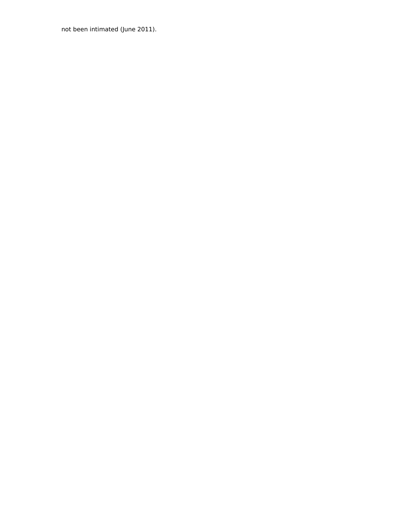not been intimated (June 2011).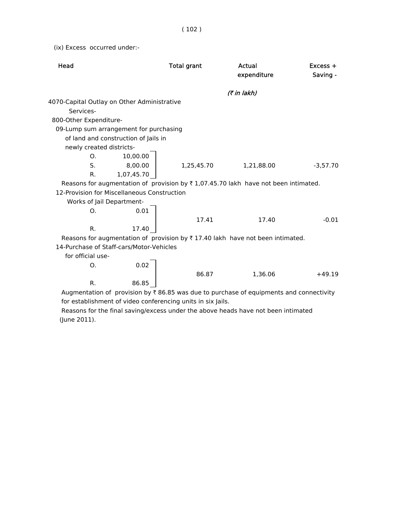(ix) Excess occurred under:-

| Head                                        |                                             | <b>Total grant</b>                                          | Actual<br>expenditure                                                                                | $Excess +$<br>Saving - |
|---------------------------------------------|---------------------------------------------|-------------------------------------------------------------|------------------------------------------------------------------------------------------------------|------------------------|
|                                             |                                             |                                                             | (7 in lakh)                                                                                          |                        |
| 4070-Capital Outlay on Other Administrative |                                             |                                                             |                                                                                                      |                        |
| Services-                                   |                                             |                                                             |                                                                                                      |                        |
| 800-Other Expenditure-                      |                                             |                                                             |                                                                                                      |                        |
|                                             | 09-Lump sum arrangement for purchasing      |                                                             |                                                                                                      |                        |
|                                             | of land and construction of Jails in        |                                                             |                                                                                                      |                        |
| newly created districts-                    |                                             |                                                             |                                                                                                      |                        |
| $\Omega$ .                                  | 10,00.00                                    |                                                             |                                                                                                      |                        |
| S.                                          | 8,00.00                                     | 1,25,45.70                                                  | 1,21,88.00                                                                                           | $-3,57.70$             |
| R.                                          | 1,07,45.70                                  |                                                             |                                                                                                      |                        |
|                                             |                                             |                                                             | Reasons for augmentation of provision by $\overline{\zeta}$ 1,07.45.70 lakh have not been intimated. |                        |
|                                             | 12-Provision for Miscellaneous Construction |                                                             |                                                                                                      |                        |
| Works of Jail Department-                   |                                             |                                                             |                                                                                                      |                        |
| O.                                          | 0.01                                        |                                                             |                                                                                                      |                        |
|                                             |                                             | 17.41                                                       | 17.40                                                                                                | $-0.01$                |
| R.                                          | 17.40                                       |                                                             |                                                                                                      |                        |
|                                             |                                             |                                                             | Reasons for augmentation of provision by $\overline{\tau}$ 17.40 lakh have not been intimated.       |                        |
|                                             | 14-Purchase of Staff-cars/Motor-Vehicles    |                                                             |                                                                                                      |                        |
| for official use-                           |                                             |                                                             |                                                                                                      |                        |
| Ο.                                          | 0.02                                        |                                                             |                                                                                                      |                        |
|                                             |                                             | 86.87                                                       | 1,36.06                                                                                              | $+49.19$               |
| R.                                          | 86.85                                       |                                                             |                                                                                                      |                        |
|                                             |                                             |                                                             | Augmentation of provision by $\bar{\tau}$ 86.85 was due to purchase of equipments and connectivity   |                        |
|                                             |                                             | for establishment of video conferencing units in six Jails. |                                                                                                      |                        |

 Reasons for the final saving/excess under the above heads have not been intimated (June 2011).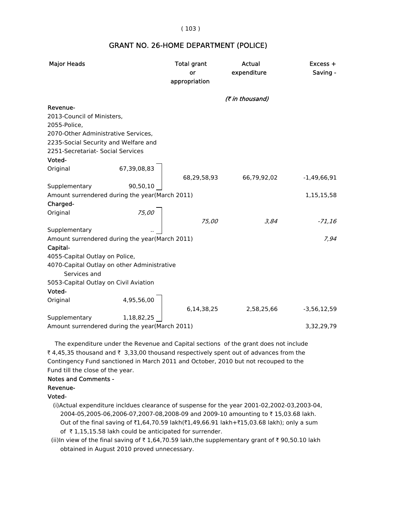#### ( 103 )

#### GRANT NO. 26-HOME DEPARTMENT (POLICE)

| <b>Major Heads</b>                                          | <b>Total grant</b><br>or<br>appropriation | Actual<br>expenditure | $Excess +$<br>Saving - |
|-------------------------------------------------------------|-------------------------------------------|-----------------------|------------------------|
|                                                             |                                           | (₹ in thousand)       |                        |
| Revenue-                                                    |                                           |                       |                        |
| 2013-Council of Ministers,                                  |                                           |                       |                        |
| 2055-Police,                                                |                                           |                       |                        |
| 2070-Other Administrative Services,                         |                                           |                       |                        |
| 2235-Social Security and Welfare and                        |                                           |                       |                        |
| 2251-Secretariat- Social Services                           |                                           |                       |                        |
| Voted-                                                      |                                           |                       |                        |
| 67,39,08,83<br>Original                                     |                                           |                       |                        |
|                                                             | 68,29,58,93                               | 66,79,92,02           | $-1,49,66,91$          |
| Supplementary<br>90,50,10                                   |                                           |                       |                        |
| Amount surrendered during the year(March 2011)              |                                           |                       | 1,15,15,58             |
| Charged-                                                    |                                           |                       |                        |
| 75,00<br>Original                                           |                                           |                       |                        |
|                                                             | 75,00                                     | 3,84                  | $-71,16$               |
| Supplementary                                               |                                           |                       |                        |
| Amount surrendered during the year(March 2011)              |                                           |                       | 7.94                   |
| Capital-                                                    |                                           |                       |                        |
| 4055-Capital Outlay on Police,                              |                                           |                       |                        |
| 4070-Capital Outlay on other Administrative<br>Services and |                                           |                       |                        |
| 5053-Capital Outlay on Civil Aviation                       |                                           |                       |                        |
| Voted-                                                      |                                           |                       |                        |
| 4,95,56,00<br>Original                                      |                                           |                       |                        |
|                                                             | 6,14,38,25                                | 2,58,25,66            | $-3,56,12,59$          |
| Supplementary<br>1,18,82,25                                 |                                           |                       |                        |
| Amount surrendered during the year(March 2011)              |                                           |                       | 3,32,29,79             |

 The expenditure under the Revenue and Capital sections of the grant does not include ₹ 4,45,35 thousand and ₹ 3,33,00 thousand respectively spent out of advances from the Contingency Fund sanctioned in March 2011 and October, 2010 but not recouped to the Fund till the close of the year.

#### Notes and Comments -

#### Revenue-

#### Voted-

 (i)Actual expenditure incldues clearance of suspense for the year 2001-02,2002-03,2003-04, 2004-05,2005-06,2006-07,2007-08,2008-09 and 2009-10 amounting to ₹15,03.68 lakh. Out of the final saving of  $\bar{z}1,64,70.59$  lakh( $\bar{z}1,49,66.91$  lakh+ $\bar{z}15,03.68$  lakh); only a sum of  $\bar{\tau}$  1,15,15.58 lakh could be anticipated for surrender.

(ii)In view of the final saving of  $\bar{\tau}$  1,64,70.59 lakh,the supplementary grant of  $\bar{\tau}$  90,50.10 lakh obtained in August 2010 proved unnecessary.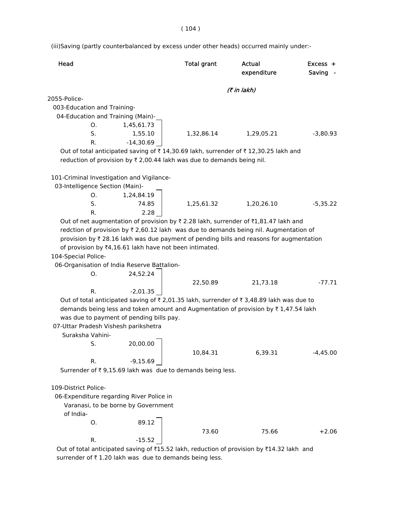(iii)Saving (partly counterbalanced by excess under other heads) occurred mainly under:-

| Head                                                   |                                     | <b>Total grant</b>                                                     | <b>Actual</b><br>expenditure                                                                       | Excess +<br>Saving |
|--------------------------------------------------------|-------------------------------------|------------------------------------------------------------------------|----------------------------------------------------------------------------------------------------|--------------------|
|                                                        |                                     |                                                                        | (₹ in lakh)                                                                                        |                    |
| 2055-Police-                                           |                                     |                                                                        |                                                                                                    |                    |
| 003-Education and Training-                            |                                     |                                                                        |                                                                                                    |                    |
| 04-Education and Training (Main)-                      |                                     |                                                                        |                                                                                                    |                    |
| Ο.                                                     | 1,45,61.73                          |                                                                        |                                                                                                    |                    |
| S.                                                     | 1,55.10                             | 1,32,86.14                                                             | 1,29,05.21                                                                                         | $-3,80.93$         |
| R.                                                     | $-14,30.69$                         |                                                                        |                                                                                                    |                    |
|                                                        |                                     |                                                                        | Out of total anticipated saving of ₹14,30.69 lakh, surrender of ₹12,30.25 lakh and                 |                    |
|                                                        |                                     | reduction of provision by ₹ 2,00.44 lakh was due to demands being nil. |                                                                                                    |                    |
| 101-Criminal Investigation and Vigilance-              |                                     |                                                                        |                                                                                                    |                    |
| 03-Intelligence Section (Main)-                        |                                     |                                                                        |                                                                                                    |                    |
| O.                                                     | 1,24,84.19                          |                                                                        |                                                                                                    |                    |
| S.                                                     | 74.85                               | 1,25,61.32                                                             | 1,20,26.10                                                                                         | $-5,35.22$         |
| R.                                                     | 2.28                                |                                                                        |                                                                                                    |                    |
|                                                        |                                     |                                                                        | Out of net augmentation of provision by ₹2.28 lakh, surrender of ₹1,81.47 lakh and                 |                    |
|                                                        |                                     |                                                                        | redction of provision by ₹ 2,60.12 lakh was due to demands being nil. Augmentation of              |                    |
|                                                        |                                     |                                                                        | provision by $\bar{\tau}$ 28.16 lakh was due payment of pending bills and reasons for augmentation |                    |
| of provision by ₹4,16.61 lakh have not been intimated. |                                     |                                                                        |                                                                                                    |                    |
| 104-Special Police-                                    |                                     |                                                                        |                                                                                                    |                    |
| 06-Organisation of India Reserve Battalion-            |                                     |                                                                        |                                                                                                    |                    |
| O.                                                     | 24,52.24                            |                                                                        |                                                                                                    |                    |
|                                                        |                                     | 22,50.89                                                               | 21,73.18                                                                                           | $-77.71$           |
| R.                                                     | $-2,01.35$                          |                                                                        |                                                                                                    |                    |
|                                                        |                                     |                                                                        | Out of total anticipated saving of ₹2,01.35 lakh, surrender of ₹3,48.89 lakh was due to            |                    |
|                                                        |                                     |                                                                        | demands being less and token amount and Augmentation of provision by $\bar{\tau}$ 1,47.54 lakh     |                    |
| was due to payment of pending bills pay.               |                                     |                                                                        |                                                                                                    |                    |
| 07-Uttar Pradesh Vishesh parikshetra                   |                                     |                                                                        |                                                                                                    |                    |
| Suraksha Vahini-                                       |                                     |                                                                        |                                                                                                    |                    |
| S.                                                     | 20,00.00                            |                                                                        |                                                                                                    |                    |
|                                                        |                                     | 10,84.31                                                               | 6,39.31                                                                                            | $-4,45.00$         |
| R.                                                     | $-9,15.69$                          |                                                                        |                                                                                                    |                    |
|                                                        |                                     | Surrender of ₹9,15.69 lakh was due to demands being less.              |                                                                                                    |                    |
|                                                        |                                     |                                                                        |                                                                                                    |                    |
| 109-District Police-                                   |                                     |                                                                        |                                                                                                    |                    |
| 06-Expenditure regarding River Police in               |                                     |                                                                        |                                                                                                    |                    |
|                                                        | Varanasi, to be borne by Government |                                                                        |                                                                                                    |                    |
| of India-                                              |                                     |                                                                        |                                                                                                    |                    |
| О.                                                     | 89.12                               |                                                                        |                                                                                                    |                    |
|                                                        |                                     | 73.60                                                                  | 75.66                                                                                              | $+2.06$            |
| R.                                                     | $-15.52$                            |                                                                        |                                                                                                    |                    |
|                                                        |                                     |                                                                        | Out of total anticipated saving of ₹15.52 lakh, reduction of provision by ₹14.32 lakh and          |                    |

surrender of  $\bar{\tau}$  1.20 lakh was due to demands being less.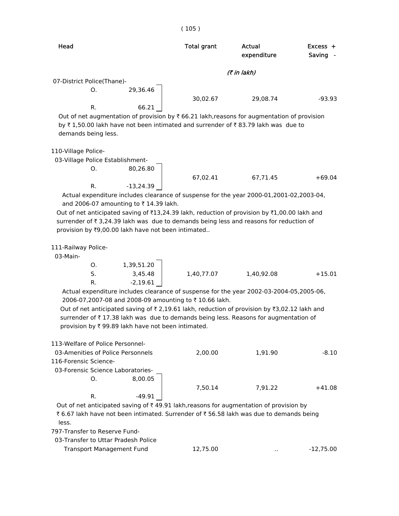| Head                       |          | Total grant | Actual<br>expenditure                                                                                  | $Excess +$<br>Saving |
|----------------------------|----------|-------------|--------------------------------------------------------------------------------------------------------|----------------------|
|                            |          |             | (₹ in lakh)                                                                                            |                      |
| 07-District Police(Thane)- |          |             |                                                                                                        |                      |
| O.                         | 29.36.46 |             |                                                                                                        |                      |
|                            |          | 30,02.67    | 29.08.74                                                                                               | $-93.93$             |
| R.                         | 66.21    |             |                                                                                                        |                      |
|                            |          |             | Out of net augmentation of provision by $\bar{\tau}$ 66.21 lakh, reasons for augmentation of provision |                      |
|                            |          |             | by ₹1,50.00 lakh have not been intimated and surrender of ₹83.79 lakh was due to                       |                      |
| demands being less.        |          |             |                                                                                                        |                      |

110-Village Police-

03-Village Police Establishment-

O. 80,26.80

67,02.41 67,71.45 +69.04 R. -13,24.39

 Actual expenditure includes clearance of suspense for the year 2000-01,2001-02,2003-04, and 2006-07 amounting to  $\bar{\tau}$  14.39 lakh.

Out of net anticipated saving of  $\text{\texttt{[13,24.39]}}$  lakh, reduction of provision by  $\text{\texttt{[1,00.00]}}$  lakh and surrender of  $\bar{\tau}$  3,24.39 lakh was due to demands being less and reasons for reduction of provision by  $\overline{3}9,00.00$  lakh have not been intimated..

111-Railway Police-

03-Main-

|    | 1,39,51.20 |            |            |          |
|----|------------|------------|------------|----------|
| S. | 3,45.48    | 1,40,77.07 | 1,40,92.08 | $+15.01$ |
| R. | $-2,19.61$ |            |            |          |

 Actual expenditure includes clearance of suspense for the year 2002-03-2004-05,2005-06, 2006-07,2007-08 and 2008-09 amounting to ₹10.66 lakh.

Out of net anticipated saving of  $\bar{\tau}$  2,19.61 lakh, reduction of provision by  $\bar{\tau}$ 3,02.12 lakh and surrender of  $\bar{\tau}$  17.38 lakh was due to demands being less. Reasons for augmentation of provision by  $\bar{\tau}$  99.89 lakh have not been intimated.

| 113-Welfare of Police Personnel-  |          |         |         |          |
|-----------------------------------|----------|---------|---------|----------|
| 03-Amenities of Police Personnels |          | 2.00.00 | 1.91.90 | -8.10    |
| 116-Forensic Science-             |          |         |         |          |
| 03-Forensic Science Laboratories- |          |         |         |          |
| O.                                | 8.00.05  |         |         |          |
|                                   |          | 7.50.14 | 7.91.22 | $+41.08$ |
| R.                                | $-49.91$ |         |         |          |
|                                   |          |         |         |          |

Out of net anticipated saving of  $\bar{\tau}$  49.91 lakh, reasons for augmentation of provision by ₹ 6.67 lakh have not been intimated. Surrender of ₹ 56.58 lakh was due to demands being less.

797-Transfer to Reserve Fund-

| 03-Transfer to Uttar Pradesh Police |          |     |             |
|-------------------------------------|----------|-----|-------------|
| Transport Management Fund           | 12.75.00 | . . | $-12.75.00$ |

#### ( 105 )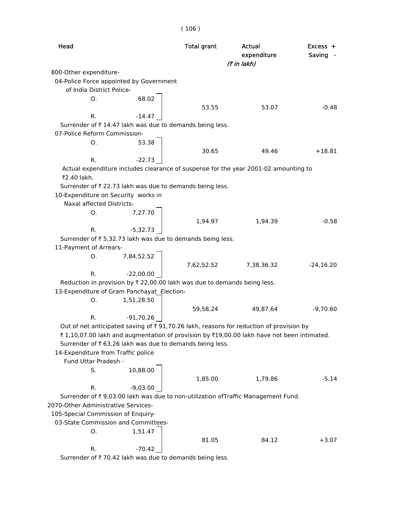| Head                                       |                                                                          | <b>Total grant</b> | Actual<br>expenditure<br>(7 in lakh)                                                       | $Excess +$<br>Saving - |
|--------------------------------------------|--------------------------------------------------------------------------|--------------------|--------------------------------------------------------------------------------------------|------------------------|
| 800-Other expenditure-                     |                                                                          |                    |                                                                                            |                        |
| 04-Police Force appointed by Government    |                                                                          |                    |                                                                                            |                        |
| of India District Police-                  |                                                                          |                    |                                                                                            |                        |
| 0.                                         | 68.02                                                                    |                    |                                                                                            |                        |
|                                            |                                                                          | 53.55              | 53.07                                                                                      | $-0.48$                |
| R.                                         | $-14.47$                                                                 |                    |                                                                                            |                        |
|                                            | Surrender of ₹14.47 lakh was due to demands being less.                  |                    |                                                                                            |                        |
| 07-Police Reform Commission-               |                                                                          |                    |                                                                                            |                        |
| Ο.                                         | 53.38                                                                    |                    |                                                                                            |                        |
|                                            |                                                                          | 30.65              | 49.46                                                                                      | $+18.81$               |
| R.                                         | $-22.73$                                                                 |                    |                                                                                            |                        |
| ₹2.40 lakh.                                |                                                                          |                    | Actual expenditure includes clearance of suspense for the year 2001-02 amounting to        |                        |
|                                            | Surrender of ₹ 22.73 lakh was due to demands being less.                 |                    |                                                                                            |                        |
| 10-Expenditure on Security works in        |                                                                          |                    |                                                                                            |                        |
| Naxal affected Districts-                  |                                                                          |                    |                                                                                            |                        |
| О.                                         | 7,27.70                                                                  |                    |                                                                                            |                        |
|                                            |                                                                          | 1,94.97            | 1,94.39                                                                                    | $-0.58$                |
| R.                                         | $-5,32.73$                                                               |                    |                                                                                            |                        |
|                                            | Surrender of ₹ 5,32.73 lakh was due to demands being less.               |                    |                                                                                            |                        |
| 11-Payment of Arrears-                     |                                                                          |                    |                                                                                            |                        |
| Ο.                                         | 7,84,52.52                                                               |                    |                                                                                            |                        |
| R.                                         | $-22,00.00$                                                              | 7,62,52.52         | 7,38,36.32                                                                                 | $-24,16.20$            |
|                                            | Reduction in provision by ₹ 22,00.00 lakh was due to demands being less. |                    |                                                                                            |                        |
| 13-Expenditure of Gram Panchayat Election- |                                                                          |                    |                                                                                            |                        |
| Ο.                                         | 1,51,28.50                                                               |                    |                                                                                            |                        |
|                                            |                                                                          | 59,58.24           | 49,87.64                                                                                   | $-9,70.60$             |
| R.                                         | $-91,70.26$                                                              |                    |                                                                                            |                        |
|                                            |                                                                          |                    | Out of net anticipated saving of ₹91,70.26 lakh, reasons for reduction of provision by     |                        |
|                                            |                                                                          |                    | ₹ 1,10,07.00 lakh and augmentation of provision by ₹19,00.00 lakh have not been intimated. |                        |
|                                            | Surrender of ₹ 63.26 lakh was due to demands being less.                 |                    |                                                                                            |                        |
| 14-Expenditure from Traffic police         |                                                                          |                    |                                                                                            |                        |
| Fund Uttar Pradesh -                       |                                                                          |                    |                                                                                            |                        |
| S.                                         | 10,88.00                                                                 |                    |                                                                                            |                        |
|                                            |                                                                          | 1,85.00            | 1,79.86                                                                                    | $-5.14$                |
| R.                                         | $-9,03.00$                                                               |                    |                                                                                            |                        |
|                                            |                                                                          |                    | Surrender of ₹ 9,03.00 lakh was due to non-utilization ofTraffic Management Fund.          |                        |
| 2070-Other Administrative Services-        |                                                                          |                    |                                                                                            |                        |
| 105-Special Commission of Enquiry-         |                                                                          |                    |                                                                                            |                        |
| 03-State Commission and Committees-        |                                                                          |                    |                                                                                            |                        |
| О.                                         | 1,51.47                                                                  |                    |                                                                                            |                        |
| R.                                         | $-70.42$                                                                 | 81.05              | 84.12                                                                                      | $+3.07$                |
|                                            |                                                                          |                    |                                                                                            |                        |

Surrender of  $\bar{\tau}$  70.42 lakh was due to demands being less.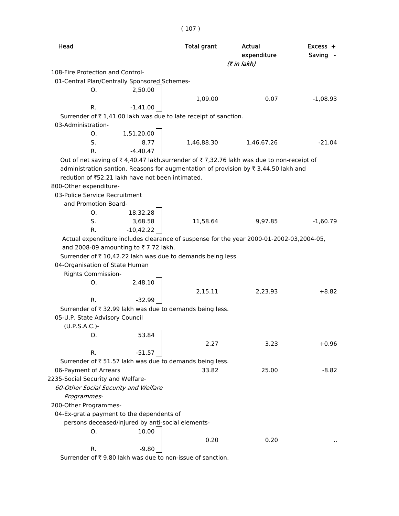| Head                                              |             | <b>Total grant</b>                                                                      | Actual<br>expenditure<br>(7 in lakh) | Excess +<br>Saving - |
|---------------------------------------------------|-------------|-----------------------------------------------------------------------------------------|--------------------------------------|----------------------|
| 108-Fire Protection and Control-                  |             |                                                                                         |                                      |                      |
| 01-Central Plan/Centrally Sponsored Schemes-      |             |                                                                                         |                                      |                      |
| О.                                                | 2,50.00     |                                                                                         |                                      |                      |
|                                                   |             | 1,09.00                                                                                 | 0.07                                 | $-1,08.93$           |
| R.                                                | $-1,41.00$  |                                                                                         |                                      |                      |
|                                                   |             | Surrender of ₹1,41.00 lakh was due to late receipt of sanction.                         |                                      |                      |
| 03-Administration-                                |             |                                                                                         |                                      |                      |
| Ο.                                                | 1,51,20.00  |                                                                                         |                                      |                      |
| S.                                                | 8.77        | 1,46,88.30                                                                              | 1,46,67.26                           | $-21.04$             |
| R.                                                | $-4.40.47$  |                                                                                         |                                      |                      |
|                                                   |             | Out of net saving of ₹4,40.47 lakh,surrender of ₹7,32.76 lakh was due to non-receipt of |                                      |                      |
|                                                   |             | administration santion. Reasons for augmentation of provision by ₹ 3,44.50 lakh and     |                                      |                      |
| redution of ₹52.21 lakh have not been intimated.  |             |                                                                                         |                                      |                      |
| 800-Other expenditure-                            |             |                                                                                         |                                      |                      |
| 03-Police Service Recruitment                     |             |                                                                                         |                                      |                      |
| and Promotion Board-                              |             |                                                                                         |                                      |                      |
| Ο.                                                | 18,32.28    |                                                                                         |                                      |                      |
| S.                                                | 3,68.58     | 11,58.64                                                                                | 9,97.85                              | $-1,60.79$           |
| R.                                                | $-10,42.22$ |                                                                                         |                                      |                      |
|                                                   |             | Actual expenditure includes clearance of suspense for the year 2000-01-2002-03,2004-05, |                                      |                      |
| and 2008-09 amounting to ₹7.72 lakh.              |             |                                                                                         |                                      |                      |
|                                                   |             | Surrender of ₹10,42.22 lakh was due to demands being less.                              |                                      |                      |
| 04-Organisation of State Human                    |             |                                                                                         |                                      |                      |
| <b>Rights Commission-</b>                         |             |                                                                                         |                                      |                      |
| Ο.                                                | 2,48.10     |                                                                                         |                                      |                      |
|                                                   |             | 2,15.11                                                                                 | 2,23.93                              | $+8.82$              |
| R.                                                | $-32.99$    |                                                                                         |                                      |                      |
|                                                   |             | Surrender of ₹32.99 lakh was due to demands being less.                                 |                                      |                      |
| 05-U.P. State Advisory Council                    |             |                                                                                         |                                      |                      |
| $(U.P.S.A.C.)-$                                   |             |                                                                                         |                                      |                      |
| Ο.                                                | 53.84       |                                                                                         |                                      |                      |
|                                                   |             | 2.27                                                                                    | 3.23                                 | +0.96                |
| R.                                                | $-51.57$    |                                                                                         |                                      |                      |
|                                                   |             | Surrender of ₹ 51.57 lakh was due to demands being less.                                |                                      |                      |
| 06-Payment of Arrears                             |             | 33.82                                                                                   | 25.00                                | -8.82                |
| 2235-Social Security and Welfare-                 |             |                                                                                         |                                      |                      |
| 60-Other Social Security and Welfare              |             |                                                                                         |                                      |                      |
| Programmes-                                       |             |                                                                                         |                                      |                      |
| 200-Other Programmes-                             |             |                                                                                         |                                      |                      |
| 04-Ex-gratia payment to the dependents of         |             |                                                                                         |                                      |                      |
| persons deceased/injured by anti-social elements- |             |                                                                                         |                                      |                      |
| О.                                                | 10.00       |                                                                                         |                                      |                      |
|                                                   |             | 0.20                                                                                    | 0.20                                 |                      |
| R.                                                | $-9.80$     |                                                                                         |                                      |                      |

Surrender of  $\bar{\tau}$  9.80 lakh was due to non-issue of sanction.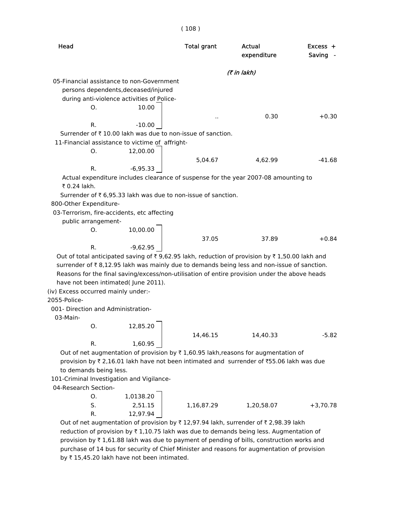| Head                                                                                                                                                                                        | <b>Total grant</b> | Actual<br>expenditure | $Excess +$<br>Saving - |
|---------------------------------------------------------------------------------------------------------------------------------------------------------------------------------------------|--------------------|-----------------------|------------------------|
|                                                                                                                                                                                             |                    | (7 in lakh)           |                        |
| 05-Financial assistance to non-Government                                                                                                                                                   |                    |                       |                        |
| persons dependents, deceased/injured                                                                                                                                                        |                    |                       |                        |
| during anti-violence activities of Police-                                                                                                                                                  |                    |                       |                        |
| 10.00<br>Ο.                                                                                                                                                                                 |                    |                       |                        |
|                                                                                                                                                                                             |                    | 0.30                  | $+0.30$                |
| $-10.00$<br>R.                                                                                                                                                                              |                    |                       |                        |
| Surrender of ₹10.00 lakh was due to non-issue of sanction.                                                                                                                                  |                    |                       |                        |
| 11-Financial assistance to victime of affright-                                                                                                                                             |                    |                       |                        |
| О.<br>12,00.00                                                                                                                                                                              |                    |                       |                        |
|                                                                                                                                                                                             | 5,04.67            | 4,62.99               | $-41.68$               |
| R.<br>-6,95.33                                                                                                                                                                              |                    |                       |                        |
| Actual expenditure includes clearance of suspense for the year 2007-08 amounting to                                                                                                         |                    |                       |                        |
| ₹ 0.24 lakh.                                                                                                                                                                                |                    |                       |                        |
| Surrender of ₹ 6,95.33 lakh was due to non-issue of sanction.                                                                                                                               |                    |                       |                        |
| 800-Other Expenditure-                                                                                                                                                                      |                    |                       |                        |
| 03-Terrorism, fire-accidents, etc affecting                                                                                                                                                 |                    |                       |                        |
| public arrangement-                                                                                                                                                                         |                    |                       |                        |
| 10,00.00<br>Ο.                                                                                                                                                                              |                    |                       |                        |
| R.                                                                                                                                                                                          | 37.05              | 37.89                 | $+0.84$                |
| $-9,62.95$                                                                                                                                                                                  |                    |                       |                        |
| Out of total anticipated saving of ₹9,62.95 lakh, reduction of provision by ₹1,50.00 lakh and<br>surrender of ₹8,12.95 lakh was mainly due to demands being less and non-issue of sanction. |                    |                       |                        |
| Reasons for the final saving/excess/non-utilisation of entire provision under the above heads                                                                                               |                    |                       |                        |
| have not been intimated( June 2011).                                                                                                                                                        |                    |                       |                        |
| (iv) Excess occurred mainly under:-                                                                                                                                                         |                    |                       |                        |
| 2055-Police-                                                                                                                                                                                |                    |                       |                        |
| 001- Direction and Administration-                                                                                                                                                          |                    |                       |                        |
| 03-Main-                                                                                                                                                                                    |                    |                       |                        |
| 0. 12,85.20                                                                                                                                                                                 |                    |                       |                        |
|                                                                                                                                                                                             | 14,46.15           | 14,40.33              | $-5.82$                |
| 1,60.95<br>R.                                                                                                                                                                               |                    |                       |                        |
| Out of net augmentation of provision by $\bar{\tau}$ 1,60.95 lakh, reasons for augmentation of                                                                                              |                    |                       |                        |
| provision by ₹2,16.01 lakh have not been intimated and surrender of ₹55.06 lakh was due                                                                                                     |                    |                       |                        |
| to demands being less.                                                                                                                                                                      |                    |                       |                        |

101-Criminal Investigation and Vigilance-

04-Research Section-

| S. |          |            |            |            |
|----|----------|------------|------------|------------|
|    | 2,51.15  | 1,16,87.29 | 1,20,58.07 | $+3,70.78$ |
| R. | 12,97.94 |            |            |            |

Out of net augmentation of provision by  $\bar{\tau}$  12,97.94 lakh, surrender of  $\bar{\tau}$  2,98.39 lakh reduction of provision by  $\bar{\tau}$  1,10.75 lakh was due to demands being less. Augmentation of provision by  $\bar{\tau}$  1,61.88 lakh was due to payment of pending of bills, construction works and purchase of 14 bus for security of Chief Minister and reasons for augmentation of provision by  $\bar{\tau}$  15,45.20 lakh have not been intimated.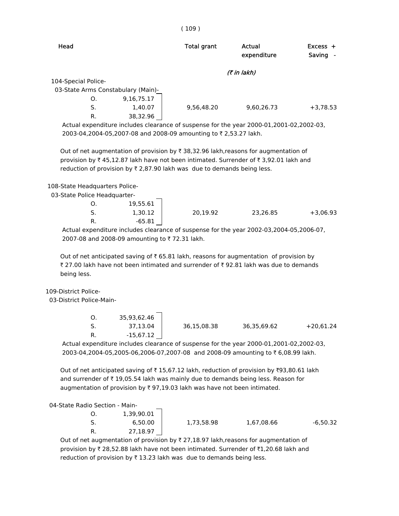| Head                |                                    | <b>Total grant</b> | Actual<br>expenditure | $Excess +$<br>Saving<br>$\sim$ |
|---------------------|------------------------------------|--------------------|-----------------------|--------------------------------|
|                     |                                    |                    | (₹ in lakh)           |                                |
| 104-Special Police- |                                    |                    |                       |                                |
|                     | 03-State Arms Constabulary (Main)- |                    |                       |                                |
| O.                  | 9,16,75.17                         |                    |                       |                                |
| S.                  | 1,40.07                            | 9,56,48.20         | 9,60,26.73            | $+3,78.53$                     |
| R.                  | 38,32.96                           |                    |                       |                                |

 Actual expenditure includes clearance of suspense for the year 2000-01,2001-02,2002-03, 2003-04,2004-05,2007-08 and 2008-09 amounting to ₹2,53.27 lakh.

Out of net augmentation of provision by  $\bar{\tau}$  38,32.96 lakh,reasons for augmentation of provision by  $\bar{\tau}$  45,12.87 lakh have not been intimated. Surrender of  $\bar{\tau}$  3,92.01 lakh and reduction of provision by  $\bar{\tau}$  2,87.90 lakh was due to demands being less.

108-State Headquarters Police-

03-State Police Headquarter-

| O. | 19,55.61 |          |          |            |
|----|----------|----------|----------|------------|
| S. | 1,30.12  | 20,19.92 | 23,26.85 | $+3,06.93$ |
| R. | -65.81   |          |          |            |

 Actual expenditure includes clearance of suspense for the year 2002-03,2004-05,2006-07, 2007-08 and 2008-09 amounting to ₹72.31 lakh.

Out of net anticipated saving of  $\bar{\tau}$  65.81 lakh, reasons for augmentation of provision by ₹ 27.00 lakh have not been intimated and surrender of ₹ 92.81 lakh was due to demands being less.

109-District Police-

03-District Police-Main-

|    | 35,93,62.46 |             |             |             |
|----|-------------|-------------|-------------|-------------|
|    | 37,13.04    | 36,15,08.38 | 36,35,69.62 | $+20,61.24$ |
| R. | -15,67.12   |             |             |             |

 Actual expenditure includes clearance of suspense for the year 2000-01,2001-02,2002-03, 2003-04,2004-05,2005-06,2006-07,2007-08 and 2008-09 amounting to ₹6,08.99 lakh.

Out of net anticipated saving of  $\bar{\tau}$  15,67.12 lakh, reduction of provision by  $\bar{\tau}$ 93,80.61 lakh and surrender of  $\bar{\tau}$  19,05.54 lakh was mainly due to demands being less. Reason for augmentation of provision by  $\bar{x}$  97,19.03 lakh was have not been intimated.

04-State Radio Section - Main-

| 1,39,90.01 |            |            |            |
|------------|------------|------------|------------|
| 6,50.00    | 1,73,58.98 | 1,67,08.66 | $-6,50.32$ |
| 27,18.97   |            |            |            |

Out of net augmentation of provision by  $\bar{\tau}$  27,18.97 lakh, reasons for augmentation of provision by  $\bar{\tau}$  28,52.88 lakh have not been intimated. Surrender of  $\bar{\tau}$ 1,20.68 lakh and reduction of provision by  $\bar{\tau}$  13.23 lakh was due to demands being less.

#### $(109)$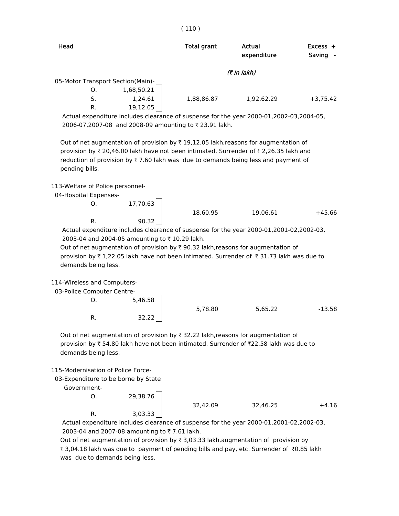| Head                              |            | <b>Total grant</b> | Actual<br>expenditure | $Excess +$<br>Saving<br>$\sim$ |
|-----------------------------------|------------|--------------------|-----------------------|--------------------------------|
|                                   |            |                    | (₹ in lakh)           |                                |
| 05-Motor Transport Section(Main)- |            |                    |                       |                                |
| O.                                | 1,68,50.21 |                    |                       |                                |
| S.                                | 1,24.61    | 1,88,86.87         | 1,92,62.29            | $+3,75.42$                     |
| R.                                | 19,12.05   |                    |                       |                                |

 Actual expenditure includes clearance of suspense for the year 2000-01,2002-03,2004-05, 2006-07,2007-08 and 2008-09 amounting to ₹ 23.91 lakh.

Out of net augmentation of provision by  $\bar{\tau}$  19,12.05 lakh,reasons for augmentation of provision by  $\bar{\tau}$  20,46.00 lakh have not been intimated. Surrender of  $\bar{\tau}$  2,26.35 lakh and reduction of provision by  $\overline{\tau}$  7.60 lakh was due to demands being less and payment of pending bills.

#### 113-Welfare of Police personnel-

04-Hospital Expenses-

O. 17,70.63 R. 90.32

18,60.95 19,06.61 +45.66

 Actual expenditure includes clearance of suspense for the year 2000-01,2001-02,2002-03, 2003-04 and 2004-05 amounting to ₹10.29 lakh.

Out of net augmentation of provision by  $\bar{\tau}$  90.32 lakh,reasons for augmentation of provision by  $\bar{\tau}$  1,22.05 lakh have not been intimated. Surrender of  $\bar{\tau}$  31.73 lakh was due to demands being less.

114-Wireless and Computers-

03-Police Computer Centre-

O. 5,46.58 5,78.80 5,65.22 -13.58 R. 32.22

Out of net augmentation of provision by  $\bar{\tau}$  32.22 lakh, reasons for augmentation of provision by  $\bar{\tau}$  54.80 lakh have not been intimated. Surrender of  $\bar{\tau}$ 22.58 lakh was due to demands being less.

### 115-Modernisation of Police Force-

03-Expenditure to be borne by State

Government-

O. 29,38.76 R. 3,03.33

 Actual expenditure includes clearance of suspense for the year 2000-01,2001-02,2002-03, 2003-04 and 2007-08 amounting to ₹7.61 lakh.

32,42.09 32,46.25 +4.16

Out of net augmentation of provision by  $\bar{x}$  3,03.33 lakh,augmentation of provision by ₹ 3,04.18 lakh was due to payment of pending bills and pay, etc. Surrender of ₹0.85 lakh was due to demands being less.

#### ( 110 )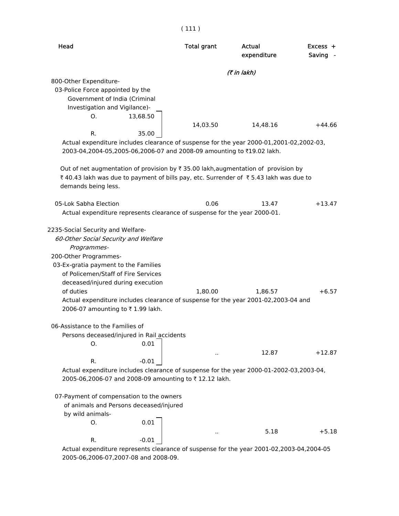| Head                                                                                                    | <b>Total grant</b> | Actual      | $Excess +$ |
|---------------------------------------------------------------------------------------------------------|--------------------|-------------|------------|
|                                                                                                         |                    | expenditure | Saving     |
|                                                                                                         |                    | (7 in lakh) |            |
| 800-Other Expenditure-                                                                                  |                    |             |            |
| 03-Police Force appointed by the                                                                        |                    |             |            |
| Government of India (Criminal                                                                           |                    |             |            |
| Investigation and Vigilance)-                                                                           |                    |             |            |
| 13,68.50<br>O.                                                                                          | 14,03.50           | 14,48.16    | $+44.66$   |
| R.<br>35.00                                                                                             |                    |             |            |
| Actual expenditure includes clearance of suspense for the year 2000-01,2001-02,2002-03,                 |                    |             |            |
| 2003-04,2004-05,2005-06,2006-07 and 2008-09 amounting to ₹19.02 lakh.                                   |                    |             |            |
| Out of net augmentation of provision by $\overline{\tau}$ 35.00 lakh, augmentation of provision by      |                    |             |            |
| ₹40.43 lakh was due to payment of bills pay, etc. Surrender of ₹5.43 lakh was due to                    |                    |             |            |
| demands being less.                                                                                     |                    |             |            |
|                                                                                                         |                    |             |            |
| 05-Lok Sabha Election                                                                                   | 0.06               | 13.47       | $+13.47$   |
| Actual expenditure represents clearance of suspense for the year 2000-01.                               |                    |             |            |
| 2235-Social Security and Welfare-                                                                       |                    |             |            |
| 60-Other Social Security and Welfare                                                                    |                    |             |            |
| Programmes-                                                                                             |                    |             |            |
| 200-Other Programmes-                                                                                   |                    |             |            |
| 03-Ex-gratia payment to the Families                                                                    |                    |             |            |
| of Policemen/Staff of Fire Services                                                                     |                    |             |            |
| deceased/injured during execution<br>of duties                                                          | 1,80.00            | 1,86.57     | $+6.57$    |
| Actual expenditure includes clearance of suspense for the year 2001-02,2003-04 and                      |                    |             |            |
| 2006-07 amounting to ₹1.99 lakh.                                                                        |                    |             |            |
|                                                                                                         |                    |             |            |
| 06-Assistance to the Families of                                                                        |                    |             |            |
| Persons deceased/injured in Rail accidents<br>0.01<br>0.                                                |                    |             |            |
|                                                                                                         |                    | 12.87       | +12.87     |
| R.<br>$-0.01$                                                                                           |                    |             |            |
| Actual expenditure includes clearance of suspense for the year 2000-01-2002-03,2003-04,                 |                    |             |            |
| 2005-06,2006-07 and 2008-09 amounting to ₹12.12 lakh.                                                   |                    |             |            |
| 07-Payment of compensation to the owners                                                                |                    |             |            |
| of animals and Persons deceased/injured                                                                 |                    |             |            |
| by wild animals-                                                                                        |                    |             |            |
| 0.01<br>O.                                                                                              |                    |             |            |
|                                                                                                         |                    | 5.18        | $+5.18$    |
| R.<br>-0.01<br>Actual expenditure represents clearance of suspense for the year 2001-02,2003-04,2004-05 |                    |             |            |

2005-06,2006-07,2007-08 and 2008-09.

#### ( 111 )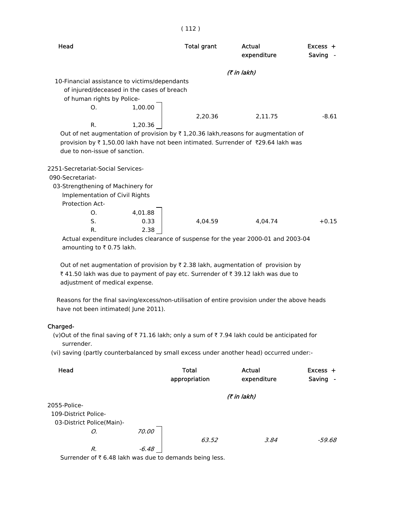| Head                                                                                           | Total grant | Actual<br>expenditure | $Excess +$<br>Saving |
|------------------------------------------------------------------------------------------------|-------------|-----------------------|----------------------|
|                                                                                                |             | (₹ in lakh)           |                      |
| 10-Financial assistance to victims/dependants                                                  |             |                       |                      |
| of injured/deceased in the cases of breach                                                     |             |                       |                      |
| of human rights by Police-                                                                     |             |                       |                      |
| O.                                                                                             | 1,00.00     |                       |                      |
|                                                                                                | 2,20.36     |                       | $-8.61$<br>2.11.75   |
| R.                                                                                             | 1,20.36     |                       |                      |
| Out of net augmentation of provision by $\bar{\tau}$ 1,20.36 lakh, reasons for augmentation of |             |                       |                      |
| provision by ₹1,50.00 lakh have not been intimated. Surrender of ₹29.64 lakh was               |             |                       |                      |
| due to non-issue of sanction.                                                                  |             |                       |                      |
|                                                                                                |             |                       |                      |
| 2251-Secretariat-Social Services-                                                              |             |                       |                      |
| 090-Secretariat-                                                                               |             |                       |                      |
| 03-Strengthening of Machinery for                                                              |             |                       |                      |

Implementation of Civil Rights

Protection Act-

| .  |         |         |         |         |
|----|---------|---------|---------|---------|
| O. | 4,01.88 |         |         |         |
| S. | 0.33    | 4,04.59 | 4,04.74 | $+0.15$ |
| R. | 2.38    |         |         |         |

 Actual expenditure includes clearance of suspense for the year 2000-01 and 2003-04 amounting to  $\bar{\tau}$  0.75 lakh.

Out of net augmentation of provision by  $\bar{\tau}$  2.38 lakh, augmentation of provision by ₹ 41.50 lakh was due to payment of pay etc. Surrender of ₹ 39.12 lakh was due to adjustment of medical expense.

 Reasons for the final saving/excess/non-utilisation of entire provision under the above heads have not been intimated( June 2011).

#### Charged-

(v)Out of the final saving of  $\overline{\tau}$  71.16 lakh; only a sum of  $\overline{\tau}$  7.94 lakh could be anticipated for surrender.

(vi) saving (partly counterbalanced by small excess under another head) occurred under:-

| Head                      |         | <b>Total</b><br>appropriation | Actual<br>expenditure | $Excess +$<br>Saving<br>$\overline{\phantom{a}}$ |
|---------------------------|---------|-------------------------------|-----------------------|--------------------------------------------------|
|                           |         |                               | (₹ in lakh)           |                                                  |
| 2055-Police-              |         |                               |                       |                                                  |
| 109-District Police-      |         |                               |                       |                                                  |
| 03-District Police(Main)- |         |                               |                       |                                                  |
| О.                        | 70.00   |                               |                       |                                                  |
|                           |         | 63.52                         | 3.84                  | -59.68                                           |
| R.                        | $-6.48$ |                               |                       |                                                  |

Surrender of  $\bar{\tau}$  6.48 lakh was due to demands being less.

#### ( 112 )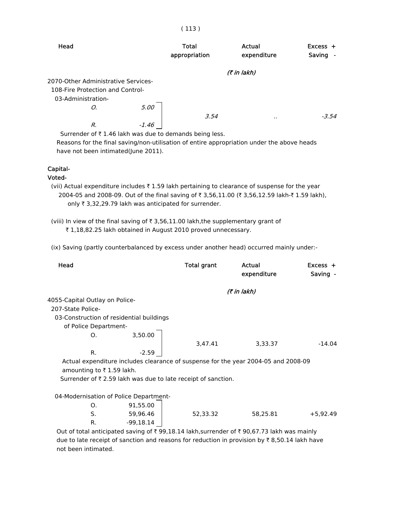| Head                                                       |         | <b>Total</b><br>appropriation | Actual<br>expenditure | $Excess +$<br>Saving<br>$\sim$ |
|------------------------------------------------------------|---------|-------------------------------|-----------------------|--------------------------------|
|                                                            |         |                               | (7 in lakh)           |                                |
| 2070-Other Administrative Services-                        |         |                               |                       |                                |
| 108-Fire Protection and Control-                           |         |                               |                       |                                |
| 03-Administration-                                         |         |                               |                       |                                |
| Ο.                                                         | 5.00    |                               |                       |                                |
|                                                            |         | 3.54                          |                       | $-3.54$                        |
| R.                                                         | $-1.46$ |                               |                       |                                |
| Currondor of $\pm$ 1,46 lakh was due to demande hoing loss |         |                               |                       |                                |

Surrender of  $\bar{\tau}$  1.46 lakh was due to demands being less. Reasons for the final saving/non-utilisation of entire appropriation under the above heads

have not been intimated(June 2011).

#### Capital-

Voted-

(vii) Actual expenditure includes ₹ 1.59 lakh pertaining to clearance of suspense for the year 2004-05 and 2008-09. Out of the final saving of ₹ 3,56,11.00 (₹ 3,56,12.59 lakh-₹ 1.59 lakh), only  $\bar{\tau}$  3,32,29.79 lakh was anticipated for surrender.

(viii) In view of the final saving of  $\bar{\tau}$  3,56,11.00 lakh,the supplementary grant of ₹ 1,18,82.25 lakh obtained in August 2010 proved unnecessary.

(ix) Saving (partly counterbalanced by excess under another head) occurred mainly under:-

| Head                           |                                                                                    | Total grant | Actual<br>expenditure | $Excess +$<br>Saving - |
|--------------------------------|------------------------------------------------------------------------------------|-------------|-----------------------|------------------------|
|                                |                                                                                    |             | (₹ in lakh)           |                        |
| 4055-Capital Outlay on Police- |                                                                                    |             |                       |                        |
| 207-State Police-              |                                                                                    |             |                       |                        |
|                                | 03-Construction of residential buildings                                           |             |                       |                        |
| of Police Department-          |                                                                                    |             |                       |                        |
| O.                             | 3,50.00                                                                            |             |                       |                        |
|                                |                                                                                    | 3,47.41     | 3,33.37               | $-14.04$               |
| R.                             | $-2.59$                                                                            |             |                       |                        |
|                                | Actual expenditure includes clearance of suspense for the year 2004-05 and 2008-09 |             |                       |                        |
| amounting to ₹1.59 lakh.       |                                                                                    |             |                       |                        |
|                                | Surrender of $\bar{\tau}$ 2.59 lakh was due to late receipt of sanction.           |             |                       |                        |
|                                |                                                                                    |             |                       |                        |
|                                | 04-Modernisation of Police Department-                                             |             |                       |                        |
| О.                             | 91,55.00                                                                           |             |                       |                        |
| S.                             | 59,96.46                                                                           | 52,33.32    | 58,25.81              | $+5,92.49$             |
| R.                             | $-99,18.14$                                                                        |             |                       |                        |

Out of total anticipated saving of  $\bar{\tau}$  99,18.14 lakh,surrender of  $\bar{\tau}$  90,67.73 lakh was mainly due to late receipt of sanction and reasons for reduction in provision by  $\bar{\tau}$  8,50.14 lakh have not been intimated.

#### ( 113 )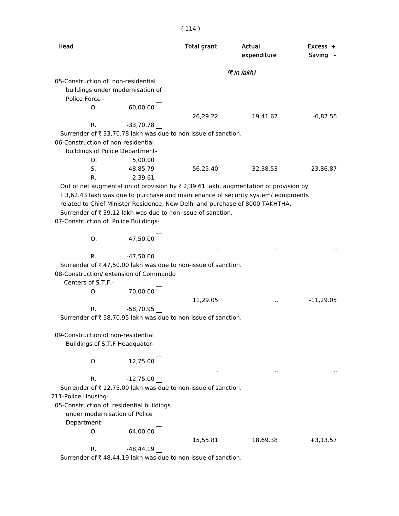| Head                                 |                                                                              | <b>Total grant</b> | Actual<br>expenditure                                                                             | Excess +<br>Saving |
|--------------------------------------|------------------------------------------------------------------------------|--------------------|---------------------------------------------------------------------------------------------------|--------------------|
|                                      |                                                                              |                    | (7 in lakh)                                                                                       |                    |
| 05-Construction of non-residential   |                                                                              |                    |                                                                                                   |                    |
|                                      | buildings under modernisation of                                             |                    |                                                                                                   |                    |
| Police Force -                       |                                                                              |                    |                                                                                                   |                    |
| O.                                   | 60,00.00                                                                     |                    |                                                                                                   |                    |
|                                      |                                                                              | 26,29.22           | 19,41.67                                                                                          | $-6,87.55$         |
| R.                                   | $-33,70.78$                                                                  |                    |                                                                                                   |                    |
|                                      | Surrender of ₹ 33,70.78 lakh was due to non-issue of sanction.               |                    |                                                                                                   |                    |
| 06-Construction of non-residential   |                                                                              |                    |                                                                                                   |                    |
|                                      | buildings of Police Department-                                              |                    |                                                                                                   |                    |
| O.                                   | 5,00.00                                                                      |                    |                                                                                                   |                    |
| S.                                   | 48,85.79                                                                     | 56,25.40           | 32,38.53                                                                                          | $-23,86.87$        |
| R.                                   | 2,39.61                                                                      |                    | Out of net augmentation of provision by $\overline{x}$ 2,39.61 lakh, augmentation of provision by |                    |
|                                      |                                                                              |                    | ₹ 3,62.43 lakh was due to purchase and maintenance of security system/ equipments                 |                    |
|                                      | related to Chief Minister Residence, New Delhi and purchase of 8000 TAKHTHA. |                    |                                                                                                   |                    |
|                                      | Surrender of ₹39.12 lakh was due to non-issue of sanction.                   |                    |                                                                                                   |                    |
| 07-Construction of Police Buildings- |                                                                              |                    |                                                                                                   |                    |
|                                      |                                                                              |                    |                                                                                                   |                    |
| Ο.                                   | 47,50.00                                                                     |                    |                                                                                                   |                    |
|                                      |                                                                              |                    |                                                                                                   |                    |
| R.                                   | $-47,50.00$                                                                  |                    |                                                                                                   |                    |
|                                      | Surrender of ₹47,50.00 lakh was due to non-issue of sanction.                |                    |                                                                                                   |                    |
|                                      | 08-Construction/ extension of Commando                                       |                    |                                                                                                   |                    |
| Centers of S.T.F.-                   |                                                                              |                    |                                                                                                   |                    |
| Ο.                                   | 70,00.00                                                                     |                    |                                                                                                   |                    |
|                                      |                                                                              | 11,29.05           |                                                                                                   | $-11,29.05$        |
| R.                                   | $-58,70.95$                                                                  |                    |                                                                                                   |                    |
|                                      | Surrender of ₹ 58,70.95 lakh was due to non-issue of sanction.               |                    |                                                                                                   |                    |
|                                      |                                                                              |                    |                                                                                                   |                    |
| 09-Construction of non-residential   |                                                                              |                    |                                                                                                   |                    |
|                                      | Buildings of S.T.F Headquater-                                               |                    |                                                                                                   |                    |
|                                      |                                                                              |                    |                                                                                                   |                    |
| Ο.                                   | 12,75.00                                                                     |                    |                                                                                                   |                    |
|                                      |                                                                              |                    |                                                                                                   |                    |
| R.                                   | $-12,75.00$                                                                  |                    |                                                                                                   |                    |
|                                      | Surrender of ₹12,75.00 lakh was due to non-issue of sanction.                |                    |                                                                                                   |                    |
| 211-Police Housing-                  |                                                                              |                    |                                                                                                   |                    |
|                                      | 05-Construction of residential buildings                                     |                    |                                                                                                   |                    |
| under modernisation of Police        |                                                                              |                    |                                                                                                   |                    |
| Department-                          |                                                                              |                    |                                                                                                   |                    |
| О.                                   | 64,00.00                                                                     |                    |                                                                                                   |                    |
|                                      |                                                                              | 15,55.81           | 18,69.38                                                                                          | $+3,13.57$         |
| R.                                   | $-48, 44.19$                                                                 |                    |                                                                                                   |                    |

Surrender of  $\bar{\tau}$  48,44.19 lakh was due to non-issue of sanction.

#### ( 114 )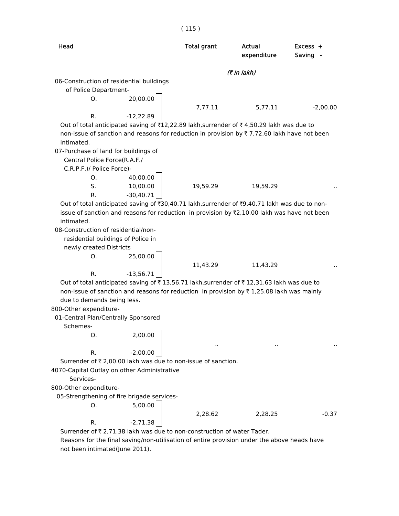| Head                                                                                                      |             | <b>Total grant</b> | Actual<br>expenditure | Excess +<br>Saving - |
|-----------------------------------------------------------------------------------------------------------|-------------|--------------------|-----------------------|----------------------|
|                                                                                                           |             |                    | (₹ in lakh)           |                      |
| 06-Construction of residential buildings                                                                  |             |                    |                       |                      |
| of Police Department-                                                                                     |             |                    |                       |                      |
| 0.                                                                                                        | 20,00.00    |                    |                       |                      |
|                                                                                                           |             | 7,77.11            | 5,77.11               | $-2,00.00$           |
| R.                                                                                                        | $-12,22.89$ |                    |                       |                      |
| Out of total anticipated saving of ₹12,22.89 lakh,surrender of ₹4,50.29 lakh was due to                   |             |                    |                       |                      |
| non-issue of sanction and reasons for reduction in provision by ₹7,72.60 lakh have not been               |             |                    |                       |                      |
| intimated.                                                                                                |             |                    |                       |                      |
| 07-Purchase of land for buildings of                                                                      |             |                    |                       |                      |
| Central Police Force(R.A.F./                                                                              |             |                    |                       |                      |
| C.R.P.F.)/ Police Force)-                                                                                 |             |                    |                       |                      |
| О.                                                                                                        | 40,00.00    |                    |                       |                      |
| S.                                                                                                        | 10,00.00    | 19,59.29           | 19,59.29              |                      |
| R.                                                                                                        | $-30,40.71$ |                    |                       |                      |
| Out of total anticipated saving of ₹30,40.71 lakh, surrender of ₹9,40.71 lakh was due to non-             |             |                    |                       |                      |
| issue of sanction and reasons for reduction in provision by $Z$ , 10.00 lakh was have not been            |             |                    |                       |                      |
|                                                                                                           |             |                    |                       |                      |
| intimated.                                                                                                |             |                    |                       |                      |
| 08-Construction of residential/non-                                                                       |             |                    |                       |                      |
|                                                                                                           |             |                    |                       |                      |
| residential buildings of Police in<br>newly created Districts                                             |             |                    |                       |                      |
| Ο.                                                                                                        | 25,00.00    |                    |                       |                      |
|                                                                                                           |             | 11,43.29           | 11,43.29              |                      |
| R.                                                                                                        | $-13,56.71$ |                    |                       |                      |
| Out of total anticipated saving of ₹13,56.71 lakh,surrender of ₹12,31.63 lakh was due to                  |             |                    |                       |                      |
| non-issue of sanction and reasons for reduction in provision by $\overline{\tau}$ 1,25.08 lakh was mainly |             |                    |                       |                      |
|                                                                                                           |             |                    |                       |                      |
| due to demands being less.                                                                                |             |                    |                       |                      |
| 800-Other expenditure-                                                                                    |             |                    |                       |                      |
| 01-Central Plan/Centrally Sponsored                                                                       |             |                    |                       |                      |
| Schemes-                                                                                                  |             |                    |                       |                      |
| O.                                                                                                        | 2,00.00     |                    |                       |                      |
|                                                                                                           |             |                    |                       |                      |
| R.                                                                                                        | $-2,00.00$  |                    |                       |                      |
| Surrender of ₹ 2,00.00 lakh was due to non-issue of sanction.                                             |             |                    |                       |                      |
| 4070-Capital Outlay on other Administrative                                                               |             |                    |                       |                      |
| Services-                                                                                                 |             |                    |                       |                      |
| 800-Other expenditure-                                                                                    |             |                    |                       |                      |
| 05-Strengthening of fire brigade services-                                                                |             |                    |                       |                      |
| О.                                                                                                        | 5,00.00     |                    |                       |                      |
| R.                                                                                                        | $-2,71.38$  | 2,28.62            | 2,28.25               | $-0.37$              |

not been intimated(June 2011).

#### ( 115 )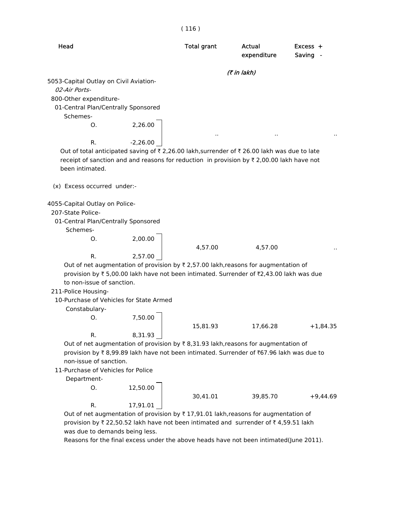|                                                                                                                                                                                                                                                                                                                                                                                              |                       | (116)              |                       |                        |
|----------------------------------------------------------------------------------------------------------------------------------------------------------------------------------------------------------------------------------------------------------------------------------------------------------------------------------------------------------------------------------------------|-----------------------|--------------------|-----------------------|------------------------|
| Head                                                                                                                                                                                                                                                                                                                                                                                         |                       | <b>Total grant</b> | Actual<br>expenditure | $Excess +$<br>Saving - |
|                                                                                                                                                                                                                                                                                                                                                                                              |                       |                    | (7 in lakh)           |                        |
| 5053-Capital Outlay on Civil Aviation-<br>02-Air Ports-<br>800-Other expenditure-<br>01-Central Plan/Centrally Sponsored<br>Schemes-<br>Ο.<br>R.<br>Out of total anticipated saving of $\overline{\tau}$ 2,26.00 lakh,surrender of $\overline{\tau}$ 26.00 lakh was due to late<br>receipt of sanction and and reasons for reduction in provision by $\overline{\tau}$ 2,00.00 lakh have not | 2,26.00<br>$-2,26.00$ |                    |                       |                        |
| been intimated.                                                                                                                                                                                                                                                                                                                                                                              |                       |                    |                       |                        |
| (x) Excess occurred under:-                                                                                                                                                                                                                                                                                                                                                                  |                       |                    |                       |                        |
| 4055-Capital Outlay on Police-<br>207-State Police-<br>01-Central Plan/Centrally Sponsored<br>Schemes-<br>Ο.                                                                                                                                                                                                                                                                                 | 2,00.00               |                    |                       |                        |
|                                                                                                                                                                                                                                                                                                                                                                                              |                       | 4,57.00            | 4,57.00               |                        |
| R.<br>Out of net augmentation of provision by $\bar{\tau}$ 2,57.00 lakh, reasons for augmentation of<br>provision by ₹5,00.00 lakh have not been intimated. Surrender of ₹2,43.00 lakh was due<br>to non-issue of sanction.<br>211-Police Housing-<br>10-Purchase of Vehicles for State Armed                                                                                                | 2,57.00               |                    |                       |                        |
| Constabulary-                                                                                                                                                                                                                                                                                                                                                                                |                       |                    |                       |                        |
| $\circ$ .<br>R.                                                                                                                                                                                                                                                                                                                                                                              | 7,50.00<br>8,31.93    | 15,81.93           | 17,66.28              | $+1,84.35$             |
| Out of net augmentation of provision by $\bar{\tau}$ 8,31.93 lakh, reasons for augmentation of<br>provision by ₹8,99.89 lakh have not been intimated. Surrender of ₹67.96 lakh was due to<br>non-issue of sanction.                                                                                                                                                                          |                       |                    |                       |                        |
| 11-Purchase of Vehicles for Police                                                                                                                                                                                                                                                                                                                                                           |                       |                    |                       |                        |
| Department-                                                                                                                                                                                                                                                                                                                                                                                  |                       |                    |                       |                        |
| О.<br>R.                                                                                                                                                                                                                                                                                                                                                                                     | 12,50.00              | 30,41.01           | 39,85.70              | $+9,44.69$             |
| Out of net augmentation of provision by ₹17,91.01 lakh, reasons for augmentation of                                                                                                                                                                                                                                                                                                          | 17,91.01              |                    |                       |                        |
| provision by ₹ 22,50.52 lakh have not been intimated and surrender of ₹ 4,59.51 lakh<br>was due to demands being less.                                                                                                                                                                                                                                                                       |                       |                    |                       |                        |

Reasons for the final excess under the above heads have not been intimated(June 2011).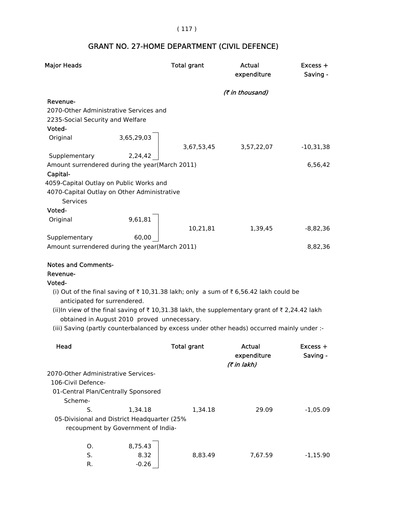## ( 117 )

# GRANT NO. 27-HOME DEPARTMENT (CIVIL DEFENCE)

| <b>Major Heads</b>                                                                               |                                             | <b>Total grant</b>                                                                                                                                                                                                                                                                                       | Actual<br>expenditure | Excess +<br>Saving -   |
|--------------------------------------------------------------------------------------------------|---------------------------------------------|----------------------------------------------------------------------------------------------------------------------------------------------------------------------------------------------------------------------------------------------------------------------------------------------------------|-----------------------|------------------------|
|                                                                                                  |                                             |                                                                                                                                                                                                                                                                                                          | (₹ in thousand)       |                        |
| Revenue-<br>2070-Other Administrative Services and<br>2235-Social Security and Welfare<br>Voted- |                                             |                                                                                                                                                                                                                                                                                                          |                       |                        |
| Original                                                                                         | 3,65,29,03                                  |                                                                                                                                                                                                                                                                                                          |                       |                        |
| Supplementary                                                                                    | 2,24,42                                     | 3,67,53,45                                                                                                                                                                                                                                                                                               | 3,57,22,07            | -10,31,38              |
| Amount surrendered during the year(March 2011)<br>Capital-                                       |                                             |                                                                                                                                                                                                                                                                                                          |                       | 6,56,42                |
| 4059-Capital Outlay on Public Works and                                                          |                                             |                                                                                                                                                                                                                                                                                                          |                       |                        |
| 4070-Capital Outlay on Other Administrative<br><b>Services</b>                                   |                                             |                                                                                                                                                                                                                                                                                                          |                       |                        |
| Voted-                                                                                           |                                             |                                                                                                                                                                                                                                                                                                          |                       |                        |
| Original                                                                                         | 9,61,81                                     | 10,21,81                                                                                                                                                                                                                                                                                                 | 1,39,45               | -8,82,36               |
| Supplementary                                                                                    | 60,00                                       |                                                                                                                                                                                                                                                                                                          |                       |                        |
| Amount surrendered during the year(March 2011)                                                   |                                             |                                                                                                                                                                                                                                                                                                          |                       | 8,82,36                |
|                                                                                                  |                                             |                                                                                                                                                                                                                                                                                                          |                       |                        |
| <b>Notes and Comments-</b><br>Revenue-                                                           |                                             |                                                                                                                                                                                                                                                                                                          |                       |                        |
| Voted-                                                                                           |                                             |                                                                                                                                                                                                                                                                                                          |                       |                        |
| anticipated for surrendered.                                                                     | obtained in August 2010 proved unnecessary. | (i) Out of the final saving of ₹10,31.38 lakh; only a sum of ₹6,56.42 lakh could be<br>(ii)In view of the final saving of $\bar{\tau}$ 10,31.38 lakh, the supplementary grant of $\bar{\tau}$ 2,24.42 lakh<br>(iii) Saving (partly counterbalanced by excess under other heads) occurred mainly under :- |                       |                        |
| Head                                                                                             |                                             | <b>Total grant</b>                                                                                                                                                                                                                                                                                       | Actual<br>expenditure | $Excess +$<br>Saving - |
| 2070-Other Administrative Services-<br>106-Civil Defence-                                        |                                             |                                                                                                                                                                                                                                                                                                          | (₹ in lakh)           |                        |
|                                                                                                  | 01-Central Plan/Centrally Sponsored         |                                                                                                                                                                                                                                                                                                          |                       |                        |
| Scheme-                                                                                          |                                             |                                                                                                                                                                                                                                                                                                          |                       |                        |
| S.                                                                                               | 1,34.18                                     | 1,34.18                                                                                                                                                                                                                                                                                                  | 29.09                 | $-1,05.09$             |
|                                                                                                  | 05-Divisional and District Headquarter (25% |                                                                                                                                                                                                                                                                                                          |                       |                        |
|                                                                                                  | recoupment by Government of India-          |                                                                                                                                                                                                                                                                                                          |                       |                        |
| O.                                                                                               | 8,75.43                                     |                                                                                                                                                                                                                                                                                                          |                       |                        |
| S.                                                                                               | 8.32                                        | 8,83.49                                                                                                                                                                                                                                                                                                  | 7,67.59               | $-1,15.90$             |
| R.                                                                                               | $-0.26$                                     |                                                                                                                                                                                                                                                                                                          |                       |                        |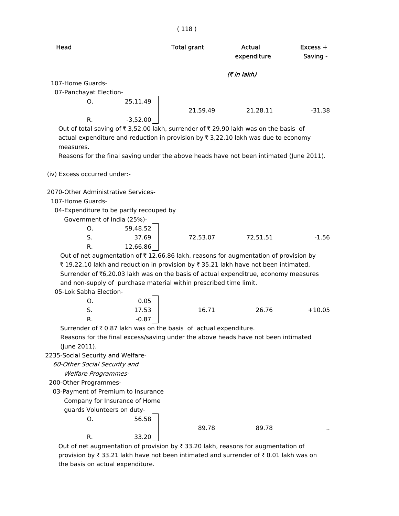| × |  | ٧<br>× |
|---|--|--------|
|   |  |        |

|                                                                                                                                                                                                                                                                                                                                                                            |                   | (118)              |                       |                        |
|----------------------------------------------------------------------------------------------------------------------------------------------------------------------------------------------------------------------------------------------------------------------------------------------------------------------------------------------------------------------------|-------------------|--------------------|-----------------------|------------------------|
| Head                                                                                                                                                                                                                                                                                                                                                                       |                   | <b>Total grant</b> | Actual<br>expenditure | $Excess +$<br>Saving - |
|                                                                                                                                                                                                                                                                                                                                                                            |                   |                    | (7 in lakh)           |                        |
| 107-Home Guards-                                                                                                                                                                                                                                                                                                                                                           |                   |                    |                       |                        |
| 07-Panchayat Election-                                                                                                                                                                                                                                                                                                                                                     |                   |                    |                       |                        |
| O.                                                                                                                                                                                                                                                                                                                                                                         | 25,11.49          |                    |                       |                        |
|                                                                                                                                                                                                                                                                                                                                                                            |                   | 21,59.49           | 21,28.11              | $-31.38$               |
| R.                                                                                                                                                                                                                                                                                                                                                                         | $-3,52.00$        |                    |                       |                        |
| Out of total saving of ₹3,52.00 lakh, surrender of ₹29.90 lakh was on the basis of<br>actual expenditure and reduction in provision by ₹ 3,22.10 lakh was due to economy<br>measures.                                                                                                                                                                                      |                   |                    |                       |                        |
| Reasons for the final saving under the above heads have not been intimated (June 2011).                                                                                                                                                                                                                                                                                    |                   |                    |                       |                        |
| (iv) Excess occurred under:-                                                                                                                                                                                                                                                                                                                                               |                   |                    |                       |                        |
| 2070-Other Administrative Services-<br>107-Home Guards-<br>04-Expenditure to be partly recouped by<br>Government of India (25%)-                                                                                                                                                                                                                                           |                   |                    |                       |                        |
| Ο.<br>S.                                                                                                                                                                                                                                                                                                                                                                   | 59,48.52<br>37.69 | 72,53.07           | 72,51.51              | $-1.56$                |
| R.                                                                                                                                                                                                                                                                                                                                                                         | 12,66.86          |                    |                       |                        |
| Out of net augmentation of $\bar{\tau}$ 12,66.86 lakh, reasons for augmentation of provision by<br>₹19,22.10 lakh and reduction in provision by ₹35.21 lakh have not been intimated.<br>Surrender of ₹6,20.03 lakh was on the basis of actual expenditrue, economy measures<br>and non-supply of purchase material within prescribed time limit.<br>05-Lok Sabha Election- |                   |                    |                       |                        |
| O.                                                                                                                                                                                                                                                                                                                                                                         | 0.05              |                    |                       |                        |
| S.<br>R.                                                                                                                                                                                                                                                                                                                                                                   | 17.53<br>$-0.87$  | 16.71              | 26.76                 | $+10.05$               |
| Surrender of $\bar{\tau}$ 0.87 lakh was on the basis of actual expenditure.                                                                                                                                                                                                                                                                                                |                   |                    |                       |                        |
| Reasons for the final excess/saving under the above heads have not been intimated                                                                                                                                                                                                                                                                                          |                   |                    |                       |                        |
| (June 2011).                                                                                                                                                                                                                                                                                                                                                               |                   |                    |                       |                        |
| 2235-Social Security and Welfare-                                                                                                                                                                                                                                                                                                                                          |                   |                    |                       |                        |
| 60-Other Social Security and                                                                                                                                                                                                                                                                                                                                               |                   |                    |                       |                        |
| <b>Welfare Programmes-</b>                                                                                                                                                                                                                                                                                                                                                 |                   |                    |                       |                        |
| 200-Other Programmes-                                                                                                                                                                                                                                                                                                                                                      |                   |                    |                       |                        |
| 03-Payment of Premium to Insurance                                                                                                                                                                                                                                                                                                                                         |                   |                    |                       |                        |
| Company for Insurance of Home                                                                                                                                                                                                                                                                                                                                              |                   |                    |                       |                        |
| guards Volunteers on duty-                                                                                                                                                                                                                                                                                                                                                 |                   |                    |                       |                        |
| Ο.                                                                                                                                                                                                                                                                                                                                                                         | 56.58             |                    |                       |                        |
|                                                                                                                                                                                                                                                                                                                                                                            |                   | 89.78              | 89.78                 |                        |
| R.                                                                                                                                                                                                                                                                                                                                                                         | 33.20             |                    |                       |                        |
| Out of net augmentation of provision by ₹33.20 lakh, reasons for augmentation of                                                                                                                                                                                                                                                                                           |                   |                    |                       |                        |

provision by  $\bar{\tau}$  33.21 lakh have not been intimated and surrender of  $\bar{\tau}$  0.01 lakh was on the basis on actual expenditure.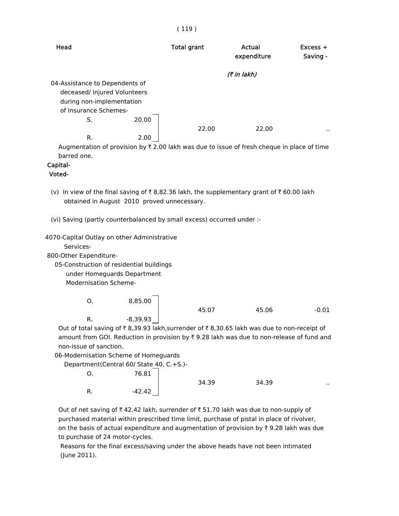#### ( 119 )

| Head                           |       | <b>Total grant</b> | Actual<br>expenditure | $Excess +$<br>Saving - |
|--------------------------------|-------|--------------------|-----------------------|------------------------|
|                                |       |                    | (₹ in lakh)           |                        |
| 04-Assistance to Dependents of |       |                    |                       |                        |
| deceased/ injured Volunteers   |       |                    |                       |                        |
| during non-implementation      |       |                    |                       |                        |
| of Insurance Schemes-          |       |                    |                       |                        |
| S.                             | 20.00 |                    |                       |                        |
|                                |       | 22.00              | 22.00                 | . .                    |
| R.                             | 2.00  |                    |                       |                        |

Augmentation of provision by  $\bar{\tau}$  2.00 lakh was due to issue of fresh cheque in place of time barred one.

#### Capital-

#### Voted-

- (v) In view of the final saving of  $\bar{\tau}$  8,82.36 lakh, the supplementary grant of  $\bar{\tau}$  60.00 lakh obtained in August 2010 proved unnecessary.
- (vi) Saving (partly counterbalanced by small excess) occurred under :-

|  |  |  |  | 4070-Capital Outlay on other Administrative |
|--|--|--|--|---------------------------------------------|
|--|--|--|--|---------------------------------------------|

Services-

800-Other Expenditure-

 05-Construction of residential buildings under Homeguards Department Modernisation Scheme-

> O. 8,85.00 45.07 45.06 -0.01 R.  $-8,39.93$

Out of total saving of  $\bar{\tau}$  8,39.93 lakh,surrender of  $\bar{\tau}$  8,30.65 lakh was due to non-receipt of amount from GOI. Reduction in provision by  $\overline{x}$  9.28 lakh was due to non-release of fund and non-issue of sanction.

06-Modernisation Scheme of Homeguards

Department(Central 60/ State 40, C.+S.)-

|        | 76.81    |       |       |        |
|--------|----------|-------|-------|--------|
|        |          | 34.39 | 34.39 | $\sim$ |
| D<br>. | $-42.42$ |       |       |        |

Out of net saving of  $\bar{x}$  42.42 lakh, surrender of  $\bar{x}$  51.70 lakh was due to non-supply of purchased material within prescribed time limit, purchase of pistal in place of rivolver, on the basis of actual expenditure and augmentation of provision by  $\bar{\tau}$  9.28 lakh was due to purchase of 24 motor-cycles.

 Reasons for the final excess/saving under the above heads have not been intimated (June 2011).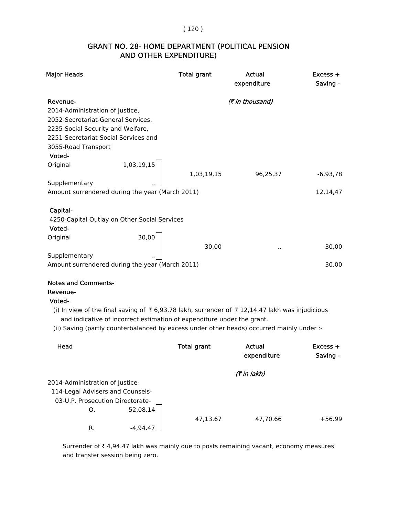## AND OTHER EXPENDITURE) GRANT NO. 28- HOME DEPARTMENT (POLITICAL PENSION

| <b>Major Heads</b>                                                                                                                                                      | <b>Total grant</b> | Actual<br>expenditure | $Excess +$<br>Saving - |
|-------------------------------------------------------------------------------------------------------------------------------------------------------------------------|--------------------|-----------------------|------------------------|
| Revenue-<br>2014-Administration of Justice,<br>2052-Secretariat-General Services,                                                                                       |                    | (₹ in thousand)       |                        |
| 2235-Social Security and Welfare,<br>2251-Secretariat-Social Services and<br>3055-Road Transport                                                                        |                    |                       |                        |
| Voted-                                                                                                                                                                  |                    |                       |                        |
| 1,03,19,15<br>Original                                                                                                                                                  | 1,03,19,15         | 96,25,37              | $-6,93,78$             |
| Supplementary<br>Amount surrendered during the year (March 2011)                                                                                                        |                    |                       | 12,14,47               |
| Capital-<br>4250-Capital Outlay on Other Social Services<br>Voted-                                                                                                      |                    |                       |                        |
| Original<br>30,00                                                                                                                                                       | 30,00              |                       | $-30,00$               |
| Supplementary                                                                                                                                                           |                    |                       |                        |
| Amount surrendered during the year (March 2011)                                                                                                                         |                    |                       | 30,00                  |
| <b>Notes and Comments-</b><br>Revenue-<br>Voted-                                                                                                                        |                    |                       |                        |
| (i) In view of the final saving of ₹6,93.78 lakh, surrender of ₹12,14.47 lakh was injudicious<br>and indicative of incorrect estimation of expenditure under the grant. |                    |                       |                        |
| (ii) Saving (partly counterbalanced by excess under other heads) occurred mainly under :-                                                                               |                    |                       |                        |
| Head                                                                                                                                                                    | <b>Total grant</b> | Actual<br>expenditure | $Excess +$<br>Saving - |
|                                                                                                                                                                         |                    | (₹ in lakh)           |                        |
| 2014-Administration of Justice-                                                                                                                                         |                    |                       |                        |
| 114-Legal Advisers and Counsels-                                                                                                                                        |                    |                       |                        |

03-U.P. Prosecution Directorate-

O. 52,08.14

R.  $-4,94.47$ 

47,13.67 47,70.66 +56.99

Surrender of  $\bar{\tau}$  4,94.47 lakh was mainly due to posts remaining vacant, economy measures and transfer session being zero.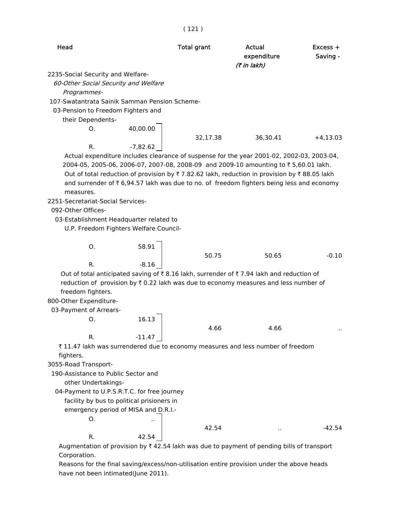|                                                                                                                               | (121)              |                                      |                        |
|-------------------------------------------------------------------------------------------------------------------------------|--------------------|--------------------------------------|------------------------|
| Head                                                                                                                          | <b>Total grant</b> | Actual<br>expenditure<br>(7 in lakh) | $Excess +$<br>Saving - |
| 2235-Social Security and Welfare-                                                                                             |                    |                                      |                        |
| 60-Other Social Security and Welfare                                                                                          |                    |                                      |                        |
| Programmes-                                                                                                                   |                    |                                      |                        |
| 107-Swatantrata Sainik Samman Pension Scheme-                                                                                 |                    |                                      |                        |
| 03-Pension to Freedom Fighters and                                                                                            |                    |                                      |                        |
| their Dependents-                                                                                                             |                    |                                      |                        |
| 40,00.00<br>Ο.                                                                                                                |                    |                                      |                        |
|                                                                                                                               | 32,17.38           | 36,30.41                             | $+4,13.03$             |
| $-7,82.62$<br>R.                                                                                                              |                    |                                      |                        |
| Actual expenditure includes clearance of suspense for the year 2001-02, 2002-03, 2003-04,                                     |                    |                                      |                        |
| 2004-05, 2005-06, 2006-07, 2007-08, 2008-09 and 2009-10 amounting to ₹5,60.01 lakh.                                           |                    |                                      |                        |
| Out of total reduction of provision by $\overline{\tau}$ 7.82.62 lakh, reduction in provision by $\overline{\tau}$ 88.05 lakh |                    |                                      |                        |
| and surrender of ₹6,94.57 lakh was due to no. of freedom fighters being less and economy                                      |                    |                                      |                        |
| measures.                                                                                                                     |                    |                                      |                        |
| 2251-Secretariat-Social Services-                                                                                             |                    |                                      |                        |
| 092-Other Offices-                                                                                                            |                    |                                      |                        |
| 03-Establishment Headquarter related to                                                                                       |                    |                                      |                        |
| U.P. Freedom Fighters Welfare Council-                                                                                        |                    |                                      |                        |
| 58.91<br>Ο.                                                                                                                   |                    |                                      |                        |
|                                                                                                                               | 50.75              | 50.65                                | $-0.10$                |
| R.<br>$-8.16$                                                                                                                 |                    |                                      |                        |
| Out of total anticipated saving of ₹8.16 lakh, surrender of ₹7.94 lakh and reduction of                                       |                    |                                      |                        |
| reduction of provision by ₹0.22 lakh was due to economy measures and less number of                                           |                    |                                      |                        |
| freedom fighters.                                                                                                             |                    |                                      |                        |
| 800-Other Expenditure-                                                                                                        |                    |                                      |                        |
| 03-Payment of Arrears-                                                                                                        |                    |                                      |                        |
| 16.13<br>O.                                                                                                                   |                    |                                      |                        |
|                                                                                                                               | 4.66               | 4.66                                 |                        |
| R.<br>$-11.47$                                                                                                                |                    |                                      |                        |
| ₹ 11.47 lakh was surrendered due to economy measures and less number of freedom                                               |                    |                                      |                        |
| fighters.                                                                                                                     |                    |                                      |                        |
| 3055-Road Transport-                                                                                                          |                    |                                      |                        |
| 190-Assistance to Public Sector and                                                                                           |                    |                                      |                        |
| other Undertakings-                                                                                                           |                    |                                      |                        |
| 04-Payment to U.P.S.R.T.C. for free journey                                                                                   |                    |                                      |                        |
| facility by bus to political prisioners in<br>emergency period of MISA and D.R.I.-                                            |                    |                                      |                        |
| О.                                                                                                                            |                    |                                      |                        |
|                                                                                                                               | 42.54              |                                      | $-42.54$               |
| R.<br>42.54                                                                                                                   |                    | $\blacksquare$                       |                        |
| Augmentation of provision by ₹42.54 lakh was due to payment of pending bills of transport                                     |                    |                                      |                        |
|                                                                                                                               |                    |                                      |                        |

Corporation.

 Reasons for the final saving/excess/non-utilisation entire provision under the above heads have not been intimated(June 2011).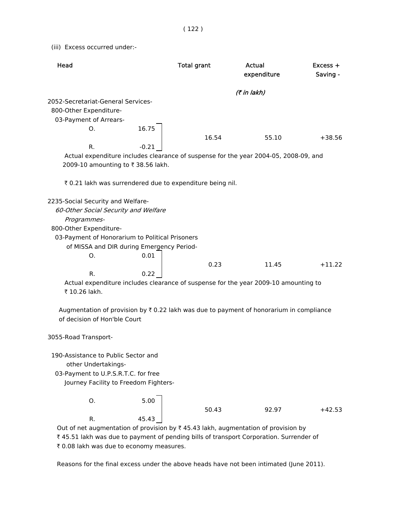(iii) Excess occurred under:-

| Head                                                                                                                                                                                                                     |         | <b>Total grant</b> | Actual<br>expenditure | $Excess +$<br>Saving - |
|--------------------------------------------------------------------------------------------------------------------------------------------------------------------------------------------------------------------------|---------|--------------------|-----------------------|------------------------|
|                                                                                                                                                                                                                          |         |                    | (7 in lakh)           |                        |
| 2052-Secretariat-General Services-<br>800-Other Expenditure-<br>03-Payment of Arrears-                                                                                                                                   |         |                    |                       |                        |
| O.                                                                                                                                                                                                                       | 16.75   | 16.54              | 55.10                 | $+38.56$               |
| R.                                                                                                                                                                                                                       | $-0.21$ |                    |                       |                        |
| Actual expenditure includes clearance of suspense for the year 2004-05, 2008-09, and<br>2009-10 amounting to ₹ 38.56 lakh.                                                                                               |         |                    |                       |                        |
| ₹ 0.21 lakh was surrendered due to expenditure being nil.                                                                                                                                                                |         |                    |                       |                        |
| 2235-Social Security and Welfare-<br>60-Other Social Security and Welfare<br>Programmes-<br>800-Other Expenditure-<br>03-Payment of Honorarium to Political Prisoners<br>of MISSA and DIR during Emergency Period-<br>O. | 0.01    |                    |                       |                        |
|                                                                                                                                                                                                                          |         | 0.23               | 11.45                 | $+11.22$               |
| R.<br>Actual expenditure includes clearance of suspense for the year 2009-10 amounting to<br>₹ 10.26 lakh.<br>Augmentation of provision by $\overline{\tau}$ 0.22 lakh was due to payment of honorarium in compliance    | 0.22    |                    |                       |                        |
| of decision of Hon'ble Court                                                                                                                                                                                             |         |                    |                       |                        |
| 3055-Road Transport-                                                                                                                                                                                                     |         |                    |                       |                        |
| 190-Assistance to Public Sector and<br>other Undertakings-<br>03-Payment to U.P.S.R.T.C. for free<br>Journey Facility to Freedom Fighters-                                                                               |         |                    |                       |                        |
| O.                                                                                                                                                                                                                       | 5.00    |                    |                       |                        |
| R.                                                                                                                                                                                                                       | 45.43   | 50.43              | 92.97                 | $+42.53$               |
| Out of net augmentation of provision by $\bar{\tau}$ 45.43 lakh, augmentation of provision by<br>₹45.51 lakh was due to payment of pending bills of transport Corporation. Surrender of                                  |         |                    |                       |                        |

₹ 0.08 lakh was due to economy measures.

Reasons for the final excess under the above heads have not been intimated (June 2011).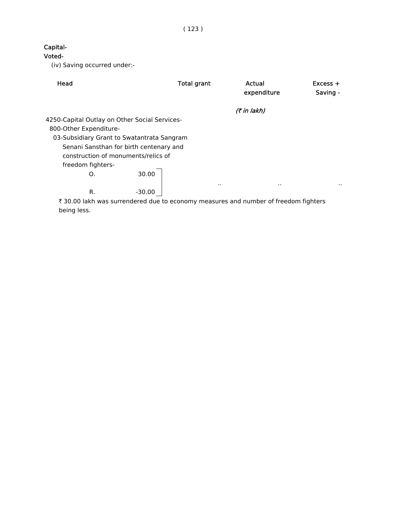( 123 )

## Capital-

Voted-

(iv) Saving occurred under:-

| Head                                          | <b>Total grant</b> | Actual<br>expenditure | $Excess +$<br>Saving - |
|-----------------------------------------------|--------------------|-----------------------|------------------------|
|                                               |                    | (₹ in lakh)           |                        |
| 4250-Capital Outlay on Other Social Services- |                    |                       |                        |
| 800-Other Expenditure-                        |                    |                       |                        |
| 03-Subsidiary Grant to Swatantrata Sangram    |                    |                       |                        |
| Senani Sansthan for birth centenary and       |                    |                       |                        |
| construction of monuments/relics of           |                    |                       |                        |
| freedom fighters-                             |                    |                       |                        |
| 30.00<br>Ο.                                   | $\cdot$ .          | $\cdot$ .             |                        |
| R.<br>$-30.00$                                |                    |                       |                        |

 $\bar{\tau}$  30.00 lakh was surrendered due to economy measures and number of freedom fighters being less.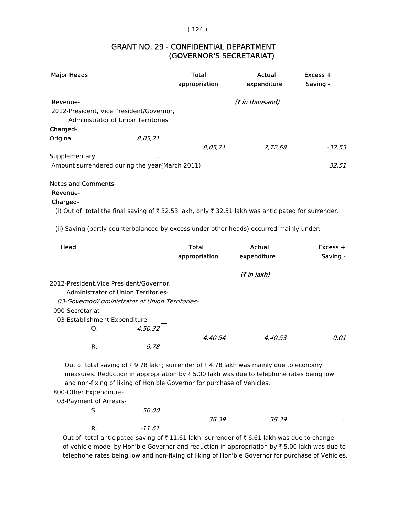#### $(124)$

## (GOVERNOR'S SECRETARIAT) GRANT NO. 29 - CONFIDENTIAL DEPARTMENT

| <b>Major Heads</b>                             | <b>Total</b><br>appropriation | Actual<br>expenditure  | $Excess +$<br>Saving - |
|------------------------------------------------|-------------------------------|------------------------|------------------------|
| Revenue-                                       |                               | <i>(₹ in thousand)</i> |                        |
| 2012-President, Vice President/Governor,       |                               |                        |                        |
| Administrator of Union Territories             |                               |                        |                        |
| Charged-                                       |                               |                        |                        |
| 8,05,21<br>Original                            |                               |                        |                        |
|                                                | 8,05,21                       | 7,72,68                | -32.53                 |
| Supplementary                                  |                               |                        |                        |
| Amount surrendered during the year(March 2011) |                               |                        | 32.51                  |
|                                                |                               |                        |                        |

#### Notes and Comments-

## Revenue-

## Charged-

(i) Out of total the final saving of  $\overline{\tau}$  32.53 lakh, only  $\overline{\tau}$  32.51 lakh was anticipated for surrender.

(ii) Saving (partly counterbalanced by excess under other heads) occurred mainly under:-

| Head             |                                                 | <b>Total</b><br>appropriation | Actual<br>expenditure | $Excess +$<br>Saving - |
|------------------|-------------------------------------------------|-------------------------------|-----------------------|------------------------|
|                  |                                                 |                               | (7 in lakh)           |                        |
|                  | 2012-President, Vice President/Governor,        |                               |                       |                        |
|                  | Administrator of Union Territories-             |                               |                       |                        |
|                  | 03-Governor/Administrator of Union Territories- |                               |                       |                        |
| 090-Secretariat- |                                                 |                               |                       |                        |
|                  | 03-Establishment Expenditure-                   |                               |                       |                        |
| O.               | 4.50.32                                         |                               |                       |                        |
|                  |                                                 | 4.40.54                       | 4.40.53               | $-0.01$                |
| R.               | -9.78                                           |                               |                       |                        |

Out of total saving of  $\bar{\tau}$  9.78 lakh; surrender of  $\bar{\tau}$  4.78 lakh was mainly due to economy measures. Reduction in appropriation by  $\bar{\tau}$  5.00 lakh was due to telephone rates being low and non-fixing of liking of Hon'ble Governor for purchase of Vehicles.

800-Other Expendirure-

| 03-Payment of Arrears- |              |       |       |     |
|------------------------|--------------|-------|-------|-----|
| э.                     | <i>50.00</i> |       |       |     |
|                        |              | 38.39 | 38.39 | . . |
| R.                     | $-11.61$     |       |       |     |

Out of total anticipated saving of  $\bar{x}$  11.61 lakh; surrender of  $\bar{x}$  6.61 lakh was due to change of vehicle model by Hon'ble Governor and reduction in appropriation by  $\bar{\tau}$  5.00 lakh was due to telephone rates being low and non-fixing of liking of Hon'ble Governor for purchase of Vehicles.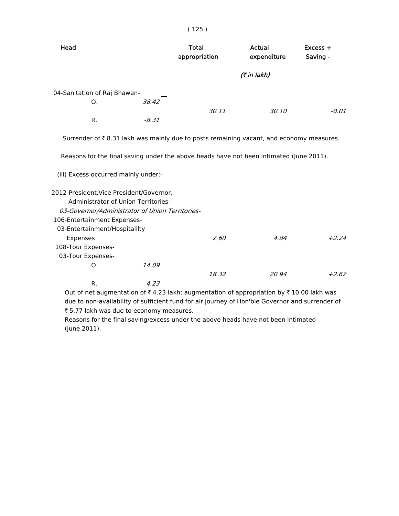| Head                                                                                                                                                              | Total<br>appropriation | Actual<br>expenditure | $Excess +$<br>Saving - |
|-------------------------------------------------------------------------------------------------------------------------------------------------------------------|------------------------|-----------------------|------------------------|
|                                                                                                                                                                   |                        | (7 in lakh)           |                        |
| 04-Sanitation of Raj Bhawan-<br>38.42<br>O.<br>$-8.31$<br>R.                                                                                                      | 30.11                  | 30.10                 | $-0.01$                |
| Surrender of $\bar{\tau}$ 8.31 lakh was mainly due to posts remaining vacant, and economy measures.                                                               |                        |                       |                        |
| Reasons for the final saving under the above heads have not been intimated (June 2011).                                                                           |                        |                       |                        |
| (iii) Excess occurred mainly under:-                                                                                                                              |                        |                       |                        |
| 2012-President, Vice President/Governor,<br>Administrator of Union Territories-<br>03-Governor/Administrator of Union Territories-<br>106-Entertainment Expenses- |                        |                       |                        |
| Expenses<br>108-Tour Expenses-                                                                                                                                    | 2.60                   | 4.84                  | $+2.24$                |
| 14.09<br>O.                                                                                                                                                       |                        |                       |                        |
| R.                                                                                                                                                                | 18.32                  | 20.94                 | $+2.62$                |
| 03-Entertainment/Hospitalilty<br>03-Tour Expenses-<br>Out of not augmentation of $\pm$ 4.22 lakh augmentation of appropriation by $\pm$ 10.00 lakh was            |                        |                       |                        |

( 125 )

Out of net augmentation of  $\bar{\tau}$  4.23 lakh; augmentation of appropriation by  $\bar{\tau}$  10.00 lakh was due to non-availability of sufficient fund for air journey of Hon'ble Governor and surrender of ₹ 5.77 lakh was due to economy measures.

 Reasons for the final saving/excess under the above heads have not been intimated (June 2011).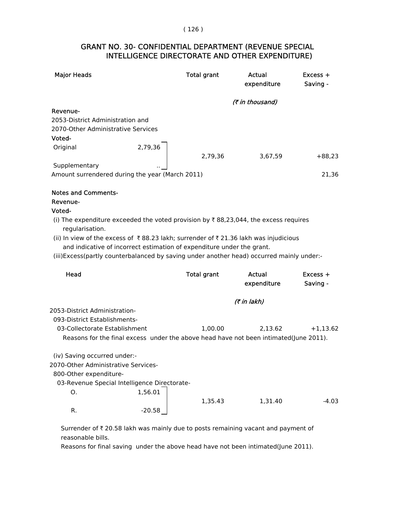## INTELLIGENCE DIRECTORATE AND OTHER EXPENDITURE) GRANT NO. 30- CONFIDENTIAL DEPARTMENT (REVENUE SPECIAL

| <b>Major Heads</b>                                                                                     |          | <b>Total grant</b> | Actual<br>expenditure | Excess +<br>Saving - |
|--------------------------------------------------------------------------------------------------------|----------|--------------------|-----------------------|----------------------|
|                                                                                                        |          |                    | (₹ in thousand)       |                      |
| Revenue-                                                                                               |          |                    |                       |                      |
| 2053-District Administration and                                                                       |          |                    |                       |                      |
| 2070-Other Administrative Services                                                                     |          |                    |                       |                      |
| Voted-                                                                                                 |          |                    |                       |                      |
| Original                                                                                               | 2,79,36  | 2,79,36            | 3,67,59               | $+88,23$             |
| Supplementary                                                                                          |          |                    |                       |                      |
| Amount surrendered during the year (March 2011)                                                        |          |                    |                       | 21,36                |
|                                                                                                        |          |                    |                       |                      |
| <b>Notes and Comments-</b><br>Revenue-                                                                 |          |                    |                       |                      |
| Voted-                                                                                                 |          |                    |                       |                      |
| (i) The expenditure exceeded the voted provision by ₹88,23,044, the excess requires<br>regularisation. |          |                    |                       |                      |
| (ii) In view of the excess of ₹88.23 lakh; surrender of ₹21.36 lakh was injudicious                    |          |                    |                       |                      |
| and indicative of incorrect estimation of expenditure under the grant.                                 |          |                    |                       |                      |
| (iii)Excess(partly counterbalanced by saving under another head) occurred mainly under:-               |          |                    |                       |                      |
|                                                                                                        |          |                    |                       |                      |
| Head                                                                                                   |          | <b>Total grant</b> | Actual                | Excess +             |
|                                                                                                        |          |                    | expenditure           | Saving -             |
|                                                                                                        |          |                    | (₹ in lakh)           |                      |
| 2053-District Administration-                                                                          |          |                    |                       |                      |
| 093-District Establishments-                                                                           |          |                    |                       |                      |
| 03-Collectorate Establishment                                                                          |          | 1,00.00            | 2,13.62               | $+1,13.62$           |
| Reasons for the final excess under the above head have not been intimated(June 2011).                  |          |                    |                       |                      |
|                                                                                                        |          |                    |                       |                      |
| (iv) Saving occurred under:-                                                                           |          |                    |                       |                      |
| 2070-Other Administrative Services-                                                                    |          |                    |                       |                      |
| 800-Other expenditure-                                                                                 |          |                    |                       |                      |
| 03-Revenue Special Intelligence Directorate-                                                           |          |                    |                       |                      |
| О.                                                                                                     | 1,56.01  |                    |                       |                      |
|                                                                                                        |          | 1,35.43            | 1,31.40               | $-4.03$              |
| R.                                                                                                     | $-20.58$ |                    |                       |                      |

Surrender of  $\bar{\tau}$  20.58 lakh was mainly due to posts remaining vacant and payment of reasonable bills.

Reasons for final saving under the above head have not been intimated(June 2011).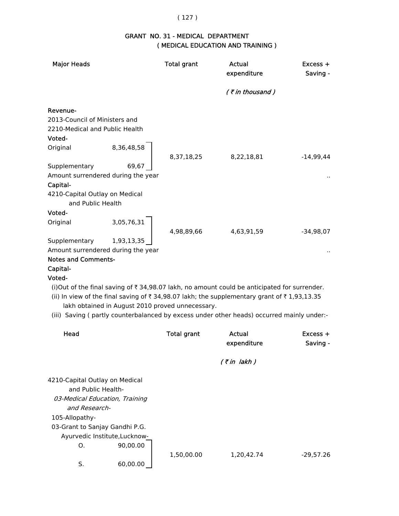## ( 127 )

## GRANT NO. 31 - MEDICAL DEPARTMENT ( MEDICAL EDUCATION AND TRAINING )

| <b>Major Heads</b>                                                                                                                                                                                 |                          | <b>Total grant</b>                               | Actual<br>expenditure                                                                                                                                                                                                                                                                                      | Excess +<br>Saving -   |
|----------------------------------------------------------------------------------------------------------------------------------------------------------------------------------------------------|--------------------------|--------------------------------------------------|------------------------------------------------------------------------------------------------------------------------------------------------------------------------------------------------------------------------------------------------------------------------------------------------------------|------------------------|
|                                                                                                                                                                                                    |                          |                                                  | $($ ₹ in thousand)                                                                                                                                                                                                                                                                                         |                        |
| Revenue-<br>2013-Council of Ministers and<br>2210-Medical and Public Health<br>Voted-<br>Original<br>Supplementary<br>Amount surrendered during the year<br>Capital-                               | 8,36,48,58<br>69,67      | 8,37,18,25                                       | 8,22,18,81                                                                                                                                                                                                                                                                                                 | $-14,99,44$            |
| 4210-Capital Outlay on Medical<br>and Public Health<br>Voted-<br>Original<br>Supplementary<br>Amount surrendered during the year                                                                   | 3,05,76,31<br>1,93,13,35 | 4,98,89,66                                       | 4,63,91,59                                                                                                                                                                                                                                                                                                 | $-34,98,07$            |
| <b>Notes and Comments-</b><br>Capital-<br>Voted-                                                                                                                                                   |                          | lakh obtained in August 2010 proved unnecessary. | (i) Out of the final saving of $\overline{\tau}$ 34,98.07 lakh, no amount could be anticipated for surrender.<br>(ii) In view of the final saving of ₹ 34,98.07 lakh; the supplementary grant of ₹ 1,93,13.35<br>(iii) Saving (partly counterbalanced by excess under other heads) occurred mainly under:- |                        |
| Head                                                                                                                                                                                               |                          | <b>Total grant</b>                               | Actual<br>expenditure                                                                                                                                                                                                                                                                                      | $Excess +$<br>Saving - |
|                                                                                                                                                                                                    |                          |                                                  | $($ ₹in lakh)                                                                                                                                                                                                                                                                                              |                        |
| 4210-Capital Outlay on Medical<br>and Public Health-<br>03-Medical Education, Training<br>and Research-<br>105-Allopathy-<br>03-Grant to Sanjay Gandhi P.G.<br>Ayurvedic Institute, Lucknow-<br>Ο. | 90,00.00                 | 1,50,00.00                                       | 1,20,42.74                                                                                                                                                                                                                                                                                                 | $-29,57.26$            |
| S.                                                                                                                                                                                                 | 60,00.00                 |                                                  |                                                                                                                                                                                                                                                                                                            |                        |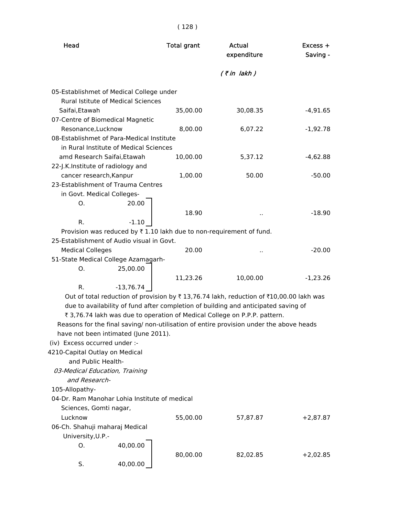| Head                               |                                                                                 | <b>Total grant</b> | Actual<br>expenditure                                                                   | Excess +<br>Saving - |  |
|------------------------------------|---------------------------------------------------------------------------------|--------------------|-----------------------------------------------------------------------------------------|----------------------|--|
|                                    |                                                                                 |                    | $($ ₹ in lakh)                                                                          |                      |  |
|                                    | 05-Establishmet of Medical College under                                        |                    |                                                                                         |                      |  |
|                                    | <b>Rural Istitute of Medical Sciences</b>                                       |                    |                                                                                         |                      |  |
| Saifai, Etawah                     |                                                                                 | 35,00.00           | 30,08.35                                                                                | $-4,91.65$           |  |
| 07-Centre of Biomedical Magnetic   |                                                                                 |                    |                                                                                         |                      |  |
| Resonance, Lucknow                 |                                                                                 | 8,00.00            | 6,07.22                                                                                 | $-1,92.78$           |  |
|                                    | 08-Establishmet of Para-Medical Institute                                       |                    |                                                                                         |                      |  |
|                                    | in Rural Institute of Medical Sciences                                          |                    |                                                                                         |                      |  |
| amd Research Saifai, Etawah        |                                                                                 | 10,00.00           | 5,37.12                                                                                 | $-4,62.88$           |  |
| 22-J.K.Institute of radiology and  |                                                                                 |                    |                                                                                         |                      |  |
| cancer research, Kanpur            |                                                                                 | 1,00.00            | 50.00                                                                                   | $-50.00$             |  |
| 23-Establishment of Trauma Centres |                                                                                 |                    |                                                                                         |                      |  |
| in Govt. Medical Colleges-         |                                                                                 |                    |                                                                                         |                      |  |
| О.                                 | 20.00                                                                           |                    |                                                                                         |                      |  |
|                                    |                                                                                 | 18.90              |                                                                                         | $-18.90$             |  |
| $R_{\cdot}$                        | $-1.10$                                                                         |                    |                                                                                         |                      |  |
|                                    | Provision was reduced by $\bar{\tau}$ 1.10 lakh due to non-requirement of fund. |                    |                                                                                         |                      |  |
|                                    | 25-Establishment of Audio visual in Govt.                                       |                    |                                                                                         |                      |  |
| <b>Medical Colleges</b>            |                                                                                 | 20.00              |                                                                                         | $-20.00$             |  |
|                                    | 51-State Medical College Azamagarh-                                             |                    |                                                                                         |                      |  |
| Ο.                                 | 25,00.00                                                                        |                    |                                                                                         |                      |  |
|                                    |                                                                                 | 11,23.26           | 10,00.00                                                                                | $-1,23.26$           |  |
| R.                                 | $-13,76.74$                                                                     |                    |                                                                                         |                      |  |
|                                    |                                                                                 |                    | Out of total reduction of provision by ₹13,76.74 lakh, reduction of ₹10,00.00 lakh was  |                      |  |
|                                    |                                                                                 |                    | due to availability of fund after completion of building and anticipated saving of      |                      |  |
|                                    |                                                                                 |                    | ₹ 3,76.74 lakh was due to operation of Medical College on P.P.P. pattern.               |                      |  |
|                                    |                                                                                 |                    | Reasons for the final saving/ non-utilisation of entire provision under the above heads |                      |  |
|                                    | have not been intimated (June 2011).                                            |                    |                                                                                         |                      |  |
| (iv) Excess occurred under :-      |                                                                                 |                    |                                                                                         |                      |  |
| 4210-Capital Outlay on Medical     |                                                                                 |                    |                                                                                         |                      |  |
| and Public Health-                 |                                                                                 |                    |                                                                                         |                      |  |
| 03-Medical Education, Training     |                                                                                 |                    |                                                                                         |                      |  |
| and Research-                      |                                                                                 |                    |                                                                                         |                      |  |
| 105-Allopathy-                     |                                                                                 |                    |                                                                                         |                      |  |
|                                    | 04-Dr. Ram Manohar Lohia Institute of medical                                   |                    |                                                                                         |                      |  |
| Sciences, Gomti nagar,             |                                                                                 |                    |                                                                                         |                      |  |
| Lucknow                            |                                                                                 | 55,00.00           | 57,87.87                                                                                | $+2,87.87$           |  |
| 06-Ch. Shahuji maharaj Medical     |                                                                                 |                    |                                                                                         |                      |  |
| University, U.P.-                  |                                                                                 |                    |                                                                                         |                      |  |
| О.                                 | 40,00.00                                                                        |                    |                                                                                         |                      |  |
|                                    |                                                                                 | 80,00.00           | 82,02.85                                                                                | $+2,02.85$           |  |
| S.                                 | 40,00.00                                                                        |                    |                                                                                         |                      |  |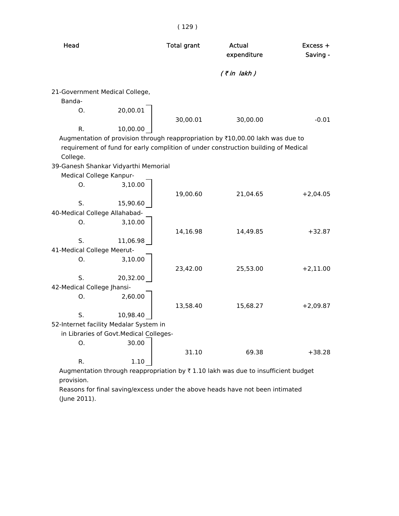| Head                           |                                         | <b>Total grant</b> | Actual<br>expenditure                                                              | $Excess +$<br>Saving - |
|--------------------------------|-----------------------------------------|--------------------|------------------------------------------------------------------------------------|------------------------|
|                                |                                         |                    | $(7 in$ lakh)                                                                      |                        |
|                                |                                         |                    |                                                                                    |                        |
| 21-Government Medical College, |                                         |                    |                                                                                    |                        |
| Banda-                         |                                         |                    |                                                                                    |                        |
| Ο.                             | 20,00.01                                |                    |                                                                                    |                        |
|                                |                                         | 30,00.01           | 30,00.00                                                                           | $-0.01$                |
| R.                             | 10,00.00                                |                    |                                                                                    |                        |
|                                |                                         |                    | Augmentation of provision through reappropriation by ₹10,00.00 lakh was due to     |                        |
|                                |                                         |                    | requirement of fund for early complition of under construction building of Medical |                        |
| College.                       |                                         |                    |                                                                                    |                        |
|                                | 39-Ganesh Shankar Vidyarthi Memorial    |                    |                                                                                    |                        |
| Medical College Kanpur-        |                                         |                    |                                                                                    |                        |
| Ο.                             | 3,10.00                                 |                    |                                                                                    |                        |
|                                |                                         | 19,00.60           | 21,04.65                                                                           | $+2,04.05$             |
| S.                             | 15,90.60                                |                    |                                                                                    |                        |
| 40-Medical College Allahabad-  |                                         |                    |                                                                                    |                        |
| O <sub>1</sub>                 | 3,10.00                                 |                    |                                                                                    |                        |
|                                |                                         | 14,16.98           | 14,49.85                                                                           | $+32.87$               |
| S.                             | 11,06.98                                |                    |                                                                                    |                        |
| 41-Medical College Meerut-     |                                         |                    |                                                                                    |                        |
| Ο.                             | 3,10.00                                 |                    |                                                                                    |                        |
|                                |                                         | 23,42.00           | 25,53.00                                                                           | $+2,11.00$             |
| S.                             | 20,32.00                                |                    |                                                                                    |                        |
| 42-Medical College Jhansi-     |                                         |                    |                                                                                    |                        |
| Ο.                             | 2,60.00                                 |                    |                                                                                    |                        |
|                                |                                         | 13,58.40           | 15,68.27                                                                           | $+2,09.87$             |
| S.                             | 10,98.40                                |                    |                                                                                    |                        |
|                                | 52-Internet facility Medalar System in  |                    |                                                                                    |                        |
|                                | in Libraries of Govt. Medical Colleges- |                    |                                                                                    |                        |
| О.                             | 30.00                                   |                    |                                                                                    |                        |
|                                |                                         | 31.10              | 69.38                                                                              | $+38.28$               |
| R.                             | 1.10                                    |                    |                                                                                    |                        |

Augmentation through reappropriation by  $\bar{\tau}$  1.10 lakh was due to insufficient budget provision.

 Reasons for final saving/excess under the above heads have not been intimated (June 2011).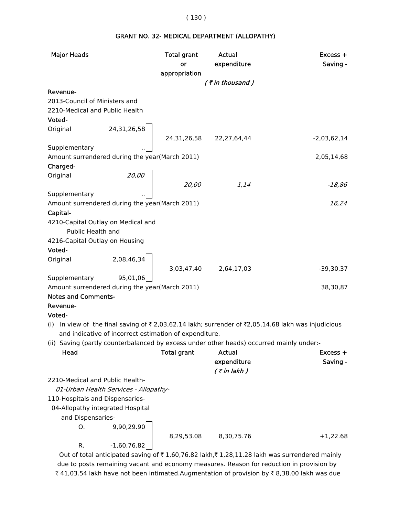# GRANT NO. 32- MEDICAL DEPARTMENT (ALLOPATHY)

| <b>Major Heads</b>                                      |                                                        | Total grant<br>or     | Actual<br>expenditure                                                                    | Excess +<br>Saving -                                                                               |
|---------------------------------------------------------|--------------------------------------------------------|-----------------------|------------------------------------------------------------------------------------------|----------------------------------------------------------------------------------------------------|
|                                                         |                                                        | appropriation         |                                                                                          |                                                                                                    |
|                                                         |                                                        |                       | (₹in thousand)                                                                           |                                                                                                    |
| Revenue-                                                |                                                        |                       |                                                                                          |                                                                                                    |
| 2013-Council of Ministers and                           |                                                        |                       |                                                                                          |                                                                                                    |
| 2210-Medical and Public Health                          |                                                        |                       |                                                                                          |                                                                                                    |
| Voted-                                                  |                                                        |                       |                                                                                          |                                                                                                    |
| Original                                                | 24,31,26,58<br>24,31,26,58 22,27,64,44                 |                       |                                                                                          |                                                                                                    |
|                                                         |                                                        |                       |                                                                                          | $-2,03,62,14$                                                                                      |
| Supplementary                                           |                                                        |                       |                                                                                          |                                                                                                    |
| Amount surrendered during the year(March 2011)          |                                                        |                       |                                                                                          | 2,05,14,68                                                                                         |
| Charged-                                                |                                                        |                       |                                                                                          |                                                                                                    |
| Original                                                |                                                        |                       |                                                                                          |                                                                                                    |
|                                                         | 20,00                                                  | 20,00                 | 1,14                                                                                     | $-18,86$                                                                                           |
| Supplementary                                           |                                                        |                       |                                                                                          |                                                                                                    |
| Amount surrendered during the year(March 2011)          |                                                        |                       |                                                                                          | 16,24                                                                                              |
| Capital-                                                |                                                        |                       |                                                                                          |                                                                                                    |
| 4210-Capital Outlay on Medical and<br>Public Health and |                                                        |                       |                                                                                          |                                                                                                    |
| 4216-Capital Outlay on Housing                          |                                                        |                       |                                                                                          |                                                                                                    |
| Voted-                                                  |                                                        |                       |                                                                                          |                                                                                                    |
| Original                                                | 2,08,46,34                                             |                       |                                                                                          |                                                                                                    |
|                                                         |                                                        | 3,03,47,40 2,64,17,03 |                                                                                          | $-39,30,37$                                                                                        |
| Supplementary                                           | 95,01,06                                               |                       |                                                                                          |                                                                                                    |
| Amount surrendered during the year(March 2011)          |                                                        |                       |                                                                                          | 38,30,87                                                                                           |
| <b>Notes and Comments-</b>                              |                                                        |                       |                                                                                          |                                                                                                    |
| Revenue-                                                |                                                        |                       |                                                                                          |                                                                                                    |
| Voted-                                                  |                                                        |                       |                                                                                          |                                                                                                    |
|                                                         |                                                        |                       |                                                                                          | (i) In view of the final saving of ₹2,03,62.14 lakh; surrender of ₹2,05,14.68 lakh was injudicious |
|                                                         | and indicative of incorrect estimation of expenditure. |                       |                                                                                          |                                                                                                    |
|                                                         |                                                        |                       | (ii) Saving (partly counterbalanced by excess under other heads) occurred mainly under:- |                                                                                                    |
| Head                                                    |                                                        | <b>Total grant</b>    | <b>Actual</b>                                                                            | Excess +                                                                                           |
|                                                         |                                                        |                       | expenditure                                                                              | Saving -                                                                                           |
|                                                         |                                                        |                       | $($ ₹ in lakh $)$                                                                        |                                                                                                    |
| 2210-Medical and Public Health-                         |                                                        |                       |                                                                                          |                                                                                                    |
|                                                         | 01-Urban Health Services - Allopathy-                  |                       |                                                                                          |                                                                                                    |
| 110-Hospitals and Dispensaries-                         |                                                        |                       |                                                                                          |                                                                                                    |
| 04-Allopathy integrated Hospital                        |                                                        |                       |                                                                                          |                                                                                                    |
| and Dispensaries-                                       |                                                        |                       |                                                                                          |                                                                                                    |
| O.                                                      | 9,90,29.90                                             |                       |                                                                                          |                                                                                                    |
|                                                         |                                                        |                       | 8,29,53.08 8,30,75.76                                                                    | $+1,22.68$                                                                                         |
| R.                                                      | $-1,60,76.82$                                          |                       |                                                                                          |                                                                                                    |
|                                                         |                                                        |                       | $\frac{1}{2}$ of $\pm$ 1.60.76.00 loke $\pm$ 1.00.11.00 loke was surrandered m           |                                                                                                    |

Out of total anticipated saving of  $\bar{\tau}$  1,60,76.82 lakh, $\bar{\tau}$  1,28,11.28 lakh was surrendered mainly due to posts remaining vacant and economy measures. Reason for reduction in provision by ₹ 41,03.54 lakh have not been intimated.Augmentation of provision by ₹ 8,38.00 lakh was due

#### ( 130 )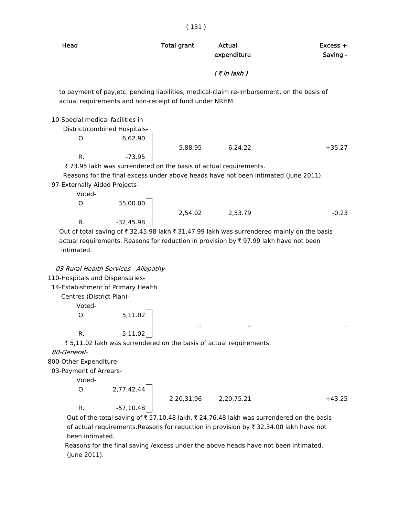| Head                              |                                                                  | <b>Total grant</b> | Actual<br>expenditure                                                                      | $Excess +$<br>Saving - |
|-----------------------------------|------------------------------------------------------------------|--------------------|--------------------------------------------------------------------------------------------|------------------------|
|                                   |                                                                  |                    | $($ ₹ in lakh $)$                                                                          |                        |
|                                   | actual requirements and non-receipt of fund under NRHM.          |                    | to payment of pay, etc. pending liabilities, medical-claim re-imbursement, on the basis of |                        |
| 10-Special medical facilities in  |                                                                  |                    |                                                                                            |                        |
| District/combined Hospitals-      |                                                                  |                    |                                                                                            |                        |
| O <sub>1</sub>                    | 6,62.90                                                          |                    |                                                                                            |                        |
|                                   |                                                                  |                    | 5,88.95 6,24.22                                                                            | $+35.27$               |
| R.                                | $-73.95$                                                         |                    |                                                                                            |                        |
|                                   | ₹73.95 lakh was surrendered on the basis of actual requirements. |                    |                                                                                            |                        |
|                                   |                                                                  |                    | Reasons for the final excess under above heads have not been intimated (June 2011).        |                        |
| 97-Externally Aided Projects-     |                                                                  |                    |                                                                                            |                        |
| Voted-                            |                                                                  |                    |                                                                                            |                        |
| O <sub>1</sub>                    | 35,00.00                                                         |                    |                                                                                            |                        |
|                                   |                                                                  |                    | 2,54.02 2,53.79                                                                            | $-0.23$                |
| R.                                | $-32,45.98$                                                      |                    |                                                                                            |                        |
|                                   |                                                                  |                    | Out of total saving of ₹32,45.98 lakh,₹31,47.99 lakh was surrendered mainly on the basis   |                        |
| intimated.                        |                                                                  |                    | actual requirements. Reasons for reduction in provision by ₹ 97.99 lakh have not been      |                        |
|                                   | 03-Rural Health Services - Allopathy-                            |                    |                                                                                            |                        |
| 110-Hospitals and Dispensaries-   |                                                                  |                    |                                                                                            |                        |
| 14-Estabishment of Primary Health |                                                                  |                    |                                                                                            |                        |
| Centres (District Plan)-          |                                                                  |                    |                                                                                            |                        |
|                                   |                                                                  |                    |                                                                                            |                        |

Voted-

 O. 5,11.02 R.  $-5,11.02$ 

 $\bar{\tau}$  5,11.02 lakh was surrendered on the basis of actual requirements.

80-General-

800-Other Expenditure-

03-Payment of Arrears-

Voted-

 $O. 2,77,42.44$ 

2,20,31.96 2,20,75.21 +43.25

.. .. ..

R.  $-57,10.48$ 

Out of the total saving of  $\bar{t}$  57,10.48 lakh,  $\bar{t}$  24,76.48 lakh was surrendered on the basis of actual requirements.Reasons for reduction in provision by  $\bar{\tau}$  32,34.00 lakh have not been intimated.

 Reasons for the final saving /excess under the above heads have not been intimated. (June 2011).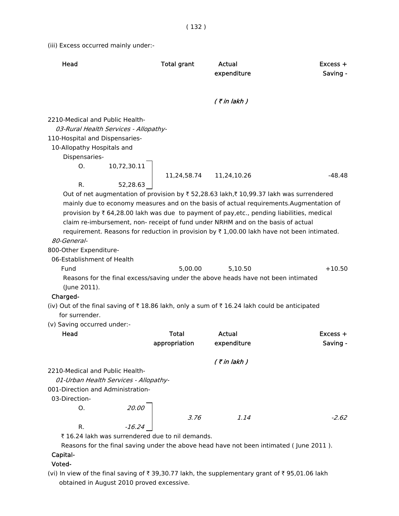(iii) Excess occurred mainly under:-

| Head                                                                                                                   |                                                      | <b>Total grant</b> | Actual<br>expenditure                                                                        | Excess +<br>Saving -                                                                                                                                                                                                                                                                                                                                                                                    |
|------------------------------------------------------------------------------------------------------------------------|------------------------------------------------------|--------------------|----------------------------------------------------------------------------------------------|---------------------------------------------------------------------------------------------------------------------------------------------------------------------------------------------------------------------------------------------------------------------------------------------------------------------------------------------------------------------------------------------------------|
|                                                                                                                        |                                                      |                    | $($ ₹ in lakh $)$                                                                            |                                                                                                                                                                                                                                                                                                                                                                                                         |
| 2210-Medical and Public Health-<br>110-Hospital and Dispensaries-<br>10-Allopathy Hospitals and<br>Dispensaries-<br>O. | 03-Rural Health Services - Allopathy-<br>10,72,30.11 | 11,24,58.74        | 11,24,10.26                                                                                  | $-48.48$                                                                                                                                                                                                                                                                                                                                                                                                |
| R.<br>80-General-                                                                                                      | 52,28.63                                             |                    | claim re-imbursement, non- receipt of fund under NRHM and on the basis of actual             | Out of net augmentation of provision by ₹52,28.63 lakh,₹10,99.37 lakh was surrendered<br>mainly due to economy measures and on the basis of actual requirements. Augmentation of<br>provision by $\bar{\tau}$ 64,28.00 lakh was due to payment of pay, etc., pending liabilities, medical<br>requirement. Reasons for reduction in provision by $\overline{\tau}$ 1,00.00 lakh have not been intimated. |
| 800-Other Expenditure-<br>06-Establishment of Health                                                                   |                                                      |                    |                                                                                              |                                                                                                                                                                                                                                                                                                                                                                                                         |
| Fund<br>(June 2011).                                                                                                   |                                                      | 5,00.00            | 5,10.50<br>Reasons for the final excess/saving under the above heads have not been intimated | $+10.50$                                                                                                                                                                                                                                                                                                                                                                                                |
| Charged-<br>for surrender.                                                                                             |                                                      |                    | (iv) Out of the final saving of ₹18.86 lakh, only a sum of ₹16.24 lakh could be anticipated  |                                                                                                                                                                                                                                                                                                                                                                                                         |
| (v) Saving occurred under:-<br>Head                                                                                    |                                                      | Total              | Actual                                                                                       | Excess +                                                                                                                                                                                                                                                                                                                                                                                                |
|                                                                                                                        |                                                      | appropriation      | expenditure                                                                                  | Saving -                                                                                                                                                                                                                                                                                                                                                                                                |
|                                                                                                                        |                                                      |                    | $($ ₹ in lakh)                                                                               |                                                                                                                                                                                                                                                                                                                                                                                                         |
| 2210-Medical and Public Health-<br>001-Direction and Administration-<br>03-Direction-<br>O.                            | 01-Urban Health Services - Allopathy-<br>20.00       |                    |                                                                                              |                                                                                                                                                                                                                                                                                                                                                                                                         |
|                                                                                                                        |                                                      | 3.76               | 1.14                                                                                         | $-2.62$                                                                                                                                                                                                                                                                                                                                                                                                 |
| R.                                                                                                                     | $-16.24$                                             |                    |                                                                                              |                                                                                                                                                                                                                                                                                                                                                                                                         |

₹ 16.24 lakh was surrendered due to nil demands.

Reasons for the final saving under the above head have not been intimated ( June 2011 ).

# Capital-

## Voted-

(vi) In view of the final saving of  $\bar{\tau}$  39,30.77 lakh, the supplementary grant of  $\bar{\tau}$  95,01.06 lakh obtained in August 2010 proved excessive.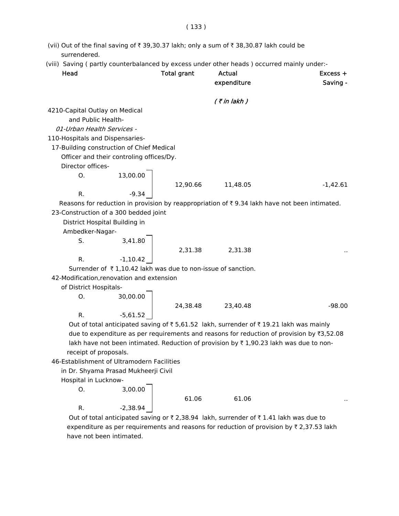- (vii) Out of the final saving of  $\bar{\tau}$  39,30.37 lakh; only a sum of  $\bar{\tau}$  38,30.87 lakh could be surrendered.
- (viii) Saving ( partly counterbalanced by excess under other heads ) occurred mainly under:-

| Head                                                         |            | <b>Total grant</b> | Actual<br>expenditure | $Excess +$<br>Saving -                                                                       |
|--------------------------------------------------------------|------------|--------------------|-----------------------|----------------------------------------------------------------------------------------------|
|                                                              |            |                    | $($ ₹ in lakh)        |                                                                                              |
| 4210-Capital Outlay on Medical                               |            |                    |                       |                                                                                              |
| and Public Health-                                           |            |                    |                       |                                                                                              |
| 01-Urban Health Services -                                   |            |                    |                       |                                                                                              |
| 110-Hospitals and Dispensaries-                              |            |                    |                       |                                                                                              |
| 17-Building construction of Chief Medical                    |            |                    |                       |                                                                                              |
| Officer and their controling offices/Dy.                     |            |                    |                       |                                                                                              |
| Director offices-                                            |            |                    |                       |                                                                                              |
| О.                                                           | 13,00.00   |                    |                       |                                                                                              |
|                                                              |            | 12,90.66           | 11,48.05              | $-1,42.61$                                                                                   |
| R.                                                           | $-9.34$    |                    |                       |                                                                                              |
|                                                              |            |                    |                       | Reasons for reduction in provision by reappropriation of ₹9.34 lakh have not been intimated. |
| 23-Construction of a 300 bedded joint                        |            |                    |                       |                                                                                              |
| District Hospital Building in                                |            |                    |                       |                                                                                              |
| Ambedker-Nagar-                                              |            |                    |                       |                                                                                              |
| S.                                                           | 3,41.80    |                    |                       |                                                                                              |
|                                                              |            | 2,31.38            | 2,31.38               |                                                                                              |
| R.                                                           | $-1,10.42$ |                    |                       |                                                                                              |
| Surrender of ₹1,10.42 lakh was due to non-issue of sanction. |            |                    |                       |                                                                                              |
| 42-Modification, renovation and extension                    |            |                    |                       |                                                                                              |
| of District Hospitals-                                       |            |                    |                       |                                                                                              |
| 0.                                                           | 30,00.00   |                    |                       |                                                                                              |
|                                                              |            |                    | 24,38.48 23,40.48     | $-98.00$                                                                                     |
| R.                                                           | $-5,61.52$ |                    |                       |                                                                                              |
|                                                              |            |                    |                       | Out of total anticipated saving of ₹5,61.52 lakh, surrender of ₹19.21 lakh was mainly        |
|                                                              |            |                    |                       | due to expenditure as per requirements and reasons for reduction of provision by ₹3,52.08    |
|                                                              |            |                    |                       | lakh have not been intimated. Reduction of provision by ₹1,90.23 lakh was due to non-        |
| receipt of proposals.                                        |            |                    |                       |                                                                                              |
| 46-Establishment of Ultramodern Facilities                   |            |                    |                       |                                                                                              |
| in Dr. Shyama Prasad Mukheerji Civil                         |            |                    |                       |                                                                                              |
| Hospital in Lucknow-                                         |            |                    |                       |                                                                                              |
| Ο.                                                           | 3,00.00    |                    |                       |                                                                                              |
|                                                              |            | 61.06              | 61.06                 |                                                                                              |
| R.                                                           | $-2,38.94$ |                    |                       |                                                                                              |

Out of total anticipated saving or  $\bar{\tau}$  2,38.94 lakh, surrender of  $\bar{\tau}$  1.41 lakh was due to expenditure as per requirements and reasons for reduction of provision by  $\bar{\tau}$  2,37.53 lakh have not been intimated.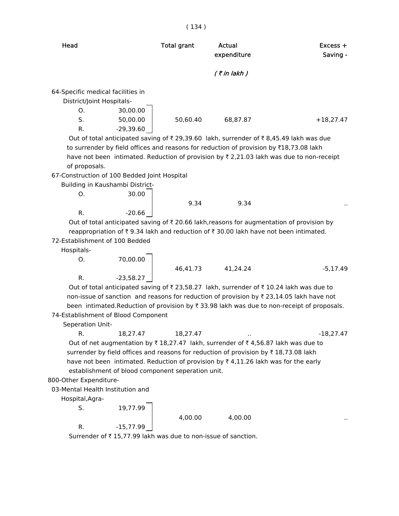|                                                                                                                                                                                                                                                                                                                                                                  | (134)              |                       |                      |
|------------------------------------------------------------------------------------------------------------------------------------------------------------------------------------------------------------------------------------------------------------------------------------------------------------------------------------------------------------------|--------------------|-----------------------|----------------------|
| Head                                                                                                                                                                                                                                                                                                                                                             | <b>Total grant</b> | Actual<br>expenditure | Excess +<br>Saving - |
|                                                                                                                                                                                                                                                                                                                                                                  |                    | $($ ₹ in lakh)        |                      |
| 64-Specific medical facilities in<br>District/Joint Hospitals-<br>O.<br>30,00.00<br>S.<br>50,00.00<br>$-29,39.60$<br>R.                                                                                                                                                                                                                                          | 50,60.40           | 68,87.87              | $+18,27.47$          |
| Out of total anticipated saving of ₹29,39.60 lakh, surrender of ₹8,45.49 lakh was due<br>to surrender by field offices and reasons for reduction of provision by ₹18,73.08 lakh<br>have not been intimated. Reduction of provision by $\overline{\tau}$ 2,21.03 lakh was due to non-receipt<br>of proposals.                                                     |                    |                       |                      |
| 67-Construction of 100 Bedded Joint Hospital<br>Building in Kaushambi District-<br>30.00<br>O.                                                                                                                                                                                                                                                                   |                    |                       |                      |
| $-20.66$<br>R.                                                                                                                                                                                                                                                                                                                                                   | 9.34               | 9.34                  |                      |
| Out of total anticipated saving of ₹20.66 lakh, reasons for augmentation of provision by<br>reappropriation of ₹9.34 lakh and reduction of ₹30.00 lakh have not been intimated.<br>72-Establishment of 100 Bedded<br>Hospitals-<br>70,00.00<br>O.                                                                                                                |                    |                       |                      |
|                                                                                                                                                                                                                                                                                                                                                                  | 46,41.73           | 41,24.24              | $-5,17.49$           |
| R.<br>$-23,58.27$<br>Out of total anticipated saving of ₹23,58.27 lakh, surrender of ₹10.24 lakh was due to<br>non-issue of sanction and reasons for reduction of provision by ₹ 23,14.05 lakh have not<br>been intimated. Reduction of provision by ₹33.98 lakh was due to non-receipt of proposals.<br>74-Establishment of Blood Component<br>Seperation Unit- |                    |                       |                      |
| R.<br>18,27.47<br>Out of net augmentation by ₹18,27.47 lakh, surrender of ₹4,56.87 lakh was due to<br>surrender by field offices and reasons for reduction of provision by ₹18,73.08 lakh<br>have not been intimated. Reduction of provision by ₹4,11.26 lakh was for the early<br>establishment of blood component seperation unit.<br>800-Other Expenditure-   | 18,27.47           |                       | $-18,27.47$          |
| 03-Mental Health Institution and                                                                                                                                                                                                                                                                                                                                 |                    |                       |                      |
| Hospital, Agra-                                                                                                                                                                                                                                                                                                                                                  |                    |                       |                      |
| 19,77.99<br>S.                                                                                                                                                                                                                                                                                                                                                   | 4,00.00            | 4,00.00               |                      |
| $-15,77.99$<br>R.                                                                                                                                                                                                                                                                                                                                                |                    |                       |                      |
| Surrender of ₹15,77.99 lakh was due to non-issue of sanction.                                                                                                                                                                                                                                                                                                    |                    |                       |                      |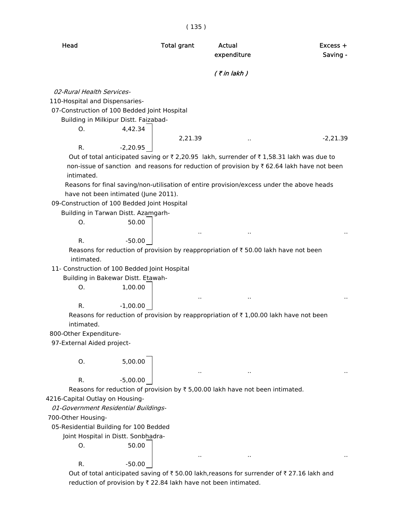( 135 )

| Head | Total grant | Actual | Excess + |
|------|-------------|--------|----------|
|      |             |        |          |

# expenditure Saving -

#### $($  ₹ in lakh  $)$

02-Rural Health Services-

110-Hospital and Dispensaries-

07-Construction of 100 Bedded Joint Hospital

Building in Milkipur Distt. Faizabad-

 O. 4,42.34 R.  $-2,20.95$ 

2,21.39 ... ... 2,21.39

.. .. ..

.. .. ..

.. .. ..

.. .. ..

Out of total anticipated saving or  $\overline{\zeta}$  2,20.95 lakh, surrender of  $\overline{\zeta}$  1,58.31 lakh was due to non-issue of sanction and reasons for reduction of provision by  $\bar{\tau}$  62.64 lakh have not been intimated.

 Reasons for final saving/non-utilisation of entire provision/excess under the above heads have not been intimated (June 2011).

09-Construction of 100 Bedded Joint Hospital

 Building in Tarwan Distt. Azamgarh- O. 50.00 R.  $-50.00$ 

Reasons for reduction of provision by reappropriation of  $\bar{\tau}$  50.00 lakh have not been intimated.

11- Construction of 100 Bedded Joint Hospital

 Building in Bakewar Distt. Etawah- O. 1,00.00

R.  $-1,00.00$ 

Reasons for reduction of provision by reappropriation of  $\bar{\tau}$  1,00.00 lakh have not been intimated.

800-Other Expenditure-

97-External Aided project-

 O. 5,00.00 R. -5,00.00

Reasons for reduction of provision by  $\bar{\tau}$  5,00.00 lakh have not been intimated.

4216-Capital Outlay on Housing-

01-Government Residential Buildings-

700-Other Housing-

05-Residential Building for 100 Bedded

Joint Hospital in Distt. Sonbhadra-

|  | 50.00    |
|--|----------|
|  | $-50.00$ |

Out of total anticipated saving of  $\bar{\tau}$  50.00 lakh,reasons for surrender of  $\bar{\tau}$  27.16 lakh and reduction of provision by  $\bar{\tau}$  22.84 lakh have not been intimated.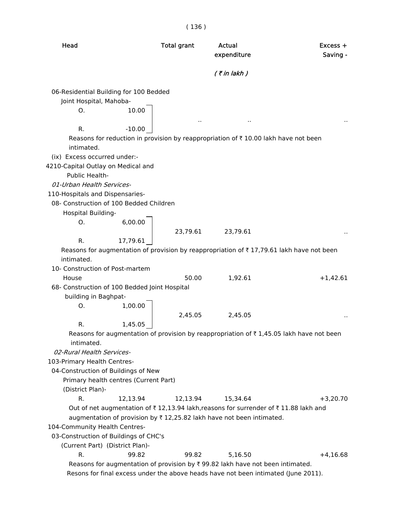( 136 )

| Head                                          |          | <b>Total grant</b> | Actual<br>expenditure                                                                          | Excess +<br>Saving -                                                                     |
|-----------------------------------------------|----------|--------------------|------------------------------------------------------------------------------------------------|------------------------------------------------------------------------------------------|
|                                               |          |                    | $($ ₹ in lakh)                                                                                 |                                                                                          |
| 06-Residential Building for 100 Bedded        |          |                    |                                                                                                |                                                                                          |
| Joint Hospital, Mahoba-                       |          |                    |                                                                                                |                                                                                          |
| O.                                            | 10.00    |                    |                                                                                                |                                                                                          |
| R.                                            | $-10.00$ |                    |                                                                                                |                                                                                          |
| intimated.                                    |          |                    | Reasons for reduction in provision by reappropriation of $\bar{\tau}$ 10.00 lakh have not been |                                                                                          |
| (ix) Excess occurred under:-                  |          |                    |                                                                                                |                                                                                          |
| 4210-Capital Outlay on Medical and            |          |                    |                                                                                                |                                                                                          |
| Public Health-                                |          |                    |                                                                                                |                                                                                          |
| 01-Urban Health Services-                     |          |                    |                                                                                                |                                                                                          |
| 110-Hospitals and Dispensaries-               |          |                    |                                                                                                |                                                                                          |
| 08- Construction of 100 Bedded Children       |          |                    |                                                                                                |                                                                                          |
| Hospital Building-                            |          |                    |                                                                                                |                                                                                          |
| O.                                            | 6,00.00  |                    |                                                                                                |                                                                                          |
|                                               |          | 23,79.61           | 23,79.61                                                                                       |                                                                                          |
| R.                                            | 17,79.61 |                    |                                                                                                |                                                                                          |
|                                               |          |                    |                                                                                                | Reasons for augmentation of provision by reappropriation of ₹17,79.61 lakh have not been |
| intimated.                                    |          |                    |                                                                                                |                                                                                          |
| 10- Construction of Post-martem               |          |                    |                                                                                                |                                                                                          |
| House                                         |          | 50.00              | 1,92.61                                                                                        | $+1,42.61$                                                                               |
| 68- Construction of 100 Bedded Joint Hospital |          |                    |                                                                                                |                                                                                          |
| building in Baghpat-                          |          |                    |                                                                                                |                                                                                          |
| O.                                            | 1,00.00  |                    |                                                                                                |                                                                                          |
|                                               |          | 2,45.05            | 2,45.05                                                                                        |                                                                                          |
| R.                                            | 1,45.05  |                    |                                                                                                |                                                                                          |
|                                               |          |                    |                                                                                                | Reasons for augmentation of provision by reappropriation of ₹1,45.05 lakh have not been  |
| intimated.                                    |          |                    |                                                                                                |                                                                                          |
| 02-Rural Health Services-                     |          |                    |                                                                                                |                                                                                          |
| 103-Primary Health Centres-                   |          |                    |                                                                                                |                                                                                          |
| 04-Construction of Buildings of New           |          |                    |                                                                                                |                                                                                          |
| Primary health centres (Current Part)         |          |                    |                                                                                                |                                                                                          |
| (District Plan)-                              |          |                    |                                                                                                |                                                                                          |
| R.                                            | 12,13.94 | 12,13.94           | 15,34.64                                                                                       | $+3,20.70$                                                                               |
|                                               |          |                    | Out of net augmentation of ₹12,13.94 lakh, reasons for surrender of ₹11.88 lakh and            |                                                                                          |
|                                               |          |                    | augmentation of provision by ₹12,25.82 lakh have not been intimated.                           |                                                                                          |
| 104-Community Health Centres-                 |          |                    |                                                                                                |                                                                                          |
| 03-Construction of Buildings of CHC's         |          |                    |                                                                                                |                                                                                          |
| (Current Part) (District Plan)-               |          |                    |                                                                                                |                                                                                          |
| R.                                            | 99.82    | 99.82              | 5,16.50                                                                                        | $+4,16.68$                                                                               |
|                                               |          |                    | Reasons for augmentation of provision by ₹99.82 lakh have not been intimated.                  |                                                                                          |
|                                               |          |                    | Resons for final excess under the above heads have not been intimated (June 2011).             |                                                                                          |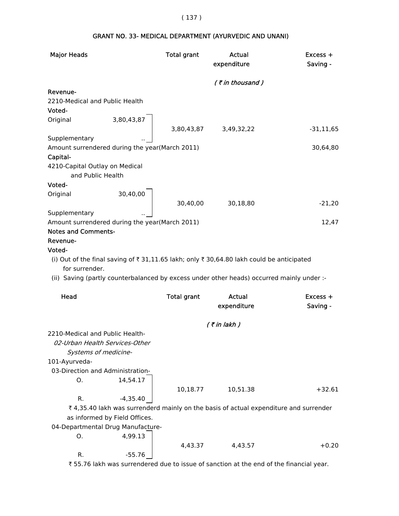| <b>Major Heads</b>             |                                                | <b>Total grant</b> | Actual<br>expenditure                                                                     | Excess +<br>Saving - |
|--------------------------------|------------------------------------------------|--------------------|-------------------------------------------------------------------------------------------|----------------------|
|                                |                                                |                    | (₹in thousand)                                                                            |                      |
| Revenue-                       |                                                |                    |                                                                                           |                      |
| 2210-Medical and Public Health |                                                |                    |                                                                                           |                      |
| Voted-                         |                                                |                    |                                                                                           |                      |
| Original                       | 3,80,43,87                                     |                    |                                                                                           |                      |
|                                |                                                |                    | 3,80,43,87 3,49,32,22                                                                     | $-31, 11, 65$        |
| Supplementary                  |                                                |                    |                                                                                           |                      |
|                                | Amount surrendered during the year(March 2011) |                    |                                                                                           | 30,64,80             |
| Capital-                       |                                                |                    |                                                                                           |                      |
| 4210-Capital Outlay on Medical |                                                |                    |                                                                                           |                      |
|                                | and Public Health                              |                    |                                                                                           |                      |
| Voted-                         |                                                |                    |                                                                                           |                      |
| Original                       | 30,40,00                                       |                    |                                                                                           |                      |
|                                |                                                | 30,40,00           | 30,18,80                                                                                  | $-21,20$             |
| Supplementary                  |                                                |                    |                                                                                           |                      |
| <b>Notes and Comments-</b>     | Amount surrendered during the year(March 2011) |                    |                                                                                           | 12,47                |
|                                |                                                |                    |                                                                                           |                      |
| Revenue-<br>Voted-             |                                                |                    |                                                                                           |                      |
|                                |                                                |                    | (i) Out of the final saving of ₹ 31,11.65 lakh; only ₹ 30,64.80 lakh could be anticipated |                      |
| for surrender.                 |                                                |                    |                                                                                           |                      |
|                                |                                                |                    | (ii) Saving (partly counterbalanced by excess under other heads) occurred mainly under :- |                      |
|                                |                                                |                    |                                                                                           |                      |
| Head                           |                                                | <b>Total grant</b> | Actual                                                                                    | Excess +             |
|                                |                                                |                    | expenditure                                                                               | Saving -             |
|                                |                                                |                    |                                                                                           |                      |
|                                |                                                |                    | $($ ₹ in lakh $)$                                                                         |                      |
|                                | 2210-Medical and Public Health-                |                    |                                                                                           |                      |
|                                | 02-Urban Health Services-Other                 |                    |                                                                                           |                      |
|                                | Systems of medicine-                           |                    |                                                                                           |                      |
| 101-Ayurveda-                  |                                                |                    |                                                                                           |                      |
|                                | 03-Direction and Administration-               |                    |                                                                                           |                      |
| O.                             | 14,54.17                                       |                    |                                                                                           |                      |
|                                |                                                | 10,18.77           | 10,51.38                                                                                  | $+32.61$             |
| R.                             | $-4,35.40$                                     |                    |                                                                                           |                      |
|                                |                                                |                    | ₹4,35.40 lakh was surrenderd mainly on the basis of actual expenditure and surrender      |                      |
|                                | as informed by Field Offices.                  |                    |                                                                                           |                      |
|                                | 04-Departmental Drug Manufacture-              |                    |                                                                                           |                      |
| 0.                             | 4,99.13                                        |                    |                                                                                           |                      |
|                                |                                                | 4,43.37            | 4,43.57                                                                                   | $+0.20$              |
| R.                             | $-55.76$                                       |                    |                                                                                           |                      |

# GRANT NO. 33- MEDICAL DEPARTMENT (AYURVEDIC AND UNANI)

₹ 55.76 lakh was surrendered due to issue of sanction at the end of the financial year.

# ( 137 )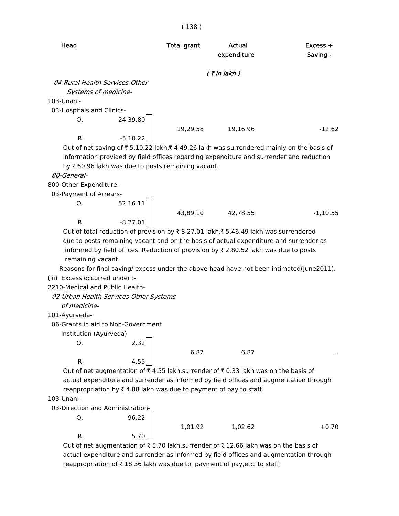| Head                           |          | <b>Total grant</b> | Actual<br>expenditure | $Excess +$<br>Saving - |
|--------------------------------|----------|--------------------|-----------------------|------------------------|
|                                |          |                    | $($ ₹ in lakh)        |                        |
| 04-Rural Health Services-Other |          |                    |                       |                        |
| Systems of medicine-           |          |                    |                       |                        |
| 103-Unani-                     |          |                    |                       |                        |
| 03-Hospitals and Clinics-      |          |                    |                       |                        |
| O.                             | 24,39.80 |                    |                       |                        |
|                                |          | 19,29.58           | 19,16.96              | $-12.62$               |

Out of net saving of  $\bar{z}$  5,10.22 lakh, $\bar{z}$  4,49.26 lakh was surrendered mainly on the basis of information provided by field offices regarding expenditure and surrender and reduction by  $\bar{\tau}$  60.96 lakh was due to posts remaining vacant.

#### 80-General-

800-Other Expenditure-

03-Payment of Arrears-

 O. 52,16.11 43,89.10 42,78.55 -1,10.55 R.  $-8.27.01$ 

Out of total reduction of provision by  $\bar{\tau}$  8,27.01 lakh, $\bar{\tau}$  5,46.49 lakh was surrendered due to posts remaining vacant and on the basis of actual expenditure and surrender as informed by field offices. Reduction of provision by  $\bar{\tau}$  2,80.52 lakh was due to posts remaining vacant.

 Reasons for final saving/ excess under the above head have not been intimated(June2011). (iii) Excess occurred under :-

2210-Medical and Public Health-

02-Urban Health Services-Other Systems

R. -5,10.22

of medicine-

```
 101-Ayurveda-
```
06-Grants in aid to Non-Government

R. 4.55

R. 5.70

Institution (Ayurveda)-

 $0.$  2.32

6.87 6.87 ..

Out of net augmentation of  $\bar{\tau}$  4.55 lakh,surrender of  $\bar{\tau}$  0.33 lakh was on the basis of actual expenditure and surrender as informed by field offices and augmentation through reappropriation by  $\bar{\tau}$  4.88 lakh was due to payment of pay to staff.

103-Unani-

03-Direction and Administration-

O. 96.22

1,01.92 1,02.62 +0.70

Out of net augmentation of  $\overline{\tau}$  5.70 lakh,surrender of  $\overline{\tau}$  12.66 lakh was on the basis of actual expenditure and surrender as informed by field offices and augmentation through reappropriation of  $\bar{\tau}$  18.36 lakh was due to payment of pay, etc. to staff.

( 138 )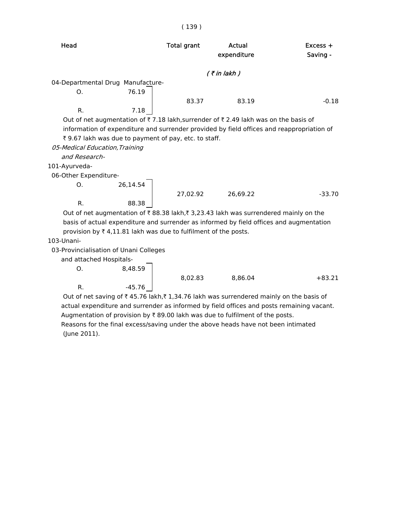| Head                                                                                      |          | <b>Total grant</b>                                             | Actual<br>expenditure                                                                                                                                                           | $Excess +$<br>Saving - |
|-------------------------------------------------------------------------------------------|----------|----------------------------------------------------------------|---------------------------------------------------------------------------------------------------------------------------------------------------------------------------------|------------------------|
|                                                                                           |          |                                                                | $($ ₹ in lakh $)$                                                                                                                                                               |                        |
| 04-Departmental Drug Manufacture-                                                         |          |                                                                |                                                                                                                                                                                 |                        |
| O <sub>1</sub>                                                                            | 76.19    |                                                                |                                                                                                                                                                                 |                        |
|                                                                                           |          | 83.37                                                          | 83.19                                                                                                                                                                           | $-0.18$                |
| $R_{\cdot}$                                                                               | 7.18     |                                                                |                                                                                                                                                                                 |                        |
| 05-Medical Education, Training<br>and Research-<br>101-Ayurveda-<br>06-Other Expenditure- |          | ₹ 9.67 lakh was due to payment of pay, etc. to staff.          | Out of net augmentation of ₹7.18 lakh, surrender of ₹2.49 lakh was on the basis of<br>information of expenditure and surrender provided by field offices and reappropriation of |                        |
| O <sub>1</sub>                                                                            | 26,14.54 |                                                                |                                                                                                                                                                                 |                        |
|                                                                                           |          | 27,02.92                                                       | 26,69.22                                                                                                                                                                        | $-33.70$               |
| R.                                                                                        | 88.38    |                                                                |                                                                                                                                                                                 |                        |
|                                                                                           |          |                                                                | Out of net augmentation of ₹88.38 lakh,₹3,23.43 lakh was surrendered mainly on the                                                                                              |                        |
|                                                                                           |          |                                                                | basis of actual expenditure and surrender as informed by field offices and augmentation                                                                                         |                        |
|                                                                                           |          | provision by ₹4,11.81 lakh was due to fulfilment of the posts. |                                                                                                                                                                                 |                        |
| 103-Unani-                                                                                |          |                                                                |                                                                                                                                                                                 |                        |
| 03-Provincialisation of Unani Colleges                                                    |          |                                                                |                                                                                                                                                                                 |                        |
| and attached Hospitals-                                                                   |          |                                                                |                                                                                                                                                                                 |                        |

O. 8,48.59

R.  $-45.76$ 

8,02.83 8,86.04 +83.21

Out of net saving of  $\bar{\tau}$  45.76 lakh, $\bar{\tau}$  1,34.76 lakh was surrendered mainly on the basis of actual expenditure and surrender as informed by field offices and posts remaining vacant. Augmentation of provision by  $\bar{\tau}$  89.00 lakh was due to fulfilment of the posts. Reasons for the final excess/saving under the above heads have not been intimated (June 2011).

#### ( 139 )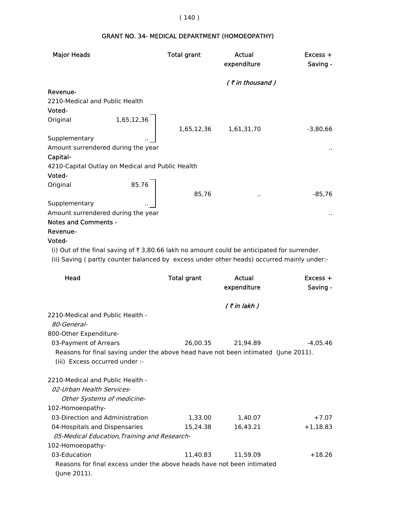# ( 140 )

| <b>Major Heads</b>                                                                                          |            | <b>Total grant</b> | Actual<br>expenditure | $Excess +$<br>Saving - |
|-------------------------------------------------------------------------------------------------------------|------------|--------------------|-----------------------|------------------------|
|                                                                                                             |            |                    | $($ ₹ in thousand)    |                        |
| Revenue-                                                                                                    |            |                    |                       |                        |
| 2210-Medical and Public Health                                                                              |            |                    |                       |                        |
| Voted-                                                                                                      |            |                    |                       |                        |
| Original                                                                                                    | 1,65,12,36 |                    |                       |                        |
|                                                                                                             |            | 1,65,12,36         | 1,61,31,70            | $-3,80,66$             |
| Supplementary                                                                                               |            |                    |                       |                        |
| Amount surrendered during the year                                                                          |            |                    |                       |                        |
| Capital-                                                                                                    |            |                    |                       |                        |
| 4210-Capital Outlay on Medical and Public Health                                                            |            |                    |                       |                        |
| Voted-                                                                                                      |            |                    |                       |                        |
| Original                                                                                                    | 85.76      |                    |                       |                        |
|                                                                                                             |            | 85,76              |                       | $-85,76$               |
| Supplementary                                                                                               |            |                    |                       |                        |
| Amount surrendered during the year                                                                          |            |                    |                       | $\sim$                 |
| <b>Notes and Comments -</b>                                                                                 |            |                    |                       |                        |
| Revenue-                                                                                                    |            |                    |                       |                        |
| Voted-                                                                                                      |            |                    |                       |                        |
| (i) Out of the final saving of $\overline{\tau}$ 3,80.66 lakh no amount could be anticipated for surrender. |            |                    |                       |                        |

# GRANT NO. 34- MEDICAL DEPARTMENT (HOMOEOPATHY)

(ii) Saving ( partly counter balanced by excess under other heads) occurred mainly under:-

| Head                                                                               | <b>Total grant</b> | Actual<br>expenditure | $Excess +$<br>Saving - |
|------------------------------------------------------------------------------------|--------------------|-----------------------|------------------------|
|                                                                                    |                    | ( ₹ in lakh )         |                        |
| 2210-Medical and Public Health -                                                   |                    |                       |                        |
| <i>80-General-</i>                                                                 |                    |                       |                        |
| 800-Other Expenditure-                                                             |                    |                       |                        |
| 03-Payment of Arrears                                                              | 26,00.35           | 21,94.89              | -4.05.46               |
| Reasons for final saving under the above head have not been intimated (June 2011). |                    |                       |                        |
| (iii) Excess occurred under :-                                                     |                    |                       |                        |
| 2210-Medical and Public Health -                                                   |                    |                       |                        |
| 02-Urban Health Services-                                                          |                    |                       |                        |
| Other Systems of medicine-                                                         |                    |                       |                        |
| 102-Homoeopathy-                                                                   |                    |                       |                        |
| 03-Direction and Administration                                                    | 1,33.00            | 1,40.07               | $+7.07$                |
| 04-Hospitals and Dispensaries                                                      | 15,24.38           | 16,43.21              | $+1,18.83$             |
| 05-Medical Education, Training and Research-                                       |                    |                       |                        |
| 102-Homoeopathy-                                                                   |                    |                       |                        |
| 03-Education                                                                       | 11.40.83           | 11,59.09              | $+18.26$               |
| Reasons for final excess under the above heads have not been intimated             |                    |                       |                        |
| (June 2011).                                                                       |                    |                       |                        |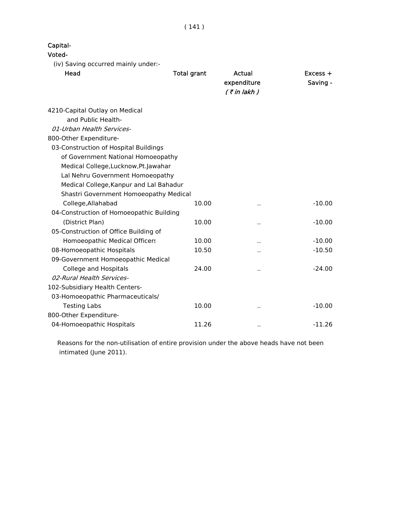( 141 )

|  | Capital· |
|--|----------|
|--|----------|

#### Voted-

(iv) Saving occurred mainly under:-

| Head                                     | <b>Total grant</b> | Actual<br>expenditure<br>$($ ₹ in lakh) | $Excess +$<br>Saving - |
|------------------------------------------|--------------------|-----------------------------------------|------------------------|
| 4210-Capital Outlay on Medical           |                    |                                         |                        |
| and Public Health-                       |                    |                                         |                        |
| 01-Urban Health Services-                |                    |                                         |                        |
| 800-Other Expenditure-                   |                    |                                         |                        |
| 03-Construction of Hospital Buildings    |                    |                                         |                        |
| of Government National Homoeopathy       |                    |                                         |                        |
| Medical College, Lucknow, Pt. Jawahar    |                    |                                         |                        |
| Lal Nehru Government Homoeopathy         |                    |                                         |                        |
| Medical College, Kanpur and Lal Bahadur  |                    |                                         |                        |
| Shastri Government Homoeopathy Medical   |                    |                                         |                        |
| College, Allahabad                       | 10.00              | $\ddot{\phantom{a}}$                    | $-10.00$               |
| 04-Construction of Homoeopathic Building |                    |                                         |                        |
| (District Plan)                          | 10.00              | . .                                     | $-10.00$               |
| 05-Construction of Office Building of    |                    |                                         |                        |
| Homoeopathic Medical Officers            | 10.00              |                                         | $-10.00$               |
| 08-Homoeopathic Hospitals                | 10.50              | $\ddot{\phantom{a}}$                    | $-10.50$               |
| 09-Government Homoeopathic Medical       |                    |                                         |                        |
| <b>College and Hospitals</b>             | 24.00              |                                         | $-24.00$               |
| 02-Rural Health Services-                |                    |                                         |                        |
| 102-Subsidiary Health Centers-           |                    |                                         |                        |
| 03-Homoeopathic Pharmaceuticals/         |                    |                                         |                        |
| <b>Testing Labs</b>                      | 10.00              | $\ddot{\phantom{1}}$                    | $-10.00$               |
| 800-Other Expenditure-                   |                    |                                         |                        |
| 04-Homoeopathic Hospitals                | 11.26              | $\cdot$ .                               | $-11.26$               |

 Reasons for the non-utilisation of entire provision under the above heads have not been intimated (June 2011).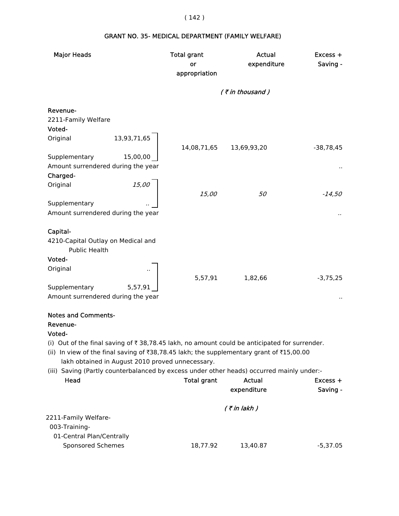# GRANT NO. 35- MEDICAL DEPARTMENT (FAMILY WELFARE)

| <b>Major Heads</b>                                                                                       | <b>Total grant</b> | <b>Actual</b>      | Excess +    |
|----------------------------------------------------------------------------------------------------------|--------------------|--------------------|-------------|
|                                                                                                          | or                 | expenditure        | Saving -    |
|                                                                                                          | appropriation      |                    |             |
|                                                                                                          |                    | $($ ₹ in thousand) |             |
| Revenue-                                                                                                 |                    |                    |             |
| 2211-Family Welfare                                                                                      |                    |                    |             |
| Voted-                                                                                                   |                    |                    |             |
| 13,93,71,65<br>Original                                                                                  | 14,08,71,65        | 13,69,93,20        | $-38,78,45$ |
| Supplementary<br>15,00,00                                                                                |                    |                    |             |
| Amount surrendered during the year                                                                       |                    |                    |             |
| Charged-                                                                                                 |                    |                    |             |
| 15,00<br>Original                                                                                        |                    |                    |             |
|                                                                                                          | 15,00              | 50                 | $-14,50$    |
| Supplementary                                                                                            |                    |                    |             |
| Amount surrendered during the year                                                                       |                    |                    |             |
|                                                                                                          |                    |                    |             |
| Capital-                                                                                                 |                    |                    |             |
| 4210-Capital Outlay on Medical and                                                                       |                    |                    |             |
| <b>Public Health</b>                                                                                     |                    |                    |             |
| Voted-                                                                                                   |                    |                    |             |
| Original                                                                                                 |                    |                    |             |
|                                                                                                          | 5,57,91            | 1,82,66            | $-3,75,25$  |
| Supplementary<br>5,57,91                                                                                 |                    |                    |             |
| Amount surrendered during the year                                                                       |                    |                    |             |
|                                                                                                          |                    |                    |             |
| <b>Notes and Comments-</b>                                                                               |                    |                    |             |
| Revenue-                                                                                                 |                    |                    |             |
| Voted-                                                                                                   |                    |                    |             |
| (i) Out of the final saving of $\bar{\tau}$ 38,78.45 lakh, no amount could be anticipated for surrender. |                    |                    |             |
| (ii) In view of the final saving of ₹38,78.45 lakh; the supplementary grant of ₹15,00.00                 |                    |                    |             |
| lakh obtained in August 2010 proved unnecessary.                                                         |                    |                    |             |
| (iii) Saving (Partly counterbalanced by excess under other heads) occurred mainly under:-                |                    |                    |             |
| Head                                                                                                     | <b>Total grant</b> | <b>Actual</b>      | $Excess +$  |
|                                                                                                          |                    | expenditure        | Saving -    |
|                                                                                                          |                    |                    |             |
| 2211-Family Welfare-                                                                                     |                    | $($ ₹ in lakh $)$  |             |
| 003-Training-                                                                                            |                    |                    |             |
| 01-Central Plan/Centrally                                                                                |                    |                    |             |
| <b>Sponsored Schemes</b>                                                                                 | 18,77.92           | 13,40.87           | $-5,37.05$  |
|                                                                                                          |                    |                    |             |

# ( 142 )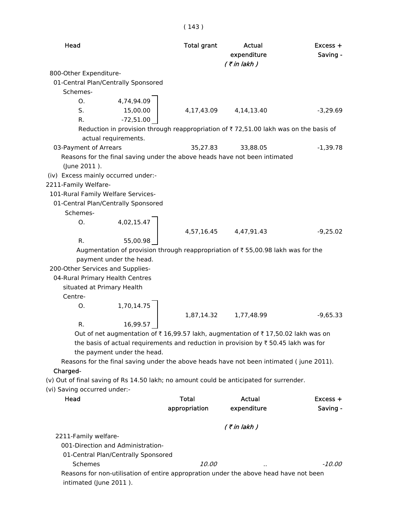| Head                                |                                     | <b>Total grant</b> | Actual<br>expenditure<br>$($ ₹ in lakh)                                                        | $Excess +$<br>Saving - |
|-------------------------------------|-------------------------------------|--------------------|------------------------------------------------------------------------------------------------|------------------------|
| 800-Other Expenditure-              |                                     |                    |                                                                                                |                        |
|                                     | 01-Central Plan/Centrally Sponsored |                    |                                                                                                |                        |
| Schemes-                            |                                     |                    |                                                                                                |                        |
| 0.                                  | 4,74,94.09                          |                    |                                                                                                |                        |
| S.                                  | 15,00.00                            | 4,17,43.09         | 4, 14, 13. 40                                                                                  | $-3,29.69$             |
| R.                                  | $-72,51.00$                         |                    |                                                                                                |                        |
|                                     |                                     |                    | Reduction in provision through reappropriation of ₹72,51.00 lakh was on the basis of           |                        |
|                                     | actual requirements.                |                    |                                                                                                |                        |
| 03-Payment of Arrears               |                                     | 35,27.83           | 33,88.05                                                                                       | $-1,39.78$             |
|                                     |                                     |                    | Reasons for the final saving under the above heads have not been intimated                     |                        |
| (June 2011).                        |                                     |                    |                                                                                                |                        |
| (iv) Excess mainly occurred under:- |                                     |                    |                                                                                                |                        |
| 2211-Family Welfare-                |                                     |                    |                                                                                                |                        |
| 101-Rural Family Welfare Services-  |                                     |                    |                                                                                                |                        |
|                                     | 01-Central Plan/Centrally Sponsored |                    |                                                                                                |                        |
| Schemes-                            |                                     |                    |                                                                                                |                        |
| O.                                  | 4,02,15.47                          |                    |                                                                                                |                        |
|                                     |                                     | 4,57,16.45         | 4,47,91.43                                                                                     | $-9,25.02$             |
| R.                                  | 55,00.98                            |                    |                                                                                                |                        |
|                                     |                                     |                    | Augmentation of provision through reappropriation of ₹55,00.98 lakh was for the                |                        |
|                                     | payment under the head.             |                    |                                                                                                |                        |
| 200-Other Services and Supplies-    |                                     |                    |                                                                                                |                        |
| 04-Rural Primary Health Centres     |                                     |                    |                                                                                                |                        |
| situated at Primary Health          |                                     |                    |                                                                                                |                        |
| Centre-                             |                                     |                    |                                                                                                |                        |
| O.                                  | 1,70,14.75                          |                    |                                                                                                |                        |
|                                     |                                     | 1,87,14.32         | 1,77,48.99                                                                                     | $-9,65.33$             |
| R.                                  | 16,99.57                            |                    |                                                                                                |                        |
|                                     |                                     |                    | Out of net augmentation of ₹16,99.57 lakh, augmentation of ₹17,50.02 lakh was on               |                        |
|                                     |                                     |                    | the basis of actual requirements and reduction in provision by $\bar{\tau}$ 50.45 lakh was for |                        |
|                                     | the payment under the head.         |                    |                                                                                                |                        |
|                                     |                                     |                    | Reasons for the final saving under the above heads have not been intimated (june 2011).        |                        |
| Charged-                            |                                     |                    |                                                                                                |                        |
|                                     |                                     |                    | (v) Out of final saving of Rs 14.50 lakh; no amount could be anticipated for surrender.        |                        |
| (vi) Saving occurred under:-        |                                     |                    |                                                                                                |                        |
| Head                                |                                     | Total              | <b>Actual</b>                                                                                  | $Excess +$             |
|                                     |                                     | appropriation      | expenditure                                                                                    | Saving -               |
|                                     |                                     |                    |                                                                                                |                        |
|                                     |                                     |                    | $($ ₹ in lakh $)$                                                                              |                        |
| 2211-Family welfare-                |                                     |                    |                                                                                                |                        |
|                                     | 001-Direction and Administration-   |                    |                                                                                                |                        |
|                                     | 01-Central Plan/Centrally Sponsored |                    |                                                                                                |                        |
| Schemes                             |                                     | <i>10.00</i>       |                                                                                                | $-10.00$               |
|                                     |                                     |                    | Reasons for non-utilisation of entire appropration under the above head have not been          |                        |
| intimated (June 2011).              |                                     |                    |                                                                                                |                        |
|                                     |                                     |                    |                                                                                                |                        |

# ( 143 )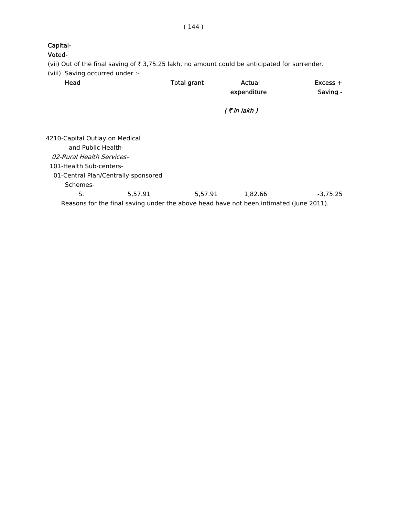( 144 )

# Capital-

#### Voted-

(vii) Out of the final saving of  $\bar{\tau}$  3,75.25 lakh, no amount could be anticipated for surrender.

(viii) Saving occurred under :-

| Head                                                                                   | <b>Total grant</b> | Actual<br>expenditure | $Excess +$<br>Saving - |
|----------------------------------------------------------------------------------------|--------------------|-----------------------|------------------------|
|                                                                                        |                    | $($ ₹ in lakh $)$     |                        |
| 4210-Capital Outlay on Medical                                                         |                    |                       |                        |
| and Public Health-                                                                     |                    |                       |                        |
| 02-Rural Health Services-                                                              |                    |                       |                        |
| 101-Health Sub-centers-                                                                |                    |                       |                        |
| 01-Central Plan/Centrally sponsored                                                    |                    |                       |                        |
| Schemes-                                                                               |                    |                       |                        |
| S.<br>5.57.91                                                                          | 5,57.91            | 1,82.66               | $-3.75.25$             |
| Reasons for the final saving under the above head have not been intimated (June 2011). |                    |                       |                        |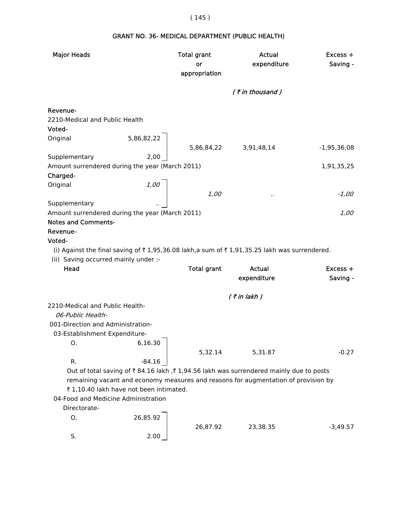# ( 145 )

# GRANT NO. 36- MEDICAL DEPARTMENT (PUBLIC HEALTH)

| <b>Major Heads</b>                              |                                         | <b>Total grant</b><br>or | <b>Actual</b><br>expenditure                                                                | $Excess +$<br>Saving - |
|-------------------------------------------------|-----------------------------------------|--------------------------|---------------------------------------------------------------------------------------------|------------------------|
|                                                 |                                         | appropriation            |                                                                                             |                        |
|                                                 |                                         |                          | (₹in thousand)                                                                              |                        |
| Revenue-                                        |                                         |                          |                                                                                             |                        |
| 2210-Medical and Public Health                  |                                         |                          |                                                                                             |                        |
| Voted-                                          |                                         |                          |                                                                                             |                        |
| Original                                        | 5,86,82,22                              | 5,86,84,22 3,91,48,14    |                                                                                             | $-1,95,36,08$          |
| Supplementary                                   | 2,00                                    |                          |                                                                                             |                        |
| Amount surrendered during the year (March 2011) |                                         |                          |                                                                                             | 1,91,35,25             |
| Charged-                                        |                                         |                          |                                                                                             |                        |
| Original                                        | 1,00                                    |                          |                                                                                             |                        |
|                                                 |                                         | 1,00                     | $\cdot$ .                                                                                   | $-1,00$                |
| Supplementary                                   |                                         |                          |                                                                                             |                        |
| Amount surrendered during the year (March 2011) |                                         |                          |                                                                                             | 1,00                   |
| <b>Notes and Comments-</b>                      |                                         |                          |                                                                                             |                        |
| Revenue-                                        |                                         |                          |                                                                                             |                        |
| Voted-                                          |                                         |                          |                                                                                             |                        |
|                                                 |                                         |                          | (i) Against the final saving of ₹1,95,36.08 lakh,a sum of ₹1,91,35.25 lakh was surrendered. |                        |
| (ii) Saving occurred mainly under :-            |                                         |                          |                                                                                             |                        |
| Head                                            |                                         | <b>Total grant</b>       | <b>Actual</b>                                                                               | $Excess +$             |
|                                                 |                                         |                          | expenditure                                                                                 | Saving -               |
|                                                 |                                         |                          |                                                                                             |                        |
|                                                 |                                         |                          |                                                                                             |                        |
|                                                 |                                         |                          | $($ ₹ in lakh)                                                                              |                        |
| 2210-Medical and Public Health-                 |                                         |                          |                                                                                             |                        |
| 06-Public Health-                               |                                         |                          |                                                                                             |                        |
| 001-Direction and Administration-               |                                         |                          |                                                                                             |                        |
| 03-Establishment Expenditure-                   |                                         |                          |                                                                                             |                        |
| O.                                              | 6,16.30                                 |                          |                                                                                             |                        |
|                                                 |                                         | 5,32.14                  | 5,31.87                                                                                     | $-0.27$                |
| R.                                              | $-84.16$                                |                          |                                                                                             |                        |
|                                                 |                                         |                          | Out of total saving of ₹84.16 lakh , ₹1,94.56 lakh was surrendered mainly due to posts      |                        |
|                                                 |                                         |                          | remaining vacant and economy measures and reasons for augmentation of provision by          |                        |
|                                                 | ₹ 1,10.40 lakh have not been intimated. |                          |                                                                                             |                        |
| 04-Food and Medicine Administration             |                                         |                          |                                                                                             |                        |
| Directorate-                                    |                                         |                          |                                                                                             |                        |
| 0.                                              | 26,85.92                                |                          |                                                                                             |                        |
| S.                                              | 2.00                                    | 26,87.92                 | 23,38.35                                                                                    | $-3,49.57$             |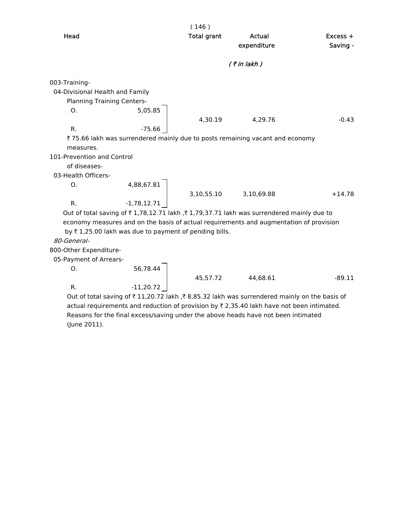|                                   |                                                                   | (146)                 |                                                                                         |            |
|-----------------------------------|-------------------------------------------------------------------|-----------------------|-----------------------------------------------------------------------------------------|------------|
| Head                              |                                                                   | <b>Total grant</b>    | <b>Actual</b>                                                                           | $Excess +$ |
|                                   |                                                                   |                       | expenditure                                                                             | Saving -   |
|                                   |                                                                   |                       | $($ ₹ in lakh $)$                                                                       |            |
| 003-Training-                     |                                                                   |                       |                                                                                         |            |
| 04-Divisional Health and Family   |                                                                   |                       |                                                                                         |            |
| <b>Planning Training Centers-</b> |                                                                   |                       |                                                                                         |            |
| O.                                | 5,05.85                                                           |                       |                                                                                         |            |
|                                   |                                                                   | 4,30.19               | 4,29.76                                                                                 | $-0.43$    |
| R.                                | $-75.66$                                                          |                       |                                                                                         |            |
|                                   |                                                                   |                       | ₹ 75.66 lakh was surrendered mainly due to posts remaining vacant and economy           |            |
| measures.                         |                                                                   |                       |                                                                                         |            |
| 101-Prevention and Control        |                                                                   |                       |                                                                                         |            |
| of diseases-                      |                                                                   |                       |                                                                                         |            |
| 03-Health Officers-               |                                                                   |                       |                                                                                         |            |
| Ο.                                | 4,88,67.81                                                        |                       |                                                                                         |            |
|                                   |                                                                   | 3,10,55.10 3,10,69.88 |                                                                                         | $+14.78$   |
| $R_{\cdot}$                       | $-1,78,12.71$                                                     |                       |                                                                                         |            |
|                                   |                                                                   |                       | Out of total saving of ₹1,78,12.71 lakh ,₹1,79,37.71 lakh was surrendered mainly due to |            |
|                                   |                                                                   |                       | economy measures and on the basis of actual requirements and augmentation of provision  |            |
|                                   | by $\bar{\tau}$ 1,25.00 lakh was due to payment of pending bills. |                       |                                                                                         |            |
| 80-General-                       |                                                                   |                       |                                                                                         |            |
| 800-Other Expenditure-            |                                                                   |                       |                                                                                         |            |
| 05-Payment of Arrears-            |                                                                   |                       |                                                                                         |            |
| O.                                | 56,78.44                                                          |                       |                                                                                         |            |
|                                   |                                                                   | 45,57.72              | 44,68.61                                                                                | $-89.11$   |

R.  $-11,20.72$ Out of total saving of  $\bar{\tau}$  11,20.72 lakh , $\bar{\tau}$  8,85.32 lakh was surrendered mainly on the basis of actual requirements and reduction of provision by  $\bar{\tau}$  2,35.40 lakh have not been intimated. Reasons for the final excess/saving under the above heads have not been intimated (June 2011).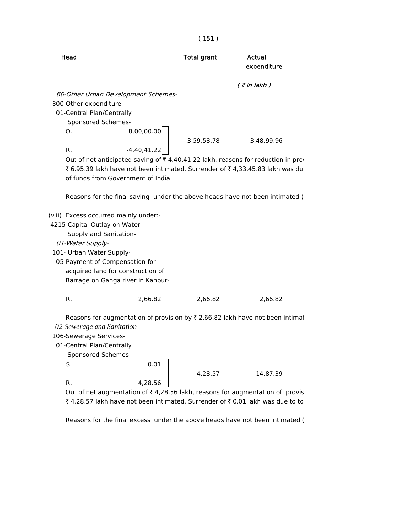|                                                                                                                                                                                                                                                             | (151)                                     |                                                                                                                                                                                                                                                                                     |
|-------------------------------------------------------------------------------------------------------------------------------------------------------------------------------------------------------------------------------------------------------------|-------------------------------------------|-------------------------------------------------------------------------------------------------------------------------------------------------------------------------------------------------------------------------------------------------------------------------------------|
| Head                                                                                                                                                                                                                                                        | <b>Total grant</b>                        | <b>Actual</b><br>expenditure                                                                                                                                                                                                                                                        |
| 60-Other Urban Development Schemes-<br>800-Other expenditure-<br>01-Central Plan/Centrally<br>Sponsored Schemes-<br>O.<br>R.<br>of funds from Government of India.                                                                                          | 8,00,00.00<br>3,59,58.78<br>$-4,40,41.22$ | $($ ₹ in lakh $)$<br>3,48,99.96<br>Out of net anticipated saving of ₹4,40,41.22 lakh, reasons for reduction in pro<br>₹ 6,95.39 lakh have not been intimated. Surrender of ₹ 4,33,45.83 lakh was du<br>Reasons for the final saving under the above heads have not been intimated ( |
| (viii) Excess occurred mainly under:-<br>4215-Capital Outlay on Water<br>Supply and Sanitation-<br>01-Water Supply-<br>101- Urban Water Supply-<br>05-Payment of Compensation for<br>acquired land for construction of<br>Barrage on Ganga river in Kanpur- |                                           |                                                                                                                                                                                                                                                                                     |
| R.                                                                                                                                                                                                                                                          | 2,66.82<br>2,66.82                        | 2,66.82                                                                                                                                                                                                                                                                             |
| 02-Sewerage and Sanitation-<br>106-Sewerage Services-<br>01-Central Plan/Centrally<br>Sponsored Schemes-<br>S.                                                                                                                                              | 0.01                                      | Reasons for augmentation of provision by $\overline{\tau}$ 2,66.82 lakh have not been intimal                                                                                                                                                                                       |
|                                                                                                                                                                                                                                                             | 4,28.57                                   | 14,87.39                                                                                                                                                                                                                                                                            |
| R.                                                                                                                                                                                                                                                          | 4,28.56                                   | Out of net augmentation of $\bar{\tau}$ 4,28.56 lakh, reasons for augmentation of provis<br>₹ 4,28.57 lakh have not been intimated. Surrender of ₹ 0.01 lakh was due to to                                                                                                          |
|                                                                                                                                                                                                                                                             |                                           | Reasons for the final excess under the above heads have not been intimated (                                                                                                                                                                                                        |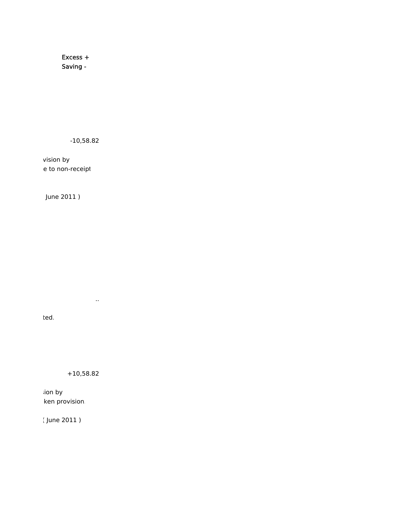Excess + Saving -

-10,58.82

vision by e to non-receipt

June 2011 )

ted.

+10,58.82

..

sion by ken provision.

( June 2011 )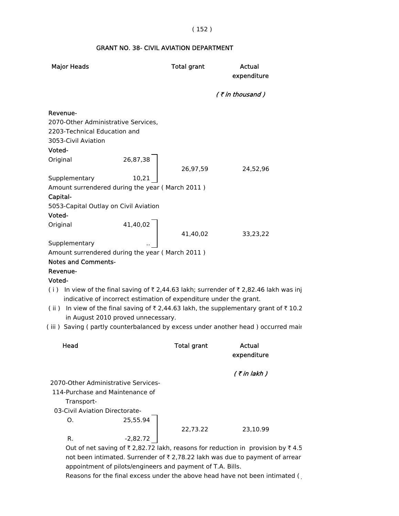# ( 152 )

## GRANT NO. 38- CIVIL AVIATION DEPARTMENT

| <b>Major Heads</b>                                                                                     | <b>Total grant</b>                                                 | Actual<br>expenditure                                                                                                                                                   |
|--------------------------------------------------------------------------------------------------------|--------------------------------------------------------------------|-------------------------------------------------------------------------------------------------------------------------------------------------------------------------|
|                                                                                                        |                                                                    | (₹in thousand)                                                                                                                                                          |
| Revenue-<br>2070-Other Administrative Services,<br>2203-Technical Education and<br>3053-Civil Aviation |                                                                    |                                                                                                                                                                         |
| Voted-<br>Original                                                                                     | 26,87,38<br>26,97,59                                               | 24,52,96                                                                                                                                                                |
| Supplementary<br>Amount surrendered during the year (March 2011)<br>Capital-                           | 10,21                                                              |                                                                                                                                                                         |
| 5053-Capital Outlay on Civil Aviation<br>Voted-                                                        |                                                                    |                                                                                                                                                                         |
| Original<br>Supplementary                                                                              | 41,40,02<br>41,40,02                                               | 33,23,22                                                                                                                                                                |
| Amount surrendered during the year (March 2011)<br><b>Notes and Comments-</b>                          |                                                                    |                                                                                                                                                                         |
| Revenue-<br>Voted-                                                                                     |                                                                    |                                                                                                                                                                         |
|                                                                                                        | indicative of incorrect estimation of expenditure under the grant. | (i) In view of the final saving of ₹2,44.63 lakh; surrender of ₹2,82.46 lakh was inj                                                                                    |
| in August 2010 proved unnecessary.                                                                     |                                                                    | (ii) In view of the final saving of ₹2,44.63 lakh, the supplementary grant of ₹10.2<br>(iii) Saving (partly counterbalanced by excess under another head) occurred mair |
|                                                                                                        |                                                                    |                                                                                                                                                                         |
| Head                                                                                                   | <b>Total grant</b>                                                 | Actual<br>expenditure                                                                                                                                                   |
| 2070-Other Administrative Services-                                                                    |                                                                    | (₹in lakh )                                                                                                                                                             |
| 114-Purchase and Maintenance of                                                                        |                                                                    |                                                                                                                                                                         |
| Transport-                                                                                             |                                                                    |                                                                                                                                                                         |
| 03-Civil Aviation Directorate-<br>Ο.                                                                   | 25,55.94                                                           |                                                                                                                                                                         |
| $R_{\cdot}$                                                                                            | 22,73.22<br>$-2,82.72$                                             | 23,10.99                                                                                                                                                                |
|                                                                                                        |                                                                    | Out of net saving of ₹ 2,82.72 lakh, reasons for reduction in provision by ₹ 4.5                                                                                        |

not been intimated. Surrender of  $\bar{\tau}$  2,78.22 lakh was due to payment of arrear appointment of pilots/engineers and payment of T.A. Bills.

Reasons for the final excess under the above head have not been intimated (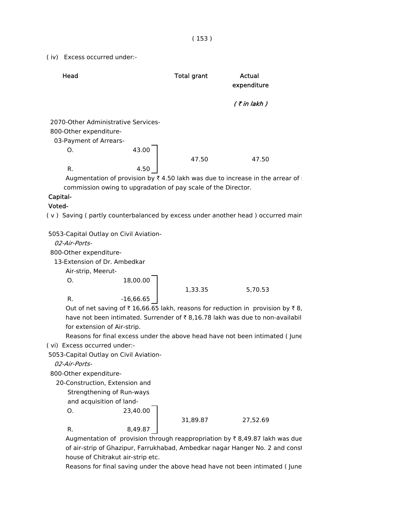( iv) Excess occurred under:-

| Head                                                                                    |       | <b>Total grant</b> | Actual<br>expenditure |
|-----------------------------------------------------------------------------------------|-------|--------------------|-----------------------|
|                                                                                         |       |                    | $($ ₹ in lakh $)$     |
| 2070-Other Administrative Services-<br>800-Other expenditure-<br>03-Payment of Arrears- |       |                    |                       |
| O.                                                                                      | 43.00 | 47.50              | 47.50                 |
| R.                                                                                      | 4.50  |                    |                       |

Augmentation of provision by  $\bar{\tau}$  4.50 lakh was due to increase in the arrear of commission owing to upgradation of pay scale of the Director.

# Capital-

#### Voted-

( v ) Saving ( partly counterbalanced by excess under another head ) occurred main

5053-Capital Outlay on Civil Aviation-

02-Air-Ports-

800-Other expenditure-

13-Extension of Dr. Ambedkar

Air-strip, Meerut-

 $0. 18,00.00$ 

1,33.35 5,70.53

R.  $-16,66.65$ 

Out of net saving of  $\bar{\tau}$  16,66.65 lakh, reasons for reduction in provision by  $\bar{\tau}$  8, have not been intimated. Surrender of  $\bar{\tau}$  8,16.78 lakh was due to non-availabil for extension of Air-strip.

 Reasons for final excess under the above head have not been intimated ( June ( vi) Excess occurred under:-

5053-Capital Outlay on Civil Aviation-

02-Air-Ports-

800-Other expenditure-

20-Construction, Extension and

Strengthening of Run-ways

and acquisition of land-

O. 23,40.00

R. 8,49.87

31,89.87 27,52.69

Augmentation of provision through reappropriation by  $\bar{\tau}$  8,49.87 lakh was due of air-strip of Ghazipur, Farrukhabad, Ambedkar nagar Hanger No. 2 and const house of Chitrakut air-strip etc.

Reasons for final saving under the above head have not been intimated ( June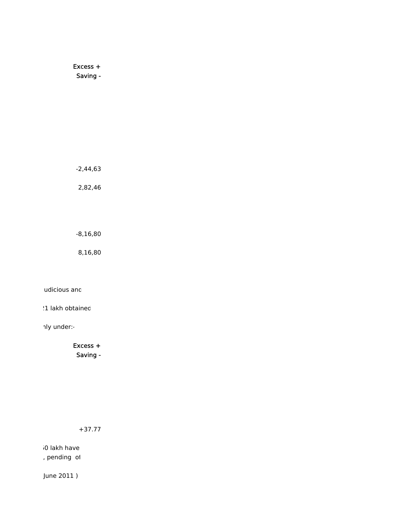Excess + Saving -

-2,44,63

2,82,46

-8,16,80

8,16,80

udicious and

21 lakh obtained

nly under:-

Excess + Saving -

+37.77

50 lakh have , pending of

June 2011 )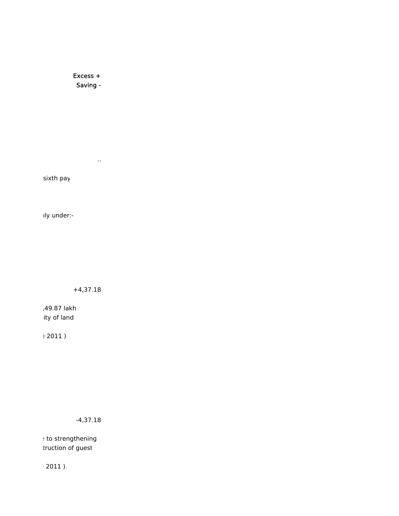Excess + Saving -

..

sixth pay

nly under:-

+4,37.18

,49.87 lakh ity of land

e 2011 )

-4,37.18

e to strengthening truction of guest

e 2011 ).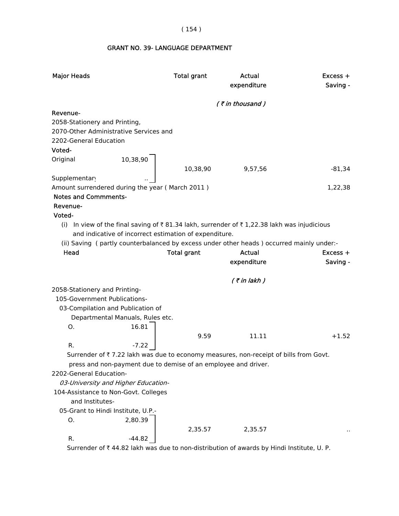( 154 )

## GRANT NO. 39- LANGUAGE DEPARTMENT

| <b>Major Heads</b>            |                                                                                            | <b>Total grant</b> | Actual<br>expenditure | Excess +<br>Saving - |
|-------------------------------|--------------------------------------------------------------------------------------------|--------------------|-----------------------|----------------------|
|                               |                                                                                            |                    | $($ ₹ in thousand)    |                      |
| Revenue-                      |                                                                                            |                    |                       |                      |
| 2058-Stationery and Printing, |                                                                                            |                    |                       |                      |
|                               | 2070-Other Administrative Services and                                                     |                    |                       |                      |
| 2202-General Education        |                                                                                            |                    |                       |                      |
| Voted-                        |                                                                                            |                    |                       |                      |
| Original                      | 10,38,90                                                                                   |                    |                       |                      |
| Supplementary                 |                                                                                            | 10,38,90           | 9,57,56               | $-81,34$             |
|                               | Amount surrendered during the year (March 2011)                                            |                    |                       | 1,22,38              |
| <b>Notes and Commments-</b>   |                                                                                            |                    |                       |                      |
| Revenue-                      |                                                                                            |                    |                       |                      |
| Voted-                        |                                                                                            |                    |                       |                      |
|                               | (i) In view of the final saving of ₹81.34 lakh, surrender of ₹1,22.38 lakh was injudicious |                    |                       |                      |
|                               | and indicative of incorrect estimation of expenditure.                                     |                    |                       |                      |
|                               | (ii) Saving (partly counterbalanced by excess under other heads) occurred mainly under:-   |                    |                       |                      |
| Head                          |                                                                                            | <b>Total grant</b> | Actual                | $Excess +$           |
|                               |                                                                                            |                    |                       |                      |
|                               |                                                                                            |                    | expenditure           | Saving -             |
|                               |                                                                                            |                    |                       |                      |
| 2058-Stationery and Printing- |                                                                                            |                    | $($ ₹ in lakh)        |                      |
| 105-Government Publications-  |                                                                                            |                    |                       |                      |
|                               | 03-Compilation and Publication of                                                          |                    |                       |                      |
|                               | Departmental Manuals, Rules etc.                                                           |                    |                       |                      |
| O.                            | 16.81                                                                                      |                    |                       |                      |
|                               |                                                                                            | 9.59               | 11.11                 | $+1.52$              |
| R.                            | $-7.22$                                                                                    |                    |                       |                      |
|                               | Surrender of ₹7.22 lakh was due to economy measures, non-receipt of bills from Govt.       |                    |                       |                      |
|                               | press and non-payment due to demise of an employee and driver.                             |                    |                       |                      |
| 2202-General Education-       |                                                                                            |                    |                       |                      |
|                               | 03-University and Higher Education-                                                        |                    |                       |                      |
| and Institutes-               | 104-Assistance to Non-Govt. Colleges                                                       |                    |                       |                      |
|                               | 05-Grant to Hindi Institute, U.P.-                                                         |                    |                       |                      |
| Ο.                            | 2,80.39                                                                                    |                    |                       |                      |
|                               |                                                                                            | 2,35.57            | 2,35.57               |                      |

Surrender of  $\bar{\tau}$  44.82 lakh was due to non-distribution of awards by Hindi Institute, U. P.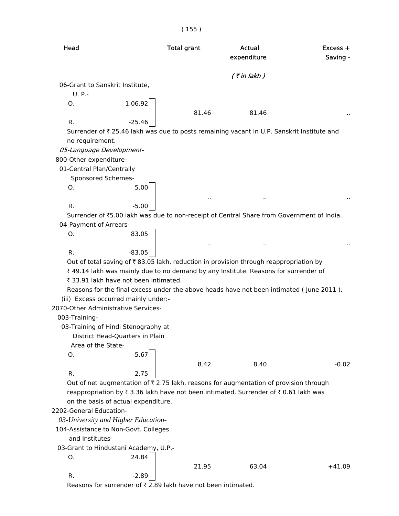# ( 155 )

| Head                                         |                                                                        | <b>Total grant</b>   | Actual<br>expenditure                                                                      | Excess +<br>Saving - |
|----------------------------------------------|------------------------------------------------------------------------|----------------------|--------------------------------------------------------------------------------------------|----------------------|
|                                              |                                                                        |                      | $($ ₹ in lakh $)$                                                                          |                      |
| 06-Grant to Sanskrit Institute,<br>$U. P. -$ |                                                                        |                      |                                                                                            |                      |
| O.                                           | 1,06.92                                                                | 81.46                | 81.46                                                                                      |                      |
| R.                                           | $-25.46$                                                               |                      |                                                                                            |                      |
| no requirement.                              |                                                                        |                      | Surrender of ₹ 25.46 lakh was due to posts remaining vacant in U.P. Sanskrit Institute and |                      |
| 05-Language Development-                     |                                                                        |                      |                                                                                            |                      |
| 800-Other expenditure-                       |                                                                        |                      |                                                                                            |                      |
| 01-Central Plan/Centrally                    |                                                                        |                      |                                                                                            |                      |
| Sponsored Schemes-<br>O.                     | 5.00                                                                   |                      |                                                                                            |                      |
|                                              |                                                                        |                      |                                                                                            |                      |
| R.                                           | $-5.00$                                                                |                      |                                                                                            |                      |
|                                              |                                                                        |                      | Surrender of ₹5.00 lakh was due to non-receipt of Central Share from Government of India.  |                      |
| 04-Payment of Arrears-                       |                                                                        |                      |                                                                                            |                      |
| O.                                           | 83.05                                                                  |                      |                                                                                            |                      |
|                                              |                                                                        | $\ddot{\phantom{0}}$ |                                                                                            |                      |
| R.                                           | $-83.05$                                                               |                      |                                                                                            |                      |
|                                              |                                                                        |                      | Out of total saving of ₹83.05 lakh, reduction in provision through reappropriation by      |                      |
|                                              |                                                                        |                      | ₹49.14 lakh was mainly due to no demand by any Institute. Reasons for surrender of         |                      |
|                                              | ₹ 33.91 lakh have not been intimated.                                  |                      |                                                                                            |                      |
|                                              |                                                                        |                      | Reasons for the final excess under the above heads have not been intimated (June 2011).    |                      |
|                                              | (iii) Excess occurred mainly under:-                                   |                      |                                                                                            |                      |
| 2070-Other Administrative Services-          |                                                                        |                      |                                                                                            |                      |
| 003-Training-                                |                                                                        |                      |                                                                                            |                      |
|                                              | 03-Training of Hindi Stenography at<br>District Head-Quarters in Plain |                      |                                                                                            |                      |
| Area of the State-                           |                                                                        |                      |                                                                                            |                      |
| O.                                           | 5.67                                                                   |                      |                                                                                            |                      |
|                                              |                                                                        | 8.42                 | 8.40                                                                                       | $-0.02$              |
| R.                                           | 2.75                                                                   |                      |                                                                                            |                      |
|                                              |                                                                        |                      | Out of net augmentation of ₹2.75 lakh, reasons for augmentation of provision through       |                      |
|                                              |                                                                        |                      | reappropriation by ₹3.36 lakh have not been intimated. Surrender of ₹0.61 lakh was         |                      |
|                                              | on the basis of actual expenditure.                                    |                      |                                                                                            |                      |
| 2202-General Education-                      |                                                                        |                      |                                                                                            |                      |
|                                              | 03-University and Higher Education-                                    |                      |                                                                                            |                      |
|                                              | 104-Assistance to Non-Govt. Colleges                                   |                      |                                                                                            |                      |
| and Institutes-                              |                                                                        |                      |                                                                                            |                      |
|                                              | 03-Grant to Hindustani Academy, U.P.-                                  |                      |                                                                                            |                      |
| O.                                           | 24.84                                                                  |                      |                                                                                            |                      |
|                                              |                                                                        | 21.95                | 63.04                                                                                      | $+41.09$             |
| R.                                           | $-2.89$                                                                |                      |                                                                                            |                      |

Reasons for surrender of  $\bar{\tau}$  2.89 lakh have not been intimated.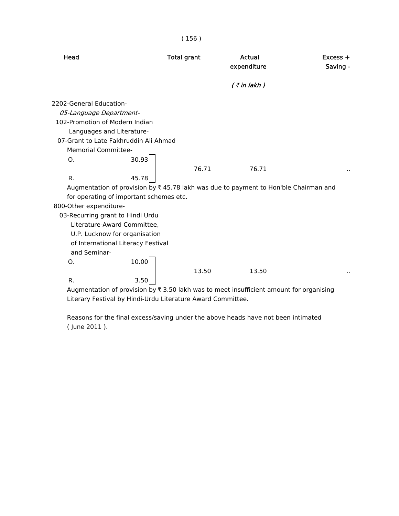|                                         |       | (156)              |                                                                                                     |                        |
|-----------------------------------------|-------|--------------------|-----------------------------------------------------------------------------------------------------|------------------------|
| Head                                    |       | <b>Total grant</b> | Actual<br>expenditure                                                                               | $Excess +$<br>Saving - |
|                                         |       |                    | $($ ₹ in lakh $)$                                                                                   |                        |
| 2202-General Education-                 |       |                    |                                                                                                     |                        |
| 05-Language Department-                 |       |                    |                                                                                                     |                        |
| 102-Promotion of Modern Indian          |       |                    |                                                                                                     |                        |
| Languages and Literature-               |       |                    |                                                                                                     |                        |
| 07-Grant to Late Fakhruddin Ali Ahmad   |       |                    |                                                                                                     |                        |
| <b>Memorial Committee-</b>              |       |                    |                                                                                                     |                        |
| O.                                      | 30.93 |                    |                                                                                                     |                        |
|                                         |       | 76.71              | 76.71                                                                                               |                        |
| R.                                      | 45.78 |                    |                                                                                                     |                        |
|                                         |       |                    | Augmentation of provision by $\overline{\xi}$ 45.78 lakh was due to payment to Hon'ble Chairman and |                        |
| for operating of important schemes etc. |       |                    |                                                                                                     |                        |
| 800-Other expenditure-                  |       |                    |                                                                                                     |                        |
| 03-Recurring grant to Hindi Urdu        |       |                    |                                                                                                     |                        |
| Literature-Award Committee,             |       |                    |                                                                                                     |                        |
| U.P. Lucknow for organisation           |       |                    |                                                                                                     |                        |
| of International Literacy Festival      |       |                    |                                                                                                     |                        |
| and Seminar-                            |       |                    |                                                                                                     |                        |
| O.                                      | 10.00 |                    |                                                                                                     |                        |
|                                         |       | 13.50              | 13.50                                                                                               |                        |
| R.                                      | 3.50  |                    |                                                                                                     |                        |
|                                         |       |                    | Augmentation of provision by $\bar{\tau}$ 3.50 lakh was to meet insufficient amount for organising  |                        |

Literary Festival by Hindi-Urdu Literature Award Committee.

 Reasons for the final excess/saving under the above heads have not been intimated ( June 2011 ).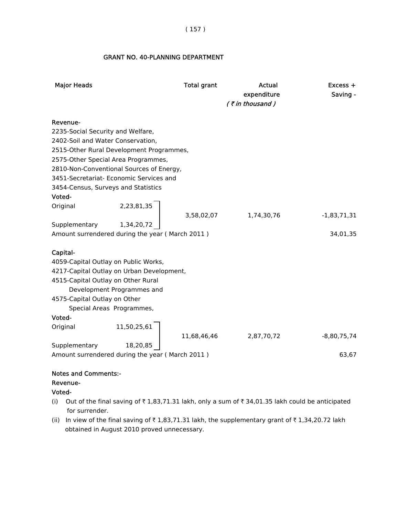## ( 157 )

#### GRANT NO. 40-PLANNING DEPARTMENT

| <b>Major Heads</b>                              |                            | <b>Total grant</b> | Actual<br>expenditure<br>$($ ₹ in thousand) | $Excess +$<br>Saving - |
|-------------------------------------------------|----------------------------|--------------------|---------------------------------------------|------------------------|
|                                                 |                            |                    |                                             |                        |
| Revenue-                                        |                            |                    |                                             |                        |
| 2235-Social Security and Welfare,               |                            |                    |                                             |                        |
| 2402-Soil and Water Conservation,               |                            |                    |                                             |                        |
| 2515-Other Rural Development Programmes,        |                            |                    |                                             |                        |
| 2575-Other Special Area Programmes,             |                            |                    |                                             |                        |
| 2810-Non-Conventional Sources of Energy,        |                            |                    |                                             |                        |
| 3451-Secretariat- Economic Services and         |                            |                    |                                             |                        |
| 3454-Census, Surveys and Statistics             |                            |                    |                                             |                        |
| Voted-                                          |                            |                    |                                             |                        |
| Original                                        | $2,23,81,35$<br>1,34,20,72 |                    |                                             |                        |
|                                                 |                            | 3,58,02,07         | 1,74,30,76                                  | $-1,83,71,31$          |
| Supplementary                                   |                            |                    |                                             |                        |
| Amount surrendered during the year (March 2011) |                            |                    |                                             | 34,01,35               |
|                                                 |                            |                    |                                             |                        |
| Capital-                                        |                            |                    |                                             |                        |
| 4059-Capital Outlay on Public Works,            |                            |                    |                                             |                        |
| 4217-Capital Outlay on Urban Development,       |                            |                    |                                             |                        |
| 4515-Capital Outlay on Other Rural              |                            |                    |                                             |                        |
|                                                 | Development Programmes and |                    |                                             |                        |
| 4575-Capital Outlay on Other                    |                            |                    |                                             |                        |
|                                                 | Special Areas Programmes,  |                    |                                             |                        |
| Voted-                                          |                            |                    |                                             |                        |
| Original                                        | 11,50,25,61                |                    |                                             |                        |
|                                                 |                            | 11,68,46,46        | 2,87,70,72                                  | $-8,80,75,74$          |
| Supplementary                                   | 18,20,85                   |                    |                                             |                        |
| Amount surrendered during the year (March 2011) |                            |                    |                                             | 63,67                  |
|                                                 |                            |                    |                                             |                        |
| Natos and Cammanter                             |                            |                    |                                             |                        |

#### Notes and Comments:-

#### Revenue-

## Voted-

- (i) Out of the final saving of  $\bar{\tau}$  1,83,71.31 lakh, only a sum of  $\bar{\tau}$  34,01.35 lakh could be anticipated for surrender.
- (ii) In view of the final saving of  $\bar{\tau}$  1,83,71.31 lakh, the supplementary grant of  $\bar{\tau}$  1,34,20.72 lakh obtained in August 2010 proved unnecessary.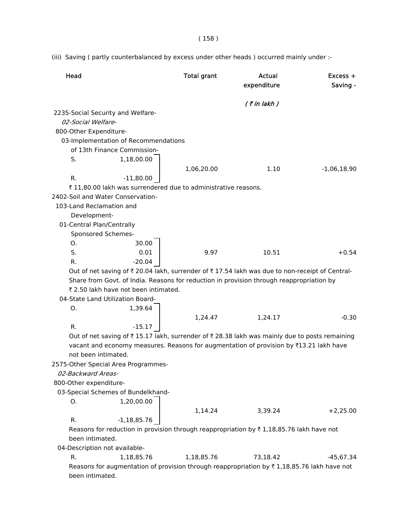( 158 )

(iii) Saving ( partly counterbalanced by excess under other heads ) occurred mainly under :-

| Head                                                    |                                      | <b>Total grant</b>                                            | Actual<br>expenditure                                                                                                                                                                  | Excess +<br>Saving - |
|---------------------------------------------------------|--------------------------------------|---------------------------------------------------------------|----------------------------------------------------------------------------------------------------------------------------------------------------------------------------------------|----------------------|
|                                                         |                                      |                                                               | $($ ₹ in lakh)                                                                                                                                                                         |                      |
| 2235-Social Security and Welfare-<br>02-Social Welfare- |                                      |                                                               |                                                                                                                                                                                        |                      |
| 800-Other Expenditure-                                  |                                      |                                                               |                                                                                                                                                                                        |                      |
|                                                         | 03-Implementation of Recommendations |                                                               |                                                                                                                                                                                        |                      |
|                                                         | of 13th Finance Commission-          |                                                               |                                                                                                                                                                                        |                      |
| S.                                                      | 1,18,00.00                           | 1,06,20.00                                                    | 1.10                                                                                                                                                                                   | $-1,06,18.90$        |
| R.                                                      | $-11,80.00$                          |                                                               |                                                                                                                                                                                        |                      |
|                                                         |                                      | ₹11,80.00 lakh was surrendered due to administrative reasons. |                                                                                                                                                                                        |                      |
| 2402-Soil and Water Conservation-                       |                                      |                                                               |                                                                                                                                                                                        |                      |
| 103-Land Reclamation and                                |                                      |                                                               |                                                                                                                                                                                        |                      |
| Development-                                            |                                      |                                                               |                                                                                                                                                                                        |                      |
| 01-Central Plan/Centrally                               |                                      |                                                               |                                                                                                                                                                                        |                      |
| Sponsored Schemes-                                      |                                      |                                                               |                                                                                                                                                                                        |                      |
| Ο.                                                      | 30.00                                |                                                               |                                                                                                                                                                                        |                      |
| S.                                                      | 0.01                                 | 9.97                                                          | 10.51                                                                                                                                                                                  | $+0.54$              |
| R.                                                      | $-20.04$                             |                                                               |                                                                                                                                                                                        |                      |
|                                                         |                                      |                                                               | Out of net saving of ₹ 20.04 lakh, surrender of ₹ 17.54 lakh was due to non-receipt of Central-                                                                                        |                      |
|                                                         |                                      |                                                               | Share from Govt. of India. Reasons for reduction in provision through reappropriation by                                                                                               |                      |
|                                                         | ₹ 2.50 lakh have not been intimated. |                                                               |                                                                                                                                                                                        |                      |
| 04-State Land Utilization Board-                        |                                      |                                                               |                                                                                                                                                                                        |                      |
| Ο.                                                      | 1,39.64                              |                                                               |                                                                                                                                                                                        |                      |
|                                                         |                                      | 1,24.47                                                       | 1,24.17                                                                                                                                                                                | $-0.30$              |
| R.                                                      | $-15.17$                             |                                                               |                                                                                                                                                                                        |                      |
| not been intimated.                                     |                                      |                                                               | Out of net saving of ₹15.17 lakh, surrender of ₹28.38 lakh was mainly due to posts remaining<br>vacant and economy measures. Reasons for augmentation of provision by ₹13.21 lakh have |                      |
| 2575-Other Special Area Programmes-                     |                                      |                                                               |                                                                                                                                                                                        |                      |
| 02-Backward Areas-                                      |                                      |                                                               |                                                                                                                                                                                        |                      |
| 800-Other expenditure-                                  |                                      |                                                               |                                                                                                                                                                                        |                      |
|                                                         | 03-Special Schemes of Bundelkhand-   |                                                               |                                                                                                                                                                                        |                      |
| Ο.                                                      | 1,20,00.00                           | 1,14.24                                                       | 3,39.24                                                                                                                                                                                | $+2,25.00$           |
| R.                                                      | $-1,18,85.76$                        |                                                               |                                                                                                                                                                                        |                      |
|                                                         |                                      |                                                               | Reasons for reduction in provision through reappropriation by $\bar{\tau}$ 1,18,85.76 lakh have not                                                                                    |                      |
| been intimated.                                         |                                      |                                                               |                                                                                                                                                                                        |                      |
| 04-Description not available-                           |                                      |                                                               |                                                                                                                                                                                        |                      |
| R.                                                      | 1,18,85.76                           | 1,18,85.76                                                    | 73,18.42                                                                                                                                                                               | $-45,67.34$          |
| been intimated.                                         |                                      |                                                               | Reasons for augmentation of provision through reappropriation by $\bar{\tau}$ 1,18,85.76 lakh have not                                                                                 |                      |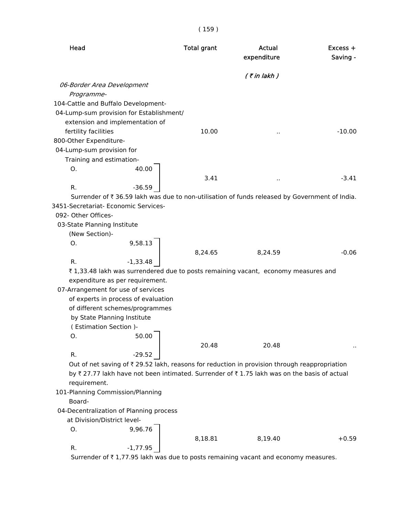| Head                        |                                                                | <b>Total grant</b> | Actual<br>expenditure                                                                         | Excess +<br>Saving - |
|-----------------------------|----------------------------------------------------------------|--------------------|-----------------------------------------------------------------------------------------------|----------------------|
|                             |                                                                |                    | $($ ₹ in lakh $)$                                                                             |                      |
|                             | 06-Border Area Development                                     |                    |                                                                                               |                      |
| Programme-                  |                                                                |                    |                                                                                               |                      |
|                             | 104-Cattle and Buffalo Development-                            |                    |                                                                                               |                      |
|                             | 04-Lump-sum provision for Establishment/                       |                    |                                                                                               |                      |
|                             | extension and implementation of                                |                    |                                                                                               |                      |
| fertility facilities        |                                                                | 10.00              |                                                                                               | $-10.00$             |
| 800-Other Expenditure-      |                                                                |                    |                                                                                               |                      |
| 04-Lump-sum provision for   |                                                                |                    |                                                                                               |                      |
| Training and estimation-    |                                                                |                    |                                                                                               |                      |
| Ο.                          | 40.00                                                          |                    |                                                                                               |                      |
|                             |                                                                | 3.41               | $\epsilon$ .                                                                                  | $-3.41$              |
| R.                          | $-36.59$                                                       |                    |                                                                                               |                      |
|                             |                                                                |                    | Surrender of ₹36.59 lakh was due to non-utilisation of funds released by Government of India. |                      |
|                             | 3451-Secretariat- Economic Services-                           |                    |                                                                                               |                      |
| 092- Other Offices-         |                                                                |                    |                                                                                               |                      |
| 03-State Planning Institute |                                                                |                    |                                                                                               |                      |
| (New Section)-              |                                                                |                    |                                                                                               |                      |
| O.                          | 9,58.13                                                        |                    |                                                                                               |                      |
|                             |                                                                | 8,24.65            | 8,24.59                                                                                       | $-0.06$              |
| R.                          | $-1,33.48$                                                     |                    |                                                                                               |                      |
|                             |                                                                |                    | ₹1,33.48 lakh was surrendered due to posts remaining vacant, economy measures and             |                      |
|                             | expenditure as per requirement.                                |                    |                                                                                               |                      |
|                             | 07-Arrangement for use of services                             |                    |                                                                                               |                      |
|                             | of experts in process of evaluation                            |                    |                                                                                               |                      |
|                             | of different schemes/programmes<br>by State Planning Institute |                    |                                                                                               |                      |
|                             | (Estimation Section)-                                          |                    |                                                                                               |                      |
| Ο.                          | 50.00                                                          |                    |                                                                                               |                      |
|                             |                                                                | 20.48              | 20.48                                                                                         |                      |
| R.                          | $-29.52$                                                       |                    |                                                                                               |                      |
|                             |                                                                |                    | Out of net saving of ₹ 29.52 lakh, reasons for reduction in provision through reappropriation |                      |
|                             |                                                                |                    | by ₹ 27.77 lakh have not been intimated. Surrender of ₹ 1.75 lakh was on the basis of actual  |                      |
| requirement.                |                                                                |                    |                                                                                               |                      |
|                             | 101-Planning Commission/Planning                               |                    |                                                                                               |                      |
| Board-                      |                                                                |                    |                                                                                               |                      |
|                             | 04-Decentralization of Planning process                        |                    |                                                                                               |                      |
|                             | at Division/District level-                                    |                    |                                                                                               |                      |
| Ο.                          | 9,96.76                                                        |                    |                                                                                               |                      |
|                             |                                                                | 8,18.81            | 8,19.40                                                                                       | $+0.59$              |
| R.                          | $-1,77.95$                                                     |                    |                                                                                               |                      |

Surrender of  $\bar{\tau}$  1,77.95 lakh was due to posts remaining vacant and economy measures.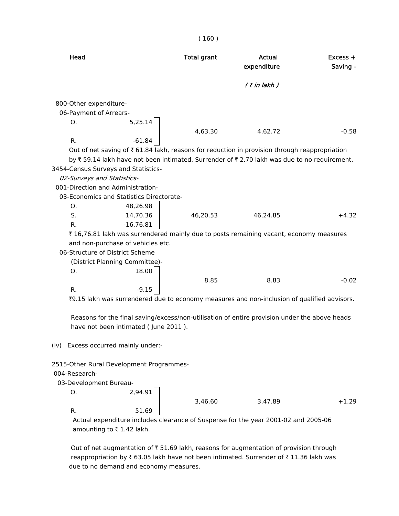| Head                                     |             | <b>Total grant</b> | Actual<br>expenditure                                                                         | $Excess +$<br>Saving - |
|------------------------------------------|-------------|--------------------|-----------------------------------------------------------------------------------------------|------------------------|
|                                          |             |                    | $($ ₹ in lakh)                                                                                |                        |
| 800-Other expenditure-                   |             |                    |                                                                                               |                        |
| 06-Payment of Arrears-                   |             |                    |                                                                                               |                        |
| Ο.                                       | 5,25.14     |                    |                                                                                               |                        |
|                                          |             | 4,63.30            | 4,62.72                                                                                       | $-0.58$                |
| R.                                       | $-61.84$    |                    |                                                                                               |                        |
|                                          |             |                    | Out of net saving of ₹ 61.84 lakh, reasons for reduction in provision through reappropriation |                        |
|                                          |             |                    | by ₹59.14 lakh have not been intimated. Surrender of ₹2.70 lakh was due to no requirement.    |                        |
| 3454-Census Surveys and Statistics-      |             |                    |                                                                                               |                        |
| 02-Surveys and Statistics-               |             |                    |                                                                                               |                        |
| 001-Direction and Administration-        |             |                    |                                                                                               |                        |
| 03-Economics and Statistics Directorate- |             |                    |                                                                                               |                        |
| Ο.                                       | 48,26.98    |                    |                                                                                               |                        |
| S.                                       | 14,70.36    | 46,20.53           | 46,24.85                                                                                      | $+4.32$                |
| R.                                       | $-16,76.81$ |                    |                                                                                               |                        |
|                                          |             |                    | ₹16,76.81 lakh was surrendered mainly due to posts remaining vacant, economy measures         |                        |
| and non-purchase of vehicles etc.        |             |                    |                                                                                               |                        |
| 06-Structure of District Scheme          |             |                    |                                                                                               |                        |
| (District Planning Committee)-           |             |                    |                                                                                               |                        |
| 0.                                       | 18.00       |                    |                                                                                               |                        |
|                                          |             | 8.85               | 8.83                                                                                          | $-0.02$                |
| R.                                       | $-9.15$     |                    |                                                                                               |                        |
|                                          |             |                    |                                                                                               |                        |
|                                          |             |                    | ₹9.15 lakh was surrendered due to economy measures and non-inclusion of qualified advisors.   |                        |
|                                          |             |                    | Reasons for the final saving/excess/non-utilisation of entire provision under the above heads |                        |
|                                          |             |                    |                                                                                               |                        |
| have not been intimated (June 2011).     |             |                    |                                                                                               |                        |
| (iv) Excess occurred mainly under:-      |             |                    |                                                                                               |                        |
| 2515-Other Rural Development Programmes- |             |                    |                                                                                               |                        |
| 004-Research-                            |             |                    |                                                                                               |                        |
| 03-Development Bureau-                   |             |                    |                                                                                               |                        |
| 0.                                       | 2,94.91     |                    |                                                                                               |                        |
|                                          |             |                    |                                                                                               | $+1.29$                |
|                                          |             | 3,46.60            | 3,47.89                                                                                       |                        |
| R.                                       | 51.69       |                    |                                                                                               |                        |

( 160 )

 Actual expenditure includes clearance of Suspense for the year 2001-02 and 2005-06 amounting to  $\bar{\tau}$  1.42 lakh.

Out of net augmentation of  $\bar{\tau}$  51.69 lakh, reasons for augmentation of provision through reappropriation by  $\bar{\tau}$  63.05 lakh have not been intimated. Surrender of  $\bar{\tau}$  11.36 lakh was due to no demand and economy measures.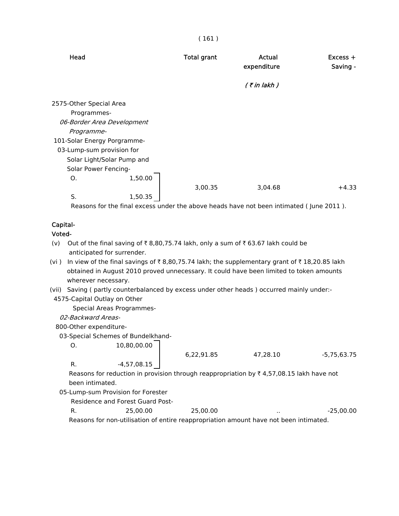| Head                        | <b>Total grant</b> | Actual<br>expenditure | $Excess +$<br>Saving - |
|-----------------------------|--------------------|-----------------------|------------------------|
|                             |                    | $($ ₹ in lakh)        |                        |
| 2575-Other Special Area     |                    |                       |                        |
| Programmes-                 |                    |                       |                        |
| 06-Border Area Development  |                    |                       |                        |
| Programme-                  |                    |                       |                        |
| 101-Solar Energy Porgramme- |                    |                       |                        |
| 03-Lump-sum provision for   |                    |                       |                        |
| Solar Light/Solar Pump and  |                    |                       |                        |
| Solar Power Fencing-        |                    |                       |                        |
| 1,50.00<br>Ο.               |                    |                       |                        |
|                             | 3,00.35            | 3,04.68               | $+4.33$                |
| S.<br>1,50.35               |                    |                       |                        |

Reasons for the final excess under the above heads have not been intimated ( June 2011 ).

# Capital-

#### Voted-

- (v) Out of the final saving of  $\bar{\tau}$  8,80,75.74 lakh, only a sum of  $\bar{\tau}$  63.67 lakh could be anticipated for surrender.
- (vi) In view of the final savings of  $\bar{\tau}$  8,80,75.74 lakh; the supplementary grant of  $\bar{\tau}$  18,20.85 lakh obtained in August 2010 proved unnecessary. It could have been limited to token amounts wherever necessary.
- (vii) Saving ( partly counterbalanced by excess under other heads ) occurred mainly under:-
- 4575-Capital Outlay on Other

Special Areas Programmes-

02-Backward Areas-

800-Other expenditure-

03-Special Schemes of Bundelkhand-

 $0. 10,80,00.00$ 

|               | 6,22,91.85 | 47.28.10 |
|---------------|------------|----------|
| $-4,57,08.15$ |            |          |

Reasons for reduction in provision through reappropriation by  $\bar{\tau}$  4,57,08.15 lakh have not been intimated.

05-Lump-sum Provision for Forester

Residence and Forest Guard Post-

| R. | 25,00,00                                                                              | 25,00,00 | . . | $-25.00.00$ |
|----|---------------------------------------------------------------------------------------|----------|-----|-------------|
|    | Reasons for non-utilisation of entire reappropriation amount have not been intimated. |          |     |             |

-5,75,63.75

#### ( 161 )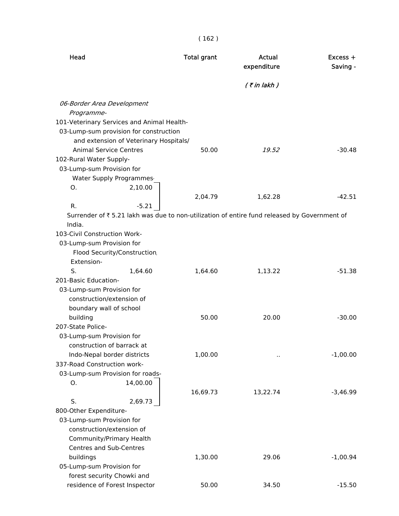| Head                                                                                                    | <b>Total grant</b> | Actual<br>expenditure | $Excess +$<br>Saving - |
|---------------------------------------------------------------------------------------------------------|--------------------|-----------------------|------------------------|
|                                                                                                         |                    | $($ ₹ in lakh $)$     |                        |
| 06-Border Area Development                                                                              |                    |                       |                        |
| Programme-                                                                                              |                    |                       |                        |
| 101-Veterinary Services and Animal Health-                                                              |                    |                       |                        |
| 03-Lump-sum provision for construction                                                                  |                    |                       |                        |
| and extension of Veterinary Hospitals/                                                                  |                    |                       |                        |
| <b>Animal Service Centres</b>                                                                           | 50.00              | 19.52                 | $-30.48$               |
| 102-Rural Water Supply-                                                                                 |                    |                       |                        |
| 03-Lump-sum Provision for                                                                               |                    |                       |                        |
| Water Supply Programmes                                                                                 |                    |                       |                        |
| 2,10.00<br>0.                                                                                           |                    |                       |                        |
| R.                                                                                                      | 2,04.79            | 1,62.28               | $-42.51$               |
| $-5.21$<br>Surrender of ₹ 5.21 lakh was due to non-utilization of entire fund released by Government of |                    |                       |                        |
| India.                                                                                                  |                    |                       |                        |
| 103-Civil Construction Work-                                                                            |                    |                       |                        |
| 03-Lump-sum Provision for                                                                               |                    |                       |                        |
| Flood Security/Construction                                                                             |                    |                       |                        |
| Extension-                                                                                              |                    |                       |                        |
| S.<br>1,64.60                                                                                           | 1,64.60            | 1,13.22               | $-51.38$               |
| 201-Basic Education-                                                                                    |                    |                       |                        |
| 03-Lump-sum Provision for                                                                               |                    |                       |                        |
| construction/extension of                                                                               |                    |                       |                        |
| boundary wall of school                                                                                 |                    |                       |                        |
| building                                                                                                | 50.00              | 20.00                 | $-30.00$               |
| 207-State Police-                                                                                       |                    |                       |                        |
| 03-Lump-sum Provision for                                                                               |                    |                       |                        |
| construction of barrack at                                                                              |                    |                       |                        |
| Indo-Nepal border districts<br>337-Road Construction work-                                              | 1,00.00            | $\ddot{\phantom{1}}$  | $-1,00.00$             |
| 03-Lump-sum Provision for roads-                                                                        |                    |                       |                        |
| 14,00.00<br>Ο.                                                                                          |                    |                       |                        |
|                                                                                                         | 16,69.73           | 13,22.74              | $-3,46.99$             |
| S.<br>2,69.73                                                                                           |                    |                       |                        |
| 800-Other Expenditure-                                                                                  |                    |                       |                        |
| 03-Lump-sum Provision for                                                                               |                    |                       |                        |
| construction/extension of                                                                               |                    |                       |                        |
| Community/Primary Health                                                                                |                    |                       |                        |
| Centres and Sub-Centres                                                                                 |                    |                       |                        |
| buildings                                                                                               | 1,30.00            | 29.06                 | $-1,00.94$             |
| 05-Lump-sum Provision for                                                                               |                    |                       |                        |
| forest security Chowki and                                                                              |                    |                       |                        |
| residence of Forest Inspector                                                                           | 50.00              | 34.50                 | $-15.50$               |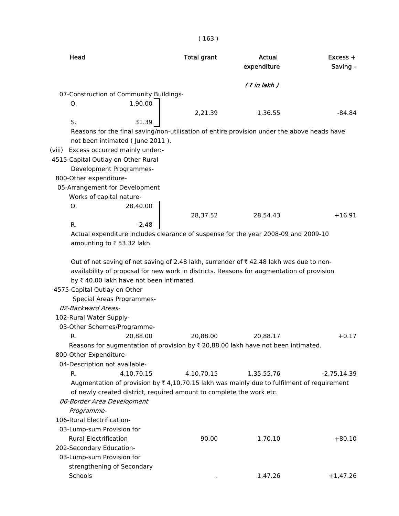| Head                                                                                                                                                                                                                                                                                                                                                                        | <b>Total grant</b> | Actual<br>expenditure | Excess +<br>Saving - |
|-----------------------------------------------------------------------------------------------------------------------------------------------------------------------------------------------------------------------------------------------------------------------------------------------------------------------------------------------------------------------------|--------------------|-----------------------|----------------------|
|                                                                                                                                                                                                                                                                                                                                                                             |                    | $($ ₹ in lakh)        |                      |
| 07-Construction of Community Buildings-                                                                                                                                                                                                                                                                                                                                     |                    |                       |                      |
| 1,90.00<br>Ο.                                                                                                                                                                                                                                                                                                                                                               |                    |                       |                      |
|                                                                                                                                                                                                                                                                                                                                                                             | 2,21.39            | 1,36.55               | $-84.84$             |
| S.<br>31.39                                                                                                                                                                                                                                                                                                                                                                 |                    |                       |                      |
| Reasons for the final saving/non-utilisation of entire provision under the above heads have<br>not been intimated (June 2011).                                                                                                                                                                                                                                              |                    |                       |                      |
| (viii) Excess occurred mainly under:-                                                                                                                                                                                                                                                                                                                                       |                    |                       |                      |
| 4515-Capital Outlay on Other Rural                                                                                                                                                                                                                                                                                                                                          |                    |                       |                      |
| Development Programmes-                                                                                                                                                                                                                                                                                                                                                     |                    |                       |                      |
| 800-Other expenditure-                                                                                                                                                                                                                                                                                                                                                      |                    |                       |                      |
| 05-Arrangement for Development                                                                                                                                                                                                                                                                                                                                              |                    |                       |                      |
| Works of capital nature-                                                                                                                                                                                                                                                                                                                                                    |                    |                       |                      |
| 28,40.00<br>Ο.                                                                                                                                                                                                                                                                                                                                                              |                    |                       |                      |
|                                                                                                                                                                                                                                                                                                                                                                             |                    |                       |                      |
| R.<br>$-2.48$                                                                                                                                                                                                                                                                                                                                                               | 28,37.52           | 28,54.43              | $+16.91$             |
|                                                                                                                                                                                                                                                                                                                                                                             |                    |                       |                      |
| Actual expenditure includes clearance of suspense for the year 2008-09 and 2009-10<br>amounting to ₹53.32 lakh.                                                                                                                                                                                                                                                             |                    |                       |                      |
| Out of net saving of net saving of 2.48 lakh, surrender of ₹42.48 lakh was due to non-<br>availability of proposal for new work in districts. Reasons for augmentation of provision<br>by ₹40.00 lakh have not been intimated.<br>4575-Capital Outlay on Other<br>Special Areas Programmes-<br>02-Backward Areas-<br>102-Rural Water Supply-<br>03-Other Schemes/Programme- |                    |                       |                      |
| 20.88.00<br>R.                                                                                                                                                                                                                                                                                                                                                              | 20.88.00           | 20.88.17              | $+0.17$              |
| Reasons for augmentation of provision by ₹ 20,88.00 lakh have not been intimated.                                                                                                                                                                                                                                                                                           |                    |                       |                      |
| 800-Other Expenditure-                                                                                                                                                                                                                                                                                                                                                      |                    |                       |                      |
| 04-Description not available-                                                                                                                                                                                                                                                                                                                                               |                    |                       |                      |
| 4,10,70.15<br>R.                                                                                                                                                                                                                                                                                                                                                            | 4,10,70.15         | 1,35,55.76            | $-2,75,14.39$        |
| Augmentation of provision by $\overline{\zeta}$ 4,10,70.15 lakh was mainly due to fulfilment of requirement                                                                                                                                                                                                                                                                 |                    |                       |                      |
| of newly created district, required amount to complete the work etc.                                                                                                                                                                                                                                                                                                        |                    |                       |                      |
| 06-Border Area Development                                                                                                                                                                                                                                                                                                                                                  |                    |                       |                      |
| Programme-                                                                                                                                                                                                                                                                                                                                                                  |                    |                       |                      |
| 106-Rural Electrification-                                                                                                                                                                                                                                                                                                                                                  |                    |                       |                      |
| 03-Lump-sum Provision for                                                                                                                                                                                                                                                                                                                                                   |                    |                       |                      |
| <b>Rural Electrification</b>                                                                                                                                                                                                                                                                                                                                                | 90.00              | 1,70.10               | $+80.10$             |
| 202-Secondary Education-                                                                                                                                                                                                                                                                                                                                                    |                    |                       |                      |
| 03-Lump-sum Provision for                                                                                                                                                                                                                                                                                                                                                   |                    |                       |                      |
| strengthening of Secondary                                                                                                                                                                                                                                                                                                                                                  |                    |                       |                      |
| Schools                                                                                                                                                                                                                                                                                                                                                                     | $\cdot$ .          | 1,47.26               | $+1,47.26$           |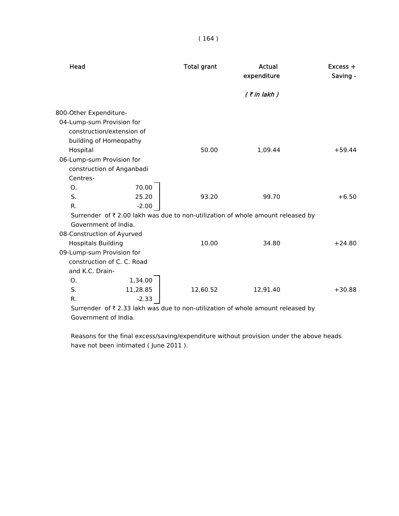|  | L<br>64 |  |
|--|---------|--|
|  |         |  |

| Head                                                   |                            | <b>Total grant</b> | Actual<br>expenditure                                                          | $Excess +$<br>Saving - |
|--------------------------------------------------------|----------------------------|--------------------|--------------------------------------------------------------------------------|------------------------|
|                                                        |                            |                    | $($ ₹ in lakh)                                                                 |                        |
| 800-Other Expenditure-                                 |                            |                    |                                                                                |                        |
| 04-Lump-sum Provision for                              |                            |                    |                                                                                |                        |
|                                                        | construction/extension of  |                    |                                                                                |                        |
|                                                        | building of Homeopathy     |                    |                                                                                |                        |
| Hospital                                               |                            | 50.00              | 1,09.44                                                                        | $+59.44$               |
| 06-Lump-sum Provision for                              |                            |                    |                                                                                |                        |
|                                                        | construction of Anganbadi  |                    |                                                                                |                        |
| Centres-                                               |                            |                    |                                                                                |                        |
| Ο.                                                     | 70.00                      |                    |                                                                                |                        |
| S.                                                     | 25.20                      | 93.20              | 99.70                                                                          | $+6.50$                |
| $R_{\cdot}$                                            | $-2.00$                    |                    |                                                                                |                        |
|                                                        |                            |                    | Surrender of ₹2.00 lakh was due to non-utilization of whole amount released by |                        |
|                                                        | Government of India.       |                    |                                                                                |                        |
| 08-Construction of Ayurved                             |                            | 10.00              | 34.80                                                                          | $+24.80$               |
| <b>Hospitals Building</b><br>09-Lump-sum Provision for |                            |                    |                                                                                |                        |
|                                                        | construction of C. C. Road |                    |                                                                                |                        |
| and K.C. Drain-                                        |                            |                    |                                                                                |                        |
| O <sub>1</sub>                                         | 1,34.00                    |                    |                                                                                |                        |
| S.                                                     | 11,28.85                   | 12,60.52           | 12,91.40                                                                       | $+30.88$               |
| R.                                                     | $-2.33$                    |                    |                                                                                |                        |
|                                                        |                            |                    |                                                                                |                        |

Surrender of  $\bar{\tau}$  2.33 lakh was due to non-utilization of whole amount released by Government of India.

 Reasons for the final excess/saving/expenditure without provision under the above heads have not been intimated ( June 2011 ).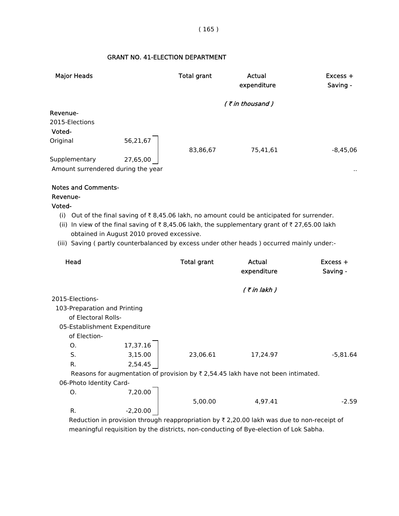# GRANT NO. 41-ELECTION DEPARTMENT

| <b>Major Heads</b>                                  |          | <b>Total grant</b> | Actual<br>expenditure | Excess +<br>Saving - |
|-----------------------------------------------------|----------|--------------------|-----------------------|----------------------|
|                                                     |          |                    | $($ ₹ in thousand)    |                      |
| Revenue-<br>2015-Elections<br>Voted-                |          |                    |                       |                      |
| Original                                            | 56,21,67 | 83,86,67           | 75,41,61              | $-8,45,06$           |
| Supplementary<br>Amount surrendered during the year | 27,65,00 |                    |                       | $\cdot$ .            |
| <b>Notes and Comments-</b><br>Revenue-<br>Voted-    |          |                    |                       |                      |

- (i) Out of the final saving of  $\bar{\tau}$  8,45.06 lakh, no amount could be anticipated for surrender.
- (ii) In view of the final saving of  $\bar{\tau}$  8,45.06 lakh, the supplementary grant of  $\bar{\tau}$  27,65.00 lakh obtained in August 2010 proved excessive.
- (iii) Saving ( partly counterbalanced by excess under other heads ) occurred mainly under:-

| Head                         |            | <b>Total grant</b> | Actual<br>expenditure                                                                       | $Excess +$<br>Saving - |
|------------------------------|------------|--------------------|---------------------------------------------------------------------------------------------|------------------------|
|                              |            |                    | $($ ₹ in lakh $)$                                                                           |                        |
| 2015-Elections-              |            |                    |                                                                                             |                        |
| 103-Preparation and Printing |            |                    |                                                                                             |                        |
| of Electoral Rolls-          |            |                    |                                                                                             |                        |
| 05-Establishment Expenditure |            |                    |                                                                                             |                        |
| of Election-                 |            |                    |                                                                                             |                        |
| О.                           | 17,37.16   |                    |                                                                                             |                        |
| S.                           | 3,15.00    | 23,06.61           | 17,24.97                                                                                    | $-5,81.64$             |
| R.                           | 2,54.45    |                    |                                                                                             |                        |
|                              |            |                    | Reasons for augmentation of provision by $\bar{\tau}$ 2,54.45 lakh have not been intimated. |                        |
| 06-Photo Identity Card-      |            |                    |                                                                                             |                        |
| О.                           | 7,20.00    |                    |                                                                                             |                        |
|                              |            | 5,00.00            | 4,97.41                                                                                     | $-2.59$                |
| R.                           | $-2,20.00$ |                    |                                                                                             |                        |

Reduction in provision through reappropriation by  $\bar{\tau}$  2,20.00 lakh was due to non-receipt of meaningful requisition by the districts, non-conducting of Bye-election of Lok Sabha.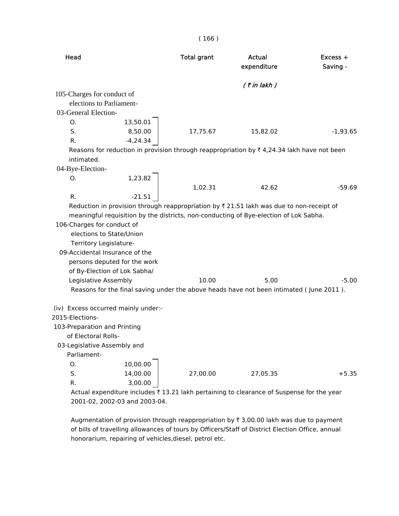| Head                                |                              | <b>Total grant</b> | Actual<br>expenditure                                                                                 | $Excess +$<br>Saving - |
|-------------------------------------|------------------------------|--------------------|-------------------------------------------------------------------------------------------------------|------------------------|
|                                     |                              |                    | $($ ₹ in lakh)                                                                                        |                        |
| 105-Charges for conduct of          |                              |                    |                                                                                                       |                        |
| elections to Parliament-            |                              |                    |                                                                                                       |                        |
| 03-General Election-                |                              |                    |                                                                                                       |                        |
| O.                                  | 13,50.01                     |                    |                                                                                                       |                        |
| S.                                  | 8,50.00                      | 17,75.67           | 15,82.02                                                                                              | $-1,93.65$             |
| R.                                  | $-4,24.34$                   |                    |                                                                                                       |                        |
|                                     |                              |                    | Reasons for reduction in provision through reappropriation by $\bar{\tau}$ 4,24.34 lakh have not been |                        |
| intimated.                          |                              |                    |                                                                                                       |                        |
| 04-Bye-Election-                    |                              |                    |                                                                                                       |                        |
| O.                                  | 1,23.82                      |                    |                                                                                                       |                        |
|                                     |                              | 1,02.31            | 42.62                                                                                                 | $-59.69$               |
| R.                                  | $-21.51$                     |                    |                                                                                                       |                        |
|                                     |                              |                    | Reduction in provision through reappropriation by $\bar{\tau}$ 21.51 lakh was due to non-receipt of   |                        |
|                                     |                              |                    | meaningful requisition by the districts, non-conducting of Bye-election of Lok Sabha.                 |                        |
| 106-Charges for conduct of          |                              |                    |                                                                                                       |                        |
| elections to State/Union            |                              |                    |                                                                                                       |                        |
| Territory Legislature-              |                              |                    |                                                                                                       |                        |
| 09-Accidental Insurance of the      |                              |                    |                                                                                                       |                        |
|                                     | persons deputed for the work |                    |                                                                                                       |                        |
|                                     | of By-Election of Lok Sabha/ |                    |                                                                                                       |                        |
| Legislative Assembly                |                              | 10.00              | 5.00                                                                                                  | $-5.00$                |
|                                     |                              |                    | Reasons for the final saving under the above heads have not been intimated (June 2011).               |                        |
| (iv) Excess occurred mainly under:- |                              |                    |                                                                                                       |                        |
| 2015-Elections-                     |                              |                    |                                                                                                       |                        |
| 103-Preparation and Printing        |                              |                    |                                                                                                       |                        |
| of Electoral Rolls-                 |                              |                    |                                                                                                       |                        |
| 03-Legislative Assembly and         |                              |                    |                                                                                                       |                        |
| Parliament-                         |                              |                    |                                                                                                       |                        |
| O.                                  | 10,00.00                     |                    |                                                                                                       |                        |
| S.                                  | 14,00.00                     | 27,00.00           | 27,05.35                                                                                              | $+5.35$                |
| R.                                  | 3,00.00                      |                    |                                                                                                       |                        |
|                                     |                              |                    | Actual expenditure includes £13.21 lakh pertaining to clearance of Suspense for the vear              |                        |

Actual expenditure includes  $\bar{\tau}$  13.21 lakh pertaining to clearance of Suspense for the year 2001-02, 2002-03 and 2003-04.

Augmentation of provision through reappropriation by  $\bar{\tau}$  3,00.00 lakh was due to payment of bills of travelling allowances of tours by Officers/Staff of District Election Office, annual honorarium, repairing of vehicles,diesel, petrol etc.

#### ( 166 )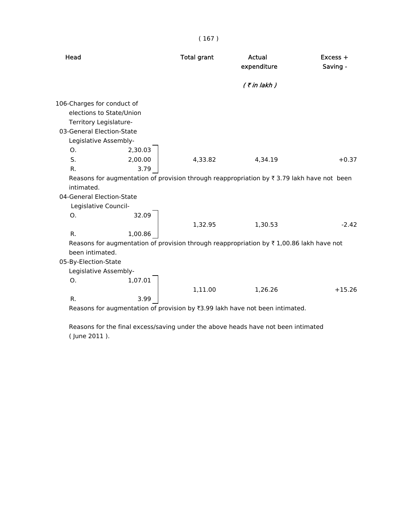| Head                                                                                                       | <b>Total grant</b> | Actual<br>expenditure | $Excess +$<br>Saving - |
|------------------------------------------------------------------------------------------------------------|--------------------|-----------------------|------------------------|
|                                                                                                            |                    | $($ ₹ in lakh $)$     |                        |
| 106-Charges for conduct of                                                                                 |                    |                       |                        |
| elections to State/Union                                                                                   |                    |                       |                        |
| Territory Legislature-                                                                                     |                    |                       |                        |
| 03-General Election-State                                                                                  |                    |                       |                        |
| Legislative Assembly-                                                                                      |                    |                       |                        |
| 2,30.03<br>Ο.                                                                                              |                    |                       |                        |
| S.<br>2,00.00                                                                                              | 4,33.82            | 4,34.19               | $+0.37$                |
| 3.79<br>R.                                                                                                 |                    |                       |                        |
| Reasons for augmentation of provision through reappropriation by $\overline{\tau}$ 3.79 lakh have not been |                    |                       |                        |
| intimated.                                                                                                 |                    |                       |                        |
| 04-General Election-State                                                                                  |                    |                       |                        |
| Legislative Council-                                                                                       |                    |                       |                        |
| 32.09<br>Ο.                                                                                                |                    |                       |                        |
|                                                                                                            | 1,32.95            | 1,30.53               | $-2.42$                |
| R.<br>1,00.86                                                                                              |                    |                       |                        |
| Reasons for augmentation of provision through reappropriation by $\bar{\tau}$ 1,00.86 lakh have not        |                    |                       |                        |
| been intimated.                                                                                            |                    |                       |                        |
| 05-By-Election-State                                                                                       |                    |                       |                        |
| Legislative Assembly-                                                                                      |                    |                       |                        |
| 1,07.01<br>Ο.                                                                                              |                    |                       |                        |
|                                                                                                            | 1,11.00            | 1,26.26               | $+15.26$               |
| R.<br>3.99<br>Reasons for augmentation of provision by ₹3.99 lakh have not been intimated.                 |                    |                       |                        |

 Reasons for the final excess/saving under the above heads have not been intimated ( June 2011 ).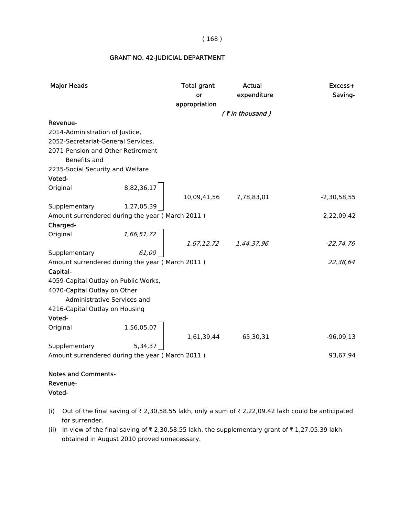| <b>Major Heads</b>                                                                                  |            | Total grant<br>or<br>appropriation                                                                                                     | Actual<br>expenditure | Excess+<br>Saving- |
|-----------------------------------------------------------------------------------------------------|------------|----------------------------------------------------------------------------------------------------------------------------------------|-----------------------|--------------------|
|                                                                                                     |            |                                                                                                                                        | (₹in thousand)        |                    |
| Revenue-                                                                                            |            |                                                                                                                                        |                       |                    |
| 2014-Administration of Justice,                                                                     |            |                                                                                                                                        |                       |                    |
| 2052-Secretariat-General Services,                                                                  |            |                                                                                                                                        |                       |                    |
| 2071-Pension and Other Retirement                                                                   |            |                                                                                                                                        |                       |                    |
| Benefits and                                                                                        |            |                                                                                                                                        |                       |                    |
| 2235-Social Security and Welfare                                                                    |            |                                                                                                                                        |                       |                    |
| Voted-                                                                                              |            |                                                                                                                                        |                       |                    |
| Original                                                                                            |            |                                                                                                                                        |                       |                    |
|                                                                                                     | 8,82,36,17 | 10,09,41,56 7,78,83,01                                                                                                                 |                       | $-2,30,58,55$      |
| Supplementary                                                                                       | 1,27,05,39 |                                                                                                                                        |                       |                    |
| Amount surrendered during the year (March 2011)                                                     |            |                                                                                                                                        |                       | 2,22,09,42         |
| Charged-                                                                                            |            |                                                                                                                                        |                       |                    |
| Original                                                                                            |            | $\begin{bmatrix} 1,66,51,72 \\ 61,00 \end{bmatrix}$ $\begin{bmatrix} 1,67,12,72 & 1,44,37,96 \\ 1,67,12,72 & 1,44,37,96 \end{bmatrix}$ |                       |                    |
|                                                                                                     |            |                                                                                                                                        |                       | $-22, 74, 76$      |
| Supplementary                                                                                       |            |                                                                                                                                        |                       |                    |
| Amount surrendered during the year (March 2011)                                                     |            |                                                                                                                                        |                       | 22,38,64           |
| Capital-                                                                                            |            |                                                                                                                                        |                       |                    |
| 4059-Capital Outlay on Public Works,                                                                |            |                                                                                                                                        |                       |                    |
| 4070-Capital Outlay on Other                                                                        |            |                                                                                                                                        |                       |                    |
| Administrative Services and                                                                         |            |                                                                                                                                        |                       |                    |
| 4216-Capital Outlay on Housing                                                                      |            |                                                                                                                                        |                       |                    |
|                                                                                                     |            |                                                                                                                                        |                       |                    |
|                                                                                                     |            |                                                                                                                                        |                       |                    |
|                                                                                                     |            |                                                                                                                                        | 1,61,39,44 65,30,31   | $-96,09,13$        |
|                                                                                                     |            |                                                                                                                                        |                       |                    |
| $1,56,05,07$ Supplementary<br>Amount surrendered<br>Amount surrendered during the year (March 2011) |            |                                                                                                                                        |                       | 93,67,94           |
|                                                                                                     |            |                                                                                                                                        |                       |                    |
| مطموع ومرومه والتراكل والمستواء                                                                     |            |                                                                                                                                        |                       |                    |

#### GRANT NO. 42-JUDICIAL DEPARTMENT

#### Notes and Comments- Revenue- Voted-

- (i) Out of the final saving of  $\bar{\tau}$  2,30,58.55 lakh, only a sum of  $\bar{\tau}$  2,22,09.42 lakh could be anticipated for surrender.
- (ii) In view of the final saving of  $\bar{\tau}$  2,30,58.55 lakh, the supplementary grant of  $\bar{\tau}$  1,27,05.39 lakh obtained in August 2010 proved unnecessary.

#### ( 168 )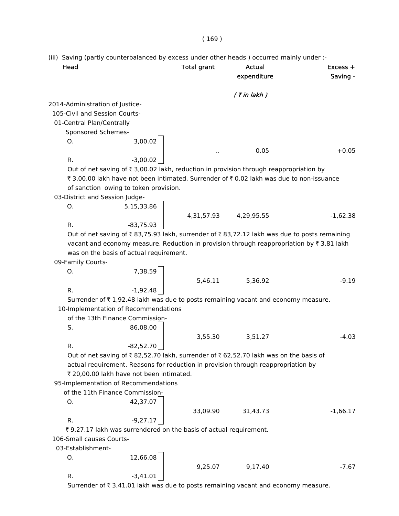(iii) Saving (partly counterbalanced by excess under other heads ) occurred mainly under :-

| Head                            |                                                                    | <b>Total grant</b> | <b>Actual</b>                                                                               | Excess +   |
|---------------------------------|--------------------------------------------------------------------|--------------------|---------------------------------------------------------------------------------------------|------------|
|                                 |                                                                    |                    | expenditure                                                                                 | Saving -   |
|                                 |                                                                    |                    | $($ ₹ in lakh)                                                                              |            |
| 2014-Administration of Justice- |                                                                    |                    |                                                                                             |            |
| 105-Civil and Session Courts-   |                                                                    |                    |                                                                                             |            |
| 01-Central Plan/Centrally       |                                                                    |                    |                                                                                             |            |
| Sponsored Schemes-              |                                                                    |                    |                                                                                             |            |
| O.                              | 3,00.02                                                            |                    |                                                                                             |            |
|                                 |                                                                    |                    | 0.05                                                                                        | $+0.05$    |
| R.                              | $-3,00.02$                                                         |                    |                                                                                             |            |
|                                 |                                                                    |                    | Out of net saving of ₹ 3,00.02 lakh, reduction in provision through reappropriation by      |            |
|                                 |                                                                    |                    | ₹ 3,00.00 lakh have not been intimated. Surrender of ₹ 0.02 lakh was due to non-issuance    |            |
|                                 |                                                                    |                    |                                                                                             |            |
|                                 | of sanction owing to token provision.                              |                    |                                                                                             |            |
| 03-District and Session Judge-  |                                                                    |                    |                                                                                             |            |
| О.                              | 5,15,33.86                                                         |                    |                                                                                             |            |
|                                 |                                                                    |                    | 4,31,57.93 4,29,95.55                                                                       | $-1,62.38$ |
| R.                              | $-83,75.93$                                                        |                    |                                                                                             |            |
|                                 |                                                                    |                    | Out of net saving of ₹83,75.93 lakh, surrender of ₹83,72.12 lakh was due to posts remaining |            |
|                                 |                                                                    |                    | vacant and economy measure. Reduction in provision through reappropriation by ₹3.81 lakh    |            |
|                                 | was on the basis of actual requirement.                            |                    |                                                                                             |            |
| 09-Family Courts-               |                                                                    |                    |                                                                                             |            |
| 0.                              | 7,38.59                                                            |                    |                                                                                             |            |
|                                 |                                                                    | 5,46.11            | 5,36.92                                                                                     | $-9.19$    |
| R.                              | $-1,92.48$                                                         |                    |                                                                                             |            |
|                                 |                                                                    |                    | Surrender of ₹1,92.48 lakh was due to posts remaining vacant and economy measure.           |            |
|                                 | 10-Implementation of Recommendations                               |                    |                                                                                             |            |
|                                 | of the 13th Finance Commission-                                    |                    |                                                                                             |            |
| S.                              | 86,08.00                                                           |                    |                                                                                             |            |
|                                 |                                                                    | 3,55.30            | 3,51.27                                                                                     | $-4.03$    |
| R.                              | $-82,52.70$                                                        |                    |                                                                                             |            |
|                                 |                                                                    |                    | Out of net saving of ₹82,52.70 lakh, surrender of ₹62,52.70 lakh was on the basis of        |            |
|                                 |                                                                    |                    | actual requirement. Reasons for reduction in provision through reappropriation by           |            |
|                                 | ₹ 20,00.00 lakh have not been intimated.                           |                    |                                                                                             |            |
|                                 | 95-Implementation of Recommendations                               |                    |                                                                                             |            |
|                                 | of the 11th Finance Commission-                                    |                    |                                                                                             |            |
| Ο.                              | 42,37.07                                                           |                    |                                                                                             |            |
|                                 |                                                                    | 33,09.90           | 31,43.73                                                                                    | $-1,66.17$ |
| R.                              | $-9,27.17$                                                         |                    |                                                                                             |            |
|                                 | ₹ 9,27.17 lakh was surrendered on the basis of actual requirement. |                    |                                                                                             |            |
| 106-Small causes Courts-        |                                                                    |                    |                                                                                             |            |
| 03-Establishment-               |                                                                    |                    |                                                                                             |            |
|                                 |                                                                    |                    |                                                                                             |            |
| О.                              | 12,66.08                                                           |                    |                                                                                             |            |
|                                 |                                                                    | 9,25.07            | 9,17.40                                                                                     | $-7.67$    |
| R.                              | $-3,41.01$                                                         |                    |                                                                                             |            |
|                                 |                                                                    |                    | Surrender of ₹3,41.01 lakh was due to posts remaining vacant and economy measure.           |            |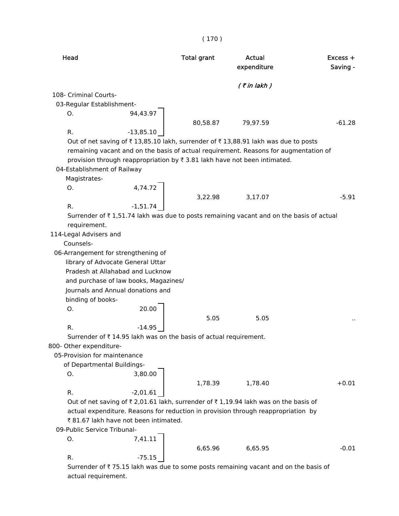| Head                                                                                    | <b>Total grant</b> | Actual<br>expenditure | Excess +<br>Saving - |
|-----------------------------------------------------------------------------------------|--------------------|-----------------------|----------------------|
|                                                                                         |                    | $($ ₹ in lakh $)$     |                      |
| 108- Criminal Courts-                                                                   |                    |                       |                      |
| 03-Regular Establishment-                                                               |                    |                       |                      |
| 94,43.97<br>O.                                                                          |                    |                       |                      |
|                                                                                         | 80,58.87           | 79,97.59              | $-61.28$             |
| $-13,85.10$<br>R.                                                                       |                    |                       |                      |
| Out of net saving of ₹13,85.10 lakh, surrender of ₹13,88.91 lakh was due to posts       |                    |                       |                      |
| remaining vacant and on the basis of actual requirement. Reasons for augmentation of    |                    |                       |                      |
| provision through reappropriation by ₹3.81 lakh have not been intimated.                |                    |                       |                      |
| 04-Establishment of Railway                                                             |                    |                       |                      |
| Magistrates-                                                                            |                    |                       |                      |
| 4,74.72<br>0.                                                                           |                    |                       |                      |
|                                                                                         | 3,22.98            | 3,17.07               | $-5.91$              |
| $-1,51.74$<br>R.                                                                        |                    |                       |                      |
| Surrender of ₹1,51.74 lakh was due to posts remaining vacant and on the basis of actual |                    |                       |                      |
| requirement.                                                                            |                    |                       |                      |
| 114-Legal Advisers and                                                                  |                    |                       |                      |
| Counsels-                                                                               |                    |                       |                      |
| 06-Arrangement for strengthening of                                                     |                    |                       |                      |
| library of Advocate General Uttar                                                       |                    |                       |                      |
| Pradesh at Allahabad and Lucknow                                                        |                    |                       |                      |
| and purchase of law books, Magazines/                                                   |                    |                       |                      |
| Journals and Annual donations and                                                       |                    |                       |                      |
| binding of books-                                                                       |                    |                       |                      |
| 20.00<br>Ο.                                                                             |                    |                       |                      |
|                                                                                         | 5.05               | 5.05                  |                      |
| $-14.95$<br>R.                                                                          |                    |                       |                      |
| Surrender of $\bar{\tau}$ 14.95 lakh was on the basis of actual requirement.            |                    |                       |                      |
| 800- Other expenditure-                                                                 |                    |                       |                      |
| 05-Provision for maintenance                                                            |                    |                       |                      |
| of Departmental Buildings-                                                              |                    |                       |                      |
| 3,80.00<br>Ο.                                                                           |                    |                       |                      |
|                                                                                         | 1,78.39            | 1,78.40               | $+0.01$              |
| R.<br>$-2,01.61$                                                                        |                    |                       |                      |
| Out of net saving of ₹ 2,01.61 lakh, surrender of ₹ 1,19.94 lakh was on the basis of    |                    |                       |                      |
| actual expenditure. Reasons for reduction in provision through reappropriation by       |                    |                       |                      |
| ₹81.67 lakh have not been intimated.                                                    |                    |                       |                      |
| 09-Public Service Tribunal-                                                             |                    |                       |                      |
| 7,41.11<br>О.                                                                           |                    |                       |                      |
|                                                                                         | 6,65.96            | 6,65.95               | $-0.01$              |
| R.<br>$-75.15$                                                                          |                    |                       |                      |
| Surrender of ₹75.15 lakh was due to some posts remaining vacant and on the basis of     |                    |                       |                      |

actual requirement.

( 170 )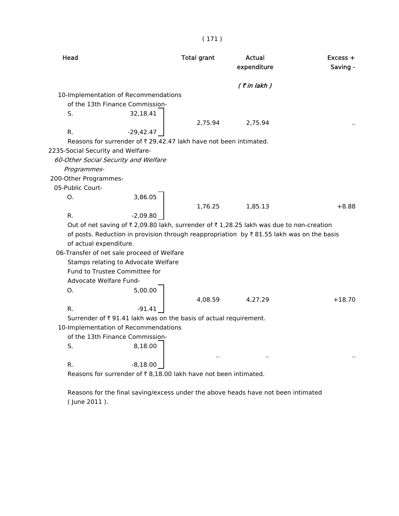| Head                              |                                                                   | <b>Total grant</b> | Actual<br>expenditure                                                                                     | $Excess +$<br>Saving - |
|-----------------------------------|-------------------------------------------------------------------|--------------------|-----------------------------------------------------------------------------------------------------------|------------------------|
|                                   |                                                                   |                    | $($ ₹ in lakh $)$                                                                                         |                        |
|                                   | 10-Implementation of Recommendations                              |                    |                                                                                                           |                        |
|                                   | of the 13th Finance Commission-                                   |                    |                                                                                                           |                        |
| S.                                | 32,18.41                                                          |                    |                                                                                                           |                        |
|                                   |                                                                   | 2,75.94            | 2,75.94                                                                                                   |                        |
| R.                                | $-29,42.47$                                                       |                    |                                                                                                           |                        |
|                                   | Reasons for surrender of ₹ 29,42.47 lakh have not been intimated. |                    |                                                                                                           |                        |
| 2235-Social Security and Welfare- |                                                                   |                    |                                                                                                           |                        |
|                                   | 60-Other Social Security and Welfare                              |                    |                                                                                                           |                        |
| Programmes-                       |                                                                   |                    |                                                                                                           |                        |
| 200-Other Programmes-             |                                                                   |                    |                                                                                                           |                        |
| 05-Public Court-                  |                                                                   |                    |                                                                                                           |                        |
| Ω.                                | 3,86.05                                                           |                    |                                                                                                           |                        |
|                                   |                                                                   | 1,76.25            | 1,85.13                                                                                                   | $+8.88$                |
| R.                                | $-2,09.80$                                                        |                    |                                                                                                           |                        |
|                                   |                                                                   |                    | Out of net saving of ₹ 2,09.80 lakh, surrender of ₹ 1,28.25 lakh was due to non-creation                  |                        |
|                                   |                                                                   |                    | of posts. Reduction in provision through reappropriation by $\overline{\tau}$ 81.55 lakh was on the basis |                        |
| of actual expenditure.            |                                                                   |                    |                                                                                                           |                        |
|                                   | 06-Transfer of net sale proceed of Welfare                        |                    |                                                                                                           |                        |
|                                   | Stamps relating to Advocate Welfare                               |                    |                                                                                                           |                        |
|                                   | Fund to Trustee Committee for                                     |                    |                                                                                                           |                        |
| Advocate Welfare Fund-            |                                                                   |                    |                                                                                                           |                        |
| 0.                                | 5,00.00                                                           |                    |                                                                                                           |                        |
|                                   |                                                                   | 4,08.59            | 4,27.29                                                                                                   | $+18.70$               |
| R.                                | -91.41                                                            |                    |                                                                                                           |                        |
|                                   | Surrender of ₹91.41 lakh was on the basis of actual requirement.  |                    |                                                                                                           |                        |
|                                   | 10-Implementation of Recommendations                              |                    |                                                                                                           |                        |
|                                   | of the 13th Finance Commission-                                   |                    |                                                                                                           |                        |
| S.                                | 8,18.00                                                           |                    |                                                                                                           |                        |
|                                   |                                                                   |                    |                                                                                                           |                        |
| R.                                | $-8,18.00$                                                        |                    |                                                                                                           |                        |

( 171 )

Reasons for surrender of  $\bar{\tau}$  8,18.00 lakh have not been intimated.

 Reasons for the final saving/excess under the above heads have not been intimated ( June 2011 ).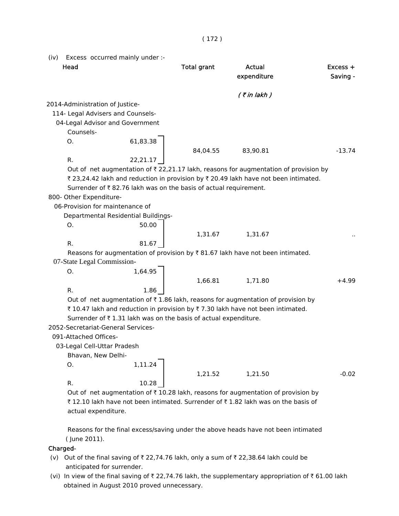| (iv) | Head                            | Excess occurred mainly under :-                                  | <b>Total grant</b> | <b>Actual</b><br>expenditure                                                                    | Excess +<br>Saving - |
|------|---------------------------------|------------------------------------------------------------------|--------------------|-------------------------------------------------------------------------------------------------|----------------------|
|      |                                 |                                                                  |                    | $($ ₹ in lakh $)$                                                                               |                      |
|      | 2014-Administration of Justice- |                                                                  |                    |                                                                                                 |                      |
|      |                                 | 114- Legal Advisers and Counsels-                                |                    |                                                                                                 |                      |
|      |                                 | 04-Legal Advisor and Government                                  |                    |                                                                                                 |                      |
|      | Counsels-                       |                                                                  |                    |                                                                                                 |                      |
|      | Ο.                              | 61,83.38                                                         |                    |                                                                                                 |                      |
|      |                                 |                                                                  | 84,04.55           | 83,90.81                                                                                        | $-13.74$             |
|      | R.                              | 22,21.17                                                         |                    | Out of net augmentation of $\bar{\tau}$ 22,21.17 lakh, reasons for augmentation of provision by |                      |
|      | 800- Other Expenditure-         | Surrender of ₹82.76 lakh was on the basis of actual requirement. |                    | ₹ 23,24.42 lakh and reduction in provision by ₹ 20.49 lakh have not been intimated.             |                      |
|      |                                 | 06-Provision for maintenance of                                  |                    |                                                                                                 |                      |
|      |                                 | Departmental Residential Buildings-                              |                    |                                                                                                 |                      |
|      | Ο.                              | 50.00                                                            |                    |                                                                                                 |                      |
|      |                                 |                                                                  | 1,31.67            | 1,31.67                                                                                         |                      |
|      | R.                              | 81.67                                                            |                    |                                                                                                 |                      |
|      | 07-State Legal Commission-      |                                                                  |                    | Reasons for augmentation of provision by $\overline{\xi}$ 81.67 lakh have not been intimated.   |                      |
|      | Ο.                              | 1,64.95                                                          |                    |                                                                                                 |                      |
|      |                                 |                                                                  | 1,66.81            | 1,71.80                                                                                         | $+4.99$              |
|      | R.                              | 1.86                                                             |                    |                                                                                                 |                      |
|      |                                 |                                                                  |                    | Out of net augmentation of ₹1.86 lakh, reasons for augmentation of provision by                 |                      |
|      |                                 |                                                                  |                    | ₹10.47 lakh and reduction in provision by ₹7.30 lakh have not been intimated.                   |                      |
|      |                                 | Surrender of ₹1.31 lakh was on the basis of actual expenditure.  |                    |                                                                                                 |                      |
|      |                                 | 2052-Secretariat-General Services-                               |                    |                                                                                                 |                      |
|      | 091-Attached Offices-           |                                                                  |                    |                                                                                                 |                      |
|      | 03-Legal Cell-Uttar Pradesh     |                                                                  |                    |                                                                                                 |                      |
|      | Bhavan, New Delhi-              |                                                                  |                    |                                                                                                 |                      |
|      | О.                              | 1,11.24                                                          |                    |                                                                                                 |                      |
|      |                                 |                                                                  | 1,21.52            | 1,21.50                                                                                         | $-0.02$              |
|      | R.                              | 10.28                                                            |                    |                                                                                                 |                      |
|      |                                 |                                                                  |                    | Out of net augmentation of ₹10.28 lakh, reasons for augmentation of provision by                |                      |
|      |                                 |                                                                  |                    | ₹12.10 lakh have not been intimated. Surrender of ₹1.82 lakh was on the basis of                |                      |

 Reasons for the final excess/saving under the above heads have not been intimated ( June 2011).

## Charged-

actual expenditure.

- (v) Out of the final saving of  $\bar{\tau}$  22,74.76 lakh, only a sum of  $\bar{\tau}$  22,38.64 lakh could be anticipated for surrender.
- (vi) In view of the final saving of  $\bar{\tau}$  22,74.76 lakh, the supplementary appropriation of  $\bar{\tau}$  61.00 lakh obtained in August 2010 proved unnecessary.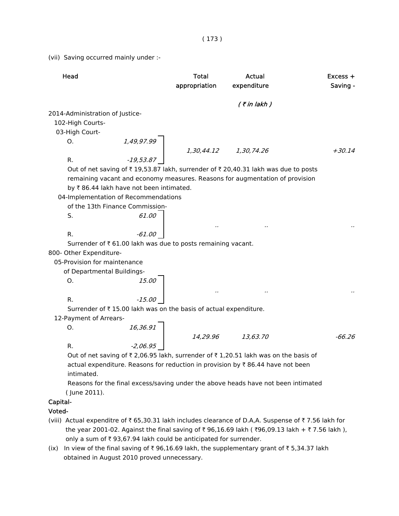(vii) Saving occurred mainly under :-

| Head                                    |          | Total<br>appropriation                                                                                                                                  | Actual<br>expenditure                                                                | $Excess +$<br>Saving - |
|-----------------------------------------|----------|---------------------------------------------------------------------------------------------------------------------------------------------------------|--------------------------------------------------------------------------------------|------------------------|
|                                         |          |                                                                                                                                                         | $($ ₹ in lakh)                                                                       |                        |
| 2014-Administration of Justice-         |          |                                                                                                                                                         |                                                                                      |                        |
| 102-High Courts-                        |          |                                                                                                                                                         |                                                                                      |                        |
| 03-High Court-                          |          |                                                                                                                                                         |                                                                                      |                        |
| О.                                      |          |                                                                                                                                                         |                                                                                      |                        |
|                                         |          |                                                                                                                                                         |                                                                                      | $+30.14$               |
| R.                                      |          | $\begin{array}{c}\n 1,49,97.99 \\  -19,53.87\n \end{array}$ $\begin{array}{c}\n 1,30,44.12\n \end{array}$ $\begin{array}{c}\n 1,30,74.26\n \end{array}$ |                                                                                      |                        |
|                                         |          |                                                                                                                                                         | Out of net saving of ₹19,53.87 lakh, surrender of ₹20,40.31 lakh was due to posts    |                        |
|                                         |          |                                                                                                                                                         | remaining vacant and economy measures. Reasons for augmentation of provision         |                        |
| by ₹86.44 lakh have not been intimated. |          |                                                                                                                                                         |                                                                                      |                        |
| 04-Implementation of Recommendations    |          |                                                                                                                                                         |                                                                                      |                        |
| of the 13th Finance Commission-         |          |                                                                                                                                                         |                                                                                      |                        |
| S.                                      | 61.00    |                                                                                                                                                         |                                                                                      |                        |
|                                         |          |                                                                                                                                                         |                                                                                      |                        |
| R.                                      | $-61.00$ |                                                                                                                                                         |                                                                                      |                        |
|                                         |          | Surrender of ₹ 61.00 lakh was due to posts remaining vacant.                                                                                            |                                                                                      |                        |
| 800- Other Expenditure-                 |          |                                                                                                                                                         |                                                                                      |                        |
| 05-Provision for maintenance            |          |                                                                                                                                                         |                                                                                      |                        |
| of Departmental Buildings-              |          |                                                                                                                                                         |                                                                                      |                        |
| Ο.                                      | 15.00    |                                                                                                                                                         |                                                                                      |                        |
|                                         |          |                                                                                                                                                         |                                                                                      |                        |
| R.                                      | $-15.00$ |                                                                                                                                                         |                                                                                      |                        |
|                                         |          | Surrender of ₹15.00 lakh was on the basis of actual expenditure.                                                                                        |                                                                                      |                        |
| 12-Payment of Arrears-                  |          |                                                                                                                                                         |                                                                                      |                        |
| О.                                      |          |                                                                                                                                                         |                                                                                      |                        |
|                                         |          |                                                                                                                                                         |                                                                                      | $-66.26$               |
| R.                                      |          | $\begin{array}{c cc}\n 16,36.91 & & & \\  & & 14,29.96 & & 13,63.70\n\end{array}$                                                                       |                                                                                      |                        |
|                                         |          |                                                                                                                                                         | Out of net saving of ₹ 2,06.95 lakh, surrender of ₹ 1,20.51 lakh was on the basis of |                        |
|                                         |          |                                                                                                                                                         | actual expenditure. Reasons for reduction in provision by ₹86.44 have not been       |                        |
| intimated.                              |          |                                                                                                                                                         |                                                                                      |                        |
|                                         |          |                                                                                                                                                         | Reasons for the final excess/saving under the above heads have not been intimated    |                        |
| (June 2011).                            |          |                                                                                                                                                         |                                                                                      |                        |
| Capital-                                |          |                                                                                                                                                         |                                                                                      |                        |

#### Voted-

- (viii) Actual expenditre of  $\bar{\tau}$  65,30.31 lakh includes clearance of D.A,A. Suspense of  $\bar{\tau}$  7.56 lakh for the year 2001-02. Against the final saving of ₹ 96,16.69 lakh ( ₹ 96,09.13 lakh + ₹ 7.56 lakh ), only a sum of  $\bar{t}$  93,67.94 lakh could be anticipated for surrender.
- (ix) In view of the final saving of  $\bar{x}$  96,16.69 lakh, the supplementary grant of  $\bar{x}$  5,34.37 lakh obtained in August 2010 proved unnecessary.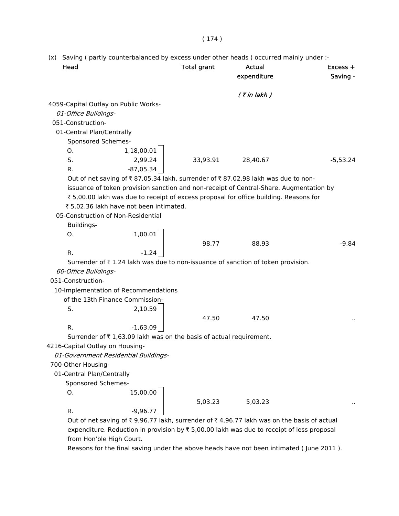#### ( 174 )

(x) Saving ( partly counterbalanced by excess under other heads ) occurred mainly under :-

| Head                                 |                                                                    | <b>Total grant</b> | <b>Actual</b><br>expenditure                                                                                          | $Excess +$<br>Saving - |
|--------------------------------------|--------------------------------------------------------------------|--------------------|-----------------------------------------------------------------------------------------------------------------------|------------------------|
|                                      |                                                                    |                    |                                                                                                                       |                        |
| 4059-Capital Outlay on Public Works- |                                                                    |                    | $($ ₹ in lakh)                                                                                                        |                        |
| 01-Office Buildings-                 |                                                                    |                    |                                                                                                                       |                        |
| 051-Construction-                    |                                                                    |                    |                                                                                                                       |                        |
| 01-Central Plan/Centrally            |                                                                    |                    |                                                                                                                       |                        |
| Sponsored Schemes-                   |                                                                    |                    |                                                                                                                       |                        |
| 0.                                   | 1,18,00.01                                                         |                    |                                                                                                                       |                        |
| S.                                   | 2,99.24                                                            | 33,93.91           | 28,40.67                                                                                                              | $-5,53.24$             |
| R.                                   | $-87,05.34$                                                        |                    |                                                                                                                       |                        |
|                                      |                                                                    |                    | Out of net saving of ₹87,05.34 lakh, surrender of ₹87,02.98 lakh was due to non-                                      |                        |
|                                      |                                                                    |                    | issuance of token provision sanction and non-receipt of Central-Share. Augmentation by                                |                        |
|                                      |                                                                    |                    | ₹5,00.00 lakh was due to receipt of excess proposal for office building. Reasons for                                  |                        |
|                                      | ₹ 5,02.36 lakh have not been intimated.                            |                    |                                                                                                                       |                        |
|                                      | 05-Construction of Non-Residential                                 |                    |                                                                                                                       |                        |
| Buildings-                           |                                                                    |                    |                                                                                                                       |                        |
| 0.                                   | 1,00.01                                                            |                    |                                                                                                                       |                        |
|                                      |                                                                    | 98.77              | 88.93                                                                                                                 | $-9.84$                |
| R.                                   | $-1.24$                                                            |                    |                                                                                                                       |                        |
|                                      |                                                                    |                    | Surrender of ₹1.24 lakh was due to non-issuance of sanction of token provision.                                       |                        |
| 60-Office Buildings-                 |                                                                    |                    |                                                                                                                       |                        |
| 051-Construction-                    |                                                                    |                    |                                                                                                                       |                        |
|                                      | 10-Implementation of Recommendations                               |                    |                                                                                                                       |                        |
|                                      | of the 13th Finance Commission-                                    |                    |                                                                                                                       |                        |
| S.                                   | 2,10.59                                                            |                    |                                                                                                                       |                        |
|                                      |                                                                    | 47.50              | 47.50                                                                                                                 |                        |
| R.                                   | $-1,63.09$                                                         |                    |                                                                                                                       |                        |
|                                      | Surrender of ₹1,63.09 lakh was on the basis of actual requirement. |                    |                                                                                                                       |                        |
| 4216-Capital Outlay on Housing-      |                                                                    |                    |                                                                                                                       |                        |
|                                      | 01-Government Residential Buildings-                               |                    |                                                                                                                       |                        |
| 700-Other Housing-                   |                                                                    |                    |                                                                                                                       |                        |
| 01-Central Plan/Centrally            |                                                                    |                    |                                                                                                                       |                        |
| Sponsored Schemes-                   |                                                                    |                    |                                                                                                                       |                        |
| O.                                   | 15,00.00                                                           |                    |                                                                                                                       |                        |
|                                      |                                                                    | 5,03.23            | 5,03.23                                                                                                               |                        |
| R.                                   | $-9,96.77$                                                         |                    |                                                                                                                       |                        |
|                                      |                                                                    |                    | Out of not saving of $\overline{z}$ 0.06.77 lakh, surronder of $\overline{z}$ 4.06.77 lakh was on the basis of actual |                        |

Out of net saving of  $\bar{\tau}$  9,96.77 lakh, surrender of  $\bar{\tau}$  4,96.77 lakh was on the basis of actual expenditure. Reduction in provision by  $\bar{\tau}$  5,00.00 lakh was due to receipt of less proposal from Hon'ble High Court.

Reasons for the final saving under the above heads have not been intimated ( June 2011 ).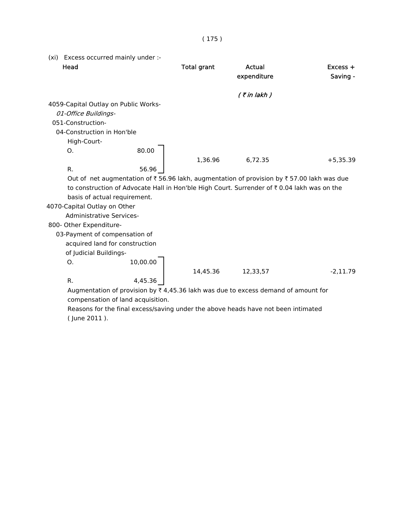(xi) Excess occurred mainly under :- Head **Total grant** Actual **Actual Excess +** expenditure Saving - $($  ₹ in lakh  $)$  4059-Capital Outlay on Public Works- 01-Office Buildings- 051-Construction- 04-Construction in Hon'ble High-Court-O. 80.00 1,36.96 6,72.35 +5,35.39 R. 56.96 Out of net augmentation of  $\bar{\tau}$  56.96 lakh, augmentation of provision by  $\bar{\tau}$  57.00 lakh was due to construction of Advocate Hall in Hon'ble High Court. Surrender of  $\bar{\tau}$  0.04 lakh was on the basis of actual requirement. 4070-Capital Outlay on Other Administrative Services- 800- Other Expenditure- 03-Payment of compensation of acquired land for construction of Judicial Buildings-O. 10,00.00 14,45.36 12,33,57 -2,11.79 R. 4,45.36

( 175 )

Augmentation of provision by  $\bar{\tau}$  4,45.36 lakh was due to excess demand of amount for compensation of land acquisition.

 Reasons for the final excess/saving under the above heads have not been intimated ( June 2011 ).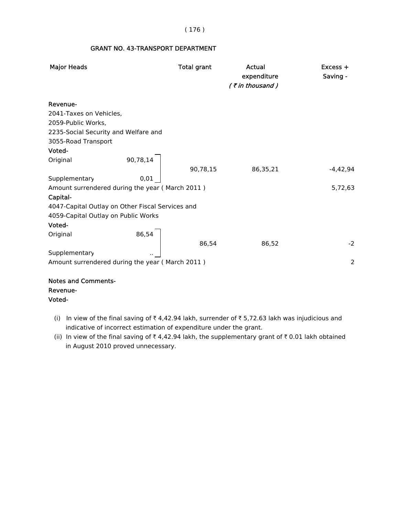#### ( 176 )

#### GRANT NO. 43-TRANSPORT DEPARTMENT

| <b>Major Heads</b>                               |          | <b>Total grant</b> | Actual<br>expenditure | Excess +<br>Saving - |
|--------------------------------------------------|----------|--------------------|-----------------------|----------------------|
|                                                  |          |                    | $($ ₹ in thousand)    |                      |
| Revenue-                                         |          |                    |                       |                      |
| 2041-Taxes on Vehicles,                          |          |                    |                       |                      |
| 2059-Public Works,                               |          |                    |                       |                      |
| 2235-Social Security and Welfare and             |          |                    |                       |                      |
| 3055-Road Transport                              |          |                    |                       |                      |
| Voted-                                           |          |                    |                       |                      |
| Original                                         | 90,78,14 |                    |                       |                      |
|                                                  |          | 90,78,15           | 86,35,21              | $-4,42,94$           |
| Supplementary                                    | 0,01     |                    |                       |                      |
| Amount surrendered during the year (March 2011)  |          |                    |                       | 5,72,63              |
| Capital-                                         |          |                    |                       |                      |
| 4047-Capital Outlay on Other Fiscal Services and |          |                    |                       |                      |
| 4059-Capital Outlay on Public Works              |          |                    |                       |                      |
| Voted-                                           |          |                    |                       |                      |
| Original                                         | 86,54    |                    |                       |                      |
|                                                  |          | 86,54              | 86,52                 | $-2$                 |
| Supplementary                                    |          |                    |                       |                      |
| Amount surrendered during the year (March 2011)  |          |                    |                       | $\overline{2}$       |
|                                                  |          |                    |                       |                      |
| مقدمته ومستدار المستدام والمستراة                |          |                    |                       |                      |

### Notes and Comments- Revenue- Voted-

- (i) In view of the final saving of  $\bar{\tau}$  4,42.94 lakh, surrender of  $\bar{\tau}$  5,72.63 lakh was injudicious and indicative of incorrect estimation of expenditure under the grant.
- (ii) In view of the final saving of  $\bar{\tau}$  4,42.94 lakh, the supplementary grant of  $\bar{\tau}$  0.01 lakh obtained in August 2010 proved unnecessary.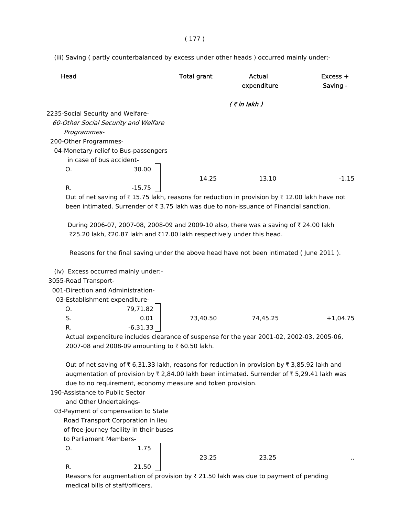( 177 )

(iii) Saving ( partly counterbalanced by excess under other heads ) occurred mainly under:-

| Head                                 |          | <b>Total grant</b> | Actual<br>expenditure                                                                                | $Excess +$<br>Saving - |
|--------------------------------------|----------|--------------------|------------------------------------------------------------------------------------------------------|------------------------|
|                                      |          |                    | $($ ₹ in lakh $)$                                                                                    |                        |
| 2235-Social Security and Welfare-    |          |                    |                                                                                                      |                        |
| 60-Other Social Security and Welfare |          |                    |                                                                                                      |                        |
| Programmes-                          |          |                    |                                                                                                      |                        |
| 200-Other Programmes-                |          |                    |                                                                                                      |                        |
| 04-Monetary-relief to Bus-passengers |          |                    |                                                                                                      |                        |
| in case of bus accident-             |          |                    |                                                                                                      |                        |
| $\mathsf{O}$ .                       | 30.00    |                    |                                                                                                      |                        |
|                                      |          | 14.25              | 13.10                                                                                                | $-1.15$                |
| R.                                   | $-15.75$ |                    |                                                                                                      |                        |
|                                      |          |                    | Out of not coving of $F15.75$ lolch, research for reduction in provision by $F12.00$ lolch house not |                        |

Out of net saving of  $\bar{\tau}$  15.75 lakh, reasons for reduction in provision by  $\bar{\tau}$  12.00 lakh have not been intimated. Surrender of  $\bar{\tau}$  3.75 lakh was due to non-issuance of Financial sanction.

During 2006-07, 2007-08, 2008-09 and 2009-10 also, there was a saving of ₹ 24.00 lakh ₹25.20 lakh, ₹20.87 lakh and ₹17.00 lakh respectively under this head.

Reasons for the final saving under the above head have not been intimated ( June 2011 ).

(iv) Excess occurred mainly under:-

### 3055-Road Transport-

001-Direction and Administration-

| 03-Establishment expenditure- |
|-------------------------------|
|-------------------------------|

| O.  | 79,71.82   |          |          |            |
|-----|------------|----------|----------|------------|
| . ب | 0.01       | 73,40.50 | 74,45.25 | $+1,04.75$ |
| R.  | $-6,31.33$ |          |          |            |

 Actual expenditure includes clearance of suspense for the year 2001-02, 2002-03, 2005-06, 2007-08 and 2008-09 amounting to ₹60.50 lakh.

Out of net saving of  $\bar{\tau}$  6,31.33 lakh, reasons for reduction in provision by  $\bar{\tau}$  3,85.92 lakh and augmentation of provision by  $\bar{\tau}$  2,84.00 lakh been intimated. Surrender of  $\bar{\tau}$  5,29.41 lakh was due to no requirement, economy measure and token provision.

190-Assistance to Public Sector

and Other Undertakings-

03-Payment of compensation to State

O. 1.75

Road Transport Corporation in lieu

of free-journey facility in their buses

to Parliament Members-

23.25 23.25

R. 21.50

Reasons for augmentation of provision by  $\bar{\tau}$  21.50 lakh was due to payment of pending medical bills of staff/officers.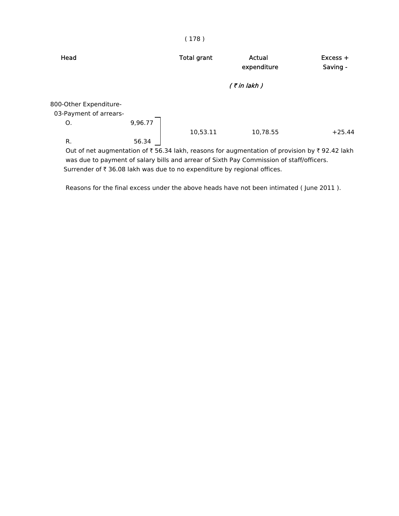| Head                                             |                   | <b>Total grant</b> | Actual<br>expenditure                                                                        | $Excess +$<br>Saving - |
|--------------------------------------------------|-------------------|--------------------|----------------------------------------------------------------------------------------------|------------------------|
|                                                  | $($ ₹ in lakh $)$ |                    |                                                                                              |                        |
| 800-Other Expenditure-<br>03-Payment of arrears- |                   |                    |                                                                                              |                        |
| Ο.                                               | 9,96.77           |                    |                                                                                              |                        |
|                                                  |                   | 10,53.11           | 10,78.55                                                                                     | $+25.44$               |
| R.                                               | 56.34             |                    |                                                                                              |                        |
|                                                  |                   |                    | Out of net augmentation of ₹56.34 lakh, reasons for augmentation of provision by ₹92.42 lakh |                        |

Out of net augmentation of  $\bar{\tau}$  56.34 lakh, reasons for augmentation of provision by  $\bar{\tau}$  92.42 lakh was due to payment of salary bills and arrear of Sixth Pay Commission of staff/officers. Surrender of  $\bar{\tau}$  36.08 lakh was due to no expenditure by regional offices.

Reasons for the final excess under the above heads have not been intimated ( June 2011 ).

#### ( 178 )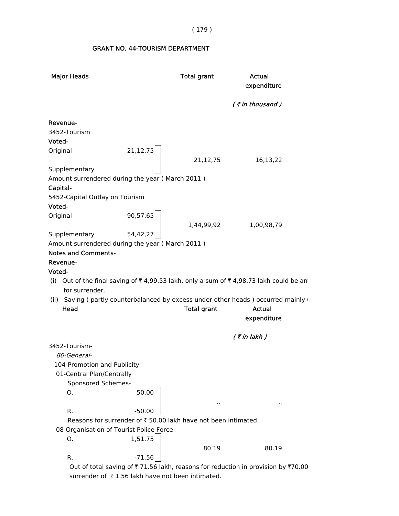( 179 )

# GRANT NO. 44-TOURISM DEPARTMENT

| <b>Major Heads</b>                                               |          | <b>Total grant</b>                                             | Actual<br>expenditure                                                                 |
|------------------------------------------------------------------|----------|----------------------------------------------------------------|---------------------------------------------------------------------------------------|
|                                                                  |          |                                                                | $($ ₹ in thousand)                                                                    |
| Revenue-                                                         |          |                                                                |                                                                                       |
| 3452-Tourism                                                     |          |                                                                |                                                                                       |
| Voted-                                                           |          |                                                                |                                                                                       |
| Original                                                         | 21,12,75 |                                                                |                                                                                       |
|                                                                  |          | 21,12,75                                                       | 16,13,22                                                                              |
| Supplementary<br>Amount surrendered during the year (March 2011) |          |                                                                |                                                                                       |
| Capital-                                                         |          |                                                                |                                                                                       |
| 5452-Capital Outlay on Tourism                                   |          |                                                                |                                                                                       |
| Voted-                                                           |          |                                                                |                                                                                       |
| Original                                                         | 90,57,65 |                                                                |                                                                                       |
|                                                                  |          | 1,44,99,92                                                     | 1,00,98,79                                                                            |
| Supplementary                                                    | 54,42,27 |                                                                |                                                                                       |
| Amount surrendered during the year (March 2011)                  |          |                                                                |                                                                                       |
| <b>Notes and Comments-</b>                                       |          |                                                                |                                                                                       |
| Revenue-                                                         |          |                                                                |                                                                                       |
| Voted-                                                           |          |                                                                |                                                                                       |
| for surrender.                                                   |          |                                                                | (i) Out of the final saving of ₹4,99.53 lakh, only a sum of ₹4,98.73 lakh could be an |
|                                                                  |          |                                                                | (ii) Saving ( partly counterbalanced by excess under other heads ) occurred mainly u  |
| Head                                                             |          | <b>Total grant</b>                                             | Actual<br>expenditure                                                                 |
|                                                                  |          |                                                                | $($ ₹ in lakh)                                                                        |
| 3452-Tourism-                                                    |          |                                                                |                                                                                       |
| 80-General-                                                      |          |                                                                |                                                                                       |
| 104-Promotion and Publicity-                                     |          |                                                                |                                                                                       |
| 01-Central Plan/Centrally                                        |          |                                                                |                                                                                       |
| Sponsored Schemes-                                               |          |                                                                |                                                                                       |
| Ο.                                                               | 50.00    |                                                                |                                                                                       |
| R.                                                               | $-50.00$ |                                                                |                                                                                       |
|                                                                  |          | Reasons for surrender of ₹ 50.00 lakh have not been intimated. |                                                                                       |
| 08-Organisation of Tourist Police Force-                         |          |                                                                |                                                                                       |
| Ο.                                                               | 1,51.75  |                                                                |                                                                                       |
|                                                                  |          | 80.19                                                          | 80.19                                                                                 |
| R.                                                               | $-71.56$ |                                                                |                                                                                       |
|                                                                  |          |                                                                | Out of total saving of ₹71.56 lakh, reasons for reduction in provision by ₹70.00      |

surrender of  $\bar{\tau}$  1.56 lakh have not been intimated.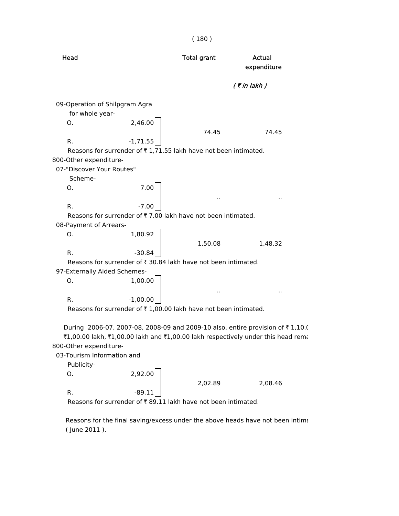|                                                      |                                                                               | (180)              |                                                                                                                                                                    |
|------------------------------------------------------|-------------------------------------------------------------------------------|--------------------|--------------------------------------------------------------------------------------------------------------------------------------------------------------------|
| Head                                                 |                                                                               | <b>Total grant</b> | <b>Actual</b><br>expenditure                                                                                                                                       |
|                                                      |                                                                               |                    | $($ ₹ in lakh $)$                                                                                                                                                  |
| 09-Operation of Shilpgram Agra                       |                                                                               |                    |                                                                                                                                                                    |
| for whole year-                                      |                                                                               |                    |                                                                                                                                                                    |
| 0.                                                   | 2,46.00                                                                       |                    |                                                                                                                                                                    |
|                                                      |                                                                               | 74.45              | 74.45                                                                                                                                                              |
| R.                                                   | $-1,71.55$                                                                    |                    |                                                                                                                                                                    |
|                                                      | Reasons for surrender of ₹1,71.55 lakh have not been intimated.               |                    |                                                                                                                                                                    |
| 800-Other expenditure-                               |                                                                               |                    |                                                                                                                                                                    |
| 07-"Discover Your Routes"                            |                                                                               |                    |                                                                                                                                                                    |
| Scheme-                                              | 7.00                                                                          |                    |                                                                                                                                                                    |
| Ο.                                                   |                                                                               |                    |                                                                                                                                                                    |
| R.                                                   | $-7.00$                                                                       |                    |                                                                                                                                                                    |
|                                                      | Reasons for surrender of ₹7.00 lakh have not been intimated.                  |                    |                                                                                                                                                                    |
| 08-Payment of Arrears-                               |                                                                               |                    |                                                                                                                                                                    |
| О.                                                   | 1,80.92                                                                       |                    |                                                                                                                                                                    |
|                                                      |                                                                               | 1,50.08            | 1,48.32                                                                                                                                                            |
| R.                                                   | $-30.84$                                                                      |                    |                                                                                                                                                                    |
|                                                      | Reasons for surrender of ₹ 30.84 lakh have not been intimated.                |                    |                                                                                                                                                                    |
| 97-Externally Aided Schemes-                         |                                                                               |                    |                                                                                                                                                                    |
| O.                                                   | 1,00.00                                                                       |                    |                                                                                                                                                                    |
|                                                      |                                                                               |                    |                                                                                                                                                                    |
| R.                                                   | $-1,00.00$<br>Reasons for surrender of ₹1,00.00 lakh have not been intimated. |                    |                                                                                                                                                                    |
|                                                      |                                                                               |                    |                                                                                                                                                                    |
| 800-Other expenditure-<br>03-Tourism Information and |                                                                               |                    | During 2006-07, 2007-08, 2008-09 and 2009-10 also, entire provision of ₹1,10.0<br>₹1,00.00 lakh, ₹1,00.00 lakh and ₹1,00.00 lakh respectively under this head rema |

Publicity-

 $0.2,92.00$ 2,02.89 2,08.46 R.  $-89.11$ 

Reasons for surrender of  $\bar{\tau}$  89.11 lakh have not been intimated.

 Reasons for the final saving/excess under the above heads have not been intima ( June 2011 ).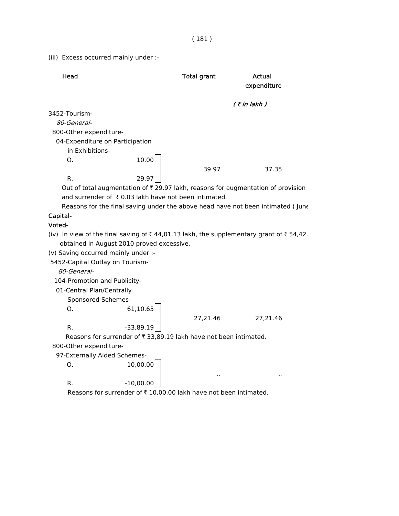(iii) Excess occurred mainly under :-

| Head                                                                                   |             | <b>Total grant</b>                                                | <b>Actual</b><br>expenditure                                                     |
|----------------------------------------------------------------------------------------|-------------|-------------------------------------------------------------------|----------------------------------------------------------------------------------|
|                                                                                        |             |                                                                   | $($ ₹ in lakh)                                                                   |
| 3452-Tourism-                                                                          |             |                                                                   |                                                                                  |
| 80-General-                                                                            |             |                                                                   |                                                                                  |
| 800-Other expenditure-                                                                 |             |                                                                   |                                                                                  |
| 04-Expenditure on Participation                                                        |             |                                                                   |                                                                                  |
| in Exhibitions-                                                                        |             |                                                                   |                                                                                  |
| O.                                                                                     | 10.00       |                                                                   |                                                                                  |
|                                                                                        |             | 39.97                                                             | 37.35                                                                            |
| R.                                                                                     | 29.97       |                                                                   |                                                                                  |
|                                                                                        |             |                                                                   | Out of total augmentation of ₹ 29.97 lakh, reasons for augmentation of provision |
| and surrender of ₹0.03 lakh have not been intimated.                                   |             |                                                                   |                                                                                  |
|                                                                                        |             |                                                                   | Reasons for the final saving under the above head have not been intimated (June  |
| Capital-                                                                               |             |                                                                   |                                                                                  |
| Voted-                                                                                 |             |                                                                   |                                                                                  |
| (iv) In view of the final saving of ₹44,01.13 lakh, the supplementary grant of ₹54,42. |             |                                                                   |                                                                                  |
| obtained in August 2010 proved excessive.                                              |             |                                                                   |                                                                                  |
| (v) Saving occurred mainly under :-                                                    |             |                                                                   |                                                                                  |
| 5452-Capital Outlay on Tourism-                                                        |             |                                                                   |                                                                                  |
| 80-General-                                                                            |             |                                                                   |                                                                                  |
| 104-Promotion and Publicity-                                                           |             |                                                                   |                                                                                  |
| 01-Central Plan/Centrally                                                              |             |                                                                   |                                                                                  |
| Sponsored Schemes-                                                                     |             |                                                                   |                                                                                  |
| О.                                                                                     | 61,10.65    |                                                                   |                                                                                  |
|                                                                                        |             | 27,21.46                                                          | 27,21.46                                                                         |
| R.                                                                                     | $-33,89.19$ |                                                                   |                                                                                  |
|                                                                                        |             | Reasons for surrender of ₹ 33,89.19 lakh have not been intimated. |                                                                                  |
| 800-Other expenditure-                                                                 |             |                                                                   |                                                                                  |
| 97-Externally Aided Schemes-                                                           |             |                                                                   |                                                                                  |
| O.                                                                                     | 10,00.00    |                                                                   |                                                                                  |
|                                                                                        |             |                                                                   |                                                                                  |
| R.                                                                                     | $-10,00.00$ |                                                                   |                                                                                  |
|                                                                                        |             | Reasons for surrender of ₹10,00.00 lakh have not been intimated.  |                                                                                  |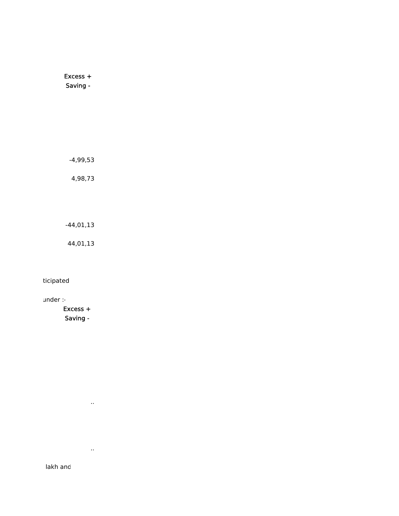Excess + Saving -

-4,99,53

4,98,73

-44,01,13

44,01,13

ticipated

under :-

 Excess + Saving -

..

..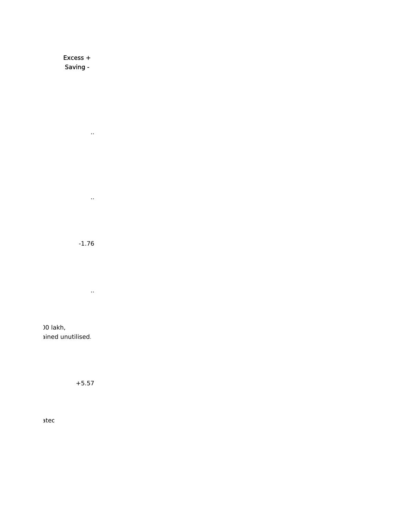Excess + Saving -

..

..

-1.76

..

00 lakh, ained unutilised.

+5.57

ated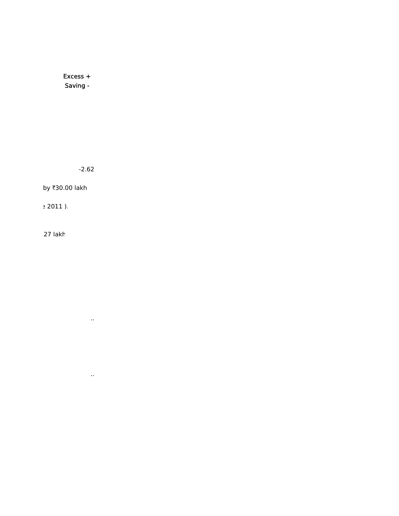Excess + Saving -

-2.62

..

..

by ₹30.00 lakh

e 2011 ).

27 lakh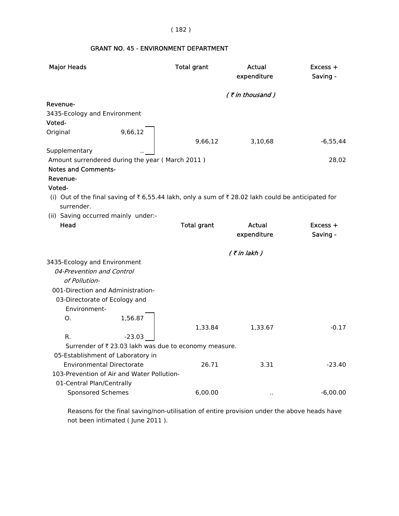## ( 182 )

# GRANT NO. 45 - ENVIRONMENT DEPARTMENT

| <b>Major Heads</b>                                                                               |          | <b>Total grant</b>                                    | Actual<br>expenditure | Excess +<br>Saving - |
|--------------------------------------------------------------------------------------------------|----------|-------------------------------------------------------|-----------------------|----------------------|
|                                                                                                  |          |                                                       | $($ ₹ in thousand)    |                      |
| Revenue-                                                                                         |          |                                                       |                       |                      |
| 3435-Ecology and Environment                                                                     |          |                                                       |                       |                      |
| Voted-                                                                                           |          |                                                       |                       |                      |
| Original                                                                                         | 9,66,12  |                                                       |                       |                      |
|                                                                                                  |          | 9,66,12                                               | 3,10,68               | $-6,55,44$           |
| Supplementary                                                                                    |          |                                                       |                       |                      |
| Amount surrendered during the year (March 2011)                                                  |          |                                                       |                       | 28,02                |
| <b>Notes and Comments-</b>                                                                       |          |                                                       |                       |                      |
| Revenue-                                                                                         |          |                                                       |                       |                      |
| Voted-                                                                                           |          |                                                       |                       |                      |
| (i) Out of the final saving of ₹6,55.44 lakh, only a sum of ₹28.02 lakh could be anticipated for |          |                                                       |                       |                      |
| surrender.                                                                                       |          |                                                       |                       |                      |
| (ii) Saving occurred mainly under:-                                                              |          |                                                       |                       |                      |
| Head                                                                                             |          | <b>Total grant</b>                                    | Actual                | $Excess +$           |
|                                                                                                  |          |                                                       | expenditure           | Saving -             |
|                                                                                                  |          |                                                       | $($ ₹ in lakh)        |                      |
| 3435-Ecology and Environment                                                                     |          |                                                       |                       |                      |
| 04-Prevention and Control                                                                        |          |                                                       |                       |                      |
| of Pollution-                                                                                    |          |                                                       |                       |                      |
| 001-Direction and Administration-                                                                |          |                                                       |                       |                      |
| 03-Directorate of Ecology and                                                                    |          |                                                       |                       |                      |
| Environment-                                                                                     |          |                                                       |                       |                      |
| О.                                                                                               | 1,56.87  |                                                       |                       |                      |
|                                                                                                  |          | 1,33.84                                               | 1,33.67               | $-0.17$              |
| R.                                                                                               | $-23.03$ |                                                       |                       |                      |
|                                                                                                  |          | Surrender of ₹ 23.03 lakh was due to economy measure. |                       |                      |
| 05-Establishment of Laboratory in                                                                |          |                                                       |                       |                      |
| <b>Environmental Directorate</b>                                                                 |          | 26.71                                                 | 3.31                  | $-23.40$             |
| 103-Prevention of Air and Water Pollution-                                                       |          |                                                       |                       |                      |
| 01-Central Plan/Centrally                                                                        |          |                                                       |                       |                      |
| Sponsored Schemes                                                                                |          | 6,00.00                                               | $\cdot$ .             | $-6,00.00$           |
|                                                                                                  |          |                                                       |                       |                      |

 Reasons for the final saving/non-utilisation of entire provision under the above heads have not been intimated ( June 2011 ).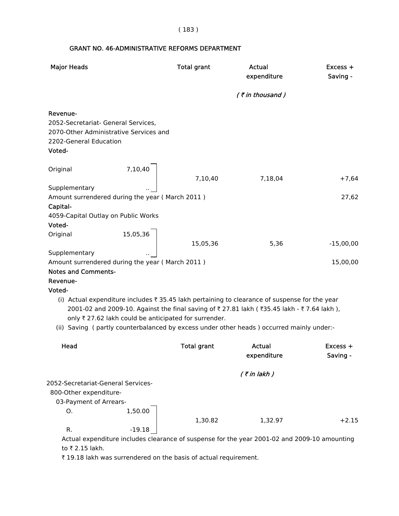( 183 )

# GRANT NO. 46-ADMINISTRATIVE REFORMS DEPARTMENT

| <b>Major Heads</b>                                                                                                            |          | <b>Total grant</b>                                    | Actual<br>expenditure                                                                                                                                                                                                                                                                 | $Excess +$<br>Saving - |
|-------------------------------------------------------------------------------------------------------------------------------|----------|-------------------------------------------------------|---------------------------------------------------------------------------------------------------------------------------------------------------------------------------------------------------------------------------------------------------------------------------------------|------------------------|
|                                                                                                                               |          |                                                       | $($ ₹ in thousand)                                                                                                                                                                                                                                                                    |                        |
| Revenue-<br>2052-Secretariat- General Services,<br>2070-Other Administrative Services and<br>2202-General Education<br>Voted- |          |                                                       |                                                                                                                                                                                                                                                                                       |                        |
| Original                                                                                                                      | 7,10,40  | 7,10,40                                               | 7,18,04                                                                                                                                                                                                                                                                               | $+7,64$                |
| Supplementary                                                                                                                 |          |                                                       |                                                                                                                                                                                                                                                                                       |                        |
| Amount surrendered during the year (March 2011)                                                                               |          |                                                       |                                                                                                                                                                                                                                                                                       | 27,62                  |
| Capital-<br>4059-Capital Outlay on Public Works                                                                               |          |                                                       |                                                                                                                                                                                                                                                                                       |                        |
| Voted-<br>Original                                                                                                            | 15,05,36 |                                                       |                                                                                                                                                                                                                                                                                       |                        |
|                                                                                                                               |          | 15,05,36                                              | 5,36                                                                                                                                                                                                                                                                                  | $-15,00,00$            |
| Supplementary<br>Amount surrendered during the year (March 2011)                                                              |          |                                                       |                                                                                                                                                                                                                                                                                       | 15,00,00               |
| <b>Notes and Comments-</b>                                                                                                    |          |                                                       |                                                                                                                                                                                                                                                                                       |                        |
| Revenue-                                                                                                                      |          |                                                       |                                                                                                                                                                                                                                                                                       |                        |
| Voted-                                                                                                                        |          |                                                       |                                                                                                                                                                                                                                                                                       |                        |
|                                                                                                                               |          | only ₹ 27.62 lakh could be anticipated for surrender. | (i) Actual expenditure includes ₹ 35.45 lakh pertaining to clearance of suspense for the year<br>2001-02 and 2009-10. Against the final saving of ₹27.81 lakh (₹35.45 lakh - ₹7.64 lakh),<br>(ii) Saving (partly counterbalanced by excess under other heads) occurred mainly under:- |                        |
| Head                                                                                                                          |          | <b>Total grant</b>                                    | Actual<br>expenditure                                                                                                                                                                                                                                                                 | $Excess +$<br>Saving - |
|                                                                                                                               |          |                                                       |                                                                                                                                                                                                                                                                                       |                        |
| 2052-Secretariat-General Services-                                                                                            |          |                                                       | $($ ₹ in lakh $)$                                                                                                                                                                                                                                                                     |                        |
| 800-Other expenditure-                                                                                                        |          |                                                       |                                                                                                                                                                                                                                                                                       |                        |
| 03-Payment of Arrears-                                                                                                        |          |                                                       |                                                                                                                                                                                                                                                                                       |                        |
| O.                                                                                                                            | 1,50.00  | 1,30.82                                               | 1,32.97                                                                                                                                                                                                                                                                               | $+2.15$                |
| R.                                                                                                                            | $-19.18$ |                                                       |                                                                                                                                                                                                                                                                                       |                        |
| to ₹ 2.15 lakh.                                                                                                               |          |                                                       | Actual expenditure includes clearance of suspense for the year 2001-02 and 2009-10 amounting                                                                                                                                                                                          |                        |

 $\bar{\tau}$  19.18 lakh was surrendered on the basis of actual requirement.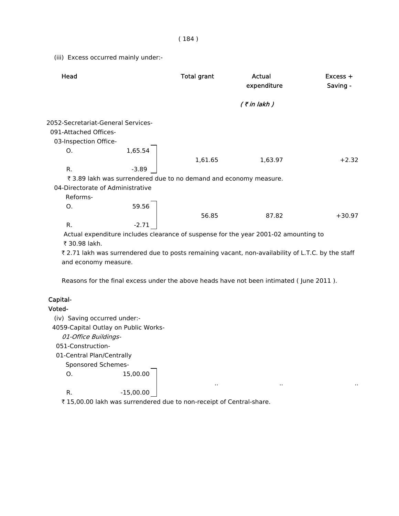#### ( 184 )

(iii) Excess occurred mainly under:-

| Head                               |         | <b>Total grant</b>                                                | Actual<br>expenditure                                                                              | $Excess +$<br>Saving - |
|------------------------------------|---------|-------------------------------------------------------------------|----------------------------------------------------------------------------------------------------|------------------------|
|                                    |         |                                                                   | $($ ₹ in lakh)                                                                                     |                        |
| 2052-Secretariat-General Services- |         |                                                                   |                                                                                                    |                        |
| 091-Attached Offices-              |         |                                                                   |                                                                                                    |                        |
| 03-Inspection Office-              |         |                                                                   |                                                                                                    |                        |
| O <sub>1</sub>                     | 1,65.54 |                                                                   |                                                                                                    |                        |
|                                    |         | 1,61.65                                                           | 1,63.97                                                                                            | $+2.32$                |
| R.                                 | $-3.89$ |                                                                   |                                                                                                    |                        |
|                                    |         | ₹ 3.89 lakh was surrendered due to no demand and economy measure. |                                                                                                    |                        |
| 04-Directorate of Administrative   |         |                                                                   |                                                                                                    |                        |
| Reforms-                           |         |                                                                   |                                                                                                    |                        |
| O.                                 | 59.56   |                                                                   |                                                                                                    |                        |
|                                    |         | 56.85                                                             | 87.82                                                                                              | $+30.97$               |
| R.                                 | $-2.71$ |                                                                   |                                                                                                    |                        |
|                                    |         |                                                                   | Actual expenditure includes clearance of suspense for the year 2001-02 amounting to                |                        |
| ₹ 30.98 lakh.                      |         |                                                                   |                                                                                                    |                        |
|                                    |         |                                                                   | ₹ 2.71 lakh was surrendered due to posts remaining vacant, non-availability of L.T.C. by the staff |                        |
| and economy measure.               |         |                                                                   |                                                                                                    |                        |
|                                    |         |                                                                   |                                                                                                    |                        |
|                                    |         |                                                                   |                                                                                                    |                        |

Reasons for the final excess under the above heads have not been intimated ( June 2011 ).

.. .. ..

## Capital-

## Voted-

(iv) Saving occurred under:-

4059-Capital Outlay on Public Works-

01-Office Buildings-

051-Construction-

01-Central Plan/Centrally

Sponsored Schemes-

O. 15,00.00

R.  $-15,00.00$ 

₹ 15,00.00 lakh was surrendered due to non-receipt of Central-share.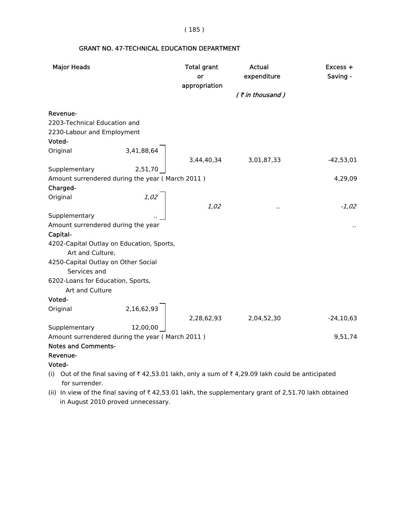( 185 )

## GRANT NO. 47-TECHNICAL EDUCATION DEPARTMENT

| <b>Major Heads</b>                                                                                                |                         | <b>Total grant</b><br>or<br>appropriation | <b>Actual</b><br>expenditure | Excess +<br>Saving - |
|-------------------------------------------------------------------------------------------------------------------|-------------------------|-------------------------------------------|------------------------------|----------------------|
|                                                                                                                   |                         |                                           | $($ ₹ in thousand)           |                      |
| Revenue-                                                                                                          |                         |                                           |                              |                      |
| 2203-Technical Education and                                                                                      |                         |                                           |                              |                      |
| 2230-Labour and Employment                                                                                        |                         |                                           |                              |                      |
| Voted-                                                                                                            |                         |                                           |                              |                      |
| Original                                                                                                          | $3,41,88,64$<br>2,51,70 |                                           | $3,44,40,34$ $3,01,87,33$    | $-42,53,01$          |
| Supplementary                                                                                                     |                         |                                           |                              |                      |
| Amount surrendered during the year (March 2011)                                                                   |                         |                                           |                              | 4,29,09              |
| Charged-                                                                                                          |                         |                                           |                              |                      |
| Original                                                                                                          |                         |                                           |                              |                      |
|                                                                                                                   |                         | 1,02                                      | $\cdot$ .                    | $-1,02$              |
| Supplementary                                                                                                     |                         |                                           |                              |                      |
| Amount surrendered during the year                                                                                |                         |                                           |                              |                      |
| Capital-                                                                                                          |                         |                                           |                              |                      |
| 4202-Capital Outlay on Education, Sports,                                                                         |                         |                                           |                              |                      |
| Art and Culture,                                                                                                  |                         |                                           |                              |                      |
| 4250-Capital Outlay on Other Social                                                                               |                         |                                           |                              |                      |
| Services and                                                                                                      |                         |                                           |                              |                      |
| 6202-Loans for Education, Sports,                                                                                 |                         |                                           |                              |                      |
| Art and Culture                                                                                                   |                         |                                           |                              |                      |
| Voted-                                                                                                            |                         |                                           |                              |                      |
| Original                                                                                                          | 2,16,62,93              |                                           |                              |                      |
|                                                                                                                   |                         |                                           | 2,28,62,93 2,04,52,30        | $-24, 10, 63$        |
| Supplementary                                                                                                     | 12,00,00                |                                           |                              |                      |
| Amount surrendered during the year (March 2011)                                                                   |                         |                                           |                              | 9,51,74              |
| <b>Notes and Comments-</b>                                                                                        |                         |                                           |                              |                      |
| Revenue-                                                                                                          |                         |                                           |                              |                      |
| Voted-                                                                                                            |                         |                                           |                              |                      |
| (i) Out of the final saving of ₹42,53.01 lakh, only a sum of ₹4,29.09 lakh could be anticipated<br>for surrender. |                         |                                           |                              |                      |

(ii) In view of the final saving of  $\bar{\tau}$  42,53.01 lakh, the supplementary grant of 2,51.70 lakh obtained in August 2010 proved unnecessary.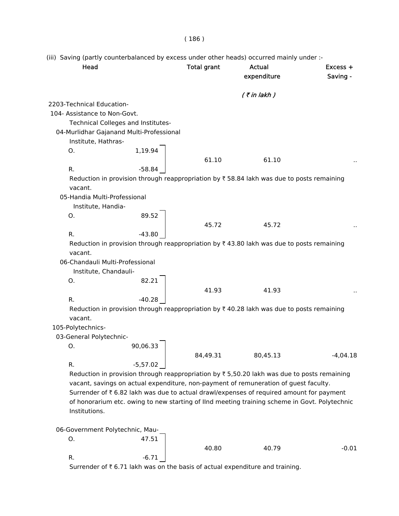(iii) Saving (partly counterbalanced by excess under other heads) occurred mainly under :-

| Head                            |                                          | <b>Total grant</b> | Actual<br>expenditure                                                                                       | Excess +<br>Saving - |
|---------------------------------|------------------------------------------|--------------------|-------------------------------------------------------------------------------------------------------------|----------------------|
|                                 |                                          |                    | $($ ₹ in lakh $)$                                                                                           |                      |
| 2203-Technical Education-       |                                          |                    |                                                                                                             |                      |
| 104- Assistance to Non-Govt.    |                                          |                    |                                                                                                             |                      |
|                                 | Technical Colleges and Institutes-       |                    |                                                                                                             |                      |
|                                 | 04-Murlidhar Gajanand Multi-Professional |                    |                                                                                                             |                      |
| Institute, Hathras-             |                                          |                    |                                                                                                             |                      |
| Ο.                              | 1,19.94                                  | 61.10              | 61.10                                                                                                       |                      |
| R.                              | $-58.84$                                 |                    |                                                                                                             |                      |
|                                 |                                          |                    | Reduction in provision through reappropriation by $\overline{\tau}$ 58.84 lakh was due to posts remaining   |                      |
| vacant.                         |                                          |                    |                                                                                                             |                      |
| 05-Handia Multi-Professional    |                                          |                    |                                                                                                             |                      |
| Institute, Handia-              |                                          |                    |                                                                                                             |                      |
| O.                              | 89.52                                    |                    |                                                                                                             |                      |
|                                 |                                          | 45.72              | 45.72                                                                                                       |                      |
| R.                              | $-43.80$                                 |                    |                                                                                                             |                      |
|                                 |                                          |                    | Reduction in provision through reappropriation by $\overline{\tau}$ 43.80 lakh was due to posts remaining   |                      |
| vacant.                         |                                          |                    |                                                                                                             |                      |
| 06-Chandauli Multi-Professional |                                          |                    |                                                                                                             |                      |
| Institute, Chandauli-           |                                          |                    |                                                                                                             |                      |
| O.                              | 82.21                                    |                    |                                                                                                             |                      |
|                                 |                                          | 41.93              | 41.93                                                                                                       |                      |
| R.                              | $-40.28$                                 |                    | Reduction in provision through reappropriation by $\overline{\tau}$ 40.28 lakh was due to posts remaining   |                      |
| vacant.                         |                                          |                    |                                                                                                             |                      |
| 105-Polytechnics-               |                                          |                    |                                                                                                             |                      |
| 03-General Polytechnic-         |                                          |                    |                                                                                                             |                      |
| Ο.                              | 90,06.33                                 |                    |                                                                                                             |                      |
|                                 |                                          | 84,49.31           | 80,45.13                                                                                                    | $-4,04.18$           |
| R.                              | $-5,57.02$                               |                    |                                                                                                             |                      |
|                                 |                                          |                    | Reduction in provision through reappropriation by $\overline{\tau}$ 5,50.20 lakh was due to posts remaining |                      |
|                                 |                                          |                    | vacant, savings on actual expenditure, non-payment of remuneration of guest faculty.                        |                      |
|                                 |                                          |                    | Surrender of ₹6.82 lakh was due to actual drawl/expenses of required amount for payment                     |                      |
|                                 |                                          |                    | of honorarium etc. owing to new starting of IInd meeting training scheme in Govt. Polytechnic               |                      |
| Institutions.                   |                                          |                    |                                                                                                             |                      |
| 06-Government Polytechnic, Mau- |                                          |                    |                                                                                                             |                      |
| О.                              | 47.51                                    |                    |                                                                                                             |                      |
|                                 |                                          | 40.80              | 40.79                                                                                                       | $-0.01$              |
| R.                              | $-6.71$                                  |                    |                                                                                                             |                      |

Surrender of  $\bar{\tau}$  6.71 lakh was on the basis of actual expenditure and training.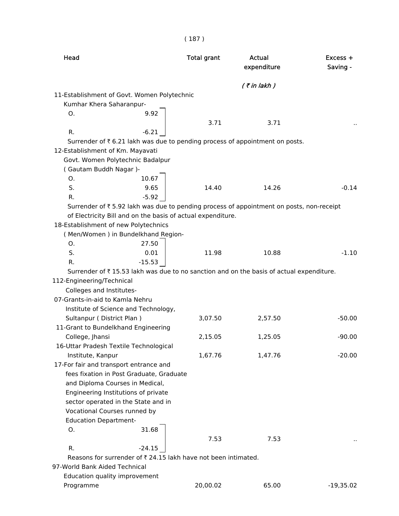| Head                                                                                    | <b>Total grant</b> | Actual<br>expenditure | $Excess +$<br>Saving - |
|-----------------------------------------------------------------------------------------|--------------------|-----------------------|------------------------|
|                                                                                         |                    | $($ ₹ in lakh)        |                        |
| 11-Establishment of Govt. Women Polytechnic                                             |                    |                       |                        |
| Kumhar Khera Saharanpur-                                                                |                    |                       |                        |
| 9.92<br>0.                                                                              |                    |                       |                        |
|                                                                                         | 3.71               | 3.71                  |                        |
| R.<br>$-6.21$                                                                           |                    |                       |                        |
| Surrender of ₹6.21 lakh was due to pending process of appointment on posts.             |                    |                       |                        |
| 12-Establishment of Km. Mayavati                                                        |                    |                       |                        |
| Govt. Women Polytechnic Badalpur                                                        |                    |                       |                        |
| (Gautam Buddh Nagar)-                                                                   |                    |                       |                        |
| 10.67<br>O.                                                                             |                    |                       |                        |
| S.<br>9.65                                                                              | 14.40              | 14.26                 | $-0.14$                |
| $-5.92$<br>R.                                                                           |                    |                       |                        |
| Surrender of ₹5.92 lakh was due to pending process of appointment on posts, non-receipt |                    |                       |                        |
| of Electricity Bill and on the basis of actual expenditure.                             |                    |                       |                        |
| 18-Establishment of new Polytechnics                                                    |                    |                       |                        |
| (Men/Women) in Bundelkhand Region-                                                      |                    |                       |                        |
| 27.50<br>O.                                                                             |                    |                       |                        |
| S.<br>0.01                                                                              | 11.98              | 10.88                 | $-1.10$                |
| R.<br>$-15.53$                                                                          |                    |                       |                        |
| Surrender of ₹15.53 lakh was due to no sanction and on the basis of actual expenditure. |                    |                       |                        |
| 112-Engineering/Technical                                                               |                    |                       |                        |
| Colleges and Institutes-                                                                |                    |                       |                        |
| 07-Grants-in-aid to Kamla Nehru                                                         |                    |                       |                        |
| Institute of Science and Technology,                                                    |                    |                       |                        |
| Sultanpur (District Plan)                                                               | 3,07.50            | 2,57.50               | $-50.00$               |
| 11-Grant to Bundelkhand Engineering                                                     |                    |                       |                        |
| College, Jhansi                                                                         | 2,15.05            | 1,25.05               | $-90.00$               |
| 16-Uttar Pradesh Textile Technological                                                  |                    |                       |                        |
| Institute, Kanpur                                                                       | 1,67.76            | 1,47.76               | $-20.00$               |
| 17-For fair and transport entrance and                                                  |                    |                       |                        |
| fees fixation in Post Graduate, Graduate                                                |                    |                       |                        |
|                                                                                         |                    |                       |                        |
| and Diploma Courses in Medical,                                                         |                    |                       |                        |
| Engineering Institutions of private                                                     |                    |                       |                        |
| sector operated in the State and in                                                     |                    |                       |                        |
| Vocational Courses runned by                                                            |                    |                       |                        |
| <b>Education Department-</b>                                                            |                    |                       |                        |
| 31.68<br>О.                                                                             |                    |                       |                        |
|                                                                                         | 7.53               | 7.53                  |                        |
| R.<br>$-24.15$                                                                          |                    |                       |                        |
| Reasons for surrender of ₹ 24.15 lakh have not been intimated.                          |                    |                       |                        |
| 97-World Bank Aided Technical                                                           |                    |                       |                        |
| Education quality improvement                                                           |                    |                       |                        |
| Programme                                                                               | 20,00.02           | 65.00                 | $-19,35.02$            |

( 187 )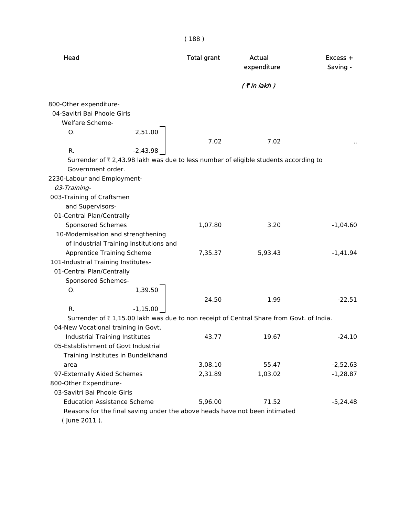| Head                                                                                    | <b>Total grant</b> | Actual<br>expenditure | $Excess +$<br>Saving - |
|-----------------------------------------------------------------------------------------|--------------------|-----------------------|------------------------|
|                                                                                         |                    | $($ ₹ in lakh $)$     |                        |
| 800-Other expenditure-                                                                  |                    |                       |                        |
| 04-Savitri Bai Phoole Girls                                                             |                    |                       |                        |
| <b>Welfare Scheme-</b>                                                                  |                    |                       |                        |
| 2,51.00<br>Ο.                                                                           | 7.02               | 7.02                  |                        |
| R.<br>$-2,43.98$                                                                        |                    |                       |                        |
| Surrender of ₹ 2,43.98 lakh was due to less number of eligible students according to    |                    |                       |                        |
| Government order.                                                                       |                    |                       |                        |
| 2230-Labour and Employment-                                                             |                    |                       |                        |
| 03-Training-                                                                            |                    |                       |                        |
| 003-Training of Craftsmen                                                               |                    |                       |                        |
| and Supervisors-                                                                        |                    |                       |                        |
| 01-Central Plan/Centrally                                                               |                    |                       |                        |
| Sponsored Schemes                                                                       | 1,07.80            | 3.20                  | $-1,04.60$             |
| 10-Modernisation and strengthening                                                      |                    |                       |                        |
| of Industrial Training Institutions and                                                 |                    |                       |                        |
| <b>Apprentice Training Scheme</b>                                                       | 7,35.37            | 5,93.43               | $-1,41.94$             |
| 101-Industrial Training Institutes-                                                     |                    |                       |                        |
| 01-Central Plan/Centrally                                                               |                    |                       |                        |
| Sponsored Schemes-                                                                      |                    |                       |                        |
| 1,39.50<br>Ο.                                                                           |                    |                       |                        |
|                                                                                         | 24.50              | 1.99                  | $-22.51$               |
| R.<br>$-1,15.00$                                                                        |                    |                       |                        |
| Surrender of ₹1,15.00 lakh was due to non receipt of Central Share from Govt. of India. |                    |                       |                        |
| 04-New Vocational training in Govt.                                                     |                    |                       |                        |
| Industrial Training Institutes                                                          | 43.77              | 19.67                 | $-24.10$               |
| 05-Establishment of Govt Industrial                                                     |                    |                       |                        |
| Training Institutes in Bundelkhand                                                      |                    |                       |                        |
| area                                                                                    | 3,08.10            | 55.47                 | $-2,52.63$             |
| 97-Externally Aided Schemes                                                             | 2,31.89            | 1,03.02               | $-1,28.87$             |
| 800-Other Expenditure-                                                                  |                    |                       |                        |
| 03-Savitri Bai Phoole Girls                                                             |                    |                       |                        |
| <b>Education Assistance Scheme</b>                                                      | 5,96.00            | 71.52                 | $-5,24.48$             |
| Reasons for the final saving under the above heads have not been intimated              |                    |                       |                        |
| (June 2011).                                                                            |                    |                       |                        |

( 188 )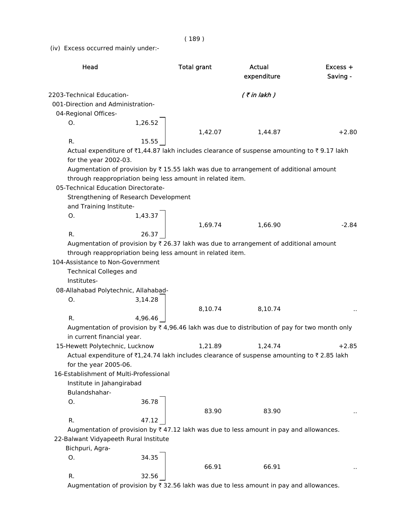( 189 )

(iv) Excess occurred mainly under:-

| Head                                         |         | <b>Total grant</b>                                                                                       | Actual<br>expenditure | Excess +<br>Saving - |
|----------------------------------------------|---------|----------------------------------------------------------------------------------------------------------|-----------------------|----------------------|
| 2203-Technical Education-                    |         |                                                                                                          | $($ ₹ in lakh)        |                      |
| 001-Direction and Administration-            |         |                                                                                                          |                       |                      |
| 04-Regional Offices-                         |         |                                                                                                          |                       |                      |
| Ο.                                           | 1,26.52 |                                                                                                          |                       |                      |
|                                              |         | 1,42.07                                                                                                  | 1,44.87               | $+2.80$              |
| R.                                           | 15.55   |                                                                                                          |                       |                      |
|                                              |         | Actual expenditure of ₹1,44.87 lakh includes clearance of suspense amounting to ₹9.17 lakh               |                       |                      |
| for the year 2002-03.                        |         |                                                                                                          |                       |                      |
|                                              |         | Augmentation of provision by ₹15.55 lakh was due to arrangement of additional amount                     |                       |                      |
|                                              |         | through reappropriation being less amount in related item.                                               |                       |                      |
| 05-Technical Education Directorate-          |         |                                                                                                          |                       |                      |
| Strengthening of Research Development        |         |                                                                                                          |                       |                      |
| and Training Institute-                      |         |                                                                                                          |                       |                      |
| Ο.                                           | 1,43.37 |                                                                                                          |                       |                      |
|                                              |         | 1,69.74                                                                                                  | 1,66.90               | $-2.84$              |
| R.                                           | 26.37   |                                                                                                          |                       |                      |
|                                              |         | Augmentation of provision by $\bar{\tau}$ 26.37 lakh was due to arrangement of additional amount         |                       |                      |
|                                              |         | through reappropriation being less amount in related item.                                               |                       |                      |
| 104-Assistance to Non-Government             |         |                                                                                                          |                       |                      |
|                                              |         |                                                                                                          |                       |                      |
| <b>Technical Colleges and</b><br>Institutes- |         |                                                                                                          |                       |                      |
|                                              |         |                                                                                                          |                       |                      |
| 08-Allahabad Polytechnic, Allahabad-         |         |                                                                                                          |                       |                      |
| О.                                           | 3,14.28 |                                                                                                          |                       |                      |
|                                              |         | 8,10.74                                                                                                  | 8,10.74               |                      |
| R.                                           | 4,96.46 |                                                                                                          |                       |                      |
|                                              |         | Augmentation of provision by $\bar{\tau}$ 4,96.46 lakh was due to distribution of pay for two month only |                       |                      |
| in current financial year.                   |         |                                                                                                          |                       |                      |
| 15-Hewett Polytechnic, Lucknow               |         | 1,21.89                                                                                                  | 1,24.74               | $+2.85$              |
|                                              |         | Actual expenditure of ₹1,24.74 lakh includes clearance of suspense amounting to ₹2.85 lakh               |                       |                      |
| for the year 2005-06.                        |         |                                                                                                          |                       |                      |
| 16-Establishment of Multi-Professional       |         |                                                                                                          |                       |                      |
| Institute in Jahangirabad                    |         |                                                                                                          |                       |                      |
| Bulandshahar-                                |         |                                                                                                          |                       |                      |
| О.                                           | 36.78   |                                                                                                          |                       |                      |
|                                              |         | 83.90                                                                                                    | 83.90                 |                      |
| R.                                           | 47.12   |                                                                                                          |                       |                      |
|                                              |         | Augmentation of provision by ₹47.12 lakh was due to less amount in pay and allowances.                   |                       |                      |
| 22-Balwant Vidyapeeth Rural Institute        |         |                                                                                                          |                       |                      |
| Bichpuri, Agra-                              |         |                                                                                                          |                       |                      |
| O.                                           | 34.35   |                                                                                                          |                       |                      |
|                                              |         | 66.91                                                                                                    | 66.91                 |                      |
| R.                                           | 32.56   |                                                                                                          |                       |                      |
|                                              |         | Augmentation of provision by ₹ 32.56 lakh was due to less amount in pay and allowances.                  |                       |                      |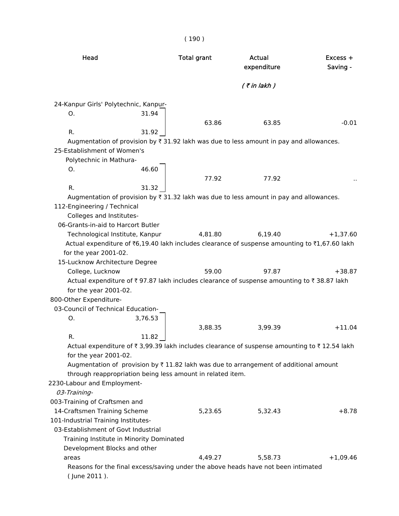| Head                                                                                                  |         | <b>Total grant</b> | Actual<br>expenditure | Excess +<br>Saving - |
|-------------------------------------------------------------------------------------------------------|---------|--------------------|-----------------------|----------------------|
|                                                                                                       |         |                    | $($ ₹ in lakh)        |                      |
| 24-Kanpur Girls' Polytechnic, Kanpur-                                                                 |         |                    |                       |                      |
| О.                                                                                                    | 31.94   |                    |                       |                      |
|                                                                                                       |         | 63.86              | 63.85                 | $-0.01$              |
| R.                                                                                                    | 31.92   |                    |                       |                      |
| Augmentation of provision by ₹ 31.92 lakh was due to less amount in pay and allowances.               |         |                    |                       |                      |
| 25-Establishment of Women's                                                                           |         |                    |                       |                      |
| Polytechnic in Mathura-                                                                               |         |                    |                       |                      |
| О.                                                                                                    | 46.60   |                    |                       |                      |
|                                                                                                       |         | 77.92              | 77.92                 |                      |
| R.                                                                                                    | 31.32   |                    |                       |                      |
| Augmentation of provision by ₹ 31.32 lakh was due to less amount in pay and allowances.               |         |                    |                       |                      |
| 112-Engineering / Technical                                                                           |         |                    |                       |                      |
| Colleges and Institutes-                                                                              |         |                    |                       |                      |
| 06-Grants-in-aid to Harcort Butler                                                                    |         |                    |                       |                      |
| Technological Institute, Kanpur                                                                       |         | 4,81.80            | 6,19.40               | $+1,37.60$           |
| Actual expenditure of ₹6,19.40 lakh includes clearance of suspense amounting to ₹1,67.60 lakh         |         |                    |                       |                      |
| for the year 2001-02.                                                                                 |         |                    |                       |                      |
| 15-Lucknow Architecture Degree                                                                        |         |                    |                       |                      |
| College, Lucknow                                                                                      |         | 59.00              | 97.87                 | $+38.87$             |
| Actual expenditure of ₹97.87 lakh includes clearance of suspense amounting to ₹38.87 lakh             |         |                    |                       |                      |
| for the year 2001-02.                                                                                 |         |                    |                       |                      |
| 800-Other Expenditure-                                                                                |         |                    |                       |                      |
| 03-Council of Technical Education-                                                                    |         |                    |                       |                      |
| Ο.                                                                                                    | 3,76.53 |                    |                       |                      |
|                                                                                                       |         | 3,88.35            | 3,99.39               | $+11.04$             |
| R.                                                                                                    | 11.82   |                    |                       |                      |
| Actual expenditure of ₹ 3,99.39 lakh includes clearance of suspense amounting to ₹ 12.54 lakh         |         |                    |                       |                      |
| for the year 2001-02.                                                                                 |         |                    |                       |                      |
| Augmentation of provision by $\overline{\tau}$ 11.82 lakh was due to arrangement of additional amount |         |                    |                       |                      |
| through reappropriation being less amount in related item.                                            |         |                    |                       |                      |
| 2230-Labour and Employment-                                                                           |         |                    |                       |                      |
| 03-Training-                                                                                          |         |                    |                       |                      |
| 003-Training of Craftsmen and                                                                         |         |                    |                       |                      |
| 14-Craftsmen Training Scheme                                                                          |         | 5,23.65            | 5,32.43               | $+8.78$              |
| 101-Industrial Training Institutes-                                                                   |         |                    |                       |                      |
| 03-Establishment of Govt Industrial                                                                   |         |                    |                       |                      |
|                                                                                                       |         |                    |                       |                      |
| Training Institute in Minority Dominated                                                              |         |                    |                       |                      |
| Development Blocks and other                                                                          |         |                    |                       |                      |
| areas                                                                                                 |         | 4,49.27            | 5,58.73               | $+1,09.46$           |
| Reasons for the final excess/saving under the above heads have not been intimated<br>(June 2011).     |         |                    |                       |                      |

# ( 190 )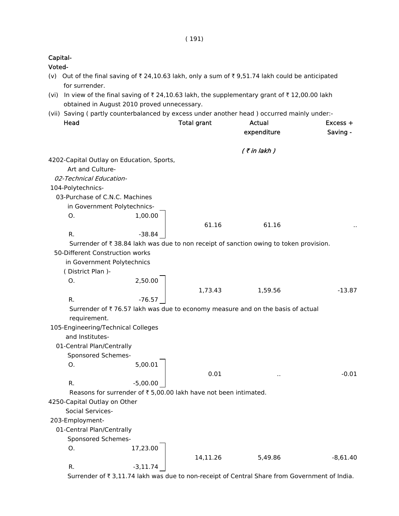|        | Capital-                                                      |             |                                                                                                   |                              |                        |
|--------|---------------------------------------------------------------|-------------|---------------------------------------------------------------------------------------------------|------------------------------|------------------------|
| Voted- |                                                               |             | (v) Out of the final saving of ₹ 24,10.63 lakh, only a sum of ₹ 9,51.74 lakh could be anticipated |                              |                        |
|        | for surrender.<br>obtained in August 2010 proved unnecessary. |             | (vi) In view of the final saving of ₹24,10.63 lakh, the supplementary grant of ₹12,00.00 lakh     |                              |                        |
|        |                                                               |             | (vii) Saving (partly counterbalanced by excess under another head) occurred mainly under:-        |                              |                        |
|        | Head                                                          |             | <b>Total grant</b>                                                                                | <b>Actual</b><br>expenditure | $Excess +$<br>Saving - |
|        |                                                               |             |                                                                                                   | $($ ₹ in lakh)               |                        |
|        | 4202-Capital Outlay on Education, Sports,                     |             |                                                                                                   |                              |                        |
|        | Art and Culture-                                              |             |                                                                                                   |                              |                        |
|        | 02-Technical Education-                                       |             |                                                                                                   |                              |                        |
|        | 104-Polytechnics-                                             |             |                                                                                                   |                              |                        |
|        | 03-Purchase of C.N.C. Machines                                |             |                                                                                                   |                              |                        |
|        | in Government Polytechnics-                                   |             |                                                                                                   |                              |                        |
|        | O.                                                            | 1,00.00     |                                                                                                   |                              |                        |
|        |                                                               |             | 61.16                                                                                             | 61.16                        |                        |
|        | R.                                                            | $-38.84$    | Surrender of ₹ 38.84 lakh was due to non receipt of sanction owing to token provision.            |                              |                        |
|        | 50-Different Construction works                               |             |                                                                                                   |                              |                        |
|        | in Government Polytechnics                                    |             |                                                                                                   |                              |                        |
|        | (District Plan)-                                              |             |                                                                                                   |                              |                        |
|        | O.                                                            | 2,50.00     |                                                                                                   |                              |                        |
|        |                                                               |             | 1,73.43                                                                                           | 1,59.56                      | $-13.87$               |
|        | R.                                                            | $-76.57$    |                                                                                                   |                              |                        |
|        |                                                               |             | Surrender of ₹76.57 lakh was due to economy measure and on the basis of actual                    |                              |                        |
|        | requirement.                                                  |             |                                                                                                   |                              |                        |
|        | 105-Engineering/Technical Colleges                            |             |                                                                                                   |                              |                        |
|        | and Institutes-                                               |             |                                                                                                   |                              |                        |
|        | 01-Central Plan/Centrally                                     |             |                                                                                                   |                              |                        |
|        | Sponsored Schemes-                                            |             |                                                                                                   |                              |                        |
|        | 0.                                                            | 5,00.01     |                                                                                                   |                              |                        |
|        |                                                               |             | 0.01                                                                                              | $\ddot{\phantom{a}}$         | $-0.01$                |
|        | R.                                                            | $-5,00.00$  |                                                                                                   |                              |                        |
|        |                                                               |             | Reasons for surrender of ₹ 5,00.00 lakh have not been intimated.                                  |                              |                        |
|        | 4250-Capital Outlay on Other                                  |             |                                                                                                   |                              |                        |
|        | Social Services-                                              |             |                                                                                                   |                              |                        |
|        | 203-Employment-                                               |             |                                                                                                   |                              |                        |
|        | 01-Central Plan/Centrally                                     |             |                                                                                                   |                              |                        |
|        | Sponsored Schemes-                                            |             |                                                                                                   |                              |                        |
|        | 0.                                                            | 17,23.00    |                                                                                                   |                              |                        |
|        |                                                               |             | 14,11.26                                                                                          | 5,49.86                      | $-8,61.40$             |
|        | R.                                                            | $-3, 11.74$ |                                                                                                   |                              |                        |

Surrender of  $\bar{\tau}$  3,11.74 lakh was due to non-receipt of Central Share from Government of India.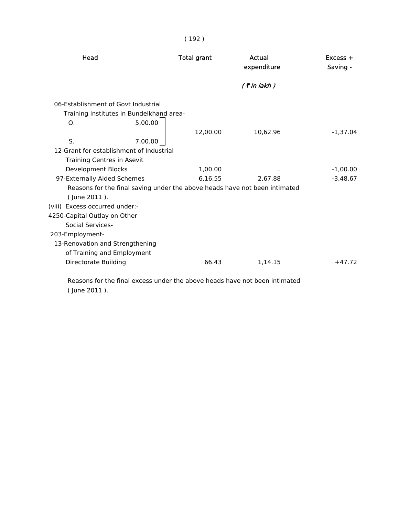| Head                                                                                             | <b>Total grant</b> | Actual<br>expenditure | $Excess +$<br>Saving - |
|--------------------------------------------------------------------------------------------------|--------------------|-----------------------|------------------------|
|                                                                                                  |                    | $($ ₹ in lakh $)$     |                        |
| 06-Establishment of Govt Industrial<br>Training Institutes in Bundelkhand area-<br>5,00.00<br>Ο. |                    |                       |                        |
|                                                                                                  | 12,00.00           | 10,62.96              | $-1,37.04$             |
| S.<br>7,00.00                                                                                    |                    |                       |                        |
| 12-Grant for establishment of Industrial                                                         |                    |                       |                        |
| Training Centres in Asevit                                                                       |                    |                       |                        |
| <b>Development Blocks</b>                                                                        | 1,00.00            | $\sim$                | $-1,00.00$             |
| 97-Externally Aided Schemes                                                                      | 6,16.55            | 2,67.88               | $-3,48.67$             |
| Reasons for the final saving under the above heads have not been intimated                       |                    |                       |                        |
| (June 2011).                                                                                     |                    |                       |                        |
| (viii) Excess occurred under:-                                                                   |                    |                       |                        |
| 4250-Capital Outlay on Other                                                                     |                    |                       |                        |
| <b>Social Services-</b>                                                                          |                    |                       |                        |
| 203-Employment-                                                                                  |                    |                       |                        |
| 13-Renovation and Strengthening                                                                  |                    |                       |                        |
| of Training and Employment                                                                       |                    |                       |                        |
| Directorate Building                                                                             | 66.43              | 1,14.15               | $+47.72$               |
|                                                                                                  |                    |                       |                        |
|                                                                                                  |                    |                       |                        |

 Reasons for the final excess under the above heads have not been intimated ( June 2011 ).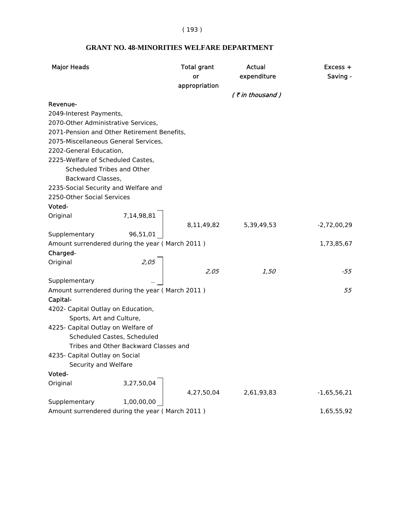( 193 )

| <b>Major Heads</b>                              |                                       | <b>Total grant</b><br>or<br>appropriation | Actual<br>expenditure | $Excess +$<br>Saving - |
|-------------------------------------------------|---------------------------------------|-------------------------------------------|-----------------------|------------------------|
|                                                 |                                       |                                           | $($ ₹ in thousand)    |                        |
| Revenue-                                        |                                       |                                           |                       |                        |
| 2049-Interest Payments,                         |                                       |                                           |                       |                        |
| 2070-Other Administrative Services,             |                                       |                                           |                       |                        |
| 2071-Pension and Other Retirement Benefits,     |                                       |                                           |                       |                        |
| 2075-Miscellaneous General Services,            |                                       |                                           |                       |                        |
| 2202-General Education,                         |                                       |                                           |                       |                        |
| 2225-Welfare of Scheduled Castes,               |                                       |                                           |                       |                        |
| Scheduled Tribes and Other                      |                                       |                                           |                       |                        |
| Backward Classes,                               |                                       |                                           |                       |                        |
| 2235-Social Security and Welfare and            |                                       |                                           |                       |                        |
| 2250-Other Social Services                      |                                       |                                           |                       |                        |
| Voted-                                          |                                       |                                           |                       |                        |
| Original                                        | 7,14,98,81                            |                                           |                       |                        |
|                                                 |                                       | 8,11,49,82                                | 5,39,49,53            | $-2,72,00,29$          |
| Supplementary                                   | 96,51,01                              |                                           |                       |                        |
| Amount surrendered during the year (March 2011) |                                       |                                           |                       | 1,73,85,67             |
| Charged-                                        |                                       |                                           |                       |                        |
| Original                                        | 2,05                                  | 2,05                                      |                       |                        |
| Supplementary                                   |                                       |                                           | 1,50                  | $-55$                  |
| Amount surrendered during the year (March 2011) |                                       |                                           |                       | 55                     |
| Capital-                                        |                                       |                                           |                       |                        |
| 4202- Capital Outlay on Education,              |                                       |                                           |                       |                        |
| Sports, Art and Culture,                        |                                       |                                           |                       |                        |
| 4225- Capital Outlay on Welfare of              |                                       |                                           |                       |                        |
|                                                 | Scheduled Castes, Scheduled           |                                           |                       |                        |
|                                                 | Tribes and Other Backward Classes and |                                           |                       |                        |
| 4235- Capital Outlay on Social                  |                                       |                                           |                       |                        |
| Security and Welfare                            |                                       |                                           |                       |                        |
| Voted-                                          |                                       |                                           |                       |                        |
| Original                                        | 3,27,50,04                            |                                           |                       |                        |
|                                                 |                                       | 4,27,50,04                                | 2,61,93,83            | $-1,65,56,21$          |
| Supplementary                                   | 1,00,00,00                            |                                           |                       |                        |
| Amount surrendered during the year (March 2011) |                                       |                                           |                       | 1,65,55,92             |

## **GRANT NO. 48-MINORITIES WELFARE DEPARTMENT**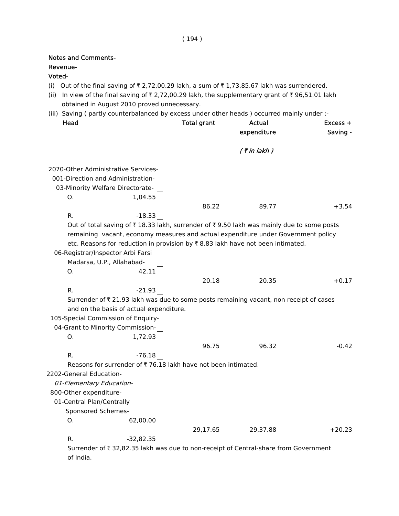# Notes and Comments- Revenue- Voted- (i) Out of the final saving of  $\bar{\tau}$  2,72,00.29 lakh, a sum of  $\bar{\tau}$  1,73,85.67 lakh was surrendered. (ii) In view of the final saving of  $\bar{\tau}$  2,72,00.29 lakh, the supplementary grant of  $\bar{\tau}$  96,51.01 lakh obtained in August 2010 proved unnecessary. (iii) Saving ( partly counterbalanced by excess under other heads ) occurred mainly under :- Head **Total grant** Actual **Actual Excess** + expenditure Saving - $($  ₹ in lakh  $)$  2070-Other Administrative Services- 001-Direction and Administration- 03-Minority Welfare Directorate-O. 1,04.55 86.22 89.77 +3.54 R.  $-18.33$ Out of total saving of  $\bar{\tau}$  18.33 lakh, surrender of  $\bar{\tau}$  9.50 lakh was mainly due to some posts remaining vacant, economy measures and actual expenditure under Government policy etc. Reasons for reduction in provision by  $\bar{\tau}$  8.83 lakh have not been intimated. 06-Registrar/Inspector Arbi Farsi Madarsa, U.P., Allahabad-O. 42.11 20.18 20.35 +0.17 R. 21.93 Surrender of  $\bar{\tau}$  21.93 lakh was due to some posts remaining vacant, non receipt of cases

and on the basis of actual expenditure.

105-Special Commission of Enquiry-

 04-Grant to Minority Commission-O. 1,72.93 96.75 96.32 -0.42 R.  $-76.18$ 

Reasons for surrender of  $\bar{\tau}$  76.18 lakh have not been intimated.

2202-General Education-

01-Elementary Education-

800-Other expenditure-

01-Central Plan/Centrally

Sponsored Schemes-

O. 62,00.00

29,17.65 29,37.88 +20.23

R.  $-32.82.35$ 

Surrender of  $\bar{\tau}$  32,82.35 lakh was due to non-receipt of Central-share from Government of India.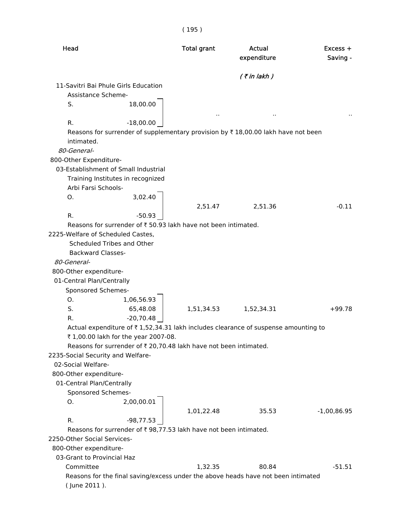|                                      |                                                                   | ו כפד)             |                                                                                                   |                        |
|--------------------------------------|-------------------------------------------------------------------|--------------------|---------------------------------------------------------------------------------------------------|------------------------|
| Head                                 |                                                                   | <b>Total grant</b> | <b>Actual</b><br>expenditure                                                                      | $Excess +$<br>Saving - |
|                                      |                                                                   |                    | $($ ₹ in lakh $)$                                                                                 |                        |
| 11-Savitri Bai Phule Girls Education |                                                                   |                    |                                                                                                   |                        |
| Assistance Scheme-                   |                                                                   |                    |                                                                                                   |                        |
| S.                                   | 18,00.00                                                          |                    |                                                                                                   |                        |
|                                      |                                                                   |                    |                                                                                                   |                        |
| R.                                   | $-18,00.00$                                                       |                    | Reasons for surrender of supplementary provision by $\overline{\tau}$ 18,00.00 lakh have not been |                        |
| intimated.                           |                                                                   |                    |                                                                                                   |                        |
| 80-General-                          |                                                                   |                    |                                                                                                   |                        |
| 800-Other Expenditure-               |                                                                   |                    |                                                                                                   |                        |
| 03-Establishment of Small Industrial |                                                                   |                    |                                                                                                   |                        |
|                                      | Training Institutes in recognized                                 |                    |                                                                                                   |                        |
| Arbi Farsi Schools-                  |                                                                   |                    |                                                                                                   |                        |
| O.                                   | 3,02.40                                                           |                    |                                                                                                   |                        |
|                                      |                                                                   | 2,51.47            | 2,51.36                                                                                           | $-0.11$                |
| R.                                   | $-50.93$                                                          |                    |                                                                                                   |                        |
|                                      | Reasons for surrender of ₹50.93 lakh have not been intimated.     |                    |                                                                                                   |                        |
| 2225-Welfare of Scheduled Castes,    |                                                                   |                    |                                                                                                   |                        |
| Scheduled Tribes and Other           |                                                                   |                    |                                                                                                   |                        |
| <b>Backward Classes-</b>             |                                                                   |                    |                                                                                                   |                        |
| 80-General-                          |                                                                   |                    |                                                                                                   |                        |
| 800-Other expenditure-               |                                                                   |                    |                                                                                                   |                        |
| 01-Central Plan/Centrally            |                                                                   |                    |                                                                                                   |                        |
| Sponsored Schemes-                   |                                                                   |                    |                                                                                                   |                        |
| O.                                   | 1,06,56.93                                                        |                    |                                                                                                   |                        |
| S.                                   | 65,48.08                                                          | 1,51,34.53         | 1,52,34.31                                                                                        | $+99.78$               |
| R.                                   | $-20,70.48$                                                       |                    |                                                                                                   |                        |
|                                      |                                                                   |                    | Actual expenditure of ₹1,52,34.31 lakh includes clearance of suspense amounting to                |                        |
|                                      | ₹ 1,00.00 lakh for the year 2007-08.                              |                    |                                                                                                   |                        |
|                                      | Reasons for surrender of ₹ 20,70.48 lakh have not been intimated. |                    |                                                                                                   |                        |
| 2235-Social Security and Welfare-    |                                                                   |                    |                                                                                                   |                        |
| 02-Social Welfare-                   |                                                                   |                    |                                                                                                   |                        |
| 800-Other expenditure-               |                                                                   |                    |                                                                                                   |                        |
| 01-Central Plan/Centrally            |                                                                   |                    |                                                                                                   |                        |
| Sponsored Schemes-                   |                                                                   |                    |                                                                                                   |                        |
| O.                                   | 2,00,00.01                                                        |                    |                                                                                                   |                        |
|                                      |                                                                   | 1,01,22.48         | 35.53                                                                                             | $-1,00,86.95$          |
| R.                                   | -98,77.53                                                         |                    |                                                                                                   |                        |
|                                      | Reasons for surrender of ₹98,77.53 lakh have not been intimated.  |                    |                                                                                                   |                        |
| 2250-Other Social Services-          |                                                                   |                    |                                                                                                   |                        |
| 800-Other expenditure-               |                                                                   |                    |                                                                                                   |                        |
| 03-Grant to Provincial Haz           |                                                                   |                    |                                                                                                   |                        |
| Committee                            |                                                                   | 1,32.35            | 80.84                                                                                             | $-51.51$               |
|                                      |                                                                   |                    | Reasons for the final saving/excess under the above heads have not been intimated                 |                        |
| (June 2011).                         |                                                                   |                    |                                                                                                   |                        |

### $(195)$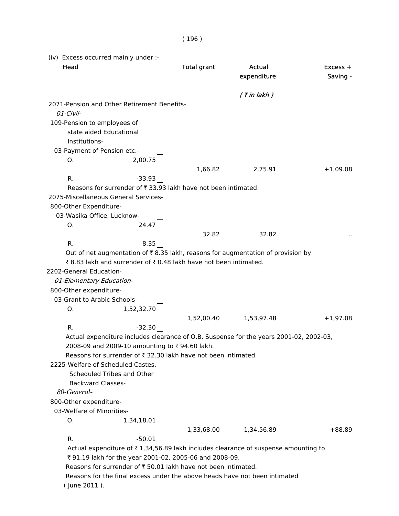(iv) Excess occurred mainly under :- Head **Total grant** Actual **Actual Excess** + expenditure Saving - $($  ₹ in lakh  $)$  2071-Pension and Other Retirement Benefits- 01-Civil- 109-Pension to employees of state aided Educational Institutions- 03-Payment of Pension etc.- O. 2,00.75 1,66.82 2,75.91 +1,09.08 R. 23.93 Reasons for surrender of  $\bar{\tau}$  33.93 lakh have not been intimated. 2075-Miscellaneous General Services- 800-Other Expenditure- 03-Wasika Office, Lucknow-O. 24.47 32.82 32.82 .. R. 8.35 Out of net augmentation of  $\bar{\bar{\tau}}$  8.35 lakh, reasons for augmentation of provision by ₹ 8.83 lakh and surrender of ₹ 0.48 lakh have not been intimated. 2202-General Education- 01-Elementary Education- 800-Other expenditure- 03-Grant to Arabic Schools-O. 1,52,32.70 1,52,00.40 1,53,97.48 +1,97.08 R.  $-32.30$  Actual expenditure includes clearance of O.B. Suspense for the years 2001-02, 2002-03, 2008-09 and 2009-10 amounting to ₹ 94.60 lakh. Reasons for surrender of  $\bar{\tau}$  32.30 lakh have not been intimated. 2225-Welfare of Scheduled Castes, Scheduled Tribes and Other Backward Classes-  *80-General-* 800-Other expenditure- 03-Welfare of Minorities-O. 1,34,18.01 1,33,68.00 1,34,56.89 +88.89 R.  $-50.01$ Actual expenditure of  $\bar{\tau}$  1,34,56.89 lakh includes clearance of suspense amounting to ₹ 91.19 lakh for the year 2001-02, 2005-06 and 2008-09. Reasons for surrender of  $\bar{\tau}$  50.01 lakh have not been intimated. Reasons for the final excess under the above heads have not been intimated

( June 2011 ).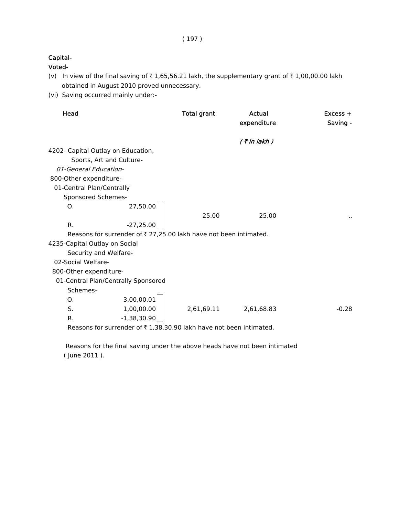### Capital-

Voted-

- (v) In view of the final saving of  $\bar{\tau}$  1,65,56.21 lakh, the supplementary grant of  $\bar{\tau}$  1,00,00.00 lakh obtained in August 2010 proved unnecessary.
- (vi) Saving occurred mainly under:-

| Head                               |                                                                   | <b>Total grant</b> | Actual<br>expenditure | $Excess +$<br>Saving - |
|------------------------------------|-------------------------------------------------------------------|--------------------|-----------------------|------------------------|
|                                    |                                                                   |                    | $($ ₹ in lakh)        |                        |
| 4202- Capital Outlay on Education, |                                                                   |                    |                       |                        |
|                                    | Sports, Art and Culture-                                          |                    |                       |                        |
| 01-General Education-              |                                                                   |                    |                       |                        |
| 800-Other expenditure-             |                                                                   |                    |                       |                        |
| 01-Central Plan/Centrally          |                                                                   |                    |                       |                        |
| Sponsored Schemes-                 |                                                                   |                    |                       |                        |
| O.                                 | 27,50.00                                                          |                    |                       |                        |
|                                    |                                                                   | 25.00              | 25.00                 | ٠.                     |
| R.                                 | $-27,25.00$                                                       |                    |                       |                        |
|                                    | Reasons for surrender of ₹ 27,25.00 lakh have not been intimated. |                    |                       |                        |
| 4235-Capital Outlay on Social      |                                                                   |                    |                       |                        |
| Security and Welfare-              |                                                                   |                    |                       |                        |
| 02-Social Welfare-                 |                                                                   |                    |                       |                        |
| 800-Other expenditure-             |                                                                   |                    |                       |                        |
|                                    | 01-Central Plan/Centrally Sponsored                               |                    |                       |                        |
| Schemes-                           |                                                                   |                    |                       |                        |
| O.                                 | 3,00,00.01                                                        |                    |                       |                        |
| S.                                 | 1,00,00.00                                                        | 2,61,69.11         | 2,61,68.83            | $-0.28$                |
| R.                                 | $-1,38,30.90$                                                     |                    |                       |                        |
|                                    | Boassns for surrander of #1,20,20,00 lakh have not been intimated |                    |                       |                        |

Reasons for surrender of  $\bar{\tau}$  1,38,30.90 lakh have not been intimated.

 Reasons for the final saving under the above heads have not been intimated ( June 2011 ).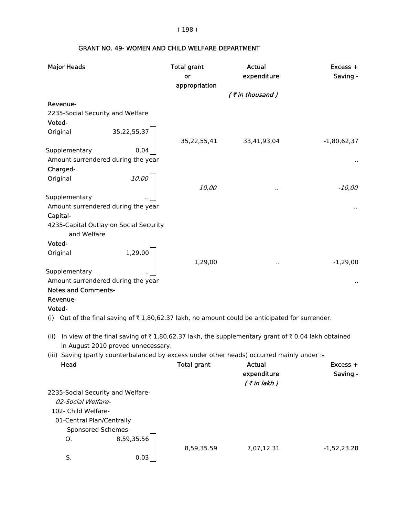( 198 )

# GRANT NO. 49- WOMEN AND CHILD WELFARE DEPARTMENT

| <b>Major Heads</b>                                    |                                    | <b>Total grant</b><br>or<br>appropriation | Actual<br>expenditure                                                                                                             | Excess +<br>Saving - |
|-------------------------------------------------------|------------------------------------|-------------------------------------------|-----------------------------------------------------------------------------------------------------------------------------------|----------------------|
|                                                       |                                    |                                           | (₹in thousand)                                                                                                                    |                      |
| Revenue-                                              |                                    |                                           |                                                                                                                                   |                      |
| 2235-Social Security and Welfare                      |                                    |                                           |                                                                                                                                   |                      |
| Voted-                                                |                                    |                                           |                                                                                                                                   |                      |
| Original                                              | 35, 22, 55, 37                     | 35,22,55,41                               | 33,41,93,04                                                                                                                       | $-1,80,62,37$        |
| Supplementary                                         | 0,04                               |                                           |                                                                                                                                   |                      |
| Amount surrendered during the year                    |                                    |                                           |                                                                                                                                   |                      |
| Charged-                                              |                                    |                                           |                                                                                                                                   |                      |
| Original                                              | 10,00                              | 10,00                                     |                                                                                                                                   | $-10,00$             |
| Supplementary                                         |                                    |                                           |                                                                                                                                   |                      |
| Amount surrendered during the year                    |                                    |                                           |                                                                                                                                   |                      |
| Capital-                                              |                                    |                                           |                                                                                                                                   |                      |
| 4235-Capital Outlay on Social Security<br>and Welfare |                                    |                                           |                                                                                                                                   |                      |
| Voted-                                                |                                    |                                           |                                                                                                                                   |                      |
| Original                                              | 1,29,00                            | 1,29,00                                   |                                                                                                                                   | $-1,29,00$           |
| Supplementary                                         |                                    |                                           |                                                                                                                                   |                      |
| Amount surrendered during the year                    |                                    |                                           |                                                                                                                                   |                      |
| <b>Notes and Comments-</b>                            |                                    |                                           |                                                                                                                                   |                      |
| Revenue-                                              |                                    |                                           |                                                                                                                                   |                      |
| Voted-                                                |                                    |                                           |                                                                                                                                   |                      |
| (i)                                                   |                                    |                                           | Out of the final saving of $\bar{\tau}$ 1,80,62.37 lakh, no amount could be anticipated for surrender.                            |                      |
| (ii)                                                  | in August 2010 proved unnecessary. |                                           | In view of the final saving of $\overline{\tau}$ 1,80,62.37 lakh, the supplementary grant of $\overline{\tau}$ 0.04 lakh obtained |                      |
|                                                       |                                    |                                           | (iii) Saving (partly counterbalanced by excess under other heads) occurred mainly under :-                                        |                      |
| Head                                                  |                                    | <b>Total grant</b>                        | <b>Actual</b>                                                                                                                     | $Excess +$           |
|                                                       |                                    |                                           | expenditure                                                                                                                       | Saving -             |
|                                                       |                                    |                                           | $($ ₹ in lakh $)$                                                                                                                 |                      |
| 2235-Social Security and Welfare-                     |                                    |                                           |                                                                                                                                   |                      |
| 02-Social Welfare-                                    |                                    |                                           |                                                                                                                                   |                      |
| 102- Child Welfare-                                   |                                    |                                           |                                                                                                                                   |                      |
| 01-Central Plan/Centrally                             |                                    |                                           |                                                                                                                                   |                      |
| Sponsored Schemes-                                    |                                    |                                           |                                                                                                                                   |                      |
| O.                                                    | 8,59,35.56                         |                                           |                                                                                                                                   |                      |
| S.                                                    | 0.03                               | 8,59,35.59                                | 7,07,12.31                                                                                                                        | $-1,52,23.28$        |
|                                                       |                                    |                                           |                                                                                                                                   |                      |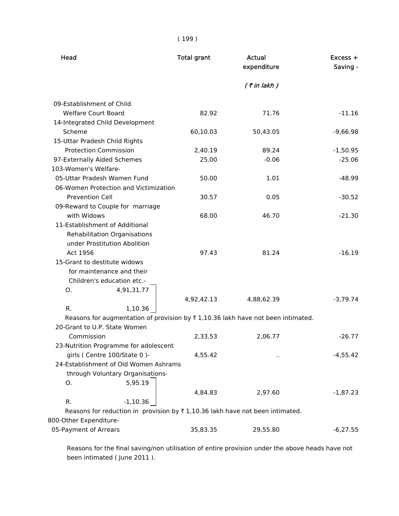| Head                                                                                          | <b>Total grant</b> | Actual<br>expenditure | $Excess +$<br>Saving - |
|-----------------------------------------------------------------------------------------------|--------------------|-----------------------|------------------------|
|                                                                                               |                    | $($ ₹ in lakh)        |                        |
| 09-Establishment of Child                                                                     |                    |                       |                        |
| <b>Welfare Court Board</b>                                                                    | 82.92              | 71.76                 | $-11.16$               |
| 14-Integrated Child Development                                                               |                    |                       |                        |
| Scheme                                                                                        | 60,10.03           | 50,43.05              | $-9,66.98$             |
| 15-Uttar Pradesh Child Rights                                                                 |                    |                       |                        |
| <b>Protection Commission</b>                                                                  | 2,40.19            | 89.24                 | $-1,50.95$             |
| 97-Externally Aided Schemes                                                                   | 25.00              | $-0.06$               | $-25.06$               |
| 103-Women's Welfare-                                                                          |                    |                       |                        |
| 05-Uttar Pradesh Women Fund                                                                   | 50.00              | 1.01                  | $-48.99$               |
| 06-Women Protection and Victimization                                                         |                    |                       |                        |
| <b>Prevention Cell</b>                                                                        | 30.57              | 0.05                  | $-30.52$               |
| 09-Reward to Couple for marriage                                                              |                    |                       |                        |
| with Widows                                                                                   | 68.00              | 46.70                 | $-21.30$               |
| 11-Establishment of Additional                                                                |                    |                       |                        |
| <b>Rehabilitation Organisations</b>                                                           |                    |                       |                        |
| under Prostitution Abolition                                                                  |                    |                       |                        |
| Act 1956                                                                                      | 97.43              | 81.24                 | $-16.19$               |
| 15-Grant to destitute widows                                                                  |                    |                       |                        |
| for maintenance and their                                                                     |                    |                       |                        |
| Children's education etc.-                                                                    |                    |                       |                        |
| 4,91,31.77<br>O.                                                                              |                    |                       |                        |
|                                                                                               | 4,92,42.13         | 4,88,62.39            | $-3,79.74$             |
| R.<br>1,10.36                                                                                 |                    |                       |                        |
| Reasons for augmentation of provision by ₹1,10.36 lakh have not been intimated.               |                    |                       |                        |
| 20-Grant to U.P. State Women                                                                  |                    |                       |                        |
| Commission                                                                                    | 2,33.53            | 2,06.77               | $-26.77$               |
| 23-Nutrition Programme for adolescent                                                         |                    |                       |                        |
| girls (Centre 100/State 0)-                                                                   | 4,55.42            | $\sim$                | $-4,55.42$             |
| 24-Establishment of Old Women Ashrams                                                         |                    |                       |                        |
| through Voluntary Organisations-                                                              |                    |                       |                        |
| O.<br>5,95.19                                                                                 |                    |                       |                        |
|                                                                                               | 4,84.83            | 2,97.60               | $-1,87.23$             |
| R.<br>$-1,10.36$                                                                              |                    |                       |                        |
| Reasons for reduction in provision by $\overline{\tau}$ 1,10.36 lakh have not been intimated. |                    |                       |                        |
| 800-Other Expenditure-                                                                        |                    |                       |                        |
| 05-Payment of Arrears                                                                         | 35,83.35           | 29,55.80              | $-6,27.55$             |

 Reasons for the final saving/non utilisation of entire provision under the above heads have not been intimated ( June 2011 ).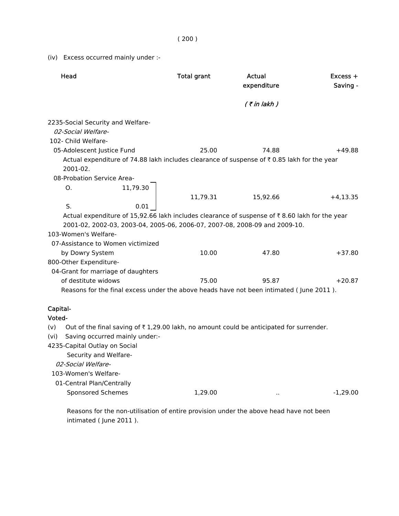(iv) Excess occurred mainly under :-

| Head                                                                                                                                                                                                                                                                                                | <b>Total grant</b> | Actual<br>expenditure | $Excess +$<br>Saving - |
|-----------------------------------------------------------------------------------------------------------------------------------------------------------------------------------------------------------------------------------------------------------------------------------------------------|--------------------|-----------------------|------------------------|
|                                                                                                                                                                                                                                                                                                     |                    | $($ ₹ in lakh $)$     |                        |
| 2235-Social Security and Welfare-<br>02-Social Welfare-<br>102- Child Welfare-                                                                                                                                                                                                                      |                    |                       |                        |
| 05-Adolescent Justice Fund<br>Actual expenditure of 74.88 lakh includes clearance of suspense of ₹0.85 lakh for the year<br>2001-02.<br>08-Probation Service Area-                                                                                                                                  | 25.00              | 74.88                 | $+49.88$               |
| O.<br>11,79.30<br>S.<br>0.01                                                                                                                                                                                                                                                                        | 11,79.31           | 15,92.66              | $+4,13.35$             |
| Actual expenditure of 15,92.66 lakh includes clearance of suspense of ₹8.60 lakh for the year<br>2001-02, 2002-03, 2003-04, 2005-06, 2006-07, 2007-08, 2008-09 and 2009-10.<br>103-Women's Welfare-                                                                                                 |                    |                       |                        |
| 07-Assistance to Women victimized<br>by Dowry System<br>800-Other Expenditure-<br>04-Grant for marriage of daughters                                                                                                                                                                                | 10.00              | 47.80                 | $+37.80$               |
| of destitute widows<br>Reasons for the final excess under the above heads have not been intimated (June 2011).                                                                                                                                                                                      | 75.00              | 95.87                 | $+20.87$               |
| Capital-<br>Voted-<br>Out of the final saving of ₹1,29.00 lakh, no amount could be anticipated for surrender.<br>(v)<br>Saving occurred mainly under:-<br>(vi)<br>4235-Capital Outlay on Social<br>Security and Welfare-<br>02-Social Welfare-<br>103-Women's Welfare-<br>01-Central Plan/Centrally |                    |                       |                        |
| <b>Sponsored Schemes</b>                                                                                                                                                                                                                                                                            | 1,29.00            |                       | $-1,29.00$             |

 Reasons for the non-utilisation of entire provision under the above head have not been intimated ( June 2011 ).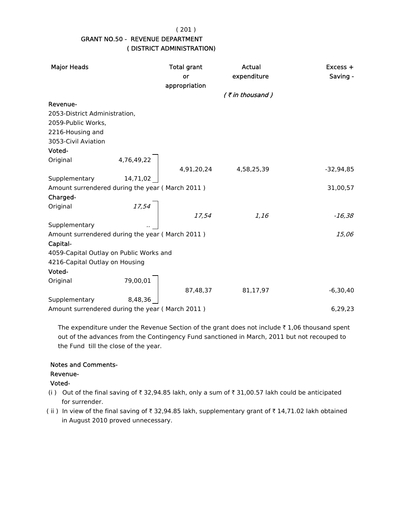( 201 )

# GRANT NO.50 - REVENUE DEPARTMENT ( DISTRICT ADMINISTRATION)

| <b>Major Heads</b>                              |            | <b>Total grant</b><br>or<br>appropriation | Actual<br>expenditure | Excess +<br>Saving - |
|-------------------------------------------------|------------|-------------------------------------------|-----------------------|----------------------|
|                                                 |            |                                           | $($ ₹ in thousand)    |                      |
| Revenue-                                        |            |                                           |                       |                      |
| 2053-District Administration,                   |            |                                           |                       |                      |
| 2059-Public Works,                              |            |                                           |                       |                      |
| 2216-Housing and                                |            |                                           |                       |                      |
| 3053-Civil Aviation                             |            |                                           |                       |                      |
| Voted-                                          |            |                                           |                       |                      |
| Original                                        | 4,76,49,22 |                                           |                       |                      |
|                                                 |            |                                           | 4,91,20,24 4,58,25,39 | $-32,94,85$          |
| Supplementary                                   | 14,71,02   |                                           |                       |                      |
| Amount surrendered during the year (March 2011) |            |                                           |                       | 31,00,57             |
| Charged-                                        |            |                                           |                       |                      |
| Original                                        | 17,54      |                                           |                       |                      |
|                                                 |            | 17,54                                     | 1,16                  | $-16,38$             |
| Supplementary                                   |            |                                           |                       |                      |
| Amount surrendered during the year (March 2011) |            |                                           |                       | 15,06                |
| Capital-                                        |            |                                           |                       |                      |
| 4059-Capital Outlay on Public Works and         |            |                                           |                       |                      |
| 4216-Capital Outlay on Housing                  |            |                                           |                       |                      |
| Voted-                                          |            |                                           |                       |                      |
| Original                                        | 79,00,01   |                                           |                       |                      |
|                                                 |            | 87,48,37                                  | 81,17,97              | $-6,30,40$           |
| Supplementary                                   | 8,48,36    |                                           |                       |                      |
| Amount surrendered during the year (March 2011) |            |                                           |                       | 6,29,23              |

The expenditure under the Revenue Section of the grant does not include  $\bar{\tau}$  1,06 thousand spent out of the advances from the Contingency Fund sanctioned in March, 2011 but not recouped to the Fund till the close of the year.

# Notes and Comments-

# Revenue-

Voted-

- (i ) Out of the final saving of  $\bar{\tau}$  32,94.85 lakh, only a sum of  $\bar{\tau}$  31,00.57 lakh could be anticipated for surrender.
- (ii) In view of the final saving of  $\bar{\tau}$  32,94.85 lakh, supplementary grant of  $\bar{\tau}$  14,71.02 lakh obtained in August 2010 proved unnecessary.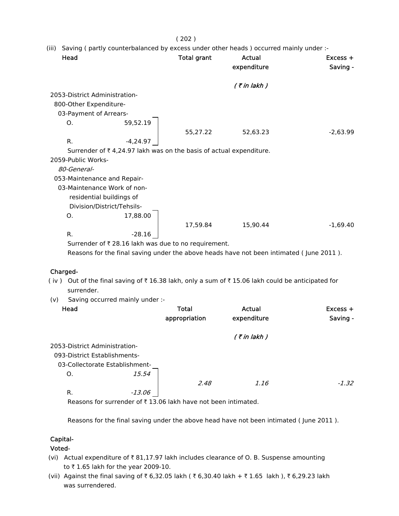#### ( 202 )

(iii) Saving ( partly counterbalanced by excess under other heads ) occurred mainly under :-

| Head                          |                                                                    | <b>Total grant</b> | Actual<br>expenditure | $Excess +$<br>Saving - |
|-------------------------------|--------------------------------------------------------------------|--------------------|-----------------------|------------------------|
|                               |                                                                    |                    | $($ ₹ in lakh $)$     |                        |
| 2053-District Administration- |                                                                    |                    |                       |                        |
| 800-Other Expenditure-        |                                                                    |                    |                       |                        |
| 03-Payment of Arrears-        |                                                                    |                    |                       |                        |
| 0.                            | 59,52.19                                                           |                    |                       |                        |
|                               |                                                                    | 55,27.22           | 52,63.23              | $-2,63.99$             |
| R.                            | $-4,24.97$                                                         |                    |                       |                        |
|                               | Surrender of ₹4,24.97 lakh was on the basis of actual expenditure. |                    |                       |                        |
| 2059-Public Works-            |                                                                    |                    |                       |                        |
| 80-General-                   |                                                                    |                    |                       |                        |
| 053-Maintenance and Repair-   |                                                                    |                    |                       |                        |
| 03-Maintenance Work of non-   |                                                                    |                    |                       |                        |
| residential buildings of      |                                                                    |                    |                       |                        |
| Division/District/Tehsils-    |                                                                    |                    |                       |                        |
| О.                            | 17,88.00                                                           |                    |                       |                        |
|                               |                                                                    | 17,59.84           | 15,90.44              | $-1,69.40$             |
| R.                            | $-28.16$                                                           |                    |                       |                        |
|                               | Surrander of $\overline{z}$ 28.16 lakh was due to no requirement   |                    |                       |                        |

Surrender of  $\bar{\tau}$  28.16 lakh was due to no requirement.

Reasons for the final saving under the above heads have not been intimated ( June 2011 ).

#### Charged-

- ( iv ) Out of the final saving of  $\bar{\tau}$  16.38 lakh, only a sum of  $\bar{\tau}$  15.06 lakh could be anticipated for surrender.
- (v) Saving occurred mainly under :-

| Head                           | <b>Total</b>  | <b>Actual</b>  | $Excess +$ |
|--------------------------------|---------------|----------------|------------|
|                                | appropriation | expenditure    | Saving -   |
|                                |               | $($ ₹ in lakh) |            |
| 2053-District Administration-  |               |                |            |
| 093-District Establishments-   |               |                |            |
| 03-Collectorate Establishment- |               |                |            |
| O.                             | 15.54         |                |            |
|                                | 2.48          | 1.16           | $-1.32$    |
| R.                             | -13.06        |                |            |

Reasons for surrender of  $\bar{\tau}$  13.06 lakh have not been intimated.

Reasons for the final saving under the above head have not been intimated ( June 2011 ).

#### Capital-

Voted-

- (vi) Actual expenditure of  $\bar{\tau}$  81,17.97 lakh includes clearance of O. B. Suspense amounting to  $\bar{\tau}$  1.65 lakh for the year 2009-10.
- (vii) Against the final saving of ₹6,32.05 lakh ( ₹6,30.40 lakh + ₹1.65 lakh ), ₹6,29.23 lakh was surrendered.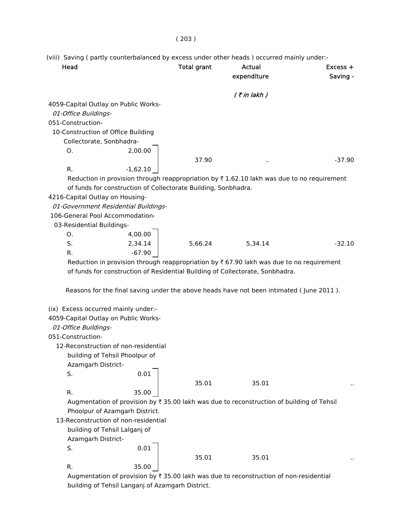(viii) Saving ( partly counterbalanced by excess under other heads ) occurred mainly under:-

| Head                                                                                                                     | <b>Total grant</b> | Actual<br>expenditure | $Excess +$<br>Saving - |
|--------------------------------------------------------------------------------------------------------------------------|--------------------|-----------------------|------------------------|
|                                                                                                                          |                    | $($ ₹ in lakh $)$     |                        |
| 4059-Capital Outlay on Public Works-<br>01-Office Buildings-                                                             |                    |                       |                        |
| 051-Construction-                                                                                                        |                    |                       |                        |
| 10-Construction of Office Building                                                                                       |                    |                       |                        |
| Collectorate, Sonbhadra-                                                                                                 |                    |                       |                        |
| Ο.<br>2,00.00                                                                                                            |                    |                       |                        |
| R.                                                                                                                       | 37.90              |                       | $-37.90$               |
| $-1,62.10$<br>Reduction in provision through reappropriation by $\overline{\tau}$ 1,62.10 lakh was due to no requirement |                    |                       |                        |
| of funds for construction of Collectorate Building, Sonbhadra.                                                           |                    |                       |                        |
| 4216-Capital Outlay on Housing-                                                                                          |                    |                       |                        |
| 01-Government Residential Buildings-                                                                                     |                    |                       |                        |
| 106-General Pool Accommodation-                                                                                          |                    |                       |                        |
| 03-Residential Buildings-                                                                                                |                    |                       |                        |
| 4,00.00<br>Ο.                                                                                                            |                    |                       |                        |
| S.<br>2,34.14                                                                                                            | 5,66.24            | 5,34.14               | $-32.10$               |
| $-67.90$<br>R.                                                                                                           |                    |                       |                        |
| Reduction in provision through reappropriation by $\bar{\tau}$ 67.90 lakh was due to no requirement                      |                    |                       |                        |
| of funds for construction of Residential Building of Collectorate, Sonbhadra.                                            |                    |                       |                        |
|                                                                                                                          |                    |                       |                        |
| Reasons for the final saving under the above heads have not been intimated (June 2011).                                  |                    |                       |                        |
|                                                                                                                          |                    |                       |                        |
| (ix) Excess occurred mainly under:-                                                                                      |                    |                       |                        |
| 4059-Capital Outlay on Public Works-                                                                                     |                    |                       |                        |
| 01-Office Buildings-                                                                                                     |                    |                       |                        |
| 051-Construction-                                                                                                        |                    |                       |                        |
| 12-Reconstruction of non-residential                                                                                     |                    |                       |                        |
| building of Tehsil Phoolpur of                                                                                           |                    |                       |                        |
| Azamgarh District-                                                                                                       |                    |                       |                        |
| 0.01<br>S.                                                                                                               |                    |                       |                        |
|                                                                                                                          | 35.01              | 35.01                 |                        |
| 35.00<br>R.                                                                                                              |                    |                       |                        |
| Augmentation of provision by ₹ 35.00 lakh was due to reconstruction of building of Tehsil                                |                    |                       |                        |
| Phoolpur of Azamgarh District.                                                                                           |                    |                       |                        |
| 13-Reconstruction of non-residential                                                                                     |                    |                       |                        |
| building of Tehsil Lalganj of                                                                                            |                    |                       |                        |
| Azamgarh District-                                                                                                       |                    |                       |                        |
| 0.01<br>S.                                                                                                               |                    |                       |                        |
|                                                                                                                          | 35.01              | 35.01                 |                        |
| R.<br>35.00                                                                                                              |                    |                       |                        |
| Augmentation of provision by ₹ 35.00 lakh was due to reconstruction of non-residential                                   |                    |                       |                        |

building of Tehsil Langanj of Azamgarh District.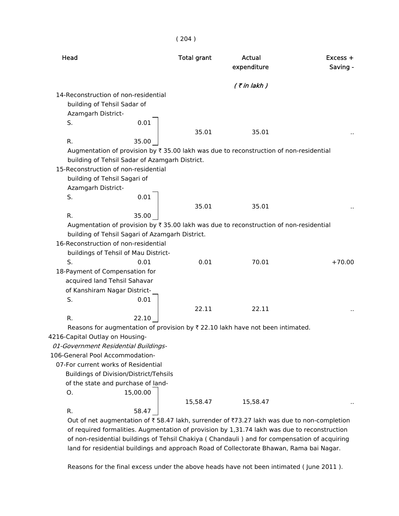| Head                            |                                                 | <b>Total grant</b> | Actual<br>expenditure                                                                          | $Excess +$<br>Saving - |
|---------------------------------|-------------------------------------------------|--------------------|------------------------------------------------------------------------------------------------|------------------------|
|                                 |                                                 |                    | $($ ₹ in lakh)                                                                                 |                        |
|                                 | 14-Reconstruction of non-residential            |                    |                                                                                                |                        |
|                                 | building of Tehsil Sadar of                     |                    |                                                                                                |                        |
| Azamgarh District-              |                                                 |                    |                                                                                                |                        |
| S.                              | 0.01                                            |                    |                                                                                                |                        |
|                                 |                                                 | 35.01              | 35.01                                                                                          |                        |
| R.                              | 35.00                                           |                    |                                                                                                |                        |
|                                 |                                                 |                    | Augmentation of provision by ₹ 35.00 lakh was due to reconstruction of non-residential         |                        |
|                                 | building of Tehsil Sadar of Azamgarh District.  |                    |                                                                                                |                        |
|                                 | 15-Reconstruction of non-residential            |                    |                                                                                                |                        |
|                                 | building of Tehsil Sagari of                    |                    |                                                                                                |                        |
| Azamgarh District-              |                                                 |                    |                                                                                                |                        |
| S.                              | 0.01                                            |                    |                                                                                                |                        |
|                                 |                                                 | 35.01              | 35.01                                                                                          |                        |
| R.                              | 35.00                                           |                    |                                                                                                |                        |
|                                 |                                                 |                    | Augmentation of provision by ₹ 35.00 lakh was due to reconstruction of non-residential         |                        |
|                                 | building of Tehsil Sagari of Azamgarh District. |                    |                                                                                                |                        |
|                                 | 16-Reconstruction of non-residential            |                    |                                                                                                |                        |
|                                 | buildings of Tehsil of Mau District-            |                    |                                                                                                |                        |
| S.                              | 0.01                                            | 0.01               | 70.01                                                                                          | $+70.00$               |
| 18-Payment of Compensation for  |                                                 |                    |                                                                                                |                        |
|                                 | acquired land Tehsil Sahavar                    |                    |                                                                                                |                        |
|                                 | of Kanshiram Nagar District-                    |                    |                                                                                                |                        |
| S.                              | 0.01                                            |                    |                                                                                                |                        |
|                                 |                                                 | 22.11              | 22.11                                                                                          |                        |
| R.                              | 22.10                                           |                    |                                                                                                |                        |
|                                 |                                                 |                    | Reasons for augmentation of provision by $\overline{\tau}$ 22.10 lakh have not been intimated. |                        |
| 4216-Capital Outlay on Housing- |                                                 |                    |                                                                                                |                        |
|                                 | 01-Government Residential Buildings-            |                    |                                                                                                |                        |
| 106-General Pool Accommodation- |                                                 |                    |                                                                                                |                        |
|                                 | 07-For current works of Residential             |                    |                                                                                                |                        |
|                                 | <b>Buildings of Division/District/Tehsils</b>   |                    |                                                                                                |                        |
|                                 | of the state and purchase of land-              |                    |                                                                                                |                        |
| Ο.                              | 15,00.00                                        |                    |                                                                                                |                        |
|                                 |                                                 | 15,58.47           | 15,58.47                                                                                       |                        |
| R.                              | 58.47                                           |                    |                                                                                                |                        |
|                                 |                                                 |                    | Out of net augmentation of ₹ 58.47 lakh, surrender of ₹73.27 lakh was due to non-completion    |                        |

( 204 )

 of required formalities. Augmentation of provision by 1,31.74 lakh was due to reconstruction of non-residential buildings of Tehsil Chakiya ( Chandauli ) and for compensation of acquiring land for residential buildings and approach Road of Collectorate Bhawan, Rama bai Nagar.

Reasons for the final excess under the above heads have not been intimated ( June 2011 ).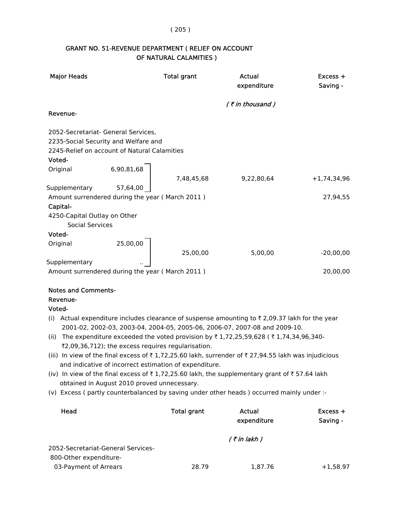# GRANT NO. 51-REVENUE DEPARTMENT ( RELIEF ON ACCOUNT OF NATURAL CALAMITIES )

| <b>Major Heads</b>                       |                                                    | <b>Total grant</b>                                     | Actual<br>expenditure                                                                                                          | Excess +<br>Saving - |
|------------------------------------------|----------------------------------------------------|--------------------------------------------------------|--------------------------------------------------------------------------------------------------------------------------------|----------------------|
|                                          |                                                    |                                                        | (₹in thousand)                                                                                                                 |                      |
| Revenue-                                 |                                                    |                                                        |                                                                                                                                |                      |
|                                          | 2052-Secretariat- General Services,                |                                                        |                                                                                                                                |                      |
|                                          | 2235-Social Security and Welfare and               |                                                        |                                                                                                                                |                      |
|                                          | 2245-Relief on account of Natural Calamities       |                                                        |                                                                                                                                |                      |
| Voted-                                   |                                                    |                                                        |                                                                                                                                |                      |
| Original                                 | 6,90,81,68                                         |                                                        |                                                                                                                                |                      |
|                                          |                                                    | 7,48,45,68                                             | 9,22,80,64                                                                                                                     | $+1,74,34,96$        |
| Supplementary                            | 57,64,00                                           |                                                        |                                                                                                                                |                      |
|                                          | Amount surrendered during the year (March 2011)    |                                                        |                                                                                                                                | 27,94,55             |
| Capital-<br>4250-Capital Outlay on Other |                                                    |                                                        |                                                                                                                                |                      |
| <b>Social Services</b>                   |                                                    |                                                        |                                                                                                                                |                      |
| Voted-                                   |                                                    |                                                        |                                                                                                                                |                      |
| Original                                 | 25,00,00                                           |                                                        |                                                                                                                                |                      |
|                                          |                                                    | 25,00,00                                               | 5,00,00                                                                                                                        | $-20,00,00$          |
| Supplementary                            |                                                    |                                                        |                                                                                                                                |                      |
|                                          | Amount surrendered during the year (March 2011)    |                                                        |                                                                                                                                | 20,00,00             |
| <b>Notes and Comments-</b>               |                                                    |                                                        |                                                                                                                                |                      |
| Revenue-                                 |                                                    |                                                        |                                                                                                                                |                      |
| Voted-                                   |                                                    |                                                        |                                                                                                                                |                      |
|                                          |                                                    |                                                        | (i) Actual expenditure includes clearance of suspense amounting to ₹2,09.37 lakh for the year                                  |                      |
|                                          |                                                    |                                                        | 2001-02, 2002-03, 2003-04, 2004-05, 2005-06, 2006-07, 2007-08 and 2009-10.                                                     |                      |
| (ii)                                     |                                                    |                                                        | The expenditure exceeded the voted provision by $\overline{\tau}$ 1,72,25,59,628 ( $\overline{\tau}$ 1,74,34,96,340-           |                      |
|                                          | ₹2,09,36,712); the excess requires regularisation. |                                                        | (iii) In view of the final excess of ₹1,72,25.60 lakh, surrender of ₹27,94.55 lakh was injudicious                             |                      |
|                                          |                                                    | and indicative of incorrect estimation of expenditure. |                                                                                                                                |                      |
|                                          |                                                    |                                                        | (iv) In view of the final excess of $\overline{\tau}$ 1,72,25.60 lakh, the supplementary grant of $\overline{\tau}$ 57.64 lakh |                      |
|                                          | obtained in August 2010 proved unnecessary.        |                                                        |                                                                                                                                |                      |
|                                          |                                                    |                                                        | (v) Excess (partly counterbalanced by saving under other heads) occurred mainly under :-                                       |                      |
| Head                                     |                                                    | <b>Total grant</b>                                     | Actual                                                                                                                         | Excess +             |
|                                          |                                                    |                                                        | expenditure                                                                                                                    | Saving -             |
|                                          |                                                    |                                                        | $($ ₹ in lakh $)$                                                                                                              |                      |

 2052-Secretariat-General Services- 800-Other expenditure-

03-Payment of Arrears 28.79 1,87.76 +1,58.97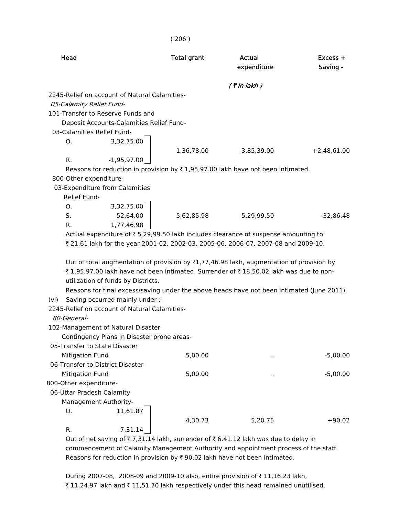|      | Head                             |                                               | <b>Total grant</b> | Actual                                                                                              | $Excess +$    |
|------|----------------------------------|-----------------------------------------------|--------------------|-----------------------------------------------------------------------------------------------------|---------------|
|      |                                  |                                               |                    | expenditure                                                                                         | Saving -      |
|      |                                  |                                               |                    | $($ ₹ in lakh $)$                                                                                   |               |
|      |                                  | 2245-Relief on account of Natural Calamities- |                    |                                                                                                     |               |
|      | 05-Calamity Relief Fund-         |                                               |                    |                                                                                                     |               |
|      |                                  | 101-Transfer to Reserve Funds and             |                    |                                                                                                     |               |
|      |                                  | Deposit Accounts-Calamities Relief Fund-      |                    |                                                                                                     |               |
|      | 03-Calamities Relief Fund-       |                                               |                    |                                                                                                     |               |
|      | O.                               | 3,32,75.00                                    |                    |                                                                                                     |               |
|      |                                  |                                               | 1,36,78.00         | 3,85,39.00                                                                                          | $+2,48,61.00$ |
|      | R.                               | $-1,95,97.00$                                 |                    |                                                                                                     |               |
|      |                                  |                                               |                    | Reasons for reduction in provision by $\overline{\tau}$ 1,95,97.00 lakh have not been intimated.    |               |
|      | 800-Other expenditure-           |                                               |                    |                                                                                                     |               |
|      | 03-Expenditure from Calamities   |                                               |                    |                                                                                                     |               |
|      | Relief Fund-                     |                                               |                    |                                                                                                     |               |
|      | O.                               | 3,32,75.00                                    |                    |                                                                                                     |               |
|      | S.                               | 52,64.00                                      | 5,62,85.98         | 5,29,99.50                                                                                          | $-32,86.48$   |
|      | R.                               | 1,77,46.98                                    |                    |                                                                                                     |               |
|      |                                  |                                               |                    | Actual expenditure of ₹5,29,99.50 lakh includes clearance of suspense amounting to                  |               |
|      |                                  |                                               |                    | ₹ 21.61 lakh for the year 2001-02, 2002-03, 2005-06, 2006-07, 2007-08 and 2009-10.                  |               |
|      |                                  |                                               |                    |                                                                                                     |               |
|      |                                  |                                               |                    | Out of total augmentation of provision by $\bar{\tau}1,77,46.98$ lakh, augmentation of provision by |               |
|      |                                  |                                               |                    | ₹ 1,95,97.00 lakh have not been intimated. Surrender of ₹ 18,50.02 lakh was due to non-             |               |
|      |                                  | utilization of funds by Districts.            |                    |                                                                                                     |               |
|      |                                  |                                               |                    | Reasons for final excess/saving under the above heads have not been intimated (June 2011).          |               |
| (vi) |                                  | Saving occurred mainly under :-               |                    |                                                                                                     |               |
|      |                                  | 2245-Relief on account of Natural Calamities- |                    |                                                                                                     |               |
|      | 80-General-                      |                                               |                    |                                                                                                     |               |
|      |                                  | 102-Management of Natural Disaster            |                    |                                                                                                     |               |
|      |                                  | Contingency Plans in Disaster prone areas-    |                    |                                                                                                     |               |
|      | 05-Transfer to State Disaster    |                                               |                    |                                                                                                     |               |
|      | <b>Mitigation Fund</b>           |                                               | 5,00.00            | $\ddot{\phantom{a}}$                                                                                | $-5,00.00$    |
|      | 06-Transfer to District Disaster |                                               |                    |                                                                                                     |               |
|      | <b>Mitigation Fund</b>           |                                               | 5,00.00            | $\ddot{\phantom{1}}$                                                                                | $-5,00.00$    |
|      | 800-Other expenditure-           |                                               |                    |                                                                                                     |               |
|      | 06-Uttar Pradesh Calamity        |                                               |                    |                                                                                                     |               |
|      | Management Authority-            |                                               |                    |                                                                                                     |               |
|      | O.                               | 11,61.87                                      |                    |                                                                                                     |               |
|      |                                  |                                               | 4,30.73            | 5,20.75                                                                                             | $+90.02$      |
|      | R.                               | $-7,31.14$                                    |                    |                                                                                                     |               |

( 206 )

Out of net saving of  $\bar{\tau}$  7,31.14 lakh, surrender of  $\bar{\tau}$  6,41.12 lakh was due to delay in commencement of Calamity Management Authority and appointment process of the staff. Reasons for reduction in provision by  $\bar{\tau}$  90.02 lakh have not been intimated.

During 2007-08, 2008-09 and 2009-10 also, entire provision of ₹11,16.23 lakh, ₹ 11,24.97 lakh and ₹ 11,51.70 lakh respectively under this head remained unutilised.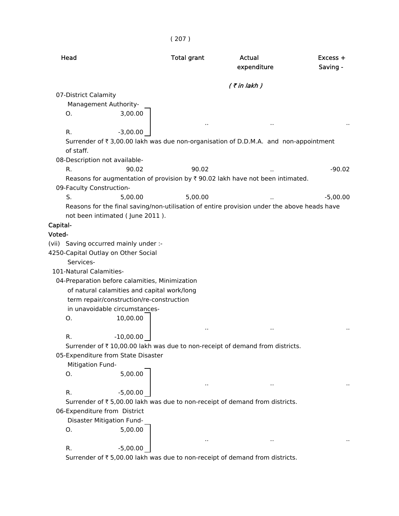```
( 207 )
```

| Head                     |                                                | <b>Total grant</b>   | Actual<br>expenditure                                                                       | $Excess +$<br>Saving - |
|--------------------------|------------------------------------------------|----------------------|---------------------------------------------------------------------------------------------|------------------------|
|                          |                                                |                      | $($ ₹ in lakh $)$                                                                           |                        |
| 07-District Calamity     |                                                |                      |                                                                                             |                        |
|                          | Management Authority-                          |                      |                                                                                             |                        |
| О.                       | 3,00.00                                        |                      |                                                                                             |                        |
|                          |                                                | $\sim$               | $\sim$                                                                                      |                        |
| R.                       | $-3,00.00$                                     |                      |                                                                                             |                        |
| of staff.                |                                                |                      | Surrender of ₹ 3,00.00 lakh was due non-organisation of D.D.M.A. and non-appointment        |                        |
|                          | 08-Description not available-                  |                      |                                                                                             |                        |
| R.                       | 90.02                                          | 90.02                |                                                                                             | $-90.02$               |
| 09-Faculty Construction- |                                                |                      | Reasons for augmentation of provision by ₹ 90.02 lakh have not been intimated.              |                        |
| S.                       | 5,00.00                                        | 5,00.00              |                                                                                             | $-5,00.00$             |
|                          |                                                |                      | Reasons for the final saving/non-utilisation of entire provision under the above heads have |                        |
|                          | not been intimated (June 2011).                |                      |                                                                                             |                        |
| Capital-                 |                                                |                      |                                                                                             |                        |
| Voted-                   |                                                |                      |                                                                                             |                        |
|                          | (vii) Saving occurred mainly under :-          |                      |                                                                                             |                        |
|                          | 4250-Capital Outlay on Other Social            |                      |                                                                                             |                        |
| Services-                |                                                |                      |                                                                                             |                        |
| 101-Natural Calamities-  |                                                |                      |                                                                                             |                        |
|                          | 04-Preparation before calamities, Minimization |                      |                                                                                             |                        |
|                          | of natural calamities and capital work/long    |                      |                                                                                             |                        |
|                          | term repair/construction/re-construction       |                      |                                                                                             |                        |
|                          | in unavoidable circumstances-                  |                      |                                                                                             |                        |
| O.                       | 10,00.00                                       |                      |                                                                                             |                        |
|                          |                                                |                      |                                                                                             |                        |
| R.                       | $-10,00.00$                                    |                      |                                                                                             |                        |
|                          | 05-Expenditure from State Disaster             |                      | Surrender of ₹10,00.00 lakh was due to non-receipt of demand from districts.                |                        |
| Mitigation Fund-         |                                                |                      |                                                                                             |                        |
| О.                       | 5,00.00                                        |                      |                                                                                             |                        |
|                          |                                                |                      |                                                                                             |                        |
| R.                       | $-5,00.00$                                     |                      | $\ddot{\phantom{1}}$                                                                        |                        |
|                          |                                                |                      | Surrender of ₹ 5,00.00 lakh was due to non-receipt of demand from districts.                |                        |
|                          | 06-Expenditure from District                   |                      |                                                                                             |                        |
|                          | Disaster Mitigation Fund-                      |                      |                                                                                             |                        |
| Ο.                       | 5,00.00                                        |                      |                                                                                             |                        |
|                          |                                                | $\ddot{\phantom{1}}$ | $\ddot{\phantom{1}}$                                                                        |                        |
| R.                       | $-5,00.00$                                     |                      |                                                                                             |                        |
|                          |                                                |                      | Surrender of ₹ 5,00.00 lakh was due to non-receipt of demand from districts.                |                        |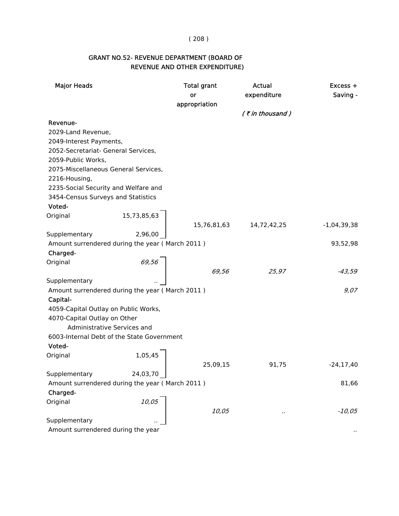#### ( 208 )

# GRANT NO.52- REVENUE DEPARTMENT (BOARD OF REVENUE AND OTHER EXPENDITURE)

| <b>Major Heads</b>                              |             | <b>Total grant</b><br>or<br>appropriation | Actual<br>expenditure | Excess +<br>Saving - |
|-------------------------------------------------|-------------|-------------------------------------------|-----------------------|----------------------|
|                                                 |             |                                           | $($ ₹ in thousand)    |                      |
| Revenue-                                        |             |                                           |                       |                      |
| 2029-Land Revenue,                              |             |                                           |                       |                      |
| 2049-Interest Payments,                         |             |                                           |                       |                      |
| 2052-Secretariat- General Services,             |             |                                           |                       |                      |
| 2059-Public Works,                              |             |                                           |                       |                      |
| 2075-Miscellaneous General Services,            |             |                                           |                       |                      |
| 2216-Housing,                                   |             |                                           |                       |                      |
| 2235-Social Security and Welfare and            |             |                                           |                       |                      |
| 3454-Census Surveys and Statistics              |             |                                           |                       |                      |
| Voted-                                          |             |                                           |                       |                      |
| Original                                        | 15,73,85,63 |                                           |                       |                      |
|                                                 |             | 15,76,81,63                               | 14,72,42,25           | $-1,04,39,38$        |
| Supplementary                                   | 2,96,00     |                                           |                       |                      |
| Amount surrendered during the year (March 2011) |             |                                           |                       | 93,52,98             |
| Charged-                                        |             |                                           |                       |                      |
| Original                                        | 69,56       |                                           |                       |                      |
|                                                 |             | 69,56                                     | 25,97                 | -43,59               |
| Supplementary                                   |             |                                           |                       |                      |
| Amount surrendered during the year (March 2011) |             |                                           |                       | 9,07                 |
| Capital-                                        |             |                                           |                       |                      |
| 4059-Capital Outlay on Public Works,            |             |                                           |                       |                      |
| 4070-Capital Outlay on Other                    |             |                                           |                       |                      |
| Administrative Services and                     |             |                                           |                       |                      |
| 6003-Internal Debt of the State Government      |             |                                           |                       |                      |
| Voted-                                          |             |                                           |                       |                      |
| Original                                        | 1,05,45     |                                           |                       |                      |
|                                                 |             | 25,09,15                                  | 91,75                 | $-24, 17, 40$        |
| Supplementary                                   | 24,03,70    |                                           |                       |                      |
| Amount surrendered during the year (March 2011) |             |                                           |                       | 81,66                |
| Charged-                                        |             |                                           |                       |                      |
| Original                                        | 10,05       |                                           |                       |                      |
|                                                 |             | 10,05                                     |                       | $-10,05$             |
| Supplementary                                   |             |                                           |                       |                      |
| Amount surrendered during the year              |             |                                           |                       |                      |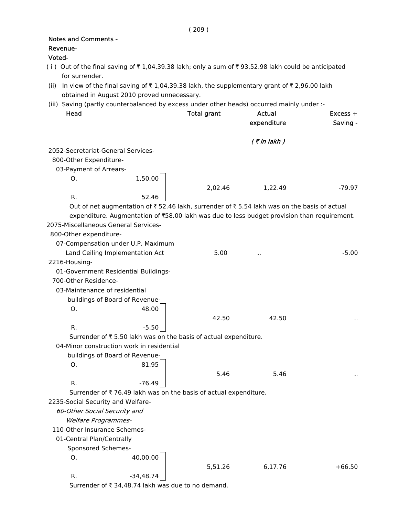|          | <b>Notes and Comments -</b>                                  |             |                                                                  |                                                                                                    |            |
|----------|--------------------------------------------------------------|-------------|------------------------------------------------------------------|----------------------------------------------------------------------------------------------------|------------|
| Revenue- |                                                              |             |                                                                  |                                                                                                    |            |
| Voted-   |                                                              |             |                                                                  |                                                                                                    |            |
|          | for surrender.                                               |             |                                                                  | (i) Out of the final saving of ₹1,04,39.38 lakh; only a sum of ₹93,52.98 lakh could be anticipated |            |
| (ii)     |                                                              |             |                                                                  | In view of the final saving of ₹1,04,39.38 lakh, the supplementary grant of ₹2,96.00 lakh          |            |
|          | obtained in August 2010 proved unnecessary.                  |             |                                                                  |                                                                                                    |            |
|          |                                                              |             |                                                                  | (iii) Saving (partly counterbalanced by excess under other heads) occurred mainly under :-         |            |
|          | Head                                                         |             | <b>Total grant</b>                                               | <b>Actual</b>                                                                                      | $Excess +$ |
|          |                                                              |             |                                                                  | expenditure                                                                                        | Saving -   |
|          |                                                              |             |                                                                  | $($ ₹ in lakh $)$                                                                                  |            |
|          | 2052-Secretariat-General Services-                           |             |                                                                  |                                                                                                    |            |
|          | 800-Other Expenditure-                                       |             |                                                                  |                                                                                                    |            |
|          | 03-Payment of Arrears-                                       |             |                                                                  |                                                                                                    |            |
|          | O.                                                           | 1,50.00     |                                                                  |                                                                                                    |            |
|          |                                                              |             | 2,02.46                                                          | 1,22.49                                                                                            | -79.97     |
|          | R.                                                           | 52.46       |                                                                  |                                                                                                    |            |
|          |                                                              |             |                                                                  | Out of net augmentation of ₹52.46 lakh, surrender of ₹5.54 lakh was on the basis of actual         |            |
|          |                                                              |             |                                                                  | expenditure. Augmentation of ₹58.00 lakh was due to less budget provision than requirement.        |            |
|          | 2075-Miscellaneous General Services-                         |             |                                                                  |                                                                                                    |            |
|          | 800-Other expenditure-                                       |             |                                                                  |                                                                                                    |            |
|          | 07-Compensation under U.P. Maximum                           |             |                                                                  |                                                                                                    |            |
|          | Land Ceiling Implementation Act                              |             | 5.00                                                             |                                                                                                    | $-5.00$    |
|          | 2216-Housing-                                                |             |                                                                  |                                                                                                    |            |
|          |                                                              |             |                                                                  |                                                                                                    |            |
|          | 01-Government Residential Buildings-<br>700-Other Residence- |             |                                                                  |                                                                                                    |            |
|          |                                                              |             |                                                                  |                                                                                                    |            |
|          | 03-Maintenance of residential                                |             |                                                                  |                                                                                                    |            |
|          | buildings of Board of Revenue-                               |             |                                                                  |                                                                                                    |            |
|          | Ο.                                                           | 48.00       |                                                                  |                                                                                                    |            |
|          |                                                              |             | 42.50                                                            | 42.50                                                                                              |            |
|          | R.                                                           | $-5.50$     |                                                                  |                                                                                                    |            |
|          |                                                              |             | Surrender of ₹ 5.50 lakh was on the basis of actual expenditure. |                                                                                                    |            |
|          | 04-Minor construction work in residential                    |             |                                                                  |                                                                                                    |            |
|          | buildings of Board of Revenue-                               |             |                                                                  |                                                                                                    |            |
|          | 0.                                                           | 81.95       |                                                                  |                                                                                                    |            |
|          |                                                              |             | 5.46                                                             | 5.46                                                                                               |            |
|          | R.                                                           | $-76.49$    |                                                                  |                                                                                                    |            |
|          |                                                              |             | Surrender of ₹76.49 lakh was on the basis of actual expenditure. |                                                                                                    |            |
|          | 2235-Social Security and Welfare-                            |             |                                                                  |                                                                                                    |            |
|          | 60-Other Social Security and                                 |             |                                                                  |                                                                                                    |            |
|          | <b>Welfare Programmes-</b>                                   |             |                                                                  |                                                                                                    |            |
|          | 110-Other Insurance Schemes-                                 |             |                                                                  |                                                                                                    |            |
|          | 01-Central Plan/Centrally                                    |             |                                                                  |                                                                                                    |            |
|          | Sponsored Schemes-                                           |             |                                                                  |                                                                                                    |            |
|          | О.                                                           | 40,00.00    |                                                                  |                                                                                                    |            |
|          |                                                              |             | 5,51.26                                                          | 6,17.76                                                                                            | $+66.50$   |
|          | R.                                                           | $-34,48.74$ |                                                                  |                                                                                                    |            |

Surrender of  $\bar{\tau}$  34,48.74 lakh was due to no demand.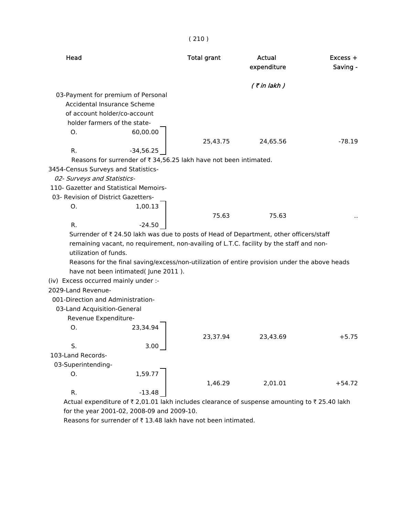|                                        |                                     | (210)                                                             |                                                                                               |                      |
|----------------------------------------|-------------------------------------|-------------------------------------------------------------------|-----------------------------------------------------------------------------------------------|----------------------|
| Head                                   |                                     | <b>Total grant</b>                                                | Actual<br>expenditure                                                                         | Excess +<br>Saving - |
|                                        |                                     |                                                                   | $($ ₹ in lakh $)$                                                                             |                      |
| 03-Payment for premium of Personal     |                                     |                                                                   |                                                                                               |                      |
| Accidental Insurance Scheme            |                                     |                                                                   |                                                                                               |                      |
| of account holder/co-account           |                                     |                                                                   |                                                                                               |                      |
| holder farmers of the state-           |                                     |                                                                   |                                                                                               |                      |
| O.                                     | 60,00.00                            |                                                                   |                                                                                               |                      |
|                                        |                                     | 25,43.75                                                          | 24,65.56                                                                                      | $-78.19$             |
| R.                                     | $-34,56.25$                         |                                                                   |                                                                                               |                      |
|                                        |                                     | Reasons for surrender of ₹ 34,56.25 lakh have not been intimated. |                                                                                               |                      |
| 3454-Census Surveys and Statistics-    |                                     |                                                                   |                                                                                               |                      |
| 02- Surveys and Statistics-            |                                     |                                                                   |                                                                                               |                      |
| 110- Gazetter and Statistical Memoirs- |                                     |                                                                   |                                                                                               |                      |
| 03- Revision of District Gazetters-    |                                     |                                                                   |                                                                                               |                      |
| О.                                     | 1,00.13                             |                                                                   |                                                                                               |                      |
|                                        |                                     | 75.63                                                             | 75.63                                                                                         |                      |
| R.                                     | $-24.50$                            |                                                                   |                                                                                               |                      |
|                                        |                                     |                                                                   | Surrender of ₹ 24.50 lakh was due to posts of Head of Department, other officers/staff        |                      |
| utilization of funds.                  |                                     |                                                                   | remaining vacant, no requirement, non-availing of L.T.C. facility by the staff and non-       |                      |
|                                        |                                     |                                                                   | Reasons for the final saving/excess/non-utilization of entire provision under the above heads |                      |
|                                        | have not been intimated(June 2011). |                                                                   |                                                                                               |                      |
| (iv) Excess occurred mainly under :-   |                                     |                                                                   |                                                                                               |                      |
| 2029-Land Revenue-                     |                                     |                                                                   |                                                                                               |                      |
| 001-Direction and Administration-      |                                     |                                                                   |                                                                                               |                      |
| 03-Land Acquisition-General            |                                     |                                                                   |                                                                                               |                      |
| Revenue Expenditure-                   |                                     |                                                                   |                                                                                               |                      |
| O.                                     | 23,34.94                            |                                                                   |                                                                                               |                      |
|                                        |                                     | 23,37.94                                                          | 23,43.69                                                                                      | $+5.75$              |
| S.                                     | 3.00                                |                                                                   |                                                                                               |                      |
| 103-Land Records-                      |                                     |                                                                   |                                                                                               |                      |
| 03-Superintending-                     |                                     |                                                                   |                                                                                               |                      |
| О.                                     | 1,59.77                             |                                                                   |                                                                                               |                      |
|                                        |                                     | 1,46.29                                                           | 2,01.01                                                                                       | $+54.72$             |
| R.                                     | $-13.48$                            |                                                                   |                                                                                               |                      |
|                                        |                                     |                                                                   | Actual expenditure of ₹ 2,01.01 lakh includes clearance of suspense amounting to ₹ 25.40 lakh |                      |

for the year 2001-02, 2008-09 and 2009-10.

Reasons for surrender of  $\bar{\tau}$  13.48 lakh have not been intimated.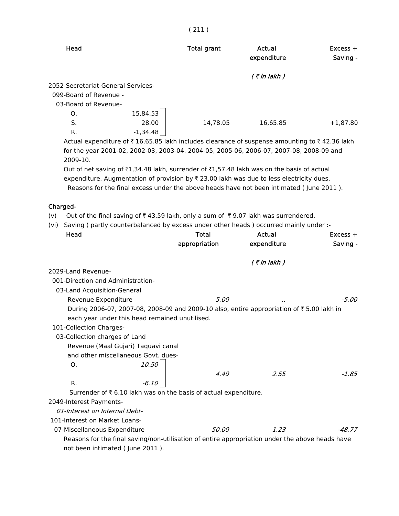|                                                                                                                                                                                                                                                                                  | (211)                         |                              |                        |
|----------------------------------------------------------------------------------------------------------------------------------------------------------------------------------------------------------------------------------------------------------------------------------|-------------------------------|------------------------------|------------------------|
| Head                                                                                                                                                                                                                                                                             | <b>Total grant</b>            | <b>Actual</b><br>expenditure | $Excess +$<br>Saving - |
|                                                                                                                                                                                                                                                                                  |                               | $($ ₹ in lakh $)$            |                        |
| 2052-Secretariat-General Services-<br>099-Board of Revenue -<br>03-Board of Revenue-                                                                                                                                                                                             |                               |                              |                        |
| 15,84.53<br>O.<br>S.<br>28.00<br>$-1,34.48$<br>R.                                                                                                                                                                                                                                | 14,78.05                      | 16,65.85                     | $+1,87.80$             |
| Actual expenditure of ₹16,65.85 lakh includes clearance of suspense amounting to ₹42.36 lakh<br>for the year 2001-02, 2002-03, 2003-04. 2004-05, 2005-06, 2006-07, 2007-08, 2008-09 and<br>2009-10.                                                                              |                               |                              |                        |
| Out of net saving of ₹1,34.48 lakh, surrender of ₹1,57.48 lakh was on the basis of actual<br>expenditure. Augmentation of provision by ₹ 23.00 lakh was due to less electricity dues.<br>Reasons for the final excess under the above heads have not been intimated (June 2011). |                               |                              |                        |
| Charged-                                                                                                                                                                                                                                                                         |                               |                              |                        |
| Out of the final saving of $\overline{\tau}$ 43.59 lakh, only a sum of $\overline{\tau}$ 9.07 lakh was surrendered.<br>(v)                                                                                                                                                       |                               |                              |                        |
| Saving (partly counterbalanced by excess under other heads) occurred mainly under :-<br>(vi)                                                                                                                                                                                     |                               |                              |                        |
| Head                                                                                                                                                                                                                                                                             | <b>Total</b><br>appropriation | <b>Actual</b><br>expenditure | $Excess +$<br>Saving - |
|                                                                                                                                                                                                                                                                                  |                               |                              |                        |
|                                                                                                                                                                                                                                                                                  |                               | $($ ₹ in lakh)               |                        |
| 2029-Land Revenue-<br>001-Direction and Administration-                                                                                                                                                                                                                          |                               |                              |                        |
| 03-Land Acquisition-General                                                                                                                                                                                                                                                      |                               |                              |                        |
| Revenue Expenditure                                                                                                                                                                                                                                                              | 5.00                          |                              | $-5.00$                |
| During 2006-07, 2007-08, 2008-09 and 2009-10 also, entire appropriation of ₹5.00 lakh in                                                                                                                                                                                         |                               |                              |                        |
| each year under this head remained unutilised.                                                                                                                                                                                                                                   |                               |                              |                        |
| 101-Collection Charges-                                                                                                                                                                                                                                                          |                               |                              |                        |
| 03-Collection charges of Land                                                                                                                                                                                                                                                    |                               |                              |                        |
| Revenue (Maal Gujari) Taquavi canal<br>and other miscellaneous Govt. dues-                                                                                                                                                                                                       |                               |                              |                        |
| 10.50<br>O <sub>r</sub>                                                                                                                                                                                                                                                          |                               |                              |                        |
|                                                                                                                                                                                                                                                                                  | 4.40                          | 2.55                         | $-1.85$                |
| R.<br>$-6.10$                                                                                                                                                                                                                                                                    |                               |                              |                        |
| Surrender of ₹ 6.10 lakh was on the basis of actual expenditure.                                                                                                                                                                                                                 |                               |                              |                        |
| 2049-Interest Payments-                                                                                                                                                                                                                                                          |                               |                              |                        |
| 01-Interest on Internal Debt-                                                                                                                                                                                                                                                    |                               |                              |                        |
| 101-Interest on Market Loans-                                                                                                                                                                                                                                                    |                               |                              |                        |
| 07-Miscellaneous Expenditure                                                                                                                                                                                                                                                     | 50.00                         | 1.23                         | -48.77                 |
| Reasons for the final saving/non-utilisation of entire appropriation under the above heads have<br>not been intimated (June 2011).                                                                                                                                               |                               |                              |                        |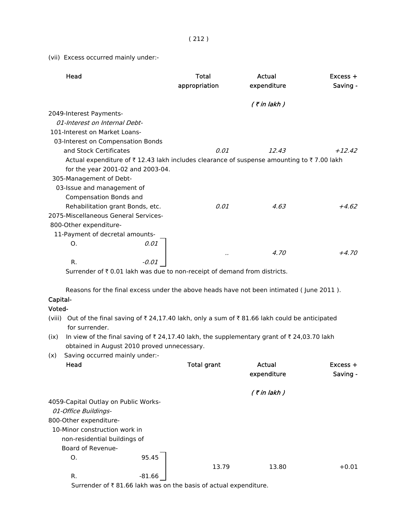(vii) Excess occurred mainly under:-

|          | Head                                                                                      |          | <b>Total</b><br>appropriation | Actual<br>expenditure | Excess +<br>Saving - |
|----------|-------------------------------------------------------------------------------------------|----------|-------------------------------|-----------------------|----------------------|
|          |                                                                                           |          |                               | $($ ₹ in lakh)        |                      |
|          | 2049-Interest Payments-                                                                   |          |                               |                       |                      |
|          | 01-Interest on Internal Debt-                                                             |          |                               |                       |                      |
|          | 101-Interest on Market Loans-                                                             |          |                               |                       |                      |
|          | 03-Interest on Compensation Bonds                                                         |          |                               |                       |                      |
|          | and Stock Certificates                                                                    |          | 0.01                          | 12.43                 | $+12.42$             |
|          | Actual expenditure of ₹12.43 lakh includes clearance of suspense amounting to ₹7.00 lakh  |          |                               |                       |                      |
|          | for the year 2001-02 and 2003-04.                                                         |          |                               |                       |                      |
|          | 305-Management of Debt-                                                                   |          |                               |                       |                      |
|          | 03-Issue and management of                                                                |          |                               |                       |                      |
|          | Compensation Bonds and                                                                    |          |                               |                       |                      |
|          | Rehabilitation grant Bonds, etc.                                                          |          | 0.01                          | 4.63                  | $+4.62$              |
|          | 2075-Miscellaneous General Services-                                                      |          |                               |                       |                      |
|          | 800-Other expenditure-                                                                    |          |                               |                       |                      |
|          | 11-Payment of decretal amounts-                                                           |          |                               |                       |                      |
|          | Ο.                                                                                        | 0.01     |                               |                       |                      |
|          |                                                                                           |          | $\cdot$                       | 4.70                  | $+4.70$              |
|          | R.                                                                                        | $-0.01$  |                               |                       |                      |
|          | Surrender of ₹ 0.01 lakh was due to non-receipt of demand from districts.                 |          |                               |                       |                      |
|          | Reasons for the final excess under the above heads have not been intimated (June 2011).   |          |                               |                       |                      |
| Capital- |                                                                                           |          |                               |                       |                      |
| Voted-   |                                                                                           |          |                               |                       |                      |
| (viii)   | Out of the final saving of ₹24,17.40 lakh, only a sum of ₹81.66 lakh could be anticipated |          |                               |                       |                      |
|          | for surrender.                                                                            |          |                               |                       |                      |
| (ix)     | In view of the final saving of ₹24,17.40 lakh, the supplementary grant of ₹24,03.70 lakh  |          |                               |                       |                      |
|          | obtained in August 2010 proved unnecessary.                                               |          |                               |                       |                      |
| (x)      | Saving occurred mainly under:-                                                            |          |                               |                       |                      |
|          | Head                                                                                      |          | <b>Total grant</b>            | <b>Actual</b>         | Excess +             |
|          |                                                                                           |          |                               | expenditure           | Saving -             |
|          |                                                                                           |          |                               |                       |                      |
|          |                                                                                           |          |                               | $($ ₹ in lakh)        |                      |
|          | 4059-Capital Outlay on Public Works-                                                      |          |                               |                       |                      |
|          | 01-Office Buildings-                                                                      |          |                               |                       |                      |
|          | 800-Other expenditure-                                                                    |          |                               |                       |                      |
|          | 10-Minor construction work in                                                             |          |                               |                       |                      |
|          | non-residential buildings of                                                              |          |                               |                       |                      |
|          | Board of Revenue-                                                                         |          |                               |                       |                      |
|          | Ο.                                                                                        | 95.45    |                               |                       |                      |
|          |                                                                                           |          | 13.79                         | 13.80                 | $+0.01$              |
|          | R.                                                                                        | $-81.66$ |                               |                       |                      |

Surrender of  $\bar{\tau}$  81.66 lakh was on the basis of actual expenditure.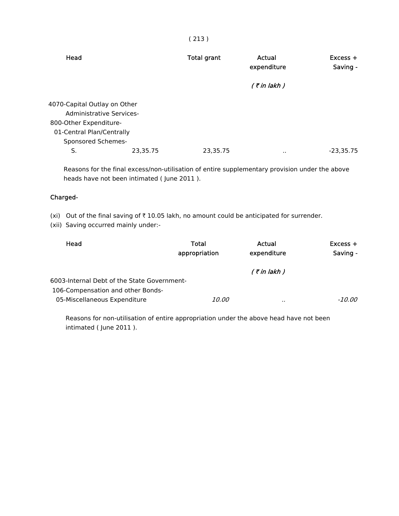|   | ×<br>٠ |   |
|---|--------|---|
| × |        | × |

| Head                                                                                                                                  |          | <b>Total grant</b> | Actual<br>expenditure | $Excess +$<br>Saving - |
|---------------------------------------------------------------------------------------------------------------------------------------|----------|--------------------|-----------------------|------------------------|
|                                                                                                                                       |          |                    | $($ ₹ in lakh $)$     |                        |
| 4070-Capital Outlay on Other<br>Administrative Services-<br>800-Other Expenditure-<br>01-Central Plan/Centrally<br>Sponsored Schemes- |          |                    |                       |                        |
| S.                                                                                                                                    | 23,35.75 | 23,35.75           | $\cdot$ .             | $-23,35.75$            |

 Reasons for the final excess/non-utilisation of entire supplementary provision under the above heads have not been intimated ( June 2011 ).

## Charged-

(xi) Out of the final saving of  $\bar{\tau}$  10.05 lakh, no amount could be anticipated for surrender.

(xii) Saving occurred mainly under:-

| Head                                        | Total<br>appropriation | Actual<br>expenditure | $Excess +$<br>Saving - |
|---------------------------------------------|------------------------|-----------------------|------------------------|
|                                             |                        | $($ ₹ in lakh $)$     |                        |
| 6003-Internal Debt of the State Government- |                        |                       |                        |
| 106-Compensation and other Bonds-           |                        |                       |                        |
| 05-Miscellaneous Expenditure                | <i>10.00</i>           |                       | -10.00                 |

 Reasons for non-utilisation of entire appropriation under the above head have not been intimated ( June 2011 ).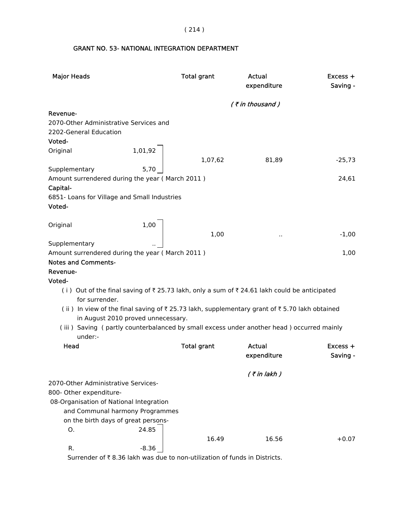( 214 )

# GRANT NO. 53- NATIONAL INTEGRATION DEPARTMENT

| <b>Major Heads</b>                                                                                           | <b>Total grant</b> | Actual<br>expenditure | Excess +<br>Saving - |
|--------------------------------------------------------------------------------------------------------------|--------------------|-----------------------|----------------------|
|                                                                                                              |                    | $($ ₹ in thousand)    |                      |
| Revenue-                                                                                                     |                    |                       |                      |
| 2070-Other Administrative Services and                                                                       |                    |                       |                      |
| 2202-General Education                                                                                       |                    |                       |                      |
| Voted-                                                                                                       |                    |                       |                      |
| 1,01,92<br>Original                                                                                          |                    |                       |                      |
|                                                                                                              | 1,07,62            | 81,89                 | $-25,73$             |
| Supplementary                                                                                                |                    |                       |                      |
| Amount surrendered during the year (March 2011)                                                              |                    |                       | 24,61                |
| Capital-                                                                                                     |                    |                       |                      |
| 6851- Loans for Village and Small Industries                                                                 |                    |                       |                      |
| Voted-                                                                                                       |                    |                       |                      |
|                                                                                                              |                    |                       |                      |
| 1,00<br>Original                                                                                             |                    |                       |                      |
| Supplementary                                                                                                | 1,00               | $\cdot$ .             | $-1,00$              |
| Amount surrendered during the year (March 2011)                                                              |                    |                       | 1,00                 |
| <b>Notes and Comments-</b>                                                                                   |                    |                       |                      |
| Revenue-                                                                                                     |                    |                       |                      |
| Voted-                                                                                                       |                    |                       |                      |
| (i) Out of the final saving of ₹25.73 lakh, only a sum of ₹24.61 lakh could be anticipated<br>for surrender. |                    |                       |                      |
| (ii) In view of the final saving of ₹25.73 lakh, supplementary grant of ₹5.70 lakh obtained                  |                    |                       |                      |
| in August 2010 proved unnecessary.                                                                           |                    |                       |                      |
| (iii) Saving (partly counterbalanced by small excess under another head) occurred mainly                     |                    |                       |                      |
| under:-                                                                                                      |                    |                       |                      |
| Head                                                                                                         | <b>Total grant</b> | Actual                | Excess +             |
|                                                                                                              |                    | expenditure           | Saving -             |
|                                                                                                              |                    |                       |                      |
|                                                                                                              |                    | $($ ₹ in lakh)        |                      |
| 2070-Other Administrative Services-                                                                          |                    |                       |                      |
| 800- Other expenditure-                                                                                      |                    |                       |                      |
| 08-Organisation of National Integration<br>and Communal harmony Programmes                                   |                    |                       |                      |
|                                                                                                              |                    |                       |                      |
| on the birth days of great persons-<br>24.85<br>О.                                                           |                    |                       |                      |
|                                                                                                              | 16.49              | 16.56                 | $+0.07$              |
| $-8.36$<br>R.                                                                                                |                    |                       |                      |
|                                                                                                              |                    |                       |                      |

Surrender of  $\bar{\tau}$  8.36 lakh was due to non-utilization of funds in Districts.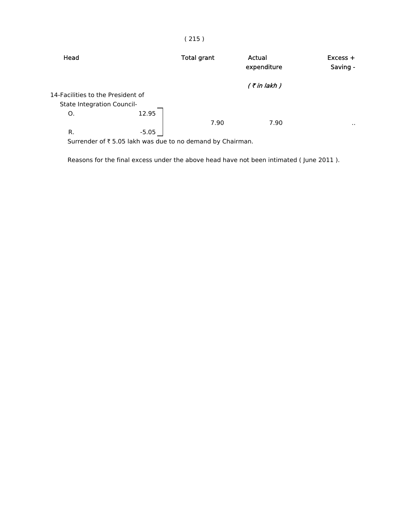| Head                              |         | <b>Total grant</b> | Actual<br>expenditure | $Excess +$<br>Saving - |
|-----------------------------------|---------|--------------------|-----------------------|------------------------|
|                                   |         |                    | $($ ₹ in lakh $)$     |                        |
| 14-Facilities to the President of |         |                    |                       |                        |
| <b>State Integration Council-</b> |         |                    |                       |                        |
| O.                                | 12.95   |                    |                       |                        |
|                                   |         | 7.90               | 7.90                  | $\sim$ $\sim$          |
| R.                                | $-5.05$ |                    |                       |                        |

Surrender of  $\bar{\tau}$  5.05 lakh was due to no demand by Chairman.

Reasons for the final excess under the above head have not been intimated ( June 2011 ).

# ( 215 )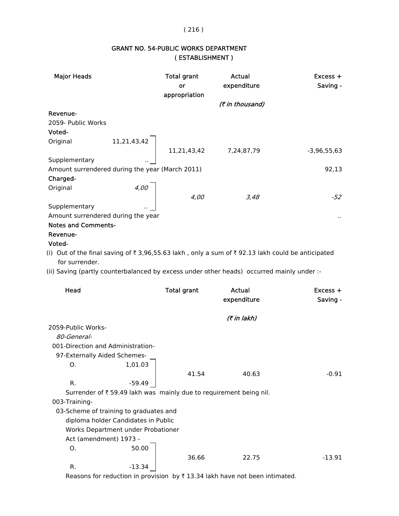## ( 216 )

# GRANT NO. 54-PUBLIC WORKS DEPARTMENT ( ESTABLISHMENT )

| <b>Major Heads</b>                              |             | <b>Total grant</b><br>or<br>appropriation | Actual<br>expenditure | $Excess +$<br>Saving - |
|-------------------------------------------------|-------------|-------------------------------------------|-----------------------|------------------------|
|                                                 |             |                                           | (₹ in thousand)       |                        |
| Revenue-                                        |             |                                           |                       |                        |
| 2059- Public Works                              |             |                                           |                       |                        |
| Voted-                                          |             |                                           |                       |                        |
| Original                                        | 11,21,43,42 |                                           |                       |                        |
|                                                 |             | 11,21,43,42                               | 7,24,87,79            | $-3,96,55,63$          |
| Supplementary                                   |             |                                           |                       |                        |
| Amount surrendered during the year (March 2011) |             |                                           |                       | 92,13                  |
| Charged-                                        |             |                                           |                       |                        |
| Original                                        | 4,00        |                                           |                       |                        |
|                                                 |             | 4,00                                      | 3,48                  | -52                    |
| Supplementary                                   |             |                                           |                       |                        |
| Amount surrendered during the year              |             |                                           |                       |                        |
| <b>Notes and Comments-</b>                      |             |                                           |                       |                        |
| Revenue-                                        |             |                                           |                       |                        |
|                                                 |             |                                           |                       |                        |

#### Voted-

(i) Out of the final saving of  $\bar{\tau}$  3,96,55.63 lakh, only a sum of  $\bar{\tau}$  92.13 lakh could be anticipated for surrender.

(ii) Saving (partly counterbalanced by excess under other heads) occurred mainly under :-

| Head                              |                                        | <b>Total grant</b> | Actual<br>expenditure                                              | $Excess +$<br>Saving - |
|-----------------------------------|----------------------------------------|--------------------|--------------------------------------------------------------------|------------------------|
|                                   |                                        |                    | (₹ in lakh)                                                        |                        |
| 2059-Public Works-                |                                        |                    |                                                                    |                        |
| 80-General-                       |                                        |                    |                                                                    |                        |
| 001-Direction and Administration- |                                        |                    |                                                                    |                        |
| 97-Externally Aided Schemes-      |                                        |                    |                                                                    |                        |
| O.                                | 1,01.03                                |                    |                                                                    |                        |
|                                   |                                        | 41.54              | 40.63                                                              | $-0.91$                |
| R.                                | -59.49                                 |                    |                                                                    |                        |
|                                   |                                        |                    | Surrender of ₹ 59.49 lakh was mainly due to requirement being nil. |                        |
| 003-Training-                     |                                        |                    |                                                                    |                        |
|                                   | 03-Scheme of training to graduates and |                    |                                                                    |                        |
|                                   | diploma holder Candidates in Public    |                    |                                                                    |                        |
|                                   | Works Department under Probationer     |                    |                                                                    |                        |
| Act (amendment) 1973 -            |                                        |                    |                                                                    |                        |
| O.                                | 50.00                                  |                    |                                                                    |                        |
|                                   |                                        | 36.66              | 22.75                                                              | $-13.91$               |
| R.                                | -13.34                                 |                    |                                                                    |                        |

Reasons for reduction in provision by  $\bar{\tau}$  13.34 lakh have not been intimated.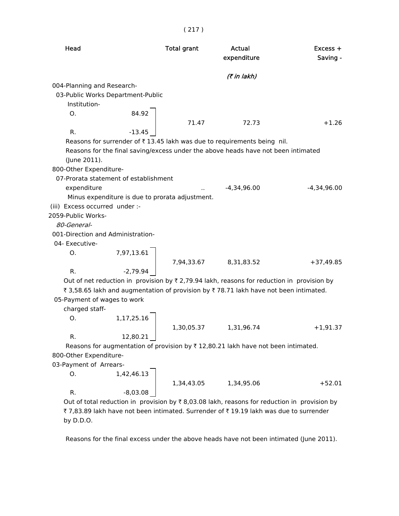| Head                           |                                                 | <b>Total grant</b> | Actual<br>expenditure                                                                                 | $Excess +$<br>Saving - |
|--------------------------------|-------------------------------------------------|--------------------|-------------------------------------------------------------------------------------------------------|------------------------|
|                                |                                                 |                    | (7 in lakh)                                                                                           |                        |
| 004-Planning and Research-     |                                                 |                    |                                                                                                       |                        |
|                                | 03-Public Works Department-Public               |                    |                                                                                                       |                        |
| Institution-                   |                                                 |                    |                                                                                                       |                        |
| Ο.                             | 84.92                                           |                    |                                                                                                       |                        |
|                                |                                                 | 71.47              | 72.73                                                                                                 | $+1.26$                |
| R.                             | $-13.45$                                        |                    |                                                                                                       |                        |
|                                |                                                 |                    | Reasons for surrender of ₹13.45 lakh was due to requirements being nil.                               |                        |
|                                |                                                 |                    | Reasons for the final saving/excess under the above heads have not been intimated                     |                        |
| (June 2011).                   |                                                 |                    |                                                                                                       |                        |
| 800-Other Expenditure-         |                                                 |                    |                                                                                                       |                        |
|                                | 07-Prorata statement of establishment           |                    |                                                                                                       |                        |
| expenditure                    |                                                 |                    | $-4,34,96.00$                                                                                         | $-4,34,96.00$          |
|                                | Minus expenditure is due to prorata adjustment. |                    |                                                                                                       |                        |
| (iii) Excess occurred under :- |                                                 |                    |                                                                                                       |                        |
| 2059-Public Works-             |                                                 |                    |                                                                                                       |                        |
| 80-General-                    |                                                 |                    |                                                                                                       |                        |
|                                | 001-Direction and Administration-               |                    |                                                                                                       |                        |
| 04- Executive-                 |                                                 |                    |                                                                                                       |                        |
|                                |                                                 |                    |                                                                                                       |                        |
| O.                             | 7,97,13.61                                      |                    |                                                                                                       |                        |
|                                |                                                 |                    | 7,94,33.67 8,31,83.52                                                                                 | $+37,49.85$            |
| R.                             | $-2,79.94$                                      |                    |                                                                                                       |                        |
|                                |                                                 |                    | Out of net reduction in provision by $\bar{\tau}$ 2,79.94 lakh, reasons for reduction in provision by |                        |
|                                |                                                 |                    | ₹ 3,58.65 lakh and augmentation of provision by ₹ 78.71 lakh have not been intimated.                 |                        |
| 05-Payment of wages to work    |                                                 |                    |                                                                                                       |                        |
| charged staff-                 |                                                 |                    |                                                                                                       |                        |
| O.                             | 1,17,25.16                                      |                    |                                                                                                       |                        |
|                                |                                                 | 1,30,05.37         | 1,31,96.74                                                                                            | $+1,91.37$             |
| R.                             | 12,80.21                                        |                    |                                                                                                       |                        |
|                                |                                                 |                    | Reasons for augmentation of provision by ₹12,80.21 lakh have not been intimated.                      |                        |
| 800-Other Expenditure-         |                                                 |                    |                                                                                                       |                        |
| 03-Payment of Arrears-         |                                                 |                    |                                                                                                       |                        |
| 0.                             | 1,42,46.13                                      |                    |                                                                                                       |                        |
|                                |                                                 | 1,34,43.05         | 1,34,95.06                                                                                            | $+52.01$               |
| R.                             | $-8,03.08$                                      |                    |                                                                                                       |                        |

Out of total reduction in provision by  $\bar{\tau}$  8,03.08 lakh, reasons for reduction in provision by ₹ 7,83.89 lakh have not been intimated. Surrender of ₹ 19.19 lakh was due to surrender by D.D.O.

Reasons for the final excess under the above heads have not been intimated (June 2011).

## ( 217 )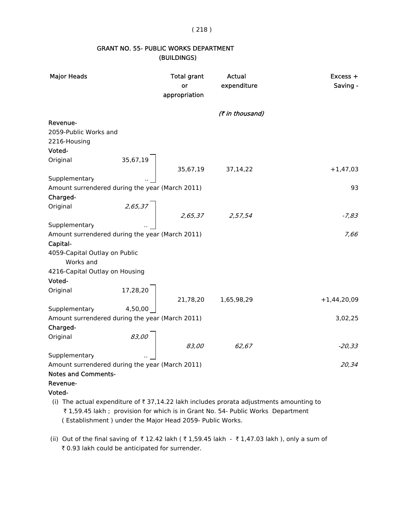( 218 )

## GRANT NO. 55- PUBLIC WORKS DEPARTMENT (BUILDINGS)

| <b>Major Heads</b>                                                                                      |          | <b>Total grant</b><br>or<br>appropriation | Actual<br>expenditure | Excess +<br>Saving - |
|---------------------------------------------------------------------------------------------------------|----------|-------------------------------------------|-----------------------|----------------------|
|                                                                                                         |          |                                           | (₹ in thousand)       |                      |
| Revenue-                                                                                                |          |                                           |                       |                      |
| 2059-Public Works and                                                                                   |          |                                           |                       |                      |
| 2216-Housing                                                                                            |          |                                           |                       |                      |
| Voted-                                                                                                  |          |                                           |                       |                      |
| Original                                                                                                | 35,67,19 |                                           |                       |                      |
|                                                                                                         |          |                                           | 35,67,19 37,14,22     | $+1,47,03$           |
| Supplementary                                                                                           |          |                                           |                       |                      |
| Amount surrendered during the year (March 2011)                                                         |          |                                           |                       | 93                   |
| Charged-                                                                                                |          |                                           |                       |                      |
| Original                                                                                                | 2,65,37  |                                           |                       |                      |
|                                                                                                         |          |                                           |                       | $-7,83$              |
| Supplementary                                                                                           |          |                                           | $2,65,37$ 2,57,54     |                      |
| Amount surrendered during the year (March 2011)                                                         |          |                                           |                       | 7,66                 |
| Capital-                                                                                                |          |                                           |                       |                      |
| 4059-Capital Outlay on Public<br>Works and                                                              |          |                                           |                       |                      |
| 4216-Capital Outlay on Housing                                                                          |          |                                           |                       |                      |
| Voted-                                                                                                  |          |                                           |                       |                      |
| Original                                                                                                | 17,28,20 |                                           |                       |                      |
|                                                                                                         |          |                                           | 21,78,20  1,65,98,29  | $+1,44,20,09$        |
| Supplementary                                                                                           | 4,50,00  |                                           |                       |                      |
| Amount surrendered during the year (March 2011)                                                         |          |                                           |                       | 3,02,25              |
| Charged-                                                                                                |          |                                           |                       |                      |
| Original                                                                                                | 83,00    |                                           |                       |                      |
|                                                                                                         |          | 83,00                                     | 62,67                 | $-20,33$             |
| Supplementary                                                                                           |          |                                           |                       |                      |
| Amount surrendered during the year (March 2011)                                                         |          |                                           |                       | 20,34                |
| <b>Notes and Comments-</b>                                                                              |          |                                           |                       |                      |
| Revenue-                                                                                                |          |                                           |                       |                      |
| Voted-                                                                                                  |          |                                           |                       |                      |
| (i) The actual expenditure of $\overline{\tau}$ 37,14.22 lakh includes prorata adjustments amounting to |          |                                           |                       |                      |

₹ 1,59.45 lakh ; provision for which is in Grant No. 54- Public Works Department ( Establishment ) under the Major Head 2059- Public Works.

(ii) Out of the final saving of  $\bar{\tau}$  12.42 lakh ( $\bar{\tau}$  1,59.45 lakh -  $\bar{\tau}$  1,47.03 lakh ), only a sum of ₹ 0.93 lakh could be anticipated for surrender.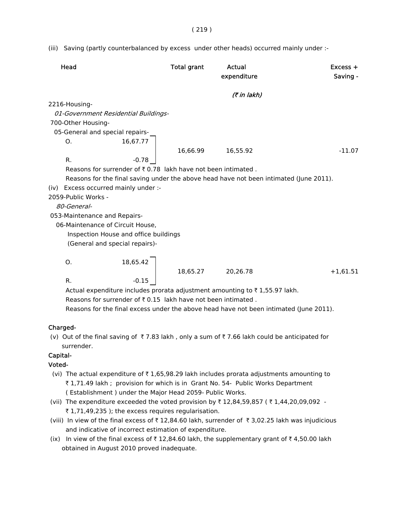( 219 )

(iii) Saving (partly counterbalanced by excess under other heads) occurred mainly under :-

| Head                                                                                   | <b>Total grant</b> | Actual<br>expenditure | $Excess +$<br>Saving - |
|----------------------------------------------------------------------------------------|--------------------|-----------------------|------------------------|
|                                                                                        |                    | (7 in lakh)           |                        |
| 2216-Housing-                                                                          |                    |                       |                        |
| 01-Government Residential Buildings-                                                   |                    |                       |                        |
| 700-Other Housing-                                                                     |                    |                       |                        |
| 05-General and special repairs-                                                        |                    |                       |                        |
| 16,67.77<br>О.                                                                         |                    |                       |                        |
|                                                                                        | 16,66.99           | 16,55.92              | $-11.07$               |
| $-0.78$<br>R.                                                                          |                    |                       |                        |
| Reasons for surrender of ₹0.78 lakh have not been intimated.                           |                    |                       |                        |
| Reasons for the final saving under the above head have not been intimated (June 2011). |                    |                       |                        |
| (iv) Excess occurred mainly under :-                                                   |                    |                       |                        |
| 2059-Public Works -                                                                    |                    |                       |                        |
| 80-General-                                                                            |                    |                       |                        |
| 053-Maintenance and Repairs-                                                           |                    |                       |                        |
| 06-Maintenance of Circuit House,                                                       |                    |                       |                        |
| Inspection House and office buildings                                                  |                    |                       |                        |
| (General and special repairs)-                                                         |                    |                       |                        |
| 18,65.42<br>Ο.                                                                         | 18,65.27           | 20,26.78              | $+1,61.51$             |
| $-0.15$<br>R.                                                                          |                    |                       |                        |
| Actual expenditure includes prorata adjustment amounting to ₹1,55.97 lakh.             |                    |                       |                        |
| Reasons for surrender of $\bar{\tau}$ 0.15 lakh have not been intimated.               |                    |                       |                        |

Reasons for the final excess under the above head have not been intimated (June 2011).

## Charged-

(v) Out of the final saving of  $\overline{\tau}$  7.83 lakh, only a sum of  $\overline{\tau}$  7.66 lakh could be anticipated for surrender.

## Capital-

## Voted-

- (vi) The actual expenditure of  $\bar{\tau}$  1,65,98.29 lakh includes prorata adjustments amounting to ₹ 1,71.49 lakh ; provision for which is in Grant No. 54- Public Works Department ( Establishment ) under the Major Head 2059- Public Works.
- (vii) The expenditure exceeded the voted provision by  $\bar{\tau}$  12,84,59,857 ( $\bar{\tau}$  1,44,20,09,092 - $\bar{\tau}$  1,71,49,235 ); the excess requires regularisation.
- (viii) In view of the final excess of  $\bar{\tau}$  12,84.60 lakh, surrender of  $\bar{\tau}$  3,02.25 lakh was injudicious and indicative of incorrect estimation of expenditure.
- (ix) In view of the final excess of  $\bar{\tau}$  12,84.60 lakh, the supplementary grant of  $\bar{\tau}$  4,50.00 lakh obtained in August 2010 proved inadequate.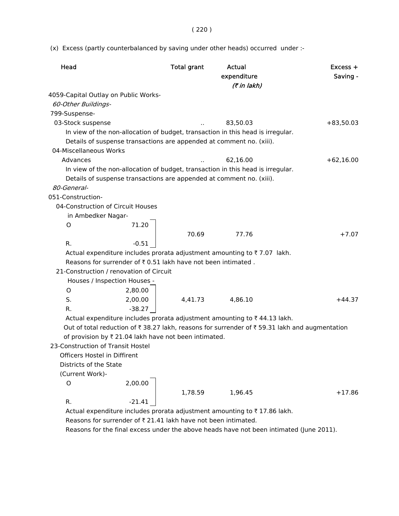( 220 )

(x) Excess (partly counterbalanced by saving under other heads) occurred under :-

| Head                                                                                         | <b>Total grant</b> | Actual      | Excess +    |
|----------------------------------------------------------------------------------------------|--------------------|-------------|-------------|
|                                                                                              |                    | expenditure | Saving -    |
|                                                                                              |                    | (₹ in lakh) |             |
| 4059-Capital Outlay on Public Works-                                                         |                    |             |             |
| 60-Other Buildings-                                                                          |                    |             |             |
| 799-Suspense-                                                                                |                    |             |             |
| 03-Stock suspense                                                                            |                    | 83,50.03    | $+83,50.03$ |
| In view of the non-allocation of budget, transaction in this head is irregular.              |                    |             |             |
| Details of suspense transactions are appended at comment no. (xiii).                         |                    |             |             |
| 04-Miscellaneous Works                                                                       |                    |             |             |
| Advances                                                                                     |                    | 62,16.00    | $+62,16.00$ |
| In view of the non-allocation of budget, transaction in this head is irregular.              |                    |             |             |
| Details of suspense transactions are appended at comment no. (xiii).                         |                    |             |             |
| 80-General-                                                                                  |                    |             |             |
| 051-Construction-<br>04-Construction of Circuit Houses                                       |                    |             |             |
|                                                                                              |                    |             |             |
| in Ambedker Nagar-<br>71.20                                                                  |                    |             |             |
| O                                                                                            | 70.69              | 77.76       | $+7.07$     |
| R.<br>$-0.51$                                                                                |                    |             |             |
| Actual expenditure includes prorata adjustment amounting to ₹7.07 lakh.                      |                    |             |             |
| Reasons for surrender of ₹0.51 lakh have not been intimated.                                 |                    |             |             |
| 21-Construction / renovation of Circuit                                                      |                    |             |             |
| Houses / Inspection Houses -                                                                 |                    |             |             |
| 2,80.00<br>O                                                                                 |                    |             |             |
| S.<br>2,00.00                                                                                | 4,41.73            | 4,86.10     | +44.37      |
| $-38.27$<br>R.                                                                               |                    |             |             |
| Actual expenditure includes prorata adjustment amounting to ₹44.13 lakh.                     |                    |             |             |
| Out of total reduction of ₹38.27 lakh, reasons for surrender of ₹59.31 lakh and augmentation |                    |             |             |
| of provision by ₹ 21.04 lakh have not been intimated.                                        |                    |             |             |
| 23-Construction of Transit Hostel                                                            |                    |             |             |
| Officers Hostel in Diffirent                                                                 |                    |             |             |
| Districts of the State                                                                       |                    |             |             |
| (Current Work)-                                                                              |                    |             |             |
| 2,00.00<br>O                                                                                 |                    |             |             |
|                                                                                              | 1,78.59            | 1,96.45     | $+17.86$    |
| R.<br>$-21.41$                                                                               |                    |             |             |
| Actual expenditure includes prorata adjustment amounting to ₹17.86 lakh.                     |                    |             |             |

Reasons for surrender of  $\bar{\tau}$  21.41 lakh have not been intimated.

Reasons for the final excess under the above heads have not been intimated (June 2011).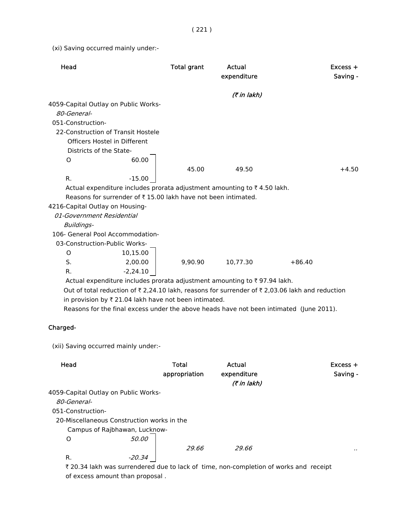( 221 )

(xi) Saving occurred mainly under:-

| Head                                                                                          | <b>Total grant</b> | Actual<br>expenditure      | $Excess +$<br>Saving - |
|-----------------------------------------------------------------------------------------------|--------------------|----------------------------|------------------------|
|                                                                                               |                    | (7 in lakh)                |                        |
| 4059-Capital Outlay on Public Works-                                                          |                    |                            |                        |
| 80-General-                                                                                   |                    |                            |                        |
| 051-Construction-                                                                             |                    |                            |                        |
| 22-Construction of Transit Hostele                                                            |                    |                            |                        |
| Officers Hostel in Different                                                                  |                    |                            |                        |
| Districts of the State-                                                                       |                    |                            |                        |
| 60.00<br>O                                                                                    |                    |                            |                        |
|                                                                                               | 45.00              | 49.50                      | $+4.50$                |
| R.<br>$-15.00$                                                                                |                    |                            |                        |
| Actual expenditure includes prorata adjustment amounting to ₹4.50 lakh.                       |                    |                            |                        |
| Reasons for surrender of ₹15.00 lakh have not been intimated.                                 |                    |                            |                        |
| 4216-Capital Outlay on Housing-                                                               |                    |                            |                        |
| 01-Government Residential                                                                     |                    |                            |                        |
| Buildings-                                                                                    |                    |                            |                        |
| 106- General Pool Accommodation-                                                              |                    |                            |                        |
| 03-Construction-Public Works-                                                                 |                    |                            |                        |
| 0<br>10,15.00                                                                                 |                    |                            |                        |
| S.<br>2,00.00                                                                                 | 9.90.90            | 10,77.30                   | $+86.40$               |
| R.<br>$-2,24.10$                                                                              |                    |                            |                        |
| Actual expenditure includes prorata adjustment amounting to ₹97.94 lakh.                      |                    |                            |                        |
| Out of total reduction of ₹2,24.10 lakh, reasons for surrender of ₹2,03.06 lakh and reduction |                    |                            |                        |
| in provision by ₹ 21.04 lakh have not been intimated.                                         |                    |                            |                        |
| Reasons for the final excess under the above heads have not been intimated (June 2011).       |                    |                            |                        |
| Charged-                                                                                      |                    |                            |                        |
| (xii) Saving occurred mainly under:-                                                          |                    |                            |                        |
| Head                                                                                          | Total              | Actual                     | Excess +               |
|                                                                                               | appropriation      | expenditure<br>(7 in lakh) | Saving -               |

4059-Capital Outlay on Public Works-

80-General-

051-Construction-

20-Miscellaneous Construction works in the

Campus of Rajbhawan, Lucknow-

O 50.00

 $29.66$  ...

R.  $-20.34$ 

₹ 20.34 lakh was surrendered due to lack of time, non-completion of works and receipt of excess amount than proposal .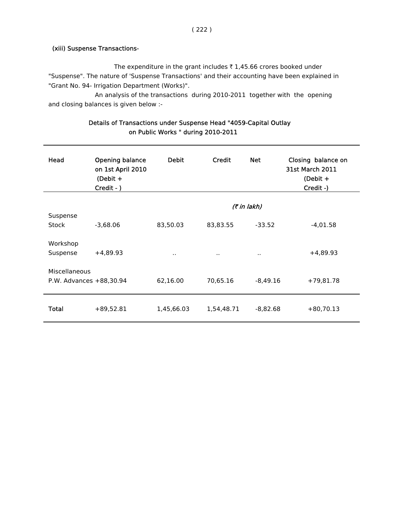#### (xiii) Suspense Transactions-

The expenditure in the grant includes  $\bar{\tau}$  1,45.66 crores booked under "Suspense". The nature of 'Suspense Transactions' and their accounting have been explained in "Grant No. 94- Irrigation Department (Works)".

An analysis of the transactions during 2010-2011 together with the opening and closing balances is given below :-

| Head                                     | Opening balance<br>on 1st April 2010<br>$(Debit +$<br>Credit - ) | <b>Debit</b> | Credit     | <b>Net</b>  | Closing balance on<br><b>31st March 2011</b><br>(Debit $+$<br>Credit -) |
|------------------------------------------|------------------------------------------------------------------|--------------|------------|-------------|-------------------------------------------------------------------------|
|                                          |                                                                  |              |            | (₹ in lakh) |                                                                         |
| Suspense<br>Stock                        | $-3,68.06$                                                       | 83,50.03     | 83,83.55   | $-33.52$    | $-4,01.58$                                                              |
| Workshop<br>Suspense                     | $+4,89.93$                                                       | $\sim$       | $\sim$     | $\cdot$ .   | $+4,89.93$                                                              |
| Miscellaneous<br>P.W. Advances +88,30.94 |                                                                  | 62,16.00     | 70,65.16   | $-8,49.16$  | $+79,81.78$                                                             |
| Total                                    | $+89,52.81$                                                      | 1,45,66.03   | 1,54,48.71 | $-8,82.68$  | $+80,70.13$                                                             |

## Details of Transactions under Suspense Head "4059-Capital Outlay on Public Works " during 2010-2011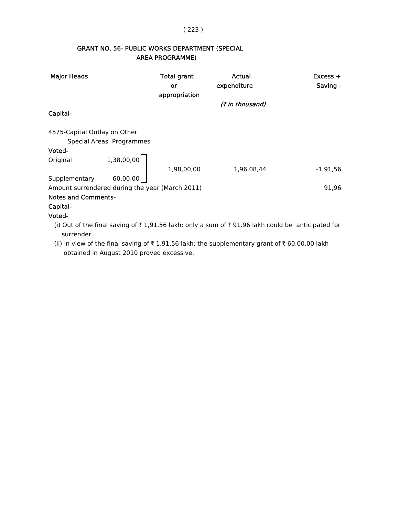## ( 223 )

# GRANT NO. 56- PUBLIC WORKS DEPARTMENT (SPECIAL AREA PROGRAMME)

| <b>Major Heads</b>                              |                          | Total grant<br>or<br>appropriation | Actual<br>expenditure                                                                            | $Excess +$<br>Saving - |
|-------------------------------------------------|--------------------------|------------------------------------|--------------------------------------------------------------------------------------------------|------------------------|
|                                                 |                          |                                    | (₹ in thousand)                                                                                  |                        |
| Capital-                                        |                          |                                    |                                                                                                  |                        |
| 4575-Capital Outlay on Other                    |                          |                                    |                                                                                                  |                        |
|                                                 | Special Areas Programmes |                                    |                                                                                                  |                        |
| Voted-                                          |                          |                                    |                                                                                                  |                        |
| Original                                        | 1,38,00,00               |                                    |                                                                                                  |                        |
|                                                 |                          | 1,98,00,00                         | 1,96,08,44                                                                                       | $-1,91,56$             |
| Supplementary                                   | 60,00,00                 |                                    |                                                                                                  |                        |
| Amount surrendered during the year (March 2011) |                          |                                    |                                                                                                  | 91,96                  |
| <b>Notes and Comments-</b>                      |                          |                                    |                                                                                                  |                        |
| Capital-                                        |                          |                                    |                                                                                                  |                        |
| Voted-                                          |                          |                                    |                                                                                                  |                        |
| surrender.                                      |                          |                                    | (i) Out of the final saving of ₹1,91.56 lakh; only a sum of ₹91.96 lakh could be anticipated for |                        |

(ii) In view of the final saving of  $\bar{\tau}$  1,91.56 lakh; the supplementary grant of  $\bar{\tau}$  60,00.00 lakh obtained in August 2010 proved excessive.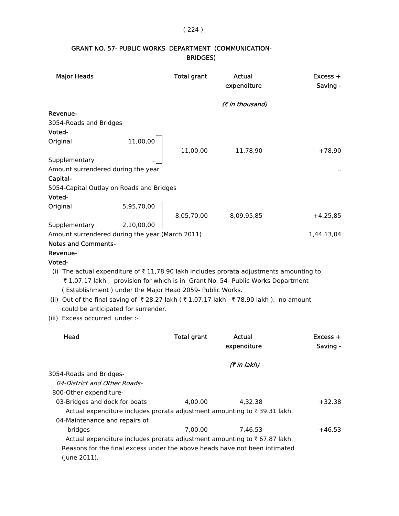# ( 224 )

# GRANT NO. 57- PUBLIC WORKS DEPARTMENT (COMMUNICATION- BRIDGES)

| <b>Major Heads</b>                              |                                                                                                 | <b>Total grant</b>    | Actual<br>expenditure                                                                                                                                                                                                                                                              | $Excess +$<br>Saving - |
|-------------------------------------------------|-------------------------------------------------------------------------------------------------|-----------------------|------------------------------------------------------------------------------------------------------------------------------------------------------------------------------------------------------------------------------------------------------------------------------------|------------------------|
|                                                 |                                                                                                 |                       | (₹ in thousand)                                                                                                                                                                                                                                                                    |                        |
| Revenue-                                        |                                                                                                 |                       |                                                                                                                                                                                                                                                                                    |                        |
| 3054-Roads and Bridges                          |                                                                                                 |                       |                                                                                                                                                                                                                                                                                    |                        |
| Voted-                                          |                                                                                                 |                       |                                                                                                                                                                                                                                                                                    |                        |
| Original                                        | 11,00,00                                                                                        | 11,00,00              | 11,78,90                                                                                                                                                                                                                                                                           | $+78,90$               |
| Supplementary                                   |                                                                                                 |                       |                                                                                                                                                                                                                                                                                    |                        |
| Amount surrendered during the year              |                                                                                                 |                       |                                                                                                                                                                                                                                                                                    |                        |
| Capital-                                        |                                                                                                 |                       |                                                                                                                                                                                                                                                                                    |                        |
| 5054-Capital Outlay on Roads and Bridges        |                                                                                                 |                       |                                                                                                                                                                                                                                                                                    |                        |
| Voted-                                          |                                                                                                 |                       |                                                                                                                                                                                                                                                                                    |                        |
| Original                                        |                                                                                                 |                       |                                                                                                                                                                                                                                                                                    |                        |
|                                                 | 5,95,70,00                                                                                      | 8,05,70,00 8,09,95,85 |                                                                                                                                                                                                                                                                                    | $+4,25,85$             |
| Supplementary                                   | 2,10,00,00                                                                                      |                       |                                                                                                                                                                                                                                                                                    |                        |
| Amount surrendered during the year (March 2011) |                                                                                                 |                       |                                                                                                                                                                                                                                                                                    | 1,44,13,04             |
| <b>Notes and Comments-</b>                      |                                                                                                 |                       |                                                                                                                                                                                                                                                                                    |                        |
| Revenue-                                        |                                                                                                 |                       |                                                                                                                                                                                                                                                                                    |                        |
| Voted-                                          |                                                                                                 |                       |                                                                                                                                                                                                                                                                                    |                        |
| (iii) Excess occurred under :-                  | (Establishment) under the Major Head 2059- Public Works.<br>could be anticipated for surrender. |                       | (i) The actual expenditure of $\overline{\tau}$ 11,78.90 lakh includes prorata adjustments amounting to<br>₹1,07.17 lakh ; provision for which is in Grant No. 54- Public Works Department<br>(ii) Out of the final saving of ₹28.27 lakh (₹1,07.17 lakh - ₹78.90 lakh), no amount |                        |
| Head                                            |                                                                                                 | <b>Total grant</b>    | Actual<br>expenditure                                                                                                                                                                                                                                                              | Excess +<br>Saving -   |
|                                                 |                                                                                                 |                       | (7 in lakh)                                                                                                                                                                                                                                                                        |                        |
| 3054-Roads and Bridges-                         |                                                                                                 |                       |                                                                                                                                                                                                                                                                                    |                        |
| 04-District and Other Roads-                    |                                                                                                 |                       |                                                                                                                                                                                                                                                                                    |                        |
| 800-Other expenditure-                          |                                                                                                 |                       |                                                                                                                                                                                                                                                                                    |                        |
| 03-Bridges and dock for boats                   |                                                                                                 | 4,00.00               | 4,32.38                                                                                                                                                                                                                                                                            | $+32.38$               |
|                                                 |                                                                                                 |                       | Actual expenditure includes prorata adjustment amounting to ₹39.31 lakh.                                                                                                                                                                                                           |                        |
| 04-Maintenance and repairs of                   |                                                                                                 |                       |                                                                                                                                                                                                                                                                                    |                        |
| bridges                                         |                                                                                                 | 7,00.00               | 7,46.53                                                                                                                                                                                                                                                                            | $+46.53$               |
|                                                 |                                                                                                 |                       | Actual expenditure includes prorata adjustment amounting to ₹67.87 lakh.                                                                                                                                                                                                           |                        |
|                                                 |                                                                                                 |                       | Reasons for the final excess under the above heads have not been intimated                                                                                                                                                                                                         |                        |
| (June 2011).                                    |                                                                                                 |                       |                                                                                                                                                                                                                                                                                    |                        |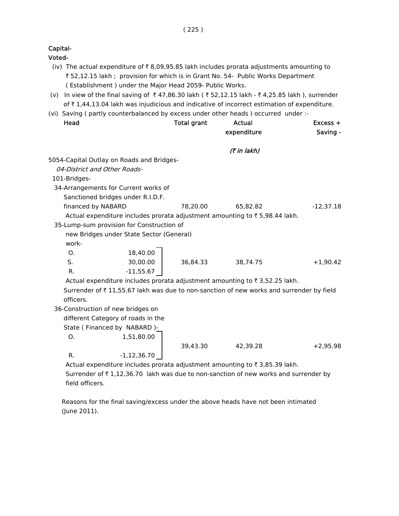Capital-

Voted-

- (iv) The actual expenditure of  $\bar{\tau}$  8,09,95.85 lakh includes prorata adjustments amounting to ` 52,12.15 lakh ; provision for which is in Grant No. 54- Public Works Department ( Establishment ) under the Major Head 2059- Public Works.
- (v) In view of the final saving of  $\bar{\tau}$  47,86.30 lakh ( $\bar{\tau}$  52,12.15 lakh  $\bar{\tau}$  4,25.85 lakh ), surrender of  $\bar{\tau}$  1,44,13.04 lakh was injudicious and indicative of incorrect estimation of expenditure.
- (vi) Saving ( partly counterbalanced by excess under other heads ) occurred under :-

| Head                         |                                           | <b>Total grant</b> | Actual                                                                                  | $Excess +$  |
|------------------------------|-------------------------------------------|--------------------|-----------------------------------------------------------------------------------------|-------------|
|                              |                                           |                    | expenditure                                                                             | Saving -    |
|                              |                                           |                    | (₹ in lakh)                                                                             |             |
|                              | 5054-Capital Outlay on Roads and Bridges- |                    |                                                                                         |             |
| 04-District and Other Roads- |                                           |                    |                                                                                         |             |
| 101-Bridges-                 |                                           |                    |                                                                                         |             |
|                              | 34-Arrangements for Current works of      |                    |                                                                                         |             |
|                              | Sanctioned bridges under R.I.D.F.         |                    |                                                                                         |             |
| financed by NABARD           |                                           | 78,20.00           | 65,82.82                                                                                | $-12,37.18$ |
|                              |                                           |                    | Actual expenditure includes prorata adjustment amounting to ₹5,98.44 lakh.              |             |
|                              | 35-Lump-sum provision for Construction of |                    |                                                                                         |             |
|                              | new Bridges under State Sector (General)  |                    |                                                                                         |             |
| work-                        |                                           |                    |                                                                                         |             |
| O <sub>1</sub>               | 18,40.00                                  |                    |                                                                                         |             |
| S.                           | 30,00.00                                  | 36,84.33           | 38,74.75                                                                                | $+1,90.42$  |
| R.                           | $-11,55.67$                               |                    |                                                                                         |             |
|                              |                                           |                    | Actual expenditure includes prorata adjustment amounting to ₹3,52.25 lakh.              |             |
|                              |                                           |                    | Surrender of ₹11,55.67 lakh was due to non-sanction of new works and surrender by field |             |
| officers.                    |                                           |                    |                                                                                         |             |
|                              | 36-Construction of new bridges on         |                    |                                                                                         |             |
|                              | different Category of roads in the        |                    |                                                                                         |             |
|                              | State (Financed by NABARD)-               |                    |                                                                                         |             |
| O.                           | 1,51,80.00                                |                    |                                                                                         |             |
|                              |                                           | 39,43.30           | 42,39.28                                                                                | $+2,95.98$  |
| R.                           | $-1,12,36.70$                             |                    |                                                                                         |             |
|                              |                                           |                    | Actual expenditure includes prorata adjustment amounting to ₹3,85.39 lakh.              |             |

Surrender of  $\bar{\tau}$  1,12,36.70 lakh was due to non-sanction of new works and surrender by field officers.

 Reasons for the final saving/excess under the above heads have not been intimated (June 2011).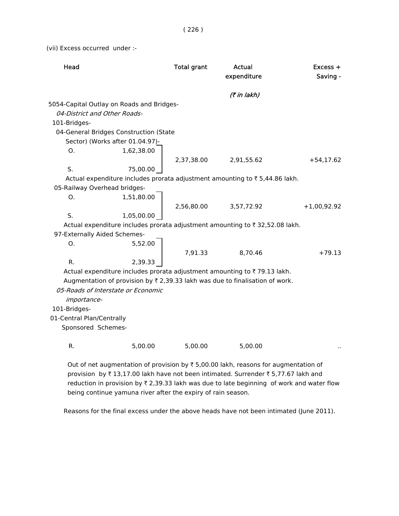(vii) Excess occurred under :-

| Head                         |                                                                                             | <b>Total grant</b> | <b>Actual</b><br>expenditure | Excess +<br>Saving - |
|------------------------------|---------------------------------------------------------------------------------------------|--------------------|------------------------------|----------------------|
|                              |                                                                                             |                    | (7 in lakh)                  |                      |
|                              | 5054-Capital Outlay on Roads and Bridges-                                                   |                    |                              |                      |
| 04-District and Other Roads- |                                                                                             |                    |                              |                      |
| 101-Bridges-                 |                                                                                             |                    |                              |                      |
|                              | 04-General Bridges Construction (State                                                      |                    |                              |                      |
|                              | Sector) (Works after 01.04.97)-                                                             |                    |                              |                      |
| O <sub>1</sub>               | 1,62,38.00                                                                                  |                    |                              |                      |
|                              |                                                                                             | 2,37,38.00         | 2,91,55.62                   | $+54,17.62$          |
| S.                           | 75,00.00                                                                                    |                    |                              |                      |
|                              | Actual expenditure includes prorata adjustment amounting to ₹5,44.86 lakh.                  |                    |                              |                      |
| 05-Railway Overhead bridges- |                                                                                             |                    |                              |                      |
| O.                           | 1,51,80.00                                                                                  |                    |                              |                      |
|                              |                                                                                             | 2,56,80.00         | 3,57,72.92                   | $+1,00,92.92$        |
| S.                           | 1,05,00.00                                                                                  |                    |                              |                      |
|                              | Actual expenditure includes prorata adjustment amounting to ₹32,52.08 lakh.                 |                    |                              |                      |
| 97-Externally Aided Schemes- |                                                                                             |                    |                              |                      |
| O.                           | 5,52.00                                                                                     |                    |                              |                      |
|                              |                                                                                             | 7,91.33            | 8,70.46                      | $+79.13$             |
| R.                           | 2,39.33                                                                                     |                    |                              |                      |
|                              | Actual expenditure includes prorata adjustment amounting to ₹79.13 lakh.                    |                    |                              |                      |
|                              | Augmentation of provision by $\bar{\tau}$ 2,39.33 lakh was due to finalisation of work.     |                    |                              |                      |
|                              | 05-Roads of Interstate or Economic                                                          |                    |                              |                      |
| importance-                  |                                                                                             |                    |                              |                      |
| 101-Bridges-                 |                                                                                             |                    |                              |                      |
| 01-Central Plan/Centrally    |                                                                                             |                    |                              |                      |
| Sponsored Schemes-           |                                                                                             |                    |                              |                      |
|                              |                                                                                             |                    |                              |                      |
| R.                           | 5,00.00                                                                                     | 5,00.00            | 5,00.00                      |                      |
|                              | Out of net augmentation of provision by $\bar{z}$ 5.00.00 lakh, reasons for augmentation of |                    |                              |                      |

Out of net augmentation of provision by  $\bar{\tau}$  5,00.00 lakh, reasons for augmentation of provision by  $\bar{\tau}$  13,17.00 lakh have not been intimated. Surrender  $\bar{\tau}$  5,77.67 lakh and reduction in provision by  $\bar{\tau}$  2,39.33 lakh was due to late beginning of work and water flow being continue yamuna river after the expiry of rain season.

Reasons for the final excess under the above heads have not been intimated (June 2011).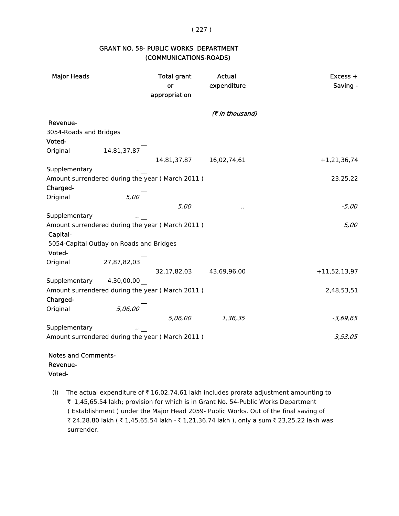## ( 227 )

## GRANT NO. 58- PUBLIC WORKS DEPARTMENT (COMMUNICATIONS-ROADS)

| <b>Major Heads</b>                       |                                     | <b>Total grant</b><br>or<br>appropriation       | Actual<br>expenditure | Excess +<br>Saving - |
|------------------------------------------|-------------------------------------|-------------------------------------------------|-----------------------|----------------------|
|                                          |                                     |                                                 | (₹ in thousand)       |                      |
| Revenue-                                 |                                     |                                                 |                       |                      |
| 3054-Roads and Bridges                   |                                     |                                                 |                       |                      |
| Voted-                                   |                                     |                                                 |                       |                      |
|                                          |                                     | Original 14,81,37,87<br>14,81,37,87 16,02,74,61 |                       |                      |
|                                          |                                     |                                                 |                       | $+1,21,36,74$        |
|                                          |                                     |                                                 |                       |                      |
|                                          |                                     | Amount surrendered during the year (March 2011) |                       | 23,25,22             |
| Charged-                                 |                                     |                                                 |                       |                      |
| Original                                 |                                     |                                                 |                       |                      |
|                                          | $\begin{array}{c} 5,00 \end{array}$ | 5,00                                            | $\cdot$               | -5,00                |
| Supplementary                            |                                     |                                                 |                       |                      |
|                                          |                                     | Amount surrendered during the year (March 2011) |                       | 5,00                 |
| Capital-                                 |                                     |                                                 |                       |                      |
| 5054-Capital Outlay on Roads and Bridges |                                     |                                                 |                       |                      |
| Voted-                                   |                                     |                                                 |                       |                      |
|                                          |                                     |                                                 |                       |                      |
|                                          |                                     | Original 27,87,82,03<br>32,17,82,03 43,69,96,00 |                       | $+11,52,13,97$       |
|                                          |                                     |                                                 |                       |                      |
|                                          |                                     | Amount surrendered during the year (March 2011) |                       | 2,48,53,51           |
| Charged-                                 |                                     |                                                 |                       |                      |
| Original                                 |                                     | $5,06,00$ $5,06,00$ $1,36,35$                   |                       |                      |
|                                          |                                     |                                                 |                       | $-3,69,65$           |
| Supplementary                            |                                     |                                                 |                       |                      |
|                                          |                                     | Amount surrendered during the year (March 2011) |                       | 3,53,05              |
| <b>Notes and Comments-</b>               |                                     |                                                 |                       |                      |

Revenue-

- Voted-
- (i) The actual expenditure of  $\bar{\tau}$  16,02,74.61 lakh includes prorata adjustment amounting to ` 1,45,65.54 lakh; provision for which is in Grant No. 54-Public Works Department ( Establishment ) under the Major Head 2059- Public Works. Out of the final saving of ₹ 24,28.80 lakh ( ₹ 1,45,65.54 lakh - ₹ 1,21,36.74 lakh ), only a sum ₹ 23,25.22 lakh was surrender.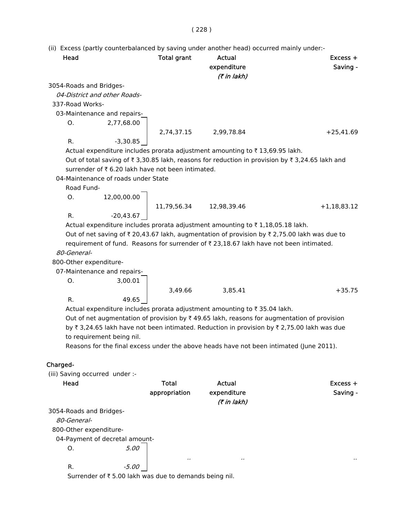# ( 228 )

|                                |                                     |                                                  | (ii) Excess (partly counterbalanced by saving under another head) occurred mainly under:- |                                                                                                                                 |
|--------------------------------|-------------------------------------|--------------------------------------------------|-------------------------------------------------------------------------------------------|---------------------------------------------------------------------------------------------------------------------------------|
| Head                           |                                     | <b>Total grant</b>                               | <b>Actual</b>                                                                             | $Excess +$                                                                                                                      |
|                                |                                     |                                                  | expenditure                                                                               | Saving -                                                                                                                        |
|                                |                                     |                                                  | (₹ in lakh)                                                                               |                                                                                                                                 |
| 3054-Roads and Bridges-        |                                     |                                                  |                                                                                           |                                                                                                                                 |
|                                | 04-District and other Roads-        |                                                  |                                                                                           |                                                                                                                                 |
| 337-Road Works-                |                                     |                                                  |                                                                                           |                                                                                                                                 |
|                                | 03-Maintenance and repairs-         |                                                  |                                                                                           |                                                                                                                                 |
| 0.                             | 2,77,68.00                          |                                                  |                                                                                           |                                                                                                                                 |
|                                |                                     | 2,74,37.15                                       | 2,99,78.84                                                                                | $+25,41.69$                                                                                                                     |
| R.                             | $-3,30.85$                          |                                                  |                                                                                           |                                                                                                                                 |
|                                |                                     |                                                  | Actual expenditure includes prorata adjustment amounting to ₹13,69.95 lakh.               |                                                                                                                                 |
|                                |                                     |                                                  |                                                                                           | Out of total saving of $\overline{\tau}$ 3,30.85 lakh, reasons for reduction in provision by $\overline{\tau}$ 3,24.65 lakh and |
|                                |                                     | surrender of ₹6.20 lakh have not been intimated. |                                                                                           |                                                                                                                                 |
|                                | 04-Maintenance of roads under State |                                                  |                                                                                           |                                                                                                                                 |
| Road Fund-                     |                                     |                                                  |                                                                                           |                                                                                                                                 |
| Ο.                             | 12,00,00.00                         |                                                  |                                                                                           |                                                                                                                                 |
|                                |                                     | 11,79,56.34                                      | 12,98,39.46                                                                               | $+1,18,83.12$                                                                                                                   |
| R.                             | $-20,43.67$                         |                                                  |                                                                                           |                                                                                                                                 |
|                                |                                     |                                                  | Actual expenditure includes prorata adjustment amounting to ₹1,18,05.18 lakh.             |                                                                                                                                 |
|                                |                                     |                                                  |                                                                                           | Out of net saving of ₹ 20,43.67 lakh, augmentation of provision by ₹ 2,75.00 lakh was due to                                    |
|                                |                                     |                                                  | requirement of fund. Reasons for surrender of ₹23,18.67 lakh have not been intimated.     |                                                                                                                                 |
| 80-General-                    |                                     |                                                  |                                                                                           |                                                                                                                                 |
| 800-Other expenditure-         |                                     |                                                  |                                                                                           |                                                                                                                                 |
|                                | 07-Maintenance and repairs-         |                                                  |                                                                                           |                                                                                                                                 |
| О.                             | 3,00.01                             |                                                  |                                                                                           |                                                                                                                                 |
|                                |                                     | 3,49.66                                          | 3,85.41                                                                                   | $+35.75$                                                                                                                        |
| R.                             | 49.65                               |                                                  |                                                                                           |                                                                                                                                 |
|                                |                                     |                                                  | Actual expenditure includes prorata adjustment amounting to ₹35.04 lakh.                  |                                                                                                                                 |
|                                |                                     |                                                  |                                                                                           | Out of net augmentation of provision by $\bar{\tau}$ 49.65 lakh, reasons for augmentation of provision                          |
|                                |                                     |                                                  |                                                                                           | by ₹3,24.65 lakh have not been intimated. Reduction in provision by ₹2,75.00 lakh was due                                       |
|                                | to requirement being nil.           |                                                  |                                                                                           |                                                                                                                                 |
|                                |                                     |                                                  | Reasons for the final excess under the above heads have not been intimated (June 2011).   |                                                                                                                                 |
|                                |                                     |                                                  |                                                                                           |                                                                                                                                 |
| Charged-                       |                                     |                                                  |                                                                                           |                                                                                                                                 |
| (iii) Saving occurred under :- |                                     |                                                  |                                                                                           |                                                                                                                                 |
| Head                           |                                     | <b>Total</b>                                     | Actual                                                                                    | $Excess +$                                                                                                                      |
|                                |                                     | appropriation                                    | expenditure<br>(7 in lakh)                                                                | Saving -                                                                                                                        |
| 3054-Roads and Bridges-        |                                     |                                                  |                                                                                           |                                                                                                                                 |
| 80-General-                    |                                     |                                                  |                                                                                           |                                                                                                                                 |
|                                |                                     |                                                  |                                                                                           |                                                                                                                                 |

.. .. ..

800-Other expenditure-

04-Payment of decretal amount-

O. 5.00

R.  $-5.00$ Surrender of  $\bar{z}$  5.00 lakh was due to demands being nil.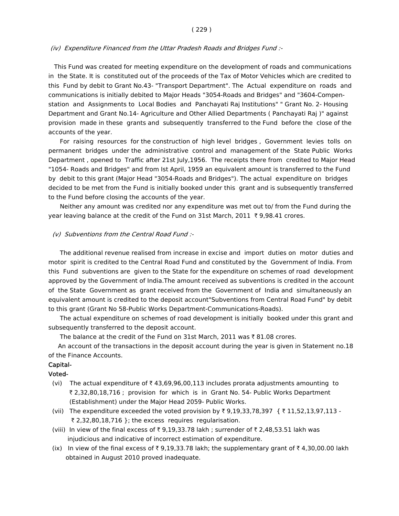#### ( 229 )

#### (iv) Expenditure Financed from the Uttar Pradesh Roads and Bridges Fund :-

 This Fund was created for meeting expenditure on the development of roads and communications in the State. It is constituted out of the proceeds of the Tax of Motor Vehicles which are credited to this Fund by debit to Grant No.43- "Transport Department". The Actual expenditure on roads and communications is initially debited to Major Heads "3054-Roads and Bridges" and "3604-Compen station and Assignments to Local Bodies and Panchayati Raj Institutions" " Grant No. 2- Housing Department and Grant No.14- Agriculture and Other Allied Departments ( Panchayati Raj )" against provision made in these grants and subsequently transferred to the Fund before the close of the accounts of the year.

 For raising resources for the construction of high level bridges , Government levies tolls on permanent bridges under the administrative control and management of the State Public Works Department , opened to Traffic after 21st July,1956. The receipts there from credited to Major Head "1054- Roads and Bridges" and from Ist April, 1959 an equivalent amount is transferred to the Fund by debit to this grant (Major Head "3054-Roads and Bridges"). The actual expenditure on bridges decided to be met from the Fund is initially booked under this grant and is subsequently transferred to the Fund before closing the accounts of the year.

 Neither any amount was credited nor any expenditure was met out to/ from the Fund during the year leaving balance at the credit of the Fund on 31st March, 2011 ₹9,98.41 crores.

#### (v) Subventions from the Central Road Fund :-

 The additional revenue realised from increase in excise and import duties on motor duties and motor spirit is credited to the Central Road Fund and constituted by the Government of India. From this Fund subventions are given to the State for the expenditure on schemes of road development approved by the Government of India.The amount received as subventions is credited in the account of the State Government as grant received from the Government of India and simultaneously an equivalent amount is credited to the deposit account"Subventions from Central Road Fund" by debit to this grant (Grant No 58-Public Works Department-Communications-Roads).

 The actual expenditure on schemes of road development is initially booked under this grant and subsequently transferred to the deposit account.

The balance at the credit of the Fund on 31st March, 2011 was  $\bar{\tau}$  81.08 crores.

 An account of the transactions in the deposit account during the year is given in Statement no.18 of the Finance Accounts.

## Capital-

## Voted-

- (vi) The actual expenditure of  $\bar{\tau}$  43,69,96,00,113 includes prorata adjustments amounting to ` 2,32,80,18,716 ; provision for which is in Grant No. 54- Public Works Department (Establishment) under the Major Head 2059- Public Works.
- (vii) The expenditure exceeded the voted provision by ₹ 9,19,33,78,397 { ₹ 11,52,13,97,113 - $\bar{\tau}$  2,32,80,18,716 }; the excess requires regularisation.
- (viii) In view of the final excess of  $\bar{\tau}$  9,19,33.78 lakh; surrender of  $\bar{\tau}$  2,48,53.51 lakh was injudicious and indicative of incorrect estimation of expenditure.
- (ix) In view of the final excess of  $\overline{\xi}$  9,19,33.78 lakh; the supplementary grant of  $\overline{\xi}$  4,30,00.00 lakh obtained in August 2010 proved inadequate.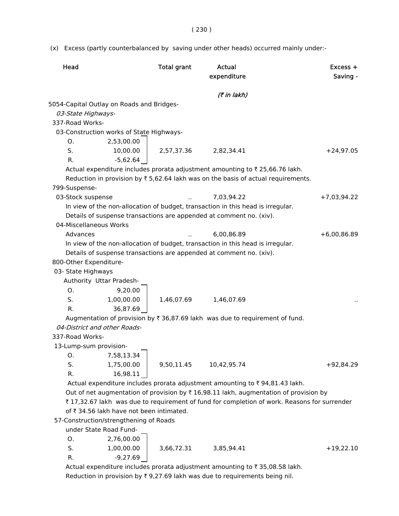(x) Excess (partly counterbalanced by saving under other heads) occurred mainly under:-

| Head                   |                                           | <b>Total grant</b> | Actual<br>expenditure                                                                             | $Excess +$<br>Saving - |
|------------------------|-------------------------------------------|--------------------|---------------------------------------------------------------------------------------------------|------------------------|
|                        |                                           |                    | (7 in lakh)                                                                                       |                        |
|                        | 5054-Capital Outlay on Roads and Bridges- |                    |                                                                                                   |                        |
| 03-State Highways-     |                                           |                    |                                                                                                   |                        |
| 337-Road Works-        |                                           |                    |                                                                                                   |                        |
|                        | 03-Construction works of State Highways-  |                    |                                                                                                   |                        |
| Ο.                     | 2,53,00.00                                |                    |                                                                                                   |                        |
| S.                     | 10,00.00                                  | 2,57,37.36         | 2,82,34.41                                                                                        | $+24,97.05$            |
| R.                     | $-5,62.64$                                |                    |                                                                                                   |                        |
|                        |                                           |                    | Actual expenditure includes prorata adjustment amounting to ₹ 25,66.76 lakh.                      |                        |
|                        |                                           |                    | Reduction in provision by $\overline{\tau}$ 5,62.64 lakh was on the basis of actual requirements. |                        |
| 799-Suspense-          |                                           |                    |                                                                                                   |                        |
| 03-Stock suspense      |                                           |                    | 7,03,94.22                                                                                        | $+7,03,94.22$          |
|                        |                                           |                    | In view of the non-allocation of budget, transaction in this head is irregular.                   |                        |
|                        |                                           |                    | Details of suspense transactions are appended at comment no. (xiv).                               |                        |
| 04-Miscellaneous Works |                                           |                    |                                                                                                   |                        |
| Advances               |                                           |                    | 6,00,86.89                                                                                        | $+6,00,86.89$          |
|                        |                                           |                    | In view of the non-allocation of budget, transaction in this head is irregular.                   |                        |
|                        |                                           |                    | Details of suspense transactions are appended at comment no. (xiv).                               |                        |
| 800-Other Expenditure- |                                           |                    |                                                                                                   |                        |
| 03- State Highways     |                                           |                    |                                                                                                   |                        |
|                        | Authority Uttar Pradesh-                  |                    |                                                                                                   |                        |
| O.                     | 9,20.00                                   |                    |                                                                                                   |                        |
| S.                     | 1,00,00.00                                | 1,46,07.69         | 1,46,07.69                                                                                        |                        |
| R.                     | 36,87.69                                  |                    |                                                                                                   |                        |
|                        |                                           |                    | Augmentation of provision by ₹ 36,87.69 lakh was due to requirement of fund.                      |                        |
|                        | 04-District and other Roads-              |                    |                                                                                                   |                        |
| 337-Road Works-        |                                           |                    |                                                                                                   |                        |
| 13-Lump-sum provision- |                                           |                    |                                                                                                   |                        |
| Ο.                     | 7,58,13.34                                |                    |                                                                                                   |                        |
| S.                     | 1,75,00.00                                | 9,50,11.45         | 10,42,95.74                                                                                       | $+92,84.29$            |
| R.                     | 16,98.11                                  |                    |                                                                                                   |                        |
|                        |                                           |                    | Actual expenditure includes prorata adjustment amounting to $\bar{\tau}$ 94,81.43 lakh.           |                        |
|                        |                                           |                    | Out of net augmentation of provision by ₹16,98.11 lakh, augmentation of provision by              |                        |
|                        |                                           |                    | ₹17,32.67 lakh was due to requirement of fund for completion of work. Reasons for surrender       |                        |
|                        | of ₹ 34.56 lakh have not been intimated.  |                    |                                                                                                   |                        |
|                        | 57-Construction/strengthening of Roads    |                    |                                                                                                   |                        |
|                        | under State Road Fund-                    |                    |                                                                                                   |                        |
| O.                     | 2,76,00.00                                |                    |                                                                                                   |                        |
| S.                     | 1,00,00.00                                | 3,66,72.31         | 3,85,94.41                                                                                        | $+19,22.10$            |
| R.                     | $-9,27.69$                                |                    |                                                                                                   |                        |
|                        |                                           |                    | Actual expenditure includes prorata adjustment amounting to ₹35,08.58 lakh.                       |                        |

Reduction in provision by  $\bar{\tau}$  9,27.69 lakh was due to requirements being nil.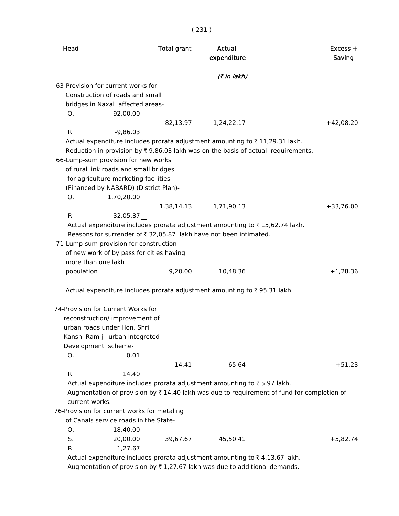|                    |                                             | <b>Total grant</b> | Actual<br>expenditure                                                                                      | Excess +<br>Saving - |
|--------------------|---------------------------------------------|--------------------|------------------------------------------------------------------------------------------------------------|----------------------|
|                    |                                             |                    | (7 in lakh)                                                                                                |                      |
|                    | 63-Provision for current works for          |                    |                                                                                                            |                      |
|                    | Construction of roads and small             |                    |                                                                                                            |                      |
|                    | bridges in Naxal affected areas-            |                    |                                                                                                            |                      |
| O.                 | 92,00.00                                    |                    |                                                                                                            |                      |
|                    |                                             |                    | 82,13.97 1,24,22.17                                                                                        | $+42,08.20$          |
| R.                 | $-9,86.03$                                  |                    |                                                                                                            |                      |
|                    |                                             |                    | Actual expenditure includes prorata adjustment amounting to ₹11,29.31 lakh.                                |                      |
|                    |                                             |                    | Reduction in provision by $\overline{\tau}$ 9,86.03 lakh was on the basis of actual requirements.          |                      |
|                    | 66-Lump-sum provision for new works         |                    |                                                                                                            |                      |
|                    | of rural link roads and small bridges       |                    |                                                                                                            |                      |
|                    | for agriculture marketing facilities        |                    |                                                                                                            |                      |
|                    | (Financed by NABARD) (District Plan)-       |                    |                                                                                                            |                      |
| Ο.                 | 1,70,20.00                                  |                    |                                                                                                            |                      |
|                    |                                             | 1,38,14.13         | 1,71,90.13                                                                                                 | $+33,76.00$          |
| R.                 | $-32,05.87$                                 |                    |                                                                                                            |                      |
|                    |                                             |                    | Actual expenditure includes prorata adjustment amounting to ₹15,62.74 lakh.                                |                      |
|                    |                                             |                    | Reasons for surrender of ₹ 32,05.87 lakh have not been intimated.                                          |                      |
|                    | 71-Lump-sum provision for construction      |                    |                                                                                                            |                      |
|                    | of new work of by pass for cities having    |                    |                                                                                                            |                      |
|                    |                                             |                    |                                                                                                            |                      |
| more than one lakh |                                             |                    |                                                                                                            |                      |
|                    |                                             | 9,20.00            | 10,48.36                                                                                                   |                      |
| population         |                                             |                    |                                                                                                            |                      |
|                    |                                             |                    | Actual expenditure includes prorata adjustment amounting to ₹95.31 lakh.                                   | $+1,28.36$           |
|                    |                                             |                    |                                                                                                            |                      |
|                    | 74-Provision for Current Works for          |                    |                                                                                                            |                      |
|                    | reconstruction/ improvement of              |                    |                                                                                                            |                      |
|                    | urban roads under Hon. Shri                 |                    |                                                                                                            |                      |
|                    | Kanshi Ram ji urban Integreted              |                    |                                                                                                            |                      |
|                    | Development scheme-                         |                    |                                                                                                            |                      |
| O.                 | 0.01                                        |                    |                                                                                                            |                      |
|                    |                                             | 14.41              | 65.64                                                                                                      |                      |
| R.                 | 14.40                                       |                    |                                                                                                            |                      |
|                    |                                             |                    | Actual expenditure includes prorata adjustment amounting to ₹5.97 lakh.                                    |                      |
|                    |                                             |                    | Augmentation of provision by $\overline{\tau}$ 14.40 lakh was due to requirement of fund for completion of |                      |
| current works.     |                                             |                    |                                                                                                            |                      |
|                    | 76-Provision for current works for metaling |                    |                                                                                                            |                      |
|                    | of Canals service roads in the State-       |                    |                                                                                                            | $+51.23$             |
| O.                 | 18,40.00                                    |                    |                                                                                                            |                      |
| S.<br>R.           | 20,00.00<br>1,27.67                         | 39,67.67           | 45,50.41                                                                                                   | $+5,82.74$           |

Augmentation of provision by  $\bar{\tau}$  1,27.67 lakh was due to additional demands.

( 231 )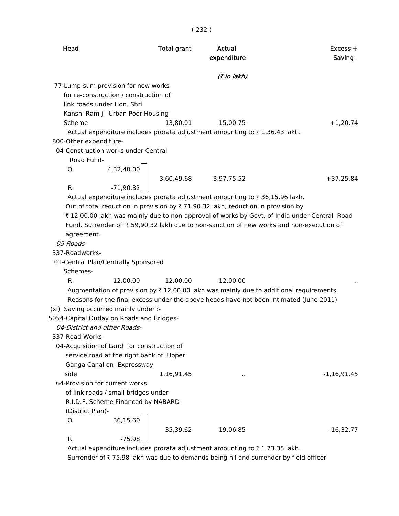| Head                                      |                                            | <b>Total grant</b> | Actual<br>expenditure                                                                             | Excess +<br>Saving - |
|-------------------------------------------|--------------------------------------------|--------------------|---------------------------------------------------------------------------------------------------|----------------------|
|                                           |                                            |                    | (₹ in lakh)                                                                                       |                      |
|                                           | 77-Lump-sum provision for new works        |                    |                                                                                                   |                      |
|                                           | for re-construction / construction of      |                    |                                                                                                   |                      |
|                                           | link roads under Hon. Shri                 |                    |                                                                                                   |                      |
|                                           | Kanshi Ram ji Urban Poor Housing           |                    |                                                                                                   |                      |
| Scheme                                    |                                            | 13,80.01           | 15,00.75                                                                                          | $+1,20.74$           |
|                                           |                                            |                    | Actual expenditure includes prorata adjustment amounting to ₹1,36.43 lakh.                        |                      |
| 800-Other expenditure-                    |                                            |                    |                                                                                                   |                      |
|                                           | 04-Construction works under Central        |                    |                                                                                                   |                      |
| Road Fund-                                |                                            |                    |                                                                                                   |                      |
| О.                                        | 4,32,40.00                                 |                    | 3,60,49.68 3,97,75.52                                                                             |                      |
| R.                                        | $-71,90.32$                                |                    |                                                                                                   | $+37,25.84$          |
|                                           |                                            |                    | Actual expenditure includes prorata adjustment amounting to ₹ 36,15.96 lakh.                      |                      |
|                                           |                                            |                    | Out of total reduction in provision by $\overline{\tau}$ 71,90.32 lakh, reduction in provision by |                      |
|                                           |                                            |                    | ₹12,00.00 lakh was mainly due to non-approval of works by Govt. of India under Central Road       |                      |
|                                           |                                            |                    | Fund. Surrender of ₹59,90.32 lakh due to non-sanction of new works and non-execution of           |                      |
| agreement.                                |                                            |                    |                                                                                                   |                      |
| 05-Roads-                                 |                                            |                    |                                                                                                   |                      |
| 337-Roadworks-                            |                                            |                    |                                                                                                   |                      |
|                                           | 01-Central Plan/Centrally Sponsored        |                    |                                                                                                   |                      |
| Schemes-                                  |                                            |                    |                                                                                                   |                      |
| R.                                        | 12,00.00                                   | 12,00.00           | 12,00.00                                                                                          |                      |
|                                           |                                            |                    | Augmentation of provision by ₹12,00.00 lakh was mainly due to additional requirements.            |                      |
|                                           |                                            |                    | Reasons for the final excess under the above heads have not been intimated (June 2011).           |                      |
| (xi) Saving occurred mainly under :-      |                                            |                    |                                                                                                   |                      |
| 5054-Capital Outlay on Roads and Bridges- |                                            |                    |                                                                                                   |                      |
|                                           | 04-District and other Roads-               |                    |                                                                                                   |                      |
| 337-Road Works-                           |                                            |                    |                                                                                                   |                      |
|                                           | 04-Acquisition of Land for construction of |                    |                                                                                                   |                      |
|                                           | service road at the right bank of Upper    |                    |                                                                                                   |                      |
|                                           | Ganga Canal on Expressway                  |                    |                                                                                                   |                      |
| side                                      |                                            | 1,16,91.45         | Ω,                                                                                                | $-1,16,91.45$        |
|                                           | 64-Provision for current works             |                    |                                                                                                   |                      |
|                                           | of link roads / small bridges under        |                    |                                                                                                   |                      |
|                                           | R.I.D.F. Scheme Financed by NABARD-        |                    |                                                                                                   |                      |

(District Plan)-

 $0.36,15.60$ 

35,39.62 19,06.85 -16,32.77

R.  $-75.98$ 

Actual expenditure includes prorata adjustment amounting to  $\bar{\tau}$  1,73.35 lakh.

Surrender of  $\bar{\tau}$  75.98 lakh was due to demands being nil and surrender by field officer.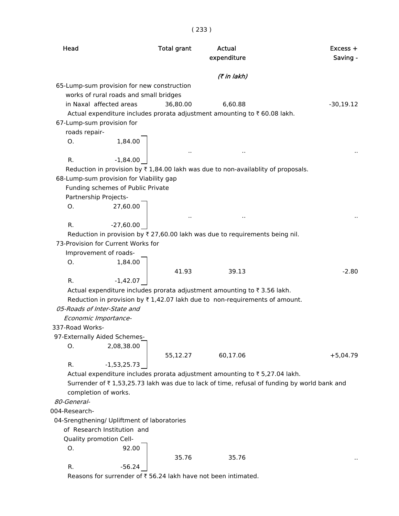| Head            |                                             | <b>Total grant</b> | Actual<br>expenditure                                                                       | Excess +<br>Saving - |
|-----------------|---------------------------------------------|--------------------|---------------------------------------------------------------------------------------------|----------------------|
|                 |                                             |                    | (7 in lakh)                                                                                 |                      |
|                 | 65-Lump-sum provision for new construction  |                    |                                                                                             |                      |
|                 | works of rural roads and small bridges      |                    |                                                                                             |                      |
|                 | in Naxal affected areas                     | 36,80.00           | 6,60.88                                                                                     | $-30,19.12$          |
|                 |                                             |                    | Actual expenditure includes prorata adjustment amounting to ₹60.08 lakh.                    |                      |
|                 | 67-Lump-sum provision for                   |                    |                                                                                             |                      |
| roads repair-   |                                             |                    |                                                                                             |                      |
| O.              | 1,84.00                                     |                    |                                                                                             |                      |
|                 |                                             | $\sim$             |                                                                                             |                      |
| R.              | $-1,84.00$                                  |                    |                                                                                             |                      |
|                 |                                             |                    | Reduction in provision by ₹1,84.00 lakh was due to non-availablity of proposals.            |                      |
|                 | 68-Lump-sum provision for Viability gap     |                    |                                                                                             |                      |
|                 | Funding schemes of Public Private           |                    |                                                                                             |                      |
|                 | Partnership Projects-                       |                    |                                                                                             |                      |
| 0.              | 27,60.00                                    |                    |                                                                                             |                      |
|                 |                                             |                    |                                                                                             |                      |
| R.              | $-27,60.00$                                 |                    |                                                                                             |                      |
|                 |                                             |                    | Reduction in provision by $\bar{\tau}$ 27,60.00 lakh was due to requirements being nil.     |                      |
|                 | 73-Provision for Current Works for          |                    |                                                                                             |                      |
|                 | Improvement of roads-                       |                    |                                                                                             |                      |
| Ο.              | 1,84.00                                     |                    |                                                                                             |                      |
|                 |                                             | 41.93              | 39.13                                                                                       | $-2.80$              |
| R.              | $-1,42.07$                                  |                    |                                                                                             |                      |
|                 |                                             |                    | Actual expenditure includes prorata adjustment amounting to ₹3.56 lakh.                     |                      |
|                 | 05-Roads of Inter-State and                 |                    | Reduction in provision by $\overline{\tau}$ 1,42.07 lakh due to non-requirements of amount. |                      |
|                 |                                             |                    |                                                                                             |                      |
| 337-Road Works- | Economic Importance-                        |                    |                                                                                             |                      |
|                 | 97-Externally Aided Schemes-                |                    |                                                                                             |                      |
| О.              | 2,08,38.00                                  |                    |                                                                                             |                      |
|                 |                                             | 55,12.27           | 60,17.06                                                                                    | $+5,04.79$           |
| R.              | $-1,53,25.73$                               |                    |                                                                                             |                      |
|                 |                                             |                    | Actual expenditure includes prorata adjustment amounting to ₹5,27.04 lakh.                  |                      |
|                 |                                             |                    | Surrender of ₹1,53,25.73 lakh was due to lack of time, refusal of funding by world bank and |                      |
|                 | completion of works.                        |                    |                                                                                             |                      |
| 80-General-     |                                             |                    |                                                                                             |                      |
| 004-Research-   |                                             |                    |                                                                                             |                      |
|                 | 04-Srengthening/ Upliftment of laboratories |                    |                                                                                             |                      |
|                 | of Research Institution and                 |                    |                                                                                             |                      |
|                 | Quality promotion Cell-                     |                    |                                                                                             |                      |
| 0.              | 92.00                                       |                    |                                                                                             |                      |
|                 |                                             | 35.76              | 35.76                                                                                       |                      |
| R.              | $-56.24$                                    |                    |                                                                                             |                      |
|                 |                                             |                    |                                                                                             |                      |

Reasons for surrender of  $\overline{\overline{\epsilon}}$  56.24 lakh have not been intimated.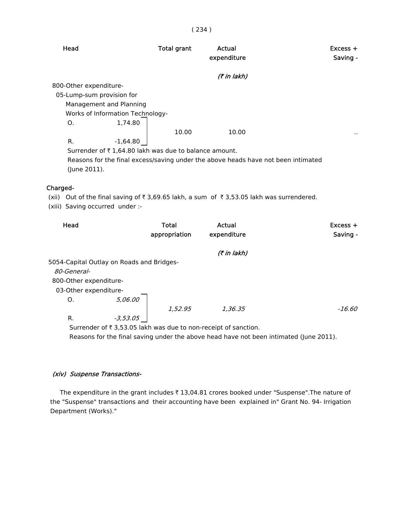## ( 234 )

| Head                             | <b>Total grant</b>                                                                | Actual<br>expenditure | $Excess +$<br>Saving - |
|----------------------------------|-----------------------------------------------------------------------------------|-----------------------|------------------------|
|                                  |                                                                                   | (₹ in lakh)           |                        |
| 800-Other expenditure-           |                                                                                   |                       |                        |
| 05-Lump-sum provision for        |                                                                                   |                       |                        |
| Management and Planning          |                                                                                   |                       |                        |
| Works of Information Technology- |                                                                                   |                       |                        |
| O.                               | 1,74.80                                                                           |                       |                        |
|                                  | 10.00                                                                             | 10.00                 | $\cdot$ .              |
| R.<br>$-1,64.80$                 |                                                                                   |                       |                        |
|                                  | Surrender of $\bar{\tau}$ 1,64.80 lakh was due to balance amount.                 |                       |                        |
| (June 2011).                     | Reasons for the final excess/saving under the above heads have not been intimated |                       |                        |

## Charged-

(xii) Out of the final saving of  $\bar{\tau}$  3,69.65 lakh, a sum of  $\bar{\tau}$  3,53.05 lakh was surrendered.

(xiii) Saving occurred under :-

| Head                                      |            | <b>Total</b><br>appropriation | Actual<br>expenditure | $Excess +$<br>Saving - |
|-------------------------------------------|------------|-------------------------------|-----------------------|------------------------|
|                                           |            |                               | (7 in lakh)           |                        |
| 5054-Capital Outlay on Roads and Bridges- |            |                               |                       |                        |
| 80-General-                               |            |                               |                       |                        |
| 800-Other expenditure-                    |            |                               |                       |                        |
| 03-Other expenditure-                     |            |                               |                       |                        |
| 0.                                        | 5,06.00    |                               |                       |                        |
|                                           |            | 1,52.95                       | 1,36.35               | -16.60                 |
| R.                                        | $-3,53.05$ |                               |                       |                        |
|                                           |            |                               |                       |                        |

Surrender of  $\bar{\tau}$  3,53.05 lakh was due to non-receipt of sanction.

Reasons for the final saving under the above head have not been intimated (June 2011).

## (xiv) Suspense Transactions-

The expenditure in the grant includes  $\bar{\tau}$  13,04.81 crores booked under "Suspense". The nature of the "Suspense" transactions and their accounting have been explained in" Grant No. 94- Irrigation Department (Works)."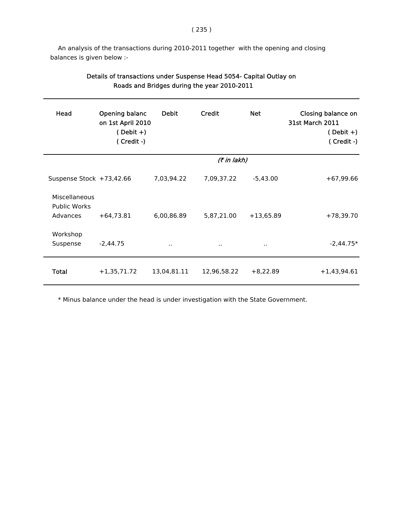An analysis of the transactions during 2010-2011 together with the opening and closing balances is given below :-

| Head                                 | Opening balanc<br>on 1st April 2010<br>$(Debit +)$<br>(Credit-) | <b>Debit</b> | Credit      | <b>Net</b>  | Closing balance on<br><b>31st March 2011</b><br>$(Debit +)$<br>(Credit-) |
|--------------------------------------|-----------------------------------------------------------------|--------------|-------------|-------------|--------------------------------------------------------------------------|
|                                      |                                                                 |              | (₹ in lakh) |             |                                                                          |
| Suspense Stock +73,42.66             |                                                                 | 7,03,94.22   | 7,09,37.22  | $-5,43.00$  | $+67,99.66$                                                              |
| Miscellaneous<br><b>Public Works</b> |                                                                 |              |             |             |                                                                          |
| Advances                             | $+64,73.81$                                                     | 6,00,86.89   | 5,87,21.00  | $+13,65.89$ | $+78,39.70$                                                              |
| Workshop<br>Suspense                 | $-2,44.75$                                                      | $\sim$       | $\sim$      | $\cdot$ .   | $-2,44.75*$                                                              |
| Total                                | $+1,35,71.72$                                                   | 13,04,81.11  | 12,96,58.22 | $+8,22.89$  | $+1,43,94.61$                                                            |

# Details of transactions under Suspense Head 5054- Capital Outlay on Roads and Bridges during the year 2010-2011

\* Minus balance under the head is under investigation with the State Government.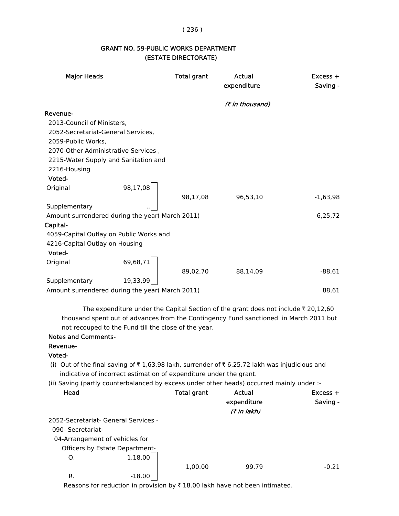#### ( 236 )

# GRANT NO. 59-PUBLIC WORKS DEPARTMENT (ESTATE DIRECTORATE)

| <b>Major Heads</b>                              |                                                                    | <b>Total grant</b> | Actual<br>expenditure                                                                         | Excess +<br>Saving - |
|-------------------------------------------------|--------------------------------------------------------------------|--------------------|-----------------------------------------------------------------------------------------------|----------------------|
|                                                 |                                                                    |                    | (₹ in thousand)                                                                               |                      |
| Revenue-                                        |                                                                    |                    |                                                                                               |                      |
| 2013-Council of Ministers,                      |                                                                    |                    |                                                                                               |                      |
| 2052-Secretariat-General Services,              |                                                                    |                    |                                                                                               |                      |
| 2059-Public Works,                              |                                                                    |                    |                                                                                               |                      |
| 2070-Other Administrative Services,             |                                                                    |                    |                                                                                               |                      |
| 2215-Water Supply and Sanitation and            |                                                                    |                    |                                                                                               |                      |
| 2216-Housing                                    |                                                                    |                    |                                                                                               |                      |
| Voted-                                          |                                                                    |                    |                                                                                               |                      |
| Original                                        | 98,17,08                                                           |                    |                                                                                               |                      |
|                                                 |                                                                    | 98,17,08           | 96,53,10                                                                                      | $-1,63,98$           |
| Supplementary                                   |                                                                    |                    |                                                                                               |                      |
| Amount surrendered during the year( March 2011) |                                                                    |                    |                                                                                               | 6,25,72              |
| Capital-                                        |                                                                    |                    |                                                                                               |                      |
| 4059-Capital Outlay on Public Works and         |                                                                    |                    |                                                                                               |                      |
| 4216-Capital Outlay on Housing                  |                                                                    |                    |                                                                                               |                      |
| Voted-                                          |                                                                    |                    |                                                                                               |                      |
| Original                                        | 69,68,71                                                           |                    |                                                                                               |                      |
|                                                 |                                                                    | 89,02,70           | 88,14,09                                                                                      | $-88,61$             |
| Supplementary                                   | 19,33,99                                                           |                    |                                                                                               |                      |
| Amount surrendered during the year( March 2011) |                                                                    |                    |                                                                                               | 88,61                |
|                                                 |                                                                    |                    | The expenditure under the Capital Section of the grant does not include $\bar{\tau}$ 20,12,60 |                      |
|                                                 |                                                                    |                    | thousand spent out of advances from the Contingency Fund sanctioned in March 2011 but         |                      |
|                                                 | not recouped to the Fund till the close of the year.               |                    |                                                                                               |                      |
| <b>Notes and Comments-</b>                      |                                                                    |                    |                                                                                               |                      |
| Revenue-                                        |                                                                    |                    |                                                                                               |                      |
| Voted-                                          |                                                                    |                    |                                                                                               |                      |
|                                                 |                                                                    |                    | (i) Out of the final saving of ₹1,63.98 lakh, surrender of ₹6,25.72 lakh was injudicious and  |                      |
|                                                 | indicative of incorrect estimation of expenditure under the grant. |                    |                                                                                               |                      |
|                                                 |                                                                    |                    | (ii) Saving (partly counterbalanced by excess under other heads) occurred mainly under :-     |                      |
| Head                                            |                                                                    | <b>Total grant</b> | Actual                                                                                        | Excess +             |
|                                                 |                                                                    |                    | expenditure                                                                                   | Saving -             |
|                                                 |                                                                    |                    | (₹ in lakh)                                                                                   |                      |

2052-Secretariat- General Services -

090- Secretariat-

04-Arrangement of vehicles for

Officers by Estate Department-

O. 1,18.00

1,00.00 99.79 -0.21 R. -18.00

Reasons for reduction in provision by  $\bar{\tau}$  18.00 lakh have not been intimated.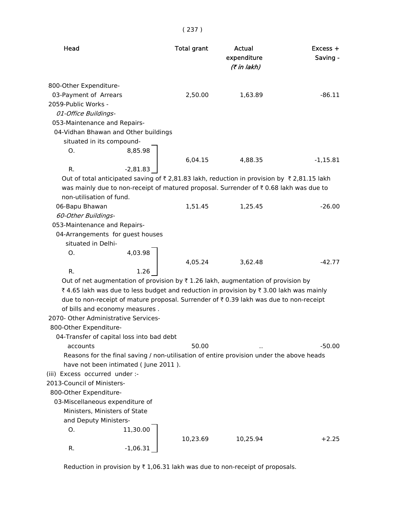| Head                                                                                              | <b>Total grant</b> | Actual<br>expenditure<br>(₹ in lakh) | Excess +<br>Saving - |  |  |  |
|---------------------------------------------------------------------------------------------------|--------------------|--------------------------------------|----------------------|--|--|--|
| 800-Other Expenditure-                                                                            |                    |                                      |                      |  |  |  |
| 03-Payment of Arrears                                                                             | 2,50.00            | 1,63.89                              | $-86.11$             |  |  |  |
| 2059-Public Works -                                                                               |                    |                                      |                      |  |  |  |
| 01-Office Buildings-                                                                              |                    |                                      |                      |  |  |  |
| 053-Maintenance and Repairs-                                                                      |                    |                                      |                      |  |  |  |
| 04-Vidhan Bhawan and Other buildings                                                              |                    |                                      |                      |  |  |  |
| situated in its compound-                                                                         |                    |                                      |                      |  |  |  |
| 8,85.98<br>O.                                                                                     |                    |                                      |                      |  |  |  |
|                                                                                                   | 6,04.15            | 4,88.35                              | $-1,15.81$           |  |  |  |
| $-2,81.83$<br>R.                                                                                  |                    |                                      |                      |  |  |  |
| Out of total anticipated saving of ₹2,81.83 lakh, reduction in provision by ₹2,81.15 lakh         |                    |                                      |                      |  |  |  |
| was mainly due to non-receipt of matured proposal. Surrender of ₹ 0.68 lakh was due to            |                    |                                      |                      |  |  |  |
| non-utilisation of fund.                                                                          |                    |                                      |                      |  |  |  |
| 06-Bapu Bhawan                                                                                    | 1,51.45            | 1,25.45                              | $-26.00$             |  |  |  |
| 60-Other Buildings-                                                                               |                    |                                      |                      |  |  |  |
| 053-Maintenance and Repairs-                                                                      |                    |                                      |                      |  |  |  |
| 04-Arrangements for guest houses                                                                  |                    |                                      |                      |  |  |  |
| situated in Delhi-                                                                                |                    |                                      |                      |  |  |  |
| 4,03.98<br>Ο.                                                                                     |                    |                                      |                      |  |  |  |
|                                                                                                   | 4,05.24            | 3,62.48                              | $-42.77$             |  |  |  |
| R.<br>1.26                                                                                        |                    |                                      |                      |  |  |  |
| Out of net augmentation of provision by $\overline{\tau}$ 1.26 lakh, augmentation of provision by |                    |                                      |                      |  |  |  |
| ₹4.65 lakh was due to less budget and reduction in provision by ₹3.00 lakh was mainly             |                    |                                      |                      |  |  |  |
| due to non-receipt of mature proposal. Surrender of ₹0.39 lakh was due to non-receipt             |                    |                                      |                      |  |  |  |
| of bills and economy measures.                                                                    |                    |                                      |                      |  |  |  |
| 2070- Other Administrative Services-                                                              |                    |                                      |                      |  |  |  |
| 800-Other Expenditure-                                                                            |                    |                                      |                      |  |  |  |
| 04-Transfer of capital loss into bad debt                                                         |                    |                                      |                      |  |  |  |
| accounts                                                                                          | 50.00              |                                      | $-50.00$             |  |  |  |
| Reasons for the final saving / non-utilisation of entire provision under the above heads          |                    |                                      |                      |  |  |  |
| have not been intimated (June 2011).                                                              |                    |                                      |                      |  |  |  |
| (iii) Excess occurred under :-                                                                    |                    |                                      |                      |  |  |  |
| 2013-Council of Ministers-                                                                        |                    |                                      |                      |  |  |  |
| 800-Other Expenditure-                                                                            |                    |                                      |                      |  |  |  |
| 03-Miscellaneous expenditure of                                                                   |                    |                                      |                      |  |  |  |
| Ministers, Ministers of State                                                                     |                    |                                      |                      |  |  |  |
| and Deputy Ministers-                                                                             |                    |                                      |                      |  |  |  |
| 0.<br>11,30.00                                                                                    |                    |                                      |                      |  |  |  |
|                                                                                                   | 10,23.69           | 10,25.94                             | $+2.25$              |  |  |  |
| $-1,06.31$<br>R.                                                                                  |                    |                                      |                      |  |  |  |

( 237 )

Reduction in provision by  $\bar{x}$  1,06.31 lakh was due to non-receipt of proposals.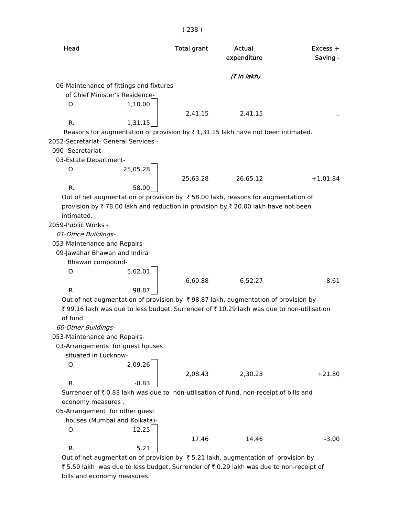| Head                                                                                              | <b>Total grant</b> | Actual<br>expenditure | Excess +<br>Saving - |
|---------------------------------------------------------------------------------------------------|--------------------|-----------------------|----------------------|
|                                                                                                   |                    | (7 in lakh)           |                      |
| 06-Maintenance of fittings and fixtures                                                           |                    |                       |                      |
| of Chief Minister's Residence-                                                                    |                    |                       |                      |
| 1,10.00<br>O.                                                                                     |                    |                       |                      |
|                                                                                                   | 2,41.15            | 2,41.15               |                      |
| R.<br>1,31.15                                                                                     |                    |                       |                      |
| Reasons for augmentation of provision by ₹1,31.15 lakh have not been intimated.                   |                    |                       |                      |
| 2052-Secretariat- General Services -                                                              |                    |                       |                      |
| 090- Secretariat-                                                                                 |                    |                       |                      |
| 03-Estate Department-                                                                             |                    |                       |                      |
| 25,05.28<br>О.                                                                                    |                    |                       |                      |
|                                                                                                   | 25,63.28           | 26,65.12              | $+1,01.84$           |
| $R_{\cdot}$<br>58.00                                                                              |                    |                       |                      |
| Out of net augmentation of provision by $\overline{\tau}$ 58.00 lakh, reasons for augmentation of |                    |                       |                      |
| provision by ₹78.00 lakh and reduction in provision by ₹20.00 lakh have not been                  |                    |                       |                      |
| intimated.                                                                                        |                    |                       |                      |
| 2059-Public Works -                                                                               |                    |                       |                      |
| 01-Office Buildings-                                                                              |                    |                       |                      |
| 053-Maintenance and Repairs-                                                                      |                    |                       |                      |
| 09-Jawahar Bhawan and Indira                                                                      |                    |                       |                      |
| Bhawan compound-                                                                                  |                    |                       |                      |
| 5,62.01<br>Ο.                                                                                     |                    |                       |                      |
|                                                                                                   | 6,60.88            | 6,52.27               | $-8.61$              |
| $R_{\cdot}$<br>98.87                                                                              |                    |                       |                      |
| Out of net augmentation of provision by ₹98.87 lakh, augmentation of provision by                 |                    |                       |                      |
| ₹ 99.16 lakh was due to less budget. Surrender of ₹ 10.29 lakh was due to non-utilisation         |                    |                       |                      |
| of fund.                                                                                          |                    |                       |                      |
| 60-Other Buildings-                                                                               |                    |                       |                      |
| 053-Maintenance and Repairs-                                                                      |                    |                       |                      |
| 03-Arrangements for guest houses                                                                  |                    |                       |                      |
| situated in Lucknow-                                                                              |                    |                       |                      |
| 2,09.26<br>O.                                                                                     |                    |                       |                      |
|                                                                                                   | 2,08.43            | 2,30.23               | $+21.80$             |
| R.<br>$-0.83$                                                                                     |                    |                       |                      |
| Surrender of ₹ 0.83 lakh was due to non-utilisation of fund, non-receipt of bills and             |                    |                       |                      |
| economy measures.                                                                                 |                    |                       |                      |
| 05-Arrangement for other guest                                                                    |                    |                       |                      |
| houses (Mumbai and Kolkata)-                                                                      |                    |                       |                      |
| 12.25<br>О.                                                                                       |                    |                       |                      |
|                                                                                                   | 17.46              | 14.46                 | $-3.00$              |
| R.<br>5.21                                                                                        |                    |                       |                      |
| Out of net augmentation of provision by ₹5.21 lakh, augmentation of provision by                  |                    |                       |                      |

₹ 5.50 lakh was due to less budget. Surrender of ₹ 0.29 lakh was due to non-receipt of bills and economy measures.

( 238 )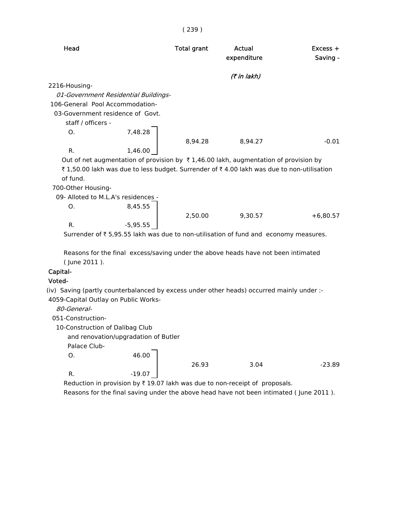|                                      |                                      | (239)              |                                                                                                 |                        |
|--------------------------------------|--------------------------------------|--------------------|-------------------------------------------------------------------------------------------------|------------------------|
| Head                                 |                                      | <b>Total grant</b> | Actual<br>expenditure                                                                           | $Excess +$<br>Saving - |
|                                      |                                      |                    | (₹ in lakh)                                                                                     |                        |
| 2216-Housing-                        |                                      |                    |                                                                                                 |                        |
|                                      | 01-Government Residential Buildings- |                    |                                                                                                 |                        |
| 106-General Pool Accommodation-      |                                      |                    |                                                                                                 |                        |
|                                      | 03-Government residence of Govt.     |                    |                                                                                                 |                        |
| staff / officers -                   |                                      |                    |                                                                                                 |                        |
| O.                                   | 7,48.28                              |                    |                                                                                                 |                        |
|                                      |                                      | 8,94.28            | 8,94.27                                                                                         | $-0.01$                |
| R.                                   | 1,46.00                              |                    |                                                                                                 |                        |
|                                      |                                      |                    | Out of net augmentation of provision by $\bar{\tau}$ 1,46.00 lakh, augmentation of provision by |                        |
|                                      |                                      |                    | ₹1,50.00 lakh was due to less budget. Surrender of ₹4.00 lakh was due to non-utilisation        |                        |
| of fund.                             |                                      |                    |                                                                                                 |                        |
| 700-Other Housing-                   |                                      |                    |                                                                                                 |                        |
|                                      | 09- Alloted to M.L.A's residences -  |                    |                                                                                                 |                        |
| Ο.                                   | 8,45.55                              |                    |                                                                                                 |                        |
|                                      |                                      | 2,50.00            | 9,30.57                                                                                         | $+6,80.57$             |
| R.                                   | $-5,95.55$                           |                    |                                                                                                 |                        |
|                                      |                                      |                    | Surrender of ₹5,95.55 lakh was due to non-utilisation of fund and economy measures.             |                        |
|                                      |                                      |                    | Reasons for the final excess/saving under the above heads have not been intimated               |                        |
| (June 2011).                         |                                      |                    |                                                                                                 |                        |
| Capital-                             |                                      |                    |                                                                                                 |                        |
| Voted-                               |                                      |                    |                                                                                                 |                        |
|                                      |                                      |                    | (iv) Saving (partly counterbalanced by excess under other heads) occurred mainly under :-       |                        |
| 4059-Capital Outlay on Public Works- |                                      |                    |                                                                                                 |                        |
| 80-General-                          |                                      |                    |                                                                                                 |                        |
| 051-Construction-                    |                                      |                    |                                                                                                 |                        |
| 10-Construction of Dalibag Club      |                                      |                    |                                                                                                 |                        |
|                                      | and renovation/upgradation of Butler |                    |                                                                                                 |                        |
| Palace Club-                         |                                      |                    |                                                                                                 |                        |
| 0.                                   | 46.00                                |                    |                                                                                                 |                        |
|                                      |                                      | 26.93              | 3.04                                                                                            | $-23.89$               |
| R.                                   | $-19.07$                             |                    |                                                                                                 |                        |

Reduction in provision by  $\bar{x}$  19.07 lakh was due to non-receipt of proposals. Reasons for the final saving under the above head have not been intimated ( June 2011 ).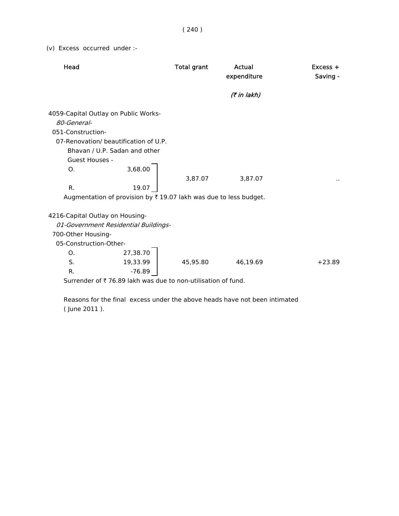( 240 )

(v) Excess occurred under :-

| Head                                                                                                                                                                              |          | <b>Total grant</b> | Actual      | $Excess +$ |
|-----------------------------------------------------------------------------------------------------------------------------------------------------------------------------------|----------|--------------------|-------------|------------|
|                                                                                                                                                                                   |          |                    | expenditure | Saving -   |
|                                                                                                                                                                                   |          |                    | (₹ in lakh) |            |
| 4059-Capital Outlay on Public Works-<br>80-General-<br>051-Construction-<br>07-Renovation/ beautification of U.P.<br>Bhavan / U.P. Sadan and other<br><b>Guest Houses -</b><br>O. | 3,68.00  |                    |             |            |
|                                                                                                                                                                                   |          | 3,87.07            | 3,87.07     |            |
| R.                                                                                                                                                                                | 19.07    |                    |             |            |
| Augmentation of provision by ₹19.07 lakh was due to less budget.                                                                                                                  |          |                    |             |            |
| 4216-Capital Outlay on Housing-<br>01-Government Residential Buildings-<br>700-Other Housing-                                                                                     |          |                    |             |            |
| 05-Construction-Other-                                                                                                                                                            |          |                    |             |            |
| O.                                                                                                                                                                                | 27,38.70 |                    |             |            |
| S.                                                                                                                                                                                | 19,33.99 | 45,95.80           | 46,19.69    | $+23.89$   |
| R.                                                                                                                                                                                | $-76.89$ |                    |             |            |
| Surrender of ₹76.89 lakh was due to non-utilisation of fund.                                                                                                                      |          |                    |             |            |

 Reasons for the final excess under the above heads have not been intimated ( June 2011 ).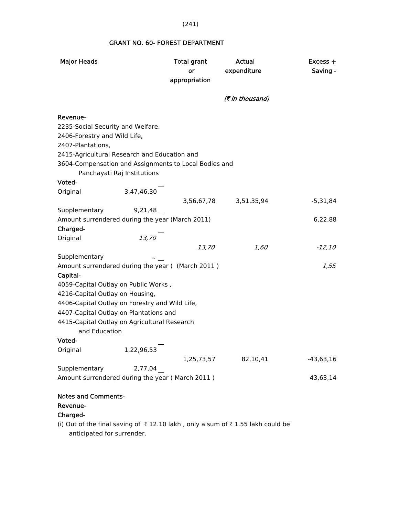## GRANT NO. 60- FOREST DEPARTMENT

| <b>Major Heads</b>                                            |                             | <b>Total grant</b><br>or<br>appropriation | Actual<br>expenditure                                                         | $Excess +$<br>Saving - |
|---------------------------------------------------------------|-----------------------------|-------------------------------------------|-------------------------------------------------------------------------------|------------------------|
|                                                               |                             |                                           | (₹ in thousand)                                                               |                        |
| Revenue-                                                      |                             |                                           |                                                                               |                        |
| 2235-Social Security and Welfare,                             |                             |                                           |                                                                               |                        |
| 2406-Forestry and Wild Life,<br>2407-Plantations,             |                             |                                           |                                                                               |                        |
| 2415-Agricultural Research and Education and                  |                             |                                           |                                                                               |                        |
| 3604-Compensation and Assignments to Local Bodies and         |                             |                                           |                                                                               |                        |
|                                                               | Panchayati Raj Institutions |                                           |                                                                               |                        |
| Voted-                                                        |                             |                                           |                                                                               |                        |
| Original                                                      | 3,47,46,30                  |                                           |                                                                               |                        |
| Supplementary                                                 | 9,21,48                     |                                           | 3,56,67,78 3,51,35,94                                                         | -5,31,84               |
| Amount surrendered during the year (March 2011)               |                             |                                           |                                                                               | 6,22,88                |
| Charged-                                                      |                             |                                           |                                                                               |                        |
| Original                                                      |                             |                                           |                                                                               |                        |
|                                                               | $13,70$                     | 13,70                                     | 1,60                                                                          | $-12,10$               |
| Supplementary                                                 |                             |                                           |                                                                               |                        |
| Amount surrendered during the year ( (March 2011)             |                             |                                           |                                                                               | 1,55                   |
| Capital-                                                      |                             |                                           |                                                                               |                        |
| 4059-Capital Outlay on Public Works,                          |                             |                                           |                                                                               |                        |
| 4216-Capital Outlay on Housing,                               |                             |                                           |                                                                               |                        |
| 4406-Capital Outlay on Forestry and Wild Life,                |                             |                                           |                                                                               |                        |
| 4407-Capital Outlay on Plantations and                        |                             |                                           |                                                                               |                        |
| 4415-Capital Outlay on Agricultural Research<br>and Education |                             |                                           |                                                                               |                        |
| Voted-                                                        |                             |                                           |                                                                               |                        |
| Original                                                      | 1,22,96,53                  |                                           |                                                                               |                        |
|                                                               |                             | 1,25,73,57                                | 82,10,41                                                                      | -43,63,16              |
| Supplementary                                                 | 2,77,04                     |                                           |                                                                               |                        |
| Amount surrendered during the year (March 2011)               |                             |                                           |                                                                               | 43,63,14               |
|                                                               |                             |                                           |                                                                               |                        |
| <b>Notes and Comments-</b>                                    |                             |                                           |                                                                               |                        |
| Revenue-                                                      |                             |                                           |                                                                               |                        |
| Charged-                                                      |                             |                                           |                                                                               |                        |
|                                                               |                             |                                           | (i) Out of the final saving of ₹12.10 lakh, only a sum of ₹1.55 lakh could be |                        |

anticipated for surrender.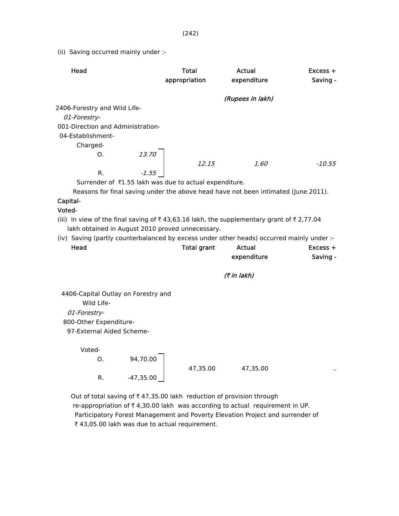(ii) Saving occurred mainly under :-

| Head                                                                                                                                                                           | <b>Total</b><br>appropriation                          | Actual<br>expenditure | $Excess +$<br>Saving - |
|--------------------------------------------------------------------------------------------------------------------------------------------------------------------------------|--------------------------------------------------------|-----------------------|------------------------|
|                                                                                                                                                                                |                                                        | (Rupees in lakh)      |                        |
| 2406-Forestry and Wild Life-                                                                                                                                                   |                                                        |                       |                        |
| 01-Forestry-                                                                                                                                                                   |                                                        |                       |                        |
| 001-Direction and Administration-                                                                                                                                              |                                                        |                       |                        |
| 04-Establishment-                                                                                                                                                              |                                                        |                       |                        |
| Charged-                                                                                                                                                                       |                                                        |                       |                        |
| O.                                                                                                                                                                             | 13.70                                                  |                       |                        |
|                                                                                                                                                                                | 12.15                                                  | 1.60                  | $-10.55$               |
| R.                                                                                                                                                                             | $-1.55$                                                |                       |                        |
|                                                                                                                                                                                | Surrender of ₹1.55 lakh was due to actual expenditure. |                       |                        |
| Reasons for final saving under the above head have not been intimated (June 2011).                                                                                             |                                                        |                       |                        |
| Capital-                                                                                                                                                                       |                                                        |                       |                        |
| Voted-                                                                                                                                                                         |                                                        |                       |                        |
| (iii) In view of the final saving of $\overline{\tau}$ 43,63.16 lakh, the supplementary grant of $\overline{\tau}$ 2,77.04<br>lakh obtained in August 2010 proved unnecessary. |                                                        |                       |                        |
| (iv) Saving (partly counterbalanced by excess under other heads) occurred mainly under :-                                                                                      |                                                        |                       |                        |
| Head                                                                                                                                                                           | <b>Total grant</b>                                     | Actual                | $Excess +$             |
|                                                                                                                                                                                |                                                        | expenditure           | Saving -               |
|                                                                                                                                                                                |                                                        | (₹ in lakh)           |                        |
| 4406-Capital Outlay on Forestry and                                                                                                                                            |                                                        |                       |                        |
| Wild Life-                                                                                                                                                                     |                                                        |                       |                        |
| 01-Forestry-                                                                                                                                                                   |                                                        |                       |                        |
| 800-Other Expenditure-                                                                                                                                                         |                                                        |                       |                        |
|                                                                                                                                                                                |                                                        |                       |                        |

97-External Aided Scheme-

| Ο. | 94,70.00    |
|----|-------------|
| R. | $-47,35.00$ |

47,35.00 47,35.00 ..

Out of total saving of  $\bar{\tau}$  47,35.00 lakh reduction of provision through re-appropriation of  $\bar{\tau}$  4,30.00 lakh was according to actual requirement in UP. Participatory Forest Management and Poverty Elevation Project and surrender of ₹ 43,05.00 lakh was due to actual requirement.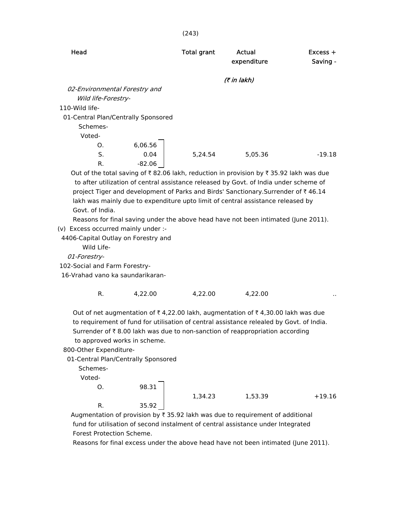| Head                                |         | <b>Total grant</b> | Actual<br>expenditure                                                                 | $Excess +$<br>Saving - |
|-------------------------------------|---------|--------------------|---------------------------------------------------------------------------------------|------------------------|
|                                     |         |                    | (₹ in lakh)                                                                           |                        |
| 02-Environmental Forestry and       |         |                    |                                                                                       |                        |
| Wild life-Forestry-                 |         |                    |                                                                                       |                        |
| 110-Wild life-                      |         |                    |                                                                                       |                        |
| 01-Central Plan/Centrally Sponsored |         |                    |                                                                                       |                        |
| Schemes-                            |         |                    |                                                                                       |                        |
| Voted-                              |         |                    |                                                                                       |                        |
| O.                                  | 6,06.56 |                    |                                                                                       |                        |
| S.                                  | 0.04    | 5.24.54            | 5.05.36                                                                               | $-19.18$               |
| R.                                  | -82.06  |                    |                                                                                       |                        |
|                                     |         |                    | Out of the total saving of ₹82.06 lakh, reduction in provision by ₹35.92 lakh was due |                        |
|                                     |         |                    | to after utilization of central assistance released by Govt. of India under scheme of |                        |

 to after utilization of central assistance released by Govt. of India under scheme of project Tiger and development of Parks and Birds' Sanctionary.Surrender of  $\bar{\tau}$  46.14 lakh was mainly due to expenditure upto limit of central assistance released by Govt. of India.

Reasons for final saving under the above head have not been intimated (June 2011).

(v) Excess occurred mainly under :-

4406-Capital Outlay on Forestry and

Wild Life-

01-Forestry-

102-Social and Farm Forestry-

16-Vrahad vano ka saundarikaran-

R. 4,22.00 4,22.00 4,22.00 ...

Out of net augmentation of  $\bar{\tau}$  4,22.00 lakh, augmentation of  $\bar{\tau}$  4,30.00 lakh was due to requirement of fund for utilisation of central assistance relealed by Govt. of India. Surrender of  $\bar{\tau}$  8.00 lakh was due to non-sanction of reappropriation according to approved works in scheme.

800-Other Expenditure-

01-Central Plan/Centrally Sponsored

Schemes-

Voted-

| Ο. | 98.31 |         |         |          |
|----|-------|---------|---------|----------|
|    |       | 1,34.23 | 1,53.39 | $+19.16$ |
| R. | 35.92 |         |         |          |

Augmentation of provision by  $\bar{\tau}$  35.92 lakh was due to requirement of additional fund for utilisation of second instalment of central assistance under Integrated Forest Protection Scheme.

Reasons for final excess under the above head have not been intimated (June 2011).

#### (243)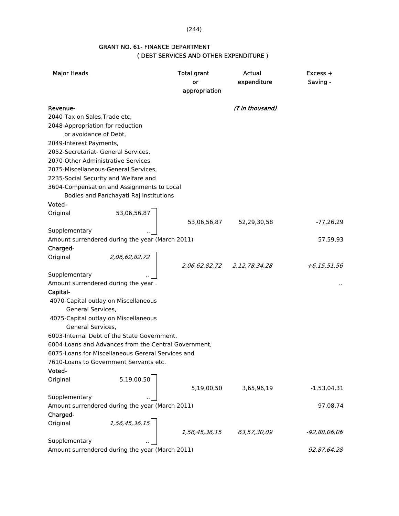(244)

### GRANT NO. 61- FINANCE DEPARTMENT ( DEBT SERVICES AND OTHER EXPENDITURE )

| <b>Major Heads</b>            |                                                      | <b>Total grant</b><br>or<br>appropriation | Actual<br>expenditure       | Excess +<br>Saving - |
|-------------------------------|------------------------------------------------------|-------------------------------------------|-----------------------------|----------------------|
| Revenue-                      |                                                      |                                           | (₹ in thousand)             |                      |
| 2040-Tax on Sales, Trade etc, |                                                      |                                           |                             |                      |
|                               | 2048-Appropriation for reduction                     |                                           |                             |                      |
|                               | or avoidance of Debt,                                |                                           |                             |                      |
| 2049-Interest Payments,       |                                                      |                                           |                             |                      |
|                               | 2052-Secretariat- General Services,                  |                                           |                             |                      |
|                               | 2070-Other Administrative Services,                  |                                           |                             |                      |
|                               | 2075-Miscellaneous-General Services,                 |                                           |                             |                      |
|                               | 2235-Social Security and Welfare and                 |                                           |                             |                      |
|                               | 3604-Compensation and Assignments to Local           |                                           |                             |                      |
|                               | Bodies and Panchayati Raj Institutions               |                                           |                             |                      |
| Voted-                        |                                                      |                                           |                             |                      |
| Original                      | 53,06,56,87                                          |                                           |                             |                      |
|                               |                                                      | 53,06,56,87                               | 52,29,30,58                 | $-77,26,29$          |
| Supplementary                 |                                                      |                                           |                             |                      |
|                               | Amount surrendered during the year (March 2011)      |                                           |                             | 57,59,93             |
| Charged-                      |                                                      |                                           |                             |                      |
| Original                      | 2,06,62,82,72                                        |                                           |                             |                      |
|                               |                                                      |                                           | 2,06,62,82,72 2,12,78,34,28 | +6,15,51,56          |
| Supplementary                 |                                                      |                                           |                             |                      |
|                               | Amount surrendered during the year.                  |                                           |                             |                      |
| Capital-                      |                                                      |                                           |                             |                      |
|                               | 4070-Capital outlay on Miscellaneous                 |                                           |                             |                      |
| General Services,             |                                                      |                                           |                             |                      |
|                               | 4075-Capital outlay on Miscellaneous                 |                                           |                             |                      |
| General Services,             |                                                      |                                           |                             |                      |
|                               | 6003-Internal Debt of the State Government,          |                                           |                             |                      |
|                               | 6004-Loans and Advances from the Central Government, |                                           |                             |                      |
|                               | 6075-Loans for Miscellaneous Gereral Services and    |                                           |                             |                      |
|                               | 7610-Loans to Government Servants etc.               |                                           |                             |                      |
| Voted-                        |                                                      |                                           |                             |                      |
| Original                      | 5,19,00,50                                           |                                           |                             |                      |
|                               |                                                      | 5,19,00,50                                | 3,65,96,19                  | $-1,53,04,31$        |
| Supplementary                 |                                                      |                                           |                             |                      |
|                               | Amount surrendered during the year (March 2011)      |                                           |                             | 97,08,74             |
| Charged-                      |                                                      |                                           |                             |                      |
| Original                      | 1,56,45,36,15                                        |                                           |                             |                      |
|                               |                                                      | 1,56,45,36,15                             | 63,57,30,09                 | $-92,88,06,06$       |
| Supplementary                 |                                                      |                                           |                             |                      |
|                               | Amount surrendered during the year (March 2011)      |                                           |                             | 92,87,64,28          |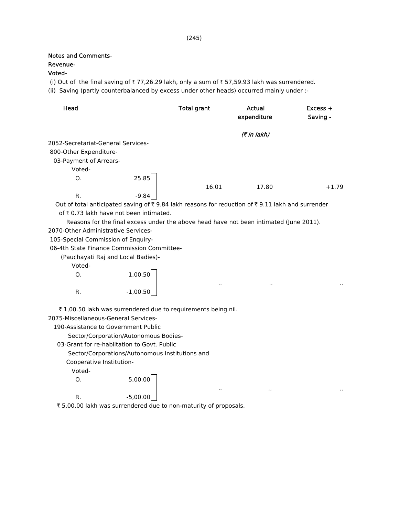### Notes and Comments-

## Revenue-

## Voted-

(i) Out of the final saving of  $\overline{\tau}$  77,26.29 lakh, only a sum of  $\overline{\tau}$  57,59.93 lakh was surrendered.

(ii) Saving (partly counterbalanced by excess under other heads) occurred mainly under :-

| Head                               |         | <b>Total grant</b> | Actual<br>expenditure                       | $Excess +$<br>Saving - |
|------------------------------------|---------|--------------------|---------------------------------------------|------------------------|
|                                    |         |                    | (7 in lakh)                                 |                        |
| 2052-Secretariat-General Services- |         |                    |                                             |                        |
| 800-Other Expenditure-             |         |                    |                                             |                        |
| 03-Payment of Arrears-             |         |                    |                                             |                        |
| Voted-                             |         |                    |                                             |                        |
| O.                                 | 25.85   |                    |                                             |                        |
|                                    |         | 16.01              | 17.80                                       | $+1.79$                |
| R.                                 | $-9.84$ |                    |                                             |                        |
| - - - - - -                        | .       |                    | $\epsilon = \epsilon + \epsilon + \epsilon$ |                        |

Out of total anticipated saving of  $\bar{\tau}$  9.84 lakh reasons for reduction of  $\bar{\tau}$  9.11 lakh and surrender of  $\bar{\tau}$  0.73 lakh have not been intimated.

.. .. ..

.. .. ..

 Reasons for the final excess under the above head have not been intimated (June 2011). 2070-Other Administrative Services-

105-Special Commission of Enquiry-

06-4th State Finance Commission Committee-

(Pauchayati Raj and Local Badies)-

Voted-

| $\mathsf{O}$ . | 1,00.50    |
|----------------|------------|
| R.             | $-1,00.50$ |

 $\bar{\tau}$  1,00.50 lakh was surrendered due to requirements being nil.

2075-Miscellaneous-General Services-

190-Assistance to Government Public

Sector/Corporation/Autonomous Bodies-

03-Grant for re-hablitation to Govt. Public

Sector/Corporations/Autonomous Institutions and

Cooperative Institution-

Voted-

 O. 5,00.00 R.  $-5,00.00$ 

₹ 5,00.00 lakh was surrendered due to non-maturity of proposals.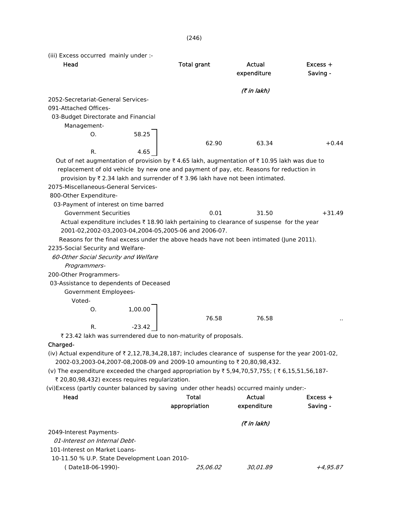(246)

(iii) Excess occurred mainly under :-

| (7 in lakh)<br>2052-Secretariat-General Services-                                                    |
|------------------------------------------------------------------------------------------------------|
|                                                                                                      |
|                                                                                                      |
| 091-Attached Offices-                                                                                |
| 03-Budget Directorate and Financial                                                                  |
| Management-                                                                                          |
| 58.25<br>O.                                                                                          |
| 62.90<br>63.34<br>$+0.44$<br>R.<br>4.65                                                              |
| Out of net augmentation of provision by ₹4.65 lakh, augmentation of ₹10.95 lakh was due to           |
| replacement of old vehicle by new one and payment of pay, etc. Reasons for reduction in              |
| provision by ₹ 2.34 lakh and surrender of ₹ 3.96 lakh have not been intimated.                       |
| 2075-Miscellaneous-General Services-                                                                 |
| 800-Other Expenditure-                                                                               |
| 03-Payment of interest on time barred                                                                |
| <b>Government Securities</b><br>0.01<br>31.50<br>$+31.49$                                            |
| Actual expenditure includes ₹18.90 lakh pertaining to clearance of suspense for the year             |
| 2001-02,2002-03,2003-04,2004-05,2005-06 and 2006-07.                                                 |
| Reasons for the final excess under the above heads have not been intimated (June 2011).              |
| 2235-Social Security and Welfare-                                                                    |
| 60-Other Social Security and Welfare                                                                 |
| Programmers-                                                                                         |
| 200-Other Programmers-                                                                               |
| 03-Assistance to dependents of Deceased                                                              |
| Government Employees-                                                                                |
| Voted-                                                                                               |
| 1,00.00<br>Ο.                                                                                        |
| 76.58<br>76.58                                                                                       |
| $-23.42$<br>R.                                                                                       |
| ₹ 23.42 lakh was surrendered due to non-maturity of proposals.                                       |
| Charged-                                                                                             |
| (iv) Actual expenditure of ₹ 2,12,78,34,28,187; includes clearance of suspense for the year 2001-02, |
| 2002-03,2003-04,2007-08,2008-09 and 2009-10 amounting to ₹ 20,80,98,432.                             |
| (v) The expenditure exceeded the charged appropriation by ₹5,94,70,57,755; (₹6,15,51,56,187-         |
| ₹ 20,80,98,432) excess requires regularization.                                                      |
| (vi)Excess (partly counter balanced by saving under other heads) occurred mainly under:-             |
| Head<br>Total<br>Actual<br>$Excess +$                                                                |
| appropriation<br>expenditure<br>Saving -                                                             |
| (7 in lakh)                                                                                          |
| 2049-Interest Payments-                                                                              |
| 01-Interest on Internal Debt-                                                                        |
| 101-Interest on Market Loans-                                                                        |
| 10-11.50 % U.P. State Development Loan 2010-                                                         |
| (Date18-06-1990)-<br>25,06.02<br>30,01.89<br>+4,95.87                                                |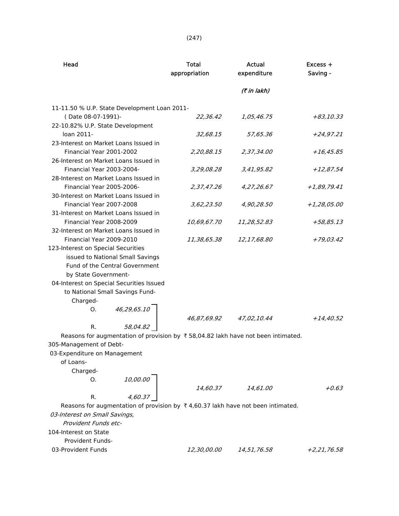|--|--|--|--|--|

| Head                                                                                        | <b>Total</b><br>appropriation | Actual<br>expenditure | $Excess +$<br>Saving - |
|---------------------------------------------------------------------------------------------|-------------------------------|-----------------------|------------------------|
|                                                                                             |                               | (₹ in lakh)           |                        |
| 11-11.50 % U.P. State Development Loan 2011-                                                |                               |                       |                        |
| (Date 08-07-1991)-                                                                          | 22,36.42                      | 1,05,46.75            | +83,10.33              |
| 22-10.82% U.P. State Development                                                            |                               |                       |                        |
| loan 2011-                                                                                  | 32,68.15                      | 57,65.36              | +24,97.21              |
| 23-Interest on Market Loans Issued in                                                       |                               |                       |                        |
| Financial Year 2001-2002                                                                    | 2,20,88.15                    | 2,37,34.00            | $+16,45.85$            |
| 26-Interest on Market Loans Issued in                                                       |                               |                       |                        |
| Financial Year 2003-2004-                                                                   | 3,29,08.28                    | 3,41,95.82            | $+12,87.54$            |
| 28-Interest on Market Loans Issued in                                                       |                               |                       |                        |
| Financial Year 2005-2006-                                                                   | 2,37,47.26                    | 4,27,26.67            | $+1,89,79.41$          |
| 30-Interest on Market Loans Issued in                                                       |                               |                       |                        |
| Financial Year 2007-2008                                                                    | 3,62,23.50                    | 4,90,28.50            | +1,28,05.00            |
| 31-Interest on Market Loans Issued in                                                       |                               |                       |                        |
| Financial Year 2008-2009                                                                    | 10,69,67.70                   | 11,28,52.83           | +58,85.13              |
| 32-Interest on Market Loans Issued in                                                       |                               |                       |                        |
| Financial Year 2009-2010                                                                    | 11,38,65.38                   | 12,17,68.80           | $+79,03.42$            |
| 123-Interest on Special Securities                                                          |                               |                       |                        |
| issued to National Small Savings                                                            |                               |                       |                        |
| Fund of the Central Government                                                              |                               |                       |                        |
| by State Government-                                                                        |                               |                       |                        |
| 04-Interest on Special Securities Issued                                                    |                               |                       |                        |
| to National Small Savings Fund-                                                             |                               |                       |                        |
| Charged-                                                                                    |                               |                       |                        |
| 46,29,65.10<br>Ο.                                                                           |                               |                       |                        |
|                                                                                             | 46,87,69.92                   | 47,02,10.44           | +14,40.52              |
| 58,04.82<br>R.                                                                              |                               |                       |                        |
| Reasons for augmentation of provision by ₹58,04.82 lakh have not been intimated.            |                               |                       |                        |
| 305-Management of Debt-                                                                     |                               |                       |                        |
| 03-Expenditure on Management                                                                |                               |                       |                        |
| of Loans-                                                                                   |                               |                       |                        |
| Charged-                                                                                    |                               |                       |                        |
| 10,00.00<br>Ο.                                                                              |                               |                       |                        |
|                                                                                             | 14,60.37                      | 14,61.00              | $+0.63$                |
| 4,60.37<br>R.                                                                               |                               |                       |                        |
| Reasons for augmentation of provision by $\bar{\tau}$ 4,60.37 lakh have not been intimated. |                               |                       |                        |
| 03-Interest on Small Savings,                                                               |                               |                       |                        |
| Provident Funds etc-                                                                        |                               |                       |                        |
| 104-Interest on State                                                                       |                               |                       |                        |
| <b>Provident Funds-</b>                                                                     |                               |                       |                        |
| 03-Provident Funds                                                                          | 12,30,00.00                   | 14,51,76.58           | +2,21,76.58            |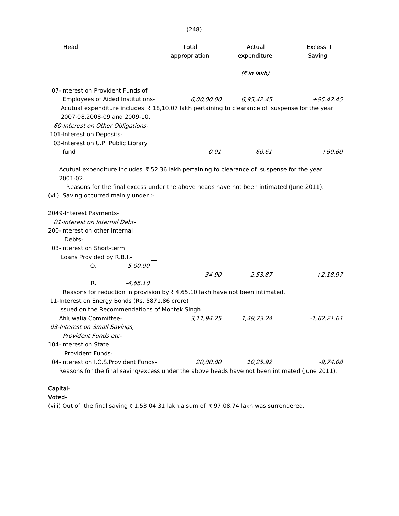| Head                                                                                                                                                                                                                                                                                                           | <b>Total</b><br>appropriation | Actual<br>expenditure | Excess +<br>Saving - |
|----------------------------------------------------------------------------------------------------------------------------------------------------------------------------------------------------------------------------------------------------------------------------------------------------------------|-------------------------------|-----------------------|----------------------|
|                                                                                                                                                                                                                                                                                                                |                               | (₹ in lakh)           |                      |
| 07-Interest on Provident Funds of<br>Employees of Aided Institutions-<br>Acutual expenditure includes ₹18,10.07 lakh pertaining to clearance of suspense for the year<br>2007-08,2008-09 and 2009-10.<br>60-Interest on Other Obligations-<br>101-Interest on Deposits-<br>03-Interest on U.P. Public Library  | 6,00,00.00                    | 6,95,42.45            | $+95,42.45$          |
| fund                                                                                                                                                                                                                                                                                                           | 0.01                          | 60.61                 | $+60.60$             |
| 2001-02.<br>Reasons for the final excess under the above heads have not been intimated (June 2011).<br>(vii) Saving occurred mainly under :-<br>2049-Interest Payments-<br>01-Interest on Internal Debt-<br>200-Interest on other Internal<br>Debts-<br>03-Interest on Short-term<br>Loans Provided by R.B.I.- |                               |                       |                      |
| 5,00.00<br>O.<br>$-4,65.10$<br>R.                                                                                                                                                                                                                                                                              | 34.90                         | 2,53.87               | $+2.18.97$           |
| Reasons for reduction in provision by $\overline{\tau}$ 4,65.10 lakh have not been intimated.<br>11-Interest on Energy Bonds (Rs. 5871.86 crore)<br>Issued on the Recommendations of Montek Singh<br>Ahluwalia Committee-<br>03-Interest on Small Savings,<br>Provident Funds etc-<br>104-Interest on State    | 3,11,94.25                    | 1.49.73.24            | $-1,62,21.01$        |
| Provident Funds-<br>04-Interest on I.C.S. Provident Funds-<br>Reasons for the final saving/excess under the above heads have not been intimated (June 2011).                                                                                                                                                   | 20,00.00                      | 10,25.92              | -9,74,08             |

(248)

# Capital-

Voted-

(viii) Out of the final saving  $\bar{\tau}$  1,53,04.31 lakh,a sum of  $\bar{\tau}$  97,08.74 lakh was surrendered.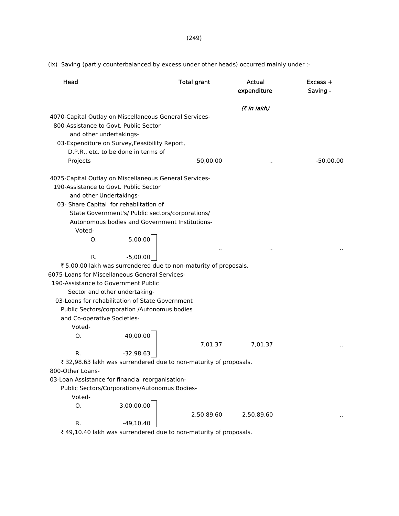(ix) Saving (partly counterbalanced by excess under other heads) occurred mainly under :-

| Head                                                                                                                                                                                                                                                                                       |              | <b>Total grant</b> | Actual<br>expenditure | $Excess +$<br>Saving - |
|--------------------------------------------------------------------------------------------------------------------------------------------------------------------------------------------------------------------------------------------------------------------------------------------|--------------|--------------------|-----------------------|------------------------|
|                                                                                                                                                                                                                                                                                            |              |                    | (7 in lakh)           |                        |
| 4070-Capital Outlay on Miscellaneous General Services-<br>800-Assistance to Govt. Public Sector<br>and other undertakings-<br>03-Expenditure on Survey, Feasibility Report,<br>D.P.R., etc. to be done in terms of<br>Projects                                                             |              | 50,00.00           |                       | $-50,00.00$            |
| 4075-Capital Outlay on Miscellaneous General Services-<br>190-Assistance to Govt. Public Sector<br>and other Undertakings-<br>03- Share Capital for rehablitation of<br>State Government's/ Public sectors/corporations/<br>Autonomous bodies and Government Institutions-<br>Voted-<br>Ο. | 5,00.00      |                    |                       |                        |
|                                                                                                                                                                                                                                                                                            |              |                    |                       |                        |
| R.                                                                                                                                                                                                                                                                                         | $-5,00.00$   |                    |                       |                        |
| ₹ 5,00.00 lakh was surrendered due to non-maturity of proposals.                                                                                                                                                                                                                           |              |                    |                       |                        |
| 6075-Loans for Miscellaneous General Services-                                                                                                                                                                                                                                             |              |                    |                       |                        |
| 190-Assistance to Government Public                                                                                                                                                                                                                                                        |              |                    |                       |                        |
| Sector and other undertaking-                                                                                                                                                                                                                                                              |              |                    |                       |                        |
| 03-Loans for rehabilitation of State Government                                                                                                                                                                                                                                            |              |                    |                       |                        |
| Public Sectors/corporation /Autonomus bodies                                                                                                                                                                                                                                               |              |                    |                       |                        |
| and Co-operative Societies-<br>Voted-                                                                                                                                                                                                                                                      |              |                    |                       |                        |
| O.                                                                                                                                                                                                                                                                                         | 40,00.00     |                    |                       |                        |
|                                                                                                                                                                                                                                                                                            |              | 7,01.37            | 7,01.37               |                        |
| R.                                                                                                                                                                                                                                                                                         | $-32,98.63$  |                    |                       |                        |
| ₹ 32,98.63 lakh was surrendered due to non-maturity of proposals.                                                                                                                                                                                                                          |              |                    |                       |                        |
| 800-Other Loans-                                                                                                                                                                                                                                                                           |              |                    |                       |                        |
| 03-Loan Assistance for financial reorganisation-                                                                                                                                                                                                                                           |              |                    |                       |                        |
| Public Sectors/Corporations/Autonomus Bodies-                                                                                                                                                                                                                                              |              |                    |                       |                        |
| Voted-                                                                                                                                                                                                                                                                                     |              |                    |                       |                        |
| О.                                                                                                                                                                                                                                                                                         | 3,00,00.00   |                    |                       |                        |
|                                                                                                                                                                                                                                                                                            |              | 2,50,89.60         | 2,50,89.60            |                        |
| R.                                                                                                                                                                                                                                                                                         | $-49, 10.40$ |                    |                       |                        |
| ₹49,10.40 lakh was surrendered due to non-maturity of proposals.                                                                                                                                                                                                                           |              |                    |                       |                        |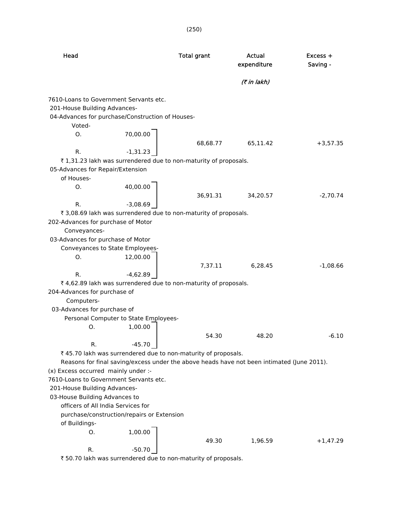| Head                                                                                                                       |                                                                                            | <b>Total grant</b> | Actual<br>expenditure | $Excess +$<br>Saving - |
|----------------------------------------------------------------------------------------------------------------------------|--------------------------------------------------------------------------------------------|--------------------|-----------------------|------------------------|
|                                                                                                                            |                                                                                            |                    | (₹ in lakh)           |                        |
| 7610-Loans to Government Servants etc.<br>201-House Building Advances-<br>04-Advances for purchase/Construction of Houses- |                                                                                            |                    |                       |                        |
| Voted-<br>O.                                                                                                               | 70,00.00                                                                                   |                    |                       |                        |
| R.                                                                                                                         | $-1,31.23$                                                                                 | 68,68.77           | 65,11.42              | $+3,57.35$             |
|                                                                                                                            | ₹1,31.23 lakh was surrendered due to non-maturity of proposals.                            |                    |                       |                        |
| 05-Advances for Repair/Extension                                                                                           |                                                                                            |                    |                       |                        |
| of Houses-                                                                                                                 |                                                                                            |                    |                       |                        |
| O.                                                                                                                         | 40,00.00                                                                                   | 36,91.31           | 34,20.57              | $-2,70.74$             |
| R.                                                                                                                         | $-3,08.69$                                                                                 |                    |                       |                        |
|                                                                                                                            | ₹ 3,08.69 lakh was surrendered due to non-maturity of proposals.                           |                    |                       |                        |
| 202-Advances for purchase of Motor                                                                                         |                                                                                            |                    |                       |                        |
| Conveyances-                                                                                                               |                                                                                            |                    |                       |                        |
| 03-Advances for purchase of Motor                                                                                          |                                                                                            |                    |                       |                        |
| Conveyances to State Employees-                                                                                            |                                                                                            |                    |                       |                        |
| O.                                                                                                                         | 12,00.00                                                                                   |                    |                       |                        |
|                                                                                                                            |                                                                                            | 7,37.11            | 6,28.45               | $-1,08.66$             |
| R.                                                                                                                         | $-4,62.89$<br>₹ 4,62.89 lakh was surrendered due to non-maturity of proposals.             |                    |                       |                        |
| 204-Advances for purchase of                                                                                               |                                                                                            |                    |                       |                        |
| Computers-                                                                                                                 |                                                                                            |                    |                       |                        |
| 03-Advances for purchase of                                                                                                | Personal Computer to State Employees-                                                      |                    |                       |                        |
| O.                                                                                                                         | 1,00.00                                                                                    |                    |                       |                        |
|                                                                                                                            |                                                                                            | 54.30              | 48.20                 | $-6.10$                |
| R.                                                                                                                         | $-45.70$                                                                                   |                    |                       |                        |
|                                                                                                                            | ₹ 45.70 lakh was surrendered due to non-maturity of proposals.                             |                    |                       |                        |
|                                                                                                                            | Reasons for final saving/excess under the above heads have not been intimated (June 2011). |                    |                       |                        |
| (x) Excess occurred mainly under :-                                                                                        |                                                                                            |                    |                       |                        |
| 7610-Loans to Government Servants etc.                                                                                     |                                                                                            |                    |                       |                        |
| 201-House Building Advances-                                                                                               |                                                                                            |                    |                       |                        |
| 03-House Building Advances to                                                                                              |                                                                                            |                    |                       |                        |
| officers of All India Services for                                                                                         |                                                                                            |                    |                       |                        |
| of Buildings-                                                                                                              | purchase/construction/repairs or Extension                                                 |                    |                       |                        |
| О.                                                                                                                         | 1,00.00                                                                                    |                    |                       |                        |
| R.                                                                                                                         | $-50.70$                                                                                   | 49.30              | 1,96.59               | $+1,47.29$             |
|                                                                                                                            |                                                                                            |                    |                       |                        |

₹ 50.70 lakh was surrendered due to non-maturity of proposals.

(250)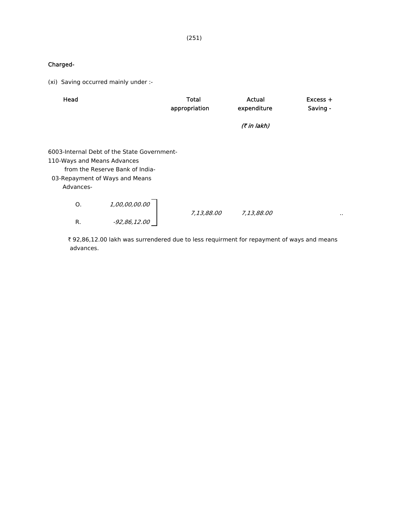### Charged-

(xi) Saving occurred mainly under :-

| Head                                     |                                                                                                                  | <b>Total</b>  | Actual      | $Excess +$           |
|------------------------------------------|------------------------------------------------------------------------------------------------------------------|---------------|-------------|----------------------|
|                                          |                                                                                                                  | appropriation | expenditure | Saving -             |
|                                          |                                                                                                                  |               | (₹ in lakh) |                      |
| 110-Ways and Means Advances<br>Advances- | 6003-Internal Debt of the State Government-<br>from the Reserve Bank of India-<br>03-Repayment of Ways and Means |               |             |                      |
| О.                                       | 1,00,00,00.00                                                                                                    | 7,13,88.00    | 7,13,88.00  | $\ddot{\phantom{a}}$ |
| R.                                       | $-92,86,12.00$                                                                                                   |               |             |                      |

₹ 92,86,12.00 lakh was surrendered due to less requirment for repayment of ways and means advances.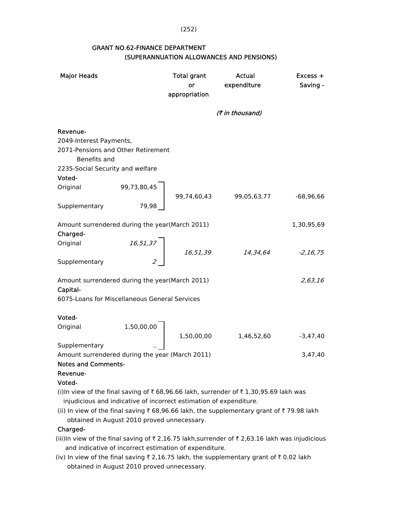(252)

## GRANT NO.62-FINANCE DEPARTMENT (SUPERANNUATION ALLOWANCES AND PENSIONS)

| <b>Major Heads</b>                                                                                                                                                                                                                                                                                    |                                                                                      | <b>Total grant</b><br>or<br>appropriation | Actual<br>expenditure | Excess +<br>Saving - |
|-------------------------------------------------------------------------------------------------------------------------------------------------------------------------------------------------------------------------------------------------------------------------------------------------------|--------------------------------------------------------------------------------------|-------------------------------------------|-----------------------|----------------------|
|                                                                                                                                                                                                                                                                                                       |                                                                                      |                                           | (₹ in thousand)       |                      |
| Revenue-<br>2049-Interest Payments,<br>2071-Pensions and Other Retirement<br>Benefits and<br>2235-Social Security and welfare                                                                                                                                                                         |                                                                                      |                                           |                       |                      |
| Voted-                                                                                                                                                                                                                                                                                                |                                                                                      |                                           |                       |                      |
| Original<br>Supplementary                                                                                                                                                                                                                                                                             | 99,73,80,45<br>79,98                                                                 | 99,74,60,43                               | 99,05,63,77           | $-68,96,66$          |
| Amount surrendered during the year(March 2011)<br>Charged-                                                                                                                                                                                                                                            |                                                                                      |                                           |                       | 1,30,95,69           |
| Original<br>Supplementary                                                                                                                                                                                                                                                                             | $\begin{array}{c c} 16,51,37 \\ & & \\ 2 & & \\ & & 2 & \\ & & & 2 & \\ \end{array}$ | 16,51,39                                  | 14,34,64              | $-2, 16, 75$         |
| Amount surrendered during the year(March 2011)<br>Capital-<br>6075-Loans for Miscellaneous General Services                                                                                                                                                                                           |                                                                                      |                                           |                       | 2,63,16              |
|                                                                                                                                                                                                                                                                                                       |                                                                                      |                                           |                       |                      |
| Voted-<br>Original                                                                                                                                                                                                                                                                                    | 1,50,00,00                                                                           | 1,50,00,00                                | 1,46,52,60            | $-3,47,40$           |
| Supplementary                                                                                                                                                                                                                                                                                         |                                                                                      |                                           |                       |                      |
| Amount surrendered during the year (March 2011)<br><b>Notes and Comments-</b>                                                                                                                                                                                                                         |                                                                                      |                                           |                       | 3,47,40              |
| Revenue-<br>Voted-                                                                                                                                                                                                                                                                                    |                                                                                      |                                           |                       |                      |
| (i)In view of the final saving of ₹68,96.66 lakh, surrender of ₹1,30,95.69 lakh was<br>injudicious and indicative of incorrect estimation of expenditure.<br>(ii) In view of the final saving ₹ 68,96.66 lakh, the supplementary grant of ₹ 79.98 lakh<br>obtained in August 2010 proved unnecessary. |                                                                                      |                                           |                       |                      |

### Charged-

(iii)In view of the final saving of  $\bar{\tau}$  2,16.75 lakh,surrender of  $\bar{\tau}$  2,63.16 lakh was injudicious and indicative of incorrect estimation of expenditure.

(iv) In view of the final saving  $\bar{\tau}$  2,16.75 lakh, the supplementary grant of  $\bar{\tau}$  0.02 lakh obtained in August 2010 proved unnecessary.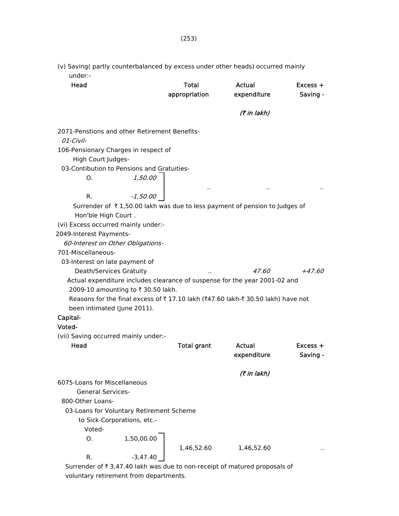(v) Saving( partly counterbalanced by excess under other heads) occurred mainly under:-

| Head                                                                           | <b>Total</b>       | Actual       | Excess + |
|--------------------------------------------------------------------------------|--------------------|--------------|----------|
|                                                                                | appropriation      | expenditure  | Saving - |
|                                                                                |                    | (₹ in lakh)  |          |
| 2071-Penstions and other Retirement Benefits-                                  |                    |              |          |
| 01-Civil-                                                                      |                    |              |          |
| 106-Pensionary Charges in respect of<br>High Court Judges-                     |                    |              |          |
| 03-Contibution to Pensions and Gratuities-                                     |                    |              |          |
| 1,50.00<br>Ο.                                                                  |                    |              |          |
| $-1,50.00$<br>R.                                                               |                    |              |          |
| Surrender of ₹1,50.00 lakh was due to less payment of pension to Judges of     |                    |              |          |
| Hon'ble High Court.                                                            |                    |              |          |
| (vi) Excess occurred mainly under:-                                            |                    |              |          |
| 2049-Interest Payments-                                                        |                    |              |          |
| 60-Interest on Other Obligations-                                              |                    |              |          |
| 701-Miscellaneous-                                                             |                    |              |          |
| 03-Interest on late payment of                                                 |                    |              |          |
| Death/Services Gratuity                                                        |                    | <i>47.60</i> | $+47.60$ |
| Actual expenditure includes clearance of suspense for the year 2001-02 and     |                    |              |          |
|                                                                                |                    |              |          |
| 2009-10 amounting to ₹ 30.50 lakh.                                             |                    |              |          |
| Reasons for the final excess of ₹17.10 lakh (₹47.60 lakh-₹30.50 lakh) have not |                    |              |          |
| been intimated (June 2011).                                                    |                    |              |          |
| Capital-                                                                       |                    |              |          |
| Voted-                                                                         |                    |              |          |
| (vii) Saving occurred mainly under:-                                           |                    |              |          |
| Head                                                                           | <b>Total grant</b> | Actual       | Excess + |
|                                                                                |                    | expenditure  | Saving - |
|                                                                                |                    | (7 in lakh)  |          |
| 6075-Loans for Miscellaneous                                                   |                    |              |          |
| <b>General Services-</b>                                                       |                    |              |          |
| 800-Other Loans-                                                               |                    |              |          |
| 03-Loans for Voluntary Retirement Scheme                                       |                    |              |          |
| to Sick-Corporations, etc.-                                                    |                    |              |          |
| Voted-                                                                         |                    |              |          |
| Ο.<br>1,50,00.00                                                               |                    |              |          |
|                                                                                | 1,46,52.60         | 1,46,52.60   |          |
| R.<br>$-3,47.40$                                                               |                    |              |          |
|                                                                                |                    |              |          |

Surrender of  $\bar{\tau}$  3,47.40 lakh was due to non-receipt of matured proposals of voluntary retirement from departments.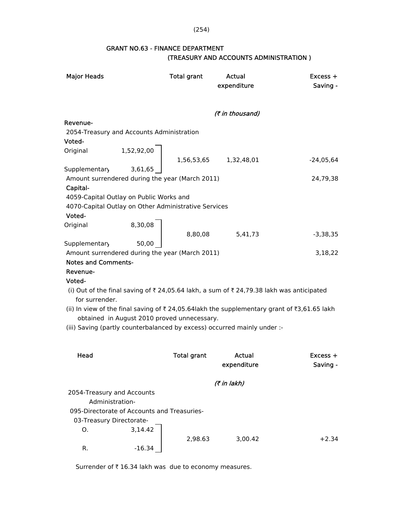(254)

## GRANT NO.63 - FINANCE DEPARTMENT (TREASURY AND ACCOUNTS ADMINISTRATION )

| <b>Major Heads</b>                                          |                                             | Total grant        | Actual                                                                                      | $Excess +$  |
|-------------------------------------------------------------|---------------------------------------------|--------------------|---------------------------------------------------------------------------------------------|-------------|
|                                                             |                                             |                    | expenditure                                                                                 | Saving -    |
|                                                             |                                             |                    |                                                                                             |             |
|                                                             |                                             |                    | (₹ in thousand)                                                                             |             |
| Revenue-                                                    |                                             |                    |                                                                                             |             |
| 2054-Treasury and Accounts Administration                   |                                             |                    |                                                                                             |             |
| Voted-                                                      |                                             |                    |                                                                                             |             |
| Original                                                    | 1,52,92,00                                  |                    |                                                                                             |             |
|                                                             |                                             | 1,56,53,65         | 1,32,48,01                                                                                  | $-24,05,64$ |
| Supplementary                                               | 3,61,65                                     |                    |                                                                                             |             |
| Amount surrendered during the year (March 2011)<br>Capital- |                                             |                    |                                                                                             | 24,79,38    |
| 4059-Capital Outlay on Public Works and                     |                                             |                    |                                                                                             |             |
| 4070-Capital Outlay on Other Administrative Services        |                                             |                    |                                                                                             |             |
| Voted-                                                      |                                             |                    |                                                                                             |             |
| Original                                                    | 8,30,08                                     |                    |                                                                                             |             |
|                                                             |                                             | 8,80,08            | 5,41,73                                                                                     | $-3,38,35$  |
| Supplementary                                               | 50,00                                       |                    |                                                                                             |             |
| Amount surrendered during the year (March 2011)             |                                             |                    |                                                                                             | 3,18,22     |
| <b>Notes and Comments-</b>                                  |                                             |                    |                                                                                             |             |
| Revenue-                                                    |                                             |                    |                                                                                             |             |
| Voted-                                                      |                                             |                    |                                                                                             |             |
|                                                             |                                             |                    | (i) Out of the final saving of ₹ 24,05.64 lakh, a sum of ₹ 24,79.38 lakh was anticipated    |             |
| for surrender.                                              |                                             |                    |                                                                                             |             |
|                                                             | obtained in August 2010 proved unnecessary. |                    | (ii) In view of the final saving of ₹ 24,05.64lakh the supplementary grant of ₹3,61.65 lakh |             |
|                                                             |                                             |                    | (iii) Saving (partly counterbalanced by excess) occurred mainly under :-                    |             |
|                                                             |                                             |                    |                                                                                             |             |
|                                                             |                                             |                    |                                                                                             |             |
| Head                                                        |                                             | <b>Total grant</b> | Actual                                                                                      | $Excess +$  |
|                                                             |                                             |                    | expenditure                                                                                 | Saving -    |
|                                                             |                                             |                    |                                                                                             |             |
|                                                             |                                             |                    | (7 in lakh)                                                                                 |             |
| 2054-Treasury and Accounts                                  |                                             |                    |                                                                                             |             |
| Administration-                                             |                                             |                    |                                                                                             |             |
|                                                             | 095-Directorate of Accounts and Treasuries- |                    |                                                                                             |             |
| 03-Treasury Directorate-                                    |                                             |                    |                                                                                             |             |
| O.                                                          | 3,14.42                                     |                    |                                                                                             |             |
|                                                             |                                             | 2,98.63            | 3,00.42                                                                                     | $+2.34$     |
| R.                                                          | $-16.34$                                    |                    |                                                                                             |             |

Surrender of  $\bar{\tau}$  16.34 lakh was due to economy measures.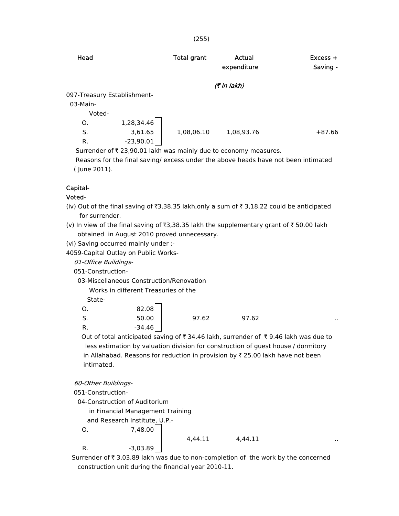| Head                        |             | <b>Total grant</b> | Actual<br>expenditure | $Excess +$<br>Saving - |
|-----------------------------|-------------|--------------------|-----------------------|------------------------|
|                             |             |                    | (₹ in lakh)           |                        |
| 097-Treasury Establishment- |             |                    |                       |                        |
| 03-Main-                    |             |                    |                       |                        |
| Voted-                      |             |                    |                       |                        |
| O.                          | 1,28,34.46  |                    |                       |                        |
| S.                          | 3,61.65     | 1,08,06.10         | 1,08,93.76            | $+87.66$               |
| R.                          | $-23,90.01$ |                    |                       |                        |

Surrender of  $\bar{\tau}$  23,90.01 lakh was mainly due to economy measures.

 Reasons for the final saving/ excess under the above heads have not been intimated ( June 2011).

### Capital-

### Voted-

- (iv) Out of the final saving of  $\overline{3}$ ,38.35 lakh,only a sum of  $\overline{3}$  3,18.22 could be anticipated for surrender.
- (v) In view of the final saving of  $\overline{3}3.38.35$  lakh the supplementary grant of  $\overline{3}50.00$  lakh obtained in August 2010 proved unnecessary.

(vi) Saving occurred mainly under :-

4059-Capital Outlay on Public Works-

01-Office Buildings-

051-Construction-

03-Miscellaneous Construction/Renovation

Works in different Treasuries of the

State-

| Ο. | 82.08  |       |       |           |
|----|--------|-------|-------|-----------|
| S. | 50.00  | 97.62 | 97.62 | $\cdot$ . |
| R. | -34.46 |       |       |           |

Out of total anticipated saving of  $\bar{\tau}$  34.46 lakh, surrender of  $\bar{\tau}$  9.46 lakh was due to less estimation by valuation division for construction of guest house / dormitory in Allahabad. Reasons for reduction in provision by  $\bar{\tau}$  25.00 lakh have not been intimated.

60-Other Buildings-

051-Construction-

04-Construction of Auditorium

in Financial Management Training

and Research Institute, U.P.-

O. 7,48.00

4,44.11 4,44.11

R.  $-3,03.89$ 

Surrender of  $\bar{\tau}$  3,03.89 lakh was due to non-completion of the work by the concerned construction unit during the financial year 2010-11.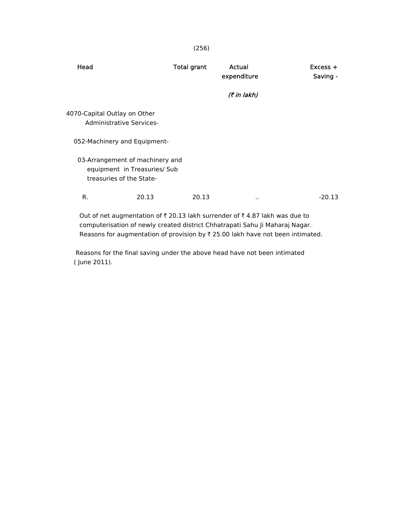| Head                                                                                                                                                                            | <b>Total grant</b> | Actual<br>expenditure | $Excess +$<br>Saving - |
|---------------------------------------------------------------------------------------------------------------------------------------------------------------------------------|--------------------|-----------------------|------------------------|
|                                                                                                                                                                                 |                    | (₹ in lakh)           |                        |
| 4070-Capital Outlay on Other<br><b>Administrative Services-</b>                                                                                                                 |                    |                       |                        |
| 052-Machinery and Equipment-                                                                                                                                                    |                    |                       |                        |
| 03-Arrangement of machinery and<br>equipment in Treasuries/ Sub<br>treasuries of the State-                                                                                     |                    |                       |                        |
| 20.13<br>R.                                                                                                                                                                     | 20.13              | ٠.                    | $-20.13$               |
| Out of net augmentation of $\bar{\tau}$ 20.13 lakh surrender of $\bar{\tau}$ 4.87 lakh was due to<br>computerionism of noulu created district Chhatronati Cabu li Maharai Nagar |                    |                       |                        |

 computerisation of newly created district Chhatrapati Sahu Ji Maharaj Nagar. Reasons for augmentation of provision by  $\bar{\tau}$  25.00 lakh have not been intimated.

 Reasons for the final saving under the above head have not been intimated ( June 2011).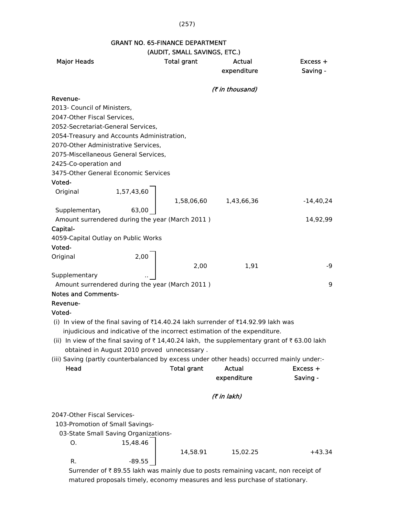#### (257)

# GRANT NO. 65-FINANCE DEPARTMENT

# (AUDIT, SMALL SAVINGS, ETC.)

|                                                 |                                             | (AVDIT, SPIALL SAVINGS, LTC.) |                                                                                            |             |
|-------------------------------------------------|---------------------------------------------|-------------------------------|--------------------------------------------------------------------------------------------|-------------|
| <b>Major Heads</b>                              |                                             | <b>Total grant</b>            | Actual                                                                                     | Excess +    |
|                                                 |                                             |                               | expenditure                                                                                | Saving -    |
|                                                 |                                             |                               |                                                                                            |             |
|                                                 |                                             |                               | (₹ in thousand)                                                                            |             |
| Revenue-                                        |                                             |                               |                                                                                            |             |
| 2013- Council of Ministers,                     |                                             |                               |                                                                                            |             |
| 2047-Other Fiscal Services,                     |                                             |                               |                                                                                            |             |
| 2052-Secretariat-General Services,              |                                             |                               |                                                                                            |             |
| 2054-Treasury and Accounts Administration,      |                                             |                               |                                                                                            |             |
| 2070-Other Administrative Services,             |                                             |                               |                                                                                            |             |
| 2075-Miscellaneous General Services,            |                                             |                               |                                                                                            |             |
| 2425-Co-operation and                           |                                             |                               |                                                                                            |             |
| 3475-Other General Economic Services            |                                             |                               |                                                                                            |             |
| Voted-                                          |                                             |                               |                                                                                            |             |
| Original                                        | 1,57,43,60                                  |                               |                                                                                            |             |
|                                                 |                                             | 1,58,06,60                    | 1,43,66,36                                                                                 | $-14,40,24$ |
| Supplementary                                   | 63,00                                       |                               |                                                                                            |             |
| Amount surrendered during the year (March 2011) |                                             |                               |                                                                                            | 14,92,99    |
| Capital-                                        |                                             |                               |                                                                                            |             |
| 4059-Capital Outlay on Public Works             |                                             |                               |                                                                                            |             |
| Voted-                                          |                                             |                               |                                                                                            |             |
| Original                                        | 2,00                                        |                               |                                                                                            |             |
|                                                 |                                             | 2,00                          | 1,91                                                                                       | $-9$        |
|                                                 |                                             |                               |                                                                                            |             |
| Supplementary                                   |                                             |                               |                                                                                            |             |
| Amount surrendered during the year (March 2011) |                                             |                               |                                                                                            | 9           |
| <b>Notes and Comments-</b>                      |                                             |                               |                                                                                            |             |
| Revenue-                                        |                                             |                               |                                                                                            |             |
| Voted-                                          |                                             |                               |                                                                                            |             |
|                                                 |                                             |                               | (i) In view of the final saving of ₹14.40.24 lakh surrender of ₹14.92.99 lakh was          |             |
|                                                 |                                             |                               | injudicious and indicative of the incorrect estimation of the expenditure.                 |             |
|                                                 |                                             |                               | (ii) In view of the final saving of ₹14,40.24 lakh, the supplementary grant of ₹63.00 lakh |             |
|                                                 | obtained in August 2010 proved unnecessary. |                               |                                                                                            |             |
|                                                 |                                             |                               | (iii) Saving (partly counterbalanced by excess under other heads) occurred mainly under:-  |             |
| Head                                            |                                             | <b>Total grant</b>            | <b>Actual</b>                                                                              | Excess +    |
|                                                 |                                             |                               | expenditure                                                                                | Saving -    |
|                                                 |                                             |                               |                                                                                            |             |
|                                                 |                                             |                               | (7 in lakh)                                                                                |             |
| 2047-Other Fiscal Services-                     |                                             |                               |                                                                                            |             |
| 103-Promotion of Small Savings-                 |                                             |                               |                                                                                            |             |
|                                                 | 03-State Small Saving Organizations-        |                               |                                                                                            |             |
| О.                                              | 15,48.46                                    |                               |                                                                                            |             |
|                                                 |                                             |                               |                                                                                            |             |
|                                                 |                                             | 14,58.91                      | 15,02.25                                                                                   | $+43.34$    |
| R.                                              | -89.55                                      |                               |                                                                                            |             |
|                                                 |                                             |                               | Surrender of ₹89.55 lakh was mainly due to posts remaining vacant, non receipt of          |             |

matured proposals timely, economy measures and less purchase of stationary.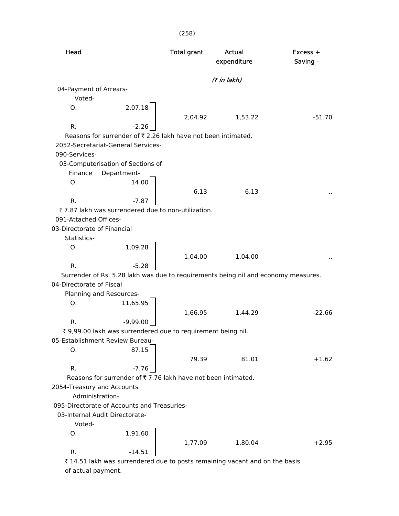| Head                                          |                                                                                    | <b>Total grant</b> | Actual<br>expenditure | Excess +<br>Saving - |
|-----------------------------------------------|------------------------------------------------------------------------------------|--------------------|-----------------------|----------------------|
|                                               |                                                                                    |                    | (₹ in lakh)           |                      |
| 04-Payment of Arrears-                        |                                                                                    |                    |                       |                      |
| Voted-                                        |                                                                                    |                    |                       |                      |
| O.                                            | 2,07.18                                                                            |                    |                       |                      |
|                                               |                                                                                    | 2,04.92            | 1,53.22               | $-51.70$             |
| R.                                            | $-2.26$                                                                            |                    |                       |                      |
|                                               | Reasons for surrender of ₹ 2.26 lakh have not been intimated.                      |                    |                       |                      |
|                                               | 2052-Secretariat-General Services-                                                 |                    |                       |                      |
| 090-Services-                                 |                                                                                    |                    |                       |                      |
| Finance                                       | 03-Computerisation of Sections of<br>Department-                                   |                    |                       |                      |
| O <sub>1</sub>                                | 14.00                                                                              |                    |                       |                      |
|                                               |                                                                                    | 6.13               | 6.13                  |                      |
| R.                                            | $-7.87$                                                                            |                    |                       |                      |
|                                               | ₹7.87 lakh was surrendered due to non-utilization.                                 |                    |                       |                      |
| 091-Attached Offices-                         |                                                                                    |                    |                       |                      |
| 03-Directorate of Financial                   |                                                                                    |                    |                       |                      |
| Statistics-                                   |                                                                                    |                    |                       |                      |
| Ο.                                            | 1,09.28                                                                            |                    |                       |                      |
|                                               |                                                                                    | 1,04.00            | 1,04.00               |                      |
| R.                                            | $-5.28$                                                                            |                    |                       |                      |
|                                               | Surrender of Rs. 5.28 lakh was due to requirements being nil and economy measures. |                    |                       |                      |
| 04-Directorate of Fiscal                      |                                                                                    |                    |                       |                      |
|                                               | Planning and Resources-                                                            |                    |                       |                      |
| Ο.                                            | 11,65.95                                                                           |                    |                       |                      |
|                                               |                                                                                    | 1,66.95            | 1,44.29               | $-22.66$             |
| R.                                            | $-9,99.00$                                                                         |                    |                       |                      |
|                                               | ₹ 9,99.00 lakh was surrendered due to requirement being nil.                       |                    |                       |                      |
|                                               | 05-Establishment Review Bureau-                                                    |                    |                       |                      |
| O.                                            | 87.15                                                                              |                    |                       |                      |
|                                               |                                                                                    | 79.39              | 81.01                 | $+1.62$              |
| R.                                            | $-7.76$                                                                            |                    |                       |                      |
|                                               | Reasons for surrender of ₹7.76 lakh have not been intimated.                       |                    |                       |                      |
| 2054-Treasury and Accounts<br>Administration- |                                                                                    |                    |                       |                      |
|                                               | 095-Directorate of Accounts and Treasuries-                                        |                    |                       |                      |
|                                               | 03-Internal Audit Directorate-                                                     |                    |                       |                      |
| Voted-                                        |                                                                                    |                    |                       |                      |
| 0.                                            | 1,91.60                                                                            |                    |                       |                      |
|                                               |                                                                                    | 1,77.09            | 1,80.04               | $+2.95$              |
| R.                                            | $-14.51$                                                                           |                    |                       |                      |
|                                               |                                                                                    |                    |                       |                      |

 $\bar{\tau}$  14.51 lakh was surrendered due to posts remaining vacant and on the basis of actual payment.

## (258)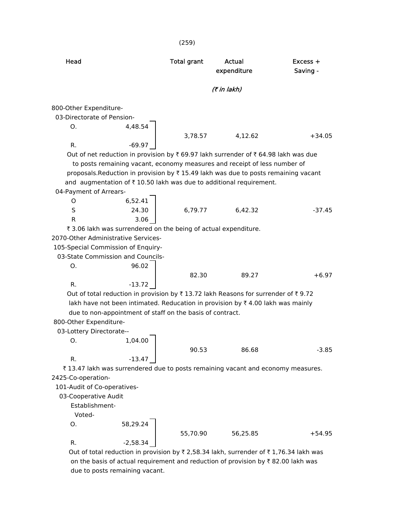|                                     |                                                                 | (259)              |                                                                                                     |                        |
|-------------------------------------|-----------------------------------------------------------------|--------------------|-----------------------------------------------------------------------------------------------------|------------------------|
| Head                                |                                                                 | <b>Total grant</b> | Actual<br>expenditure                                                                               | $Excess +$<br>Saving - |
|                                     |                                                                 |                    | (7 in lakh)                                                                                         |                        |
| 800-Other Expenditure-              |                                                                 |                    |                                                                                                     |                        |
| 03-Directorate of Pension-          |                                                                 |                    |                                                                                                     |                        |
| O.                                  | 4,48.54                                                         |                    |                                                                                                     |                        |
|                                     |                                                                 | 3,78.57            | 4,12.62                                                                                             | $+34.05$               |
| R.                                  | $-69.97$                                                        |                    |                                                                                                     |                        |
|                                     |                                                                 |                    | Out of net reduction in provision by ₹ 69.97 lakh surrender of ₹ 64.98 lakh was due                 |                        |
|                                     |                                                                 |                    | to posts remaining vacant, economy measures and receipt of less number of                           |                        |
|                                     |                                                                 |                    | proposals. Reduction in provision by $\overline{\tau}$ 15.49 lakh was due to posts remaining vacant |                        |
|                                     |                                                                 |                    | and augmentation of ₹10.50 lakh was due to additional requirement.                                  |                        |
| 04-Payment of Arrears-              |                                                                 |                    |                                                                                                     |                        |
| O                                   | 6,52.41                                                         |                    |                                                                                                     |                        |
| S                                   | 24.30                                                           | 6,79.77            | 6,42.32                                                                                             | $-37.45$               |
| R                                   | 3.06                                                            |                    |                                                                                                     |                        |
|                                     | ₹ 3.06 lakh was surrendered on the being of actual expenditure. |                    |                                                                                                     |                        |
| 2070-Other Administrative Services- |                                                                 |                    |                                                                                                     |                        |
| 105-Special Commission of Enquiry-  |                                                                 |                    |                                                                                                     |                        |
|                                     | 03-State Commission and Councils-                               |                    |                                                                                                     |                        |
| О.                                  | 96.02                                                           |                    |                                                                                                     |                        |
|                                     |                                                                 | 82.30              | 89.27                                                                                               | $+6.97$                |
| R.                                  | $-13.72$                                                        |                    |                                                                                                     |                        |
|                                     |                                                                 |                    | Out of total reduction in provision by ₹13.72 lakh Reasons for surrender of ₹9.72                   |                        |
|                                     |                                                                 |                    | lakh have not been intimated. Reducation in provision by $\bar{\tau}$ 4.00 lakh was mainly          |                        |
|                                     | due to non-appointment of staff on the basis of contract.       |                    |                                                                                                     |                        |
| 800-Other Expenditure-              |                                                                 |                    |                                                                                                     |                        |
| 03-Lottery Directorate--            |                                                                 |                    |                                                                                                     |                        |
| O.                                  | 1,04.00                                                         |                    |                                                                                                     |                        |
|                                     |                                                                 | 90.53              | 86.68                                                                                               | $-3.85$                |
| R.                                  | $-13.47$                                                        |                    |                                                                                                     |                        |
|                                     |                                                                 |                    | ₹13.47 lakh was surrendered due to posts remaining vacant and economy measures.                     |                        |
| 2425-Co-operation-                  |                                                                 |                    |                                                                                                     |                        |
| 101-Audit of Co-operatives-         |                                                                 |                    |                                                                                                     |                        |
| 03-Cooperative Audit                |                                                                 |                    |                                                                                                     |                        |
| Establishment-                      |                                                                 |                    |                                                                                                     |                        |
| Voted-                              |                                                                 |                    |                                                                                                     |                        |
| 0.                                  | 58,29.24                                                        |                    |                                                                                                     |                        |
|                                     |                                                                 | 55,70.90           | 56,25.85                                                                                            | $+54.95$               |
| R.                                  | $-2,58.34$                                                      |                    |                                                                                                     |                        |
|                                     |                                                                 |                    |                                                                                                     |                        |

Out of total reduction in provision by  $\bar{\tau}$  2,58.34 lakh, surrender of  $\bar{\tau}$  1,76.34 lakh was on the basis of actual requirement and reduction of provision by  $\bar{\tau}$  82.00 lakh was due to posts remaining vacant.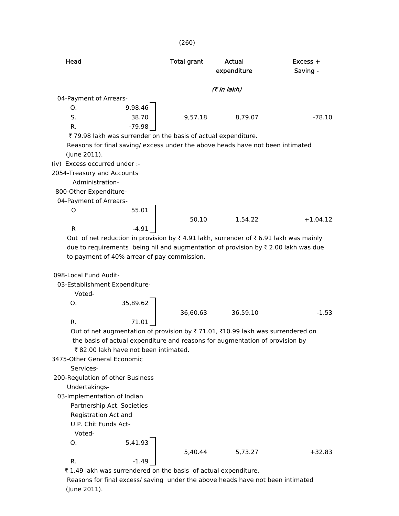| Head                                                                                                                                                                                      | <b>Total grant</b> | Actual<br>expenditure | $Excess +$<br>Saving - |
|-------------------------------------------------------------------------------------------------------------------------------------------------------------------------------------------|--------------------|-----------------------|------------------------|
|                                                                                                                                                                                           |                    | (₹ in lakh)           |                        |
| 04-Payment of Arrears-                                                                                                                                                                    |                    |                       |                        |
| 9,98.46<br>O.                                                                                                                                                                             |                    |                       |                        |
| S.<br>38.70                                                                                                                                                                               | 9,57.18            | 8,79.07               | $-78.10$               |
| R.<br>$-79.98$                                                                                                                                                                            |                    |                       |                        |
| ₹79.98 lakh was surrender on the basis of actual expenditure.                                                                                                                             |                    |                       |                        |
| Reasons for final saving/ excess under the above heads have not been intimated                                                                                                            |                    |                       |                        |
| (June 2011).                                                                                                                                                                              |                    |                       |                        |
| (iv) Excess occurred under :-                                                                                                                                                             |                    |                       |                        |
| 2054-Treasury and Accounts                                                                                                                                                                |                    |                       |                        |
| Administration-                                                                                                                                                                           |                    |                       |                        |
| 800-Other Expenditure-                                                                                                                                                                    |                    |                       |                        |
| 04-Payment of Arrears-                                                                                                                                                                    |                    |                       |                        |
| 55.01<br>O                                                                                                                                                                                |                    |                       |                        |
|                                                                                                                                                                                           | 50.10              | 1,54.22               | $+1,04.12$             |
| R<br>$-4.91$                                                                                                                                                                              |                    |                       |                        |
| Out of net reduction in provision by ₹4.91 lakh, surrender of ₹6.91 lakh was mainly<br>due to requirements being nil and augmentation of provision by $\overline{\tau}$ 2.00 lakh was due |                    |                       |                        |
| to payment of 40% arrear of pay commission.                                                                                                                                               |                    |                       |                        |
|                                                                                                                                                                                           |                    |                       |                        |
| 098-Local Fund Audit-                                                                                                                                                                     |                    |                       |                        |
| 03-Establishment Expenditure-                                                                                                                                                             |                    |                       |                        |
| Voted-                                                                                                                                                                                    |                    |                       |                        |
| 35,89.62<br>O.                                                                                                                                                                            |                    |                       |                        |
| $R_{\cdot}$                                                                                                                                                                               | 36,60.63           | 36,59.10              | $-1.53$                |
| 71.01                                                                                                                                                                                     |                    |                       |                        |
| Out of net augmentation of provision by ₹71.01, ₹10.99 lakh was surrendered on<br>the basis of actual expenditure and reasons for augmentation of provision by                            |                    |                       |                        |
| ₹82.00 lakh have not been intimated.                                                                                                                                                      |                    |                       |                        |
| 3475-Other General Economic                                                                                                                                                               |                    |                       |                        |
| Services-                                                                                                                                                                                 |                    |                       |                        |
| 200-Regulation of other Business                                                                                                                                                          |                    |                       |                        |
| Undertakings-                                                                                                                                                                             |                    |                       |                        |
| 03-Implementation of Indian                                                                                                                                                               |                    |                       |                        |
| Partnership Act, Societies                                                                                                                                                                |                    |                       |                        |
| Registration Act and                                                                                                                                                                      |                    |                       |                        |
| U.P. Chit Funds Act-                                                                                                                                                                      |                    |                       |                        |
| Voted-                                                                                                                                                                                    |                    |                       |                        |
| 5,41.93<br>O.                                                                                                                                                                             |                    |                       |                        |
|                                                                                                                                                                                           | 5,40.44            | 5,73.27               | $+32.83$               |
| R.<br>$-1.49$                                                                                                                                                                             |                    |                       |                        |
| ₹1.49 lakh was surrendered on the basis of actual expenditure.                                                                                                                            |                    |                       |                        |

(260)

 Reasons for final excess/ saving under the above heads have not been intimated (June 2011).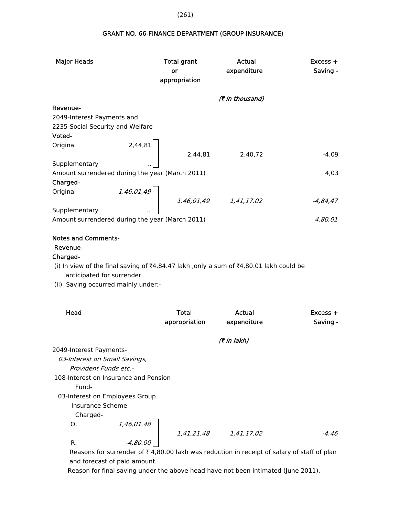GRANT NO. 66-FINANCE DEPARTMENT (GROUP INSURANCE)

| <b>Major Heads</b>                              |            | <b>Total grant</b><br>or<br>appropriation | Actual<br>expenditure     | $Excess +$<br>Saving - |
|-------------------------------------------------|------------|-------------------------------------------|---------------------------|------------------------|
|                                                 |            |                                           | (₹ in thousand)           |                        |
| Revenue-                                        |            |                                           |                           |                        |
| 2049-Interest Payments and                      |            |                                           |                           |                        |
| 2235-Social Security and Welfare                |            |                                           |                           |                        |
| Voted-                                          |            |                                           |                           |                        |
| Original                                        | 2,44,81    |                                           |                           |                        |
|                                                 |            | 2,44,81                                   | 2,40,72                   | $-4,09$                |
| Supplementary                                   |            |                                           |                           |                        |
| Amount surrendered during the year (March 2011) |            |                                           |                           | 4,03                   |
| Charged-                                        |            |                                           |                           |                        |
| Original                                        | 1,46,01,49 |                                           |                           |                        |
|                                                 |            |                                           | $1,46,01,49$ $1,41,17,02$ | $-4,84,47$             |
| Supplementary                                   |            |                                           |                           |                        |
| Amount surrendered during the year (March 2011) |            |                                           |                           | 4,80,01                |
|                                                 |            |                                           |                           |                        |
| <b>Notes and Comments-</b>                      |            |                                           |                           |                        |
| Revenue-                                        |            |                                           |                           |                        |
|                                                 |            |                                           |                           |                        |

Charged-

(i) In view of the final saving of ₹4,84.47 lakh ,only a sum of ₹4,80.01 lakh could be anticipated for surrender.

(ii) Saving occurred mainly under:-

| Head                                  |            | Total<br>appropriation | Actual<br>expenditure | $Excess +$<br>Saving - |
|---------------------------------------|------------|------------------------|-----------------------|------------------------|
|                                       |            |                        | (7 in lakh)           |                        |
| 2049-Interest Payments-               |            |                        |                       |                        |
| 03-Interest on Small Savings,         |            |                        |                       |                        |
| Provident Funds etc.-                 |            |                        |                       |                        |
| 108-Interest on Insurance and Pension |            |                        |                       |                        |
| Fund-                                 |            |                        |                       |                        |
| 03-Interest on Employees Group        |            |                        |                       |                        |
| Insurance Scheme                      |            |                        |                       |                        |
| Charged-                              |            |                        |                       |                        |
| O.                                    | 1,46,01.48 |                        |                       |                        |
|                                       |            | 1,41,21.48             | 1,41,17.02            | $-4.46$                |
| R.                                    | -4,80.00   |                        |                       |                        |

Reasons for surrender of  $\bar{\tau}$  4,80.00 lakh was reduction in receipt of salary of staff of plan and forecast of paid amount.

Reason for final saving under the above head have not been intimated (June 2011).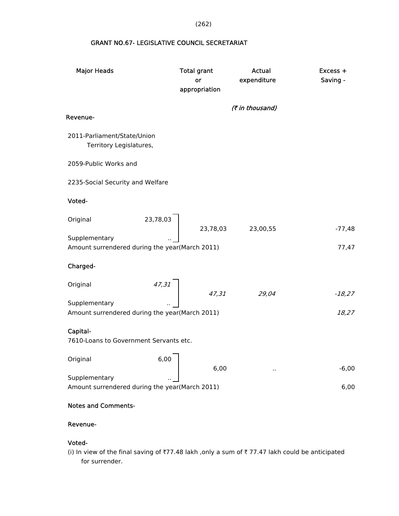(262)

## GRANT NO.67- LEGISLATIVE COUNCIL SECRETARIAT

| <b>Major Heads</b>                                              | <b>Total grant</b><br>or<br>appropriation | <b>Actual</b><br>expenditure | Excess +<br>Saving - |
|-----------------------------------------------------------------|-------------------------------------------|------------------------------|----------------------|
| Revenue-                                                        |                                           | (₹ in thousand)              |                      |
|                                                                 |                                           |                              |                      |
| 2011-Parliament/State/Union<br>Territory Legislatures,          |                                           |                              |                      |
| 2059-Public Works and                                           |                                           |                              |                      |
| 2235-Social Security and Welfare                                |                                           |                              |                      |
| Voted-                                                          |                                           |                              |                      |
| 23,78,03<br>Original                                            | 23,78,03                                  | 23,00,55                     | $-77,48$             |
| Supplementary<br>Amount surrendered during the year(March 2011) |                                           |                              | 77,47                |
| Charged-                                                        |                                           |                              |                      |
| $\begin{array}{c} 47,31 \end{array}$<br>Original                | 47,31                                     | 29,04                        | $-18,27$             |
| Supplementary<br>Amount surrendered during the year(March 2011) |                                           |                              | 18,27                |
| Capital-<br>7610-Loans to Government Servants etc.              |                                           |                              |                      |
| 6,00<br>Original                                                | 6,00                                      |                              | $-6,00$              |
| Supplementary<br>Amount surrendered during the year(March 2011) |                                           |                              | 6,00                 |
| <b>Notes and Comments-</b>                                      |                                           |                              |                      |

## Revenue-

#### Voted-

(i) In view of the final saving of ₹77.48 lakh ,only a sum of ₹77.47 lakh could be anticipated for surrender.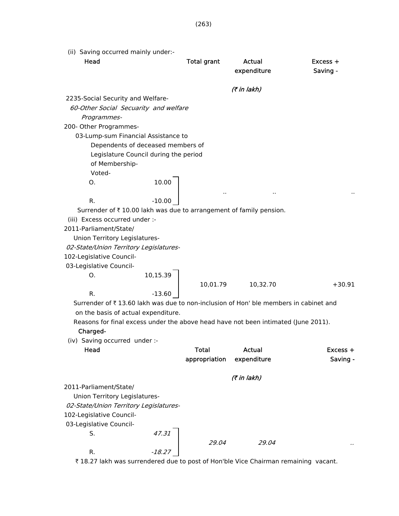(ii) Saving occurred mainly under:- Head **Total grant** Actual Excess + expenditure Saving - $($ ₹ in lakh) 2235-Social Security and Welfare- 60-Other Social Secuarity and welfare Programmes- 200- Other Programmes- 03-Lump-sum Financial Assistance to Dependents of deceased members of Legislature Council during the period of Membership- Voted-O. 10.00 .. .. .. R.  $-10.00$ Surrender of  $\bar{\tau}$  10.00 lakh was due to arrangement of family pension. (iii) Excess occurred under :- 2011-Parliament/State/ Union Territory Legislatures- 02-State/Union Territory Legislatures- 102-Legislative Council- 03-Legislative Council- $0.$  10,15.39 10,01.79 10,32.70 +30.91 R.  $-13.60$ Surrender of  $\bar{\tau}$  13.60 lakh was due to non-inclusion of Hon' ble members in cabinet and on the basis of actual expenditure. Reasons for final excess under the above head have not been intimated (June 2011). Charged- (iv) Saving occurred under :- Head Total Actual Excess + appropriation expenditure manufacture Saving - $($ ₹ in lakh) 2011-Parliament/State/ Union Territory Legislatures- 02-State/Union Territory Legislatures- 102-Legislative Council- 03-Legislative Council-S. 47.31 29.04 29.04 R.  $-18.27$ 

₹ 18.27 lakh was surrendered due to post of Hon'ble Vice Chairman remaining vacant.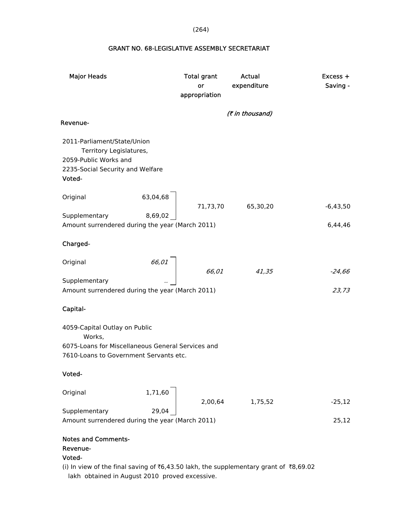(264)

## GRANT NO. 68-LEGISLATIVE ASSEMBLY SECRETARIAT

| <b>Major Heads</b>                                                                                                                     |          | <b>Total grant</b><br>or<br>appropriation | <b>Actual</b><br>expenditure | Excess +<br>Saving - |
|----------------------------------------------------------------------------------------------------------------------------------------|----------|-------------------------------------------|------------------------------|----------------------|
| Revenue-                                                                                                                               |          |                                           | (₹ in thousand)              |                      |
| 2011-Parliament/State/Union<br>Territory Legislatures,<br>2059-Public Works and<br>2235-Social Security and Welfare<br>Voted-          |          |                                           |                              |                      |
| Original                                                                                                                               | 63,04,68 | 71,73,70                                  | 65,30,20                     | $-6,43,50$           |
| Supplementary<br>Amount surrendered during the year (March 2011)                                                                       | 8,69,02  |                                           |                              | 6,44,46              |
| Charged-                                                                                                                               |          |                                           |                              |                      |
| Original                                                                                                                               | 66,01    | 66,01                                     | 41,35                        | $-24,66$             |
| Supplementary<br>Amount surrendered during the year (March 2011)                                                                       |          |                                           |                              | 23,73                |
| Capital-                                                                                                                               |          |                                           |                              |                      |
| 4059-Capital Outlay on Public<br>Works,<br>6075-Loans for Miscellaneous General Services and<br>7610-Loans to Government Servants etc. |          |                                           |                              |                      |
| Voted-                                                                                                                                 |          |                                           |                              |                      |
| Original                                                                                                                               | 1,71,60  | 2,00,64                                   | 1,75,52                      | $-25,12$             |
| Supplementary<br>Amount surrendered during the year (March 2011)                                                                       | 29,04    |                                           |                              | 25,12                |
|                                                                                                                                        |          |                                           |                              |                      |

### Notes and Comments-

## Revenue-

# Voted-

(i) In view of the final saving of ₹6,43.50 lakh, the supplementary grant of ₹8,69.02 lakh obtained in August 2010 proved excessive.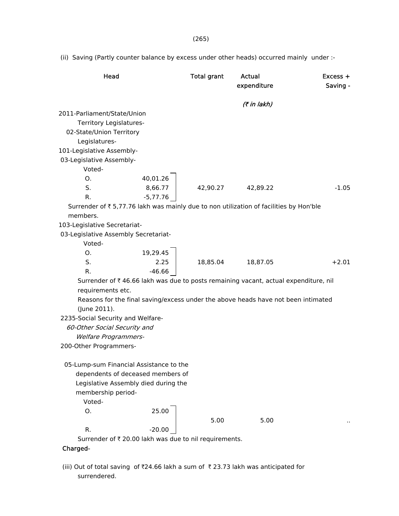(ii) Saving (Partly counter balance by excess under other heads) occurred mainly under :-

| Head                                                                                   |            | <b>Total grant</b> | <b>Actual</b><br>expenditure | $Excess +$<br>Saving - |
|----------------------------------------------------------------------------------------|------------|--------------------|------------------------------|------------------------|
|                                                                                        |            |                    | (7 in lakh)                  |                        |
| 2011-Parliament/State/Union                                                            |            |                    |                              |                        |
| Territory Legislatures-                                                                |            |                    |                              |                        |
| 02-State/Union Territory                                                               |            |                    |                              |                        |
| Legislatures-                                                                          |            |                    |                              |                        |
| 101-Legislative Assembly-                                                              |            |                    |                              |                        |
| 03-Legislative Assembly-                                                               |            |                    |                              |                        |
| Voted-                                                                                 |            |                    |                              |                        |
| О.                                                                                     | 40,01.26   |                    |                              |                        |
| S.                                                                                     | 8,66.77    | 42,90.27           | 42,89.22                     | $-1.05$                |
| R.                                                                                     | $-5,77.76$ |                    |                              |                        |
| Surrender of ₹ 5,77.76 lakh was mainly due to non utilization of facilities by Hon'ble |            |                    |                              |                        |
| members.                                                                               |            |                    |                              |                        |
| 103-Legislative Secretariat-                                                           |            |                    |                              |                        |
| 03-Legislative Assembly Secretariat-                                                   |            |                    |                              |                        |
| Voted-                                                                                 |            |                    |                              |                        |
| O.                                                                                     | 19,29.45   |                    |                              |                        |
| S.                                                                                     | 2.25       | 18,85.04           | 18,87.05                     | $+2.01$                |
| R.                                                                                     | $-46.66$   |                    |                              |                        |
| Surrender of ₹46.66 lakh was due to posts remaining vacant, actual expenditure, nil    |            |                    |                              |                        |
| requirements etc.                                                                      |            |                    |                              |                        |
| Reasons for the final saving/excess under the above heads have not been intimated      |            |                    |                              |                        |
| (June 2011).                                                                           |            |                    |                              |                        |
| 2235-Social Security and Welfare-                                                      |            |                    |                              |                        |
| 60-Other Social Security and                                                           |            |                    |                              |                        |
| <b>Welfare Programmers-</b>                                                            |            |                    |                              |                        |
| 200-Other Programmers-                                                                 |            |                    |                              |                        |
| 05-Lump-sum Financial Assistance to the                                                |            |                    |                              |                        |
| dependents of deceased members of                                                      |            |                    |                              |                        |
| Legislative Assembly died during the                                                   |            |                    |                              |                        |
| membership period-                                                                     |            |                    |                              |                        |
| Voted-                                                                                 |            |                    |                              |                        |
| 0.                                                                                     | 25.00      |                    |                              |                        |
|                                                                                        |            | 5.00               | 5.00                         |                        |
| R.                                                                                     | $-20.00$   |                    |                              |                        |
| Surrender of ₹ 20.00 lakh was due to nil requirements.                                 |            |                    |                              |                        |
| Charged-                                                                               |            |                    |                              |                        |

(iii) Out of total saving of  $\bar{x}$ 24.66 lakh a sum of  $\bar{x}$  23.73 lakh was anticipated for surrendered.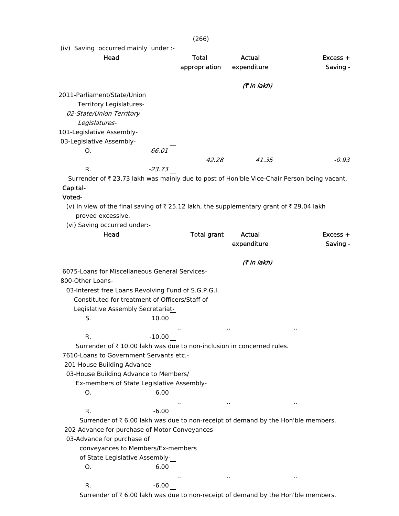(iv) Saving occurred mainly under :-

| Head                                                                                       |          | Total         | Actual             | $Excess +$ |
|--------------------------------------------------------------------------------------------|----------|---------------|--------------------|------------|
|                                                                                            |          | appropriation | expenditure        | Saving -   |
|                                                                                            |          |               |                    |            |
|                                                                                            |          |               | <i>(₹ in lakh)</i> |            |
| 2011-Parliament/State/Union                                                                |          |               |                    |            |
| Territory Legislatures-                                                                    |          |               |                    |            |
| 02-State/Union Territory                                                                   |          |               |                    |            |
| Legislatures-                                                                              |          |               |                    |            |
| 101-Legislative Assembly-                                                                  |          |               |                    |            |
| 03-Legislative Assembly-                                                                   |          |               |                    |            |
| Ο.                                                                                         | 66.01    |               |                    |            |
|                                                                                            |          | 42.28         | 41.35              | $-0.93$    |
| R.                                                                                         | $-23.73$ |               |                    |            |
| Surrender of ₹23.73 lakh was mainly due to post of Hon'ble Vice-Chair Person being vacant. |          |               |                    |            |
| Capital-                                                                                   |          |               |                    |            |

### Voted-

(v) In view of the final saving of  $\bar{\tau}$  25.12 lakh, the supplementary grant of  $\bar{\tau}$  29.04 lakh proved excessive.

(vi) Saving occurred under:-

| Head                                                                             | <b>Total grant</b> | <b>Actual</b><br>expenditure | $Excess +$<br>Saving - |
|----------------------------------------------------------------------------------|--------------------|------------------------------|------------------------|
|                                                                                  |                    | (₹ in lakh)                  |                        |
| 6075-Loans for Miscellaneous General Services-                                   |                    |                              |                        |
| 800-Other Loans-                                                                 |                    |                              |                        |
| 03-Interest free Loans Revolving Fund of S.G.P.G.I.                              |                    |                              |                        |
| Constituted for treatment of Officers/Staff of                                   |                    |                              |                        |
| Legislative Assembly Secretariat-                                                |                    |                              |                        |
| 10.00<br>S.                                                                      |                    |                              |                        |
|                                                                                  |                    |                              |                        |
| R.<br>$-10.00$                                                                   |                    |                              |                        |
| Surrender of ₹10.00 lakh was due to non-inclusion in concerned rules.            |                    |                              |                        |
| 7610-Loans to Government Servants etc.-                                          |                    |                              |                        |
| 201-House Building Advance-                                                      |                    |                              |                        |
| 03-House Building Advance to Members/                                            |                    |                              |                        |
| Ex-members of State Legislative Assembly-                                        |                    |                              |                        |
| 6.00<br>Ο.                                                                       |                    |                              |                        |
|                                                                                  |                    |                              |                        |
| $-6.00$<br>R.                                                                    |                    |                              |                        |
| Surrender of ₹6.00 lakh was due to non-receipt of demand by the Hon'ble members. |                    |                              |                        |
| 202-Advance for purchase of Motor Conveyances-                                   |                    |                              |                        |
| 03-Advance for purchase of                                                       |                    |                              |                        |
| conveyances to Members/Ex-members                                                |                    |                              |                        |
| of State Legislative Assembly-                                                   |                    |                              |                        |
| 6.00<br>Ο.                                                                       |                    |                              |                        |
|                                                                                  |                    |                              |                        |
| R.<br>$-6.00$                                                                    |                    |                              |                        |
|                                                                                  |                    |                              |                        |

Surrender of  $\bar{\tau}$  6.00 lakh was due to non-receipt of demand by the Hon'ble members.

(266)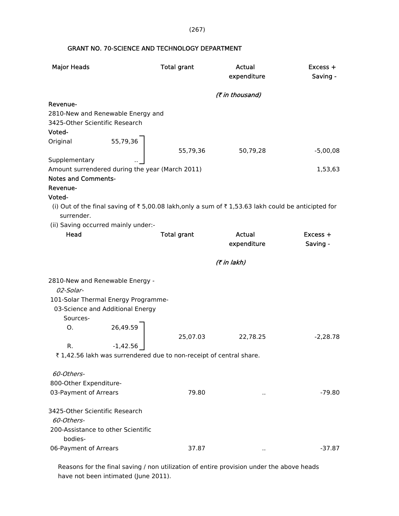(267)

## GRANT NO. 70-SCIENCE AND TECHNOLOGY DEPARTMENT

| <b>Major Heads</b>                              |            | <b>Total grant</b>                                                  | <b>Actual</b><br>expenditure                                                                       | Excess +<br>Saving - |
|-------------------------------------------------|------------|---------------------------------------------------------------------|----------------------------------------------------------------------------------------------------|----------------------|
|                                                 |            |                                                                     | (₹ in thousand)                                                                                    |                      |
| Revenue-                                        |            |                                                                     |                                                                                                    |                      |
| 2810-New and Renewable Energy and               |            |                                                                     |                                                                                                    |                      |
| 3425-Other Scientific Research                  |            |                                                                     |                                                                                                    |                      |
| Voted-                                          |            |                                                                     |                                                                                                    |                      |
| Original                                        | 55,79,36   |                                                                     |                                                                                                    |                      |
|                                                 |            | 55,79,36                                                            | 50,79,28                                                                                           | $-5,00,08$           |
| Supplementary                                   |            |                                                                     |                                                                                                    |                      |
| Amount surrendered during the year (March 2011) |            |                                                                     |                                                                                                    | 1,53,63              |
| <b>Notes and Comments-</b>                      |            |                                                                     |                                                                                                    |                      |
| Revenue-                                        |            |                                                                     |                                                                                                    |                      |
| Voted-                                          |            |                                                                     |                                                                                                    |                      |
|                                                 |            |                                                                     | (i) Out of the final saving of ₹ 5,00.08 lakh,only a sum of ₹ 1,53.63 lakh could be anticipted for |                      |
| surrender.                                      |            |                                                                     |                                                                                                    |                      |
| (ii) Saving occurred mainly under:-             |            |                                                                     |                                                                                                    |                      |
| Head                                            |            | <b>Total grant</b>                                                  | <b>Actual</b>                                                                                      | Excess +             |
|                                                 |            |                                                                     | expenditure                                                                                        | Saving -             |
|                                                 |            |                                                                     | (₹ in lakh)                                                                                        |                      |
| 2810-New and Renewable Energy -                 |            |                                                                     |                                                                                                    |                      |
| 02-Solar-                                       |            |                                                                     |                                                                                                    |                      |
| 101-Solar Thermal Energy Programme-             |            |                                                                     |                                                                                                    |                      |
| 03-Science and Additional Energy                |            |                                                                     |                                                                                                    |                      |
| Sources-                                        |            |                                                                     |                                                                                                    |                      |
| О.                                              | 26,49.59   |                                                                     |                                                                                                    |                      |
|                                                 |            | 25,07.03                                                            | 22,78.25                                                                                           | $-2,28.78$           |
| R.                                              | $-1,42.56$ |                                                                     |                                                                                                    |                      |
|                                                 |            | ₹ 1,42.56 lakh was surrendered due to non-receipt of central share. |                                                                                                    |                      |
|                                                 |            |                                                                     |                                                                                                    |                      |
| 60-Others-                                      |            |                                                                     |                                                                                                    |                      |
| 800-Other Expenditure-                          |            |                                                                     |                                                                                                    |                      |
| 03-Payment of Arrears                           |            | 79.80                                                               | $\cdot$ .                                                                                          | $-79.80$             |
| 3425-Other Scientific Research                  |            |                                                                     |                                                                                                    |                      |
| 60-Others-                                      |            |                                                                     |                                                                                                    |                      |
| 200-Assistance to other Scientific              |            |                                                                     |                                                                                                    |                      |
| bodies-                                         |            |                                                                     |                                                                                                    |                      |
| 06-Payment of Arrears                           |            | 37.87                                                               |                                                                                                    | $-37.87$             |

 Reasons for the final saving / non utilization of entire provision under the above heads have not been intimated (June 2011).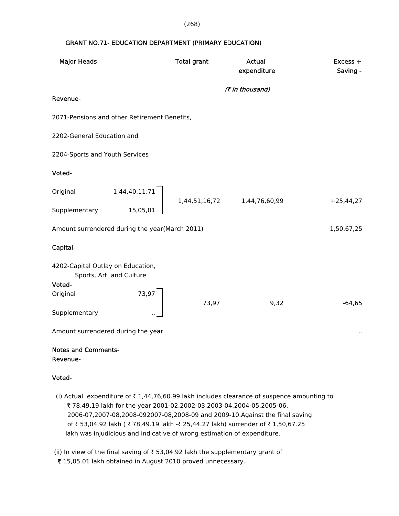#### (268)

### GRANT NO.71- EDUCATION DEPARTMENT (PRIMARY EDUCATION)

| <b>Major Heads</b>                                                     | <b>Total grant</b> | <b>Actual</b><br>expenditure | Excess +<br>Saving - |
|------------------------------------------------------------------------|--------------------|------------------------------|----------------------|
| Revenue-                                                               |                    | (₹ in thousand)              |                      |
| 2071-Pensions and other Retirement Benefits,                           |                    |                              |                      |
| 2202-General Education and                                             |                    |                              |                      |
| 2204-Sports and Youth Services                                         |                    |                              |                      |
| Voted-                                                                 |                    |                              |                      |
| 1,44,40,11,71<br>Original                                              |                    |                              | $+25,44,27$          |
| 15,05,01<br>Supplementary                                              |                    |                              |                      |
| Amount surrendered during the year(March 2011)                         |                    |                              | 1,50,67,25           |
| Capital-                                                               |                    |                              |                      |
| 4202-Capital Outlay on Education,<br>Sports, Art and Culture<br>Voted- |                    |                              |                      |
| 73,97<br>Original                                                      | 73,97              | 9,32                         | $-64,65$             |
| Supplementary                                                          |                    |                              |                      |
| Amount surrendered during the year                                     |                    |                              | $\ddot{\phantom{1}}$ |

#### Notes and Comments- Revenue-

### Voted-

(i) Actual expenditure of  $\bar{\tau}$  1,44,76,60.99 lakh includes clearance of suspence amounting to ₹ 78,49.19 lakh for the year 2001-02,2002-03,2003-04,2004-05,2005-06, 2006-07,2007-08,2008-092007-08,2008-09 and 2009-10.Against the final saving of ₹53,04.92 lakh ( ₹78,49.19 lakh -₹25,44.27 lakh) surrender of ₹1,50,67.25 lakh was injudicious and indicative of wrong estimation of expenditure.

(ii) In view of the final saving of  $\bar{\tau}$  53,04.92 lakh the supplementary grant of ₹ 15,05.01 lakh obtained in August 2010 proved unnecessary.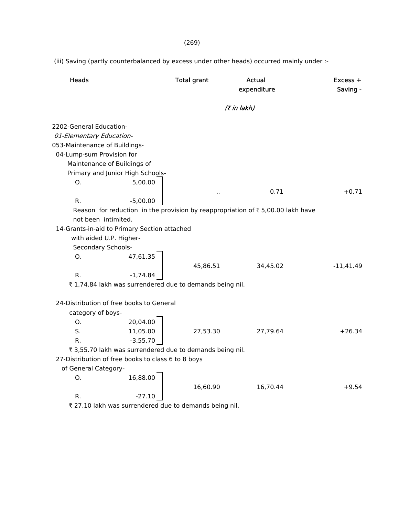## (269)

(iii) Saving (partly counterbalanced by excess under other heads) occurred mainly under :-

| <b>Heads</b>                                                                                                                                                                                                              | <b>Total grant</b> | Actual<br>expenditure | $Excess +$<br>Saving - |
|---------------------------------------------------------------------------------------------------------------------------------------------------------------------------------------------------------------------------|--------------------|-----------------------|------------------------|
|                                                                                                                                                                                                                           |                    | (7 in lakh)           |                        |
| 2202-General Education-<br>01-Elementary Education-<br>053-Maintenance of Buildings-<br>04-Lump-sum Provision for<br>Maintenance of Buildings of<br>Primary and Junior High Schools-<br>5,00.00<br>O.                     |                    |                       |                        |
|                                                                                                                                                                                                                           |                    | 0.71                  | $+0.71$                |
| R.<br>$-5,00.00$                                                                                                                                                                                                          |                    |                       |                        |
| Reason for reduction in the provision by reappropriation of ₹ 5,00.00 lakh have<br>not been intimited.<br>14-Grants-in-aid to Primary Section attached<br>with aided U.P. Higher-<br>Secondary Schools-<br>47,61.35<br>O. |                    |                       |                        |
|                                                                                                                                                                                                                           | 45,86.51           | 34,45.02              | $-11,41.49$            |
| $-1,74.84$<br>R.                                                                                                                                                                                                          |                    |                       |                        |
| ₹1,74.84 lakh was surrendered due to demands being nil.                                                                                                                                                                   |                    |                       |                        |
| 24-Distribution of free books to General<br>category of boys-<br>20,04.00<br>O <sub>1</sub>                                                                                                                               |                    |                       |                        |
| S.<br>11,05.00                                                                                                                                                                                                            | 27,53.30           | 27,79.64              | $+26.34$               |
| $-3,55.70$<br>R.                                                                                                                                                                                                          |                    |                       |                        |
| ₹ 3,55.70 lakh was surrendered due to demands being nil.                                                                                                                                                                  |                    |                       |                        |
| 27-Distribution of free books to class 6 to 8 boys                                                                                                                                                                        |                    |                       |                        |
| of General Category-                                                                                                                                                                                                      |                    |                       |                        |
| O <sub>1</sub><br>16,88.00                                                                                                                                                                                                | 16,60.90           | 16,70.44              | $+9.54$                |
| R.<br>-27.10<br>$\pm$ 27.10 lake was surrandered due to demands being pil                                                                                                                                                 |                    |                       |                        |

 $\bar{\tau}$  27.10 lakh was surrendered due to demands being nil.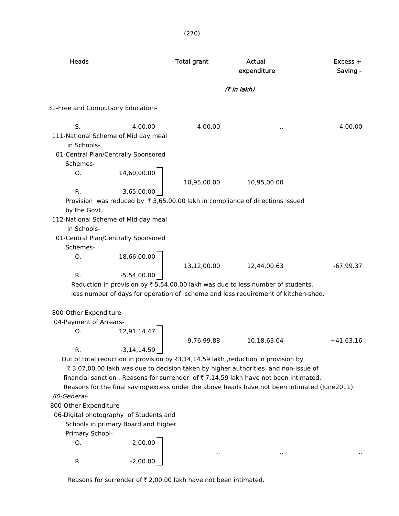| <b>Heads</b>                                                                                                                |                                     | <b>Total grant</b> | Actual<br>expenditure                                                                                                                                                                                                                                                                                                                                                                            | $Excess +$<br>Saving - |
|-----------------------------------------------------------------------------------------------------------------------------|-------------------------------------|--------------------|--------------------------------------------------------------------------------------------------------------------------------------------------------------------------------------------------------------------------------------------------------------------------------------------------------------------------------------------------------------------------------------------------|------------------------|
|                                                                                                                             |                                     |                    | (7 in lakh)                                                                                                                                                                                                                                                                                                                                                                                      |                        |
| 31-Free and Computsory Education-                                                                                           |                                     |                    |                                                                                                                                                                                                                                                                                                                                                                                                  |                        |
| S.<br>111-National Scheme of Mid day meal<br>in Schools-<br>01-Central Plan/Centrally Sponsored                             | 4,00.00                             | 4,00.00            |                                                                                                                                                                                                                                                                                                                                                                                                  | $-4,00.00$             |
| Schemes-<br>O.<br>R.                                                                                                        | 14,60,00.00<br>$-3,65,00.00$        | 10,95,00.00        | 10,95,00.00                                                                                                                                                                                                                                                                                                                                                                                      |                        |
| by the Govt.<br>112-National Scheme of Mid day meal<br>in Schools-<br>01-Central Plan/Centrally Sponsored<br>Schemes-<br>O. | 18,66,00.00                         |                    | Provision was reduced by ₹3,65,00.00 lakh in compliance of directions issued                                                                                                                                                                                                                                                                                                                     |                        |
| R.                                                                                                                          | $-5.54,00.00$                       | 13,12,00.00        | 12,44,00.63<br>Reduction in provision by ₹ 5,54,00.00 lakh was due to less number of students,<br>less number of days for operation of scheme and less requirement of kitchen-shed.                                                                                                                                                                                                              | $-67,99.37$            |
| 800-Other Expenditure-                                                                                                      |                                     |                    |                                                                                                                                                                                                                                                                                                                                                                                                  |                        |
| 04-Payment of Arrears-<br>О.                                                                                                | 12,91,14.47                         | 9,76,99.88         | 10,18,63.04                                                                                                                                                                                                                                                                                                                                                                                      | $+41,63.16$            |
| R.<br>80-General-<br>800-Other Expenditure-                                                                                 | $-3, 14, 14.59$                     |                    | Out of total reduction in provision by $\overline{3}$ , 14, 14.59 lakh, reduction in provision by<br>₹ 3,07,00.00 lakh was due to decision taken by higher authorities and non-issue of<br>financial sanction. Reasons for surrender of $\overline{\tau}$ 7,14.59 lakh have not been intimated.<br>Reasons for the final saving/excess under the above heads have not been intimated (June2011). |                        |
| 06-Digital photography of Students and<br>Primary School-                                                                   | Schools in primary Board and Higher |                    |                                                                                                                                                                                                                                                                                                                                                                                                  |                        |
| O.<br>R.                                                                                                                    | 2,00.00<br>$-2,00.00$               |                    |                                                                                                                                                                                                                                                                                                                                                                                                  |                        |

Reasons for surrender of  $\bar{\tau}$  2,00.00 lakh have not been intimated.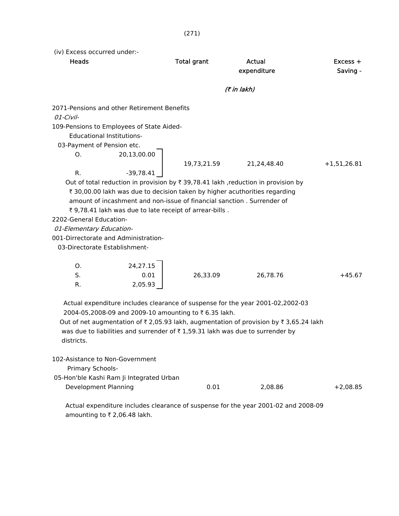(iv) Excess occurred under:-

| Heads                                                                                                                                                                                                                                                                                                               |                             | <b>Total grant</b>                                                     | Actual<br>expenditure                                                                                                                                                                                                                                                                       | $Excess +$<br>Saving - |
|---------------------------------------------------------------------------------------------------------------------------------------------------------------------------------------------------------------------------------------------------------------------------------------------------------------------|-----------------------------|------------------------------------------------------------------------|---------------------------------------------------------------------------------------------------------------------------------------------------------------------------------------------------------------------------------------------------------------------------------------------|------------------------|
|                                                                                                                                                                                                                                                                                                                     |                             |                                                                        | (₹ in lakh)                                                                                                                                                                                                                                                                                 |                        |
| 2071-Pensions and other Retirement Benefits<br>01-Civil-<br>109-Pensions to Employees of State Aided-<br><b>Educational Institutions-</b><br>03-Payment of Pension etc.<br>O.<br>R.<br>2202-General Education-<br>01-Elementary Education-<br>001-Dirrectorate and Administration-<br>03-Directorate Establishment- | 20,13,00.00<br>$-39,78.41$  | 19,73,21.59<br>₹ 9,78.41 lakh was due to late receipt of arrear-bills. | 21,24,48.40<br>Out of total reduction in provision by $\bar{\tau}$ 39,78.41 lakh , reduction in provision by<br>₹ 30,00.00 lakh was due to decision taken by higher acuthorities regarding<br>amount of incashment and non-issue of financial sanction, Surrender of                        | $+1,51,26.81$          |
| O.<br>S.<br>R.<br>districts.                                                                                                                                                                                                                                                                                        | 24,27.15<br>0.01<br>2,05.93 | 26,33.09<br>2004-05,2008-09 and 2009-10 amounting to ₹6.35 lakh.       | 26,78.76<br>Actual expenditure includes clearance of suspense for the year 2001-02,2002-03<br>Out of net augmentation of $\bar{\tau}$ 2,05.93 lakh, augmentation of provision by $\bar{\tau}$ 3,65.24 lakh<br>was due to liabilities and surrender of ₹1,59.31 lakh was due to surrender by | $+45.67$               |
| 102-Asistance to Non-Government<br>Primary Schools-<br>05-Hon'ble Kashi Ram Ji Integrated Urban<br>Development Planning                                                                                                                                                                                             |                             | 0.01                                                                   | 2,08.86<br>Actual expenditure includes clearance of suspense for the year 2001-02 and 2008-09                                                                                                                                                                                               | $+2,08.85$             |

amounting to  $\bar{\tau}$  2,06.48 lakh.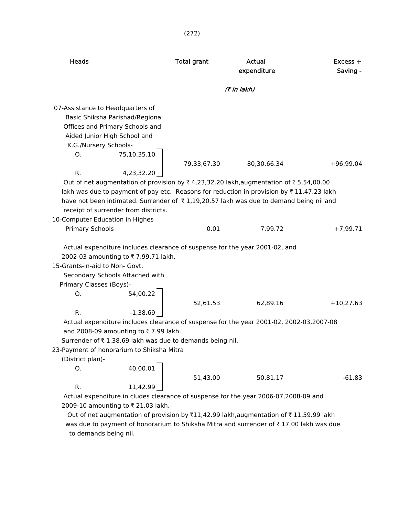| <b>Heads</b>                                                                                         |             | <b>Total grant</b> | Actual      | $Excess +$  |  |
|------------------------------------------------------------------------------------------------------|-------------|--------------------|-------------|-------------|--|
|                                                                                                      |             |                    | expenditure | Saving -    |  |
|                                                                                                      | (₹ in lakh) |                    |             |             |  |
|                                                                                                      |             |                    |             |             |  |
| 07-Assistance to Headquarters of                                                                     |             |                    |             |             |  |
| Basic Shiksha Parishad/Regional                                                                      |             |                    |             |             |  |
| Offices and Primary Schools and                                                                      |             |                    |             |             |  |
| Aided Junior High School and                                                                         |             |                    |             |             |  |
| K.G./Nursery Schools-                                                                                |             |                    |             |             |  |
| O.                                                                                                   | 75,10,35.10 |                    |             |             |  |
| R.                                                                                                   | 4,23,32.20  | 79,33,67.30        | 80,30,66.34 | $+96,99.04$ |  |
| Out of net augmentation of provision by ₹ 4,23,32.20 lakh,augmentation of ₹ 5,54,00.00               |             |                    |             |             |  |
| lakh was due to payment of pay etc. Reasons for reduction in provision by $\bar{\tau}$ 11,47.23 lakh |             |                    |             |             |  |
| have not been intimated. Surrender of ₹1,19,20.57 lakh was due to demand being nil and               |             |                    |             |             |  |
| receipt of surrender from districts.                                                                 |             |                    |             |             |  |
| 10-Computer Education in Highes                                                                      |             |                    |             |             |  |
| <b>Primary Schools</b>                                                                               |             | 0.01               | 7,99.72     | $+7,99.71$  |  |
|                                                                                                      |             |                    |             |             |  |
| Actual expenditure includes clearance of suspense for the year 2001-02, and                          |             |                    |             |             |  |
| 2002-03 amounting to ₹7,99.71 lakh.                                                                  |             |                    |             |             |  |
| 15-Grants-in-aid to Non- Govt.                                                                       |             |                    |             |             |  |
| Secondary Schools Attached with                                                                      |             |                    |             |             |  |
| Primary Classes (Boys)-                                                                              |             |                    |             |             |  |
| O.                                                                                                   | 54,00.22    |                    |             |             |  |
|                                                                                                      |             | 52,61.53           | 62,89.16    | $+10,27.63$ |  |
| R.                                                                                                   | $-1,38.69$  |                    |             |             |  |
| Actual expenditure includes clearance of suspense for the year 2001-02, 2002-03,2007-08              |             |                    |             |             |  |
| and 2008-09 amounting to ₹7.99 lakh.                                                                 |             |                    |             |             |  |
| Surrender of ₹1,38.69 lakh was due to demands being nil.                                             |             |                    |             |             |  |
| 23-Payment of honorarium to Shiksha Mitra                                                            |             |                    |             |             |  |
| (District plan)-                                                                                     |             |                    |             |             |  |
| O.                                                                                                   | 40,00.01    |                    |             |             |  |
|                                                                                                      |             | 51,43.00           | 50,81.17    | $-61.83$    |  |
| R.                                                                                                   | 11,42.99    |                    |             |             |  |
| Actual expenditure in cludes clearance of suspense for the year 2006-07,2008-09 and                  |             |                    |             |             |  |
| 2009-10 amounting to ₹ 21.03 lakh.                                                                   |             |                    |             |             |  |
|                                                                                                      |             |                    |             |             |  |

Out of net augmentation of provision by  $\bar{x}11,42.99$  lakh,augmentation of  $\bar{x}$  11,59.99 lakh was due to payment of honorarium to Shiksha Mitra and surrender of  $\bar{\tau}$  17.00 lakh was due to demands being nil.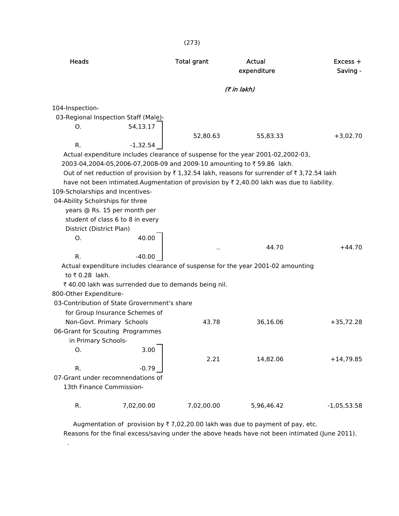|                                                                                                              |                                                                                                                                                                                                         | (2/3)                                                                             |                                                                                                                                                                                                                                                                                                    |                        |  |  |
|--------------------------------------------------------------------------------------------------------------|---------------------------------------------------------------------------------------------------------------------------------------------------------------------------------------------------------|-----------------------------------------------------------------------------------|----------------------------------------------------------------------------------------------------------------------------------------------------------------------------------------------------------------------------------------------------------------------------------------------------|------------------------|--|--|
| <b>Heads</b>                                                                                                 |                                                                                                                                                                                                         | <b>Total grant</b>                                                                | Actual<br>expenditure                                                                                                                                                                                                                                                                              | $Excess +$<br>Saving - |  |  |
| (₹ in lakh)                                                                                                  |                                                                                                                                                                                                         |                                                                                   |                                                                                                                                                                                                                                                                                                    |                        |  |  |
| 104-Inspection-<br>O.<br>R.                                                                                  | 03-Regional Inspection Staff (Male)-<br>54,13.17<br>$-1,32.54$                                                                                                                                          | 52,80.63<br>2003-04,2004-05,2006-07,2008-09 and 2009-10 amounting to ₹59.86 lakh. | 55,83.33<br>Actual expenditure includes clearance of suspense for the year 2001-02,2002-03,<br>Out of net reduction of provision by ₹1,32.54 lakh, reasons for surrender of ₹3,72.54 lakh<br>have not been intimated. Augmentation of provision by $\bar{\tau}$ 2,40.00 lakh was due to liability. | $+3,02.70$             |  |  |
| 109-Scholarships and Incentives-<br>04-Ability Scholrships for three<br>District (District Plan)<br>O.<br>R. | years @ Rs. 15 per month per<br>student of class 6 to 8 in every<br>40.00<br>$-40.00$                                                                                                                   | $\ddot{\phantom{a}}$                                                              | 44.70<br>Actual expenditure includes clearance of suspense for the year 2001-02 amounting                                                                                                                                                                                                          | $+44.70$               |  |  |
| to ₹0.28 lakh.<br>800-Other Expenditure-                                                                     | ₹ 40.00 lakh was surrended due to demands being nil.<br>03-Contribution of State Grovernment's share<br>for Group Insurance Schemes of<br>Non-Govt. Primary Schools<br>06-Grant for Scouting Programmes | 43.78                                                                             | 36,16.06                                                                                                                                                                                                                                                                                           | $+35,72.28$            |  |  |
| in Primary Schools-<br>Ο.<br>R.<br>13th Finance Commission-                                                  | 3.00<br>$-0.79$<br>07-Grant under recomnendations of                                                                                                                                                    | 2.21                                                                              | 14,82.06                                                                                                                                                                                                                                                                                           | $+14,79.85$            |  |  |
| ${\sf R}.$                                                                                                   | 7,02,00.00                                                                                                                                                                                              | 7,02,00.00                                                                        | 5,96,46.42                                                                                                                                                                                                                                                                                         | $-1,05,53.58$          |  |  |

Augmentation of provision by  $\bar{\tau}$  7,02,20.00 lakh was due to payment of pay, etc. Reasons for the final excess/saving under the above heads have not been intimated (June 2011).

.

 $(273)$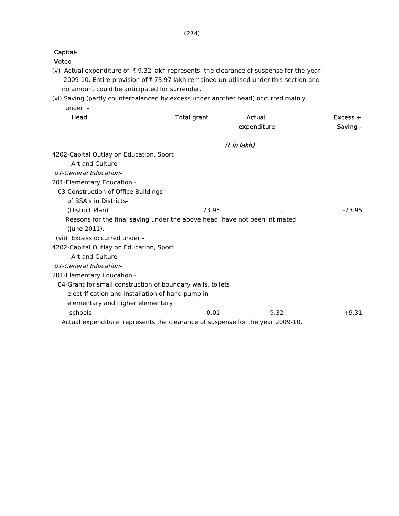### Voted-

- (v) Actual expenditure of  $\bar{\tau}$  9.32 lakh represents the clearance of suspense for the year 2009-10. Entire provision of  $\bar{\tau}$  73.97 lakh remained un-utilised under this section and no amount could be anticipated for surrender.
- (vi) Saving (partly counterbalanced by excess under another head) occurred mainly under :-

| Head                                                                          | <b>Total grant</b> | Actual<br>expenditure | $Excess +$<br>Saving - |
|-------------------------------------------------------------------------------|--------------------|-----------------------|------------------------|
|                                                                               |                    | (₹ in lakh)           |                        |
| 4202-Capital Outlay on Education, Sport                                       |                    |                       |                        |
| Art and Culture-                                                              |                    |                       |                        |
| 01-General Education-                                                         |                    |                       |                        |
| 201-Elementary Education -                                                    |                    |                       |                        |
| 03-Construction of Office Buildings                                           |                    |                       |                        |
| of BSA's in Districts-                                                        |                    |                       |                        |
| (District Plan)                                                               | 73.95              | $\sim$                | $-73.95$               |
| Reasons for the final saving under the above head have not been intimated     |                    |                       |                        |
| (June 2011).                                                                  |                    |                       |                        |
| (vii) Excess occurred under:-                                                 |                    |                       |                        |
| 4202-Capital Outlay on Education, Sport                                       |                    |                       |                        |
| Art and Culture-                                                              |                    |                       |                        |
| 01-General Education-                                                         |                    |                       |                        |
| 201-Elementary Education -                                                    |                    |                       |                        |
| 04-Grant for small construction of boundary walls, toilets                    |                    |                       |                        |
| electrification and installation of hand pump in                              |                    |                       |                        |
| elementary and higher elementary                                              |                    |                       |                        |
| schools                                                                       | 0.01               | 9.32                  | $+9.31$                |
| Actual expenditure represents the clearance of suspense for the year 2009-10. |                    |                       |                        |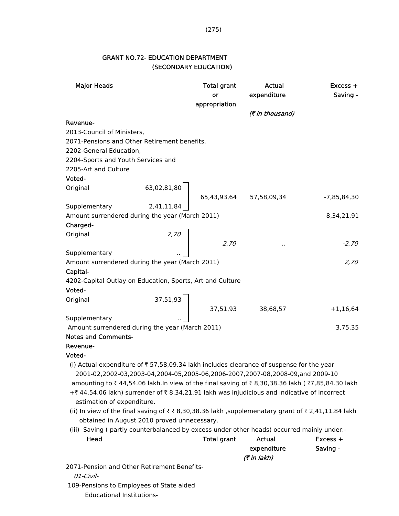## GRANT NO.72- EDUCATION DEPARTMENT (SECONDARY EDUCATION)

| <b>Major Heads</b>                                                                              | <b>Total grant</b>                                                                                               | Actual          | Excess +      |
|-------------------------------------------------------------------------------------------------|------------------------------------------------------------------------------------------------------------------|-----------------|---------------|
|                                                                                                 | or                                                                                                               | expenditure     | Saving -      |
|                                                                                                 | appropriation                                                                                                    |                 |               |
|                                                                                                 |                                                                                                                  | (₹ in thousand) |               |
| Revenue-                                                                                        |                                                                                                                  |                 |               |
| 2013-Council of Ministers,                                                                      |                                                                                                                  |                 |               |
| 2071-Pensions and Other Retirement benefits,                                                    |                                                                                                                  |                 |               |
| 2202-General Education,                                                                         |                                                                                                                  |                 |               |
| 2204-Sports and Youth Services and                                                              |                                                                                                                  |                 |               |
| 2205-Art and Culture                                                                            |                                                                                                                  |                 |               |
| Voted-                                                                                          |                                                                                                                  |                 |               |
| Original                                                                                        | $63,02,81,80$ $65,43,93,64$ $57,58,09,34$                                                                        |                 |               |
|                                                                                                 |                                                                                                                  |                 | $-7,85,84,30$ |
| Supplementary 2,41,11,84                                                                        |                                                                                                                  |                 |               |
| Amount surrendered during the year (March 2011)                                                 |                                                                                                                  |                 | 8,34,21,91    |
| Charged-                                                                                        |                                                                                                                  |                 |               |
| Original                                                                                        |                                                                                                                  |                 |               |
|                                                                                                 | $2,70$ 2,70                                                                                                      | $\cdot$         | $-2,70$       |
| Supplementary                                                                                   |                                                                                                                  |                 |               |
| Amount surrendered during the year (March 2011)                                                 |                                                                                                                  |                 | 2,70          |
| Capital-                                                                                        |                                                                                                                  |                 |               |
| 4202-Capital Outlay on Education, Sports, Art and Culture                                       |                                                                                                                  |                 |               |
| Voted-                                                                                          |                                                                                                                  |                 |               |
| Original                                                                                        | $\begin{array}{c}\n 37,51,93 \ \end{array}$ $\begin{array}{c}\n 37,51,93 \ \end{array}$ $38,68,57\n \end{array}$ |                 |               |
|                                                                                                 |                                                                                                                  |                 | $+1,16,64$    |
| Supplementary                                                                                   |                                                                                                                  |                 |               |
| Amount surrendered during the year (March 2011)                                                 |                                                                                                                  |                 | 3,75,35       |
| <b>Notes and Comments-</b>                                                                      |                                                                                                                  |                 |               |
| Revenue-                                                                                        |                                                                                                                  |                 |               |
| Voted-                                                                                          |                                                                                                                  |                 |               |
| (i) Actual expenditure of ₹57,58,09.34 lakh includes clearance of suspense for the year         |                                                                                                                  |                 |               |
| 2001-02,2002-03,2003-04,2004-05,2005-06,2006-2007,2007-08,2008-09,and 2009-10                   |                                                                                                                  |                 |               |
| amounting to ₹44,54.06 lakh.In view of the final saving of ₹8,30,38.36 lakh (₹7,85,84.30 lakh   |                                                                                                                  |                 |               |
| +₹44,54.06 lakh) surrender of ₹8,34,21.91 lakh was injudicious and indicative of incorrect      |                                                                                                                  |                 |               |
| estimation of expenditure.                                                                      |                                                                                                                  |                 |               |
| (ii) In view of the final saving of ₹₹8,30,38.36 lakh ,supplemenatary grant of ₹2,41,11.84 lakh |                                                                                                                  |                 |               |
| obtained in August 2010 proved unnecessary.                                                     |                                                                                                                  |                 |               |
| (iii) Saving (partly counterbalanced by excess under other heads) occurred mainly under:-       |                                                                                                                  |                 |               |
| Head                                                                                            | <b>Total grant</b>                                                                                               | <b>Actual</b>   | Excess +      |
|                                                                                                 |                                                                                                                  | expenditure     | Saving -      |
|                                                                                                 |                                                                                                                  | (7 in lakh)     |               |
| 2071-Pension and Other Retirement Benefits-<br>01-Civil-                                        |                                                                                                                  |                 |               |
| 109-Pensions to Employees of State aided                                                        |                                                                                                                  |                 |               |

Educational Institutions-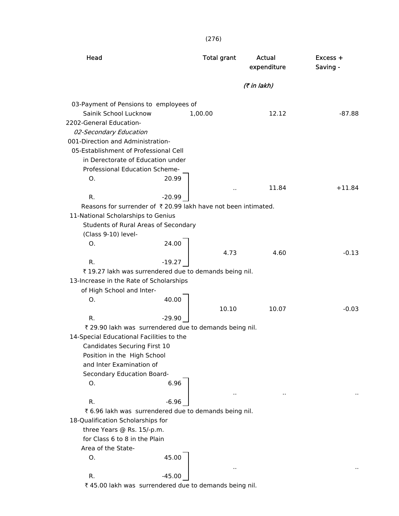(276)

| Head                                                                       | <b>Total grant</b>   | Actual<br>expenditure | Excess +<br>Saving - |
|----------------------------------------------------------------------------|----------------------|-----------------------|----------------------|
|                                                                            |                      | (₹ in lakh)           |                      |
| 03-Payment of Pensions to employees of                                     |                      |                       |                      |
| Sainik School Lucknow                                                      | 1,00.00              | 12.12                 | $-87.88$             |
| 2202-General Education-                                                    |                      |                       |                      |
| 02-Secondary Education                                                     |                      |                       |                      |
| 001-Direction and Administration-<br>05-Establishment of Professional Cell |                      |                       |                      |
| in Derectorate of Education under                                          |                      |                       |                      |
| Professional Education Scheme-                                             |                      |                       |                      |
| 20.99<br>Ο.                                                                |                      |                       |                      |
|                                                                            |                      | 11.84                 | $+11.84$             |
| R.<br>$-20.99$                                                             | $\ddot{\phantom{0}}$ |                       |                      |
| Reasons for surrender of ₹20.99 lakh have not been intimated.              |                      |                       |                      |
| 11-National Scholarships to Genius                                         |                      |                       |                      |
| Students of Rural Areas of Secondary                                       |                      |                       |                      |
| (Class 9-10) level-                                                        |                      |                       |                      |
| 24.00<br>O.                                                                |                      |                       |                      |
|                                                                            | 4.73                 | 4.60                  | $-0.13$              |
| $-19.27$<br>R.                                                             |                      |                       |                      |
| ₹ 19.27 lakh was surrendered due to demands being nil.                     |                      |                       |                      |
| 13-Increase in the Rate of Scholarships                                    |                      |                       |                      |
| of High School and Inter-                                                  |                      |                       |                      |
| 40.00<br>Ο.                                                                |                      |                       |                      |
|                                                                            | 10.10                | 10.07                 | $-0.03$              |
| R.<br>$-29.90$                                                             |                      |                       |                      |
| ₹ 29.90 lakh was surrendered due to demands being nil.                     |                      |                       |                      |
| 14-Special Educational Facilities to the                                   |                      |                       |                      |
| Candidates Securing First 10                                               |                      |                       |                      |
| Position in the High School                                                |                      |                       |                      |
| and Inter Examination of                                                   |                      |                       |                      |
| Secondary Education Board-                                                 |                      |                       |                      |
| 6.96<br>О.                                                                 |                      |                       |                      |
|                                                                            |                      |                       |                      |
| R.<br>$-6.96$                                                              |                      |                       |                      |
| ₹ 6.96 lakh was surrendered due to demands being nil.                      |                      |                       |                      |
| 18-Qualification Scholarships for                                          |                      |                       |                      |
| three Years @ Rs. 15/-p.m.                                                 |                      |                       |                      |
| for Class 6 to 8 in the Plain                                              |                      |                       |                      |
| Area of the State-                                                         |                      |                       |                      |
| 45.00<br>Ο.                                                                |                      |                       |                      |
|                                                                            |                      |                       |                      |
| $-45.00$<br>R.                                                             |                      |                       |                      |
| ₹45.00 lakh was surrendered due to demands being nil.                      |                      |                       |                      |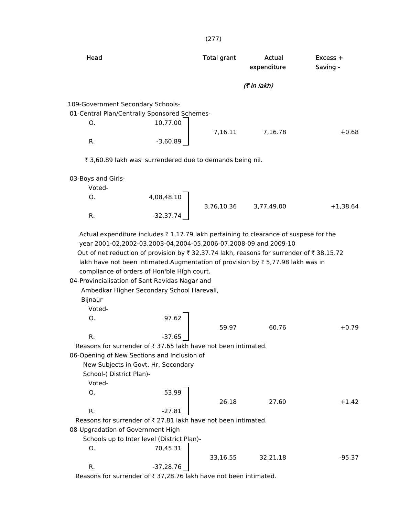| Head                                    |                                                                                                                                                                                                                                                                                                 | <b>Total grant</b> | Actual<br>expenditure | Excess +<br>Saving - |
|-----------------------------------------|-------------------------------------------------------------------------------------------------------------------------------------------------------------------------------------------------------------------------------------------------------------------------------------------------|--------------------|-----------------------|----------------------|
|                                         |                                                                                                                                                                                                                                                                                                 |                    | (7 in lakh)           |                      |
| 109-Government Secondary Schools-       |                                                                                                                                                                                                                                                                                                 |                    |                       |                      |
|                                         | 01-Central Plan/Centrally Sponsored Schemes-                                                                                                                                                                                                                                                    |                    |                       |                      |
| О.                                      | 10,77.00                                                                                                                                                                                                                                                                                        |                    |                       |                      |
|                                         |                                                                                                                                                                                                                                                                                                 | 7,16.11            | 7,16.78               | $+0.68$              |
| R.                                      | $-3,60.89$                                                                                                                                                                                                                                                                                      |                    |                       |                      |
|                                         | ₹ 3,60.89 lakh was surrendered due to demands being nil.                                                                                                                                                                                                                                        |                    |                       |                      |
| 03-Boys and Girls-                      |                                                                                                                                                                                                                                                                                                 |                    |                       |                      |
| Voted-                                  |                                                                                                                                                                                                                                                                                                 |                    |                       |                      |
| Ο.                                      | 4,08,48.10                                                                                                                                                                                                                                                                                      |                    |                       |                      |
|                                         |                                                                                                                                                                                                                                                                                                 |                    | 3,76,10.36 3,77,49.00 | $+1,38.64$           |
| R.                                      | $-32,37.74$                                                                                                                                                                                                                                                                                     |                    |                       |                      |
|                                         | year 2001-02,2002-03,2003-04,2004-05,2006-07,2008-09 and 2009-10<br>Out of net reduction of provision by ₹ 32,37.74 lakh, reasons for surrender of ₹ 38,15.72<br>lakh have not been intimated. Augmentation of provision by ₹5,77.98 lakh was in<br>compliance of orders of Hon'ble High court. |                    |                       |                      |
| <b>Bijnaur</b>                          | 04-Provincialisation of Sant Ravidas Nagar and<br>Ambedkar Higher Secondary School Harevali,                                                                                                                                                                                                    |                    |                       |                      |
| Voted-                                  |                                                                                                                                                                                                                                                                                                 |                    |                       |                      |
| Ο.                                      | 97.62                                                                                                                                                                                                                                                                                           |                    |                       |                      |
|                                         |                                                                                                                                                                                                                                                                                                 | 59.97              | 60.76                 | $+0.79$              |
| R.                                      | -37.65                                                                                                                                                                                                                                                                                          |                    |                       |                      |
|                                         | Reasons for surrender of ₹37.65 lakh have not been intimated.                                                                                                                                                                                                                                   |                    |                       |                      |
|                                         | 06-Opening of New Sections and Inclusion of                                                                                                                                                                                                                                                     |                    |                       |                      |
|                                         | New Subjects in Govt. Hr. Secondary                                                                                                                                                                                                                                                             |                    |                       |                      |
| School-(District Plan)-                 |                                                                                                                                                                                                                                                                                                 |                    |                       |                      |
| Voted-                                  |                                                                                                                                                                                                                                                                                                 |                    |                       |                      |
| O.                                      | 53.99                                                                                                                                                                                                                                                                                           |                    |                       |                      |
|                                         |                                                                                                                                                                                                                                                                                                 | 26.18              | 27.60                 |                      |
| R.                                      | $-27.81$                                                                                                                                                                                                                                                                                        |                    |                       |                      |
|                                         | Reasons for surrender of ₹27.81 lakh have not been intimated.                                                                                                                                                                                                                                   |                    |                       |                      |
|                                         |                                                                                                                                                                                                                                                                                                 |                    |                       |                      |
|                                         | Schools up to Inter level (District Plan)-                                                                                                                                                                                                                                                      |                    |                       |                      |
| 08-Upgradation of Government High<br>О. | 70,45.31                                                                                                                                                                                                                                                                                        |                    |                       | $+1.42$              |
| R.                                      | $-37,28.76$                                                                                                                                                                                                                                                                                     | 33,16.55           | 32,21.18              | -95.37               |

(277)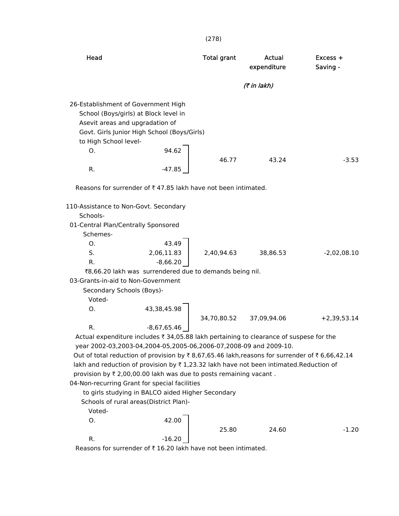| Head                                                                                                                                                                                                |                                                                                                                                                                                                                                                                                                                                                                                                                                                                                                                                                                                             | <b>Total grant</b> | Actual<br>expenditure | $Excess +$<br>Saving - |
|-----------------------------------------------------------------------------------------------------------------------------------------------------------------------------------------------------|---------------------------------------------------------------------------------------------------------------------------------------------------------------------------------------------------------------------------------------------------------------------------------------------------------------------------------------------------------------------------------------------------------------------------------------------------------------------------------------------------------------------------------------------------------------------------------------------|--------------------|-----------------------|------------------------|
|                                                                                                                                                                                                     |                                                                                                                                                                                                                                                                                                                                                                                                                                                                                                                                                                                             |                    | (₹ in lakh)           |                        |
| 26-Establishment of Government High<br>Asevit areas and upgradation of<br>to High School level-<br>O.                                                                                               | School (Boys/girls) at Block level in<br>Govt. Girls Junior High School (Boys/Girls)<br>94.62                                                                                                                                                                                                                                                                                                                                                                                                                                                                                               |                    |                       |                        |
| R.                                                                                                                                                                                                  | $-47.85$                                                                                                                                                                                                                                                                                                                                                                                                                                                                                                                                                                                    | 46.77              | 43.24                 | $-3.53$                |
|                                                                                                                                                                                                     | Reasons for surrender of ₹47.85 lakh have not been intimated.                                                                                                                                                                                                                                                                                                                                                                                                                                                                                                                               |                    |                       |                        |
| 110-Assistance to Non-Govt. Secondary<br>Schools-<br>01-Central Plan/Centrally Sponsored<br>Schemes-<br>О.<br>S.<br>R.<br>03-Grants-in-aid to Non-Government<br>Secondary Schools (Boys)-<br>Voted- | 43.49<br>2,06,11.83<br>$-8,66.20$<br>₹8,66.20 lakh was surrendered due to demands being nil.                                                                                                                                                                                                                                                                                                                                                                                                                                                                                                | 2,40,94.63         | 38,86.53              | $-2,02,08.10$          |
| O.                                                                                                                                                                                                  | 43,38,45.98                                                                                                                                                                                                                                                                                                                                                                                                                                                                                                                                                                                 | 34,70,80.52        | 37,09,94.06           | $+2,39,53.14$          |
| R.<br>Voted-                                                                                                                                                                                        | $-8,67,65.46$<br>Actual expenditure includes ₹ 34,05.88 lakh pertaining to clearance of suspese for the<br>year 2002-03,2003-04,2004-05,2005-06,2006-07,2008-09 and 2009-10.<br>Out of total reduction of provision by ₹8,67,65.46 lakh, reasons for surrender of ₹6,66,42.14<br>lakh and reduction of provision by ₹1,23.32 lakh have not been intimated.Reduction of<br>provision by ₹ 2,00,00.00 lakh was due to posts remaining vacant.<br>04-Non-recurring Grant for special facilities<br>to girls studying in BALCO aided Higher Secondary<br>Schools of rural areas(District Plan)- |                    |                       |                        |
| О.                                                                                                                                                                                                  | 42.00                                                                                                                                                                                                                                                                                                                                                                                                                                                                                                                                                                                       | 25.80              | 24.60                 | $-1.20$                |
| R.                                                                                                                                                                                                  | $-16.20$                                                                                                                                                                                                                                                                                                                                                                                                                                                                                                                                                                                    |                    |                       |                        |
|                                                                                                                                                                                                     | Reasons for surrender of ₹16.20 lakh have not been intimated.                                                                                                                                                                                                                                                                                                                                                                                                                                                                                                                               |                    |                       |                        |

(278)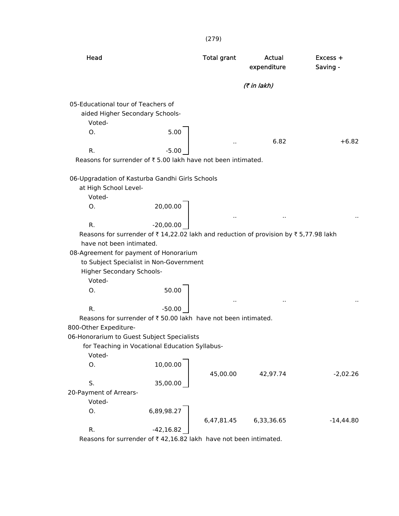| Head                                                                                                                                                                           | <b>Total grant</b>   | Actual<br>expenditure | Excess +<br>Saving - |
|--------------------------------------------------------------------------------------------------------------------------------------------------------------------------------|----------------------|-----------------------|----------------------|
|                                                                                                                                                                                |                      | (7 in lakh)           |                      |
| 05-Educational tour of Teachers of<br>aided Higher Secondary Schools-<br>Voted-<br>5.00<br>O.<br>$-5.00$<br>R.<br>Reasons for surrender of ₹5.00 lakh have not been intimated. |                      | 6.82                  | $+6.82$              |
| 06-Upgradation of Kasturba Gandhi Girls Schools<br>at High School Level-                                                                                                       |                      |                       |                      |
| Voted-<br>20,00.00<br>O.                                                                                                                                                       |                      |                       |                      |
| $-20,00.00$<br>R.<br>Reasons for surrender of ₹14,22.02 lakh and reduction of provision by ₹5,77.98 lakh<br>have not been intimated.                                           |                      |                       |                      |
| 08-Agreement for payment of Honorarium<br>to Subject Specialist in Non-Government<br>Higher Secondary Schools-<br>Voted-                                                       |                      |                       |                      |
| 50.00<br>0.                                                                                                                                                                    | $\ddot{\phantom{a}}$ | $\ddot{\phantom{a}}$  |                      |
| $-50.00$<br>R.<br>Reasons for surrender of ₹50.00 lakh have not been intimated.                                                                                                |                      |                       |                      |
| 800-Other Expediture-                                                                                                                                                          |                      |                       |                      |
| 06-Honorarium to Guest Subject Specialists<br>for Teaching in Vocational Education Syllabus-                                                                                   |                      |                       |                      |
| Voted-<br>10,00.00<br>O.                                                                                                                                                       | 45,00.00             | 42,97.74              | $-2,02.26$           |
| 35,00.00<br>S.                                                                                                                                                                 |                      |                       |                      |
| 20-Payment of Arrears-<br>Voted-                                                                                                                                               |                      |                       |                      |
| 6,89,98.27<br>О.                                                                                                                                                               | 6,47,81.45           | 6,33,36.65            | $-14,44.80$          |
| $-42,16.82$<br>R.<br>Reasons for surrender of $\bar{\tau}$ 42.16.82 lakh have not been intimated.                                                                              |                      |                       |                      |

Reasons for surrender of  $\bar{\tau}$  42,16.82 lakh have not been intimated.

(279)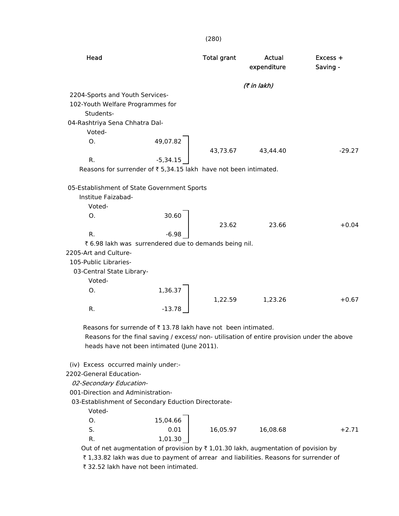|                                                                                                                                                                                                           |                                                       | (280)              |                       |                        |
|-----------------------------------------------------------------------------------------------------------------------------------------------------------------------------------------------------------|-------------------------------------------------------|--------------------|-----------------------|------------------------|
| Head                                                                                                                                                                                                      |                                                       | <b>Total grant</b> | Actual<br>expenditure | $Excess +$<br>Saving - |
|                                                                                                                                                                                                           |                                                       |                    | (7 in lakh)           |                        |
| 2204-Sports and Youth Services-<br>102-Youth Welfare Programmes for<br>Students-<br>04-Rashtriya Sena Chhatra Dal-                                                                                        |                                                       |                    |                       |                        |
| Voted-                                                                                                                                                                                                    |                                                       |                    |                       |                        |
| Ο.                                                                                                                                                                                                        | 49,07.82                                              | 43,73.67           | 43,44.40              | $-29.27$               |
| R.                                                                                                                                                                                                        | $-5,34.15$                                            |                    |                       |                        |
| Reasons for surrender of ₹5,34.15 lakh have not been intimated.                                                                                                                                           |                                                       |                    |                       |                        |
| 05-Establishment of State Government Sports<br>Institue Faizabad-<br>Voted-                                                                                                                               |                                                       |                    |                       |                        |
| O.                                                                                                                                                                                                        | 30.60                                                 |                    |                       |                        |
|                                                                                                                                                                                                           |                                                       | 23.62              | 23.66                 | $+0.04$                |
| R.                                                                                                                                                                                                        | $-6.98$                                               |                    |                       |                        |
| 2205-Art and Culture-                                                                                                                                                                                     | ₹ 6.98 lakh was surrendered due to demands being nil. |                    |                       |                        |
| 105-Public Libraries-                                                                                                                                                                                     |                                                       |                    |                       |                        |
| 03-Central State Library-<br>Voted-                                                                                                                                                                       |                                                       |                    |                       |                        |
| O <sub>1</sub>                                                                                                                                                                                            | 1,36.37                                               |                    |                       |                        |
|                                                                                                                                                                                                           |                                                       | 1,22.59            | 1,23.26               | $+0.67$                |
| R.                                                                                                                                                                                                        | $-13.78$                                              |                    |                       |                        |
| Reasons for surrende of ₹13.78 lakh have not been intimated.<br>Reasons for the final saving / excess/ non- utilisation of entire provision under the above<br>heads have not been intimated (June 2011). |                                                       |                    |                       |                        |

(iv) Excess occurred mainly under:-

2202-General Education-

02-Secondary Education-

001-Direction and Administration-

03-Establishment of Secondary Eduction Directorate-

Voted-

| J.       | 15,04.66 |          |          |         |
|----------|----------|----------|----------|---------|
| <u>.</u> | 0.01     | 16,05.97 | 16,08.68 | $+2.71$ |
| ι٨.      | 1,01.30  |          |          |         |

Out of net augmentation of provision by  $\bar{\tau}$  1,01.30 lakh, augmentation of povision by ₹ 1,33.82 lakh was due to payment of arrear and liabilities. Reasons for surrender of

₹ 32.52 lakh have not been intimated.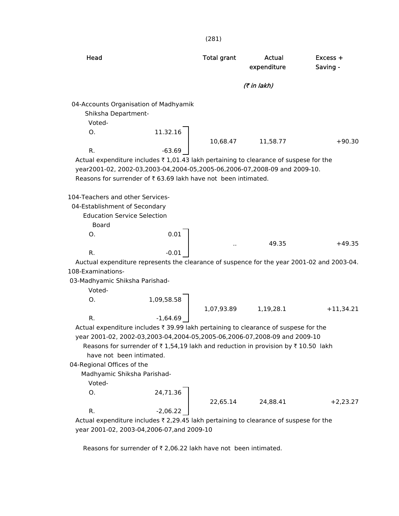| (7 in lakh)<br>04-Accounts Organisation of Madhyamik<br>Shiksha Department-<br>Voted-<br>11.32.16<br>Ο.<br>10,68.47<br>11,58.77<br>$+90.30$<br>$-63.69$<br>R.<br>Actual expenditure includes $\overline{\tau}$ 1,01.43 lakh pertaining to clearance of suspese for the<br>year2001-02, 2002-03,2003-04,2004-05,2005-06,2006-07,2008-09 and 2009-10.<br>Reasons for surrender of ₹63.69 lakh have not been intimated.<br>104-Teachers and other Services-<br>04-Establishment of Secondary<br><b>Education Service Selection</b><br>Board<br>0.01<br>O.<br>49.35<br>$+49.35$<br>$-0.01$<br>R.<br>Auctual expenditure represents the clearance of suspence for the year 2001-02 and 2003-04.<br>108-Examinations-<br>03-Madhyamic Shiksha Parishad-<br>Voted-<br>1,09,58.58<br>О.<br>1,07,93.89<br>1,19,28.1<br>$+11,34.21$<br>$-1,64.69$<br>R.<br>Actual expenditure includes ₹ 39.99 lakh pertaining to clearance of suspese for the<br>year 2001-02, 2002-03,2003-04,2004-05,2005-06,2006-07,2008-09 and 2009-10<br>Reasons for surrender of $\overline{\tau}$ 1,54,19 lakh and reduction in provision by $\overline{\tau}$ 10.50 lakh<br>have not been intimated.<br>04-Regional Offices of the<br>Madhyamic Shiksha Parishad-<br>Voted-<br>24,71.36<br>О.<br>22,65.14<br>24,88.41<br>$+2,23.27$ | Head | <b>Total grant</b> | Actual<br>expenditure | Excess +<br>Saving - |
|----------------------------------------------------------------------------------------------------------------------------------------------------------------------------------------------------------------------------------------------------------------------------------------------------------------------------------------------------------------------------------------------------------------------------------------------------------------------------------------------------------------------------------------------------------------------------------------------------------------------------------------------------------------------------------------------------------------------------------------------------------------------------------------------------------------------------------------------------------------------------------------------------------------------------------------------------------------------------------------------------------------------------------------------------------------------------------------------------------------------------------------------------------------------------------------------------------------------------------------------------------------------------------------------------|------|--------------------|-----------------------|----------------------|
|                                                                                                                                                                                                                                                                                                                                                                                                                                                                                                                                                                                                                                                                                                                                                                                                                                                                                                                                                                                                                                                                                                                                                                                                                                                                                                    |      |                    |                       |                      |
|                                                                                                                                                                                                                                                                                                                                                                                                                                                                                                                                                                                                                                                                                                                                                                                                                                                                                                                                                                                                                                                                                                                                                                                                                                                                                                    |      |                    |                       |                      |
|                                                                                                                                                                                                                                                                                                                                                                                                                                                                                                                                                                                                                                                                                                                                                                                                                                                                                                                                                                                                                                                                                                                                                                                                                                                                                                    |      |                    |                       |                      |
|                                                                                                                                                                                                                                                                                                                                                                                                                                                                                                                                                                                                                                                                                                                                                                                                                                                                                                                                                                                                                                                                                                                                                                                                                                                                                                    |      |                    |                       |                      |
|                                                                                                                                                                                                                                                                                                                                                                                                                                                                                                                                                                                                                                                                                                                                                                                                                                                                                                                                                                                                                                                                                                                                                                                                                                                                                                    |      |                    |                       |                      |
|                                                                                                                                                                                                                                                                                                                                                                                                                                                                                                                                                                                                                                                                                                                                                                                                                                                                                                                                                                                                                                                                                                                                                                                                                                                                                                    |      |                    |                       |                      |
|                                                                                                                                                                                                                                                                                                                                                                                                                                                                                                                                                                                                                                                                                                                                                                                                                                                                                                                                                                                                                                                                                                                                                                                                                                                                                                    |      |                    |                       |                      |
|                                                                                                                                                                                                                                                                                                                                                                                                                                                                                                                                                                                                                                                                                                                                                                                                                                                                                                                                                                                                                                                                                                                                                                                                                                                                                                    |      |                    |                       |                      |
|                                                                                                                                                                                                                                                                                                                                                                                                                                                                                                                                                                                                                                                                                                                                                                                                                                                                                                                                                                                                                                                                                                                                                                                                                                                                                                    |      |                    |                       |                      |
|                                                                                                                                                                                                                                                                                                                                                                                                                                                                                                                                                                                                                                                                                                                                                                                                                                                                                                                                                                                                                                                                                                                                                                                                                                                                                                    |      |                    |                       |                      |
| R.<br>$-2,06.22$<br>Actual expenditure includes ₹ 2,29.45 lakh pertaining to clearance of suspese for the                                                                                                                                                                                                                                                                                                                                                                                                                                                                                                                                                                                                                                                                                                                                                                                                                                                                                                                                                                                                                                                                                                                                                                                          |      |                    |                       |                      |

(281)

year 2001-02, 2003-04,2006-07,and 2009-10

Reasons for surrender of  $\bar{\tau}$  2,06.22 lakh have not been intimated.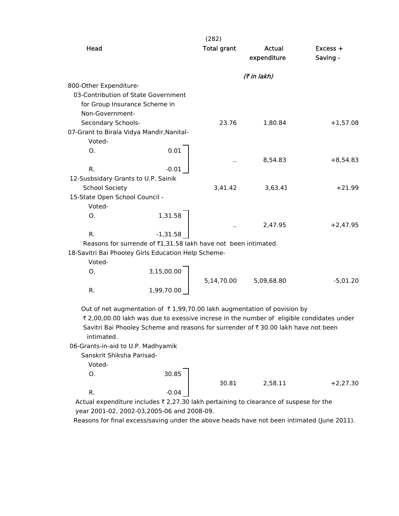|                                                                                       |                                                                | (282)              |                                                                                                                                                                     |                        |
|---------------------------------------------------------------------------------------|----------------------------------------------------------------|--------------------|---------------------------------------------------------------------------------------------------------------------------------------------------------------------|------------------------|
| Head                                                                                  |                                                                | <b>Total grant</b> | Actual<br>expenditure                                                                                                                                               | $Excess +$<br>Saving - |
|                                                                                       |                                                                |                    | (7 in lakh)                                                                                                                                                         |                        |
| 800-Other Expenditure-                                                                |                                                                |                    |                                                                                                                                                                     |                        |
| 03-Contribution of State Government                                                   |                                                                |                    |                                                                                                                                                                     |                        |
| for Group Insurance Scheme in                                                         |                                                                |                    |                                                                                                                                                                     |                        |
| Non-Government-                                                                       |                                                                |                    |                                                                                                                                                                     |                        |
| Secondary Schools-                                                                    |                                                                | 23.76              | 1,80.84                                                                                                                                                             | $+1,57.08$             |
| 07-Grant to Birala Vidya Mandir, Nanital-                                             |                                                                |                    |                                                                                                                                                                     |                        |
| Voted-                                                                                |                                                                |                    |                                                                                                                                                                     |                        |
| 0.                                                                                    | 0.01                                                           |                    |                                                                                                                                                                     |                        |
| R.                                                                                    | $-0.01$                                                        |                    | 8,54.83                                                                                                                                                             | $+8,54.83$             |
| 12-Susbsidary Grants to U.P. Sainik                                                   |                                                                |                    |                                                                                                                                                                     |                        |
| <b>School Society</b>                                                                 |                                                                | 3,41.42            | 3,63.41                                                                                                                                                             | $+21.99$               |
| 15-State Open School Council -                                                        |                                                                |                    |                                                                                                                                                                     |                        |
| Voted-                                                                                |                                                                |                    |                                                                                                                                                                     |                        |
| O.                                                                                    | 1,31.58                                                        |                    |                                                                                                                                                                     |                        |
|                                                                                       |                                                                |                    | 2,47.95                                                                                                                                                             | $+2,47.95$             |
| R.                                                                                    | $-1,31.58$                                                     |                    |                                                                                                                                                                     |                        |
|                                                                                       | Reasons for surrende of ₹1,31.58 lakh have not been intimated. |                    |                                                                                                                                                                     |                        |
| 18-Savitri Bai Phooley Girls Education Help Scheme-                                   |                                                                |                    |                                                                                                                                                                     |                        |
| Voted-                                                                                |                                                                |                    |                                                                                                                                                                     |                        |
| 0.                                                                                    | 3,15,00.00                                                     |                    |                                                                                                                                                                     |                        |
|                                                                                       |                                                                | 5,14,70.00         | 5,09,68.80                                                                                                                                                          | $-5,01.20$             |
| R.                                                                                    | 1,99,70.00                                                     |                    |                                                                                                                                                                     |                        |
|                                                                                       |                                                                |                    |                                                                                                                                                                     |                        |
|                                                                                       |                                                                |                    | Out of net augmentation of ₹1,99,70.00 lakh augmentation of povision by<br>₹ 2,00,00.00 lakh was due to exessive increse in the number of eligible condidates under |                        |
|                                                                                       |                                                                |                    | Savitri Bai Phooley Scheme and reasons for surrender of ₹ 30.00 lakh have not been                                                                                  |                        |
| intimated.                                                                            |                                                                |                    |                                                                                                                                                                     |                        |
| 06-Grants-in-aid to U.P. Madhyamik                                                    |                                                                |                    |                                                                                                                                                                     |                        |
| Sanskrit Shiksha Parisad-                                                             |                                                                |                    |                                                                                                                                                                     |                        |
| Voted-                                                                                |                                                                |                    |                                                                                                                                                                     |                        |
| О.                                                                                    | 30.85                                                          |                    |                                                                                                                                                                     |                        |
|                                                                                       |                                                                | 30.81              | 2,58.11                                                                                                                                                             | $+2,27.30$             |
| R.                                                                                    | $-0.04$                                                        |                    |                                                                                                                                                                     |                        |
| Actual expenditure includes ₹ 2,27.30 lakh pertaining to clearance of suspese for the |                                                                |                    |                                                                                                                                                                     |                        |
| year 2001-02, 2002-03, 2005-06 and 2008-09.                                           |                                                                |                    |                                                                                                                                                                     |                        |

Reasons for final excess/saving under the above heads have not been intimated (June 2011).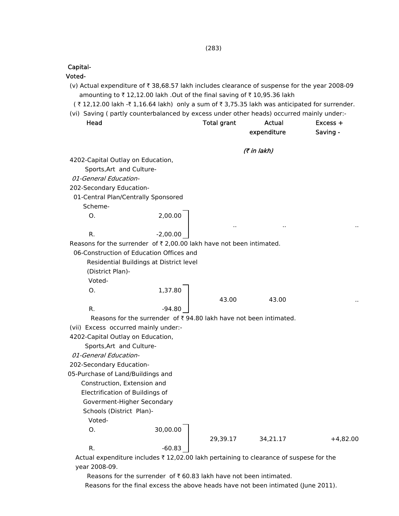(283)

Capital-

Voted-

- (v) Actual expenditure of  $\bar{\tau}$  38,68.57 lakh includes clearance of suspense for the year 2008-09 amounting to  $\bar{\tau}$  12,12.00 lakh .Out of the final saving of  $\bar{\tau}$  10,95.36 lakh
- $($  ₹ 12,12.00 lakh -₹ 1,16.64 lakh) only a sum of ₹ 3,75.35 lakh was anticipated for surrender.
- (vi) Saving ( partly counterbalanced by excess under other heads) occurred mainly under:- Head Total grant Actual Excess +

| Head                                 |                                                                     | <b>Total grant</b> | <b>Actual</b> | Excess +   |
|--------------------------------------|---------------------------------------------------------------------|--------------------|---------------|------------|
|                                      |                                                                     |                    | expenditure   | Saving -   |
|                                      |                                                                     |                    | (7 in lakh)   |            |
| 4202-Capital Outlay on Education,    |                                                                     |                    |               |            |
| Sports, Art and Culture-             |                                                                     |                    |               |            |
| 01-General Education-                |                                                                     |                    |               |            |
| 202-Secondary Education-             |                                                                     |                    |               |            |
| 01-Central Plan/Centrally Sponsored  |                                                                     |                    |               |            |
| Scheme-                              |                                                                     |                    |               |            |
| 0.                                   | 2,00.00                                                             |                    |               |            |
|                                      |                                                                     |                    |               |            |
| R.                                   | $-2,00.00$                                                          |                    |               |            |
|                                      | Reasons for the surrender of ₹2,00.00 lakh have not been intimated. |                    |               |            |
|                                      | 06-Construction of Education Offices and                            |                    |               |            |
|                                      | Residential Buildings at District level                             |                    |               |            |
| (District Plan)-                     |                                                                     |                    |               |            |
| Voted-                               |                                                                     |                    |               |            |
| О.                                   | 1,37.80                                                             |                    |               |            |
|                                      |                                                                     | 43.00              | 43.00         |            |
| R.                                   | $-94.80$                                                            |                    |               |            |
|                                      | Reasons for the surrender of ₹94.80 lakh have not been intimated.   |                    |               |            |
| (vii) Excess occurred mainly under:- |                                                                     |                    |               |            |
| 4202-Capital Outlay on Education,    |                                                                     |                    |               |            |
| Sports, Art and Culture-             |                                                                     |                    |               |            |
| 01-General Education-                |                                                                     |                    |               |            |
| 202-Secondary Education-             |                                                                     |                    |               |            |
| 05-Purchase of Land/Buildings and    |                                                                     |                    |               |            |
| Construction, Extension and          |                                                                     |                    |               |            |
| Electrification of Buildings of      |                                                                     |                    |               |            |
| Goverment-Higher Secondary           |                                                                     |                    |               |            |
| Schools (District Plan)-             |                                                                     |                    |               |            |
| Voted-                               |                                                                     |                    |               |            |
| O.                                   | 30,00.00                                                            |                    |               |            |
|                                      |                                                                     | 29,39.17           | 34,21.17      | $+4,82.00$ |
| R.                                   | $-60.83$                                                            |                    |               |            |

Actual expenditure includes  $\bar{\tau}$  12,02.00 lakh pertaining to clearance of suspese for the year 2008-09.

Reasons for the surrender of  $\bar{\tau}$  60.83 lakh have not been intimated.

Reasons for the final excess the above heads have not been intimated (June 2011).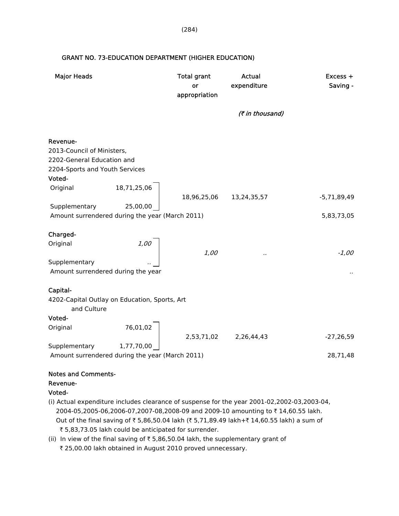| <b>Major Heads</b>                                                                                     |                                                             | <b>Total grant</b><br>or<br>appropriation | <b>Actual</b><br>expenditure | Excess +<br>Saving - |
|--------------------------------------------------------------------------------------------------------|-------------------------------------------------------------|-------------------------------------------|------------------------------|----------------------|
|                                                                                                        |                                                             |                                           | (₹ in thousand)              |                      |
| Revenue-<br>2013-Council of Ministers,<br>2202-General Education and<br>2204-Sports and Youth Services |                                                             |                                           |                              |                      |
| Voted-                                                                                                 |                                                             |                                           |                              |                      |
| Original                                                                                               | 18,71,25,06                                                 |                                           | 18,96,25,06 13,24,35,57      | $-5,71,89,49$        |
| Supplementary                                                                                          | 25,00,00<br>Amount surrendered during the year (March 2011) |                                           |                              | 5,83,73,05           |
|                                                                                                        |                                                             |                                           |                              |                      |
| Charged-<br>Original                                                                                   | 1,00                                                        | 1,00                                      | $\cdot$                      | $-1,00$              |
| Supplementary                                                                                          | Amount surrendered during the year                          |                                           |                              |                      |
| Capital-                                                                                               |                                                             |                                           |                              |                      |
| and Culture                                                                                            | 4202-Capital Outlay on Education, Sports, Art               |                                           |                              |                      |
| Voted-                                                                                                 |                                                             |                                           |                              |                      |
| Original                                                                                               | 76,01,02                                                    |                                           | 2,53,71,02 2,26,44,43        | $-27,26,59$          |
| Supplementary                                                                                          | 1,77,70,00                                                  |                                           |                              |                      |
|                                                                                                        | Amount surrendered during the year (March 2011)             |                                           |                              | 28,71,48             |
| Notes and Comments-                                                                                    |                                                             |                                           |                              |                      |

### GRANT NO. 73-EDUCATION DEPARTMENT (HIGHER EDUCATION)

#### Notes and Comments-

#### Revenue-

#### Voted-

- (i) Actual expenditure includes clearance of suspense for the year 2001-02,2002-03,2003-04, 2004-05,2005-06,2006-07,2007-08,2008-09 and 2009-10 amounting to ₹14,60.55 lakh. Out of the final saving of ₹ 5,86,50.04 lakh (₹ 5,71,89.49 lakh+₹ 14,60.55 lakh) a sum of ₹ 5,83,73.05 lakh could be anticipated for surrender.
- (ii) In view of the final saving of  $\bar{\tau}$  5,86,50.04 lakh, the supplementary grant of ₹ 25,00.00 lakh obtained in August 2010 proved unnecessary.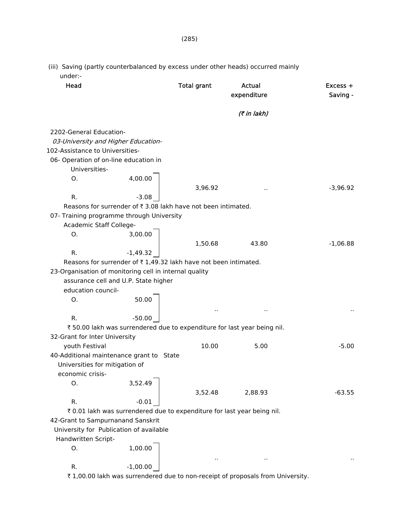| Head                                                   |                                                                 | <b>Total grant</b> | Actual<br>expenditure                                                   | $Excess +$<br>Saving - |
|--------------------------------------------------------|-----------------------------------------------------------------|--------------------|-------------------------------------------------------------------------|------------------------|
|                                                        |                                                                 |                    | (₹ in lakh)                                                             |                        |
| 2202-General Education-                                |                                                                 |                    |                                                                         |                        |
| 03-University and Higher Education-                    |                                                                 |                    |                                                                         |                        |
| 102-Assistance to Universities-                        |                                                                 |                    |                                                                         |                        |
| 06- Operation of on-line education in                  |                                                                 |                    |                                                                         |                        |
| Universities-                                          |                                                                 |                    |                                                                         |                        |
| O.                                                     | 4,00.00                                                         |                    |                                                                         |                        |
|                                                        |                                                                 | 3,96.92            | $\ddot{\phantom{1}}$ .                                                  | $-3,96.92$             |
| R.                                                     | $-3.08$                                                         |                    |                                                                         |                        |
|                                                        | Reasons for surrender of ₹3.08 lakh have not been intimated.    |                    |                                                                         |                        |
| 07- Training programme through University              |                                                                 |                    |                                                                         |                        |
| Academic Staff College-                                |                                                                 |                    |                                                                         |                        |
| O.                                                     | 3,00.00                                                         |                    |                                                                         |                        |
|                                                        |                                                                 | 1,50.68            | 43.80                                                                   | $-1,06.88$             |
| R.                                                     | $-1,49.32$                                                      |                    |                                                                         |                        |
|                                                        | Reasons for surrender of ₹1,49.32 lakh have not been intimated. |                    |                                                                         |                        |
| 23-Organisation of monitoring cell in internal quality |                                                                 |                    |                                                                         |                        |
|                                                        | assurance cell and U.P. State higher                            |                    |                                                                         |                        |
| education council-                                     |                                                                 |                    |                                                                         |                        |
| O.                                                     | 50.00                                                           |                    |                                                                         |                        |
|                                                        |                                                                 |                    | $\sim$                                                                  |                        |
| R.                                                     | $-50.00$                                                        |                    |                                                                         |                        |
|                                                        |                                                                 |                    | ₹50.00 lakh was surrendered due to expenditure for last year being nil. |                        |
| 32-Grant for Inter University                          |                                                                 |                    |                                                                         |                        |
| youth Festival                                         |                                                                 | 10.00              | 5.00                                                                    | $-5.00$                |
| 40-Additional maintenance grant to State               |                                                                 |                    |                                                                         |                        |
| Universities for mitigation of                         |                                                                 |                    |                                                                         |                        |
| economic crisis-                                       |                                                                 |                    |                                                                         |                        |
| Ο.                                                     | 3,52.49                                                         |                    |                                                                         |                        |
|                                                        |                                                                 | 3,52.48            | 2,88.93                                                                 | $-63.55$               |
| R.                                                     | $-0.01$                                                         |                    |                                                                         |                        |
|                                                        |                                                                 |                    | ₹ 0.01 lakh was surrendered due to expenditure for last year being nil. |                        |
| 42-Grant to Sampurnanand Sanskrit                      |                                                                 |                    |                                                                         |                        |
| University for Publication of available                |                                                                 |                    |                                                                         |                        |
| Handwritten Script-                                    |                                                                 |                    |                                                                         |                        |
| 0.                                                     | 1,00.00                                                         |                    |                                                                         |                        |
|                                                        |                                                                 | $\sim$             | $\ddot{\phantom{1}}$                                                    |                        |
| R.                                                     | $-1,00.00$                                                      |                    |                                                                         |                        |

₹ 1,00.00 lakh was surrendered due to non-receipt of proposals from University.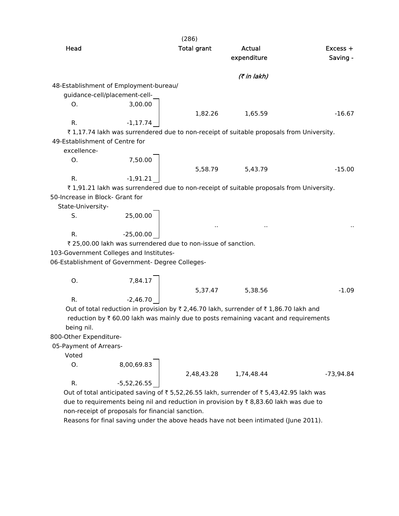|                                 |                                                               | (286)              |                                                                                         |                        |
|---------------------------------|---------------------------------------------------------------|--------------------|-----------------------------------------------------------------------------------------|------------------------|
| Head                            |                                                               | <b>Total grant</b> | <b>Actual</b><br>expenditure                                                            | $Excess +$<br>Saving - |
|                                 |                                                               |                    | (7 in lakh)                                                                             |                        |
|                                 | 48-Establishment of Employment-bureau/                        |                    |                                                                                         |                        |
|                                 | guidance-cell/placement-cell-                                 |                    |                                                                                         |                        |
| О.                              | 3,00.00                                                       |                    |                                                                                         |                        |
|                                 |                                                               | 1,82.26            | 1,65.59                                                                                 | $-16.67$               |
| R.                              | $-1, 17.74$                                                   |                    |                                                                                         |                        |
|                                 |                                                               |                    | ₹1,17.74 lakh was surrendered due to non-receipt of suitable proposals from University. |                        |
| 49-Establishment of Centre for  |                                                               |                    |                                                                                         |                        |
| excellence-                     |                                                               |                    |                                                                                         |                        |
| Ο.                              | 7,50.00                                                       |                    |                                                                                         |                        |
|                                 |                                                               | 5,58.79            | 5,43.79                                                                                 | $-15.00$               |
| R.                              | $-1,91.21$                                                    |                    |                                                                                         |                        |
|                                 |                                                               |                    | ₹1,91.21 lakh was surrendered due to non-receipt of suitable proposals from University. |                        |
| 50-Increase in Block- Grant for |                                                               |                    |                                                                                         |                        |
| State-University-               |                                                               |                    |                                                                                         |                        |
| S.                              | 25,00.00                                                      |                    |                                                                                         |                        |
|                                 |                                                               |                    |                                                                                         |                        |
| R.                              | $-25,00.00$                                                   |                    |                                                                                         |                        |
|                                 | ₹ 25,00.00 lakh was surrendered due to non-issue of sanction. |                    |                                                                                         |                        |
|                                 | 103-Government Colleges and Institutes-                       |                    |                                                                                         |                        |
|                                 | 06-Establishment of Government- Degree Colleges-              |                    |                                                                                         |                        |
|                                 |                                                               |                    |                                                                                         |                        |
| Ο.                              |                                                               |                    |                                                                                         |                        |
|                                 | 7,84.17                                                       | 5,37.47            | 5,38.56                                                                                 | $-1.09$                |
| R.                              | $-2,46.70$                                                    |                    |                                                                                         |                        |
|                                 |                                                               |                    | Out of total reduction in provision by ₹ 2,46.70 lakh, surrender of ₹ 1,86.70 lakh and  |                        |
|                                 |                                                               |                    | reduction by ₹ 60.00 lakh was mainly due to posts remaining vacant and requirements     |                        |

being nil.

800-Other Expenditure-

05-Payment of Arrears-

Voted

 $0.8,00,69.83$ R.  $-5,52,26.55$ 

2,48,43.28 1,74,48.44 -73,94.84 Out of total anticipated saving of  $\bar{\tau}$  5,52,26.55 lakh, surrender of  $\bar{\tau}$  5,43,42.95 lakh was

due to requirements being nil and reduction in provision by  $\bar{\tau}$  8,83.60 lakh was due to non-receipt of proposals for financial sanction.

Reasons for final saving under the above heads have not been intimated (June 2011).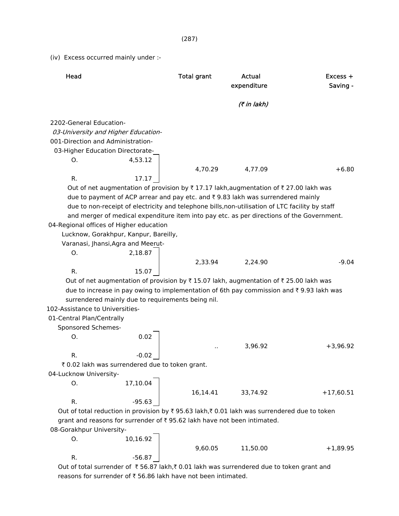(iv) Excess occurred mainly under :-

| Head                              |                                                                                                 | <b>Total grant</b> | <b>Actual</b><br>expenditure | Excess +<br>Saving - |
|-----------------------------------|-------------------------------------------------------------------------------------------------|--------------------|------------------------------|----------------------|
|                                   |                                                                                                 |                    | (7 in lakh)                  |                      |
| 2202-General Education-           |                                                                                                 |                    |                              |                      |
|                                   | 03-University and Higher Education-                                                             |                    |                              |                      |
| 001-Direction and Administration- |                                                                                                 |                    |                              |                      |
|                                   | 03-Higher Education Directorate-                                                                |                    |                              |                      |
| O.                                | 4,53.12                                                                                         |                    |                              |                      |
|                                   |                                                                                                 | 4,70.29            | 4,77.09                      | $+6.80$              |
| R.                                | 17.17                                                                                           |                    |                              |                      |
|                                   | Out of net augmentation of provision by ₹17.17 lakh, augmentation of ₹27.00 lakh was            |                    |                              |                      |
|                                   | due to payment of ACP arrear and pay etc. and ₹9.83 lakh was surrendered mainly                 |                    |                              |                      |
|                                   | due to non-receipt of electricity and telephone bills, non-utilisation of LTC facility by staff |                    |                              |                      |
|                                   | and merger of medical expenditure item into pay etc. as per directions of the Government.       |                    |                              |                      |
|                                   | 04-Regional offices of Higher education                                                         |                    |                              |                      |
|                                   | Lucknow, Gorakhpur, Kanpur, Bareilly,                                                           |                    |                              |                      |
|                                   | Varanasi, Jhansi, Agra and Meerut-                                                              |                    |                              |                      |
| O.                                | 2,18.87                                                                                         |                    |                              |                      |
|                                   |                                                                                                 | 2,33.94            | 2,24.90                      | $-9.04$              |
| R.                                | 15.07                                                                                           |                    |                              |                      |
|                                   | Out of net augmentation of provision by ₹15.07 lakh, augmentation of ₹25.00 lakh was            |                    |                              |                      |
|                                   | due to increase in pay owing to implementation of 6th pay commission and ₹9.93 lakh was         |                    |                              |                      |
|                                   | surrendered mainly due to requirements being nil.                                               |                    |                              |                      |
| 102-Assistance to Universities-   |                                                                                                 |                    |                              |                      |
| 01-Central Plan/Centrally         |                                                                                                 |                    |                              |                      |
| Sponsored Schemes-                |                                                                                                 |                    |                              |                      |
| Ο.                                | 0.02                                                                                            |                    |                              |                      |
|                                   |                                                                                                 |                    | 3,96.92                      | $+3,96.92$           |
| R.                                | $-0.02$                                                                                         |                    |                              |                      |
|                                   | ₹ 0.02 lakh was surrendered due to token grant.                                                 |                    |                              |                      |
| 04-Lucknow University-            |                                                                                                 |                    |                              |                      |
| O.                                | 17,10.04                                                                                        |                    |                              |                      |
|                                   |                                                                                                 | 16,14.41           | 33,74.92                     | $+17,60.51$          |
| R.                                | $-95.63$                                                                                        |                    |                              |                      |
|                                   | Out of total reduction in provision by ₹ 95.63 lakh, ₹ 0.01 lakh was surrendered due to token   |                    |                              |                      |
|                                   | grant and reasons for surrender of ₹95.62 lakh have not been intimated.                         |                    |                              |                      |
| 08-Gorakhpur University-          |                                                                                                 |                    |                              |                      |
| О.                                | 10,16.92                                                                                        |                    |                              |                      |
|                                   |                                                                                                 | 9,60.05            | 11,50.00                     | $+1,89.95$           |
| R.                                | $-56.87$                                                                                        |                    |                              |                      |

Out of total surrender of  $\bar{\tau}$  56.87 lakh, $\bar{\tau}$  0.01 lakh was surrendered due to token grant and reasons for surrender of  $\bar{\tau}$  56.86 lakh have not been intimated.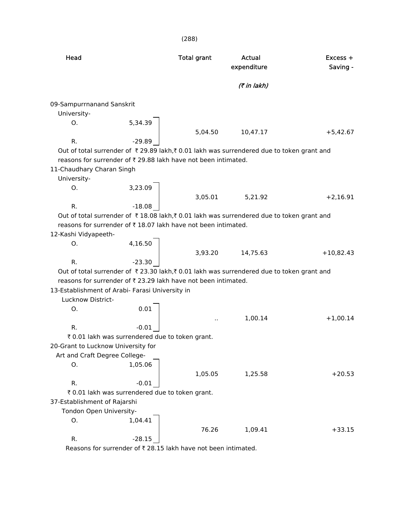(288) Head **Total grant** Actual **Actual** Excess + expenditure Saving - $($ ₹ in lakh) 09-Sampurrnanand Sanskrit University- O. 5,34.39 5,04.50 10,47.17 +5,42.67 R.  $-29.89$ Out of total surrender of  $\bar{\tau}$  29.89 lakh, $\bar{\tau}$  0.01 lakh was surrendered due to token grant and reasons for surrender of  $\bar{\tau}$  29.88 lakh have not been intimated. 11-Chaudhary Charan Singh University- O. 3,23.09 3,05.01 5,21.92 +2,16.91 R.  $-18.08$ Out of total surrender of  $\bar{\tau}$  18.08 lakh, $\bar{\tau}$  0.01 lakh was surrendered due to token grant and reasons for surrender of  $\bar{\tau}$  18.07 lakh have not been intimated. 12-Kashi Vidyapeeth- O. 4,16.50 3,93.20 14,75.63 +10,82.43 R. 23.30 Out of total surrender of  $\bar{\tau}$  23.30 lakh, $\bar{\tau}$  0.01 lakh was surrendered due to token grant and reasons for surrender of  $\bar{\tau}$  23.29 lakh have not been intimated. 13-Establishment of Arabi- Farasi University in Lucknow District- O. 0.01 .. 1,00.14 +1,00.14 R.  $-0.01$ ₹ 0.01 lakh was surrendered due to token grant. 20-Grant to Lucknow University for Art and Craft Degree College- O. 1,05.06 1,05.05 1,25.58 +20.53 R.  $-0.01$  $\bar{\tau}$  0.01 lakh was surrendered due to token grant. 37-Establishment of Rajarshi Tondon Open University- O. 1,04.41 76.26 1,09.41 +33.15 R.  $-28.15$ 

Reasons for surrender of  $\bar{\tau}$  28.15 lakh have not been intimated.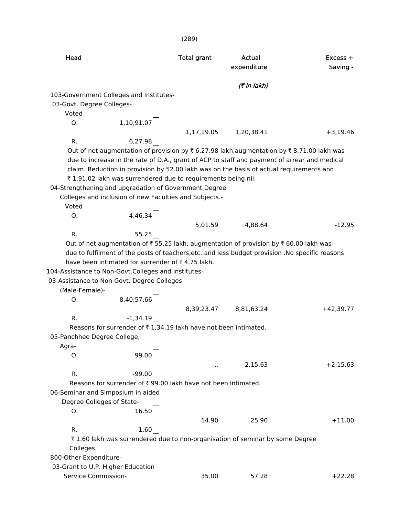| Head                        |                                                                 | <b>Total grant</b> | Actual<br>expenditure                                                                           | $Excess +$<br>Saving - |
|-----------------------------|-----------------------------------------------------------------|--------------------|-------------------------------------------------------------------------------------------------|------------------------|
|                             |                                                                 |                    | (₹ in lakh)                                                                                     |                        |
|                             | 103-Government Colleges and Institutes-                         |                    |                                                                                                 |                        |
| 03-Govt. Degree Colleges-   |                                                                 |                    |                                                                                                 |                        |
| Voted                       |                                                                 |                    |                                                                                                 |                        |
| O.                          | 1,10,91.07                                                      |                    |                                                                                                 |                        |
|                             |                                                                 |                    | 1,17,19.05 1,20,38.41                                                                           | $+3,19.46$             |
| R.                          | 6,27.98                                                         |                    |                                                                                                 |                        |
|                             |                                                                 |                    | Out of net augmentation of provision by ₹ 6,27.98 lakh,augmentation by ₹ 8,71.00 lakh was       |                        |
|                             |                                                                 |                    | due to increase in the rate of D.A., grant of ACP to staff and payment of arrear and medical    |                        |
|                             |                                                                 |                    | claim. Reduction in provision by 52.00 lakh was on the basis of actual requirements and         |                        |
|                             | ₹1,91.02 lakh was surrendered due to requirements being nil.    |                    |                                                                                                 |                        |
|                             | 04-Strengthening and upgradation of Government Degree           |                    |                                                                                                 |                        |
|                             | Colleges and inclusion of new Faculties and Subjects.-          |                    |                                                                                                 |                        |
| Voted                       |                                                                 |                    |                                                                                                 |                        |
| O.                          | 4,46.34                                                         |                    |                                                                                                 |                        |
|                             | $\frac{1}{2}$                                                   | 5,01.59            | 4,88.64                                                                                         | $-12.95$               |
| R.                          | 55.25                                                           |                    |                                                                                                 |                        |
|                             |                                                                 |                    | Out of net augmentation of ₹55.25 lakh, augmentation of provision by ₹60.00 lakh was            |                        |
|                             |                                                                 |                    | due to fulfilment of the posts of teachers, etc. and less budget provision .No specific reasons |                        |
|                             | have been intimated for surrender of ₹4.75 lakh.                |                    |                                                                                                 |                        |
|                             | 104-Assistance to Non-Govt.Colleges and Institutes-             |                    |                                                                                                 |                        |
|                             | 03-Assistance to Non-Govt. Degree Colleges                      |                    |                                                                                                 |                        |
| (Male-Female)-              |                                                                 |                    |                                                                                                 |                        |
| О.                          | 8,40,57.66                                                      |                    |                                                                                                 |                        |
|                             |                                                                 | 8,39,23.47         | 8,81,63.24                                                                                      | $+42,39.77$            |
| R.                          | $-1,34.19$                                                      |                    |                                                                                                 |                        |
|                             | Reasons for surrender of ₹1,34.19 lakh have not been intimated. |                    |                                                                                                 |                        |
| 05-Panchhee Degree College, |                                                                 |                    |                                                                                                 |                        |
| Agra-                       |                                                                 |                    |                                                                                                 |                        |
| О.                          | 99.00                                                           |                    |                                                                                                 |                        |
|                             |                                                                 |                    | 2,15.63                                                                                         | $+2.15.63$             |
| R.                          | $-99.00$                                                        |                    |                                                                                                 |                        |
|                             |                                                                 |                    |                                                                                                 |                        |

Reasons for surrender of  $\bar{x}$  99.00 lakh have not been intimated.

 $\overline{a}$ 

06-Seminar and Simposium in aided

Degree Colleges of State-

|                                                                                                                                                                                                                                                                                                                                                                                                                                        | 16.50   |       |                                     |                          |
|----------------------------------------------------------------------------------------------------------------------------------------------------------------------------------------------------------------------------------------------------------------------------------------------------------------------------------------------------------------------------------------------------------------------------------------|---------|-------|-------------------------------------|--------------------------|
|                                                                                                                                                                                                                                                                                                                                                                                                                                        |         | 14.90 | 25.90                               | $+11.00$                 |
| .                                                                                                                                                                                                                                                                                                                                                                                                                                      | $-1.60$ |       |                                     |                          |
| $\begin{array}{ccccccccccccccccc} \textbf{+} & \textbf{+} & \textbf{+} & \textbf{+} & \textbf{+} & \textbf{+} & \textbf{+} & \textbf{+} & \textbf{+} & \textbf{+} & \textbf{+} & \textbf{+} & \textbf{+} & \textbf{+} & \textbf{+} & \textbf{+} & \textbf{+} & \textbf{+} & \textbf{+} & \textbf{+} & \textbf{+} & \textbf{+} & \textbf{+} & \textbf{+} & \textbf{+} & \textbf{+} & \textbf{+} & \textbf{+} & \textbf{+} & \textbf{+}$ |         |       | the contract of the contract of the | $\overline{\phantom{0}}$ |

₹ 1.60 lakh was surrendered due to non-organisation of seminar by some Degree Colleges.

800-Other Expenditure-

03-Grant to U.P. Higher Education

| Service Commission- | 35.00 | 57.28 | $+22.28$ |
|---------------------|-------|-------|----------|
|                     |       |       |          |
|                     |       |       |          |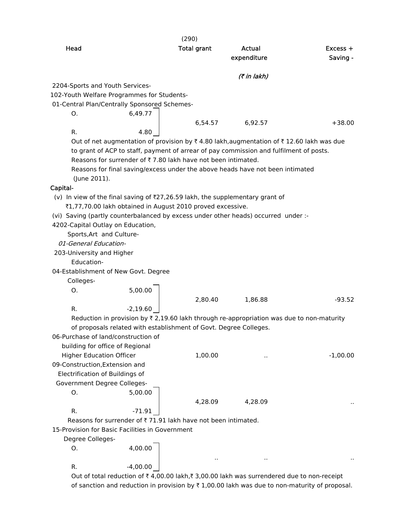|                                                                                    | (290)                                                                                                     |             |            |
|------------------------------------------------------------------------------------|-----------------------------------------------------------------------------------------------------------|-------------|------------|
| Head                                                                               | <b>Total grant</b>                                                                                        | Actual      | Excess +   |
|                                                                                    |                                                                                                           | expenditure | Saving -   |
|                                                                                    |                                                                                                           |             |            |
|                                                                                    |                                                                                                           | (7 in lakh) |            |
| 2204-Sports and Youth Services-<br>102-Youth Welfare Programmes for Students-      |                                                                                                           |             |            |
| 01-Central Plan/Centrally Sponsored Schemes-                                       |                                                                                                           |             |            |
| 6,49.77<br>O.                                                                      |                                                                                                           |             |            |
|                                                                                    | 6,54.57                                                                                                   | 6,92.57     | $+38.00$   |
| R.                                                                                 | 4.80                                                                                                      |             |            |
|                                                                                    | Out of net augmentation of provision by ₹4.80 lakh, augmentation of ₹12.60 lakh was due                   |             |            |
|                                                                                    | to grant of ACP to staff, payment of arrear of pay commission and fulfilment of posts.                    |             |            |
|                                                                                    | Reasons for surrender of ₹7.80 lakh have not been intimated.                                              |             |            |
|                                                                                    | Reasons for final saving/excess under the above heads have not been intimated                             |             |            |
| (June 2011).                                                                       |                                                                                                           |             |            |
| Capital-                                                                           |                                                                                                           |             |            |
| (v) In view of the final saving of $Z$ 7,26.59 lakh, the supplementary grant of    |                                                                                                           |             |            |
| ₹1,77,70.00 lakh obtained in August 2010 proved excessive.                         |                                                                                                           |             |            |
| (vi) Saving (partly counterbalanced by excess under other heads) occurred under :- |                                                                                                           |             |            |
| 4202-Capital Outlay on Education,                                                  |                                                                                                           |             |            |
| Sports, Art and Culture-                                                           |                                                                                                           |             |            |
| 01-General Education-                                                              |                                                                                                           |             |            |
| 203-University and Higher                                                          |                                                                                                           |             |            |
| Education-                                                                         |                                                                                                           |             |            |
| 04-Establishment of New Govt. Degree                                               |                                                                                                           |             |            |
| Colleges-                                                                          |                                                                                                           |             |            |
| 5,00.00<br>Ο.                                                                      |                                                                                                           |             |            |
|                                                                                    | 2,80.40                                                                                                   | 1,86.88     | $-93.52$   |
| $-2,19.60$<br>R.                                                                   |                                                                                                           |             |            |
|                                                                                    | Reduction in provision by $\overline{\tau}$ 2,19.60 lakh through re-appropriation was due to non-maturity |             |            |
| 06-Purchase of land/construction of                                                | of proposals related with establishment of Govt. Degree Colleges.                                         |             |            |
| building for office of Regional                                                    |                                                                                                           |             |            |
| <b>Higher Education Officer</b>                                                    | 1,00.00                                                                                                   |             | $-1,00.00$ |
| 09-Construction, Extension and                                                     |                                                                                                           |             |            |
| Electrification of Buildings of                                                    |                                                                                                           |             |            |
| Government Degree Colleges-                                                        |                                                                                                           |             |            |
| 5,00.00<br>Ο.                                                                      |                                                                                                           |             |            |
|                                                                                    | 4,28.09                                                                                                   | 4,28.09     |            |
| R.<br>$-71.91$                                                                     |                                                                                                           |             |            |
| Reasons for surrender of ₹71.91 lakh have not been intimated.                      |                                                                                                           |             |            |
| 15-Provision for Basic Facilities in Government                                    |                                                                                                           |             |            |
| Degree Colleges-                                                                   |                                                                                                           |             |            |
| 4,00.00<br>O.                                                                      |                                                                                                           |             |            |
|                                                                                    |                                                                                                           |             |            |
| $-4,00.00$<br>R.                                                                   |                                                                                                           |             |            |

Out of total reduction of  $\bar{\tau}$  4,00.00 lakh, $\bar{\tau}$  3,00.00 lakh was surrendered due to non-receipt of sanction and reduction in provision by  $\bar{\tau}$  1,00.00 lakh was due to non-maturity of proposal.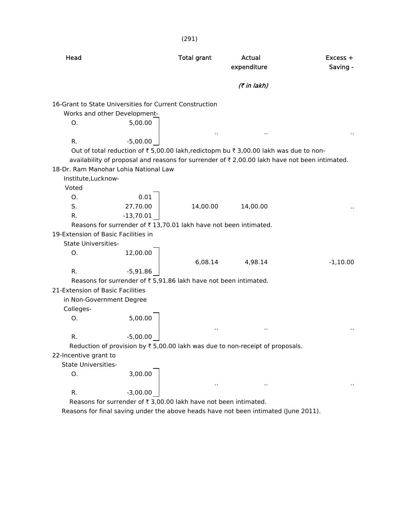| (291)                               |                                                                  |                    |                                                                                               |                        |  |
|-------------------------------------|------------------------------------------------------------------|--------------------|-----------------------------------------------------------------------------------------------|------------------------|--|
| Head                                |                                                                  | <b>Total grant</b> | Actual<br>expenditure                                                                         | $Excess +$<br>Saving - |  |
|                                     |                                                                  |                    | (₹ in lakh)                                                                                   |                        |  |
|                                     | 16-Grant to State Universities for Current Construction          |                    |                                                                                               |                        |  |
|                                     | Works and other Development-                                     |                    |                                                                                               |                        |  |
| 0.                                  | 5,00.00                                                          |                    |                                                                                               |                        |  |
| R.                                  | $-5,00.00$                                                       |                    |                                                                                               |                        |  |
|                                     |                                                                  |                    | Out of total reduction of ₹ 5,00.00 lakh, redictopm bu ₹ 3,00.00 lakh was due to non-         |                        |  |
|                                     |                                                                  |                    | availability of proposal and reasons for surrender of ₹ 2,00.00 lakh have not been intimated. |                        |  |
|                                     | 18-Dr. Ram Manohar Lohia National Law                            |                    |                                                                                               |                        |  |
| Institute, Lucknow-                 |                                                                  |                    |                                                                                               |                        |  |
| Voted                               |                                                                  |                    |                                                                                               |                        |  |
| O <sub>1</sub>                      | 0.01                                                             |                    |                                                                                               |                        |  |
| S.                                  | 27,70.00                                                         | 14,00.00           | 14,00.00                                                                                      |                        |  |
| R.                                  | $-13,70.01$                                                      |                    |                                                                                               |                        |  |
|                                     | Reasons for surrender of ₹13,70.01 lakh have not been intimated. |                    |                                                                                               |                        |  |
| 19-Extension of Basic Facilities in |                                                                  |                    |                                                                                               |                        |  |
| <b>State Universities-</b>          |                                                                  |                    |                                                                                               |                        |  |
| O.                                  | 12,00.00                                                         |                    |                                                                                               |                        |  |
|                                     |                                                                  | 6,08.14            | 4,98.14                                                                                       | $-1,10.00$             |  |
| R.                                  | $-5,91.86$                                                       |                    |                                                                                               |                        |  |
|                                     | Reasons for surrender of ₹ 5,91.86 lakh have not been intimated. |                    |                                                                                               |                        |  |
| 21-Extension of Basic Facilities    |                                                                  |                    |                                                                                               |                        |  |
| in Non-Government Degree            |                                                                  |                    |                                                                                               |                        |  |
| Colleges-                           |                                                                  |                    |                                                                                               |                        |  |
| 0.                                  | 5,00.00                                                          |                    |                                                                                               |                        |  |
|                                     |                                                                  | Ω,                 | $\cdot$ .                                                                                     | $\sim$                 |  |
| R.                                  | $-5,00.00$                                                       |                    |                                                                                               |                        |  |
|                                     |                                                                  |                    | Reduction of provision by ₹ 5,00.00 lakh was due to non-receipt of proposals.                 |                        |  |
| 22-Incentive grant to               |                                                                  |                    |                                                                                               |                        |  |
| <b>State Universities-</b>          |                                                                  |                    |                                                                                               |                        |  |
| Ο.                                  | 3,00.00                                                          |                    |                                                                                               |                        |  |
|                                     | $-3,00.00$                                                       |                    |                                                                                               |                        |  |
| R.                                  |                                                                  |                    |                                                                                               |                        |  |

Reasons for surrender of  $\bar{\tau}$  3,00.00 lakh have not been intimated.

Reasons for final saving under the above heads have not been intimated (June 2011).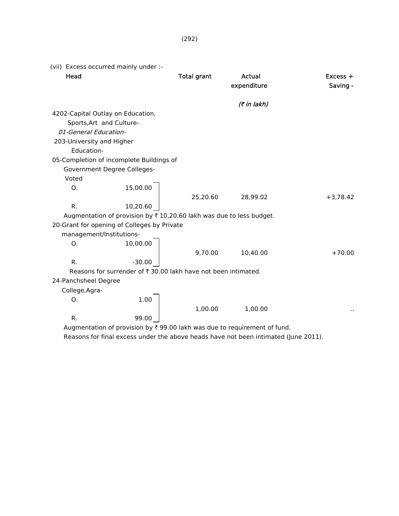| (vii) Excess occurred mainly under :- |                                                                     |                    |                                                                                                                                                                                              |                        |
|---------------------------------------|---------------------------------------------------------------------|--------------------|----------------------------------------------------------------------------------------------------------------------------------------------------------------------------------------------|------------------------|
| Head                                  |                                                                     | <b>Total grant</b> | Actual<br>expenditure                                                                                                                                                                        | $Excess +$<br>Saving - |
|                                       |                                                                     |                    | (7 in lakh)                                                                                                                                                                                  |                        |
| 4202-Capital Outlay on Education,     |                                                                     |                    |                                                                                                                                                                                              |                        |
| Sports, Art and Culture-              |                                                                     |                    |                                                                                                                                                                                              |                        |
| 01-General Education-                 |                                                                     |                    |                                                                                                                                                                                              |                        |
| 203-University and Higher             |                                                                     |                    |                                                                                                                                                                                              |                        |
| Education-                            |                                                                     |                    |                                                                                                                                                                                              |                        |
|                                       | 05-Completion of incomplete Buildings of                            |                    |                                                                                                                                                                                              |                        |
|                                       | Government Degree Colleges-                                         |                    |                                                                                                                                                                                              |                        |
| Voted                                 |                                                                     |                    |                                                                                                                                                                                              |                        |
| Ο.                                    | 15,00.00                                                            |                    |                                                                                                                                                                                              |                        |
|                                       |                                                                     | 25,20.60           | 28,99.02                                                                                                                                                                                     | $+3,78.42$             |
| R.                                    | 10,20.60                                                            |                    |                                                                                                                                                                                              |                        |
|                                       | Augmentation of provision by ₹10,20.60 lakh was due to less budget. |                    |                                                                                                                                                                                              |                        |
|                                       | 20-Grant for opening of Colleges by Private                         |                    |                                                                                                                                                                                              |                        |
| management/Institutions-              |                                                                     |                    |                                                                                                                                                                                              |                        |
| Ο.                                    | 10,00.00                                                            |                    |                                                                                                                                                                                              |                        |
|                                       |                                                                     | 9,70.00            | 10,40.00                                                                                                                                                                                     | $+70.00$               |
| R.                                    | $-30.00$                                                            |                    |                                                                                                                                                                                              |                        |
|                                       | Reasons for surrender of ₹ 30.00 lakh have not been intimated.      |                    |                                                                                                                                                                                              |                        |
| 24-Panchsheel Degree                  |                                                                     |                    |                                                                                                                                                                                              |                        |
| College, Agra-                        |                                                                     |                    |                                                                                                                                                                                              |                        |
| Ο.                                    | 1.00                                                                |                    |                                                                                                                                                                                              |                        |
|                                       |                                                                     | 1,00.00            | 1,00.00                                                                                                                                                                                      |                        |
| R.                                    | 99.00                                                               |                    |                                                                                                                                                                                              |                        |
|                                       |                                                                     |                    | Augmentation of provision by ₹ 99.00 lakh was due to requirement of fund.<br>the contract of the contract of the contract of the contract of the contract of the contract of the contract of |                        |

Reasons for final excess under the above heads have not been intimated (June 2011).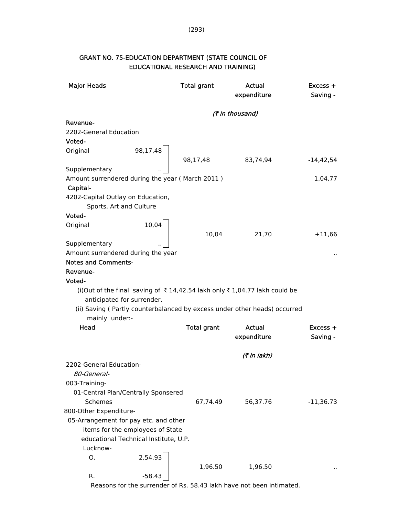| <b>Major Heads</b>                                          |                                       | <b>Total grant</b> | <b>Actual</b><br>expenditure                                               | $Excess +$<br>Saving - |
|-------------------------------------------------------------|---------------------------------------|--------------------|----------------------------------------------------------------------------|------------------------|
|                                                             |                                       | (₹ in thousand)    |                                                                            |                        |
| Revenue-                                                    |                                       |                    |                                                                            |                        |
| 2202-General Education                                      |                                       |                    |                                                                            |                        |
| Voted-                                                      |                                       |                    |                                                                            |                        |
| Original                                                    | 98,17,48                              |                    |                                                                            |                        |
|                                                             |                                       | 98,17,48           | 83,74,94                                                                   | $-14,42,54$            |
| Supplementary                                               |                                       |                    |                                                                            |                        |
| Amount surrendered during the year (March 2011)<br>Capital- |                                       |                    |                                                                            | 1,04,77                |
| 4202-Capital Outlay on Education,                           |                                       |                    |                                                                            |                        |
| Sports, Art and Culture                                     |                                       |                    |                                                                            |                        |
| Voted-                                                      |                                       |                    |                                                                            |                        |
| Original                                                    | 10,04                                 |                    |                                                                            |                        |
|                                                             |                                       | 10,04              | 21,70                                                                      | $+11,66$               |
| Supplementary                                               |                                       |                    |                                                                            |                        |
| Amount surrendered during the year                          |                                       |                    |                                                                            |                        |
| <b>Notes and Comments-</b>                                  |                                       |                    |                                                                            |                        |
| Revenue-                                                    |                                       |                    |                                                                            |                        |
| Voted-                                                      |                                       |                    |                                                                            |                        |
| anticipated for surrender.                                  |                                       |                    | (i)Out of the final saving of ₹14,42.54 lakh only ₹1,04.77 lakh could be   |                        |
| mainly under:-                                              |                                       |                    | (ii) Saving ( Partly counterbalanced by excess under other heads) occurred |                        |
| Head                                                        |                                       | <b>Total grant</b> | Actual                                                                     | $Excess +$             |
|                                                             |                                       |                    | expenditure                                                                | Saving -               |
|                                                             |                                       |                    | (7 in lakh)                                                                |                        |
| 2202-General Education-                                     |                                       |                    |                                                                            |                        |
| 80-General-                                                 |                                       |                    |                                                                            |                        |
| 003-Training-                                               |                                       |                    |                                                                            |                        |
| 01-Central Plan/Centrally Sponsered                         |                                       |                    |                                                                            |                        |
| Schemes                                                     |                                       | 67,74.49           | 56,37.76                                                                   | $-11,36.73$            |
| 800-Other Expenditure-                                      |                                       |                    |                                                                            |                        |
| 05-Arrangement for pay etc. and other                       |                                       |                    |                                                                            |                        |
|                                                             | items for the employees of State      |                    |                                                                            |                        |
|                                                             | educational Technical Institute, U.P. |                    |                                                                            |                        |
| Lucknow-                                                    |                                       |                    |                                                                            |                        |
| 0.                                                          | 2,54.93                               | 1,96.50            | 1,96.50                                                                    |                        |
| R.                                                          | $-58.43$                              |                    |                                                                            |                        |

# GRANT NO. 75-EDUCATION DEPARTMENT (STATE COUNCIL OF EDUCATIONAL RESEARCH AND TRAINING)

Reasons for the surrender of Rs. 58.43 lakh have not been intimated.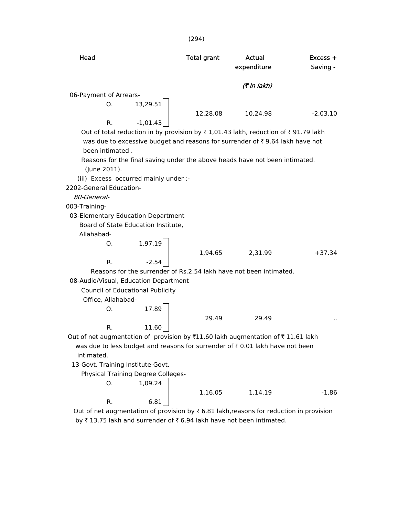| Head                                                                            |                                    | <b>Total grant</b> | Actual<br>expenditure                                                                    | Excess +<br>Saving - |  |
|---------------------------------------------------------------------------------|------------------------------------|--------------------|------------------------------------------------------------------------------------------|----------------------|--|
|                                                                                 |                                    |                    | (7 in lakh)                                                                              |                      |  |
| 06-Payment of Arrears-                                                          |                                    |                    |                                                                                          |                      |  |
| Ο.                                                                              | 13,29.51                           |                    |                                                                                          |                      |  |
|                                                                                 |                                    | 12,28.08           | 10,24.98                                                                                 | $-2,03.10$           |  |
| R.                                                                              | $-1,01.43$                         |                    |                                                                                          |                      |  |
|                                                                                 |                                    |                    | Out of total reduction in by provision by ₹1,01.43 lakh, reduction of ₹91.79 lakh        |                      |  |
|                                                                                 |                                    |                    | was due to excessive budget and reasons for surrender of ₹9.64 lakh have not             |                      |  |
| been intimated.                                                                 |                                    |                    |                                                                                          |                      |  |
| (June 2011).                                                                    |                                    |                    | Reasons for the final saving under the above heads have not been intimated.              |                      |  |
| (iii) Excess occurred mainly under :-                                           |                                    |                    |                                                                                          |                      |  |
| 2202-General Education-                                                         |                                    |                    |                                                                                          |                      |  |
| 80-General-                                                                     |                                    |                    |                                                                                          |                      |  |
| 003-Training-                                                                   |                                    |                    |                                                                                          |                      |  |
| 03-Elementary Education Department                                              |                                    |                    |                                                                                          |                      |  |
| Board of State Education Institute,                                             |                                    |                    |                                                                                          |                      |  |
| Allahabad-                                                                      |                                    |                    |                                                                                          |                      |  |
| O.                                                                              | 1,97.19                            |                    |                                                                                          |                      |  |
|                                                                                 |                                    | 1,94.65            | 2,31.99                                                                                  | $+37.34$             |  |
| R.                                                                              | $-2.54$                            |                    |                                                                                          |                      |  |
|                                                                                 |                                    |                    | Reasons for the surrender of Rs.2.54 lakh have not been intimated.                       |                      |  |
| 08-Audio/Visual, Education Department                                           |                                    |                    |                                                                                          |                      |  |
|                                                                                 | Council of Educational Publicity   |                    |                                                                                          |                      |  |
| Office, Allahabad-                                                              |                                    |                    |                                                                                          |                      |  |
| 0.                                                                              | 17.89                              |                    |                                                                                          |                      |  |
|                                                                                 |                                    | 29.49              | 29.49                                                                                    |                      |  |
| R.                                                                              | 11.60                              |                    |                                                                                          |                      |  |
| Out of net augmentation of provision by ₹11.60 lakh augmentation of ₹11.61 lakh |                                    |                    | was due to less budget and reasons for surrender of $\bar{\tau}$ 0.01 lakh have not been |                      |  |
| intimated.                                                                      |                                    |                    |                                                                                          |                      |  |
| 13-Govt. Training Institute-Govt.                                               |                                    |                    |                                                                                          |                      |  |
|                                                                                 | Physical Training Degree Colleges- |                    |                                                                                          |                      |  |
| О.                                                                              | 1,09.24                            |                    |                                                                                          |                      |  |
|                                                                                 |                                    | 1,16.05            | 1,14.19                                                                                  | $-1.86$              |  |
| R.                                                                              | 6.81                               |                    |                                                                                          |                      |  |

(294)

Out of net augmentation of provision by  $\bar{\tau}$  6.81 lakh,reasons for reduction in provision by  $\bar{\tau}$  13.75 lakh and surrender of  $\bar{\tau}$  6.94 lakh have not been intimated.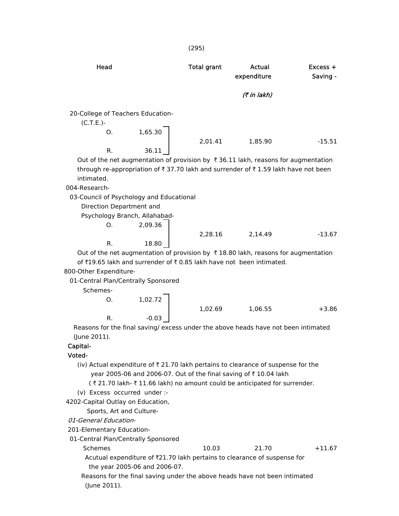| Head                                             |         | Total grant | Actual<br>expenditure                                                                                     | $Excess +$<br>Saving - |
|--------------------------------------------------|---------|-------------|-----------------------------------------------------------------------------------------------------------|------------------------|
|                                                  |         |             | (₹ in lakh)                                                                                               |                        |
| 20-College of Teachers Education-<br>$(C.T.E.)-$ |         |             |                                                                                                           |                        |
| O.                                               | 1,65.30 |             |                                                                                                           |                        |
|                                                  |         | 2,01.41     | 1.85.90                                                                                                   | $-15.51$               |
| R.                                               | 36.11   |             |                                                                                                           |                        |
|                                                  |         |             | Out of the net augmentation of provision by $\bar{\tau}$ 36.11 lakh, reasons for augmentation             |                        |
|                                                  |         |             | through re-appropriation of $\bar{\tau}$ 37.70 lakh and surrender of $\bar{\tau}$ 1.59 lakh have not been |                        |
| المستقبل ومناط وبالمنا                           |         |             |                                                                                                           |                        |

intimated.

004-Research-

03-Council of Psychology and Educational

Direction Department and

Psychology Branch, Allahabad-

|    | 2,09.36 |         |         |          |
|----|---------|---------|---------|----------|
|    |         | 2,28.16 | 2,14.49 | $-13.67$ |
| в. | 18.80   |         |         |          |

Out of the net augmentation of provision by  $\bar{\tau}$  18.80 lakh, reasons for augmentation of  $\bar{x}$ 19.65 lakh and surrender of  $\bar{x}$  0.85 lakh have not been intimated.

800-Other Expenditure-

01-Central Plan/Centrally Sponsored

Schemes-

|        | 1,02.72 |         |         |         |
|--------|---------|---------|---------|---------|
|        |         | 1,02.69 | 1,06.55 | $+3.86$ |
| R.     | $-0.03$ |         |         |         |
| $\sim$ |         | .       | . .     | .       |

 Reasons for the final saving/ excess under the above heads have not been intimated (June 2011).

# Capital-

- Voted-
	- (iv) Actual expenditure of  $\bar{\tau}$  21.70 lakh pertains to clearance of suspense for the year 2005-06 and 2006-07. Out of the final saving of  $\bar{\tau}$  10.04 lakh
		- (₹21.70 lakh- ₹11.66 lakh) no amount could be anticipated for surrender.
	- (v) Excess occurred under :-
- 4202-Capital Outlay on Education,

Sports, Art and Culture-

- 01-General Education-
- 201-Elementary Education-
- 01-Central Plan/Centrally Sponsored
	-
- Schemes 10.03 21.70 +11.67
	- Acutual expenditure of  $\overline{21.70}$  lakh pertains to clearance of suspense for the year 2005-06 and 2006-07.
	- Reasons for the final saving under the above heads have not been intimated (June 2011).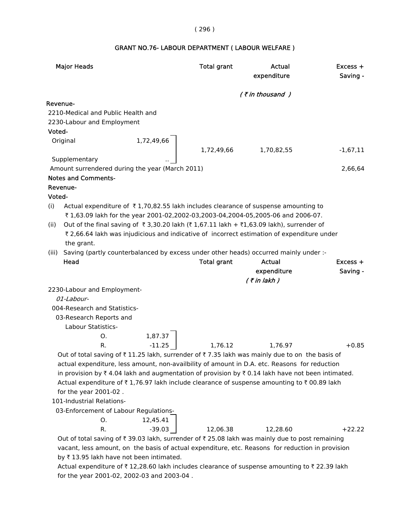# ( 296 )

# GRANT NO.76- LABOUR DEPARTMENT ( LABOUR WELFARE )

|          | <b>Major Heads</b>                                                                               |            | <b>Total grant</b> | Actual<br>expenditure | $Excess +$<br>Saving - |
|----------|--------------------------------------------------------------------------------------------------|------------|--------------------|-----------------------|------------------------|
|          |                                                                                                  |            |                    | $($ ₹ in thousand $)$ |                        |
| Revenue- |                                                                                                  |            |                    |                       |                        |
|          | 2210-Medical and Public Health and                                                               |            |                    |                       |                        |
|          | 2230-Labour and Employment                                                                       |            |                    |                       |                        |
| Voted-   |                                                                                                  |            |                    |                       |                        |
|          | Original                                                                                         | 1,72,49,66 |                    |                       |                        |
|          |                                                                                                  |            | 1,72,49,66         | 1,70,82,55            | $-1,67,11$             |
|          | Supplementary                                                                                    |            |                    |                       |                        |
|          | Amount surrendered during the year (March 2011)                                                  |            |                    |                       | 2,66,64                |
|          | <b>Notes and Comments-</b>                                                                       |            |                    |                       |                        |
|          | Revenue-                                                                                         |            |                    |                       |                        |
| Voted-   | Actual expenditure of ₹1,70,82.55 lakh includes clearance of suspense amounting to               |            |                    |                       |                        |
| (i)      | ₹1,63.09 lakh for the year 2001-02,2002-03,2003-04,2004-05,2005-06 and 2006-07.                  |            |                    |                       |                        |
| (ii)     | Out of the final saving of ₹3,30.20 lakh (₹1,67.11 lakh + ₹1,63.09 lakh), surrender of           |            |                    |                       |                        |
|          | ₹ 2,66.64 lakh was injudicious and indicative of incorrect estimation of expenditure under       |            |                    |                       |                        |
|          | the grant.                                                                                       |            |                    |                       |                        |
| (iii)    | Saving (partly counterbalanced by excess under other heads) occurred mainly under :-             |            |                    |                       |                        |
|          | Head                                                                                             |            | <b>Total grant</b> | <b>Actual</b>         | $Excess +$             |
|          |                                                                                                  |            |                    | expenditure           | Saving -               |
|          |                                                                                                  |            |                    | $($ ₹ in lakh)        |                        |
|          | 2230-Labour and Employment-                                                                      |            |                    |                       |                        |
|          | 01-Labour-                                                                                       |            |                    |                       |                        |
|          | 004-Research and Statistics-                                                                     |            |                    |                       |                        |
|          | 03-Research Reports and                                                                          |            |                    |                       |                        |
|          | Labour Statistics-                                                                               |            |                    |                       |                        |
|          | O.                                                                                               | 1,87.37    |                    |                       |                        |
|          | R.                                                                                               | $-11.25$   | 1,76.12            | 1,76.97               | $+0.85$                |
|          | Out of total saving of ₹11.25 lakh, surrender of ₹7.35 lakh was mainly due to on the basis of    |            |                    |                       |                        |
|          | actual expenditure, less amount, non-availbility of amount in D.A. etc. Reasons for reduction    |            |                    |                       |                        |
|          | in provision by ₹4.04 lakh and augmentation of provision by ₹0.14 lakh have not been intimated.  |            |                    |                       |                        |
|          | Actual expenditure of ₹1,76.97 lakh include clearance of suspense amounting to ₹00.89 lakh       |            |                    |                       |                        |
|          | for the year 2001-02.                                                                            |            |                    |                       |                        |
|          | 101-Industrial Relations-                                                                        |            |                    |                       |                        |
|          | 03-Enforcement of Labour Regulations-                                                            |            |                    |                       |                        |
|          | 0.                                                                                               | 12,45.41   |                    |                       |                        |
|          | R.                                                                                               | $-39.03$   | 12,06.38           | 12,28.60              | $+22.22$               |
|          | Out of total saving of ₹39.03 lakh, surrender of ₹25.08 lakh was mainly due to post remaining    |            |                    |                       |                        |
|          | vacant, less amount, on the basis of actual expenditure, etc. Reasons for reduction in provision |            |                    |                       |                        |
|          | by ₹13.95 lakh have not been intimated.                                                          |            |                    |                       |                        |
|          | Actual expenditure of ₹12,28.60 lakh includes clearance of suspense amounting to ₹22.39 lakh     |            |                    |                       |                        |
|          | for the year 2001-02, 2002-03 and 2003-04.                                                       |            |                    |                       |                        |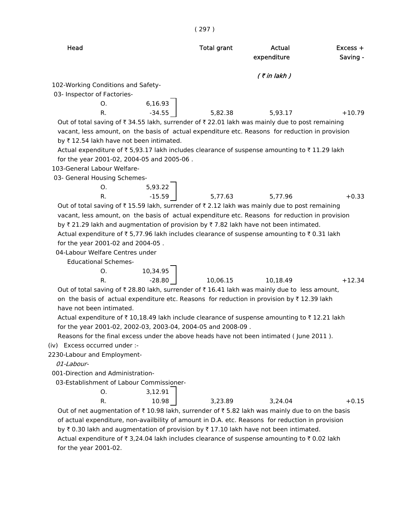| × | ٧ | ۰ |
|---|---|---|
|---|---|---|

| Head                                                                                                                           | <b>Total grant</b> | Actual<br>expenditure | $Excess +$<br>Saving - |
|--------------------------------------------------------------------------------------------------------------------------------|--------------------|-----------------------|------------------------|
|                                                                                                                                |                    | $($ ₹ in lakh $)$     |                        |
| 102-Working Conditions and Safety-                                                                                             |                    |                       |                        |
| 03- Inspector of Factories-                                                                                                    |                    |                       |                        |
| 6,16.93<br>О.                                                                                                                  |                    |                       |                        |
| $-34.55$<br>R.                                                                                                                 | 5,82.38            | 5,93.17               | $+10.79$               |
| Out of total saving of ₹ 34.55 lakh, surrender of ₹ 22.01 lakh was mainly due to post remaining                                |                    |                       |                        |
| vacant, less amount, on the basis of actual expenditure etc. Reasons for reduction in provision                                |                    |                       |                        |
| by ₹12.54 lakh have not been intimated.                                                                                        |                    |                       |                        |
| Actual expenditure of ₹ 5,93.17 lakh includes clearance of suspense amounting to ₹ 11.29 lakh                                  |                    |                       |                        |
| for the year 2001-02, 2004-05 and 2005-06.                                                                                     |                    |                       |                        |
| 103-General Labour Welfare-                                                                                                    |                    |                       |                        |
| 03- General Housing Schemes-                                                                                                   |                    |                       |                        |
| 5,93.22<br>0.                                                                                                                  |                    |                       |                        |
| $-15.59$<br>R.                                                                                                                 | 5,77.63            | 5,77.96               | $+0.33$                |
| Out of total saving of $\overline{\tau}$ 15.59 lakh, surrender of $\overline{\tau}$ 2.12 lakh was mainly due to post remaining |                    |                       |                        |
| vacant, less amount, on the basis of actual expenditure etc. Reasons for reduction in provision                                |                    |                       |                        |
| by ₹21.29 lakh and augmentation of provision by ₹7.82 lakh have not been intimated.                                            |                    |                       |                        |
| Actual expenditure of ₹5,77.96 lakh includes clearance of suspense amounting to ₹0.31 lakh                                     |                    |                       |                        |
| for the year 2001-02 and 2004-05.                                                                                              |                    |                       |                        |
| 04-Labour Welfare Centres under                                                                                                |                    |                       |                        |
| <b>Educational Schemes-</b>                                                                                                    |                    |                       |                        |
| 10,34.95<br>0.                                                                                                                 |                    |                       |                        |
| $-28.80$<br>R.                                                                                                                 | 10,06.15           | 10,18.49              | $+12.34$               |
| Out of total saving of ₹ 28.80 lakh, surrender of ₹ 16.41 lakh was mainly due to less amount,                                  |                    |                       |                        |
| on the basis of actual expenditure etc. Reasons for reduction in provision by ₹12.39 lakh                                      |                    |                       |                        |
| have not been intimated.                                                                                                       |                    |                       |                        |
| Actual expenditure of ₹10,18.49 lakh include clearance of suspense amounting to ₹12.21 lakh                                    |                    |                       |                        |
| for the year 2001-02, 2002-03, 2003-04, 2004-05 and 2008-09.                                                                   |                    |                       |                        |
| Reasons for the final excess under the above heads have not been intimated (June 2011).                                        |                    |                       |                        |
| (iv) Excess occurred under :-                                                                                                  |                    |                       |                        |
| 2230-Labour and Employment-                                                                                                    |                    |                       |                        |
| 01-Labour-                                                                                                                     |                    |                       |                        |
| 001-Direction and Administration-                                                                                              |                    |                       |                        |
| 03-Establishment of Labour Commissioner-                                                                                       |                    |                       |                        |
| 3,12.91<br>O.                                                                                                                  |                    |                       |                        |
| R.<br>10.98                                                                                                                    | 3,23.89            | 3.24.04               | $+0.15$                |
| Out of net augmentation of $\bar{\tau}$ 10.98 lakh, surrender of $\bar{\tau}$ 5.82 lakh was mainly due to on the basis         |                    |                       |                        |
| of actual expenditure, non-availbility of amount in D.A. etc. Reasons for reduction in provision                               |                    |                       |                        |
| by ₹ 0.30 lakh and augmentation of provision by ₹ 17.10 lakh have not been intimated.                                          |                    |                       |                        |
| Actual expenditure of ₹ 3,24.04 lakh includes clearance of suspense amounting to ₹ 0.02 lakh                                   |                    |                       |                        |
| for the year 2001-02.                                                                                                          |                    |                       |                        |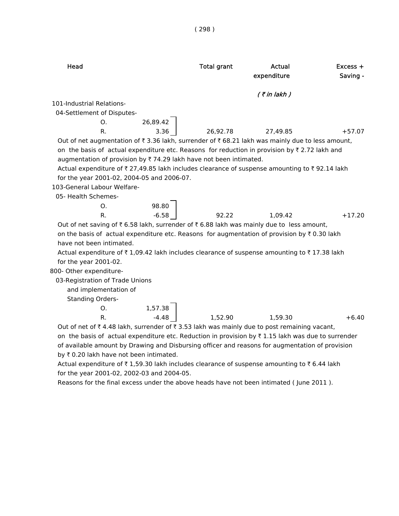| Head                                                                                                          | <b>Total grant</b> | Actual<br>expenditure | $Excess +$<br>Saving - |
|---------------------------------------------------------------------------------------------------------------|--------------------|-----------------------|------------------------|
|                                                                                                               |                    | $($ ₹ in lakh $)$     |                        |
| 101-Industrial Relations-                                                                                     |                    |                       |                        |
| 04-Settlement of Disputes-                                                                                    |                    |                       |                        |
| 26,89.42<br>O.                                                                                                |                    |                       |                        |
| 3.36<br>R.                                                                                                    | 26,92.78           | 27,49.85              | $+57.07$               |
| Out of net augmentation of ₹ 3.36 lakh, surrender of ₹ 68.21 lakh was mainly due to less amount,              |                    |                       |                        |
| on the basis of actual expenditure etc. Reasons for reduction in provision by ₹2.72 lakh and                  |                    |                       |                        |
| augmentation of provision by ₹74.29 lakh have not been intimated.                                             |                    |                       |                        |
| Actual expenditure of ₹27,49.85 lakh includes clearance of suspense amounting to ₹92.14 lakh                  |                    |                       |                        |
| for the year 2001-02, 2004-05 and 2006-07.                                                                    |                    |                       |                        |
| 103-General Labour Welfare-                                                                                   |                    |                       |                        |
| 05- Health Schemes-                                                                                           |                    |                       |                        |
| 98.80<br>O <sub>1</sub>                                                                                       |                    |                       |                        |
| $-6.58$<br>R.                                                                                                 | 92.22              | 1.09.42               | $+17.20$               |
| Out of net saving of ₹ 6.58 lakh, surrender of ₹ 6.88 lakh was mainly due to less amount,                     |                    |                       |                        |
| on the basis of actual expenditure etc. Reasons for augmentation of provision by ₹0.30 lakh                   |                    |                       |                        |
| have not been intimated.                                                                                      |                    |                       |                        |
| Actual expenditure of ₹1,09.42 lakh includes clearance of suspense amounting to ₹17.38 lakh                   |                    |                       |                        |
| for the year 2001-02.                                                                                         |                    |                       |                        |
| 800- Other expenditure-                                                                                       |                    |                       |                        |
| 03-Registration of Trade Unions                                                                               |                    |                       |                        |
| and implementation of                                                                                         |                    |                       |                        |
| <b>Standing Orders-</b>                                                                                       |                    |                       |                        |
| 1,57.38<br>O.                                                                                                 |                    |                       |                        |
| $-4.48$<br>R.                                                                                                 | 1,52.90            | 1,59.30               | $+6.40$                |
| Out of net of ₹4.48 lakh, surrender of ₹3.53 lakh was mainly due to post remaining vacant,                    |                    |                       |                        |
| on the basis of actual expenditure etc. Reduction in provision by $\bar{\tau}$ 1.15 lakh was due to surrender |                    |                       |                        |
| of available amount by Drawing and Disbursing officer and reasons for augmentation of provision               |                    |                       |                        |
| by ₹ 0.20 lakh have not been intimated.                                                                       |                    |                       |                        |

Actual expenditure of  $\bar{\tau}$  1,59.30 lakh includes clearance of suspense amounting to  $\bar{\tau}$  6.44 lakh for the year 2001-02, 2002-03 and 2004-05.

Reasons for the final excess under the above heads have not been intimated ( June 2011 ).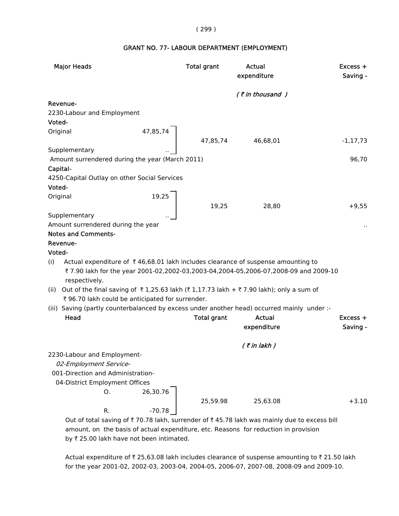#### ( 299 )

#### GRANT NO. 77- LABOUR DEPARTMENT (EMPLOYMENT)

| <b>Major Heads</b>                                                                                  | <b>Total grant</b> | Actual<br>expenditure | Excess +<br>Saving - |
|-----------------------------------------------------------------------------------------------------|--------------------|-----------------------|----------------------|
|                                                                                                     |                    | (₹in thousand)        |                      |
| Revenue-                                                                                            |                    |                       |                      |
| 2230-Labour and Employment                                                                          |                    |                       |                      |
| Voted-                                                                                              |                    |                       |                      |
| Original                                                                                            |                    |                       |                      |
| 47,85,74                                                                                            | 47,85,74           | 46,68,01              | $-1, 17, 73$         |
| Supplementary                                                                                       |                    |                       |                      |
| Amount surrendered during the year (March 2011)                                                     |                    |                       | 96,70                |
| Capital-                                                                                            |                    |                       |                      |
| 4250-Capital Outlay on other Social Services                                                        |                    |                       |                      |
| Voted-                                                                                              |                    |                       |                      |
| Original                                                                                            |                    |                       |                      |
| $\begin{array}{c c} 19,25 \\ \hline \end{array}$                                                    | 19,25              | 28,80                 | $+9,55$              |
| Supplementary                                                                                       |                    |                       |                      |
| Amount surrendered during the year                                                                  |                    |                       |                      |
| <b>Notes and Comments-</b>                                                                          |                    |                       |                      |
| Revenue-                                                                                            |                    |                       |                      |
| Voted-                                                                                              |                    |                       |                      |
| Actual expenditure of $\bar{\tau}$ 46,68.01 lakh includes clearance of suspense amounting to<br>(i) |                    |                       |                      |
| ₹7.90 lakh for the year 2001-02,2002-03,2003-04,2004-05,2006-07,2008-09 and 2009-10                 |                    |                       |                      |
| respectively.                                                                                       |                    |                       |                      |
| Out of the final saving of ₹1,25.63 lakh (₹1,17.73 lakh + ₹7.90 lakh); only a sum of<br>(ii)        |                    |                       |                      |
| ₹ 96.70 lakh could be anticipated for surrender.                                                    |                    |                       |                      |
| (iii) Saving (partly counterbalanced by excess under another head) occurred mainly under :-         |                    |                       |                      |
| Head                                                                                                | <b>Total grant</b> | Actual                | $Excess +$           |
|                                                                                                     |                    | expenditure           | Saving -             |
|                                                                                                     |                    |                       |                      |
|                                                                                                     |                    | $($ ₹ in lakh $)$     |                      |
| 2230-Labour and Employment-                                                                         |                    |                       |                      |
| 02-Employment Service-                                                                              |                    |                       |                      |
| 001-Direction and Administration-                                                                   |                    |                       |                      |
| 04-District Employment Offices                                                                      |                    |                       |                      |
| 26,30.76<br>0.                                                                                      |                    |                       |                      |
|                                                                                                     | 25,59.98           | 25,63.08              | $+3.10$              |
| $-70.78$<br>R.                                                                                      |                    |                       |                      |
| Out of total saving of ₹70.78 lakh, surrender of ₹45.78 lakh was mainly due to excess bill          |                    |                       |                      |

 amount, on the basis of actual expenditure, etc. Reasons for reduction in provision by  $\bar{\tau}$  25.00 lakh have not been intimated.

Actual expenditure of  $\bar{\tau}$  25,63.08 lakh includes clearance of suspense amounting to  $\bar{\tau}$  21.50 lakh for the year 2001-02, 2002-03, 2003-04, 2004-05, 2006-07, 2007-08, 2008-09 and 2009-10.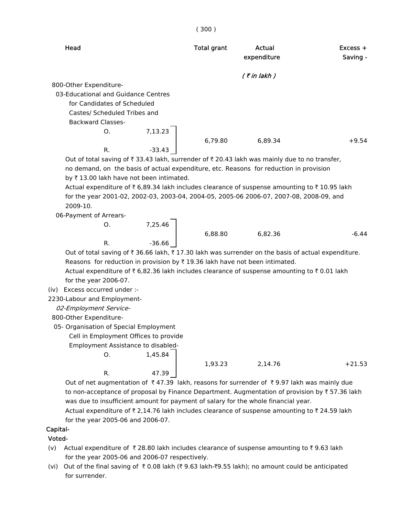| Head                                | <b>Total grant</b> | Actual<br>expenditure | $Excess +$<br>Saving - |
|-------------------------------------|--------------------|-----------------------|------------------------|
|                                     |                    | $($ ₹ in lakh $)$     |                        |
| 800-Other Expenditure-              |                    |                       |                        |
| 03-Educational and Guidance Centres |                    |                       |                        |
| for Candidates of Scheduled         |                    |                       |                        |
| Castes/ Scheduled Tribes and        |                    |                       |                        |
| <b>Backward Classes-</b>            |                    |                       |                        |
| 7,13.23<br>O.                       |                    |                       |                        |
|                                     | 6,79.80            | 6,89.34               | $+9.54$                |
| R.<br>$-33.43$                      |                    |                       |                        |

( 300 )

Out of total saving of  $\bar{\tau}$  33.43 lakh, surrender of  $\bar{\tau}$  20.43 lakh was mainly due to no transfer, no demand, on the basis of actual expenditure, etc. Reasons for reduction in provision by  $\bar{\tau}$  13.00 lakh have not been intimated.

Actual expenditure of  $\bar{\tau}$  6,89.34 lakh includes clearance of suspense amounting to  $\bar{\tau}$  10.95 lakh for the year 2001-02, 2002-03, 2003-04, 2004-05, 2005-06 2006-07, 2007-08, 2008-09, and 2009-10.

06-Payment of Arrears-

 $7,25.46$ 6,88.80 6,82.36 -6.44 R.  $-36.66$ 

Out of total saving of  $\bar{\tau}$  36.66 lakh,  $\bar{\tau}$  17.30 lakh was surrender on the basis of actual expenditure. Reasons for reduction in provision by  $\bar{\tau}$  19.36 lakh have not been intimated.

Actual expenditure of  $\bar{\tau}$  6,82.36 lakh includes clearance of suspense amounting to  $\bar{\tau}$  0.01 lakh for the year 2006-07.

(iv) Excess occurred under :-

2230-Labour and Employment-

02-Employment Service-

800-Other Expenditure-

05- Organisation of Special Employment

Cell in Employment Offices to provide

Employment Assistance to disabled-

O. 1,45.84

R. 47.39

| 1,93.23 | 2,14.76 | $+21.53$ |
|---------|---------|----------|
|         |         |          |

Out of net augmentation of  $\bar{\tau}$  47.39 lakh, reasons for surrender of  $\bar{\tau}$  9.97 lakh was mainly due to non-acceptance of proposal by Finance Department. Augmentation of provision by  $\bar{\tau}$  57.36 lakh was due to insufficient amount for payment of salary for the whole financial year.

Actual expenditure of  $\bar{\tau}$  2,14.76 lakh includes clearance of suspense amounting to  $\bar{\tau}$  24.59 lakh for the year 2005-06 and 2006-07.

# Capital-

## Voted-

- (v) Actual expenditure of  $\bar{\tau}$  28.80 lakh includes clearance of suspense amounting to  $\bar{\tau}$  9.63 lakh for the year 2005-06 and 2006-07 respectively.
- (vi) Out of the final saving of  $\bar{x}$  0.08 lakh ( $\bar{x}$  9.63 lakh- $\bar{x}$ 9.55 lakh); no amount could be anticipated for surrender.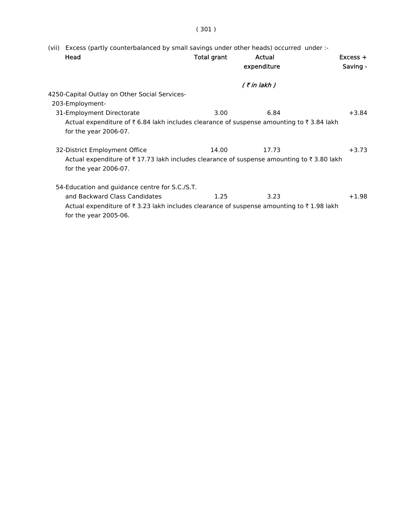| Excess (partly counterbalanced by small savings under other heads) occurred under :-<br>(vii)                    |             |             |            |
|------------------------------------------------------------------------------------------------------------------|-------------|-------------|------------|
| Head                                                                                                             | Total grant | Actual      | $Excess +$ |
|                                                                                                                  |             | expenditure | Saving -   |
|                                                                                                                  |             | (₹in lakh ) |            |
| 4250-Capital Outlay on Other Social Services-                                                                    |             |             |            |
| 203-Employment-                                                                                                  |             |             |            |
| 31-Employment Directorate                                                                                        | 3.00        | 6.84        | $+3.84$    |
| Actual expenditure of ₹6.84 lakh includes clearance of suspense amounting to ₹3.84 lakh                          |             |             |            |
| for the year 2006-07.                                                                                            |             |             |            |
| 32-District Employment Office                                                                                    | 14.00       | 17.73       | $+3.73$    |
| Actual expenditure of $\bar{\tau}$ 17.73 lakh includes clearance of suspense amounting to $\bar{\tau}$ 3.80 lakh |             |             |            |
| for the year 2006-07.                                                                                            |             |             |            |
| 54-Education and guidance centre for S.C./S.T.                                                                   |             |             |            |
| and Backward Class Candidates                                                                                    | 1.25        | 3.23        | $+1.98$    |
| Actual expenditure of ₹3.23 lakh includes clearance of suspense amounting to ₹1.98 lakh                          |             |             |            |

for the year 2005-06.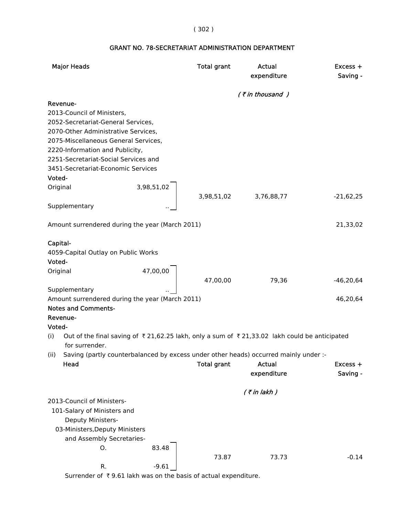# ( 302 )

|          | <b>Major Heads</b>                                                                                             |            | <b>Total grant</b> | Actual<br>expenditure | Excess +<br>Saving - |
|----------|----------------------------------------------------------------------------------------------------------------|------------|--------------------|-----------------------|----------------------|
|          |                                                                                                                |            |                    | $($ ₹ in thousand )   |                      |
|          | Revenue-                                                                                                       |            |                    |                       |                      |
|          | 2013-Council of Ministers,                                                                                     |            |                    |                       |                      |
|          | 2052-Secretariat-General Services,                                                                             |            |                    |                       |                      |
|          | 2070-Other Administrative Services,                                                                            |            |                    |                       |                      |
|          | 2075-Miscellaneous General Services,                                                                           |            |                    |                       |                      |
|          | 2220-Information and Publicity,                                                                                |            |                    |                       |                      |
|          | 2251-Secretariat-Social Services and                                                                           |            |                    |                       |                      |
|          | 3451-Secretariat-Economic Services                                                                             |            |                    |                       |                      |
| Voted-   |                                                                                                                |            |                    |                       |                      |
| Original |                                                                                                                | 3,98,51,02 |                    |                       |                      |
|          |                                                                                                                |            | 3,98,51,02         | 3,76,88,77            | $-21,62,25$          |
|          | Supplementary                                                                                                  |            |                    |                       |                      |
|          | Amount surrendered during the year (March 2011)                                                                |            |                    |                       | 21,33,02             |
| Capital- |                                                                                                                |            |                    |                       |                      |
|          | 4059-Capital Outlay on Public Works                                                                            |            |                    |                       |                      |
| Voted-   |                                                                                                                |            |                    |                       |                      |
| Original |                                                                                                                | 47,00,00   |                    |                       |                      |
|          |                                                                                                                |            | 47,00,00           | 79,36                 | $-46,20,64$          |
|          | Supplementary                                                                                                  |            |                    |                       |                      |
|          | Amount surrendered during the year (March 2011)                                                                |            |                    |                       | 46,20,64             |
|          | <b>Notes and Comments-</b>                                                                                     |            |                    |                       |                      |
|          | Revenue-                                                                                                       |            |                    |                       |                      |
| Voted-   |                                                                                                                |            |                    |                       |                      |
| (i)      | Out of the final saving of ₹21,62.25 lakh, only a sum of ₹21,33.02 lakh could be anticipated<br>for surrender. |            |                    |                       |                      |
| (ii)     | Saving (partly counterbalanced by excess under other heads) occurred mainly under :-                           |            |                    |                       |                      |
|          | Head                                                                                                           |            | <b>Total grant</b> | <b>Actual</b>         | Excess +             |
|          |                                                                                                                |            |                    | expenditure           | Saving -             |
|          |                                                                                                                |            |                    | $($ ₹ in lakh)        |                      |
|          | 2013-Council of Ministers-                                                                                     |            |                    |                       |                      |
|          | 101-Salary of Ministers and                                                                                    |            |                    |                       |                      |
|          | Deputy Ministers-                                                                                              |            |                    |                       |                      |
|          | 03-Ministers, Deputy Ministers                                                                                 |            |                    |                       |                      |
|          | and Assembly Secretaries-                                                                                      |            |                    |                       |                      |
|          | O.                                                                                                             | 83.48      |                    |                       |                      |
|          |                                                                                                                |            | 73.87              | 73.73                 | $-0.14$              |
|          | R.                                                                                                             | $-9.61$    |                    |                       |                      |

# GRANT NO. 78-SECRETARIAT ADMINISTRATION DEPARTMENT

Surrender of  $\bar{\tau}$  9.61 lakh was on the basis of actual expenditure.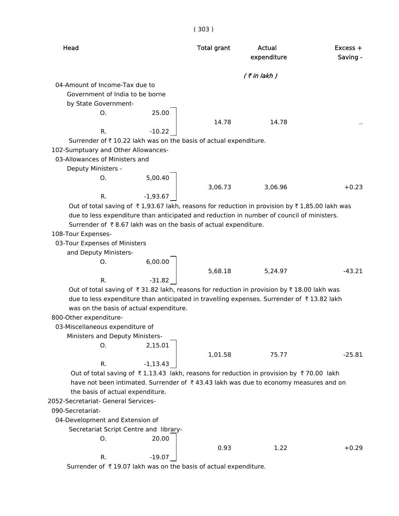|                                                                  |             | (303)              |                                                                                                                       |                        |
|------------------------------------------------------------------|-------------|--------------------|-----------------------------------------------------------------------------------------------------------------------|------------------------|
| Head                                                             |             | <b>Total grant</b> | Actual<br>expenditure                                                                                                 | $Excess +$<br>Saving - |
|                                                                  |             |                    | $($ ₹ in lakh $)$                                                                                                     |                        |
| 04-Amount of Income-Tax due to                                   |             |                    |                                                                                                                       |                        |
| Government of India to be borne                                  |             |                    |                                                                                                                       |                        |
| by State Government-                                             |             |                    |                                                                                                                       |                        |
| О.                                                               | 25.00       |                    |                                                                                                                       |                        |
|                                                                  |             | 14.78              | 14.78                                                                                                                 |                        |
| R.                                                               | $-10.22$    |                    |                                                                                                                       |                        |
| Surrender of ₹10.22 lakh was on the basis of actual expenditure. |             |                    |                                                                                                                       |                        |
| 102-Sumptuary and Other Allowances-                              |             |                    |                                                                                                                       |                        |
| 03-Allowances of Ministers and                                   |             |                    |                                                                                                                       |                        |
| Deputy Ministers -                                               |             |                    |                                                                                                                       |                        |
| О.                                                               | 5,00.40     |                    |                                                                                                                       |                        |
|                                                                  |             | 3,06.73            | 3,06.96                                                                                                               | $+0.23$                |
| R.                                                               | $-1,93.67$  |                    |                                                                                                                       |                        |
|                                                                  |             |                    | Out of total saving of $\bar{\tau}$ 1,93.67 lakh, reasons for reduction in provision by $\bar{\tau}$ 1,85.00 lakh was |                        |
|                                                                  |             |                    | due to less expenditure than anticipated and reduction in number of council of ministers.                             |                        |
| Surrender of ₹8.67 lakh was on the basis of actual expenditure.  |             |                    |                                                                                                                       |                        |
| 108-Tour Expenses-                                               |             |                    |                                                                                                                       |                        |
| 03-Tour Expenses of Ministers                                    |             |                    |                                                                                                                       |                        |
| and Deputy Ministers-                                            |             |                    |                                                                                                                       |                        |
| O.                                                               | 6,00.00     |                    |                                                                                                                       |                        |
|                                                                  |             | 5,68.18            | 5,24.97                                                                                                               | -43.21                 |
| R.                                                               | $-31.82$    |                    |                                                                                                                       |                        |
|                                                                  |             |                    | Out of total saving of ₹31.82 lakh, reasons for reduction in provision by ₹18.00 lakh was                             |                        |
|                                                                  |             |                    | due to less expenditure than anticipated in travelling expenses. Surrender of ₹13.82 lakh                             |                        |
| was on the basis of actual expenditure.                          |             |                    |                                                                                                                       |                        |
| 800-Other expenditure-                                           |             |                    |                                                                                                                       |                        |
| 03-Miscellaneous expenditure of                                  |             |                    |                                                                                                                       |                        |
| Ministers and Deputy Ministers-                                  |             |                    |                                                                                                                       |                        |
| O.                                                               | 2,15.01     |                    |                                                                                                                       |                        |
|                                                                  |             | 1,01.58            | 75.77                                                                                                                 | $-25.81$               |
| R.                                                               | $-1, 13.43$ |                    |                                                                                                                       |                        |
|                                                                  |             |                    | Out of total saving of ₹1,13.43 lakh, reasons for reduction in provision by ₹70.00 lakh                               |                        |
|                                                                  |             |                    | have not been intimated. Surrender of ₹43.43 lakh was due to economy measures and on                                  |                        |
| the basis of actual expenditure.                                 |             |                    |                                                                                                                       |                        |
| 2052-Secretariat- General Services-                              |             |                    |                                                                                                                       |                        |
| 090-Secretariat-                                                 |             |                    |                                                                                                                       |                        |
| 04-Development and Extension of                                  |             |                    |                                                                                                                       |                        |
| Secretariat Script Centre and library-                           |             |                    |                                                                                                                       |                        |
| 0.                                                               | 20.00       |                    |                                                                                                                       |                        |
|                                                                  |             | 0.93               | 1.22                                                                                                                  | $+0.29$                |
| R.                                                               | $-19.07$    |                    |                                                                                                                       |                        |
| Surrender of ₹19.07 lakh was on the basis of actual expenditure. |             |                    |                                                                                                                       |                        |
|                                                                  |             |                    |                                                                                                                       |                        |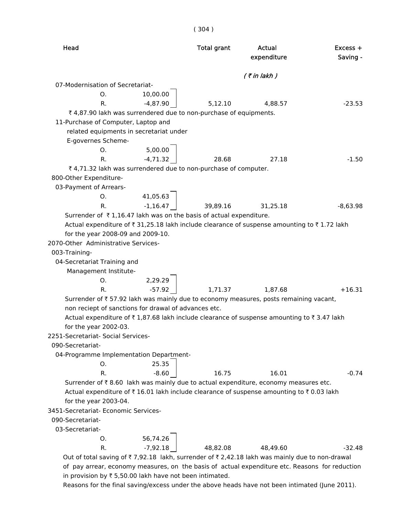| Head                                                                                           | <b>Total grant</b>                      | Actual<br>expenditure | $Excess +$<br>Saving - |
|------------------------------------------------------------------------------------------------|-----------------------------------------|-----------------------|------------------------|
|                                                                                                |                                         |                       |                        |
| 07-Modernisation of Secretariat-                                                               |                                         | $($ ₹ in lakh $)$     |                        |
| 0. 10,00.00                                                                                    |                                         |                       |                        |
| $-4,87.90$<br>R.                                                                               | 5,12.10                                 | 4,88.57               | $-23.53$               |
| ₹4,87.90 lakh was surrendered due to non-purchase of equipments.                               |                                         |                       |                        |
| 11-Purchase of Computer, Laptop and                                                            |                                         |                       |                        |
| related equipments in secretariat under                                                        |                                         |                       |                        |
| E-governes Scheme-                                                                             |                                         |                       |                        |
|                                                                                                |                                         |                       |                        |
| 0. $5,00.00$<br>R. $-4,71.32$                                                                  | 28.68                                   | 27.18                 | $-1.50$                |
| ₹4,71.32 lakh was surrendered due to non-purchase of computer.                                 |                                         |                       |                        |
| 800-Other Expenditure-                                                                         |                                         |                       |                        |
| 03-Payment of Arrears-                                                                         |                                         |                       |                        |
|                                                                                                |                                         |                       |                        |
|                                                                                                | 0. $41,05.63$<br>R. $-1,16.47$ 39,89.16 | 31,25.18              | $-8,63.98$             |
| Surrender of $\bar{\tau}$ 1,16.47 lakh was on the basis of actual expenditure.                 |                                         |                       |                        |
| Actual expenditure of ₹31,25.18 lakh include clearance of suspense amounting to ₹1.72 lakh     |                                         |                       |                        |
| for the year 2008-09 and 2009-10.                                                              |                                         |                       |                        |
| 2070-Other Administrative Services-                                                            |                                         |                       |                        |
| 003-Training-                                                                                  |                                         |                       |                        |
| 04-Secretariat Training and                                                                    |                                         |                       |                        |
| Management Institute-                                                                          |                                         |                       |                        |
| $2,29.29$ <sup>-</sup><br>O.                                                                   |                                         |                       |                        |
| $-57.92$<br>$R_{\cdot}$                                                                        | 1,71.37                                 | 1,87.68               | $+16.31$               |
| Surrender of ₹ 57.92 lakh was mainly due to economy measures, posts remaining vacant,          |                                         |                       |                        |
| non reciept of sanctions for drawal of advances etc.                                           |                                         |                       |                        |
| Actual expenditure of ₹1,87.68 lakh include clearance of suspense amounting to ₹3.47 lakh      |                                         |                       |                        |
| for the year 2002-03.                                                                          |                                         |                       |                        |
| 2251-Secretariat- Social Services-                                                             |                                         |                       |                        |
| 090-Secretariat-                                                                               |                                         |                       |                        |
| 04-Programme Implementation Department-                                                        |                                         |                       |                        |
| 25.35<br>O.                                                                                    |                                         |                       |                        |
| R.                                                                                             | $-8.60$<br>16.75                        | 16.01                 | $-0.74$                |
| Surrender of ₹8.60 lakh was mainly due to actual expenditure, economy measures etc.            |                                         |                       |                        |
| Actual expenditure of ₹16.01 lakh include clearance of suspense amounting to ₹0.03 lakh        |                                         |                       |                        |
| for the year 2003-04.                                                                          |                                         |                       |                        |
| 3451-Secretariat- Economic Services-                                                           |                                         |                       |                        |
| 090-Secretariat-                                                                               |                                         |                       |                        |
| 03-Secretariat-                                                                                |                                         |                       |                        |
| 56,74.26<br>O.                                                                                 |                                         |                       |                        |
| $-7,92.18$<br>R.                                                                               | 48,82.08                                | 48,49.60              | $-32.48$               |
| Out of total saving of ₹7,92.18 lakh, surrender of ₹2,42.18 lakh was mainly due to non-drawal  |                                         |                       |                        |
| of pay arrear, economy measures, on the basis of actual expenditure etc. Reasons for reduction |                                         |                       |                        |

( 304 )

in provision by  $\bar{\tau}$  5,50.00 lakh have not been intimated.

Reasons for the final saving/excess under the above heads have not been intimated (June 2011).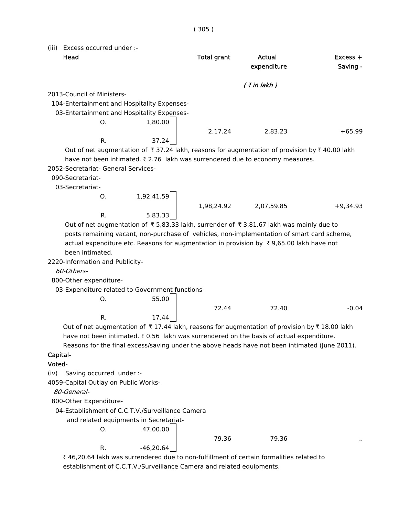( 305 )

(iii) Excess occurred under :-

| (III)    | Excess occurred under :-                         |             |                    |                                                                                                                      |                        |
|----------|--------------------------------------------------|-------------|--------------------|----------------------------------------------------------------------------------------------------------------------|------------------------|
|          | Head                                             |             | <b>Total grant</b> | Actual<br>expenditure                                                                                                | $Excess +$<br>Saving - |
|          |                                                  |             |                    | $($ ₹ in lakh $)$                                                                                                    |                        |
|          | 2013-Council of Ministers-                       |             |                    |                                                                                                                      |                        |
|          | 104-Entertainment and Hospitality Expenses-      |             |                    |                                                                                                                      |                        |
|          | 03-Entertainment and Hospitality Expenses-       |             |                    |                                                                                                                      |                        |
|          | 0.                                               | 1,80.00     |                    |                                                                                                                      |                        |
|          |                                                  |             | 2,17.24            | 2,83.23                                                                                                              | $+65.99$               |
|          | R.                                               | 37.24       |                    |                                                                                                                      |                        |
|          |                                                  |             |                    | Out of net augmentation of $\bar{\tau}$ 37.24 lakh, reasons for augmentation of provision by $\bar{\tau}$ 40.00 lakh |                        |
|          |                                                  |             |                    | have not been intimated. ₹2.76 lakh was surrendered due to economy measures.                                         |                        |
|          | 2052-Secretariat- General Services-              |             |                    |                                                                                                                      |                        |
|          | 090-Secretariat-                                 |             |                    |                                                                                                                      |                        |
|          | 03-Secretariat-                                  |             |                    |                                                                                                                      |                        |
|          | O.                                               | 1,92,41.59  |                    |                                                                                                                      |                        |
|          |                                                  |             | 1,98,24.92         | 2,07,59.85                                                                                                           | $+9,34.93$             |
|          | R.                                               | 5,83.33     |                    |                                                                                                                      |                        |
|          |                                                  |             |                    | Out of net augmentation of ₹5,83.33 lakh, surrender of ₹3,81.67 lakh was mainly due to                               |                        |
|          |                                                  |             |                    | posts remaining vacant, non-purchase of vehicles, non-implementation of smart card scheme,                           |                        |
|          |                                                  |             |                    | actual expenditure etc. Reasons for augmentation in provision by ₹9,65.00 lakh have not                              |                        |
|          | been intimated.                                  |             |                    |                                                                                                                      |                        |
|          | 2220-Information and Publicity-                  |             |                    |                                                                                                                      |                        |
|          | 60-Others-                                       |             |                    |                                                                                                                      |                        |
|          | 800-Other expenditure-                           |             |                    |                                                                                                                      |                        |
|          | 03-Expenditure related to Government functions-  |             |                    |                                                                                                                      |                        |
|          | O.                                               | 55.00       |                    |                                                                                                                      |                        |
|          |                                                  |             | 72.44              | 72.40                                                                                                                | $-0.04$                |
|          | R.                                               | 17.44       |                    |                                                                                                                      |                        |
|          |                                                  |             |                    | Out of net augmentation of ₹17.44 lakh, reasons for augmentation of provision by ₹18.00 lakh                         |                        |
|          |                                                  |             |                    | have not been intimated. ₹ 0.56 lakh was surrendered on the basis of actual expenditure.                             |                        |
|          |                                                  |             |                    | Reasons for the final excess/saving under the above heads have not been intimated (June 2011).                       |                        |
| Capital- |                                                  |             |                    |                                                                                                                      |                        |
| Voted-   |                                                  |             |                    |                                                                                                                      |                        |
| (iv)     | Saving occurred under :-                         |             |                    |                                                                                                                      |                        |
|          | 4059-Capital Outlay on Public Works-             |             |                    |                                                                                                                      |                        |
|          | 80-General-                                      |             |                    |                                                                                                                      |                        |
|          | 800-Other Expenditure-                           |             |                    |                                                                                                                      |                        |
|          | 04-Establishment of C.C.T.V./Surveillance Camera |             |                    |                                                                                                                      |                        |
|          | and related equipments in Secretariat-           |             |                    |                                                                                                                      |                        |
|          | O.                                               | 47,00.00    |                    |                                                                                                                      |                        |
|          |                                                  |             | 79.36              | 79.36                                                                                                                |                        |
|          | R.                                               | $-46,20.64$ |                    |                                                                                                                      |                        |

 $\bar{\tau}$  46,20.64 lakh was surrendered due to non-fulfillment of certain formalities related to establishment of C.C.T.V./Surveillance Camera and related equipments.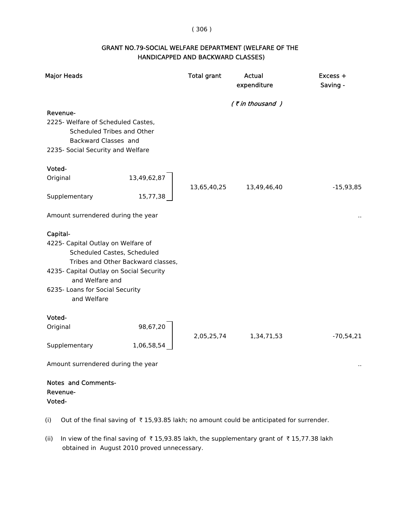### ( 306 )

# GRANT NO.79-SOCIAL WELFARE DEPARTMENT (WELFARE OF THE HANDICAPPED AND BACKWARD CLASSES)

| <b>Major Heads</b>                                                                                                                        | <b>Total grant</b> | Actual<br>expenditure | Excess +<br>Saving - |
|-------------------------------------------------------------------------------------------------------------------------------------------|--------------------|-----------------------|----------------------|
|                                                                                                                                           |                    | $($ ₹ in thousand $)$ |                      |
| Revenue-<br>2225- Welfare of Scheduled Castes,<br>Scheduled Tribes and Other<br>Backward Classes and<br>2235- Social Security and Welfare |                    |                       |                      |
| Voted-                                                                                                                                    |                    |                       |                      |
| 13,49,62,87<br>Original                                                                                                                   | 13,65,40,25        | 13,49,46,40           | $-15,93,85$          |
| 15,77,38<br>Supplementary                                                                                                                 |                    |                       |                      |
| Amount surrendered during the year                                                                                                        |                    |                       |                      |
| Capital-                                                                                                                                  |                    |                       |                      |
| 4225- Capital Outlay on Welfare of<br>Scheduled Castes, Scheduled<br>Tribes and Other Backward classes,                                   |                    |                       |                      |
| 4235- Capital Outlay on Social Security                                                                                                   |                    |                       |                      |
| and Welfare and<br>6235- Loans for Social Security                                                                                        |                    |                       |                      |
| and Welfare                                                                                                                               |                    |                       |                      |
| Voted-                                                                                                                                    |                    |                       |                      |
| 98,67,20<br>Original                                                                                                                      | 2,05,25,74         | 1,34,71,53            | $-70,54,21$          |
| 1,06,58,54<br>Supplementary                                                                                                               |                    |                       |                      |
| Amount surrendered during the year                                                                                                        |                    |                       |                      |

# Notes and Comments- Revenue- Voted-

- (i) Out of the final saving of  $\bar{\tau}$  15,93.85 lakh; no amount could be anticipated for surrender.
- (ii) In view of the final saving of  $\bar{\tau}$  15,93.85 lakh, the supplementary grant of  $\bar{\tau}$  15,77.38 lakh obtained in August 2010 proved unnecessary.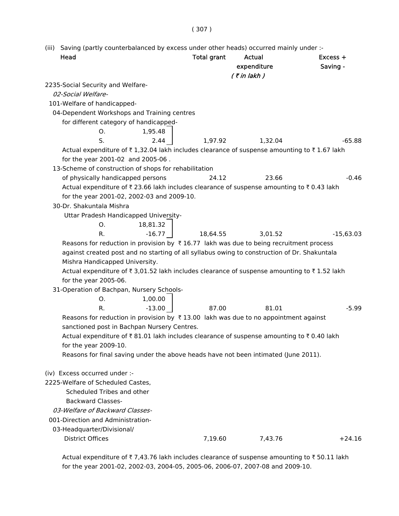# ( 307 )

(iii) Saving (partly counterbalanced by excess under other heads) occurred mainly under :-

| Head                                                                                            | <b>Total grant</b> | Actual<br>expenditure<br>$($ ₹ in lakh $)$ | Excess +<br>Saving - |
|-------------------------------------------------------------------------------------------------|--------------------|--------------------------------------------|----------------------|
| 2235-Social Security and Welfare-                                                               |                    |                                            |                      |
| 02-Social Welfare-                                                                              |                    |                                            |                      |
| 101-Welfare of handicapped-                                                                     |                    |                                            |                      |
| 04-Dependent Workshops and Training centres                                                     |                    |                                            |                      |
| for different category of handicapped-                                                          |                    |                                            |                      |
| 1,95.48<br>О.                                                                                   |                    |                                            |                      |
| S.<br>2.44                                                                                      | 1,97.92            | 1,32.04                                    | $-65.88$             |
| Actual expenditure of ₹1,32.04 lakh includes clearance of suspense amounting to ₹1.67 lakh      |                    |                                            |                      |
| for the year 2001-02 and 2005-06.                                                               |                    |                                            |                      |
| 13-Scheme of construction of shops for rehabilitation                                           |                    |                                            |                      |
| of physically handicapped persons                                                               | 24.12              | 23.66                                      | $-0.46$              |
| Actual expenditure of ₹23.66 lakh includes clearance of suspense amounting to ₹0.43 lakh        |                    |                                            |                      |
| for the year 2001-02, 2002-03 and 2009-10.                                                      |                    |                                            |                      |
| 30-Dr. Shakuntala Mishra                                                                        |                    |                                            |                      |
| Uttar Pradesh Handicapped University-                                                           |                    |                                            |                      |
| 18,81.32<br>0.                                                                                  |                    |                                            |                      |
| $-16.77$<br>R.                                                                                  | 18,64.55           | 3,01.52                                    | $-15,63.03$          |
| Reasons for reduction in provision by $\bar{x}$ 16.77 lakh was due to being recruitment process |                    |                                            |                      |
| against created post and no starting of all syllabus owing to construction of Dr. Shakuntala    |                    |                                            |                      |
| Mishra Handicapped University.                                                                  |                    |                                            |                      |
| Actual expenditure of ₹ 3,01.52 lakh includes clearance of suspense amounting to ₹ 1.52 lakh    |                    |                                            |                      |
| for the year 2005-06.                                                                           |                    |                                            |                      |
| 31-Operation of Bachpan, Nursery Schools-                                                       |                    |                                            |                      |
| 1,00.00<br>0.                                                                                   |                    |                                            |                      |
| $-13.00$<br>R.                                                                                  | 87.00              | 81.01                                      | $-5.99$              |
| Reasons for reduction in provision by $\bar{x}$ 13.00 lakh was due to no appointment against    |                    |                                            |                      |
| sanctioned post in Bachpan Nursery Centres.                                                     |                    |                                            |                      |
| Actual expenditure of ₹81.01 lakh includes clearance of suspense amounting to ₹0.40 lakh        |                    |                                            |                      |
| for the year 2009-10.                                                                           |                    |                                            |                      |
| Reasons for final saving under the above heads have not been intimated (June 2011).             |                    |                                            |                      |
| (iv) Excess occurred under :-                                                                   |                    |                                            |                      |
| 2225-Welfare of Scheduled Castes,                                                               |                    |                                            |                      |
| Scheduled Tribes and other                                                                      |                    |                                            |                      |
| <b>Backward Classes-</b>                                                                        |                    |                                            |                      |
| 03-Welfare of Backward Classes-                                                                 |                    |                                            |                      |
| 001-Direction and Administration-                                                               |                    |                                            |                      |
| 03-Headquarter/Divisional/                                                                      |                    |                                            |                      |
| <b>District Offices</b>                                                                         | 7,19.60            | 7,43.76                                    | $+24.16$             |
|                                                                                                 |                    |                                            |                      |

Actual expenditure of  $\bar{\tau}$  7,43.76 lakh includes clearance of suspense amounting to  $\bar{\tau}$  50.11 lakh for the year 2001-02, 2002-03, 2004-05, 2005-06, 2006-07, 2007-08 and 2009-10.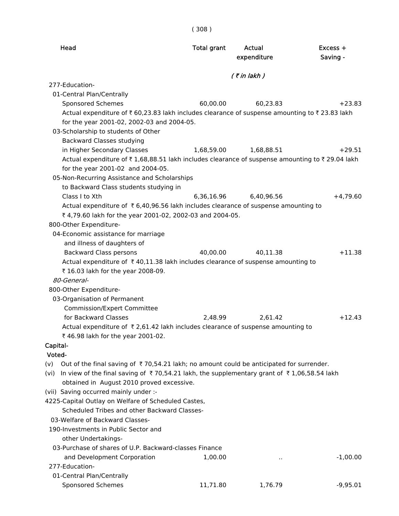| Head                                                                                                        | <b>Total grant</b> | Actual<br>expenditure | Excess +<br>Saving - |
|-------------------------------------------------------------------------------------------------------------|--------------------|-----------------------|----------------------|
|                                                                                                             | $($ ₹ in lakh)     |                       |                      |
| 277-Education-                                                                                              |                    |                       |                      |
| 01-Central Plan/Centrally                                                                                   |                    |                       |                      |
| Sponsored Schemes                                                                                           | 60,00.00           | 60,23.83              | $+23.83$             |
| Actual expenditure of ₹60,23.83 lakh includes clearance of suspense amounting to ₹23.83 lakh                |                    |                       |                      |
| for the year 2001-02, 2002-03 and 2004-05.                                                                  |                    |                       |                      |
| 03-Scholarship to students of Other                                                                         |                    |                       |                      |
| <b>Backward Classes studying</b>                                                                            |                    |                       |                      |
| in Higher Secondary Classes                                                                                 | 1,68,59.00         | 1,68,88.51            | $+29.51$             |
| Actual expenditure of ₹1,68,88.51 lakh includes clearance of suspense amounting to ₹29.04 lakh              |                    |                       |                      |
| for the year 2001-02 and 2004-05.                                                                           |                    |                       |                      |
| 05-Non-Recurring Assistance and Scholarships                                                                |                    |                       |                      |
| to Backward Class students studying in                                                                      |                    |                       |                      |
| Class I to Xth                                                                                              | 6,36,16.96         | 6,40,96.56            | $+4,79.60$           |
| Actual expenditure of ₹6,40,96.56 lakh includes clearance of suspense amounting to                          |                    |                       |                      |
| ₹ 4,79.60 lakh for the year 2001-02, 2002-03 and 2004-05.                                                   |                    |                       |                      |
| 800-Other Expenditure-                                                                                      |                    |                       |                      |
| 04-Economic assistance for marriage                                                                         |                    |                       |                      |
| and illness of daughters of                                                                                 |                    |                       |                      |
| <b>Backward Class persons</b>                                                                               | 40,00.00           | 40,11.38              | $+11.38$             |
| Actual expenditure of ₹40,11.38 lakh includes clearance of suspense amounting to                            |                    |                       |                      |
| ₹ 16.03 lakh for the year 2008-09.                                                                          |                    |                       |                      |
| 80-General-                                                                                                 |                    |                       |                      |
| 800-Other Expenditure-                                                                                      |                    |                       |                      |
| 03-Organisation of Permanent                                                                                |                    |                       |                      |
| <b>Commission/Expert Committee</b>                                                                          |                    |                       |                      |
| for Backward Classes                                                                                        | 2.48.99            | 2,61.42               | $+12.43$             |
| Actual expenditure of ₹2,61.42 lakh includes clearance of suspense amounting to                             |                    |                       |                      |
| ₹46.98 lakh for the year 2001-02.                                                                           |                    |                       |                      |
| Capital-                                                                                                    |                    |                       |                      |
| Voted-                                                                                                      |                    |                       |                      |
| Out of the final saving of $\bar{\tau}$ 70,54.21 lakh; no amount could be anticipated for surrender.<br>(v) |                    |                       |                      |
| (vi) In view of the final saving of ₹70,54.21 lakh, the supplementary grant of ₹1,06,58.54 lakh             |                    |                       |                      |
| obtained in August 2010 proved excessive.                                                                   |                    |                       |                      |
| (vii) Saving occurred mainly under :-                                                                       |                    |                       |                      |
| 4225-Capital Outlay on Welfare of Scheduled Castes,                                                         |                    |                       |                      |
| Scheduled Tribes and other Backward Classes-                                                                |                    |                       |                      |
| 03-Welfare of Backward Classes-                                                                             |                    |                       |                      |
| 190-Investments in Public Sector and                                                                        |                    |                       |                      |
| other Undertakings-                                                                                         |                    |                       |                      |
| 03-Purchase of shares of U.P. Backward-classes Finance                                                      |                    |                       |                      |
| and Development Corporation                                                                                 | 1,00.00            |                       | $-1,00.00$           |
| 277-Education-                                                                                              |                    |                       |                      |
| 01-Central Plan/Centrally                                                                                   |                    |                       |                      |
| <b>Sponsored Schemes</b>                                                                                    | 11,71.80           | 1,76.79               | $-9,95.01$           |

( 308 )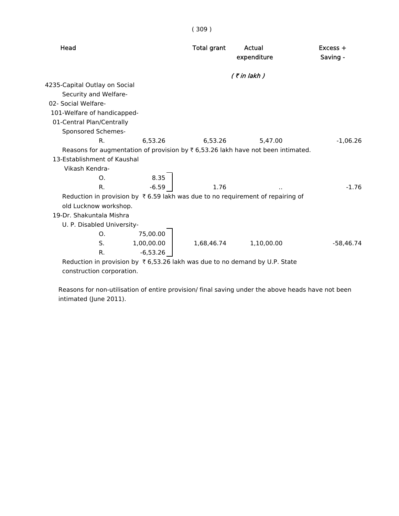| <b>Total grant</b> | Actual<br>expenditure | Excess +<br>Saving -                                                                                                                                                                                                                                                    |
|--------------------|-----------------------|-------------------------------------------------------------------------------------------------------------------------------------------------------------------------------------------------------------------------------------------------------------------------|
|                    | $($ ₹ in lakh $)$     |                                                                                                                                                                                                                                                                         |
|                    |                       |                                                                                                                                                                                                                                                                         |
|                    |                       |                                                                                                                                                                                                                                                                         |
|                    |                       |                                                                                                                                                                                                                                                                         |
|                    |                       |                                                                                                                                                                                                                                                                         |
|                    |                       |                                                                                                                                                                                                                                                                         |
|                    |                       |                                                                                                                                                                                                                                                                         |
| 6,53.26            | 5,47.00               | $-1,06.26$                                                                                                                                                                                                                                                              |
|                    |                       |                                                                                                                                                                                                                                                                         |
|                    |                       |                                                                                                                                                                                                                                                                         |
|                    |                       |                                                                                                                                                                                                                                                                         |
|                    |                       |                                                                                                                                                                                                                                                                         |
| 1.76               |                       | $-1.76$                                                                                                                                                                                                                                                                 |
|                    |                       |                                                                                                                                                                                                                                                                         |
|                    |                       |                                                                                                                                                                                                                                                                         |
|                    |                       |                                                                                                                                                                                                                                                                         |
|                    |                       |                                                                                                                                                                                                                                                                         |
|                    |                       |                                                                                                                                                                                                                                                                         |
| 1,68,46.74         | 1,10,00.00            | $-58.46.74$                                                                                                                                                                                                                                                             |
|                    |                       |                                                                                                                                                                                                                                                                         |
|                    |                       |                                                                                                                                                                                                                                                                         |
|                    |                       | Reasons for augmentation of provision by $\bar{\tau}$ 6,53.26 lakh have not been intimated.<br>Reduction in provision by ₹6.59 lakh was due to no requirement of repairing of<br>Reduction in provision by $\bar{\tau}$ 6,53.26 lakh was due to no demand by U.P. State |

( 309 )

construction corporation.

 Reasons for non-utilisation of entire provision/ final saving under the above heads have not been intimated (June 2011).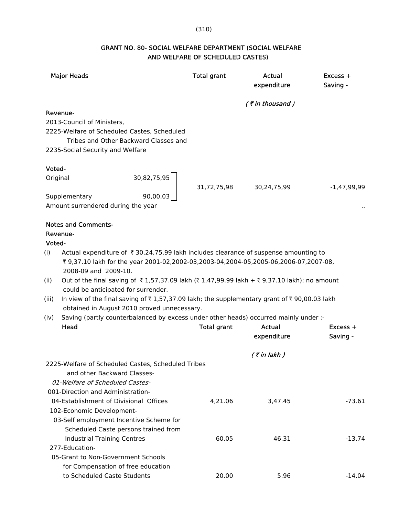### (310)

# GRANT NO. 80- SOCIAL WELFARE DEPARTMENT (SOCIAL WELFARE AND WELFARE OF SCHEDULED CASTES)

|        | <b>Major Heads</b>                                                                                                                  | <b>Total grant</b> | Actual<br>expenditure | Excess +<br>Saving - |
|--------|-------------------------------------------------------------------------------------------------------------------------------------|--------------------|-----------------------|----------------------|
|        |                                                                                                                                     |                    | (₹in thousand)        |                      |
|        | Revenue-                                                                                                                            |                    |                       |                      |
|        | 2013-Council of Ministers,                                                                                                          |                    |                       |                      |
|        | 2225-Welfare of Scheduled Castes, Scheduled                                                                                         |                    |                       |                      |
|        | Tribes and Other Backward Classes and<br>2235-Social Security and Welfare                                                           |                    |                       |                      |
| Voted- |                                                                                                                                     |                    |                       |                      |
|        | 30,82,75,95<br>Original                                                                                                             | 31,72,75,98        | 30,24,75,99           | $-1,47,99,99$        |
|        | 90,00,03<br>Supplementary                                                                                                           |                    |                       |                      |
|        | Amount surrendered during the year                                                                                                  |                    |                       |                      |
|        | <b>Notes and Comments-</b>                                                                                                          |                    |                       |                      |
|        | Revenue-                                                                                                                            |                    |                       |                      |
| Voted- |                                                                                                                                     |                    |                       |                      |
| (i)    | Actual expenditure of ₹30,24,75.99 lakh includes clearance of suspense amounting to                                                 |                    |                       |                      |
|        | ₹ 9,37.10 lakh for the year 2001-02,2002-03,2003-04,2004-05,2005-06,2006-07,2007-08,                                                |                    |                       |                      |
|        | 2008-09 and 2009-10.                                                                                                                |                    |                       |                      |
| (ii)   | Out of the final saving of ₹1,57,37.09 lakh (₹1,47,99.99 lakh + ₹9,37.10 lakh); no amount                                           |                    |                       |                      |
|        | could be anticipated for surrender.                                                                                                 |                    |                       |                      |
| (iii)  | In view of the final saving of $\bar{\tau}$ 1,57,37.09 lakh; the supplementary grant of $\bar{\tau}$ 90,00.03 lakh                  |                    |                       |                      |
| (iv)   | obtained in August 2010 proved unnecessary.<br>Saving (partly counterbalanced by excess under other heads) occurred mainly under :- |                    |                       |                      |
|        | Head                                                                                                                                | <b>Total grant</b> | Actual                | $Excess +$           |
|        |                                                                                                                                     |                    | expenditure           | Saving -             |
|        |                                                                                                                                     |                    |                       |                      |
|        |                                                                                                                                     |                    | $($ ₹ in lakh)        |                      |
|        | 2225-Welfare of Scheduled Castes, Scheduled Tribes                                                                                  |                    |                       |                      |
|        | and other Backward Classes-                                                                                                         |                    |                       |                      |
|        | 01-Welfare of Scheduled Castes-                                                                                                     |                    |                       |                      |
|        | 001-Direction and Administration-                                                                                                   |                    |                       |                      |
|        | 04-Establishment of Divisional Offices                                                                                              | 4,21.06            | 3,47.45               | $-73.61$             |
|        | 102-Economic Development-                                                                                                           |                    |                       |                      |
|        | 03-Self employment Incentive Scheme for                                                                                             |                    |                       |                      |
|        | Scheduled Caste persons trained from                                                                                                |                    |                       |                      |
|        | <b>Industrial Training Centres</b>                                                                                                  | 60.05              | 46.31                 | $-13.74$             |
|        | 277-Education-                                                                                                                      |                    |                       |                      |
|        | 05-Grant to Non-Government Schools                                                                                                  |                    |                       |                      |
|        | for Compensation of free education                                                                                                  |                    |                       |                      |
|        | to Scheduled Caste Students                                                                                                         | 20.00              | 5.96                  | $-14.04$             |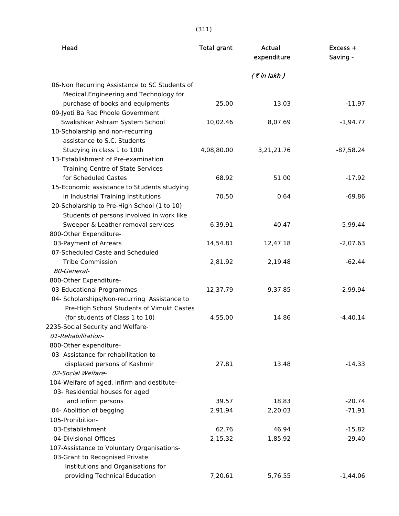| Head                                                                            | <b>Total grant</b> | Actual<br>expenditure | Excess +<br>Saving - |
|---------------------------------------------------------------------------------|--------------------|-----------------------|----------------------|
|                                                                                 |                    | $($ ₹ in lakh $)$     |                      |
| 06-Non Recurring Assistance to SC Students of                                   |                    |                       |                      |
| Medical, Engineering and Technology for                                         |                    |                       |                      |
| purchase of books and equipments                                                | 25.00              | 13.03                 | $-11.97$             |
| 09-Jyoti Ba Rao Phoole Government                                               |                    |                       |                      |
| Swakshkar Ashram System School                                                  | 10,02.46           | 8,07.69               | $-1,94.77$           |
| 10-Scholarship and non-recurring                                                |                    |                       |                      |
| assistance to S.C. Students                                                     |                    |                       |                      |
| Studying in class 1 to 10th                                                     | 4,08,80.00         | 3,21,21.76            | $-87,58.24$          |
| 13-Establishment of Pre-examination                                             |                    |                       |                      |
| <b>Training Centre of State Services</b>                                        |                    |                       |                      |
| for Scheduled Castes                                                            | 68.92              | 51.00                 | $-17.92$             |
| 15-Economic assistance to Students studying                                     |                    |                       |                      |
| in Industrial Training Institutions                                             | 70.50              | 0.64                  | $-69.86$             |
| 20-Scholarship to Pre-High School (1 to 10)                                     |                    |                       |                      |
| Students of persons involved in work like<br>Sweeper & Leather removal services | 6.39.91            | 40.47                 | $-5,99.44$           |
| 800-Other Expenditure-                                                          |                    |                       |                      |
| 03-Payment of Arrears                                                           | 14,54.81           | 12,47.18              | $-2,07.63$           |
| 07-Scheduled Caste and Scheduled                                                |                    |                       |                      |
| <b>Tribe Commission</b>                                                         | 2,81.92            | 2,19.48               | $-62.44$             |
| 80-General-                                                                     |                    |                       |                      |
| 800-Other Expenditure-                                                          |                    |                       |                      |
| 03-Educational Programmes                                                       | 12,37.79           | 9,37.85               | $-2,99.94$           |
| 04- Scholarships/Non-recurring Assistance to                                    |                    |                       |                      |
| Pre-High School Students of Vimukt Castes                                       |                    |                       |                      |
| (for students of Class 1 to 10)                                                 | 4,55.00            | 14.86                 | $-4,40.14$           |
| 2235-Social Security and Welfare-                                               |                    |                       |                      |
| 01-Rehabilitation-                                                              |                    |                       |                      |
| 800-Other expenditure-                                                          |                    |                       |                      |
| 03- Assistance for rehabilitation to                                            |                    |                       |                      |
| displaced persons of Kashmir                                                    | 27.81              | 13.48                 | $-14.33$             |
| 02-Social Welfare-                                                              |                    |                       |                      |
| 104-Welfare of aged, infirm and destitute-                                      |                    |                       |                      |
| 03- Residential houses for aged                                                 |                    |                       |                      |
| and infirm persons                                                              | 39.57              | 18.83                 | $-20.74$             |
| 04- Abolition of begging                                                        | 2,91.94            | 2,20.03               | $-71.91$             |
| 105-Prohibition-                                                                |                    |                       |                      |
| 03-Establishment                                                                | 62.76              | 46.94                 | $-15.82$             |
| 04-Divisional Offices                                                           | 2,15.32            | 1,85.92               | $-29.40$             |
| 107-Assistance to Voluntary Organisations-                                      |                    |                       |                      |
| 03-Grant to Recognised Private                                                  |                    |                       |                      |
| Institutions and Organisations for                                              |                    |                       |                      |
| providing Technical Education                                                   | 7,20.61            | 5,76.55               | $-1,44.06$           |

(311)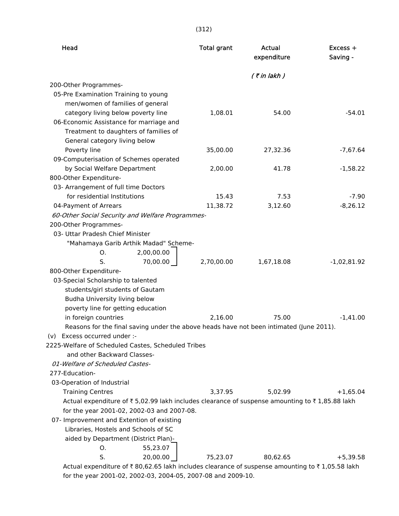| Head                                                                                           |            | <b>Total grant</b> | Actual<br>expenditure | $Excess +$<br>Saving - |
|------------------------------------------------------------------------------------------------|------------|--------------------|-----------------------|------------------------|
|                                                                                                |            |                    | $($ ₹ in lakh $)$     |                        |
| 200-Other Programmes-                                                                          |            |                    |                       |                        |
| 05-Pre Examination Training to young                                                           |            |                    |                       |                        |
| men/women of families of general                                                               |            |                    |                       |                        |
| category living below poverty line                                                             |            | 1,08.01            | 54.00                 | $-54.01$               |
| 06-Economic Assistance for marriage and                                                        |            |                    |                       |                        |
| Treatment to daughters of families of                                                          |            |                    |                       |                        |
| General category living below                                                                  |            |                    |                       |                        |
| Poverty line                                                                                   |            | 35,00.00           | 27,32.36              | $-7,67.64$             |
| 09-Computerisation of Schemes operated                                                         |            |                    |                       |                        |
| by Social Welfare Department                                                                   |            | 2,00.00            | 41.78                 | $-1,58.22$             |
| 800-Other Expenditure-                                                                         |            |                    |                       |                        |
| 03- Arrangement of full time Doctors                                                           |            |                    |                       |                        |
| for residential Institutions                                                                   |            | 15.43              | 7.53                  | $-7.90$                |
| 04-Payment of Arrears                                                                          |            | 11,38.72           | 3,12.60               | $-8,26.12$             |
| 60-Other Social Security and Welfare Programmes-                                               |            |                    |                       |                        |
| 200-Other Programmes-<br>03- Uttar Pradesh Chief Minister                                      |            |                    |                       |                        |
| "Mahamaya Garib Arthik Madad" Scheme-                                                          |            |                    |                       |                        |
| Ο.                                                                                             | 2,00,00.00 |                    |                       |                        |
| S.                                                                                             | 70,00.00   | 2,70,00.00         | 1,67,18.08            | $-1,02,81.92$          |
| 800-Other Expenditure-                                                                         |            |                    |                       |                        |
| 03-Special Scholarship to talented                                                             |            |                    |                       |                        |
| students/girl students of Gautam                                                               |            |                    |                       |                        |
| Budha University living below                                                                  |            |                    |                       |                        |
| poverty line for getting education                                                             |            |                    |                       |                        |
| in foreign countries                                                                           |            | 2,16.00            | 75.00                 | $-1,41.00$             |
| Reasons for the final saving under the above heads have not been intimated (June 2011).        |            |                    |                       |                        |
| (v) Excess occurred under :-                                                                   |            |                    |                       |                        |
| 2225-Welfare of Scheduled Castes, Scheduled Tribes                                             |            |                    |                       |                        |
| and other Backward Classes-                                                                    |            |                    |                       |                        |
| 01-Welfare of Scheduled Castes-                                                                |            |                    |                       |                        |
| 277-Education-                                                                                 |            |                    |                       |                        |
| 03-Operation of Industrial                                                                     |            |                    |                       |                        |
| <b>Training Centres</b>                                                                        |            | 3,37.95            | 5,02.99               | $+1,65.04$             |
| Actual expenditure of ₹5,02.99 lakh includes clearance of suspense amounting to ₹1,85.88 lakh  |            |                    |                       |                        |
| for the year 2001-02, 2002-03 and 2007-08.                                                     |            |                    |                       |                        |
| 07- Improvement and Extention of existing                                                      |            |                    |                       |                        |
| Libraries, Hostels and Schools of SC                                                           |            |                    |                       |                        |
| aided by Department (District Plan)-                                                           |            |                    |                       |                        |
| О.                                                                                             | 55,23.07   |                    |                       |                        |
| S.                                                                                             | 20,00.00   | 75,23.07           | 80,62.65              | $+5,39.58$             |
| Actual expenditure of ₹80,62.65 lakh includes clearance of suspense amounting to ₹1,05.58 lakh |            |                    |                       |                        |
| for the year 2001-02, 2002-03, 2004-05, 2007-08 and 2009-10.                                   |            |                    |                       |                        |

(312)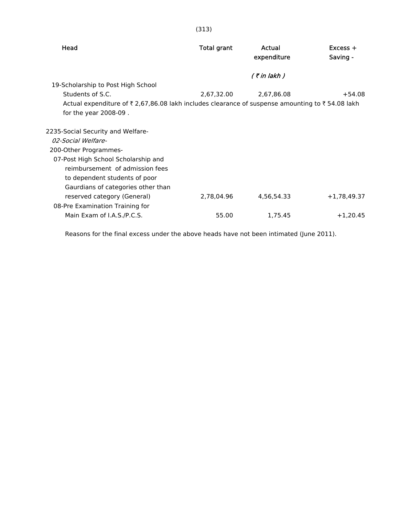| Head                                                                                           | <b>Total grant</b> | Actual<br>expenditure | $Excess +$<br>Saving - |
|------------------------------------------------------------------------------------------------|--------------------|-----------------------|------------------------|
|                                                                                                |                    | $($ ₹ in lakh $)$     |                        |
| 19-Scholarship to Post High School                                                             |                    |                       |                        |
| Students of S.C.                                                                               | 2,67,32.00         | 2,67,86.08            | $+54.08$               |
| Actual expenditure of ₹2,67,86.08 lakh includes clearance of suspense amounting to ₹54.08 lakh |                    |                       |                        |
| for the year $2008-09$ .                                                                       |                    |                       |                        |
| 2235-Social Security and Welfare-                                                              |                    |                       |                        |
| 02-Social Welfare-                                                                             |                    |                       |                        |
| 200-Other Programmes-                                                                          |                    |                       |                        |
| 07-Post High School Scholarship and                                                            |                    |                       |                        |
| reimbursement of admission fees                                                                |                    |                       |                        |
| to dependent students of poor                                                                  |                    |                       |                        |
| Gaurdians of categories other than                                                             |                    |                       |                        |
| reserved category (General)                                                                    | 2,78,04.96         | 4,56,54.33            | $+1,78,49.37$          |
| 08-Pre Examination Training for                                                                |                    |                       |                        |
| Main Exam of I.A.S./P.C.S.                                                                     | 55.00              | 1,75.45               | $+1,20.45$             |

Reasons for the final excess under the above heads have not been intimated (June 2011).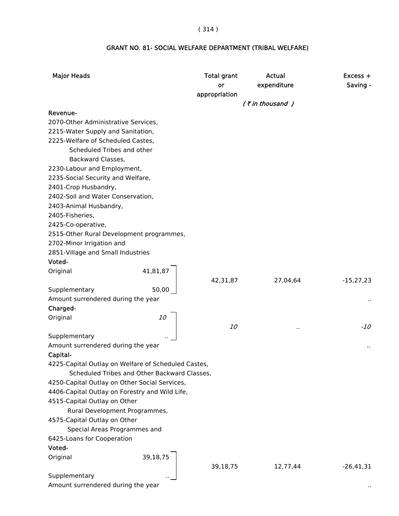# ( 314 )

# GRANT NO. 81- SOCIAL WELFARE DEPARTMENT (TRIBAL WELFARE)

| $($ ₹ in thousand )<br>Revenue-<br>2070-Other Administrative Services,<br>2215-Water Supply and Sanitation,<br>2225-Welfare of Scheduled Castes,<br>Scheduled Tribes and other<br>Backward Classes,<br>2230-Labour and Employment,<br>2235-Social Security and Welfare,<br>2401-Crop Husbandry,<br>2402-Soil and Water Conservation,<br>2403-Animal Husbandry,<br>2405-Fisheries,<br>2425-Co-operative,<br>2515-Other Rural Development programmes,<br>2702-Minor Irrigation and<br>2851-Village and Small Industries<br>Voted-<br>41,81,87<br>Original<br>42,31,87<br>27,04,64<br>$-15,27,23$<br>Supplementary<br>50,00<br>Amount surrendered during the year<br>Charged-<br>10<br>Original<br><i>10</i><br>$-10$<br>$\cdot$ .<br>Supplementary<br>Amount surrendered during the year<br><br>Capital-<br>4225-Capital Outlay on Welfare of Scheduled Castes,<br>Scheduled Tribes and Other Backward Classes,<br>4250-Capital Outlay on Other Social Services,<br>4406-Capital Outlay on Forestry and Wild Life,<br>4515-Capital Outlay on Other<br>Rural Development Programmes,<br>4575-Capital Outlay on Other<br>Special Areas Programmes and<br>6425-Loans for Cooperation<br>Voted-<br>39,18,75<br>Original | <b>Major Heads</b> | <b>Total grant</b><br>or<br>appropriation | Actual<br>expenditure | $Excess +$<br>Saving - |
|-------------------------------------------------------------------------------------------------------------------------------------------------------------------------------------------------------------------------------------------------------------------------------------------------------------------------------------------------------------------------------------------------------------------------------------------------------------------------------------------------------------------------------------------------------------------------------------------------------------------------------------------------------------------------------------------------------------------------------------------------------------------------------------------------------------------------------------------------------------------------------------------------------------------------------------------------------------------------------------------------------------------------------------------------------------------------------------------------------------------------------------------------------------------------------------------------------------------|--------------------|-------------------------------------------|-----------------------|------------------------|
|                                                                                                                                                                                                                                                                                                                                                                                                                                                                                                                                                                                                                                                                                                                                                                                                                                                                                                                                                                                                                                                                                                                                                                                                                   |                    |                                           |                       |                        |
|                                                                                                                                                                                                                                                                                                                                                                                                                                                                                                                                                                                                                                                                                                                                                                                                                                                                                                                                                                                                                                                                                                                                                                                                                   |                    |                                           |                       |                        |
|                                                                                                                                                                                                                                                                                                                                                                                                                                                                                                                                                                                                                                                                                                                                                                                                                                                                                                                                                                                                                                                                                                                                                                                                                   |                    |                                           |                       |                        |
|                                                                                                                                                                                                                                                                                                                                                                                                                                                                                                                                                                                                                                                                                                                                                                                                                                                                                                                                                                                                                                                                                                                                                                                                                   |                    |                                           |                       |                        |
|                                                                                                                                                                                                                                                                                                                                                                                                                                                                                                                                                                                                                                                                                                                                                                                                                                                                                                                                                                                                                                                                                                                                                                                                                   |                    |                                           |                       |                        |
|                                                                                                                                                                                                                                                                                                                                                                                                                                                                                                                                                                                                                                                                                                                                                                                                                                                                                                                                                                                                                                                                                                                                                                                                                   |                    |                                           |                       |                        |
|                                                                                                                                                                                                                                                                                                                                                                                                                                                                                                                                                                                                                                                                                                                                                                                                                                                                                                                                                                                                                                                                                                                                                                                                                   |                    |                                           |                       |                        |
|                                                                                                                                                                                                                                                                                                                                                                                                                                                                                                                                                                                                                                                                                                                                                                                                                                                                                                                                                                                                                                                                                                                                                                                                                   |                    |                                           |                       |                        |
|                                                                                                                                                                                                                                                                                                                                                                                                                                                                                                                                                                                                                                                                                                                                                                                                                                                                                                                                                                                                                                                                                                                                                                                                                   |                    |                                           |                       |                        |
|                                                                                                                                                                                                                                                                                                                                                                                                                                                                                                                                                                                                                                                                                                                                                                                                                                                                                                                                                                                                                                                                                                                                                                                                                   |                    |                                           |                       |                        |
|                                                                                                                                                                                                                                                                                                                                                                                                                                                                                                                                                                                                                                                                                                                                                                                                                                                                                                                                                                                                                                                                                                                                                                                                                   |                    |                                           |                       |                        |
|                                                                                                                                                                                                                                                                                                                                                                                                                                                                                                                                                                                                                                                                                                                                                                                                                                                                                                                                                                                                                                                                                                                                                                                                                   |                    |                                           |                       |                        |
|                                                                                                                                                                                                                                                                                                                                                                                                                                                                                                                                                                                                                                                                                                                                                                                                                                                                                                                                                                                                                                                                                                                                                                                                                   |                    |                                           |                       |                        |
|                                                                                                                                                                                                                                                                                                                                                                                                                                                                                                                                                                                                                                                                                                                                                                                                                                                                                                                                                                                                                                                                                                                                                                                                                   |                    |                                           |                       |                        |
|                                                                                                                                                                                                                                                                                                                                                                                                                                                                                                                                                                                                                                                                                                                                                                                                                                                                                                                                                                                                                                                                                                                                                                                                                   |                    |                                           |                       |                        |
|                                                                                                                                                                                                                                                                                                                                                                                                                                                                                                                                                                                                                                                                                                                                                                                                                                                                                                                                                                                                                                                                                                                                                                                                                   |                    |                                           |                       |                        |
|                                                                                                                                                                                                                                                                                                                                                                                                                                                                                                                                                                                                                                                                                                                                                                                                                                                                                                                                                                                                                                                                                                                                                                                                                   |                    |                                           |                       |                        |
|                                                                                                                                                                                                                                                                                                                                                                                                                                                                                                                                                                                                                                                                                                                                                                                                                                                                                                                                                                                                                                                                                                                                                                                                                   |                    |                                           |                       |                        |
|                                                                                                                                                                                                                                                                                                                                                                                                                                                                                                                                                                                                                                                                                                                                                                                                                                                                                                                                                                                                                                                                                                                                                                                                                   |                    |                                           |                       |                        |
|                                                                                                                                                                                                                                                                                                                                                                                                                                                                                                                                                                                                                                                                                                                                                                                                                                                                                                                                                                                                                                                                                                                                                                                                                   |                    |                                           |                       |                        |
|                                                                                                                                                                                                                                                                                                                                                                                                                                                                                                                                                                                                                                                                                                                                                                                                                                                                                                                                                                                                                                                                                                                                                                                                                   |                    |                                           |                       |                        |
|                                                                                                                                                                                                                                                                                                                                                                                                                                                                                                                                                                                                                                                                                                                                                                                                                                                                                                                                                                                                                                                                                                                                                                                                                   |                    |                                           |                       |                        |
|                                                                                                                                                                                                                                                                                                                                                                                                                                                                                                                                                                                                                                                                                                                                                                                                                                                                                                                                                                                                                                                                                                                                                                                                                   |                    |                                           |                       |                        |
|                                                                                                                                                                                                                                                                                                                                                                                                                                                                                                                                                                                                                                                                                                                                                                                                                                                                                                                                                                                                                                                                                                                                                                                                                   |                    |                                           |                       |                        |
|                                                                                                                                                                                                                                                                                                                                                                                                                                                                                                                                                                                                                                                                                                                                                                                                                                                                                                                                                                                                                                                                                                                                                                                                                   |                    |                                           |                       |                        |
|                                                                                                                                                                                                                                                                                                                                                                                                                                                                                                                                                                                                                                                                                                                                                                                                                                                                                                                                                                                                                                                                                                                                                                                                                   |                    |                                           |                       |                        |
|                                                                                                                                                                                                                                                                                                                                                                                                                                                                                                                                                                                                                                                                                                                                                                                                                                                                                                                                                                                                                                                                                                                                                                                                                   |                    |                                           |                       |                        |
|                                                                                                                                                                                                                                                                                                                                                                                                                                                                                                                                                                                                                                                                                                                                                                                                                                                                                                                                                                                                                                                                                                                                                                                                                   |                    |                                           |                       |                        |
|                                                                                                                                                                                                                                                                                                                                                                                                                                                                                                                                                                                                                                                                                                                                                                                                                                                                                                                                                                                                                                                                                                                                                                                                                   |                    |                                           |                       |                        |
|                                                                                                                                                                                                                                                                                                                                                                                                                                                                                                                                                                                                                                                                                                                                                                                                                                                                                                                                                                                                                                                                                                                                                                                                                   |                    |                                           |                       |                        |
|                                                                                                                                                                                                                                                                                                                                                                                                                                                                                                                                                                                                                                                                                                                                                                                                                                                                                                                                                                                                                                                                                                                                                                                                                   |                    |                                           |                       |                        |
|                                                                                                                                                                                                                                                                                                                                                                                                                                                                                                                                                                                                                                                                                                                                                                                                                                                                                                                                                                                                                                                                                                                                                                                                                   |                    |                                           |                       |                        |
|                                                                                                                                                                                                                                                                                                                                                                                                                                                                                                                                                                                                                                                                                                                                                                                                                                                                                                                                                                                                                                                                                                                                                                                                                   |                    |                                           |                       |                        |
|                                                                                                                                                                                                                                                                                                                                                                                                                                                                                                                                                                                                                                                                                                                                                                                                                                                                                                                                                                                                                                                                                                                                                                                                                   |                    |                                           |                       |                        |
|                                                                                                                                                                                                                                                                                                                                                                                                                                                                                                                                                                                                                                                                                                                                                                                                                                                                                                                                                                                                                                                                                                                                                                                                                   |                    |                                           |                       |                        |
|                                                                                                                                                                                                                                                                                                                                                                                                                                                                                                                                                                                                                                                                                                                                                                                                                                                                                                                                                                                                                                                                                                                                                                                                                   |                    |                                           |                       |                        |
|                                                                                                                                                                                                                                                                                                                                                                                                                                                                                                                                                                                                                                                                                                                                                                                                                                                                                                                                                                                                                                                                                                                                                                                                                   |                    |                                           |                       |                        |
|                                                                                                                                                                                                                                                                                                                                                                                                                                                                                                                                                                                                                                                                                                                                                                                                                                                                                                                                                                                                                                                                                                                                                                                                                   |                    |                                           |                       |                        |
| 39,18,75<br>12,77,44<br>$-26,41,31$<br>Supplementary                                                                                                                                                                                                                                                                                                                                                                                                                                                                                                                                                                                                                                                                                                                                                                                                                                                                                                                                                                                                                                                                                                                                                              |                    |                                           |                       |                        |
| Amount surrendered during the year                                                                                                                                                                                                                                                                                                                                                                                                                                                                                                                                                                                                                                                                                                                                                                                                                                                                                                                                                                                                                                                                                                                                                                                |                    |                                           |                       |                        |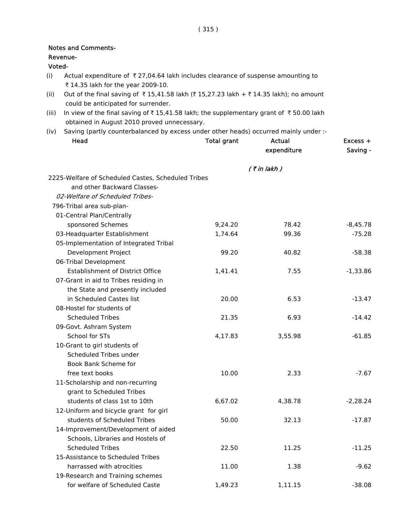### Revenue-

# Voted-

- (i) Actual expenditure of  $\bar{\tau}$  27,04.64 lakh includes clearance of suspense amounting to ₹ 14.35 lakh for the year 2009-10.
- (ii) Out of the final saving of  $\bar{\tau}$  15,41.58 lakh ( $\bar{\tau}$  15,27.23 lakh +  $\bar{\tau}$  14.35 lakh); no amount could be anticipated for surrender.
- (iii) In view of the final saving of  $\bar{\tau}$  15,41.58 lakh; the supplementary grant of  $\bar{\tau}$  50.00 lakh obtained in August 2010 proved unnecessary.
- (iv) Saving (partly counterbalanced by excess under other heads) occurred mainly under :-

| Head                                               | <b>Total grant</b> | Actual<br>expenditure | Excess +<br>Saving - |
|----------------------------------------------------|--------------------|-----------------------|----------------------|
|                                                    |                    | $($ ₹ in lakh)        |                      |
| 2225-Welfare of Scheduled Castes, Scheduled Tribes |                    |                       |                      |
| and other Backward Classes-                        |                    |                       |                      |
| 02-Welfare of Scheduled Tribes-                    |                    |                       |                      |
| 796-Tribal area sub-plan-                          |                    |                       |                      |
| 01-Central Plan/Centrally                          |                    |                       |                      |
| sponsored Schemes                                  | 9,24.20            | 78.42                 | $-8,45.78$           |
| 03-Headquarter Establishment                       | 1,74.64            | 99.36                 | $-75.28$             |
| 05-Implementation of Integrated Tribal             |                    |                       |                      |
| Development Project                                | 99.20              | 40.82                 | $-58.38$             |
| 06-Tribal Development                              |                    |                       |                      |
| <b>Establishment of District Office</b>            | 1,41.41            | 7.55                  | $-1,33.86$           |
| 07-Grant in aid to Tribes residing in              |                    |                       |                      |
| the State and presently included                   |                    |                       |                      |
| in Scheduled Castes list                           | 20.00              | 6.53                  | $-13.47$             |
| 08-Hostel for students of                          |                    |                       |                      |
| <b>Scheduled Tribes</b>                            | 21.35              | 6.93                  | $-14.42$             |
| 09-Govt. Ashram System                             |                    |                       |                      |
| <b>School for STs</b>                              | 4,17.83            | 3,55.98               | $-61.85$             |
| 10-Grant to girl students of                       |                    |                       |                      |
| Scheduled Tribes under                             |                    |                       |                      |
| Book Bank Scheme for                               |                    |                       |                      |
| free text books                                    | 10.00              | 2.33                  | $-7.67$              |
| 11-Scholarship and non-recurring                   |                    |                       |                      |
| grant to Scheduled Tribes                          |                    |                       |                      |
| students of class 1st to 10th                      | 6,67.02            | 4,38.78               | $-2,28.24$           |
| 12-Uniform and bicycle grant for girl              |                    |                       |                      |
| students of Scheduled Tribes                       | 50.00              | 32.13                 | $-17.87$             |
| 14-Improvement/Development of aided                |                    |                       |                      |
| Schools, Libraries and Hostels of                  |                    |                       |                      |
| <b>Scheduled Tribes</b>                            | 22.50              | 11.25                 | $-11.25$             |
| 15-Assistance to Scheduled Tribes                  |                    |                       |                      |
| harrassed with atrocities                          | 11.00              | 1.38                  | $-9.62$              |
| 19-Research and Training schemes                   |                    |                       |                      |
| for welfare of Scheduled Caste                     | 1,49.23            | 1,11.15               | $-38.08$             |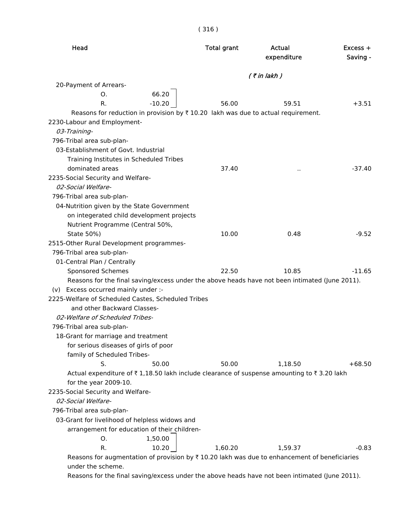| Head                                                                                                               | <b>Total grant</b> | Actual<br>expenditure | $Excess +$<br>Saving - |
|--------------------------------------------------------------------------------------------------------------------|--------------------|-----------------------|------------------------|
|                                                                                                                    |                    | $($ ₹ in lakh $)$     |                        |
| 20-Payment of Arrears-                                                                                             |                    |                       |                        |
| 66.20<br>O.                                                                                                        |                    |                       |                        |
| $-10.20$<br>R.                                                                                                     | 56.00              | 59.51                 | $+3.51$                |
| Reasons for reduction in provision by $\bar{x}$ 10.20 lakh was due to actual requirement.                          |                    |                       |                        |
| 2230-Labour and Employment-                                                                                        |                    |                       |                        |
| 03-Training-                                                                                                       |                    |                       |                        |
| 796-Tribal area sub-plan-                                                                                          |                    |                       |                        |
| 03-Establishment of Govt. Industrial                                                                               |                    |                       |                        |
| Training Institutes in Scheduled Tribes                                                                            |                    |                       |                        |
| dominated areas                                                                                                    | 37.40              | $\ddot{\phantom{0}}$  | $-37.40$               |
| 2235-Social Security and Welfare-                                                                                  |                    |                       |                        |
| 02-Social Welfare-                                                                                                 |                    |                       |                        |
| 796-Tribal area sub-plan-                                                                                          |                    |                       |                        |
| 04-Nutrition given by the State Government                                                                         |                    |                       |                        |
| on integerated child development projects                                                                          |                    |                       |                        |
| Nutrient Programme (Central 50%,                                                                                   |                    |                       |                        |
| State 50%)                                                                                                         | 10.00              | 0.48                  | $-9.52$                |
| 2515-Other Rural Development programmes-                                                                           |                    |                       |                        |
| 796-Tribal area sub-plan-                                                                                          |                    |                       |                        |
| 01-Central Plan / Centrally                                                                                        |                    |                       |                        |
| Sponsored Schemes                                                                                                  | 22.50              | 10.85                 | $-11.65$               |
| Reasons for the final saving/excess under the above heads have not been intimated (June 2011).                     |                    |                       |                        |
| (v) Excess occurred mainly under :-                                                                                |                    |                       |                        |
| 2225-Welfare of Scheduled Castes, Scheduled Tribes                                                                 |                    |                       |                        |
| and other Backward Classes-                                                                                        |                    |                       |                        |
| 02-Welfare of Scheduled Tribes-                                                                                    |                    |                       |                        |
| 796-Tribal area sub-plan-                                                                                          |                    |                       |                        |
| 18-Grant for marriage and treatment                                                                                |                    |                       |                        |
| for serious diseases of girls of poor                                                                              |                    |                       |                        |
| family of Scheduled Tribes-                                                                                        |                    |                       |                        |
| S.<br>50.00                                                                                                        | 50.00              | 1,18.50               | $+68.50$               |
| Actual expenditure of ₹1,18.50 lakh include clearance of suspense amounting to ₹3.20 lakh<br>for the year 2009-10. |                    |                       |                        |
| 2235-Social Security and Welfare-                                                                                  |                    |                       |                        |
| 02-Social Welfare-                                                                                                 |                    |                       |                        |
| 796-Tribal area sub-plan-                                                                                          |                    |                       |                        |
| 03-Grant for livelihood of helpless widows and                                                                     |                    |                       |                        |
| arrangement for education of their children-                                                                       |                    |                       |                        |
| 1,50.00<br>0.                                                                                                      |                    |                       |                        |
| R.<br>10.20                                                                                                        | 1,60.20            | 1,59.37               | $-0.83$                |
| Reasons for augmentation of provision by $\bar{\tau}$ 10.20 lakh was due to enhancement of beneficiaries           |                    |                       |                        |
| under the scheme.                                                                                                  |                    |                       |                        |

Reasons for the final saving/excess under the above heads have not been intimated (June 2011).

# ( 316 )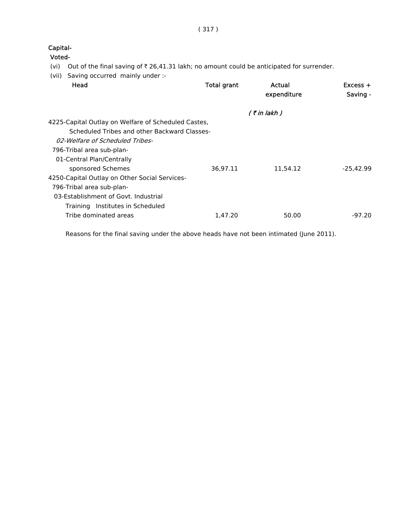( 317 )

Capital-

Voted-

- (vi) Out of the final saving of  $\bar{\tau}$  26,41.31 lakh; no amount could be anticipated for surrender.
- (vii) Saving occurred mainly under :-

| $Excess +$<br>Saving - |
|------------------------|
|                        |
|                        |
|                        |
|                        |
|                        |
|                        |
| $-25,42.99$            |
|                        |
|                        |
|                        |
|                        |
| $-97.20$               |
|                        |

Reasons for the final saving under the above heads have not been intimated (June 2011).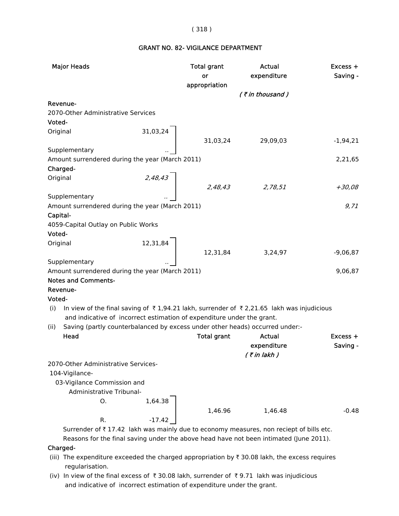### ( 318 )

# GRANT NO. 82- VIGILANCE DEPARTMENT

| <b>Major Heads</b> |                                                                        |          | <b>Total grant</b><br>or<br>appropriation | Actual<br>expenditure                                                                    | Excess +<br>Saving - |
|--------------------|------------------------------------------------------------------------|----------|-------------------------------------------|------------------------------------------------------------------------------------------|----------------------|
|                    |                                                                        |          |                                           | (₹in thousand)                                                                           |                      |
| Revenue-           |                                                                        |          |                                           |                                                                                          |                      |
|                    | 2070-Other Administrative Services                                     |          |                                           |                                                                                          |                      |
| Voted-             |                                                                        |          |                                           |                                                                                          |                      |
| Original           |                                                                        | 31,03,24 |                                           |                                                                                          |                      |
|                    |                                                                        |          | 31,03,24                                  | 29,09,03                                                                                 | $-1,94,21$           |
| Supplementary      |                                                                        |          |                                           |                                                                                          |                      |
|                    | Amount surrendered during the year (March 2011)                        |          |                                           |                                                                                          | 2,21,65              |
| Charged-           |                                                                        |          |                                           |                                                                                          |                      |
| Original           |                                                                        | 2,48,43  |                                           |                                                                                          |                      |
|                    |                                                                        |          | 2,48,43                                   | 2,78,51                                                                                  | $+30,08$             |
| Supplementary      |                                                                        |          |                                           |                                                                                          |                      |
|                    | Amount surrendered during the year (March 2011)                        |          |                                           |                                                                                          | 9,71                 |
| Capital-           |                                                                        |          |                                           |                                                                                          |                      |
|                    | 4059-Capital Outlay on Public Works                                    |          |                                           |                                                                                          |                      |
| Voted-             |                                                                        |          |                                           |                                                                                          |                      |
| Original           |                                                                        | 12,31,84 |                                           |                                                                                          |                      |
|                    |                                                                        |          | 12,31,84                                  | 3,24,97                                                                                  | $-9,06,87$           |
| Supplementary      |                                                                        |          |                                           |                                                                                          |                      |
|                    | Amount surrendered during the year (March 2011)                        |          |                                           |                                                                                          | 9,06,87              |
|                    | <b>Notes and Comments-</b>                                             |          |                                           |                                                                                          |                      |
| Revenue-           |                                                                        |          |                                           |                                                                                          |                      |
| Voted-             |                                                                        |          |                                           |                                                                                          |                      |
| (i)                |                                                                        |          |                                           | In view of the final saving of ₹1,94.21 lakh, surrender of ₹2,21.65 lakh was injudicious |                      |
|                    | and indicative of incorrect estimation of expenditure under the grant. |          |                                           |                                                                                          |                      |
| (ii)               |                                                                        |          |                                           | Saving (partly counterbalanced by excess under other heads) occurred under:-             |                      |
| Head               |                                                                        |          | <b>Total grant</b>                        | Actual                                                                                   | $Excess +$           |
|                    |                                                                        |          |                                           | expenditure                                                                              | Saving -             |
|                    |                                                                        |          |                                           | $($ ₹ in lakh)                                                                           |                      |
|                    | 2070-Other Administrative Services-                                    |          |                                           |                                                                                          |                      |
| 104-Vigilance-     |                                                                        |          |                                           |                                                                                          |                      |
|                    | 03-Vigilance Commission and                                            |          |                                           |                                                                                          |                      |
|                    | Administrative Tribunal-                                               |          |                                           |                                                                                          |                      |
|                    | O.                                                                     | 1,64.38  |                                           |                                                                                          |                      |
|                    |                                                                        |          | 1,46.96                                   | 1,46.48                                                                                  | $-0.48$              |
|                    | R.                                                                     | $-17.42$ |                                           |                                                                                          |                      |
|                    |                                                                        |          |                                           | Surrender of ₹17.42 lakh was mainly due to economy measures, non reciept of bills etc.   |                      |
|                    |                                                                        |          |                                           | Reasons for the final saving under the above head have not been intimated (June 2011).   |                      |

Charged-

- (iii) The expenditure exceeded the charged appropriation by  $\bar{\tau}$  30.08 lakh, the excess requires regularisation.
- (iv) In view of the final excess of  $\bar{\tau}$  30.08 lakh, surrender of  $\bar{\tau}$  9.71 lakh was injudicious and indicative of incorrect estimation of expenditure under the grant.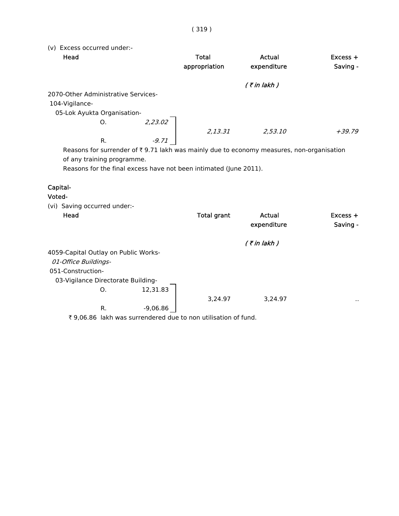(v) Excess occurred under:-

| Head                                |         | Total                                                             | Actual                                                                                                   | $Excess +$ |
|-------------------------------------|---------|-------------------------------------------------------------------|----------------------------------------------------------------------------------------------------------|------------|
|                                     |         | appropriation                                                     | expenditure                                                                                              | Saving -   |
|                                     |         |                                                                   | $($ ₹ in lakh $)$                                                                                        |            |
| 2070-Other Administrative Services- |         |                                                                   |                                                                                                          |            |
| 104-Vigilance-                      |         |                                                                   |                                                                                                          |            |
| 05-Lok Ayukta Organisation-         |         |                                                                   |                                                                                                          |            |
| Ο.                                  | 2,23.02 |                                                                   |                                                                                                          |            |
|                                     |         | 2,13.31                                                           | 2,53.10                                                                                                  | +39.79     |
| R.                                  | $-9.71$ |                                                                   |                                                                                                          |            |
|                                     |         |                                                                   | Reasons for surrender of $\overline{\xi}$ 9.71 lakh was mainly due to economy measures, non-organisation |            |
| of any training programme.          |         |                                                                   |                                                                                                          |            |
|                                     |         | Reasons for the final excess have not been intimated (June 2011). |                                                                                                          |            |
| Capital-                            |         |                                                                   |                                                                                                          |            |
| .                                   |         |                                                                   |                                                                                                          |            |

#### Voted-

| (vi) Saving occurred under:-         |    |            |                    |                   |               |
|--------------------------------------|----|------------|--------------------|-------------------|---------------|
| Head                                 |    |            | <b>Total grant</b> | Actual            | $Excess +$    |
|                                      |    |            |                    | expenditure       | Saving -      |
|                                      |    |            |                    | $($ ₹ in lakh $)$ |               |
| 4059-Capital Outlay on Public Works- |    |            |                    |                   |               |
| 01-Office Buildings-                 |    |            |                    |                   |               |
| 051-Construction-                    |    |            |                    |                   |               |
| 03-Vigilance Directorate Building-   |    |            |                    |                   |               |
|                                      | O. | 12,31.83   |                    |                   |               |
|                                      |    |            | 3,24.97            | 3,24.97           | $\sim$ $\sim$ |
|                                      | R. | $-9,06.86$ |                    |                   |               |
|                                      |    |            |                    |                   |               |

₹ 9,06.86 lakh was surrendered due to non utilisation of fund.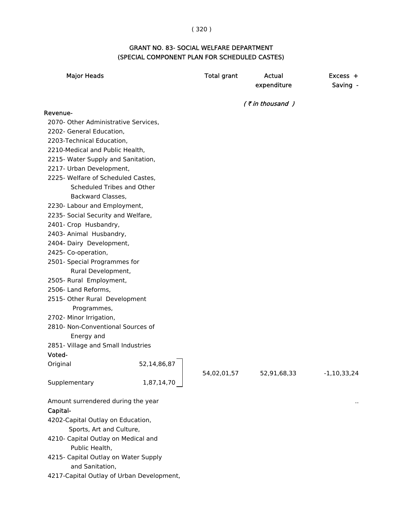# ( 320 )

# GRANT NO. 83- SOCIAL WELFARE DEPARTMENT (SPECIAL COMPONENT PLAN FOR SCHEDULED CASTES)

| <b>Major Heads</b>                                      |             | <b>Total grant</b> | <b>Actual</b><br>expenditure | $Excess +$<br>Saving - |
|---------------------------------------------------------|-------------|--------------------|------------------------------|------------------------|
|                                                         |             |                    | $($ ₹ in thousand $)$        |                        |
| Revenue-                                                |             |                    |                              |                        |
| 2070- Other Administrative Services,                    |             |                    |                              |                        |
| 2202- General Education,                                |             |                    |                              |                        |
| 2203-Technical Education,                               |             |                    |                              |                        |
| 2210-Medical and Public Health,                         |             |                    |                              |                        |
| 2215- Water Supply and Sanitation,                      |             |                    |                              |                        |
| 2217- Urban Development,                                |             |                    |                              |                        |
| 2225- Welfare of Scheduled Castes,                      |             |                    |                              |                        |
| Scheduled Tribes and Other                              |             |                    |                              |                        |
| Backward Classes,                                       |             |                    |                              |                        |
| 2230- Labour and Employment,                            |             |                    |                              |                        |
| 2235- Social Security and Welfare,                      |             |                    |                              |                        |
| 2401- Crop Husbandry,                                   |             |                    |                              |                        |
| 2403- Animal Husbandry,                                 |             |                    |                              |                        |
| 2404- Dairy Development,                                |             |                    |                              |                        |
| 2425- Co-operation,                                     |             |                    |                              |                        |
| 2501- Special Programmes for                            |             |                    |                              |                        |
| Rural Development,                                      |             |                    |                              |                        |
| 2505- Rural Employment,                                 |             |                    |                              |                        |
| 2506- Land Reforms,                                     |             |                    |                              |                        |
| 2515- Other Rural Development                           |             |                    |                              |                        |
| Programmes,                                             |             |                    |                              |                        |
| 2702- Minor Irrigation,                                 |             |                    |                              |                        |
| 2810- Non-Conventional Sources of                       |             |                    |                              |                        |
| Energy and                                              |             |                    |                              |                        |
| 2851- Village and Small Industries                      |             |                    |                              |                        |
| Voted-                                                  |             |                    |                              |                        |
| Original                                                | 52,14,86,87 | 54,02,01,57        | 52,91,68,33                  | $-1,10,33,24$          |
| Supplementary                                           | 1,87,14,70  |                    |                              |                        |
| Amount surrendered during the year                      |             |                    |                              |                        |
| Capital-                                                |             |                    |                              |                        |
| 4202-Capital Outlay on Education,                       |             |                    |                              |                        |
| Sports, Art and Culture,                                |             |                    |                              |                        |
| 4210- Capital Outlay on Medical and                     |             |                    |                              |                        |
| Public Health,                                          |             |                    |                              |                        |
| 4215- Capital Outlay on Water Supply<br>and Sanitation, |             |                    |                              |                        |
| 4217-Capital Outlay of Urban Development,               |             |                    |                              |                        |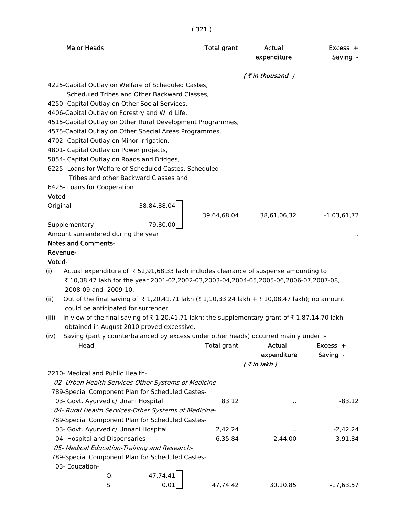( 321 )

|        | <b>Major Heads</b>                         |                                                                                              | <b>Total grant</b> | Actual<br>expenditure | $Excess +$<br>Saving - |
|--------|--------------------------------------------|----------------------------------------------------------------------------------------------|--------------------|-----------------------|------------------------|
|        |                                            |                                                                                              |                    | (₹in thousand)        |                        |
|        |                                            | 4225-Capital Outlay on Welfare of Scheduled Castes,                                          |                    |                       |                        |
|        |                                            | Scheduled Tribes and Other Backward Classes,                                                 |                    |                       |                        |
|        |                                            | 4250- Capital Outlay on Other Social Services,                                               |                    |                       |                        |
|        |                                            | 4406-Capital Outlay on Forestry and Wild Life,                                               |                    |                       |                        |
|        |                                            | 4515-Capital Outlay on Other Rural Development Programmes,                                   |                    |                       |                        |
|        | 4702- Capital Outlay on Minor Irrigation,  | 4575-Capital Outlay on Other Special Areas Programmes,                                       |                    |                       |                        |
|        | 4801- Capital Outlay on Power projects,    |                                                                                              |                    |                       |                        |
|        | 5054- Capital Outlay on Roads and Bridges, |                                                                                              |                    |                       |                        |
|        |                                            | 6225- Loans for Welfare of Scheduled Castes, Scheduled                                       |                    |                       |                        |
|        |                                            | Tribes and other Backward Classes and                                                        |                    |                       |                        |
|        | 6425- Loans for Cooperation                |                                                                                              |                    |                       |                        |
| Voted- |                                            |                                                                                              |                    |                       |                        |
|        | Original                                   | 38,84,88,04                                                                                  |                    |                       |                        |
|        |                                            |                                                                                              | 39,64,68,04        | 38,61,06,32           | $-1,03,61,72$          |
|        | Supplementary                              | 79,80,00                                                                                     |                    |                       |                        |
|        | Amount surrendered during the year         |                                                                                              |                    |                       |                        |
|        | <b>Notes and Comments-</b>                 |                                                                                              |                    |                       |                        |
|        | Revenue-                                   |                                                                                              |                    |                       |                        |
| Voted- |                                            |                                                                                              |                    |                       |                        |
| (i)    |                                            | Actual expenditure of ₹52,91,68.33 lakh includes clearance of suspense amounting to          |                    |                       |                        |
|        | 2008-09 and 2009-10.                       | ₹10,08.47 lakh for the year 2001-02,2002-03,2003-04,2004-05,2005-06,2006-07,2007-08,         |                    |                       |                        |
| (ii)   |                                            | Out of the final saving of ₹1,20,41.71 lakh (₹1,10,33.24 lakh + ₹10,08.47 lakh); no amount   |                    |                       |                        |
|        | could be anticipated for surrender.        |                                                                                              |                    |                       |                        |
| (iii)  |                                            | In view of the final saving of ₹1,20,41.71 lakh; the supplementary grant of ₹1,87,14.70 lakh |                    |                       |                        |
|        |                                            | obtained in August 2010 proved excessive.                                                    |                    |                       |                        |
| (iv)   |                                            | Saving (partly counterbalanced by excess under other heads) occurred mainly under :-         |                    |                       |                        |
|        | Head                                       |                                                                                              | <b>Total grant</b> | <b>Actual</b>         | Excess +               |
|        |                                            |                                                                                              |                    | expenditure           | Saving -               |
|        |                                            |                                                                                              |                    | $($ ₹ in lakh)        |                        |
|        | 2210- Medical and Public Health-           |                                                                                              |                    |                       |                        |
|        |                                            | 02- Urban Health Services-Other Systems of Medicine-                                         |                    |                       |                        |
|        |                                            | 789-Special Component Plan for Scheduled Castes-                                             |                    |                       |                        |
|        | 03- Govt. Ayurvedic/ Unani Hospital        |                                                                                              | 83.12              |                       | $-83.12$               |
|        |                                            | 04- Rural Health Services-Other Systems of Medicine-                                         |                    |                       |                        |
|        | 03- Govt. Ayurvedic/ Unnani Hospital       | 789-Special Component Plan for Scheduled Castes-                                             | 2,42.24            |                       | $-2,42.24$             |
|        | 04- Hospital and Dispensaries              |                                                                                              | 6,35.84            | 2,44.00               | $-3,91.84$             |
|        |                                            | 05- Medical Education-Training and Research-                                                 |                    |                       |                        |
|        |                                            | 789-Special Component Plan for Scheduled Castes-                                             |                    |                       |                        |
|        | 03- Education-                             |                                                                                              |                    |                       |                        |
|        | О.                                         | 47,74.41                                                                                     |                    |                       |                        |
|        | S.                                         | 0.01                                                                                         | 47,74.42           | 30,10.85              | $-17,63.57$            |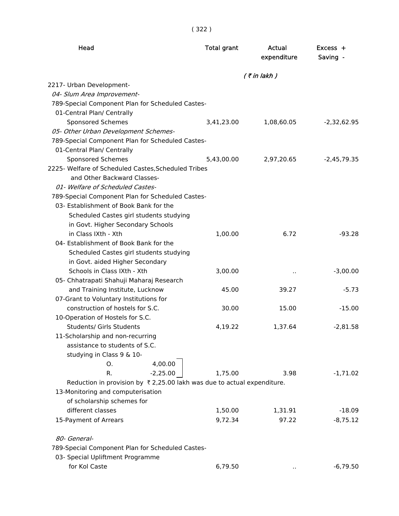| × | ×. |
|---|----|
|   |    |

| Head                                                                               | <b>Total grant</b> | Actual<br>expenditure | Excess +<br>Saving - |
|------------------------------------------------------------------------------------|--------------------|-----------------------|----------------------|
|                                                                                    |                    | $($ ₹ in lakh)        |                      |
| 2217- Urban Development-                                                           |                    |                       |                      |
| 04- Slum Area Improvement-                                                         |                    |                       |                      |
| 789-Special Component Plan for Scheduled Castes-                                   |                    |                       |                      |
| 01-Central Plan/ Centrally                                                         |                    |                       |                      |
| Sponsored Schemes                                                                  | 3,41,23.00         | 1,08,60.05            | $-2,32,62.95$        |
| 05- Other Urban Development Schemes-                                               |                    |                       |                      |
| 789-Special Component Plan for Scheduled Castes-                                   |                    |                       |                      |
| 01-Central Plan/ Centrally                                                         |                    |                       |                      |
| Sponsored Schemes                                                                  | 5,43,00.00         | 2,97,20.65            | $-2,45,79.35$        |
| 2225- Welfare of Scheduled Castes, Scheduled Tribes                                |                    |                       |                      |
| and Other Backward Classes-                                                        |                    |                       |                      |
| 01- Welfare of Scheduled Castes-                                                   |                    |                       |                      |
| 789-Special Component Plan for Scheduled Castes-                                   |                    |                       |                      |
| 03- Establishment of Book Bank for the                                             |                    |                       |                      |
| Scheduled Castes girl students studying                                            |                    |                       |                      |
| in Govt. Higher Secondary Schools                                                  |                    |                       |                      |
| in Class IXth - Xth                                                                | 1,00.00            | 6.72                  | $-93.28$             |
| 04- Establishment of Book Bank for the                                             |                    |                       |                      |
| Scheduled Castes girl students studying                                            |                    |                       |                      |
| in Govt. aided Higher Secondary                                                    |                    |                       |                      |
| Schools in Class IXth - Xth                                                        | 3,00.00            | $\sim$                | $-3,00.00$           |
| 05- Chhatrapati Shahuji Maharaj Research                                           |                    |                       |                      |
| and Training Institute, Lucknow                                                    | 45.00              | 39.27                 | $-5.73$              |
| 07-Grant to Voluntary Institutions for                                             |                    |                       |                      |
| construction of hostels for S.C.                                                   | 30.00              | 15.00                 | $-15.00$             |
| 10-Operation of Hostels for S.C.                                                   |                    |                       |                      |
| <b>Students/ Girls Students</b>                                                    | 4,19.22            | 1,37.64               | $-2,81.58$           |
| 11-Scholarship and non-recurring                                                   |                    |                       |                      |
| assistance to students of S.C.                                                     |                    |                       |                      |
| studying in Class 9 & 10-                                                          |                    |                       |                      |
| 4,00.00<br>0.                                                                      |                    |                       |                      |
| $-2,25.00$<br>R.                                                                   | 1,75.00            | 3.98                  | $-1,71.02$           |
| Reduction in provision by $\bar{\tau}$ 2,25.00 lakh was due to actual expenditure. |                    |                       |                      |
| 13-Monitoring and computerisation                                                  |                    |                       |                      |
| of scholarship schemes for                                                         |                    |                       |                      |
| different classes                                                                  | 1,50.00            | 1,31.91               | $-18.09$             |
| 15-Payment of Arrears                                                              | 9,72.34            | 97.22                 | $-8,75.12$           |
| 80- General-                                                                       |                    |                       |                      |
| 789-Special Component Plan for Scheduled Castes-                                   |                    |                       |                      |
| 03- Special Upliftment Programme                                                   |                    |                       |                      |
| for Kol Caste                                                                      | 6,79.50            |                       | $-6,79.50$           |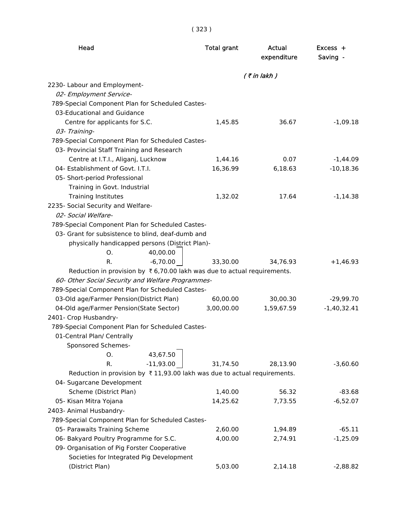| Head                                                                                 | <b>Total grant</b> | Actual<br>expenditure | $Excess +$<br>Saving - |
|--------------------------------------------------------------------------------------|--------------------|-----------------------|------------------------|
|                                                                                      |                    | $($ ₹ in lakh)        |                        |
| 2230- Labour and Employment-                                                         |                    |                       |                        |
| 02- Employment Service-                                                              |                    |                       |                        |
| 789-Special Component Plan for Scheduled Castes-                                     |                    |                       |                        |
| 03-Educational and Guidance                                                          |                    |                       |                        |
| Centre for applicants for S.C.                                                       | 1,45.85            | 36.67                 | $-1,09.18$             |
| 03- Training-                                                                        |                    |                       |                        |
| 789-Special Component Plan for Scheduled Castes-                                     |                    |                       |                        |
| 03- Provincial Staff Training and Research                                           |                    |                       |                        |
| Centre at I.T.I., Aliganj, Lucknow                                                   | 1,44.16            | 0.07                  | $-1,44.09$             |
| 04- Establishment of Govt. I.T.I.                                                    | 16,36.99           | 6,18.63               | $-10,18.36$            |
| 05- Short-period Professional                                                        |                    |                       |                        |
| Training in Govt. Industrial                                                         |                    |                       |                        |
| <b>Training Institutes</b>                                                           | 1,32.02            | 17.64                 | $-1,14.38$             |
| 2235- Social Security and Welfare-                                                   |                    |                       |                        |
| 02- Social Welfare-                                                                  |                    |                       |                        |
| 789-Special Component Plan for Scheduled Castes-                                     |                    |                       |                        |
| 03- Grant for subsistence to blind, deaf-dumb and                                    |                    |                       |                        |
| physically handicapped persons (District Plan)-                                      |                    |                       |                        |
| 40,00.00<br>O.                                                                       |                    |                       |                        |
| $-6,70.00$<br>R.                                                                     | 33,30.00           | 34,76.93              | $+1,46.93$             |
| Reduction in provision by $\bar{x}$ 6,70.00 lakh was due to actual requirements.     |                    |                       |                        |
| 60- Other Social Security and Welfare Programmes-                                    |                    |                       |                        |
| 789-Special Component Plan for Scheduled Castes-                                     |                    |                       |                        |
| 03-Old age/Farmer Pension(District Plan)                                             | 60,00.00           | 30,00.30              | $-29,99.70$            |
| 04-Old age/Farmer Pension(State Sector)                                              | 3,00,00.00         | 1,59,67.59            | $-1,40,32.41$          |
| 2401- Crop Husbandry-                                                                |                    |                       |                        |
| 789-Special Component Plan for Scheduled Castes-                                     |                    |                       |                        |
| 01-Central Plan/ Centrally                                                           |                    |                       |                        |
| Sponsored Schemes-                                                                   |                    |                       |                        |
| 43,67.50<br>O.                                                                       |                    |                       |                        |
| $-11,93.00$<br>R.                                                                    | 31,74.50           | 28,13.90              | $-3,60.60$             |
| Reduction in provision by $\bar{\tau}$ 11,93.00 lakh was due to actual requirements. |                    |                       |                        |
| 04- Sugarcane Development                                                            |                    |                       |                        |
| Scheme (District Plan)                                                               | 1,40.00            | 56.32                 | $-83.68$               |
| 05- Kisan Mitra Yojana                                                               | 14,25.62           | 7,73.55               | $-6,52.07$             |
| 2403- Animal Husbandry-                                                              |                    |                       |                        |
| 789-Special Component Plan for Scheduled Castes-                                     |                    |                       |                        |
| 05- Parawaits Training Scheme                                                        | 2,60.00            | 1,94.89               | $-65.11$               |
| 06- Bakyard Poultry Programme for S.C.                                               | 4,00.00            | 2,74.91               | $-1,25.09$             |
| 09- Organisation of Pig Forster Cooperative                                          |                    |                       |                        |
| Societies for Integrated Pig Development                                             |                    |                       |                        |
| (District Plan)                                                                      | 5,03.00            | 2,14.18               | $-2,88.82$             |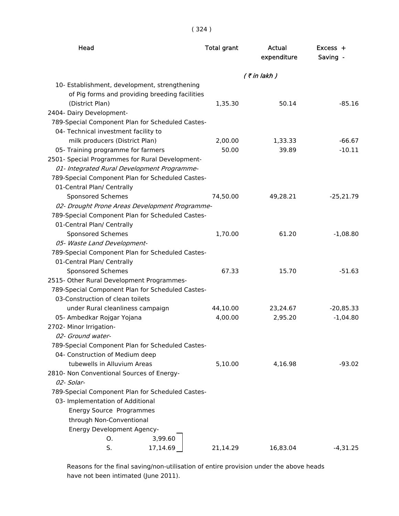| × | ×. |
|---|----|
|   |    |

| Head                                             | <b>Total grant</b> | <b>Actual</b><br>expenditure | Excess +<br>Saving - |
|--------------------------------------------------|--------------------|------------------------------|----------------------|
|                                                  |                    | $($ ₹ in lakh)               |                      |
| 10- Establishment, development, strengthening    |                    |                              |                      |
| of Pig forms and providing breeding facilities   |                    |                              |                      |
| (District Plan)                                  | 1,35.30            | 50.14                        | $-85.16$             |
| 2404- Dairy Development-                         |                    |                              |                      |
| 789-Special Component Plan for Scheduled Castes- |                    |                              |                      |
| 04- Technical investment facility to             |                    |                              |                      |
| milk producers (District Plan)                   | 2,00.00            | 1,33.33                      | $-66.67$             |
| 05- Training programme for farmers               | 50.00              | 39.89                        | $-10.11$             |
| 2501- Special Programmes for Rural Development-  |                    |                              |                      |
| 01- Integrated Rural Development Programme-      |                    |                              |                      |
| 789-Special Component Plan for Scheduled Castes- |                    |                              |                      |
| 01-Central Plan/ Centrally                       |                    |                              |                      |
| Sponsored Schemes                                | 74,50.00           | 49,28.21                     | $-25,21.79$          |
| 02- Drought Prone Areas Development Programme-   |                    |                              |                      |
| 789-Special Component Plan for Scheduled Castes- |                    |                              |                      |
| 01-Central Plan/ Centrally                       |                    |                              |                      |
| Sponsored Schemes                                | 1,70.00            | 61.20                        | $-1,08.80$           |
| 05- Waste Land Development-                      |                    |                              |                      |
| 789-Special Component Plan for Scheduled Castes- |                    |                              |                      |
| 01-Central Plan/ Centrally                       |                    |                              |                      |
| Sponsored Schemes                                | 67.33              | 15.70                        | $-51.63$             |
| 2515- Other Rural Development Programmes-        |                    |                              |                      |
| 789-Special Component Plan for Scheduled Castes- |                    |                              |                      |
| 03-Construction of clean toilets                 |                    |                              |                      |
| under Rural cleanliness campaign                 | 44,10.00           | 23,24.67                     | $-20,85.33$          |
| 05- Ambedkar Rojgar Yojana                       | 4,00.00            | 2,95.20                      | $-1,04.80$           |
| 2702- Minor Irrigation-                          |                    |                              |                      |
| 02- Ground water-                                |                    |                              |                      |
| 789-Special Component Plan for Scheduled Castes- |                    |                              |                      |
| 04- Construction of Medium deep                  |                    |                              |                      |
| tubewells in Alluvium Areas                      | 5,10.00            | 4,16.98                      | $-93.02$             |
| 2810- Non Conventional Sources of Energy-        |                    |                              |                      |
| 02- Solar-                                       |                    |                              |                      |
| 789-Special Component Plan for Scheduled Castes- |                    |                              |                      |
| 03- Implementation of Additional                 |                    |                              |                      |
| Energy Source Programmes                         |                    |                              |                      |
| through Non-Conventional                         |                    |                              |                      |
| <b>Energy Development Agency-</b>                |                    |                              |                      |
| 3,99.60<br>О.                                    |                    |                              |                      |
| S.<br>17,14.69                                   | 21,14.29           | 16,83.04                     | $-4,31.25$           |

 Reasons for the final saving/non-utilisation of entire provision under the above heads have not been intimated (June 2011).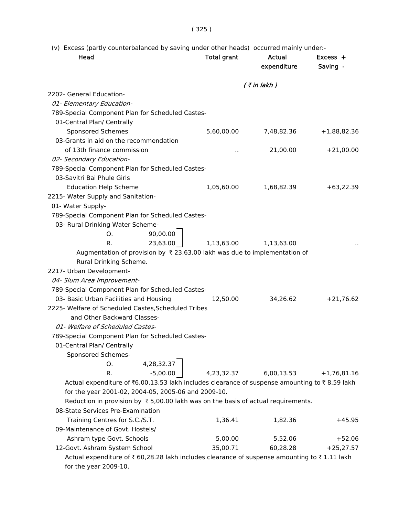# (v) Excess (partly counterbalanced by saving under other heads) occurred mainly under:-

| Head                                                                                          | <b>Total grant</b>   | Actual<br>expenditure | $Excess +$<br>Saving - |
|-----------------------------------------------------------------------------------------------|----------------------|-----------------------|------------------------|
|                                                                                               |                      | $($ ₹ in lakh)        |                        |
| 2202- General Education-                                                                      |                      |                       |                        |
| 01- Elementary Education-                                                                     |                      |                       |                        |
| 789-Special Component Plan for Scheduled Castes-                                              |                      |                       |                        |
| 01-Central Plan/ Centrally                                                                    |                      |                       |                        |
| Sponsored Schemes                                                                             | 5,60,00.00           | 7,48,82.36            | $+1,88,82.36$          |
| 03-Grants in aid on the recommendation                                                        |                      |                       |                        |
| of 13th finance commission                                                                    | $\ddot{\phantom{0}}$ | 21,00.00              | $+21,00.00$            |
| 02- Secondary Education-                                                                      |                      |                       |                        |
| 789-Special Component Plan for Scheduled Castes-                                              |                      |                       |                        |
| 03-Savitri Bai Phule Girls                                                                    |                      |                       |                        |
| <b>Education Help Scheme</b>                                                                  | 1,05,60.00           | 1,68,82.39            | $+63,22.39$            |
| 2215- Water Supply and Sanitation-                                                            |                      |                       |                        |
| 01- Water Supply-                                                                             |                      |                       |                        |
| 789-Special Component Plan for Scheduled Castes-                                              |                      |                       |                        |
| 03- Rural Drinking Water Scheme-                                                              |                      |                       |                        |
| 90,00.00<br>О.                                                                                |                      |                       |                        |
| 23,63.00<br>R.                                                                                | 1,13,63.00           | 1,13,63.00            |                        |
| Augmentation of provision by $\overline{\tau}$ 23,63.00 lakh was due to implementation of     |                      |                       |                        |
| Rural Drinking Scheme.                                                                        |                      |                       |                        |
| 2217- Urban Development-                                                                      |                      |                       |                        |
| 04- Slum Area Improvement-                                                                    |                      |                       |                        |
| 789-Special Component Plan for Scheduled Castes-                                              |                      |                       |                        |
| 03- Basic Urban Facilities and Housing                                                        | 12,50.00             | 34,26.62              | $+21,76.62$            |
| 2225- Welfare of Scheduled Castes, Scheduled Tribes                                           |                      |                       |                        |
| and Other Backward Classes-                                                                   |                      |                       |                        |
| 01- Welfare of Scheduled Castes-                                                              |                      |                       |                        |
| 789-Special Component Plan for Scheduled Castes-                                              |                      |                       |                        |
| 01-Central Plan/ Centrally                                                                    |                      |                       |                        |
| Sponsored Schemes-                                                                            |                      |                       |                        |
| 4,28,32.37<br>О.                                                                              |                      |                       |                        |
| $-5,00.00$<br>R.                                                                              | 4,23,32.37           | 6,00,13.53            | $+1,76,81.16$          |
| Actual expenditure of ₹6,00,13.53 lakh includes clearance of suspense amounting to ₹8.59 lakh |                      |                       |                        |
| for the year 2001-02, 2004-05, 2005-06 and 2009-10.                                           |                      |                       |                        |
| Reduction in provision by $\bar{\tau}$ 5,00.00 lakh was on the basis of actual requirements.  |                      |                       |                        |
| 08-State Services Pre-Examination                                                             |                      |                       |                        |
| Training Centres for S.C./S.T.                                                                | 1,36.41              | 1,82.36               | $+45.95$               |
| 09-Maintenance of Govt. Hostels/                                                              |                      |                       |                        |
| Ashram type Govt. Schools                                                                     | 5,00.00              | 5,52.06               | $+52.06$               |
| 12-Govt. Ashram System School                                                                 | 35,00.71             | 60,28.28              | $+25,27.57$            |
| Actual expenditure of ₹60,28.28 lakh includes clearance of suspense amounting to ₹1.11 lakh   |                      |                       |                        |
| for the year 2009-10.                                                                         |                      |                       |                        |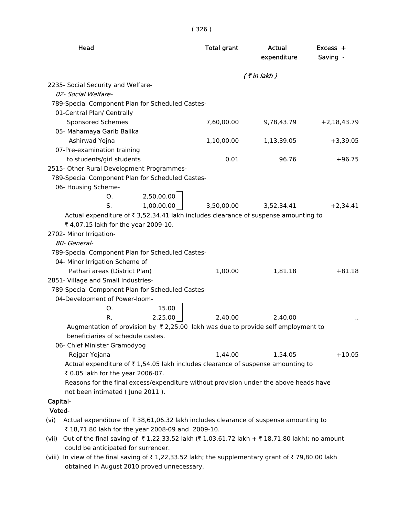| Head                                                                                             | <b>Total grant</b>                                                 | Actual<br>expenditure | Excess +<br>Saving - |
|--------------------------------------------------------------------------------------------------|--------------------------------------------------------------------|-----------------------|----------------------|
|                                                                                                  |                                                                    | $($ ₹ in lakh $)$     |                      |
| 2235- Social Security and Welfare-                                                               |                                                                    |                       |                      |
| 02- Social Welfare-                                                                              |                                                                    |                       |                      |
| 789-Special Component Plan for Scheduled Castes-                                                 |                                                                    |                       |                      |
| 01-Central Plan/ Centrally                                                                       |                                                                    |                       |                      |
| <b>Sponsored Schemes</b>                                                                         | 7,60,00.00                                                         | 9,78,43.79            | $+2,18,43.79$        |
| 05- Mahamaya Garib Balika                                                                        |                                                                    |                       |                      |
| Ashirwad Yojna                                                                                   | 1,10,00.00                                                         | 1,13,39.05            | $+3,39.05$           |
| 07-Pre-examination training                                                                      |                                                                    |                       |                      |
| to students/girl students                                                                        | 0.01                                                               | 96.76                 | $+96.75$             |
| 2515- Other Rural Development Programmes-                                                        |                                                                    |                       |                      |
| 789-Special Component Plan for Scheduled Castes-                                                 |                                                                    |                       |                      |
| 06- Housing Scheme-                                                                              |                                                                    |                       |                      |
| 2,50,00.00<br>O.                                                                                 |                                                                    |                       |                      |
| 1,00,00.00<br>S.                                                                                 | 3,50,00.00                                                         | 3,52,34.41            | $+2,34.41$           |
| Actual expenditure of ₹ 3,52,34.41 lakh includes clearance of suspense amounting to              |                                                                    |                       |                      |
| ₹ 4,07.15 lakh for the year 2009-10.                                                             |                                                                    |                       |                      |
| 2702- Minor Irrigation-                                                                          |                                                                    |                       |                      |
| 80- General-                                                                                     |                                                                    |                       |                      |
| 789-Special Component Plan for Scheduled Castes-                                                 |                                                                    |                       |                      |
| 04- Minor Irrigation Scheme of                                                                   |                                                                    |                       |                      |
| Pathari areas (District Plan)                                                                    | 1,00.00                                                            | 1,81.18               | $+81.18$             |
| 2851- Village and Small Industries-                                                              |                                                                    |                       |                      |
| 789-Special Component Plan for Scheduled Castes-                                                 |                                                                    |                       |                      |
| 04-Development of Power-loom-                                                                    |                                                                    |                       |                      |
| 15.00<br>О.                                                                                      |                                                                    |                       |                      |
| 2,25.00<br>R.                                                                                    | 2,40.00                                                            | 2,40.00               |                      |
| Augmentation of provision by $\overline{\xi}$ 2,25.00 lakh was due to provide self employment to |                                                                    |                       |                      |
| beneficiaries of schedule castes.                                                                |                                                                    |                       |                      |
| 06- Chief Minister Gramodyog                                                                     |                                                                    |                       |                      |
| Rojgar Yojana                                                                                    | 1,44.00                                                            | 1,54.05               | $+10.05$             |
| Actual expenditure of ₹1,54.05 lakh includes clearance of suspense amounting to                  |                                                                    |                       |                      |
| ₹ 0.05 lakh for the year 2006-07.                                                                |                                                                    |                       |                      |
| Reasons for the final excess/expenditure without provision under the above heads have            |                                                                    |                       |                      |
| not been intimated (June 2011).                                                                  |                                                                    |                       |                      |
| Capital-                                                                                         |                                                                    |                       |                      |
| Voted-                                                                                           |                                                                    |                       |                      |
| Actual expenditure of ₹38,61,06.32 lakh includes clearance of suspense amounting to<br>(vi)      |                                                                    |                       |                      |
| ₹ 18,71.80 lakh for the year 2008-09 and 2009-10.                                                |                                                                    |                       |                      |
| (vii) Out of the final saving of ₹1,22,33.52 lakh (₹1,03,61.72 lakh + ₹18,71.80 lakh); no amount |                                                                    |                       |                      |
| could be anticipated for surrender.                                                              |                                                                    |                       |                      |
|                                                                                                  | $67122252$ kither the curricus enters are not of $70.90, 00$ lable |                       |                      |

(viii) In view of the final saving of  $\bar{\tau}$  1,22,33.52 lakh; the supplementary grant of  $\bar{\tau}$  79,80.00 lakh obtained in August 2010 proved unnecessary.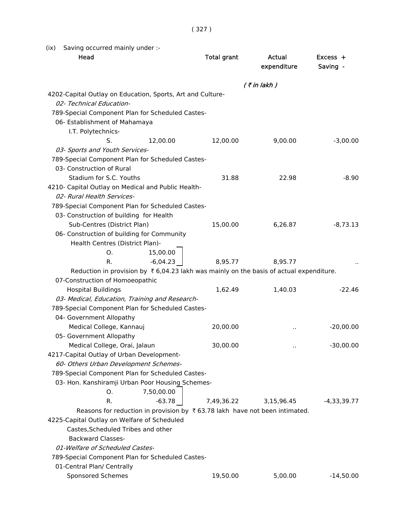(ix) Saving occurred mainly under :-

| Head                                                                                               | <b>Total grant</b> | Actual<br>expenditure | $Excess +$<br>Saving - |
|----------------------------------------------------------------------------------------------------|--------------------|-----------------------|------------------------|
|                                                                                                    |                    | $($ ₹ in lakh)        |                        |
| 4202-Capital Outlay on Education, Sports, Art and Culture-                                         |                    |                       |                        |
| 02- Technical Education-                                                                           |                    |                       |                        |
| 789-Special Component Plan for Scheduled Castes-                                                   |                    |                       |                        |
| 06- Establishment of Mahamaya                                                                      |                    |                       |                        |
| I.T. Polytechnics-                                                                                 |                    |                       |                        |
| S.<br>12,00.00                                                                                     | 12,00.00           | 9,00.00               | $-3,00.00$             |
| 03- Sports and Youth Services-                                                                     |                    |                       |                        |
| 789-Special Component Plan for Scheduled Castes-                                                   |                    |                       |                        |
| 03- Construction of Rural                                                                          |                    |                       |                        |
| Stadium for S.C. Youths                                                                            | 31.88              | 22.98                 | $-8.90$                |
| 4210- Capital Outlay on Medical and Public Health-<br>02- Rural Health Services-                   |                    |                       |                        |
| 789-Special Component Plan for Scheduled Castes-                                                   |                    |                       |                        |
| 03- Construction of building for Health                                                            |                    |                       |                        |
| Sub-Centres (District Plan)                                                                        | 15,00.00           | 6,26.87               | $-8,73.13$             |
| 06- Construction of building for Community                                                         |                    |                       |                        |
| Health Centres (District Plan)-                                                                    |                    |                       |                        |
| 15,00.00<br>O.                                                                                     |                    |                       |                        |
| $-6,04.23$<br>R.                                                                                   | 8,95.77            | 8,95.77               |                        |
| Reduction in provision by $\bar{\tau}$ 6,04.23 lakh was mainly on the basis of actual expenditure. |                    |                       |                        |
| 07-Construction of Homoeopathic                                                                    |                    |                       |                        |
| <b>Hospital Buildings</b>                                                                          | 1,62.49            | 1,40.03               | $-22.46$               |
| 03- Medical, Education, Training and Research-                                                     |                    |                       |                        |
| 789-Special Component Plan for Scheduled Castes-                                                   |                    |                       |                        |
| 04- Government Allopathy                                                                           |                    |                       |                        |
| Medical College, Kannauj                                                                           | 20,00.00           |                       | $-20,00.00$            |
| 05- Government Allopathy                                                                           |                    |                       |                        |
| Medical College, Orai, Jalaun                                                                      | 30,00.00           |                       | $-30,00.00$            |
| 4217-Capital Outlay of Urban Development-                                                          |                    |                       |                        |
| 60- Others Urban Development Schemes-                                                              |                    |                       |                        |
| 789-Special Component Plan for Scheduled Castes-                                                   |                    |                       |                        |
| 03- Hon. Kanshiramji Urban Poor Housing Schemes-                                                   |                    |                       |                        |
| 7,50,00.00<br>O.                                                                                   |                    |                       |                        |
| $-63.78$<br>R.                                                                                     | 7,49,36.22         | 3,15,96.45            | $-4,33,39.77$          |
| Reasons for reduction in provision by $\bar{x}$ 63.78 lakh have not been intimated.                |                    |                       |                        |
| 4225-Capital Outlay on Welfare of Scheduled                                                        |                    |                       |                        |
| Castes, Scheduled Tribes and other                                                                 |                    |                       |                        |
| <b>Backward Classes-</b>                                                                           |                    |                       |                        |
| 01-Welfare of Scheduled Castes-                                                                    |                    |                       |                        |
| 789-Special Component Plan for Scheduled Castes-                                                   |                    |                       |                        |
| 01-Central Plan/ Centrally                                                                         |                    |                       |                        |
| Sponsored Schemes                                                                                  | 19,50.00           | 5,00.00               | $-14,50.00$            |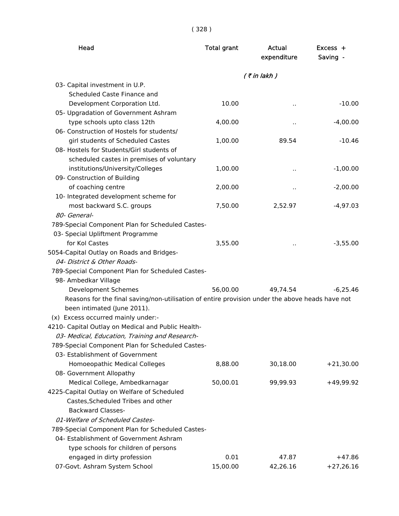| × | × | ×. |
|---|---|----|
|   |   |    |

| Head                                                                                            | <b>Total grant</b> | Actual<br>expenditure | Excess +<br>Saving - |
|-------------------------------------------------------------------------------------------------|--------------------|-----------------------|----------------------|
|                                                                                                 |                    | $($ ₹ in lakh)        |                      |
| 03- Capital investment in U.P.                                                                  |                    |                       |                      |
| Scheduled Caste Finance and                                                                     |                    |                       |                      |
| Development Corporation Ltd.                                                                    | 10.00              | Ω.                    | $-10.00$             |
| 05- Upgradation of Government Ashram                                                            |                    |                       |                      |
| type schools upto class 12th                                                                    | 4,00.00            | ٠.                    | $-4,00.00$           |
| 06- Construction of Hostels for students/                                                       |                    |                       |                      |
| girl students of Scheduled Castes                                                               | 1,00.00            | 89.54                 | $-10.46$             |
| 08- Hostels for Students/Girl students of                                                       |                    |                       |                      |
| scheduled castes in premises of voluntary                                                       |                    |                       |                      |
| institutions/University/Colleges                                                                | 1,00.00            | $\ddot{\phantom{1}}$  | $-1,00.00$           |
| 09- Construction of Building                                                                    |                    |                       |                      |
| of coaching centre                                                                              | 2,00.00            | Ω.                    | $-2,00.00$           |
| 10- Integrated development scheme for                                                           |                    |                       |                      |
| most backward S.C. groups                                                                       | 7,50.00            | 2,52.97               | $-4,97.03$           |
| 80- General-                                                                                    |                    |                       |                      |
| 789-Special Component Plan for Scheduled Castes-                                                |                    |                       |                      |
| 03- Special Upliftment Programme                                                                |                    |                       |                      |
| for Kol Castes                                                                                  | 3,55.00            | $\ddot{\phantom{1}}$  | $-3,55.00$           |
| 5054-Capital Outlay on Roads and Bridges-                                                       |                    |                       |                      |
| 04- District & Other Roads-                                                                     |                    |                       |                      |
| 789-Special Component Plan for Scheduled Castes-                                                |                    |                       |                      |
| 98- Ambedkar Village                                                                            |                    |                       |                      |
| Development Schemes                                                                             | 56,00.00           | 49,74.54              | $-6,25.46$           |
| Reasons for the final saving/non-utilisation of entire provision under the above heads have not |                    |                       |                      |
| been intimated (June 2011).                                                                     |                    |                       |                      |
| (x) Excess occurred mainly under:-                                                              |                    |                       |                      |
| 4210- Capital Outlay on Medical and Public Health-                                              |                    |                       |                      |
| 03- Medical, Education, Training and Research-                                                  |                    |                       |                      |
| 789-Special Component Plan for Scheduled Castes-                                                |                    |                       |                      |
| 03- Establishment of Government                                                                 |                    |                       |                      |
| Homoeopathic Medical Colleges                                                                   | 8,88.00            | 30,18.00              | $+21,30.00$          |
| 08- Government Allopathy                                                                        |                    |                       |                      |
| Medical College, Ambedkarnagar                                                                  | 50,00.01           | 99,99.93              | $+49,99.92$          |
| 4225-Capital Outlay on Welfare of Scheduled                                                     |                    |                       |                      |
| Castes, Scheduled Tribes and other                                                              |                    |                       |                      |
| <b>Backward Classes-</b>                                                                        |                    |                       |                      |
| 01-Welfare of Scheduled Castes-                                                                 |                    |                       |                      |
| 789-Special Component Plan for Scheduled Castes-                                                |                    |                       |                      |
| 04- Establishment of Government Ashram                                                          |                    |                       |                      |
| type schools for children of persons                                                            |                    |                       |                      |
| engaged in dirty profession                                                                     | 0.01               | 47.87                 | $+47.86$             |
| 07-Govt. Ashram System School                                                                   | 15,00.00           | 42,26.16              | $+27,26.16$          |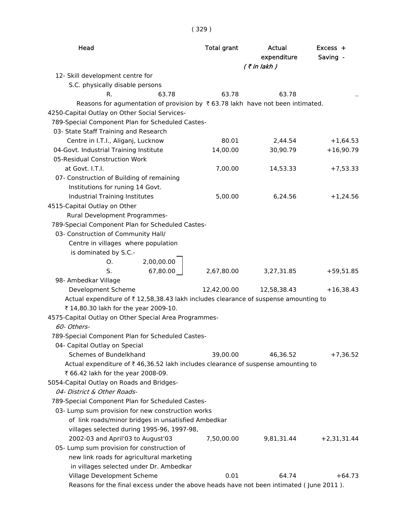| Head                                                                                      | <b>Total grant</b> | Actual<br>expenditure<br>$($ ₹ in lakh) | $Excess +$<br>Saving - |
|-------------------------------------------------------------------------------------------|--------------------|-----------------------------------------|------------------------|
| 12- Skill development centre for                                                          |                    |                                         |                        |
| S.C. physically disable persons                                                           |                    |                                         |                        |
| 63.78<br>R.                                                                               | 63.78              | 63.78                                   |                        |
| Reasons for agumentation of provision by $\bar{\tau}$ 63.78 lakh have not been intimated. |                    |                                         |                        |
| 4250-Capital Outlay on Other Social Services-                                             |                    |                                         |                        |
| 789-Special Component Plan for Scheduled Castes-                                          |                    |                                         |                        |
| 03- State Staff Training and Research                                                     |                    |                                         |                        |
| Centre in I.T.I., Aliganj, Lucknow                                                        | 80.01              | 2,44.54                                 | $+1,64.53$             |
| 04-Govt. Industrial Training Institute                                                    | 14,00.00           | 30,90.79                                | $+16,90.79$            |
| 05-Residual Construction Work                                                             |                    |                                         |                        |
| at Govt. I.T.I.                                                                           | 7,00.00            | 14,53.33                                | $+7,53.33$             |
| 07- Construction of Building of remaining                                                 |                    |                                         |                        |
| Institutions for runing 14 Govt.                                                          |                    |                                         |                        |
| Industrial Training Institutes                                                            | 5,00.00            | 6,24.56                                 | $+1,24.56$             |
| 4515-Capital Outlay on Other                                                              |                    |                                         |                        |
| Rural Development Programmes-                                                             |                    |                                         |                        |
| 789-Special Component Plan for Scheduled Castes-                                          |                    |                                         |                        |
| 03- Construction of Community Hall/                                                       |                    |                                         |                        |
| Centre in villages where population                                                       |                    |                                         |                        |
| is dominated by S.C.-                                                                     |                    |                                         |                        |
| 2,00,00.00<br>O.                                                                          |                    |                                         |                        |
| 67,80.00<br>S.                                                                            | 2,67,80.00         | 3,27,31.85                              | $+59,51.85$            |
| 98- Ambedkar Village                                                                      |                    |                                         |                        |
| Development Scheme                                                                        | 12,42,00.00        | 12,58,38.43                             | $+16,38.43$            |
| Actual expenditure of ₹12,58,38.43 lakh includes clearance of suspense amounting to       |                    |                                         |                        |
| ₹ 14,80.30 lakh for the year 2009-10.                                                     |                    |                                         |                        |
| 4575-Capital Outlay on Other Special Area Programmes-                                     |                    |                                         |                        |
| 60- Others-                                                                               |                    |                                         |                        |
| 789-Special Component Plan for Scheduled Castes-                                          |                    |                                         |                        |
| 04- Capital Outlay on Special                                                             |                    |                                         |                        |
| Schemes of Bundelkhand                                                                    | 39,00.00           | 46,36.52                                | $+7,36.52$             |
| Actual expenditure of ₹46,36.52 lakh includes clearance of suspense amounting to          |                    |                                         |                        |
| ₹ 66.42 lakh for the year 2008-09.                                                        |                    |                                         |                        |
| 5054-Capital Outlay on Roads and Bridges-                                                 |                    |                                         |                        |
| 04- District & Other Roads-                                                               |                    |                                         |                        |
| 789-Special Component Plan for Scheduled Castes-                                          |                    |                                         |                        |
| 03- Lump sum provision for new construction works                                         |                    |                                         |                        |
| of link roads/minor bridges in unsatisfied Ambedkar                                       |                    |                                         |                        |
| villages selected during 1995-96, 1997-98,                                                |                    |                                         |                        |
| 2002-03 and April'03 to August'03                                                         | 7,50,00.00         | 9,81,31.44                              | $+2,31,31.44$          |
| 05- Lump sum provision for construction of                                                |                    |                                         |                        |
| new link roads for agricultural marketing                                                 |                    |                                         |                        |
| in villages selected under Dr. Ambedkar                                                   |                    |                                         |                        |
| Village Development Scheme                                                                | 0.01               | 64.74                                   | $+64.73$               |
| Reasons for the final excess under the above heads have not been intimated (June 2011).   |                    |                                         |                        |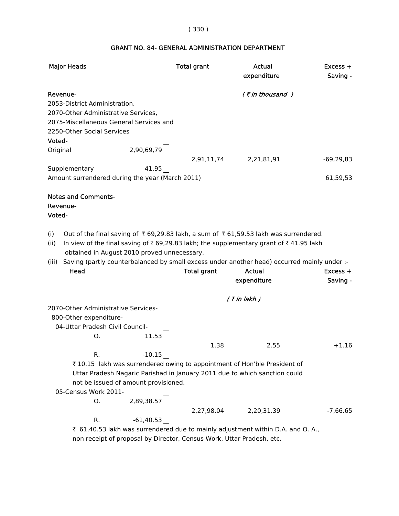# ( 330 )

# GRANT NO. 84- GENERAL ADMINISTRATION DEPARTMENT

| <b>Major Heads</b>                                                                                                                                                                                                                                           | <b>Total grant</b> | <b>Actual</b><br>expenditure | $Excess +$<br>Saving - |
|--------------------------------------------------------------------------------------------------------------------------------------------------------------------------------------------------------------------------------------------------------------|--------------------|------------------------------|------------------------|
| Revenue-<br>2053-District Administration,<br>2070-Other Administrative Services,<br>2075-Miscellaneous General Services and<br>2250-Other Social Services                                                                                                    |                    | $($ ₹ in thousand $)$        |                        |
| Voted-                                                                                                                                                                                                                                                       |                    |                              |                        |
| 2,90,69,79<br>Original<br>41,95<br>Supplementary                                                                                                                                                                                                             | 2,91,11,74         | 2,21,81,91                   | $-69,29,83$            |
| Amount surrendered during the year (March 2011)                                                                                                                                                                                                              |                    |                              | 61,59,53               |
| <b>Notes and Comments-</b><br>Revenue-<br>Voted-<br>Out of the final saving of ₹69,29.83 lakh, a sum of ₹61,59.53 lakh was surrendered.<br>(i)<br>(ii)<br>In view of the final saving of ₹69,29.83 lakh; the supplementary grant of ₹41.95 lakh              |                    |                              |                        |
| obtained in August 2010 proved unnecessary.<br>Saving (partly counterbalanced by small excess under another head) occurred mainly under :-<br>(iii)<br>Head                                                                                                  | <b>Total grant</b> | <b>Actual</b>                | Excess +               |
|                                                                                                                                                                                                                                                              |                    | expenditure                  | Saving -               |
|                                                                                                                                                                                                                                                              |                    |                              |                        |
| 2070-Other Administrative Services-<br>800-Other expenditure-<br>04-Uttar Pradesh Civil Council-<br>11.53<br>О.                                                                                                                                              |                    | $($ ₹ in lakh)               |                        |
|                                                                                                                                                                                                                                                              | 1.38               | 2.55                         | $+1.16$                |
| $-10.15$<br>R.<br>₹10.15 lakh was surrendered owing to appointment of Hon'ble President of<br>Uttar Pradesh Nagaric Parishad in January 2011 due to which sanction could<br>not be issued of amount provisioned.<br>05-Census Work 2011-<br>2,89,38.57<br>О. |                    |                              |                        |
| $-61,40.53$                                                                                                                                                                                                                                                  | 2,27,98.04         | 2,20,31.39                   | $-7,66.65$             |
| R.                                                                                                                                                                                                                                                           |                    |                              |                        |
| ₹ 61,40.53 lakh was surrendered due to mainly adjustment within D.A. and O. A.,                                                                                                                                                                              |                    |                              |                        |

non receipt of proposal by Director, Census Work, Uttar Pradesh, etc.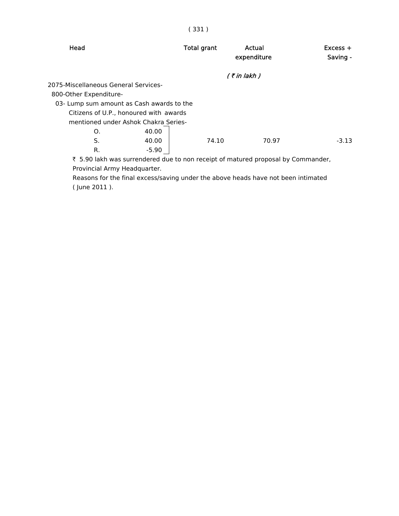| Head                                      | <b>Total grant</b> | Actual<br>expenditure | $Excess +$<br>Saving - |
|-------------------------------------------|--------------------|-----------------------|------------------------|
|                                           |                    | $($ ₹ in lakh $)$     |                        |
| 2075-Miscellaneous General Services-      |                    |                       |                        |
| 800-Other Expenditure-                    |                    |                       |                        |
| 03- Lump sum amount as Cash awards to the |                    |                       |                        |
| Citizens of U.P., honoured with awards    |                    |                       |                        |
| mentioned under Ashok Chakra Series-      |                    |                       |                        |
| 40.00<br>O.                               |                    |                       |                        |
| S.<br>40.00                               | 74.10              | 70.97                 | $-3.13$                |
| R.<br>$-5.90$                             |                    |                       |                        |

 ` 5.90 lakh was surrendered due to non receipt of matured proposal by Commander, Provincial Army Headquarter.

 Reasons for the final excess/saving under the above heads have not been intimated ( June 2011 ).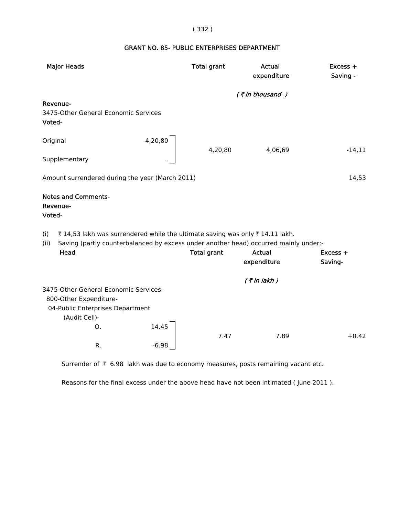### ( 332 )

# GRANT NO. 85- PUBLIC ENTERPRISES DEPARTMENT

|        | <b>Major Heads</b>                                                                           |         | <b>Total grant</b> | <b>Actual</b><br>expenditure | Excess +<br>Saving - |
|--------|----------------------------------------------------------------------------------------------|---------|--------------------|------------------------------|----------------------|
|        |                                                                                              |         |                    | $($ ₹ in thousand )          |                      |
| Voted- | Revenue-<br>3475-Other General Economic Services                                             |         |                    |                              |                      |
|        | Original                                                                                     | 4,20,80 | 4,20,80            | 4,06,69                      | $-14,11$             |
|        | Supplementary                                                                                |         |                    |                              |                      |
|        | Amount surrendered during the year (March 2011)                                              |         |                    |                              | 14,53                |
| Voted- | <b>Notes and Comments-</b><br>Revenue-                                                       |         |                    |                              |                      |
| (i)    | ₹14,53 lakh was surrendered while the ultimate saving was only ₹14.11 lakh.                  |         |                    |                              |                      |
| (ii)   | Saving (partly counterbalanced by excess under another head) occurred mainly under:-<br>Head |         |                    | <b>Actual</b>                |                      |
|        |                                                                                              |         | <b>Total grant</b> | expenditure                  | Excess +<br>Saving-  |
|        |                                                                                              |         |                    | $($ ₹ in lakh $)$            |                      |
|        | 3475-Other General Economic Services-                                                        |         |                    |                              |                      |
|        | 800-Other Expenditure-                                                                       |         |                    |                              |                      |
|        | 04-Public Enterprises Department<br>(Audit Cell)-                                            |         |                    |                              |                      |
|        | Ο.                                                                                           | 14.45   |                    |                              |                      |
|        |                                                                                              |         | 7.47               | 7.89                         | $+0.42$              |
|        | R.                                                                                           | $-6.98$ |                    |                              |                      |

Surrender of  $\bar{\tau}$  6.98 lakh was due to economy measures, posts remaining vacant etc.

Reasons for the final excess under the above head have not been intimated ( June 2011 ).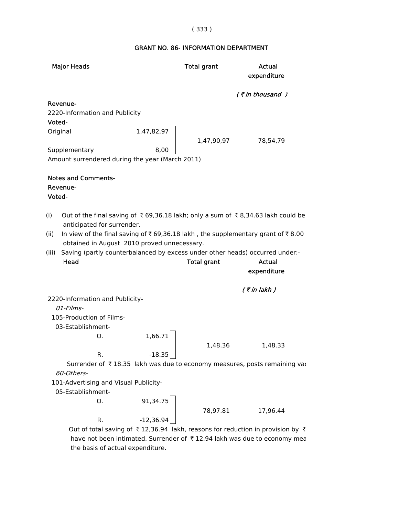### ( 333 )

# GRANT NO. 86- INFORMATION DEPARTMENT

| <b>Major Heads</b>                                                                      | <b>Total grant</b> | Actual<br>expenditure |
|-----------------------------------------------------------------------------------------|--------------------|-----------------------|
|                                                                                         |                    | $($ ₹ in thousand $)$ |
| Revenue-                                                                                |                    |                       |
| 2220-Information and Publicity                                                          |                    |                       |
| Voted-                                                                                  |                    |                       |
| 1,47,82,97<br>Original                                                                  |                    |                       |
| Supplementary                                                                           | 1,47,90,97<br>8,00 | 78,54,79              |
| Amount surrendered during the year (March 2011)                                         |                    |                       |
|                                                                                         |                    |                       |
| <b>Notes and Comments-</b>                                                              |                    |                       |
| Revenue-                                                                                |                    |                       |
| Voted-                                                                                  |                    |                       |
|                                                                                         |                    |                       |
| (i)<br>Out of the final saving of ₹69,36.18 lakh; only a sum of ₹8,34.63 lakh could be  |                    |                       |
| anticipated for surrender.                                                              |                    |                       |
| (ii)<br>In view of the final saving of ₹69,36.18 lakh, the supplementary grant of ₹8.00 |                    |                       |
| obtained in August 2010 proved unnecessary.                                             |                    |                       |
| Saving (partly counterbalanced by excess under other heads) occurred under:-<br>(iii)   |                    |                       |
| Head                                                                                    | <b>Total grant</b> | Actual                |
|                                                                                         |                    | expenditure           |
|                                                                                         |                    | $($ ₹ in lakh)        |
| 2220-Information and Publicity-                                                         |                    |                       |
| 01-Films-                                                                               |                    |                       |
| 105-Production of Films-                                                                |                    |                       |
| 03-Establishment-                                                                       |                    |                       |
| 1,66.71<br>O.                                                                           |                    |                       |
|                                                                                         | 1,48.36            | 1,48.33               |
| R.<br>$-18.35$                                                                          |                    |                       |
| Surrender of ₹18.35 lakh was due to economy measures, posts remaining vao               |                    |                       |
| 60-Others-                                                                              |                    |                       |
| 101-Advertising and Visual Publicity-                                                   |                    |                       |
| 05-Establishment-                                                                       |                    |                       |
| 91,34.75<br>О.                                                                          |                    |                       |
|                                                                                         | 78,97.81           | 17,96.44              |
| $-12,36.94$<br>R.                                                                       |                    |                       |

Out of total saving of  $\bar{\tau}$  12,36.94 lakh, reasons for reduction in provision by  $\bar{\tau}$ have not been intimated. Surrender of  $\bar{\tau}$  12.94 lakh was due to economy mea the basis of actual expenditure.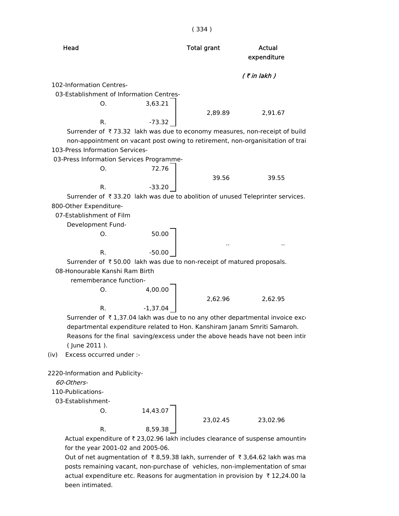| Head                                                                           |            | <b>Total grant</b> | Actual<br>expenditure |
|--------------------------------------------------------------------------------|------------|--------------------|-----------------------|
|                                                                                |            |                    | $($ ₹ in lakh)        |
| 102-Information Centres-                                                       |            |                    |                       |
| 03-Establishment of Information Centres-                                       |            |                    |                       |
| O.                                                                             | 3,63.21    |                    |                       |
|                                                                                |            | 2,89.89            | 2,91.67               |
| R.                                                                             | -73.32     |                    |                       |
| Surrender of ₹73.32 lakh was due to economy measures, non-receipt of build     |            |                    |                       |
| non-appointment on vacant post owing to retirement, non-organisitation of trai |            |                    |                       |
| 103-Press Information Services-                                                |            |                    |                       |
| 03-Press Information Services Programme-                                       |            |                    |                       |
| O.                                                                             | 72.76      |                    |                       |
|                                                                                |            | 39.56              | 39.55                 |
| R.                                                                             | $-33.20$   |                    |                       |
| Surrender of ₹33.20 lakh was due to abolition of unused Teleprinter services.  |            |                    |                       |
| 800-Other Expenditure-                                                         |            |                    |                       |
| 07-Establishment of Film                                                       |            |                    |                       |
| Development Fund-                                                              |            |                    |                       |
| Ο.                                                                             | 50.00      |                    |                       |
|                                                                                |            |                    |                       |
| R.                                                                             | $-50.00$   |                    |                       |
| Surrender of ₹50.00 lakh was due to non-receipt of matured proposals.          |            |                    |                       |
| 08-Honourable Kanshi Ram Birth                                                 |            |                    |                       |
| rememberance function-                                                         |            |                    |                       |
| О.                                                                             | 4,00.00    |                    |                       |
|                                                                                |            | 2,62.96            | 2,62.95               |
| R.                                                                             | $-1,37.04$ |                    |                       |
| Surrender of ₹1,37.04 lakh was due to no any other departmental invoice exco   |            |                    |                       |
| departmental expenditure related to Hon. Kanshiram Janam Smriti Samaroh.       |            |                    |                       |
| Reasons for the final saving/excess under the above heads have not been intir  |            |                    |                       |
| (June 2011).                                                                   |            |                    |                       |
| Excess occurred under :-<br>(iv)                                               |            |                    |                       |
|                                                                                |            |                    |                       |
| 2220-Information and Publicity-                                                |            |                    |                       |
| 60-Others-                                                                     |            |                    |                       |
| 110-Publications-                                                              |            |                    |                       |
| 03-Establishment-                                                              |            |                    |                       |
| О.                                                                             | 14,43.07   |                    |                       |
|                                                                                |            | 23,02.45           | 23,02.96              |
| R.                                                                             | 8,59.38    |                    |                       |
| Actual expenditure of ₹ 23,02.96 lakh includes clearance of suspense amounting |            |                    |                       |
| for the year 2001-02 and 2005-06.                                              |            |                    |                       |

Out of net augmentation of  $\bar{\tau}$  8,59.38 lakh, surrender of  $\bar{\tau}$  3,64.62 lakh was ma posts remaining vacant, non-purchase of vehicles, non-implementation of smar actual expenditure etc. Reasons for augmentation in provision by  $\bar{\tau}$  12,24.00 la been intimated.

### ( 334 )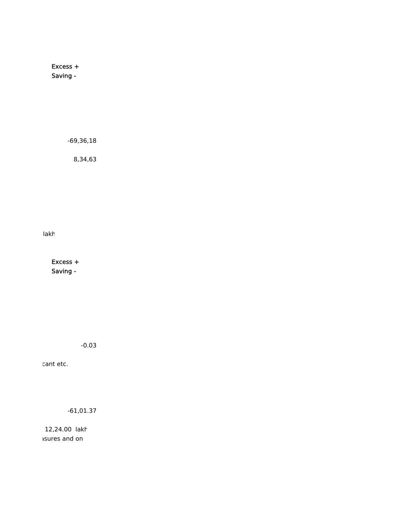Excess + Saving -

-69,36,18

8,34,63

lakh

 Excess + Saving -

-0.03

cant etc.

-61,01.37

 12,24.00 lakh asures and on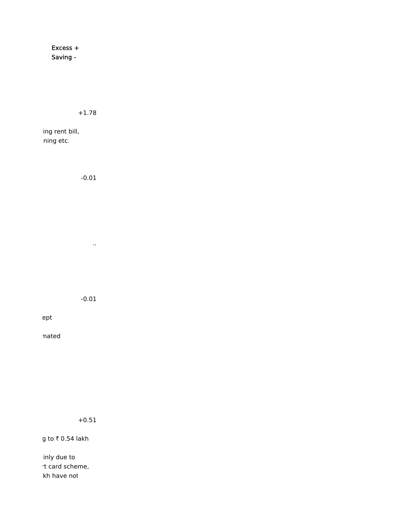Excess + Saving -

+1.78

ing rent bill, ning etc.

> -0.01 ..

> > -0.01

ept

mated

+0.51

g to  $\bar{\tau}$  0.54 lakh

inly due to rt card scheme, kh have not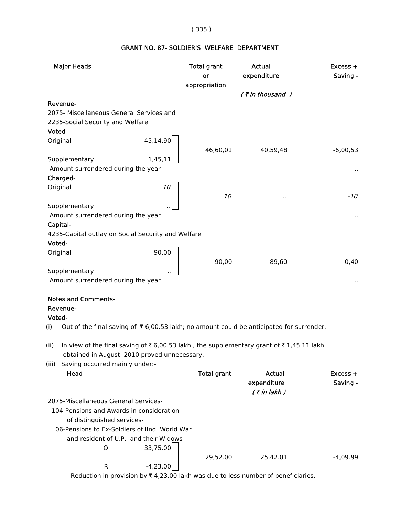# ( 335 )

# GRANT NO. 87- SOLDIER'S WELFARE DEPARTMENT

| <b>Major Heads</b>                                                                                                                       | <b>Total grant</b><br>or | Actual<br>expenditure | Excess +<br>Saving - |
|------------------------------------------------------------------------------------------------------------------------------------------|--------------------------|-----------------------|----------------------|
|                                                                                                                                          | appropriation            |                       |                      |
| Revenue-                                                                                                                                 |                          | (₹in thousand)        |                      |
| 2075- Miscellaneous General Services and                                                                                                 |                          |                       |                      |
| 2235-Social Security and Welfare                                                                                                         |                          |                       |                      |
| Voted-                                                                                                                                   |                          |                       |                      |
| Original                                                                                                                                 |                          |                       |                      |
| 45,14,90                                                                                                                                 | 46,60,01                 | 40,59,48              | $-6,00,53$           |
| 1,45,11<br>Supplementary                                                                                                                 |                          |                       |                      |
| Amount surrendered during the year                                                                                                       |                          |                       |                      |
| Charged-                                                                                                                                 |                          |                       |                      |
| Original                                                                                                                                 |                          |                       |                      |
|                                                                                                                                          | 10                       | .,                    | $-10$                |
| Supplementary                                                                                                                            |                          |                       |                      |
| Amount surrendered during the year                                                                                                       |                          |                       |                      |
| Capital-                                                                                                                                 |                          |                       |                      |
| 4235-Capital outlay on Social Security and Welfare                                                                                       |                          |                       |                      |
| Voted-                                                                                                                                   |                          |                       |                      |
| 90,00<br>Original                                                                                                                        |                          |                       |                      |
|                                                                                                                                          | 90,00                    | 89,60                 | $-0,40$              |
| Supplementary<br>Amount surrendered during the year                                                                                      |                          |                       |                      |
|                                                                                                                                          |                          |                       |                      |
| <b>Notes and Comments-</b>                                                                                                               |                          |                       |                      |
| Revenue-                                                                                                                                 |                          |                       |                      |
| Voted-                                                                                                                                   |                          |                       |                      |
| Out of the final saving of $\bar{\tau}$ 6,00.53 lakh; no amount could be anticipated for surrender.<br>(i)                               |                          |                       |                      |
| In view of the final saving of $\overline{\epsilon}$ 6,00.53 lakh, the supplementary grant of $\overline{\epsilon}$ 1,45.11 lakh<br>(ii) |                          |                       |                      |
| obtained in August 2010 proved unnecessary.                                                                                              |                          |                       |                      |
| Saving occurred mainly under:-<br>(iii)                                                                                                  |                          |                       |                      |
| Head                                                                                                                                     | <b>Total grant</b>       | <b>Actual</b>         | $Excess +$           |
|                                                                                                                                          |                          | expenditure           | Saving -             |
|                                                                                                                                          |                          | $($ ₹ in lakh $)$     |                      |
| 2075-Miscellaneous General Services-                                                                                                     |                          |                       |                      |
| 104-Pensions and Awards in consideration                                                                                                 |                          |                       |                      |
| of distinguished services-                                                                                                               |                          |                       |                      |
| 06-Pensions to Ex-Soldiers of IInd World War                                                                                             |                          |                       |                      |
| and resident of U.P. and their Widows-<br>33,75.00<br>О.                                                                                 |                          |                       |                      |
|                                                                                                                                          | 29,52.00                 | 25,42.01              | $-4,09.99$           |
| R.<br>$-4,23.00$                                                                                                                         |                          |                       |                      |

Reduction in provision by  $\bar{x}$  4,23.00 lakh was due to less number of beneficiaries.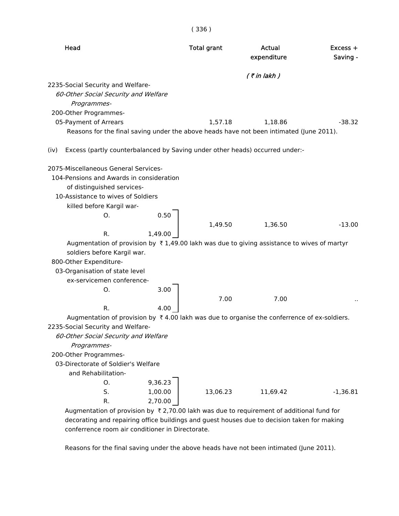| Head                                                                                                                                                                                                                                  | <b>Total grant</b> | Actual<br>expenditure | Excess +<br>Saving - |
|---------------------------------------------------------------------------------------------------------------------------------------------------------------------------------------------------------------------------------------|--------------------|-----------------------|----------------------|
|                                                                                                                                                                                                                                       |                    | $($ ₹ in lakh)        |                      |
| 2235-Social Security and Welfare-<br>60-Other Social Security and Welfare<br>Programmes-<br>200-Other Programmes-<br>05-Payment of Arrears<br>Reasons for the final saving under the above heads have not been intimated (June 2011). | 1,57.18            | 1,18.86               | $-38.32$             |
| Excess (partly counterbalanced by Saving under other heads) occurred under:-<br>(iv)                                                                                                                                                  |                    |                       |                      |
| 2075-Miscellaneous General Services-<br>104-Pensions and Awards in consideration<br>of distinguished services-<br>10-Assistance to wives of Soldiers<br>killed before Kargil war-<br>0.50<br>Ο.                                       |                    |                       |                      |
|                                                                                                                                                                                                                                       | 1,49.50            | 1,36.50               | $-13.00$             |
| R.<br>1,49.00                                                                                                                                                                                                                         |                    |                       |                      |
| Augmentation of provision by $\bar{\tau}$ 1,49.00 lakh was due to giving assistance to wives of martyr                                                                                                                                |                    |                       |                      |
| soldiers before Kargil war.                                                                                                                                                                                                           |                    |                       |                      |
| 800-Other Expenditure-                                                                                                                                                                                                                |                    |                       |                      |
| 03-Organisation of state level                                                                                                                                                                                                        |                    |                       |                      |
| ex-servicemen conference-                                                                                                                                                                                                             |                    |                       |                      |
| 3.00<br>O.                                                                                                                                                                                                                            |                    |                       |                      |
|                                                                                                                                                                                                                                       | 7.00               | 7.00                  |                      |
| R.<br>4.00                                                                                                                                                                                                                            |                    |                       |                      |
| Augmentation of provision by $\bar{x}$ 4.00 lakh was due to organise the conferrence of ex-soldiers.<br>2235-Social Security and Welfare-                                                                                             |                    |                       |                      |
| 60-Other Social Security and Welfare                                                                                                                                                                                                  |                    |                       |                      |
| Programmes-                                                                                                                                                                                                                           |                    |                       |                      |
| 200-Other Programmes-                                                                                                                                                                                                                 |                    |                       |                      |
| 03-Directorate of Soldier's Welfare                                                                                                                                                                                                   |                    |                       |                      |
| and Rehabilitation-                                                                                                                                                                                                                   |                    |                       |                      |
| 9,36.23<br>O.                                                                                                                                                                                                                         |                    |                       |                      |
| S.<br>1,00.00                                                                                                                                                                                                                         | 13,06.23           | 11,69.42              | $-1,36.81$           |
| R.<br>2,70.00                                                                                                                                                                                                                         |                    |                       |                      |
| Augmentation of provision by $\bar{\tau}$ 2,70.00 lakh was due to requirement of additional fund for                                                                                                                                  |                    |                       |                      |
| decorating and repairing office buildings and guest houses due to decision taken for making                                                                                                                                           |                    |                       |                      |

Reasons for the final saving under the above heads have not been intimated (June 2011).

conferrence room air conditioner in Directorate.

( 336 )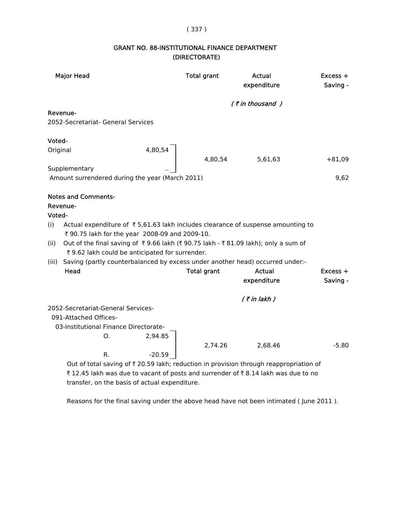### ( 337 )

# GRANT NO. 88-INSTITUTIONAL FINANCE DEPARTMENT (DIRECTORATE)

|          | <b>Major Head</b>                                                                                                                             |          | <b>Total grant</b> | Actual<br>expenditure | Excess +<br>Saving - |
|----------|-----------------------------------------------------------------------------------------------------------------------------------------------|----------|--------------------|-----------------------|----------------------|
|          |                                                                                                                                               |          |                    | $($ ₹ in thousand )   |                      |
|          | Revenue-                                                                                                                                      |          |                    |                       |                      |
|          | 2052-Secretariat- General Services                                                                                                            |          |                    |                       |                      |
| Voted-   |                                                                                                                                               |          |                    |                       |                      |
| Original |                                                                                                                                               | 4,80,54  | 4,80,54            | 5,61,63               | $+81,09$             |
|          | Supplementary                                                                                                                                 |          |                    |                       |                      |
|          | Amount surrendered during the year (March 2011)                                                                                               |          |                    |                       | 9,62                 |
|          | <b>Notes and Comments-</b>                                                                                                                    |          |                    |                       |                      |
|          | Revenue-                                                                                                                                      |          |                    |                       |                      |
| Voted-   |                                                                                                                                               |          |                    |                       |                      |
| (i)      | Actual expenditure of $\bar{\tau}$ 5,61.63 lakh includes clearance of suspense amounting to<br>₹ 90.75 lakh for the year 2008-09 and 2009-10. |          |                    |                       |                      |
| (ii)     | Out of the final saving of ₹9.66 lakh (₹90.75 lakh - ₹81.09 lakh); only a sum of                                                              |          |                    |                       |                      |
|          | ₹ 9.62 lakh could be anticipated for surrender.                                                                                               |          |                    |                       |                      |
| (iii)    | Saving (partly counterbalanced by excess under another head) occurred under:-                                                                 |          |                    |                       |                      |
|          | Head                                                                                                                                          |          | <b>Total grant</b> | Actual                | $Excess +$           |
|          |                                                                                                                                               |          |                    | expenditure           | Saving -             |
|          |                                                                                                                                               |          |                    | $($ ₹ in lakh $)$     |                      |
|          | 2052-Secretariat-General Services-                                                                                                            |          |                    |                       |                      |
|          | 091-Attached Offices-                                                                                                                         |          |                    |                       |                      |
|          | 03-Institutional Finance Directorate-                                                                                                         |          |                    |                       |                      |
|          | Ο.                                                                                                                                            | 2,94.85  |                    |                       |                      |
|          |                                                                                                                                               |          | 2,74.26            | 2,68.46               | $-5.80$              |
|          | R.                                                                                                                                            | $-20.59$ |                    |                       |                      |
|          | Out of total saving of ₹ 20.59 lakh; reduction in provision through reappropriation of                                                        |          |                    |                       |                      |
|          | ₹12.45 lakh was due to vacant of posts and surrender of ₹8.14 lakh was due to no                                                              |          |                    |                       |                      |

transfer, on the basis of actual expenditure.

Reasons for the final saving under the above head have not been intimated ( June 2011 ).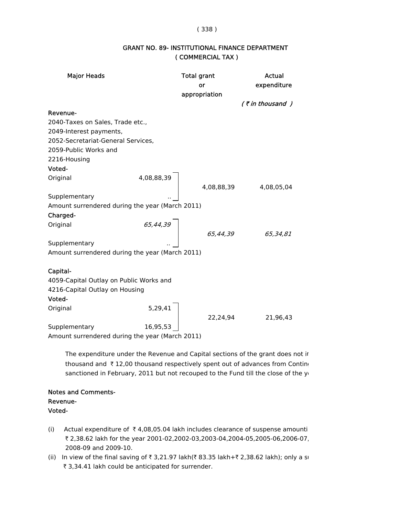#### ( 338 )

| <b>Major Heads</b>                              |               | <b>Total grant</b><br>or<br>appropriation | <b>Actual</b><br>expenditure |  |
|-------------------------------------------------|---------------|-------------------------------------------|------------------------------|--|
|                                                 |               |                                           | $($ ₹ in thousand $)$        |  |
| Revenue-                                        |               |                                           |                              |  |
| 2040-Taxes on Sales, Trade etc.,                |               |                                           |                              |  |
| 2049-Interest payments,                         |               |                                           |                              |  |
| 2052-Secretariat-General Services,              |               |                                           |                              |  |
| 2059-Public Works and                           |               |                                           |                              |  |
| 2216-Housing                                    |               |                                           |                              |  |
| Voted-                                          |               |                                           |                              |  |
| Original                                        | 4,08,88,39    |                                           |                              |  |
|                                                 |               | 4,08,88,39                                | 4,08,05,04                   |  |
| Supplementary                                   |               |                                           |                              |  |
| Amount surrendered during the year (March 2011) |               |                                           |                              |  |
| Charged-                                        |               |                                           |                              |  |
| Original                                        |               |                                           |                              |  |
|                                                 | 65,44,39<br>} | 65,44,39                                  | 65,34,81                     |  |
| Supplementary                                   |               |                                           |                              |  |
| Amount surrendered during the year (March 2011) |               |                                           |                              |  |
|                                                 |               |                                           |                              |  |
| Capital-                                        |               |                                           |                              |  |
| 4059-Capital Outlay on Public Works and         |               |                                           |                              |  |
| 4216-Capital Outlay on Housing                  |               |                                           |                              |  |
| Voted-                                          |               |                                           |                              |  |
| Original                                        | 5,29,41       |                                           |                              |  |
|                                                 |               | 22,24,94                                  | 21,96,43                     |  |
| Supplementary                                   | 16,95,53      |                                           |                              |  |
| Amount surrendered during the year (March 2011) |               |                                           |                              |  |

### GRANT NO. 89- INSTITUTIONAL FINANCE DEPARTMENT ( COMMERCIAL TAX )

 The expenditure under the Revenue and Capital sections of the grant does not in thousand and  $\bar{\tau}$  12,00 thousand respectively spent out of advances from Conting sanctioned in February, 2011 but not recouped to the Fund till the close of the ye

### Notes and Comments- Revenue- Voted-

- (i) Actual expenditure of  $\overline{\tau}$  4,08,05.04 lakh includes clearance of suspense amounti ` 2,38.62 lakh for the year 2001-02,2002-03,2003-04,2004-05,2005-06,2006-07, 2008-09 and 2009-10.
- (ii) In view of the final saving of  $\bar{\tau}$  3,21.97 lakh( $\bar{\tau}$  83.35 lakh+ $\bar{\tau}$  2,38.62 lakh); only a su ₹ 3,34.41 lakh could be anticipated for surrender.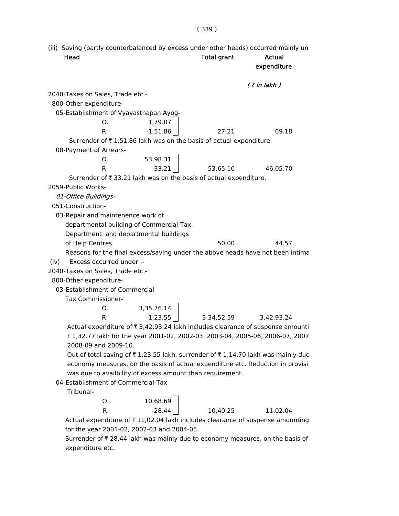(iii) Saving (partly counterbalanced by excess under other heads) occurred mainly un Head **Total grant** Actual expenditure  $($  ₹ in lakh  $)$  2040-Taxes on Sales, Trade etc.- 800-Other expenditure- 05-Establishment of Vyavasthapan Ayog-O. 1,79.07 R.  $-1,51.86$  27.21 69.18 Surrender of  $\bar{\tau}$  1,51.86 lakh was on the basis of actual expenditure. 08-Payment of Arrears-O. 53,98.31 R. 33.21 53.65.10 46.05.70 Surrender of  $\bar{\tau}$  33.21 lakh was on the basis of actual expenditure. 2059-Public Works- 01-Office Buildings- 051-Construction-

03-Repair and maintenence work of

departmental building of Commercial-Tax

Department and departmental buildings

of Help Centres 60.00 50.00 44.57

Reasons for the final excess/saving under the above heads have not been intima

(iv) Excess occurred under :-

2040-Taxes on Sales, Trade etc.-

800-Other expenditure-

03-Establishment of Commercial

Tax Commissioner-

| O | 3,35,76.14 |            |            |
|---|------------|------------|------------|
|   | $-1,23.55$ | 3,34,52.59 | 3,42,93.24 |

Actual expenditure of  $\bar{\tau}$  3,42,93.24 lakh includes clearance of suspense amounti ` 1,32.77 lakh for the year 2001-02, 2002-03, 2003-04, 2005-06, 2006-07, 2007 2008-09 and 2009-10.

Out of total saving of  $\bar{\tau}$  1,23.55 lakh, surrender of  $\bar{\tau}$  1,14.70 lakh was mainly due economy measures, on the basis of actual expenditure etc. Reduction in provisi was due to availbility of excess amount than requirement.

04-Establishment of Commercial-Tax

Tribunal-

| O. | 10,68.69 |          |          |
|----|----------|----------|----------|
| R. | -28.44   | 10,40.25 | 11,02.04 |

Actual expenditure of  $\bar{\tau}$  11,02.04 lakh includes clearance of suspense amounting for the year 2001-02, 2002-03 and 2004-05.

Surrender of  $\bar{\tau}$  28.44 lakh was mainly due to economy measures, on the basis of expenditure etc.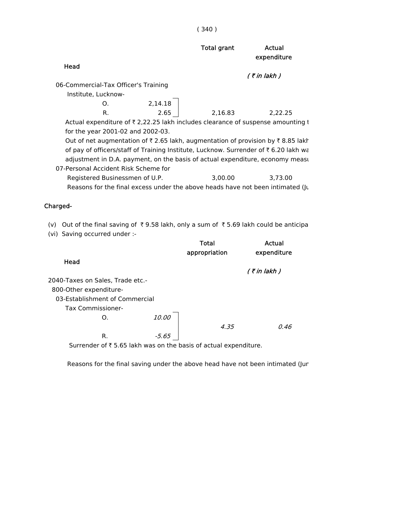| × |  |
|---|--|
|---|--|

|                                                                                                        |         | <b>Total grant</b> | Actual<br>expenditure |
|--------------------------------------------------------------------------------------------------------|---------|--------------------|-----------------------|
| Head                                                                                                   |         |                    |                       |
|                                                                                                        |         |                    | $($ ₹ in lakh)        |
| 06-Commercial-Tax Officer's Training                                                                   |         |                    |                       |
| Institute, Lucknow-                                                                                    |         |                    |                       |
| Ω.                                                                                                     | 2,14.18 |                    |                       |
| R.                                                                                                     | 2.65    | 2,16.83            | 2,22.25               |
| Actual expenditure of $\bar{\tau}$ 2,22.25 lakh includes clearance of suspense amounting t             |         |                    |                       |
| for the year 2001-02 and 2002-03.                                                                      |         |                    |                       |
| Out of net augmentation of $\bar{\tau}$ 2.65 lakh, augmentation of provision by $\bar{\tau}$ 8.85 lakh |         |                    |                       |
| of pay of officers/staff of Training Institute, Lucknow. Surrender of $\bar{\tau}$ 6.20 lakh wa        |         |                    |                       |
| adjustment in D.A. payment, on the basis of actual expenditure, economy measu                          |         |                    |                       |
| 07-Personal Accident Risk Scheme for                                                                   |         |                    |                       |
| Registered Businessmen of U.P.                                                                         |         | 3.00.00            | 3.73.00               |
| Reasons for the final excess under the above heads have not been intimated (Ju                         |         |                    |                       |
|                                                                                                        |         |                    |                       |

# Charged-

- (v) Out of the final saving of  $\bar{\tau}$  9.58 lakh, only a sum of  $\bar{\tau}$  5.69 lakh could be anticipa
- (vi) Saving occurred under :-

|                                  |       | Total<br>appropriation | Actual<br>expenditure |
|----------------------------------|-------|------------------------|-----------------------|
| Head                             |       |                        | $($ ₹ in lakh)        |
| 2040-Taxes on Sales, Trade etc.- |       |                        |                       |
| 800-Other expenditure-           |       |                        |                       |
| 03-Establishment of Commercial   |       |                        |                       |
| <b>Tax Commissioner-</b>         |       |                        |                       |
| O.                               | 10.00 |                        |                       |
|                                  |       | 4.35                   | 0.46                  |
| R.                               | -5.65 |                        |                       |

Surrender of  $\bar{\tau}$  5.65 lakh was on the basis of actual expenditure.

Reasons for the final saving under the above head have not been intimated (Jur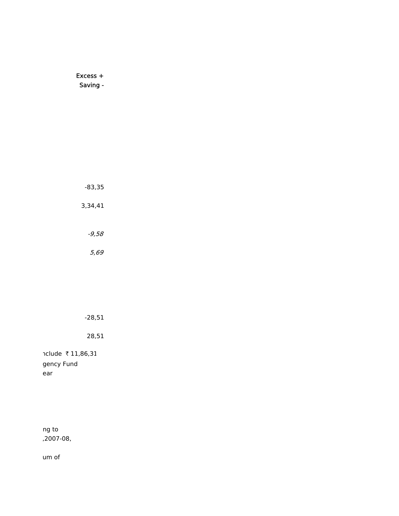# Excess + Saving -

-83,35 3,34,41 -9,58

5,69

# -28,51

28,51

nclude ₹11,86,31 gency Fund ear

ng to ,2007-08,

um of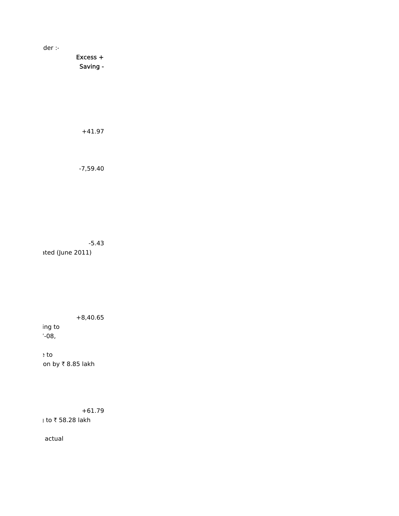der :-

Excess + Saving -

+41.97

-7,59.40

-5.43 ated (June 2011)

+8,40.65

ing to  $'$ -08,

e to on by  $\bar{\tau}$  8.85 lakh

+61.79  $|$  to ₹ 58.28 lakh

actual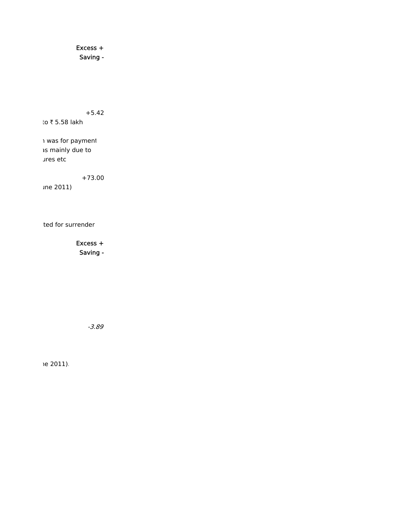Excess + Saving -

+5.42

to  $\bar{x}$  5.58 lakh

h was for payment as mainly due to ures etc

+73.00

une 2011)

ted for surrender

Excess + Saving -

-3.89

ne 2011).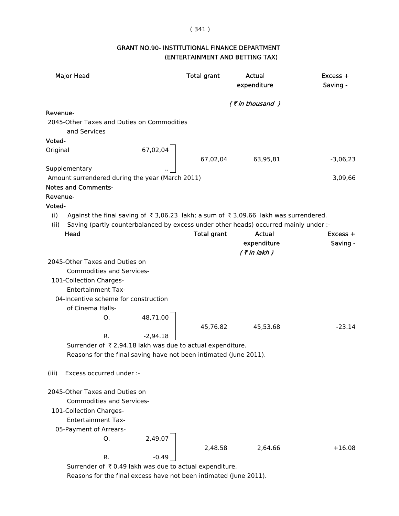### ( 341 )

# GRANT NO.90- INSTITUTIONAL FINANCE DEPARTMENT (ENTERTAINMENT AND BETTING TAX)

| <b>Major Head</b>                                                                                 | <b>Total grant</b>    | Actual<br>expenditure | $Excess +$<br>Saving - |  |
|---------------------------------------------------------------------------------------------------|-----------------------|-----------------------|------------------------|--|
|                                                                                                   | $($ ₹ in thousand $)$ |                       |                        |  |
| Revenue-                                                                                          |                       |                       |                        |  |
| 2045-Other Taxes and Duties on Commodities                                                        |                       |                       |                        |  |
| and Services                                                                                      |                       |                       |                        |  |
| Voted-                                                                                            |                       |                       |                        |  |
| 67,02,04<br>Original                                                                              |                       |                       |                        |  |
|                                                                                                   | 67,02,04              | 63,95,81              | $-3,06,23$             |  |
| Supplementary                                                                                     |                       |                       |                        |  |
| Amount surrendered during the year (March 2011)                                                   |                       |                       | 3,09,66                |  |
| <b>Notes and Comments-</b>                                                                        |                       |                       |                        |  |
| Revenue-                                                                                          |                       |                       |                        |  |
| Voted-                                                                                            |                       |                       |                        |  |
| (i)<br>Against the final saving of ₹3,06.23 lakh; a sum of ₹3,09.66 lakh was surrendered.<br>(ii) |                       |                       |                        |  |
| Saving (partly counterbalanced by excess under other heads) occurred mainly under :-<br>Head      |                       | Actual                | $Excess +$             |  |
|                                                                                                   | <b>Total grant</b>    | expenditure           | Saving -               |  |
|                                                                                                   |                       | $($ ₹ in lakh)        |                        |  |
| 2045-Other Taxes and Duties on                                                                    |                       |                       |                        |  |
| <b>Commodities and Services-</b>                                                                  |                       |                       |                        |  |
| 101-Collection Charges-                                                                           |                       |                       |                        |  |
| <b>Entertainment Tax-</b>                                                                         |                       |                       |                        |  |
| 04-Incentive scheme for construction                                                              |                       |                       |                        |  |
| of Cinema Halls-                                                                                  |                       |                       |                        |  |
| O.                                                                                                |                       |                       |                        |  |
| 48,71.00                                                                                          |                       |                       | $-23.14$               |  |
| $-2,94.18$<br>R.                                                                                  | 45,76.82              | 45,53.68              |                        |  |
|                                                                                                   |                       |                       |                        |  |
| Surrender of ₹2,94.18 lakh was due to actual expenditure.                                         |                       |                       |                        |  |
| Reasons for the final saving have not been intimated (June 2011).                                 |                       |                       |                        |  |
| Excess occurred under :-<br>(iii)                                                                 |                       |                       |                        |  |
| 2045-Other Taxes and Duties on                                                                    |                       |                       |                        |  |
| <b>Commodities and Services-</b>                                                                  |                       |                       |                        |  |
| 101-Collection Charges-                                                                           |                       |                       |                        |  |
| <b>Entertainment Tax-</b>                                                                         |                       |                       |                        |  |
| 05-Payment of Arrears-                                                                            |                       |                       |                        |  |
| 2,49.07<br>0.                                                                                     |                       |                       |                        |  |
|                                                                                                   | 2,48.58               | 2,64.66               | $+16.08$               |  |
| R.<br>$-0.49$                                                                                     |                       |                       |                        |  |
| Surrender of ₹0.49 lakh was due to actual expenditure.                                            |                       |                       |                        |  |

Reasons for the final excess have not been intimated (June 2011).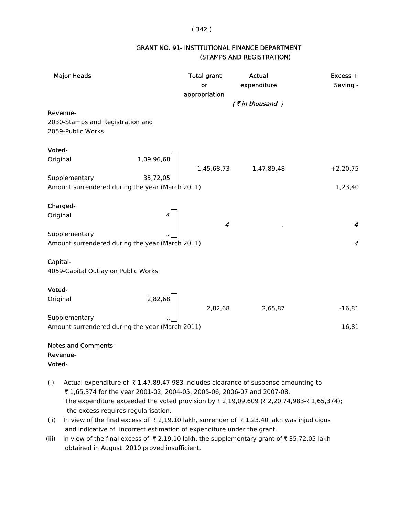#### ( 342 )

# GRANT NO. 91- INSTITUTIONAL FINANCE DEPARTMENT (STAMPS AND REGISTRATION)

| <b>Major Heads</b>                              | <b>Total grant</b><br>or<br>appropriation                                                                       | Actual<br>expenditure | Excess +<br>Saving -   |
|-------------------------------------------------|-----------------------------------------------------------------------------------------------------------------|-----------------------|------------------------|
|                                                 |                                                                                                                 | $($ ₹ in thousand $)$ |                        |
| Revenue-                                        |                                                                                                                 |                       |                        |
| 2030-Stamps and Registration and                |                                                                                                                 |                       |                        |
| 2059-Public Works                               |                                                                                                                 |                       |                        |
|                                                 |                                                                                                                 |                       |                        |
| Voted-                                          |                                                                                                                 |                       |                        |
| Original                                        | $\left[ \begin{array}{ccc} 1,09,96,68 & & \\ & 1,45,68,73 & & 1,47,89,48 \\ 35,72,05 & & & \end{array} \right]$ |                       |                        |
| Supplementary                                   |                                                                                                                 |                       | $+2,20,75$             |
| Amount surrendered during the year (March 2011) |                                                                                                                 |                       | 1,23,40                |
|                                                 |                                                                                                                 |                       |                        |
| Charged-                                        |                                                                                                                 |                       |                        |
| Original                                        |                                                                                                                 |                       |                        |
|                                                 | $\boldsymbol{4}$                                                                                                |                       | $-4$                   |
| Supplementary                                   |                                                                                                                 |                       |                        |
| Amount surrendered during the year (March 2011) |                                                                                                                 |                       | $\boldsymbol{\Lambda}$ |
|                                                 |                                                                                                                 |                       |                        |
| Capital-                                        |                                                                                                                 |                       |                        |
| 4059-Capital Outlay on Public Works             |                                                                                                                 |                       |                        |
| Voted-                                          |                                                                                                                 |                       |                        |
| Original                                        |                                                                                                                 |                       |                        |
| 2,82,68                                         | 2,82,68                                                                                                         | 2,65,87               | $-16,81$               |
| Supplementary                                   |                                                                                                                 |                       |                        |
| Amount surrendered during the year (March 2011) |                                                                                                                 |                       | 16,81                  |
|                                                 |                                                                                                                 |                       |                        |

# Notes and Comments- Revenue- Voted-

- (i) Actual expenditure of  $\overline{\tau}$  1,47,89,47,983 includes clearance of suspense amounting to ₹ 1,65,374 for the year 2001-02, 2004-05, 2005-06, 2006-07 and 2007-08. The expenditure exceeded the voted provision by  $\bar{\tau}$  2,19,09,609 ( $\bar{\tau}$  2,20,74,983- $\bar{\tau}$  1,65,374); the excess requires regularisation.
- (ii) In view of the final excess of  $\bar{\tau}$  2,19.10 lakh, surrender of  $\bar{\tau}$  1,23.40 lakh was injudicious and indicative of incorrect estimation of expenditure under the grant.
- (iii) In view of the final excess of  $\bar{\tau}$  2,19.10 lakh, the supplementary grant of  $\bar{\tau}$  35,72.05 lakh obtained in August 2010 proved insufficient.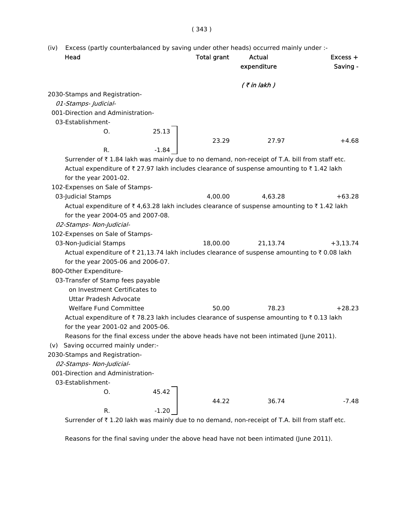### ( 343 )

(iv) Excess (partly counterbalanced by saving under other heads) occurred mainly under :-

| Head                                                                                          |         | <b>Total grant</b> | Actual<br>expenditure | $Excess +$<br>Saving - |
|-----------------------------------------------------------------------------------------------|---------|--------------------|-----------------------|------------------------|
|                                                                                               |         |                    | $($ ₹ in lakh)        |                        |
| 2030-Stamps and Registration-                                                                 |         |                    |                       |                        |
| 01-Stamps- Judicial-                                                                          |         |                    |                       |                        |
| 001-Direction and Administration-                                                             |         |                    |                       |                        |
| 03-Establishment-                                                                             |         |                    |                       |                        |
| O.                                                                                            | 25.13   |                    |                       |                        |
|                                                                                               |         | 23.29              | 27.97                 | $+4.68$                |
| R.                                                                                            | $-1.84$ |                    |                       |                        |
| Surrender of ₹1.84 lakh was mainly due to no demand, non-receipt of T.A. bill from staff etc. |         |                    |                       |                        |
| Actual expenditure of ₹27.97 lakh includes clearance of suspense amounting to ₹1.42 lakh      |         |                    |                       |                        |
| for the year 2001-02.                                                                         |         |                    |                       |                        |
| 102-Expenses on Sale of Stamps-                                                               |         |                    |                       |                        |
| 03-Judicial Stamps                                                                            |         | 4,00.00            | 4,63.28               | $+63.28$               |
| Actual expenditure of ₹4,63.28 lakh includes clearance of suspense amounting to ₹1.42 lakh    |         |                    |                       |                        |
| for the year 2004-05 and 2007-08.                                                             |         |                    |                       |                        |
| 02-Stamps- Non-Judicial-                                                                      |         |                    |                       |                        |
| 102-Expenses on Sale of Stamps-                                                               |         |                    |                       |                        |
| 03-Non-Judicial Stamps                                                                        |         | 18,00.00           | 21,13.74              | $+3,13.74$             |
| Actual expenditure of ₹ 21,13.74 lakh includes clearance of suspense amounting to ₹0.08 lakh  |         |                    |                       |                        |
| for the year 2005-06 and 2006-07.                                                             |         |                    |                       |                        |
| 800-Other Expenditure-                                                                        |         |                    |                       |                        |
| 03-Transfer of Stamp fees payable                                                             |         |                    |                       |                        |
| on Investment Certificates to                                                                 |         |                    |                       |                        |
| Uttar Pradesh Advocate                                                                        |         |                    |                       |                        |
| <b>Welfare Fund Committee</b>                                                                 |         | 50.00              | 78.23                 | $+28.23$               |
| Actual expenditure of ₹78.23 lakh includes clearance of suspense amounting to ₹0.13 lakh      |         |                    |                       |                        |
| for the year 2001-02 and 2005-06.                                                             |         |                    |                       |                        |
| Reasons for the final excess under the above heads have not been intimated (June 2011).       |         |                    |                       |                        |
| (v) Saving occurred mainly under:-                                                            |         |                    |                       |                        |
| 2030-Stamps and Registration-                                                                 |         |                    |                       |                        |
| 02-Stamps- Non-Judicial-                                                                      |         |                    |                       |                        |
| 001-Direction and Administration-                                                             |         |                    |                       |                        |
| 03-Establishment-                                                                             |         |                    |                       |                        |
| 0.                                                                                            | 45.42   |                    |                       |                        |
|                                                                                               |         | 44.22              | 36.74                 | $-7.48$                |
| R.                                                                                            | $-1.20$ |                    |                       |                        |

Surrender of  $\bar{\tau}$  1.20 lakh was mainly due to no demand, non-receipt of T.A. bill from staff etc.

Reasons for the final saving under the above head have not been intimated (June 2011).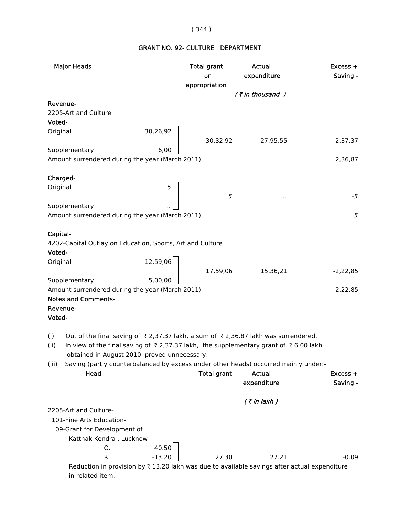## ( 344 )

# GRANT NO. 92- CULTURE DEPARTMENT

| <b>Major Heads</b>                                                                                                  | <b>Total grant</b><br>or                                          | Actual<br>expenditure | Excess +<br>Saving -   |
|---------------------------------------------------------------------------------------------------------------------|-------------------------------------------------------------------|-----------------------|------------------------|
|                                                                                                                     | appropriation                                                     |                       |                        |
|                                                                                                                     |                                                                   | (₹in thousand)        |                        |
| Revenue-                                                                                                            |                                                                   |                       |                        |
| 2205-Art and Culture                                                                                                |                                                                   |                       |                        |
| Voted-                                                                                                              |                                                                   |                       |                        |
| 30,26,92<br>Original                                                                                                |                                                                   |                       | $-2,37,37$             |
| Supplementary                                                                                                       |                                                                   | 30,32,92 27,95,55     |                        |
| Amount surrendered during the year (March 2011)                                                                     |                                                                   |                       | 2,36,87                |
|                                                                                                                     |                                                                   |                       |                        |
| Charged-                                                                                                            |                                                                   |                       |                        |
| Original                                                                                                            |                                                                   |                       |                        |
|                                                                                                                     | 5                                                                 | $\cdot$ .             | $-5$                   |
| Supplementary                                                                                                       |                                                                   |                       |                        |
| Amount surrendered during the year (March 2011)                                                                     |                                                                   |                       | 5                      |
|                                                                                                                     |                                                                   |                       |                        |
| Capital-                                                                                                            |                                                                   |                       |                        |
| 4202-Capital Outlay on Education, Sports, Art and Culture                                                           |                                                                   |                       |                        |
| Voted-                                                                                                              |                                                                   |                       |                        |
| Original                                                                                                            |                                                                   |                       |                        |
|                                                                                                                     | $\left  \begin{array}{c} 12,59,06 \ 17,59,06 \end{array} \right $ | 15,36,21              | $-2,22,85$             |
| 5,00,00<br>Supplementary                                                                                            |                                                                   |                       |                        |
| Amount surrendered during the year (March 2011)                                                                     |                                                                   |                       | 2,22,85                |
| <b>Notes and Comments-</b>                                                                                          |                                                                   |                       |                        |
| Revenue-                                                                                                            |                                                                   |                       |                        |
| Voted-                                                                                                              |                                                                   |                       |                        |
|                                                                                                                     |                                                                   |                       |                        |
| Out of the final saving of ₹2,37.37 lakh, a sum of ₹2,36.87 lakh was surrendered.<br>(i)                            |                                                                   |                       |                        |
| In view of the final saving of $\bar{\tau}$ 2,37.37 lakh, the supplementary grant of $\bar{\tau}$ 6.00 lakh<br>(ii) |                                                                   |                       |                        |
| obtained in August 2010 proved unnecessary.                                                                         |                                                                   |                       |                        |
| Saving (partly counterbalanced by excess under other heads) occurred mainly under:-<br>(iii)<br>Head                | <b>Total grant</b>                                                | <b>Actual</b>         |                        |
|                                                                                                                     |                                                                   | expenditure           | $Excess +$<br>Saving - |
|                                                                                                                     |                                                                   |                       |                        |
|                                                                                                                     |                                                                   | $($ ₹ in lakh)        |                        |
| 2205-Art and Culture-                                                                                               |                                                                   |                       |                        |
| 101-Fine Arts Education-                                                                                            |                                                                   |                       |                        |
| 09-Grant for Development of                                                                                         |                                                                   |                       |                        |
| Katthak Kendra, Lucknow-                                                                                            |                                                                   |                       |                        |
| 40.50<br>Ο.                                                                                                         |                                                                   |                       |                        |
| R.<br>$-13.20$                                                                                                      | 27.30                                                             | 27.21                 | $-0.09$                |
| Reduction in provision by ₹13.20 lakh was due to available savings after actual expenditure                         |                                                                   |                       |                        |
| in related item.                                                                                                    |                                                                   |                       |                        |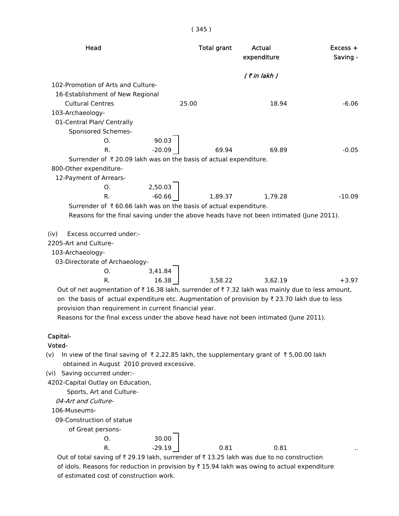| Head                                                                                                                                                                                                                                                                                                                                                                      | <b>Total grant</b> | Actual<br>expenditure | Excess +<br>Saving - |
|---------------------------------------------------------------------------------------------------------------------------------------------------------------------------------------------------------------------------------------------------------------------------------------------------------------------------------------------------------------------------|--------------------|-----------------------|----------------------|
|                                                                                                                                                                                                                                                                                                                                                                           |                    | $($ ₹ in lakh $)$     |                      |
| 102-Promotion of Arts and Culture-                                                                                                                                                                                                                                                                                                                                        |                    |                       |                      |
| 16-Establishment of New Regional                                                                                                                                                                                                                                                                                                                                          |                    |                       |                      |
| <b>Cultural Centres</b>                                                                                                                                                                                                                                                                                                                                                   | 25.00              | 18.94                 | $-6.06$              |
| 103-Archaeology-                                                                                                                                                                                                                                                                                                                                                          |                    |                       |                      |
| 01-Central Plan/ Centrally                                                                                                                                                                                                                                                                                                                                                |                    |                       |                      |
| Sponsored Schemes-                                                                                                                                                                                                                                                                                                                                                        |                    |                       |                      |
| 90.03<br>O <sub>1</sub>                                                                                                                                                                                                                                                                                                                                                   |                    |                       |                      |
| $-20.09$<br>R.                                                                                                                                                                                                                                                                                                                                                            | 69.94              | 69.89                 | $-0.05$              |
| Surrender of ₹20.09 lakh was on the basis of actual expenditure.                                                                                                                                                                                                                                                                                                          |                    |                       |                      |
| 800-Other expenditure-                                                                                                                                                                                                                                                                                                                                                    |                    |                       |                      |
| 12-Payment of Arrears-                                                                                                                                                                                                                                                                                                                                                    |                    |                       |                      |
| 2,50.03<br>O <sub>1</sub>                                                                                                                                                                                                                                                                                                                                                 |                    |                       |                      |
| $-60.66$<br>R.                                                                                                                                                                                                                                                                                                                                                            | 1,89.37            | 1,79.28               | $-10.09$             |
| Surrender of $\bar{\tau}$ 60.66 lakh was on the basis of actual expenditure.                                                                                                                                                                                                                                                                                              |                    |                       |                      |
| Reasons for the final saving under the above heads have not been intimated (June 2011).                                                                                                                                                                                                                                                                                   |                    |                       |                      |
| Excess occurred under:-<br>(iv)<br>2205-Art and Culture-<br>103-Archaeology-                                                                                                                                                                                                                                                                                              |                    |                       |                      |
| 03-Directorate of Archaeology-                                                                                                                                                                                                                                                                                                                                            |                    |                       |                      |
| 3,41.84<br>O.                                                                                                                                                                                                                                                                                                                                                             |                    |                       |                      |
| 16.38<br>R.                                                                                                                                                                                                                                                                                                                                                               | 3,58.22            | 3,62.19               | $+3.97$              |
| Out of net augmentation of $\bar{\tau}$ 16.38 lakh, surrender of $\bar{\tau}$ 7.32 lakh was mainly due to less amount,<br>on the basis of actual expenditure etc. Augmentation of provision by ₹23.70 lakh due to less<br>provision than requirement in current financial year.<br>Reasons for the final excess under the above head have not been intimated (June 2011). |                    |                       |                      |
| Capital-                                                                                                                                                                                                                                                                                                                                                                  |                    |                       |                      |
| Voted-                                                                                                                                                                                                                                                                                                                                                                    |                    |                       |                      |
| In view of the final saving of $\overline{\tau}$ 2,22.85 lakh, the supplementary grant of $\overline{\tau}$ 5,00.00 lakh<br>(v)<br>obtained in August 2010 proved excessive.                                                                                                                                                                                              |                    |                       |                      |
| Saving occurred under:-<br>(vi)                                                                                                                                                                                                                                                                                                                                           |                    |                       |                      |
| 4202-Capital Outlay on Education,                                                                                                                                                                                                                                                                                                                                         |                    |                       |                      |
| Sports, Art and Culture-                                                                                                                                                                                                                                                                                                                                                  |                    |                       |                      |
| 04-Art and Culture-                                                                                                                                                                                                                                                                                                                                                       |                    |                       |                      |
| 106-Museums-                                                                                                                                                                                                                                                                                                                                                              |                    |                       |                      |
| 09-Construction of statue                                                                                                                                                                                                                                                                                                                                                 |                    |                       |                      |
| of Great persons-                                                                                                                                                                                                                                                                                                                                                         |                    |                       |                      |
| 2000                                                                                                                                                                                                                                                                                                                                                                      |                    |                       |                      |

O. 30.00 R. 29.19 0.81 0.81 ...

Out of total saving of  $\bar{\tau}$  29.19 lakh, surrender of  $\bar{\tau}$  13.25 lakh was due to no construction of idols. Reasons for reduction in provision by  $\bar{\tau}$  15.94 lakh was owing to actual expenditure of estimated cost of construction work.

( 345 )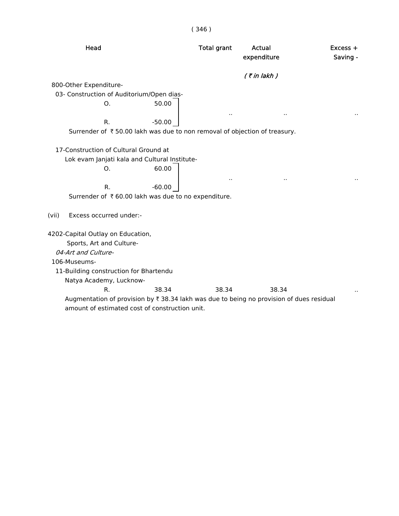| × | ۰ |
|---|---|
|   |   |

| Head                                                                                     | <b>Total grant</b> | <b>Actual</b><br>expenditure | $Excess +$<br>Saving - |
|------------------------------------------------------------------------------------------|--------------------|------------------------------|------------------------|
|                                                                                          |                    | $($ ₹ in lakh $)$            |                        |
| 800-Other Expenditure-                                                                   |                    |                              |                        |
| 03- Construction of Auditorium/Open dias-                                                |                    |                              |                        |
| 50.00<br>O <sub>1</sub>                                                                  |                    | μ,                           |                        |
| R.<br>$-50.00$                                                                           |                    |                              |                        |
| Surrender of ₹50.00 lakh was due to non removal of objection of treasury.                |                    |                              |                        |
|                                                                                          |                    |                              |                        |
| 17-Construction of Cultural Ground at                                                    |                    |                              |                        |
| Lok evam Janjati kala and Cultural Institute-                                            |                    |                              |                        |
| 60.00<br>0.                                                                              |                    |                              |                        |
| $R_{\cdot}$<br>$-60.00$                                                                  |                    |                              |                        |
| Surrender of ₹60.00 lakh was due to no expenditure.                                      |                    |                              |                        |
|                                                                                          |                    |                              |                        |
| Excess occurred under:-<br>(vii)                                                         |                    |                              |                        |
| 4202-Capital Outlay on Education,                                                        |                    |                              |                        |
| Sports, Art and Culture-                                                                 |                    |                              |                        |
| 04-Art and Culture-                                                                      |                    |                              |                        |
| 106-Museums-                                                                             |                    |                              |                        |
| 11-Building construction for Bhartendu                                                   |                    |                              |                        |
| Natya Academy, Lucknow-                                                                  |                    |                              |                        |
| R.<br>38.34                                                                              | 38.34              | 38.34                        |                        |
| Augmentation of provision by ₹ 38.34 lakh was due to being no provision of dues residual |                    |                              |                        |
| amount of estimated cost of construction unit.                                           |                    |                              |                        |
|                                                                                          |                    |                              |                        |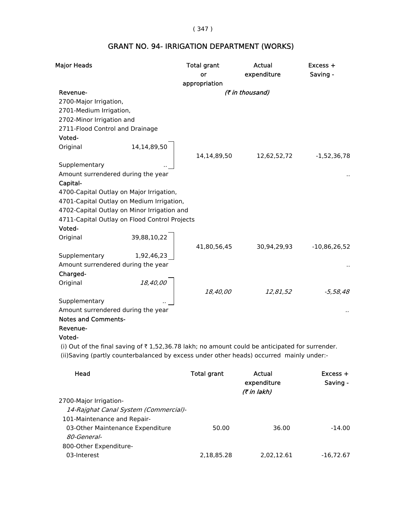## ( 347 )

# GRANT NO. 94- IRRIGATION DEPARTMENT (WORKS)

| <b>Major Heads</b>                 |                                               | <b>Total grant</b> | <b>Actual</b>                                                                                  | Excess +       |
|------------------------------------|-----------------------------------------------|--------------------|------------------------------------------------------------------------------------------------|----------------|
|                                    |                                               | or                 | expenditure                                                                                    | Saving -       |
|                                    |                                               | appropriation      |                                                                                                |                |
| Revenue-                           |                                               |                    | (₹ in thousand)                                                                                |                |
| 2700-Major Irrigation,             |                                               |                    |                                                                                                |                |
| 2701-Medium Irrigation,            |                                               |                    |                                                                                                |                |
| 2702-Minor Irrigation and          |                                               |                    |                                                                                                |                |
| 2711-Flood Control and Drainage    |                                               |                    |                                                                                                |                |
| Voted-                             |                                               |                    |                                                                                                |                |
| Original                           | 14,14,89,50                                   |                    |                                                                                                |                |
|                                    |                                               | 14,14,89,50        | 12,62,52,72                                                                                    | $-1,52,36,78$  |
| Supplementary                      |                                               |                    |                                                                                                |                |
| Amount surrendered during the year |                                               |                    |                                                                                                |                |
| Capital-                           |                                               |                    |                                                                                                |                |
|                                    | 4700-Capital Outlay on Major Irrigation,      |                    |                                                                                                |                |
|                                    | 4701-Capital Outlay on Medium Irrigation,     |                    |                                                                                                |                |
|                                    | 4702-Capital Outlay on Minor Irrigation and   |                    |                                                                                                |                |
|                                    | 4711-Capital Outlay on Flood Control Projects |                    |                                                                                                |                |
| Voted-                             |                                               |                    |                                                                                                |                |
| Original                           | 39,88,10,22                                   |                    |                                                                                                |                |
|                                    |                                               | 41,80,56,45        | 30,94,29,93                                                                                    | $-10,86,26,52$ |
| Supplementary                      | 1,92,46,23                                    |                    |                                                                                                |                |
| Amount surrendered during the year |                                               |                    |                                                                                                |                |
| Charged-                           |                                               |                    |                                                                                                |                |
| Original                           | 18,40,00                                      |                    |                                                                                                |                |
|                                    |                                               | 18,40,00           | 12,81,52                                                                                       | $-5,58,48$     |
| Supplementary                      |                                               |                    |                                                                                                |                |
| Amount surrendered during the year |                                               |                    |                                                                                                |                |
| <b>Notes and Comments-</b>         |                                               |                    |                                                                                                |                |
| Revenue-                           |                                               |                    |                                                                                                |                |
| Voted-                             |                                               |                    |                                                                                                |                |
|                                    |                                               |                    | (i) Out of the final saving of ₹1,52,36.78 lakh; no amount could be anticipated for surrender. |                |

(ii)Saving (partly counterbalanced by excess under other heads) occurred mainly under:-

| Head                                  | Total grant | Actual<br>expenditure<br>(₹ in lakh) | $Excess +$<br>Saving - |
|---------------------------------------|-------------|--------------------------------------|------------------------|
| 2700-Major Irrigation-                |             |                                      |                        |
| 14-Rajghat Canal System (Commercial)- |             |                                      |                        |
| 101-Maintenance and Repair-           |             |                                      |                        |
| 03-Other Maintenance Expenditure      | 50.00       | 36.00                                | $-14.00$               |
| <i>80-General-</i>                    |             |                                      |                        |
| 800-Other Expenditure-                |             |                                      |                        |
| 03-Interest                           | 2,18,85.28  | 2,02,12.61                           | $-16.72.67$            |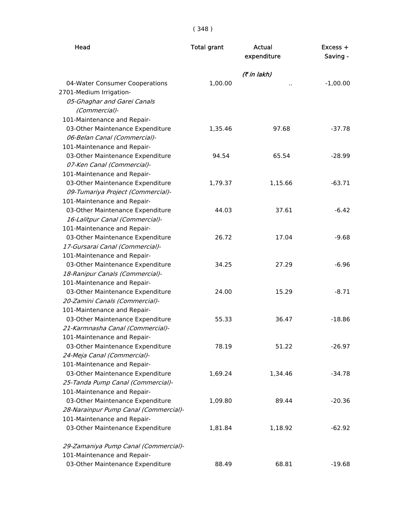( 348 )

| Head                                                                                                                               | <b>Total grant</b> | <b>Actual</b><br>expenditure | $Excess +$<br>Saving - |
|------------------------------------------------------------------------------------------------------------------------------------|--------------------|------------------------------|------------------------|
|                                                                                                                                    |                    | (7 in lakh)                  |                        |
| 04-Water Consumer Cooperations<br>2701-Medium Irrigation-<br>05-Ghaghar and Garei Canals<br>(Commercial)-                          | 1,00.00            | Ω.                           | $-1,00.00$             |
| 101-Maintenance and Repair-<br>03-Other Maintenance Expenditure<br>06-Belan Canal (Commercial)-<br>101-Maintenance and Repair-     | 1,35.46            | 97.68                        | $-37.78$               |
| 03-Other Maintenance Expenditure<br>07-Ken Canal (Commercial)-<br>101-Maintenance and Repair-                                      | 94.54              | 65.54                        | $-28.99$               |
| 03-Other Maintenance Expenditure<br>09-Tumariya Project (Commercial)-<br>101-Maintenance and Repair-                               | 1,79.37            | 1,15.66                      | $-63.71$               |
| 03-Other Maintenance Expenditure<br>16-Lalitpur Canal (Commercial)-<br>101-Maintenance and Repair-                                 | 44.03              | 37.61                        | $-6.42$                |
| 03-Other Maintenance Expenditure<br>17-Gursarai Canal (Commercial)-                                                                | 26.72              | 17.04                        | $-9.68$                |
| 101-Maintenance and Repair-<br>03-Other Maintenance Expenditure<br>18-Ranipur Canals (Commercial)-                                 | 34.25              | 27.29                        | $-6.96$                |
| 101-Maintenance and Repair-<br>03-Other Maintenance Expenditure<br>20-Zamini Canals (Commercial)-                                  | 24.00              | 15.29                        | $-8.71$                |
| 101-Maintenance and Repair-<br>03-Other Maintenance Expenditure<br>21-Karmnasha Canal (Commercial)-<br>101-Maintenance and Repair- | 55.33              | 36.47                        | $-18.86$               |
| 03-Other Maintenance Expenditure<br>24-Meja Canal (Commercial)-<br>101-Maintenance and Repair-                                     | 78.19              | 51.22                        | $-26.97$               |
| 03-Other Maintenance Expenditure<br>25-Tanda Pump Canal (Commercial)-<br>101-Maintenance and Repair-                               | 1,69.24            | 1,34.46                      | $-34.78$               |
| 03-Other Maintenance Expenditure<br>28-Narainpur Pump Canal (Commercial)-<br>101-Maintenance and Repair-                           | 1,09.80            | 89.44                        | $-20.36$               |
| 03-Other Maintenance Expenditure                                                                                                   | 1,81.84            | 1,18.92                      | $-62.92$               |
| 29-Zamaniya Pump Canal (Commercial)-                                                                                               |                    |                              |                        |
| 101-Maintenance and Repair-<br>03-Other Maintenance Expenditure                                                                    | 88.49              | 68.81                        | $-19.68$               |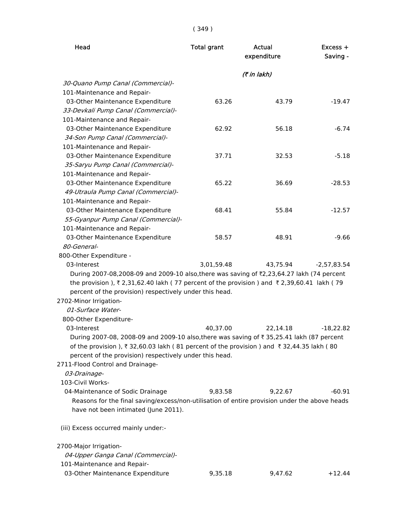| Head                                                                                                                        | <b>Total grant</b> | Actual<br>expenditure | $Excess +$<br>Saving - |
|-----------------------------------------------------------------------------------------------------------------------------|--------------------|-----------------------|------------------------|
|                                                                                                                             |                    | (₹ in lakh)           |                        |
| 30-Quano Pump Canal (Commercial)-                                                                                           |                    |                       |                        |
| 101-Maintenance and Repair-                                                                                                 |                    |                       |                        |
| 03-Other Maintenance Expenditure                                                                                            | 63.26              | 43.79                 | $-19.47$               |
| 33-Devkali Pump Canal (Commercial)-                                                                                         |                    |                       |                        |
| 101-Maintenance and Repair-                                                                                                 |                    |                       |                        |
| 03-Other Maintenance Expenditure                                                                                            | 62.92              | 56.18                 | $-6.74$                |
| 34-Son Pump Canal (Commercial)-                                                                                             |                    |                       |                        |
| 101-Maintenance and Repair-                                                                                                 |                    |                       |                        |
| 03-Other Maintenance Expenditure                                                                                            | 37.71              | 32.53                 | $-5.18$                |
| 35-Saryu Pump Canal (Commercial)-                                                                                           |                    |                       |                        |
| 101-Maintenance and Repair-                                                                                                 |                    |                       |                        |
| 03-Other Maintenance Expenditure                                                                                            | 65.22              | 36.69                 | $-28.53$               |
| 49-Utraula Pump Canal (Commercial)-                                                                                         |                    |                       |                        |
| 101-Maintenance and Repair-                                                                                                 |                    |                       |                        |
| 03-Other Maintenance Expenditure                                                                                            | 68.41              | 55.84                 | $-12.57$               |
| 55-Gyanpur Pump Canal (Commercial)-                                                                                         |                    |                       |                        |
| 101-Maintenance and Repair-                                                                                                 |                    |                       |                        |
| 03-Other Maintenance Expenditure                                                                                            | 58.57              | 48.91                 | $-9.66$                |
| 80-General-                                                                                                                 |                    |                       |                        |
| 800-Other Expenditure -                                                                                                     |                    |                       |                        |
| 03-Interest                                                                                                                 | 3,01,59.48         | 43,75.94              | $-2,57,83.54$          |
| During 2007-08,2008-09 and 2009-10 also, there was saving of ₹2,23,64.27 lakh (74 percent                                   |                    |                       |                        |
| the provision ), $\overline{\tau}$ 2,31,62.40 lakh (77 percent of the provision ) and $\overline{\tau}$ 2,39,60.41 lakh (79 |                    |                       |                        |
| percent of the provision) respectively under this head.                                                                     |                    |                       |                        |
| 2702-Minor Irrigation-                                                                                                      |                    |                       |                        |
| 01-Surface Water-                                                                                                           |                    |                       |                        |
| 800-Other Expenditure-                                                                                                      |                    |                       |                        |
| 03-Interest                                                                                                                 | 40,37.00           | 22,14.18              | $-18,22.82$            |
| During 2007-08, 2008-09 and 2009-10 also,there was saving of ₹ 35,25.41 lakh (87 percent                                    |                    |                       |                        |
| of the provision), ₹32,60.03 lakh (81 percent of the provision) and ₹32,44.35 lakh (80                                      |                    |                       |                        |
| percent of the provision) respectively under this head.                                                                     |                    |                       |                        |
| 2711-Flood Control and Drainage-                                                                                            |                    |                       |                        |
| 03-Drainage-                                                                                                                |                    |                       |                        |
| 103-Civil Works-                                                                                                            |                    |                       |                        |
| 04-Maintenance of Sodic Drainage                                                                                            | 9,83.58            | 9,22.67               | $-60.91$               |
| Reasons for the final saving/excess/non-utilisation of entire provision under the above heads                               |                    |                       |                        |
| have not been intimated (June 2011).                                                                                        |                    |                       |                        |
| (iii) Excess occurred mainly under:-                                                                                        |                    |                       |                        |
|                                                                                                                             |                    |                       |                        |
| 2700-Major Irrigation-                                                                                                      |                    |                       |                        |
| 04-Upper Ganga Canal (Commercial)-                                                                                          |                    |                       |                        |

101-Maintenance and Repair-

03-Other Maintenance Expenditure <br>9,35.18 9,47.62 +12.44

## ( 349 )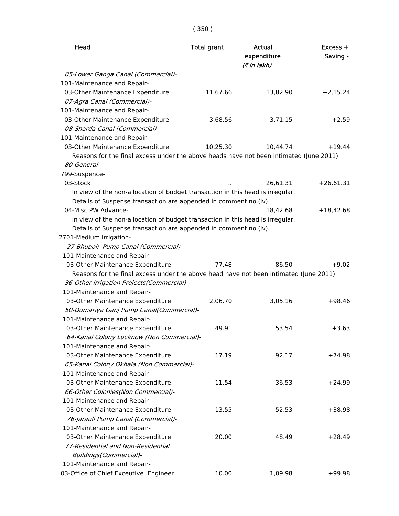| Head                                                                                    | <b>Total grant</b> | Actual<br>expenditure<br>(7 in lakh) | $Excess +$<br>Saving - |
|-----------------------------------------------------------------------------------------|--------------------|--------------------------------------|------------------------|
| 05-Lower Ganga Canal (Commercial)-                                                      |                    |                                      |                        |
| 101-Maintenance and Repair-                                                             |                    |                                      |                        |
| 03-Other Maintenance Expenditure                                                        | 11,67.66           | 13,82.90                             | $+2,15.24$             |
| 07-Agra Canal (Commercial)-                                                             |                    |                                      |                        |
| 101-Maintenance and Repair-                                                             |                    |                                      |                        |
| 03-Other Maintenance Expenditure                                                        | 3,68.56            | 3,71.15                              | $+2.59$                |
| 08-Sharda Canal (Commercial)-                                                           |                    |                                      |                        |
| 101-Maintenance and Repair-                                                             |                    |                                      |                        |
| 03-Other Maintenance Expenditure                                                        | 10,25.30           | 10,44.74                             | $+19.44$               |
| Reasons for the final excess under the above heads have not been intimated (June 2011). |                    |                                      |                        |
| 80-General-                                                                             |                    |                                      |                        |
| 799-Suspence-                                                                           |                    |                                      |                        |
| 03-Stock                                                                                |                    | 26,61.31                             | $+26,61.31$            |
| In view of the non-allocation of budget transaction in this head is irregular.          |                    |                                      |                        |
| Details of Suspense transaction are appended in comment no.(iv).                        |                    |                                      |                        |
| 04-Misc PW Advance-                                                                     |                    | 18,42.68                             | $+18,42.68$            |
| In view of the non-allocation of budget transaction in this head is irregular.          |                    |                                      |                        |
| Details of Suspense transaction are appended in comment no.(iv).                        |                    |                                      |                        |
| 2701-Medium Irrigation-                                                                 |                    |                                      |                        |
| 27-Bhupoli Pump Canal (Commercial)-                                                     |                    |                                      |                        |
| 101-Maintenance and Repair-                                                             |                    |                                      |                        |
| 03-Other Maintenance Expenditure                                                        | 77.48              | 86.50                                | $+9.02$                |
| Reasons for the final excess under the above head have not been intimated (June 2011).  |                    |                                      |                        |
| 36-Other irrigation Projects(Commercial)-                                               |                    |                                      |                        |
| 101-Maintenance and Repair-                                                             |                    |                                      |                        |
| 03-Other Maintenance Expenditure                                                        | 2,06.70            | 3,05.16                              | $+98.46$               |
| 50-Dumariya Ganj Pump Canal(Commercial)-                                                |                    |                                      |                        |
| 101-Maintenance and Repair-                                                             |                    |                                      |                        |
| 03-Other Maintenance Expenditure                                                        | 49.91              | 53.54                                | $+3.63$                |
| 64-Kanal Colony Lucknow (Non Commercial)-                                               |                    |                                      |                        |
| 101-Maintenance and Repair-                                                             |                    |                                      |                        |
| 03-Other Maintenance Expenditure                                                        | 17.19              | 92.17                                | $+74.98$               |
| 65-Kanal Colony Okhala (Non Commercial)-                                                |                    |                                      |                        |
| 101-Maintenance and Repair-                                                             |                    |                                      |                        |
| 03-Other Maintenance Expenditure                                                        | 11.54              | 36.53                                | $+24.99$               |
| 66-Other Colonies(Non Commercial)-                                                      |                    |                                      |                        |
| 101-Maintenance and Repair-                                                             |                    |                                      |                        |
| 03-Other Maintenance Expenditure                                                        | 13.55              | 52.53                                | $+38.98$               |
| 76-Jarauli Pump Canal (Commercial)-                                                     |                    |                                      |                        |
| 101-Maintenance and Repair-                                                             |                    |                                      |                        |
| 03-Other Maintenance Expenditure                                                        | 20.00              | 48.49                                | $+28.49$               |
| 77-Residential and Non-Residential                                                      |                    |                                      |                        |
| Buildings(Commercial)-                                                                  |                    |                                      |                        |
| 101-Maintenance and Repair-                                                             |                    |                                      |                        |
| 03-Office of Chief Exceutive Engineer                                                   | 10.00              | 1,09.98                              | $+99.98$               |
|                                                                                         |                    |                                      |                        |

# ( 350 )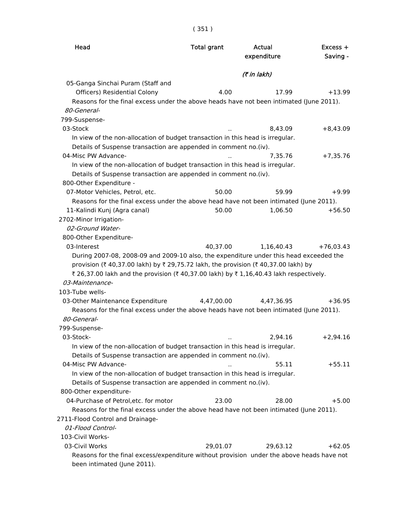| × | ×<br>۰,<br>٧ | e. |
|---|--------------|----|
|   |              |    |

| Head                                                                                                                   | <b>Total grant</b> | Actual<br>expenditure | $Excess +$<br>Saving - |
|------------------------------------------------------------------------------------------------------------------------|--------------------|-----------------------|------------------------|
|                                                                                                                        |                    | (7 in lakh)           |                        |
| 05-Ganga Sinchai Puram (Staff and                                                                                      |                    |                       |                        |
| Officers) Residential Colony                                                                                           | 4.00               | 17.99                 | $+13.99$               |
| Reasons for the final excess under the above heads have not been intimated (June 2011).                                |                    |                       |                        |
| 80-General-                                                                                                            |                    |                       |                        |
| 799-Suspense-                                                                                                          |                    |                       |                        |
| 03-Stock                                                                                                               |                    | 8,43.09               | $+8,43.09$             |
| In view of the non-allocation of budget transaction in this head is irregular.                                         |                    |                       |                        |
| Details of Suspense transaction are appended in comment no.(iv).                                                       |                    |                       |                        |
| 04-Misc PW Advance-                                                                                                    |                    | 7,35.76               | $+7,35.76$             |
| In view of the non-allocation of budget transaction in this head is irregular.                                         |                    |                       |                        |
| Details of Suspense transaction are appended in comment no.(iv).                                                       |                    |                       |                        |
| 800-Other Expenditure -                                                                                                |                    |                       |                        |
| 07-Motor Vehicles, Petrol, etc.                                                                                        | 50.00              | 59.99                 | $+9.99$                |
| Reasons for the final excess under the above head have not been intimated (June 2011).<br>11-Kalindi Kunj (Agra canal) | 50.00              | 1,06.50               | $+56.50$               |
| 2702-Minor Irrigation-                                                                                                 |                    |                       |                        |
| 02-Ground Water-                                                                                                       |                    |                       |                        |
| 800-Other Expenditure-                                                                                                 |                    |                       |                        |
| 03-Interest                                                                                                            | 40,37.00           | 1,16,40.43            | $+76,03.43$            |
| During 2007-08, 2008-09 and 2009-10 also, the expenditure under this head exceeded the                                 |                    |                       |                        |
| provision (₹ 40,37.00 lakh) by ₹ 29,75.72 lakh, the provision (₹ 40,37.00 lakh) by                                     |                    |                       |                        |
| ₹ 26,37.00 lakh and the provision (₹ 40,37.00 lakh) by ₹ 1,16,40.43 lakh respectively.                                 |                    |                       |                        |
| 03-Maintenance-                                                                                                        |                    |                       |                        |
| 103-Tube wells-                                                                                                        |                    |                       |                        |
| 03-Other Maintenance Expenditure                                                                                       | 4,47,00.00         | 4,47,36.95            | $+36.95$               |
| Reasons for the final excess under the above heads have not been intimated (June 2011).                                |                    |                       |                        |
| 80-General-                                                                                                            |                    |                       |                        |
| 799-Suspense-                                                                                                          |                    |                       |                        |
| 03-Stock-                                                                                                              |                    | 2,94.16               | $+2,94.16$             |
| In view of the non-allocation of budget transaction in this head is irregular.                                         |                    |                       |                        |
| Details of Suspense transaction are appended in comment no.(iv).                                                       |                    |                       |                        |
| 04-Misc PW Advance-                                                                                                    |                    | 55.11                 | $+55.11$               |
| In view of the non-allocation of budget transaction in this head is irregular.                                         |                    |                       |                        |
| Details of Suspense transaction are appended in comment no.(iv).                                                       |                    |                       |                        |
| 800-Other expenditure-                                                                                                 |                    |                       |                        |
| 04-Purchase of Petrol, etc. for motor                                                                                  | 23.00              | 28.00                 | $+5.00$                |
| Reasons for the final excess under the above head have not been intimated (June 2011).                                 |                    |                       |                        |
| 2711-Flood Control and Drainage-                                                                                       |                    |                       |                        |
| 01-Flood Control-                                                                                                      |                    |                       |                        |
| 103-Civil Works-                                                                                                       |                    |                       |                        |
| 03-Civil Works                                                                                                         | 29,01.07           | 29,63.12              | $+62.05$               |
| Reasons for the final excess/expenditure without provision under the above heads have not                              |                    |                       |                        |
| been intimated (June 2011).                                                                                            |                    |                       |                        |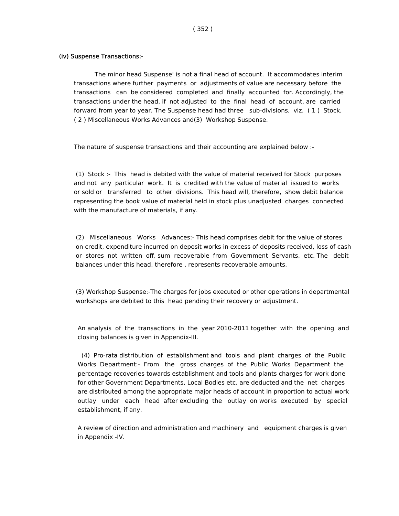#### (iv) Suspense Transactions:-

 The minor head Suspense' is not a final head of account. It accommodates interim transactions where further payments or adjustments of value are necessary before the transactions can be considered completed and finally accounted for. Accordingly, the transactions under the head, if not adjusted to the final head of account, are carried forward from year to year. The Suspense head had three sub-divisions, viz. ( 1 ) Stock, ( 2 ) Miscellaneous Works Advances and(3) Workshop Suspense.

The nature of suspense transactions and their accounting are explained below :-

 (1) Stock :- This head is debited with the value of material received for Stock purposes and not any particular work. It is credited with the value of material issued to works or sold or transferred to other divisions. This head will, therefore, show debit balance representing the book value of material held in stock plus unadjusted charges connected with the manufacture of materials, if any.

 (2) Miscellaneous Works Advances:- This head comprises debit for the value of stores on credit, expenditure incurred on deposit works in excess of deposits received, loss of cash or stores not written off, sum recoverable from Government Servants, etc. The debit balances under this head, therefore , represents recoverable amounts.

 (3) Workshop Suspense:-The charges for jobs executed or other operations in departmental workshops are debited to this head pending their recovery or adjustment.

 An analysis of the transactions in the year 2010-2011 together with the opening and closing balances is given in Appendix-III.

 (4) Pro-rata distribution of establishment and tools and plant charges of the Public Works Department:- From the gross charges of the Public Works Department the percentage recoveries towards establishment and tools and plants charges for work done for other Government Departments, Local Bodies etc. are deducted and the net charges are distributed among the appropriate major heads of account in proportion to actual work outlay under each head after excluding the outlay on works executed by special establishment, if any.

 A review of direction and administration and machinery and equipment charges is given in Appendix -IV.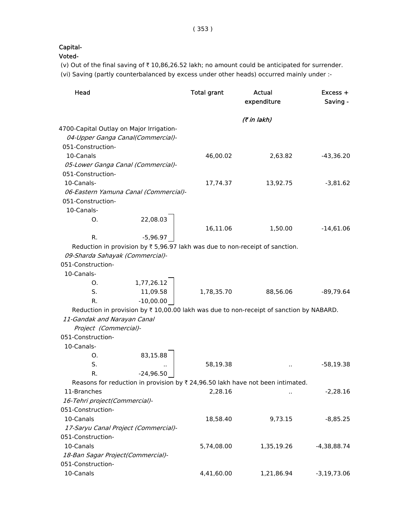# Capital-

Voted-

(v) Out of the final saving of  $\bar{\tau}$  10,86,26.52 lakh; no amount could be anticipated for surrender. (vi) Saving (partly counterbalanced by excess under other heads) occurred mainly under :-

| Head                                     |                                       | <b>Total grant</b> | Actual<br>expenditure                                                                   | Excess +<br>Saving - |
|------------------------------------------|---------------------------------------|--------------------|-----------------------------------------------------------------------------------------|----------------------|
|                                          |                                       |                    | (7 in lakh)                                                                             |                      |
| 4700-Capital Outlay on Major Irrigation- |                                       |                    |                                                                                         |                      |
|                                          | 04-Upper Ganga Canal(Commercial)-     |                    |                                                                                         |                      |
| 051-Construction-                        |                                       |                    |                                                                                         |                      |
| 10-Canals                                |                                       | 46,00.02           | 2,63.82                                                                                 | $-43,36.20$          |
| 05-Lower Ganga Canal (Commercial)-       |                                       |                    |                                                                                         |                      |
| 051-Construction-                        |                                       |                    |                                                                                         |                      |
| 10-Canals-                               |                                       | 17,74.37           | 13,92.75                                                                                | $-3,81.62$           |
|                                          | 06-Eastern Yamuna Canal (Commercial)- |                    |                                                                                         |                      |
| 051-Construction-                        |                                       |                    |                                                                                         |                      |
| 10-Canals-                               |                                       |                    |                                                                                         |                      |
| O.                                       | 22,08.03                              |                    |                                                                                         |                      |
|                                          |                                       | 16,11.06           | 1,50.00                                                                                 | $-14,61.06$          |
| R.                                       | $-5,96.97$                            |                    |                                                                                         |                      |
|                                          |                                       |                    | Reduction in provision by $\bar{\tau}$ 5,96.97 lakh was due to non-receipt of sanction. |                      |
| 09-Sharda Sahayak (Commercial)-          |                                       |                    |                                                                                         |                      |
| 051-Construction-                        |                                       |                    |                                                                                         |                      |
| 10-Canals-                               |                                       |                    |                                                                                         |                      |
| Ο.                                       | 1,77,26.12                            |                    |                                                                                         |                      |
| S.                                       | 11,09.58                              | 1,78,35.70         | 88,56.06                                                                                | $-89,79.64$          |
| R.                                       | $-10,00.00$                           |                    |                                                                                         |                      |
|                                          |                                       |                    | Reduction in provision by ₹10,00.00 lakh was due to non-receipt of sanction by NABARD.  |                      |
| 11-Gandak and Narayan Canal              |                                       |                    |                                                                                         |                      |
| Project (Commercial)-                    |                                       |                    |                                                                                         |                      |
| 051-Construction-                        |                                       |                    |                                                                                         |                      |
| 10-Canals-                               |                                       |                    |                                                                                         |                      |
| O.                                       | 83,15.88                              |                    |                                                                                         |                      |
| S.                                       |                                       | 58,19.38           |                                                                                         | $-58,19.38$          |
| R.                                       | $-24,96.50$                           |                    |                                                                                         |                      |
|                                          |                                       |                    | Reasons for reduction in provision by ₹ 24,96.50 lakh have not been intimated.          |                      |
| 11-Branches                              |                                       | 2,28.16            |                                                                                         | $-2,28.16$           |
| 16-Tehri project(Commercial)-            |                                       |                    |                                                                                         |                      |
| 051-Construction-                        |                                       |                    |                                                                                         |                      |
| 10-Canals                                |                                       | 18,58.40           | 9,73.15                                                                                 | $-8,85.25$           |
| 17-Saryu Canal Project (Commercial)-     |                                       |                    |                                                                                         |                      |
| 051-Construction-                        |                                       |                    |                                                                                         |                      |
| 10-Canals                                |                                       | 5,74,08.00         | 1,35,19.26                                                                              | $-4,38,88.74$        |
| 18-Ban Sagar Project(Commercial)-        |                                       |                    |                                                                                         |                      |
| 051-Construction-                        |                                       |                    |                                                                                         |                      |
| 10-Canals                                |                                       | 4,41,60.00         | 1,21,86.94                                                                              | $-3,19,73.06$        |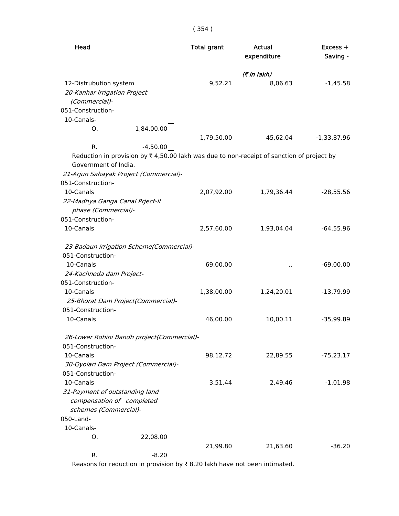| Head                                                                                                 | <b>Total grant</b> | Actual<br>expenditure | Excess +<br>Saving - |
|------------------------------------------------------------------------------------------------------|--------------------|-----------------------|----------------------|
|                                                                                                      |                    | (₹ in lakh)           |                      |
| 12-Distrubution system<br>20-Kanhar Irrigation Project<br>(Commercial)-                              | 9,52.21            | 8,06.63               | $-1,45.58$           |
| 051-Construction-                                                                                    |                    |                       |                      |
| 10-Canals-                                                                                           |                    |                       |                      |
| 1,84,00.00<br>O.                                                                                     |                    |                       |                      |
|                                                                                                      | 1,79,50.00         | 45,62.04              | $-1,33,87.96$        |
| $-4,50.00$<br>R.                                                                                     |                    |                       |                      |
| Reduction in provision by $\bar{\tau}$ 4,50.00 lakh was due to non-receipt of sanction of project by |                    |                       |                      |
| Government of India.                                                                                 |                    |                       |                      |
| 21-Arjun Sahayak Project (Commercial)-                                                               |                    |                       |                      |
| 051-Construction-                                                                                    |                    |                       |                      |
| 10-Canals                                                                                            | 2,07,92.00         | 1,79,36.44            | $-28,55.56$          |
| 22-Madhya Ganga Canal Prject-II                                                                      |                    |                       |                      |
| phase (Commercial)-                                                                                  |                    |                       |                      |
| 051-Construction-                                                                                    |                    |                       |                      |
| 10-Canals                                                                                            | 2,57,60.00         | 1,93,04.04            | $-64,55.96$          |
| 23-Badaun irrigation Scheme(Commercial)-                                                             |                    |                       |                      |
| 051-Construction-                                                                                    |                    |                       |                      |
| 10-Canals                                                                                            | 69,00.00           |                       | $-69,00.00$          |
| 24-Kachnoda dam Project-                                                                             |                    |                       |                      |
| 051-Construction-                                                                                    |                    |                       |                      |
| 10-Canals                                                                                            | 1,38,00.00         | 1,24,20.01            | $-13,79.99$          |
| 25-Bhorat Dam Project(Commercial)-                                                                   |                    |                       |                      |
| 051-Construction-                                                                                    |                    |                       |                      |
| 10-Canals                                                                                            | 46,00.00           | 10,00.11              | $-35,99.89$          |
|                                                                                                      |                    |                       |                      |
| 26-Lower Rohini Bandh project(Commercial)-                                                           |                    |                       |                      |
| 051-Construction-                                                                                    |                    |                       |                      |
| 10-Canals                                                                                            | 98,12.72           | 22,89.55              | $-75,23.17$          |
| 30-Qyolari Dam Project (Commercial)-                                                                 |                    |                       |                      |
| 051-Construction-                                                                                    |                    |                       |                      |
| 10-Canals                                                                                            | 3,51.44            | 2,49.46               | $-1,01.98$           |
| 31-Payment of outstanding land                                                                       |                    |                       |                      |
| compensation of completed                                                                            |                    |                       |                      |
| schemes (Commercial)-                                                                                |                    |                       |                      |
| 050-Land-                                                                                            |                    |                       |                      |
| 10-Canals-                                                                                           |                    |                       |                      |
| 22,08.00<br>Ο.                                                                                       |                    |                       |                      |
|                                                                                                      | 21,99.80           | 21,63.60              | $-36.20$             |
| $-8.20$<br>R.                                                                                        |                    |                       |                      |

Reasons for reduction in provision by  $\bar{\tau}$  8.20 lakh have not been intimated.

( 354 )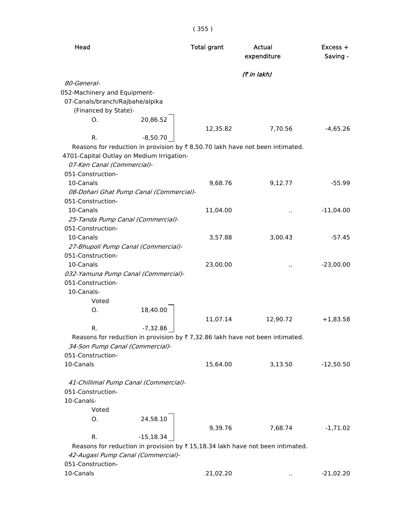| Head                                      |                                         | <b>Total grant</b> | Actual<br>expenditure                                                         | $Excess +$<br>Saving - |
|-------------------------------------------|-----------------------------------------|--------------------|-------------------------------------------------------------------------------|------------------------|
|                                           |                                         |                    | (₹ in lakh)                                                                   |                        |
| 80-General-                               |                                         |                    |                                                                               |                        |
| 052-Machinery and Equipment-              |                                         |                    |                                                                               |                        |
| 07-Canals/branch/Rajbahe/alpika           |                                         |                    |                                                                               |                        |
| (Financed by State)-                      |                                         |                    |                                                                               |                        |
| O.                                        | 20,86.52                                | 12,35.82           | 7,70.56                                                                       | $-4,65.26$             |
| R.                                        | $-8,50.70$                              |                    |                                                                               |                        |
|                                           |                                         |                    | Reasons for reduction in provision by ₹8,50.70 lakh have not been intimated.  |                        |
| 4701-Capital Outlay on Medium Irrigation- |                                         |                    |                                                                               |                        |
| 07-Ken Canal (Commercial)-                |                                         |                    |                                                                               |                        |
| 051-Construction-                         |                                         |                    |                                                                               |                        |
| 10-Canals                                 |                                         | 9,68.76            | 9,12.77                                                                       | $-55.99$               |
|                                           | 08-Dohari Ghat Pump Canal (Commercial)- |                    |                                                                               |                        |
| 051-Construction-                         |                                         |                    |                                                                               |                        |
| 10-Canals                                 |                                         | 11,04.00           |                                                                               | $-11,04.00$            |
|                                           | 25-Tanda Pump Canal (Commercial)-       |                    |                                                                               |                        |
| 051-Construction-                         |                                         |                    |                                                                               |                        |
| 10-Canals                                 |                                         | 3,57.88            | 3,00.43                                                                       | $-57.45$               |
|                                           | 27-Bhupoli Pump Canal (Commercial)-     |                    |                                                                               |                        |
| 051-Construction-                         |                                         |                    |                                                                               |                        |
|                                           |                                         |                    |                                                                               |                        |
| 10-Canals                                 |                                         | 23,00.00           |                                                                               | $-23,00.00$            |
|                                           | 032-Yamuna Pump Canal (Commercial)-     |                    |                                                                               |                        |
| 051-Construction-                         |                                         |                    |                                                                               |                        |
| 10-Canals-                                |                                         |                    |                                                                               |                        |
| Voted                                     |                                         |                    |                                                                               |                        |
| Ο.                                        | 18,40.00                                |                    |                                                                               |                        |
|                                           |                                         | 11,07.14           | 12,90.72                                                                      | $+1,83.58$             |
| R.                                        | $-7,32.86$                              |                    |                                                                               |                        |
|                                           |                                         |                    | Reasons for reduction in provision by ₹7,32.86 lakh have not been intimated.  |                        |
| 34-Son Pump Canal (Commercial)-           |                                         |                    |                                                                               |                        |
| 051-Construction-                         |                                         |                    |                                                                               |                        |
| 10-Canals                                 |                                         | 15,64.00           | 3,13.50                                                                       | $-12,50.50$            |
|                                           | 41-Chillimal Pump Canal (Commercial)-   |                    |                                                                               |                        |
| 051-Construction-                         |                                         |                    |                                                                               |                        |
| 10-Canals-                                |                                         |                    |                                                                               |                        |
| Voted                                     |                                         |                    |                                                                               |                        |
| 0.                                        | 24,58.10                                |                    |                                                                               |                        |
|                                           |                                         | 9,39.76            | 7,68.74                                                                       | $-1,71.02$             |
| R.                                        | $-15,18.34$                             |                    |                                                                               |                        |
|                                           |                                         |                    | Reasons for reduction in provision by ₹15,18.34 lakh have not been intimated. |                        |
|                                           | 42-Augasi Pump Canal (Commercial)-      |                    |                                                                               |                        |
| 051-Construction-                         |                                         |                    |                                                                               |                        |
| 10-Canals                                 |                                         | 21,02.20           |                                                                               | $-21,02.20$            |
|                                           |                                         |                    |                                                                               |                        |

# ( 355 )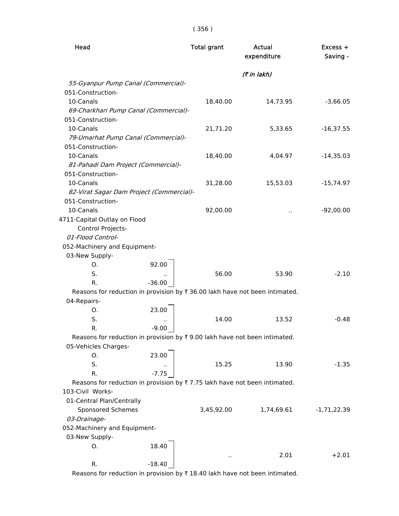| Head                                                                        |          | <b>Total grant</b><br><b>Actual</b><br>expenditure |             | Excess +<br>Saving - |  |
|-----------------------------------------------------------------------------|----------|----------------------------------------------------|-------------|----------------------|--|
|                                                                             |          |                                                    | (7 in lakh) |                      |  |
| 55-Gyanpur Pump Canal (Commercial)-                                         |          |                                                    |             |                      |  |
| 051-Construction-                                                           |          |                                                    |             |                      |  |
| 10-Canals                                                                   |          | 18,40.00                                           | 14,73.95    | $-3,66.05$           |  |
| 69-Charkhari Pump Canal (Commercial)-                                       |          |                                                    |             |                      |  |
| 051-Construction-                                                           |          |                                                    |             |                      |  |
| 10-Canals                                                                   |          | 21,71.20                                           | 5,33.65     | $-16,37.55$          |  |
| 79-Umarhat Pump Canal (Commercial)-                                         |          |                                                    |             |                      |  |
| 051-Construction-                                                           |          |                                                    |             |                      |  |
| 10-Canals                                                                   |          | 18,40.00                                           | 4,04.97     | $-14,35.03$          |  |
| 81-Pahadi Dam Project (Commercial)-                                         |          |                                                    |             |                      |  |
| 051-Construction-                                                           |          |                                                    |             |                      |  |
| 10-Canals                                                                   |          | 31,28.00                                           | 15,53.03    | $-15,74.97$          |  |
| 82-Virat Sagar Dam Project (Commercial)-                                    |          |                                                    |             |                      |  |
| 051-Construction-                                                           |          |                                                    |             |                      |  |
| 10-Canals<br>4711-Capital Outlay on Flood                                   |          | 92,00.00                                           |             | $-92,00.00$          |  |
| Control Projects-                                                           |          |                                                    |             |                      |  |
| 01-Flood Control-                                                           |          |                                                    |             |                      |  |
| 052-Machinery and Equipment-                                                |          |                                                    |             |                      |  |
| 03-New Supply-                                                              |          |                                                    |             |                      |  |
| O.                                                                          | 92.00    |                                                    |             |                      |  |
| S.                                                                          |          | 56.00                                              | 53.90       | $-2.10$              |  |
| R.                                                                          | $-36.00$ |                                                    |             |                      |  |
| Reasons for reduction in provision by ₹ 36.00 lakh have not been intimated. |          |                                                    |             |                      |  |
| 04-Repairs-                                                                 |          |                                                    |             |                      |  |
| Ο.                                                                          | 23.00    |                                                    |             |                      |  |
| S.                                                                          |          | 14.00                                              | 13.52       | $-0.48$              |  |
| R.                                                                          | $-9.00$  |                                                    |             |                      |  |
| Reasons for reduction in provision by ₹9.00 lakh have not been intimated.   |          |                                                    |             |                      |  |
| 05-Vehicles Charges-                                                        |          |                                                    |             |                      |  |
| O.                                                                          | 23.00    |                                                    |             |                      |  |
| S.                                                                          |          | 15.25                                              | 13.90       | $-1.35$              |  |
| R.                                                                          | $-7.75$  |                                                    |             |                      |  |
| Reasons for reduction in provision by ₹7.75 lakh have not been intimated.   |          |                                                    |             |                      |  |
| 103-Civil Works-                                                            |          |                                                    |             |                      |  |
| 01-Central Plan/Centrally                                                   |          |                                                    |             |                      |  |
| Sponsored Schemes                                                           |          | 3,45,92.00                                         | 1,74,69.61  | $-1, 71, 22.39$      |  |
| 03-Drainage-                                                                |          |                                                    |             |                      |  |
| 052-Machinery and Equipment-                                                |          |                                                    |             |                      |  |
| 03-New Supply-<br>0.                                                        | 18.40    |                                                    |             |                      |  |
|                                                                             |          |                                                    | 2.01        | $+2.01$              |  |
| R.                                                                          | $-18.40$ | $\ddot{\phantom{1}}$                               |             |                      |  |
|                                                                             |          |                                                    |             |                      |  |

Reasons for reduction in provision by  $\bar{x}$  18.40 lakh have not been intimated.

#### ( 356 )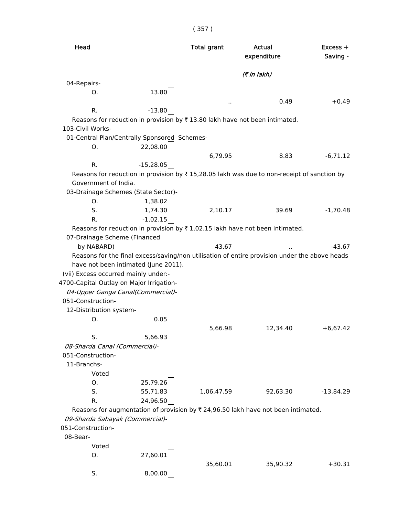( 357 )

| Head              |                                                                                                   | <b>Total grant</b> | Actual<br>expenditure |             |
|-------------------|---------------------------------------------------------------------------------------------------|--------------------|-----------------------|-------------|
|                   |                                                                                                   |                    | (7 in lakh)           |             |
| 04-Repairs-       |                                                                                                   |                    |                       |             |
| Ο.                | 13.80                                                                                             |                    | 0.49                  | $+0.49$     |
| R.                | $-13.80$                                                                                          |                    |                       |             |
| 103-Civil Works-  | Reasons for reduction in provision by ₹13.80 lakh have not been intimated.                        |                    |                       |             |
|                   | 01-Central Plan/Centrally Sponsored Schemes-                                                      |                    |                       |             |
| O.                | 22,08.00                                                                                          |                    |                       |             |
|                   |                                                                                                   | 6,79.95            | 8.83                  | $-6,71.12$  |
| R.                | $-15,28.05$                                                                                       |                    |                       |             |
|                   | Reasons for reduction in provision by ₹ 15,28.05 lakh was due to non-receipt of sanction by       |                    |                       |             |
|                   | Government of India.                                                                              |                    |                       |             |
|                   | 03-Drainage Schemes (State Sector)-                                                               |                    |                       |             |
| О.                | 1,38.02                                                                                           |                    |                       |             |
| S.                | 1,74.30                                                                                           | 2,10.17            | 39.69                 | $-1,70.48$  |
| R.                | $-1,02.15$                                                                                        |                    |                       |             |
|                   | Reasons for reduction in provision by $\bar{\tau}$ 1,02.15 lakh have not been intimated.          |                    |                       |             |
|                   | 07-Drainage Scheme (Financed                                                                      |                    |                       |             |
| by NABARD)        |                                                                                                   | 43.67              |                       | $-43.67$    |
|                   | Reasons for the final excess/saving/non utilisation of entire provision under the above heads     |                    |                       |             |
|                   | have not been intimated (June 2011).                                                              |                    |                       |             |
|                   | (vii) Excess occurred mainly under:-                                                              |                    |                       |             |
|                   | 4700-Capital Outlay on Major Irrigation-                                                          |                    |                       |             |
|                   | 04-Upper Ganga Canal(Commercial)-                                                                 |                    |                       |             |
| 051-Construction- |                                                                                                   |                    |                       |             |
|                   | 12-Distribution system-                                                                           |                    |                       |             |
| О.                | 0.05                                                                                              |                    |                       |             |
|                   |                                                                                                   | 5,66.98            | 12,34.40              | $+6,67.42$  |
| S.                | 5,66.93                                                                                           |                    |                       |             |
|                   | 08-Sharda Canal (Commercial)-                                                                     |                    |                       |             |
| 051-Construction- |                                                                                                   |                    |                       |             |
| 11-Branchs-       |                                                                                                   |                    |                       |             |
|                   | Voted                                                                                             |                    |                       |             |
| Ο.                | 25,79.26                                                                                          |                    |                       |             |
| S.                | 55,71.83                                                                                          | 1,06,47.59         | 92,63.30              | $-13.84.29$ |
| R.                | 24,96.50                                                                                          |                    |                       |             |
|                   | Reasons for augmentation of provision by $\overline{\tau}$ 24,96.50 lakh have not been intimated. |                    |                       |             |
|                   | 09-Sharda Sahayak (Commercial)-                                                                   |                    |                       |             |
| 051-Construction- |                                                                                                   |                    |                       |             |
| 08-Bear-          |                                                                                                   |                    |                       |             |
|                   | Voted                                                                                             |                    |                       |             |
| О.                | 27,60.01                                                                                          |                    |                       |             |
|                   |                                                                                                   | 35,60.01           | 35,90.32              | $+30.31$    |
| S.                | 8,00.00                                                                                           |                    |                       |             |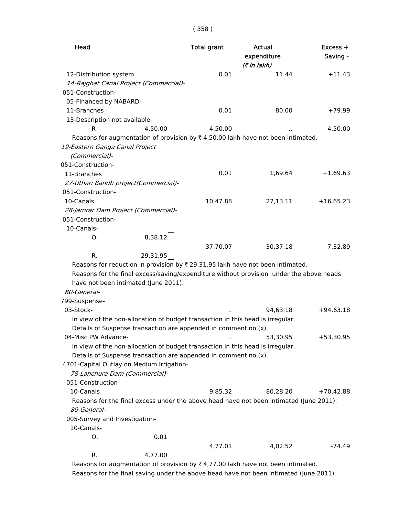| Head                                                                                                                                                                                                                                                 |          | <b>Total grant</b> | <b>Actual</b><br>expenditure<br>(7 in lakh) | Excess +<br>Saving - |
|------------------------------------------------------------------------------------------------------------------------------------------------------------------------------------------------------------------------------------------------------|----------|--------------------|---------------------------------------------|----------------------|
| 12-Distribution system                                                                                                                                                                                                                               |          | 0.01               | 11.44                                       | $+11.43$             |
| 14-Rajghat Canal Project (Commercial)-                                                                                                                                                                                                               |          |                    |                                             |                      |
| 051-Construction-                                                                                                                                                                                                                                    |          |                    |                                             |                      |
| 05-Financed by NABARD-                                                                                                                                                                                                                               |          |                    |                                             |                      |
| 11-Branches                                                                                                                                                                                                                                          |          | 0.01               | 80.00                                       | $+79.99$             |
| 13-Description not available-                                                                                                                                                                                                                        |          |                    |                                             |                      |
| R                                                                                                                                                                                                                                                    | 4,50.00  | 4,50.00            |                                             | $-4,50.00$           |
| Reasons for augmentation of provision by $\overline{\tau}$ 4,50.00 lakh have not been intimated.                                                                                                                                                     |          |                    |                                             |                      |
| 19-Eastern Ganga Canal Project<br>(Commercial)-                                                                                                                                                                                                      |          |                    |                                             |                      |
| 051-Construction-                                                                                                                                                                                                                                    |          |                    |                                             |                      |
| 11-Branches                                                                                                                                                                                                                                          |          | 0.01               | 1,69.64                                     | $+1,69.63$           |
| 27-Uthari Bandh project(Commercial)-                                                                                                                                                                                                                 |          |                    |                                             |                      |
| 051-Construction-                                                                                                                                                                                                                                    |          |                    |                                             |                      |
| 10-Canals                                                                                                                                                                                                                                            |          | 10,47.88           | 27,13.11                                    | $+16,65.23$          |
| 28-Jamrar Dam Project (Commercial)-                                                                                                                                                                                                                  |          |                    |                                             |                      |
| 051-Construction-                                                                                                                                                                                                                                    |          |                    |                                             |                      |
| 10-Canals-                                                                                                                                                                                                                                           |          |                    |                                             |                      |
| Ο.                                                                                                                                                                                                                                                   | 8,38.12  |                    |                                             |                      |
|                                                                                                                                                                                                                                                      |          | 37,70.07           | 30,37.18                                    | $-7,32.89$           |
| R.                                                                                                                                                                                                                                                   | 29,31.95 |                    |                                             |                      |
| Reasons for reduction in provision by ₹ 29,31.95 lakh have not been intimated.<br>Reasons for the final excess/saving/expenditure without provision under the above heads<br>have not been intimated (June 2011).<br>80-General-<br>799-Suspense-    |          |                    |                                             |                      |
| 03-Stock-                                                                                                                                                                                                                                            |          |                    | 94,63.18                                    | $+94,63.18$          |
| In view of the non-allocation of budget transaction in this head is irregular.<br>Details of Suspense transaction are appended in comment no.(x).                                                                                                    |          |                    |                                             |                      |
| 04-Misc PW Advance-                                                                                                                                                                                                                                  |          |                    | 53,30.95                                    | $+53,30.95$          |
| In view of the non-allocation of budget transaction in this head is irregular.<br>Details of Suspense transaction are appended in comment no.(x).<br>4701-Capital Outlay on Medium Irrigation-<br>78-Lahchura Dam (Commercial)-<br>051-Construction- |          |                    |                                             |                      |
| 10-Canals                                                                                                                                                                                                                                            |          | 9,85.32            | 80,28.20                                    | $+70,42.88$          |
| Reasons for the final excess under the above head have not been intimated (June 2011).                                                                                                                                                               |          |                    |                                             |                      |
| 80-General-                                                                                                                                                                                                                                          |          |                    |                                             |                      |
| 005-Survey and Investigation-                                                                                                                                                                                                                        |          |                    |                                             |                      |
| 10-Canals-                                                                                                                                                                                                                                           |          |                    |                                             |                      |
| Ο.                                                                                                                                                                                                                                                   | 0.01     |                    |                                             |                      |
| 4,77.00<br>R.                                                                                                                                                                                                                                        |          | 4,77.01            | 4,02.52                                     | -74.49               |

Reasons for augmentation of provision by  $\bar{\tau}$  4,77.00 lakh have not been intimated. Reasons for the final saving under the above head have not been intimated (June 2011).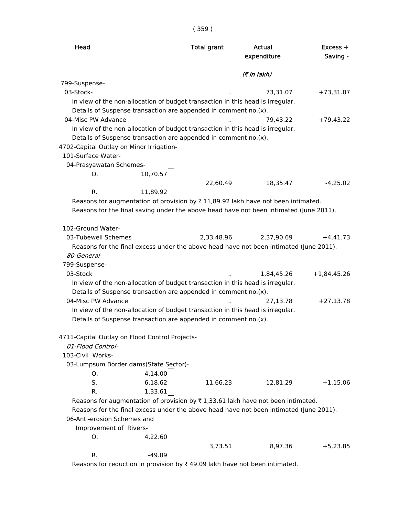| × | × | × |
|---|---|---|
|   |   |   |

| Head                                                           |          | <b>Total grant</b>                                              | Actual<br>expenditure                                                                  | $Excess +$<br>Saving - |
|----------------------------------------------------------------|----------|-----------------------------------------------------------------|----------------------------------------------------------------------------------------|------------------------|
|                                                                |          |                                                                 | (7 in lakh)                                                                            |                        |
| 799-Suspense-                                                  |          |                                                                 |                                                                                        |                        |
| 03-Stock-                                                      |          |                                                                 | 73,31.07                                                                               | $+73,31.07$            |
|                                                                |          |                                                                 | In view of the non-allocation of budget transaction in this head is irregular.         |                        |
|                                                                |          | Details of Suspense transaction are appended in comment no.(x). |                                                                                        |                        |
| 04-Misc PW Advance                                             |          |                                                                 | 79,43.22                                                                               | $+79,43.22$            |
|                                                                |          |                                                                 | In view of the non-allocation of budget transaction in this head is irregular.         |                        |
|                                                                |          | Details of Suspense transaction are appended in comment no.(x). |                                                                                        |                        |
| 4702-Capital Outlay on Minor Irrigation-<br>101-Surface Water- |          |                                                                 |                                                                                        |                        |
|                                                                |          |                                                                 |                                                                                        |                        |
| 04-Prasyawatan Schemes-<br>Ο.                                  | 10,70.57 |                                                                 |                                                                                        |                        |
|                                                                |          | 22,60.49                                                        | 18,35.47                                                                               | $-4,25.02$             |
| R.                                                             | 11,89.92 |                                                                 |                                                                                        |                        |
|                                                                |          |                                                                 | Reasons for augmentation of provision by ₹11,89.92 lakh have not been intimated.       |                        |
|                                                                |          |                                                                 | Reasons for the final saving under the above head have not been intimated (June 2011). |                        |
|                                                                |          |                                                                 |                                                                                        |                        |
| 102-Ground Water-                                              |          |                                                                 |                                                                                        |                        |
| 03-Tubewell Schemes                                            |          | 2,33,48.96                                                      | 2,37,90.69                                                                             | $+4,41.73$             |
|                                                                |          |                                                                 | Reasons for the final excess under the above head have not been intimated (June 2011). |                        |
| 80-General-                                                    |          |                                                                 |                                                                                        |                        |
| 799-Suspense-                                                  |          |                                                                 |                                                                                        |                        |
| 03-Stock                                                       |          |                                                                 | 1,84,45.26                                                                             | $+1,84,45.26$          |
|                                                                |          |                                                                 | In view of the non-allocation of budget transaction in this head is irregular.         |                        |
|                                                                |          | Details of Suspense transaction are appended in comment no.(x). |                                                                                        |                        |
| 04-Misc PW Advance                                             |          |                                                                 | 27,13.78                                                                               | $+27,13.78$            |
|                                                                |          |                                                                 | In view of the non-allocation of budget transaction in this head is irregular.         |                        |
|                                                                |          | Details of Suspense transaction are appended in comment no.(x). |                                                                                        |                        |
|                                                                |          |                                                                 |                                                                                        |                        |
| 4711-Capital Outlay on Flood Control Projects-                 |          |                                                                 |                                                                                        |                        |
| 01-Flood Control-                                              |          |                                                                 |                                                                                        |                        |
| 103-Civil Works-                                               |          |                                                                 |                                                                                        |                        |
| 03-Lumpsum Border dams(State Sector)-                          |          |                                                                 |                                                                                        |                        |
| O.                                                             | 4,14.00  |                                                                 |                                                                                        |                        |
| S.                                                             | 6,18.62  | 11,66.23                                                        | 12,81.29                                                                               | $+1,15.06$             |
| R.                                                             | 1,33.61  |                                                                 |                                                                                        |                        |
|                                                                |          |                                                                 | Reasons for augmentation of provision by ₹1,33.61 lakh have not been intimated.        |                        |
|                                                                |          |                                                                 | Reasons for the final excess under the above head have not been intimated (June 2011). |                        |
| 06-Anti-erosion Schemes and                                    |          |                                                                 |                                                                                        |                        |
| Improvement of Rivers-                                         |          |                                                                 |                                                                                        |                        |
| 0.                                                             | 4,22.60  |                                                                 |                                                                                        |                        |
|                                                                |          | 3,73.51                                                         | 8,97.36                                                                                | $+5,23.85$             |
| R.                                                             | $-49.09$ |                                                                 |                                                                                        |                        |

Reasons for reduction in provision by  $\bar{\tau}$  49.09 lakh have not been intimated.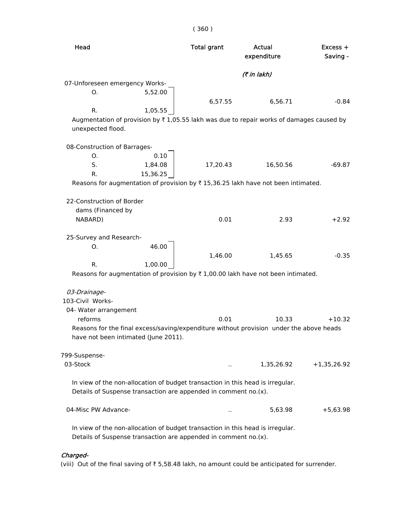| Head                                                            |          | <b>Total grant</b> | Actual<br>expenditure                                                                                 | $Excess +$<br>Saving - |
|-----------------------------------------------------------------|----------|--------------------|-------------------------------------------------------------------------------------------------------|------------------------|
|                                                                 |          |                    | (₹ in lakh)                                                                                           |                        |
| 07-Unforeseen emergency Works-                                  |          |                    |                                                                                                       |                        |
| О.                                                              | 5,52.00  |                    |                                                                                                       |                        |
|                                                                 |          | 6,57.55            | 6,56.71                                                                                               | $-0.84$                |
| R.                                                              | 1,05.55  |                    |                                                                                                       |                        |
| unexpected flood.                                               |          |                    | Augmentation of provision by $\overline{x}$ 1,05.55 lakh was due to repair works of damages caused by |                        |
| 08-Construction of Barrages-                                    |          |                    |                                                                                                       |                        |
| О.                                                              | 0.10     |                    |                                                                                                       |                        |
| S.                                                              | 1,84.08  | 17,20.43           | 16,50.56                                                                                              | $-69.87$               |
| R.                                                              | 15,36.25 |                    |                                                                                                       |                        |
|                                                                 |          |                    | Reasons for augmentation of provision by $\overline{\tau}$ 15,36.25 lakh have not been intimated.     |                        |
| 22-Construction of Border                                       |          |                    |                                                                                                       |                        |
| dams (Financed by                                               |          |                    |                                                                                                       |                        |
| NABARD)                                                         |          | 0.01               | 2.93                                                                                                  | $+2.92$                |
| 25-Survey and Research-                                         |          |                    |                                                                                                       |                        |
| Ο.                                                              | 46.00    |                    |                                                                                                       |                        |
|                                                                 |          | 1,46.00            | 1,45.65                                                                                               | $-0.35$                |
| R.                                                              | 1,00.00  |                    |                                                                                                       |                        |
|                                                                 |          |                    | Reasons for augmentation of provision by $\overline{\tau}$ 1,00.00 lakh have not been intimated.      |                        |
| 03-Drainage-                                                    |          |                    |                                                                                                       |                        |
| 103-Civil Works-                                                |          |                    |                                                                                                       |                        |
| 04- Water arrangement                                           |          |                    |                                                                                                       |                        |
| reforms                                                         |          | 0.01               | 10.33                                                                                                 | $+10.32$               |
|                                                                 |          |                    | Reasons for the final excess/saving/expenditure without provision under the above heads               |                        |
| have not been intimated (June 2011).                            |          |                    |                                                                                                       |                        |
| 799-Suspense-                                                   |          |                    |                                                                                                       |                        |
| 03-Stock                                                        |          |                    | 1,35,26.92                                                                                            | $+1,35,26.92$          |
|                                                                 |          |                    | In view of the non-allocation of budget transaction in this head is irregular.                        |                        |
| Details of Suspense transaction are appended in comment no.(x). |          |                    |                                                                                                       |                        |
| 04-Misc PW Advance-                                             |          |                    | 5,63.98                                                                                               | $+5,63.98$             |
|                                                                 |          |                    | In view of the non-allocation of budget transaction in this head is irregular.                        |                        |
| Details of Suspense transaction are appended in comment no.(x). |          |                    |                                                                                                       |                        |

( 360 )

## Charged-

(viii) Out of the final saving of  $\bar{\tau}$  5,58.48 lakh, no amount could be anticipated for surrender.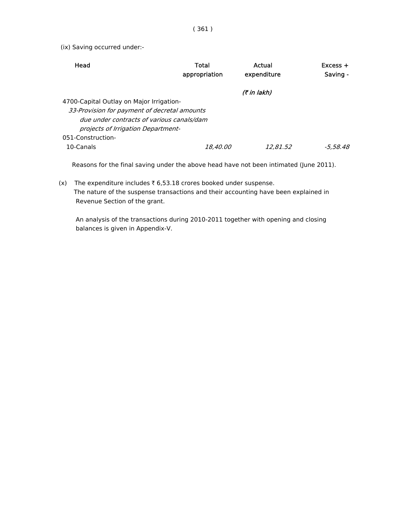(ix) Saving occurred under:-

| Head                                         | Total           | Actual             | $Excess +$ |
|----------------------------------------------|-----------------|--------------------|------------|
|                                              | appropriation   | expenditure        | Saving -   |
|                                              |                 | <i>(₹ in lakh)</i> |            |
| 4700-Capital Outlay on Major Irrigation-     |                 |                    |            |
| 33-Provision for payment of decretal amounts |                 |                    |            |
| due under contracts of various canals/dam    |                 |                    |            |
| projects of Irrigation Department-           |                 |                    |            |
| 051-Construction-                            |                 |                    |            |
| 10-Canals                                    | <i>18,40.00</i> | 12,81.52           | -5.58.48   |

Reasons for the final saving under the above head have not been intimated (June 2011).

(x) The expenditure includes  $\bar{\tau}$  6,53.18 crores booked under suspense. The nature of the suspense transactions and their accounting have been explained in Revenue Section of the grant.

 An analysis of the transactions during 2010-2011 together with opening and closing balances is given in Appendix-V.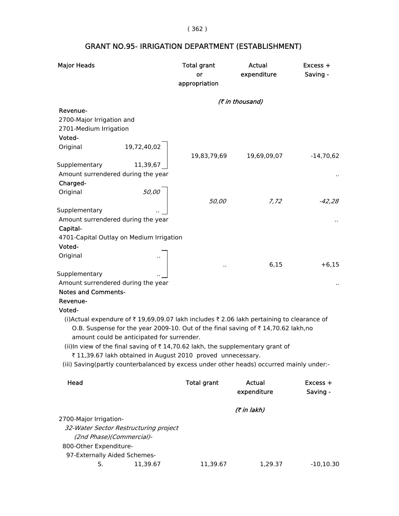( 362 )

| <b>Major Heads</b>                                                                        | <b>Total grant</b><br>or<br>appropriation | Actual<br>expenditure | Excess +<br>Saving -   |
|-------------------------------------------------------------------------------------------|-------------------------------------------|-----------------------|------------------------|
|                                                                                           |                                           | (₹ in thousand)       |                        |
| Revenue-                                                                                  |                                           |                       |                        |
| 2700-Major Irrigation and                                                                 |                                           |                       |                        |
| 2701-Medium Irrigation                                                                    |                                           |                       |                        |
| Voted-                                                                                    |                                           |                       |                        |
| Original<br>19,72,40,02                                                                   | 19,83,79,69                               | 19,69,09,07           | $-14,70,62$            |
| Supplementary<br>11,39,67                                                                 |                                           |                       |                        |
| Amount surrendered during the year                                                        |                                           |                       |                        |
| Charged-                                                                                  |                                           |                       |                        |
| Original<br><i>50,00</i>                                                                  |                                           |                       |                        |
|                                                                                           | 50,00                                     | 7,72                  | $-42,28$               |
| Supplementary                                                                             |                                           |                       |                        |
| Amount surrendered during the year                                                        |                                           |                       |                        |
| Capital-                                                                                  |                                           |                       |                        |
| 4701-Capital Outlay on Medium Irrigation                                                  |                                           |                       |                        |
| Voted-<br>Original                                                                        |                                           |                       |                        |
|                                                                                           |                                           | 6,15                  | $+6,15$                |
| Supplementary                                                                             |                                           |                       |                        |
| Amount surrendered during the year                                                        |                                           |                       |                        |
| <b>Notes and Comments-</b>                                                                |                                           |                       |                        |
| Revenue-                                                                                  |                                           |                       |                        |
| Voted-                                                                                    |                                           |                       |                        |
| (i) Actual expendure of ₹19,69,09.07 lakh includes ₹2.06 lakh pertaining to clearance of  |                                           |                       |                        |
| O.B. Suspense for the year 2009-10. Out of the final saving of ₹14,70.62 lakh,no          |                                           |                       |                        |
| amount could be anticipated for surrender.                                                |                                           |                       |                        |
| (ii)In view of the final saving of ₹14,70.62 lakh, the supplementary grant of             |                                           |                       |                        |
| ₹11,39.67 lakh obtained in August 2010 proved unnecessary.                                |                                           |                       |                        |
| (iii) Saving (partly counterbalanced by excess under other heads) occurred mainly under:- |                                           |                       |                        |
| Head                                                                                      | <b>Total grant</b>                        | Actual<br>expenditure | $Excess +$<br>Saving - |
|                                                                                           |                                           | (7 in lakh)           |                        |
| 2700-Major Irrigation-                                                                    |                                           |                       |                        |
| 32-Water Sector Restructuring project                                                     |                                           |                       |                        |
| (2nd Phase)(Commercial)-                                                                  |                                           |                       |                        |
| 800-Other Expenditure-                                                                    |                                           |                       |                        |
| 97-Externally Aided Schemes-                                                              |                                           |                       |                        |

S. 11,39.67 11,39.67 1,29.37 -10,10.30

# GRANT NO.95- IRRIGATION DEPARTMENT (ESTABLISHMENT)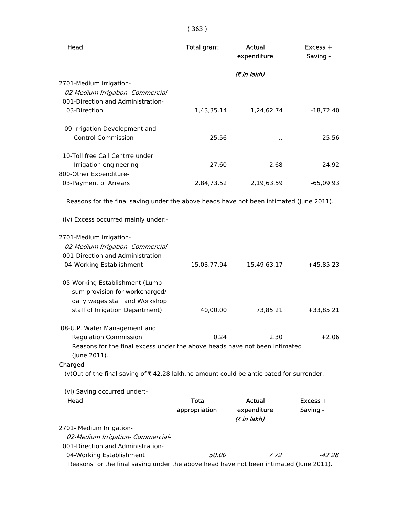| Head                                                                                       | <b>Total grant</b> | Actual<br>expenditure      | Excess +<br>Saving - |
|--------------------------------------------------------------------------------------------|--------------------|----------------------------|----------------------|
|                                                                                            |                    | (₹ in lakh)                |                      |
| 2701-Medium Irrigation-                                                                    |                    |                            |                      |
| 02-Medium Irrigation- Commercial-                                                          |                    |                            |                      |
| 001-Direction and Administration-                                                          |                    |                            |                      |
| 03-Direction                                                                               | 1,43,35.14         | 1,24,62.74                 | $-18,72.40$          |
| 09-Irrigation Development and                                                              |                    |                            |                      |
| <b>Control Commission</b>                                                                  | 25.56              | $\ddot{\phantom{1}}$       | $-25.56$             |
| 10-Toll free Call Centrre under                                                            |                    |                            |                      |
| Irrigation engineering                                                                     | 27.60              | 2.68                       | $-24.92$             |
| 800-Other Expenditure-                                                                     |                    |                            |                      |
| 03-Payment of Arrears                                                                      | 2,84,73.52         | 2,19,63.59                 | $-65,09.93$          |
| Reasons for the final saving under the above heads have not been intimated (June 2011).    |                    |                            |                      |
| (iv) Excess occurred mainly under:-                                                        |                    |                            |                      |
| 2701-Medium Irrigation-                                                                    |                    |                            |                      |
| 02-Medium Irrigation- Commercial-                                                          |                    |                            |                      |
| 001-Direction and Administration-                                                          |                    |                            |                      |
| 04-Working Establishment                                                                   | 15,03,77.94        | 15,49,63.17                | $+45,85.23$          |
| 05-Working Establishment (Lump                                                             |                    |                            |                      |
| sum provision for workcharged/                                                             |                    |                            |                      |
| daily wages staff and Workshop                                                             |                    |                            |                      |
| staff of Irrigation Department)                                                            | 40,00.00           | 73,85.21                   | $+33,85.21$          |
| 08-U.P. Water Management and                                                               |                    |                            |                      |
| <b>Regulation Commission</b>                                                               | 0.24               | 2.30                       | +2.06                |
| Reasons for the final excess under the above heads have not been intimated<br>(june 2011). |                    |                            |                      |
| Charged-                                                                                   |                    |                            |                      |
| (v)Out of the final saving of ₹42.28 lakh,no amount could be anticipated for surrender.    |                    |                            |                      |
| (vi) Saving occurred under:-                                                               |                    |                            |                      |
| Head                                                                                       | <b>Total</b>       | <b>Actual</b>              | $Excess +$           |
|                                                                                            | appropriation      | expenditure<br>(₹ in lakh) | Saving -             |
| 2701- Medium Irrigation-                                                                   |                    |                            |                      |
| 02-Medium Irrigation- Commercial-                                                          |                    |                            |                      |
| 001-Direction and Administration-                                                          |                    |                            |                      |
| 04-Working Establishment                                                                   | <i>50.00</i>       | 7.72                       | -42.28               |
| Reasons for the final saving under the above head have not been intimated (June 2011).     |                    |                            |                      |

# ( 363 )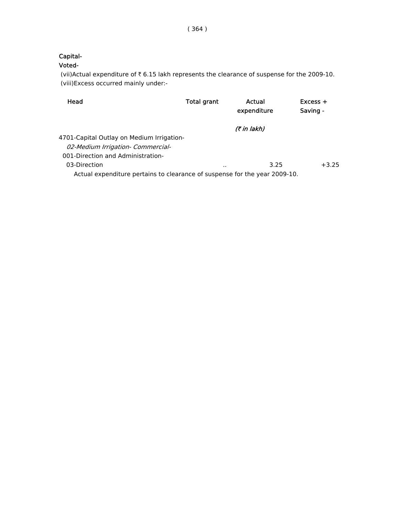## Capital-

## Voted-

(vii)Actual expenditure of  $\bar{\tau}$  6.15 lakh represents the clearance of suspense for the 2009-10. (viii)Excess occurred mainly under:-

| Head                                                                       | Total grant | Actual<br>expenditure |      | $Excess +$<br>Saving - |         |
|----------------------------------------------------------------------------|-------------|-----------------------|------|------------------------|---------|
|                                                                            |             | <i>(₹ in lakh)</i>    |      |                        |         |
| 4701-Capital Outlay on Medium Irrigation-                                  |             |                       |      |                        |         |
| 02-Medium Irrigation- Commercial-                                          |             |                       |      |                        |         |
| 001-Direction and Administration-                                          |             |                       |      |                        |         |
| 03-Direction                                                               | $\cdots$    |                       | 3.25 |                        | $+3.25$ |
| Actual expenditure pertains to clearance of suspense for the year 2009-10. |             |                       |      |                        |         |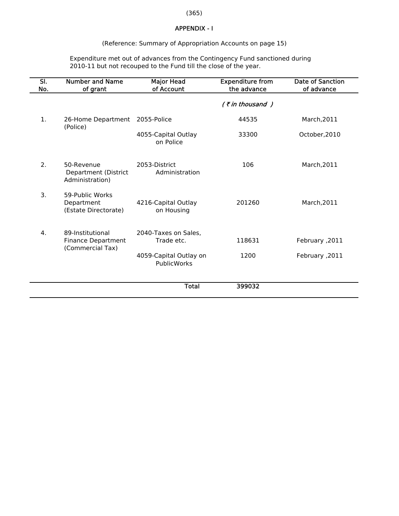## (365)

#### APPENDIX - I

#### (Reference: Summary of Appropriation Accounts on page 15)

 Expenditure met out of advances from the Contingency Fund sanctioned during 2010-11 but not recouped to the Fund till the close of the year.

| SI.<br>No. | <b>Number and Name</b><br>of grant                                | <b>Major Head</b><br>of Account       | <b>Expenditure from</b><br>the advance | <b>Date of Sanction</b><br>of advance |
|------------|-------------------------------------------------------------------|---------------------------------------|----------------------------------------|---------------------------------------|
|            |                                                                   |                                       | (₹in thousand)                         |                                       |
| 1.         | 26-Home Department<br>(Police)                                    | 2055-Police                           | 44535                                  | March, 2011                           |
|            |                                                                   | 4055-Capital Outlay<br>on Police      | 33300                                  | October, 2010                         |
| 2.         | 50-Revenue<br>Department (District<br>Administration)             | 2053-District<br>Administration       | 106                                    | March, 2011                           |
| 3.         | 59-Public Works<br>Department<br>(Estate Directorate)             | 4216-Capital Outlay<br>on Housing     | 201260                                 | March, 2011                           |
| 4.         | 89-Institutional<br><b>Finance Department</b><br>(Commercial Tax) | 2040-Taxes on Sales.<br>Trade etc.    | 118631                                 | February ,2011                        |
|            |                                                                   | 4059-Capital Outlay on<br>PublicWorks | 1200                                   | February ,2011                        |
|            |                                                                   | <b>Total</b>                          | 399032                                 |                                       |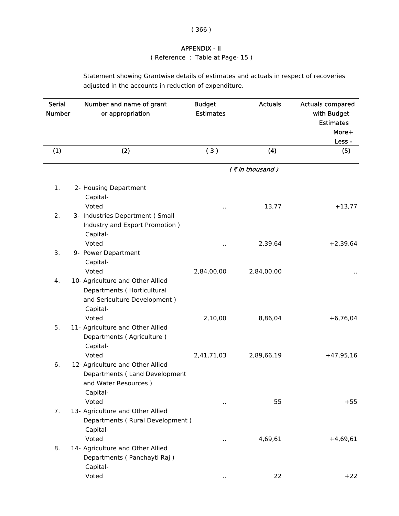### APPENDIX - II

( Reference : Table at Page- 15 )

Statement showing Grantwise details of estimates and actuals in respect of recoveries adjusted in the accounts in reduction of expenditure.

| <b>Serial</b><br><b>Number</b> | Number and name of grant<br>or appropriation                                                                        | <b>Budget</b><br><b>Estimates</b> | <b>Actuals</b>        | <b>Actuals compared</b><br>with Budget<br><b>Estimates</b><br>More+<br>Less - |
|--------------------------------|---------------------------------------------------------------------------------------------------------------------|-----------------------------------|-----------------------|-------------------------------------------------------------------------------|
| (1)                            | (2)                                                                                                                 | (3)                               | (4)                   | (5)                                                                           |
|                                |                                                                                                                     |                                   | (₹in thousand)        |                                                                               |
| 1.                             | 2- Housing Department<br>Capital-<br>Voted                                                                          |                                   | 13,77                 | $+13,77$                                                                      |
| 2.                             | 3- Industries Department (Small<br>Industry and Export Promotion)<br>Capital-                                       |                                   |                       |                                                                               |
| 3.                             | Voted<br>9- Power Department<br>Capital-<br>Voted                                                                   | Ω.<br>2,84,00,00                  | 2,39,64<br>2,84,00,00 | $+2,39,64$                                                                    |
| 4.                             | 10- Agriculture and Other Allied<br>Departments (Horticultural<br>and Sericulture Development)<br>Capital-<br>Voted | 2,10,00                           | 8,86,04               | $+6,76,04$                                                                    |
| 5.                             | 11- Agriculture and Other Allied<br>Departments (Agriculture)<br>Capital-<br>Voted                                  | 2,41,71,03                        | 2,89,66,19            | $+47,95,16$                                                                   |
| 6.                             | 12- Agriculture and Other Allied<br>Departments (Land Development<br>and Water Resources)<br>Capital-<br>Voted      | Ω.                                | 55                    | $+55$                                                                         |
| 7.                             | 13- Agriculture and Other Allied<br>Departments (Rural Development)<br>Capital-<br>Voted                            | $\ddot{\phantom{a}}$              | 4,69,61               | $+4,69,61$                                                                    |
| 8.                             | 14- Agriculture and Other Allied<br>Departments (Panchayti Raj)<br>Capital-<br>Voted                                |                                   | 22                    | $+22$                                                                         |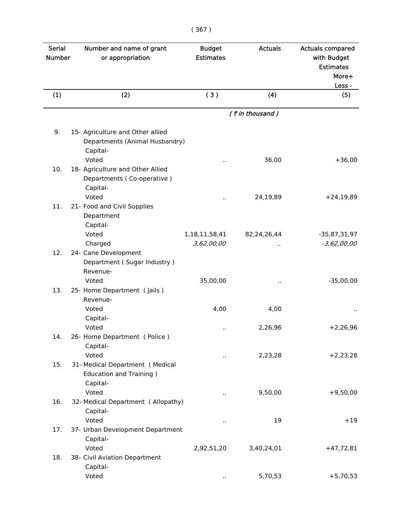|   | I<br>× |    |
|---|--------|----|
| × |        | ×. |

| <b>Serial</b><br><b>Number</b> | Number and name of grant<br>or appropriation | <b>Budget</b><br><b>Estimates</b> | <b>Actuals</b> | <b>Actuals compared</b><br>with Budget<br><b>Estimates</b><br>More+ |
|--------------------------------|----------------------------------------------|-----------------------------------|----------------|---------------------------------------------------------------------|
| (1)                            | (2)                                          | (3)                               | (4)            | Less -<br>(5)                                                       |
|                                |                                              |                                   | (₹in thousand) |                                                                     |
|                                |                                              |                                   |                |                                                                     |
| 9.                             | 15- Agriculture and Other allied             |                                   |                |                                                                     |
|                                | Departments (Animal Husbandry)               |                                   |                |                                                                     |
|                                | Capital-                                     |                                   |                |                                                                     |
|                                | Voted                                        |                                   | 36,00          | $+36,00$                                                            |
| 10.                            | 18- Agriculture and Other Allied             |                                   |                |                                                                     |
|                                | Departments (Co-operative)<br>Capital-       |                                   |                |                                                                     |
|                                | Voted                                        |                                   | 24,19,89       | $+24,19,89$                                                         |
| 11.                            | 21- Food and Civil Supplies                  |                                   |                |                                                                     |
|                                | Department                                   |                                   |                |                                                                     |
|                                | Capital-                                     |                                   |                |                                                                     |
|                                | Voted                                        | 1,18,11,58,41                     | 82,24,26,44    | $-35,87,31,97$                                                      |
|                                | Charged                                      | 3,62,00,00                        |                | $-3,62,00,00$                                                       |
| 12.                            | 24- Cane Development                         |                                   |                |                                                                     |
|                                | Department (Sugar Industry)                  |                                   |                |                                                                     |
|                                | Revenue-                                     |                                   |                |                                                                     |
|                                | Voted                                        | 35,00,00                          |                | $-35,00,00$                                                         |
| 13.                            | 25- Home Department (Jails)                  |                                   |                |                                                                     |
|                                | Revenue-                                     |                                   |                |                                                                     |
|                                | Voted                                        | 4,00                              | 4,00           |                                                                     |
|                                | Capital-                                     |                                   |                |                                                                     |
|                                | Voted                                        | μ.                                | 2,26,96        | $+2,26,96$                                                          |
| 14.                            | 26- Home Department (Police)                 |                                   |                |                                                                     |
|                                | Capital-                                     |                                   |                |                                                                     |
|                                | Voted                                        | .,                                | 2,23,28        | $+2,23,28$                                                          |
| 15.                            | 31- Medical Department (Medical              |                                   |                |                                                                     |
|                                | <b>Education and Training )</b>              |                                   |                |                                                                     |
|                                | Capital-<br>Voted                            |                                   | 9,50,00        | $+9,50,00$                                                          |
| 16.                            | 32- Medical Department (Allopathy)           | Ω,                                |                |                                                                     |
|                                | Capital-                                     |                                   |                |                                                                     |
|                                | Voted                                        |                                   | 19             | $+19$                                                               |
| 17.                            | 37- Urban Development Department             | .,                                |                |                                                                     |
|                                | Capital-                                     |                                   |                |                                                                     |
|                                | Voted                                        | 2,92,51,20                        | 3,40,24,01     | $+47,72,81$                                                         |
| 18.                            | 38- Civil Aviation Department                |                                   |                |                                                                     |
|                                | Capital-                                     |                                   |                |                                                                     |
|                                | Voted                                        |                                   | 5,70,53        | $+5,70,53$                                                          |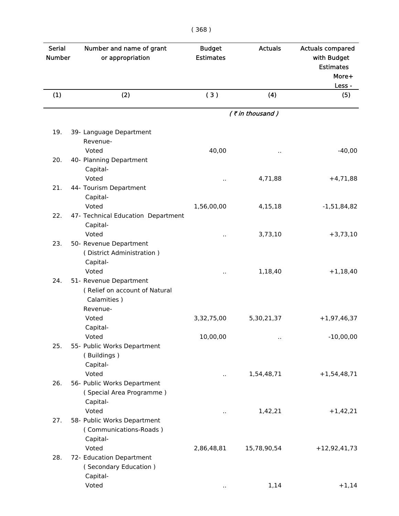| × | ×. |
|---|----|

| <b>Serial</b><br><b>Number</b> | Number and name of grant<br>or appropriation                                       | <b>Budget</b><br><b>Estimates</b> | <b>Actuals</b>     | <b>Actuals compared</b><br>with Budget<br><b>Estimates</b><br>More+ |
|--------------------------------|------------------------------------------------------------------------------------|-----------------------------------|--------------------|---------------------------------------------------------------------|
| (1)                            | (2)                                                                                | (3)                               | (4)                | Less -<br>(5)                                                       |
|                                |                                                                                    |                                   | $($ ₹ in thousand) |                                                                     |
| 19.                            | 39- Language Department                                                            |                                   |                    |                                                                     |
|                                | Revenue-                                                                           |                                   |                    |                                                                     |
|                                | Voted                                                                              | 40,00                             |                    | $-40,00$                                                            |
| 20.                            | 40- Planning Department<br>Capital-                                                |                                   |                    |                                                                     |
|                                | Voted                                                                              |                                   | 4,71,88            | $+4,71,88$                                                          |
| 21.                            | 44- Tourism Department<br>Capital-                                                 |                                   |                    |                                                                     |
|                                | Voted                                                                              | 1,56,00,00                        | 4,15,18            | $-1,51,84,82$                                                       |
| 22.                            | 47- Technical Education Department<br>Capital-                                     |                                   |                    |                                                                     |
|                                | Voted                                                                              |                                   | 3,73,10            | $+3,73,10$                                                          |
| 23.                            | 50- Revenue Department<br>(District Administration)<br>Capital-                    |                                   |                    |                                                                     |
|                                | Voted                                                                              |                                   | 1,18,40            | $+1,18,40$                                                          |
| 24.                            | 51- Revenue Department<br>(Relief on account of Natural<br>Calamities)<br>Revenue- |                                   |                    |                                                                     |
|                                | Voted                                                                              | 3,32,75,00                        | 5,30,21,37         | $+1,97,46,37$                                                       |
|                                | Capital-                                                                           |                                   |                    |                                                                     |
|                                | Voted                                                                              | 10,00,00                          | Ω,                 | $-10,00,00$                                                         |
| 25.                            | 55- Public Works Department<br>(Buildings)<br>Capital-                             |                                   |                    |                                                                     |
|                                | Voted                                                                              |                                   | 1,54,48,71         | $+1,54,48,71$                                                       |
| 26.                            | 56- Public Works Department<br>(Special Area Programme)<br>Capital-                |                                   |                    |                                                                     |
|                                | Voted                                                                              |                                   | 1,42,21            | $+1,42,21$                                                          |
| 27.                            | 58- Public Works Department<br>(Communications-Roads)<br>Capital-                  |                                   |                    |                                                                     |
|                                | Voted                                                                              | 2,86,48,81                        | 15,78,90,54        | $+12,92,41,73$                                                      |
| 28.                            | 72- Education Department<br>(Secondary Education)<br>Capital-                      |                                   |                    |                                                                     |
|                                | Voted                                                                              |                                   | 1,14               | $+1,14$                                                             |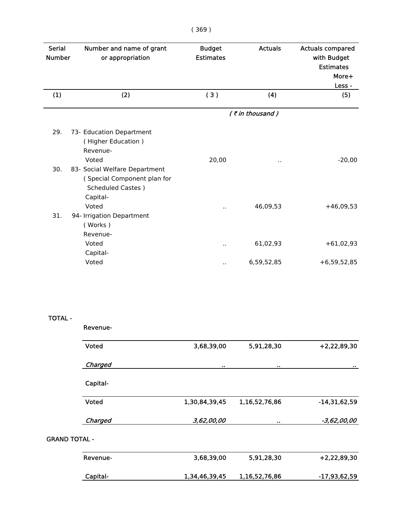| Serial<br><b>Number</b> | Number and name of grant<br>or appropriation                                                          | <b>Budget</b><br><b>Estimates</b> | <b>Actuals</b> | <b>Actuals compared</b><br>with Budget<br><b>Estimates</b><br>More+ |  |
|-------------------------|-------------------------------------------------------------------------------------------------------|-----------------------------------|----------------|---------------------------------------------------------------------|--|
| (1)                     | (2)                                                                                                   | (3)                               | (4)            | Less -<br>(5)                                                       |  |
|                         |                                                                                                       |                                   | (₹in thousand) |                                                                     |  |
| 29.                     | 73- Education Department<br>(Higher Education)<br>Revenue-<br>Voted                                   | 20,00                             |                | $-20,00$                                                            |  |
| 30.                     | 83- Social Welfare Department<br>(Special Component plan for<br><b>Scheduled Castes</b> )<br>Capital- |                                   |                |                                                                     |  |
| 31.                     | Voted<br>94- Irrigation Department<br>(Works)<br>Revenue-                                             | $\ddot{\phantom{a}}$              | 46,09,53       | $+46,09,53$                                                         |  |
|                         | Voted<br>Capital-                                                                                     | $\ddot{\phantom{a}}$              | 61,02,93       | $+61,02,93$                                                         |  |
|                         | Voted                                                                                                 |                                   | 6,59,52,85     | $+6,59,52,85$                                                       |  |
| <b>TOTAL -</b>          | Revenue-                                                                                              |                                   |                |                                                                     |  |

|                      | <b>Voted</b> | 3,68,39,00    | 5,91,28,30    | $+2,22,89,30$  |
|----------------------|--------------|---------------|---------------|----------------|
|                      | Charged      | $\bullet$     | $\bullet$     | $\pmb{\pi}$    |
|                      | Capital-     |               |               |                |
|                      | Voted        | 1,30,84,39,45 | 1,16,52,76,86 | $-14,31,62,59$ |
|                      | Charged      | 3,62,00,00    | $\bullet$     | -3,62,00,00    |
| <b>GRAND TOTAL -</b> |              |               |               |                |
|                      | Revenue-     | 3,68,39,00    | 5,91,28,30    | $+2,22,89,30$  |
|                      | Capital-     | 1,34,46,39,45 | 1,16,52,76,86 | $-17,93,62,59$ |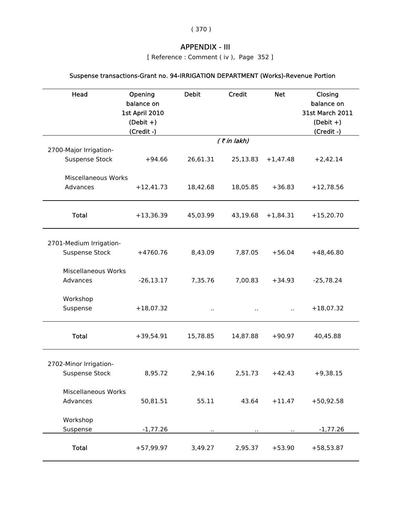( 370 )

# APPENDIX - III

[ Reference : Comment ( iv ), Page 352 ]

# Suspense transactions-Grant no. 94-IRRIGATION DEPARTMENT (Works)-Revenue Portion

| Head                                             | Opening<br>balance on<br>1st April 2010<br>$(Debit +)$<br>(Credit -) | <b>Debit</b> | Credit         | <b>Net</b> | Closing<br>balance on<br><b>31st March 2011</b><br>$(Debit +)$<br>(Credit -) |
|--------------------------------------------------|----------------------------------------------------------------------|--------------|----------------|------------|------------------------------------------------------------------------------|
|                                                  |                                                                      |              | $($ ₹ in lakh) |            |                                                                              |
| 2700-Major Irrigation-<br><b>Suspense Stock</b>  | $+94.66$                                                             | 26,61.31     | 25,13.83       | $+1,47.48$ | $+2,42.14$                                                                   |
| <b>Miscellaneous Works</b><br>Advances           | $+12,41.73$                                                          | 18,42.68     | 18,05.85       | $+36.83$   | $+12,78.56$                                                                  |
| <b>Total</b>                                     | $+13,36.39$                                                          | 45,03.99     | 43,19.68       | $+1,84.31$ | $+15,20.70$                                                                  |
| 2701-Medium Irrigation-<br><b>Suspense Stock</b> | $+4760.76$                                                           | 8,43.09      | 7,87.05        | $+56.04$   | $+48,46.80$                                                                  |
| <b>Miscellaneous Works</b><br>Advances           | $-26, 13.17$                                                         | 7,35.76      | 7,00.83        | $+34.93$   | $-25,78.24$                                                                  |
| Workshop<br>Suspense                             | $+18,07.32$                                                          |              |                |            | $+18,07.32$                                                                  |
| <b>Total</b>                                     | $+39,54.91$                                                          | 15,78.85     | 14,87.88       | $+90.97$   | 40,45.88                                                                     |
| 2702-Minor Irrigation-<br><b>Suspense Stock</b>  | 8,95.72                                                              | 2,94.16      | 2,51.73        | $+42.43$   | $+9,38.15$                                                                   |
| <b>Miscellaneous Works</b><br>Advances           | 50,81.51                                                             | 55.11        | 43.64          | $+11.47$   | $+50,92.58$                                                                  |
| Workshop<br>Suspense                             | $-1,77.26$                                                           |              |                |            | $-1,77.26$                                                                   |
| <b>Total</b>                                     | $+57,99.97$                                                          | 3,49.27      | 2,95.37        | $+53.90$   | $+58,53.87$                                                                  |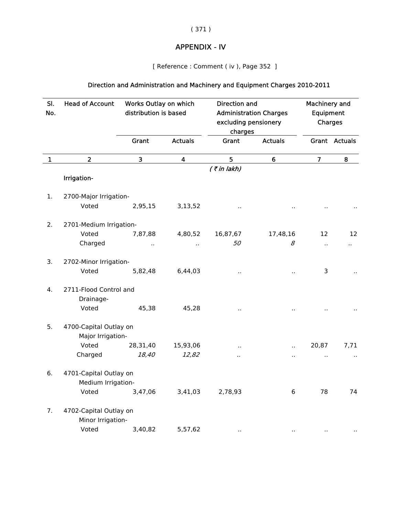## ( 371 )

# APPENDIX - IV

[ Reference : Comment ( iv ), Page 352 ]

# Direction and Administration and Machinery and Equipment Charges 2010-2011

| SI.<br>No.   | <b>Head of Account</b>  | Works Outlay on which<br>distribution is based |                         | <b>Direction and</b><br><b>Administration Charges</b><br>excluding pensionery<br>charges |                      | Machinery and<br>Equipment<br>Charges |                      |
|--------------|-------------------------|------------------------------------------------|-------------------------|------------------------------------------------------------------------------------------|----------------------|---------------------------------------|----------------------|
|              |                         | Grant                                          | <b>Actuals</b>          | Grant                                                                                    | <b>Actuals</b>       |                                       | Grant Actuals        |
| $\mathbf{1}$ | $\overline{2}$          | 3                                              | $\overline{\mathbf{4}}$ | 5                                                                                        | $6\phantom{1}$       | $\overline{7}$                        | 8                    |
|              |                         |                                                |                         | $($ ₹ in lakh)                                                                           |                      |                                       |                      |
|              | Irrigation-             |                                                |                         |                                                                                          |                      |                                       |                      |
| 1.           | 2700-Major Irrigation-  |                                                |                         |                                                                                          |                      |                                       |                      |
|              | Voted                   | 2,95,15                                        | 3,13,52                 |                                                                                          |                      |                                       |                      |
| 2.           | 2701-Medium Irrigation- |                                                |                         |                                                                                          |                      |                                       |                      |
|              | Voted                   | 7,87,88                                        | 4,80,52                 | 16,87,67                                                                                 | 17,48,16             | 12                                    | 12                   |
|              | Charged                 |                                                |                         | 50                                                                                       | 8                    | Ω.                                    | $\ddot{\phantom{0}}$ |
| 3.           | 2702-Minor Irrigation-  |                                                |                         |                                                                                          |                      |                                       |                      |
|              | Voted                   | 5,82,48                                        | 6,44,03                 | Ω,                                                                                       | $\ddot{\phantom{a}}$ | 3                                     |                      |
| 4.           | 2711-Flood Control and  |                                                |                         |                                                                                          |                      |                                       |                      |
|              | Drainage-               |                                                |                         |                                                                                          |                      |                                       |                      |
|              | Voted                   | 45,38                                          | 45,28                   | Ω.                                                                                       | $\ddot{\phantom{a}}$ |                                       |                      |
| 5.           | 4700-Capital Outlay on  |                                                |                         |                                                                                          |                      |                                       |                      |
|              | Major Irrigation-       |                                                |                         |                                                                                          |                      |                                       |                      |
|              | Voted                   | 28,31,40                                       | 15,93,06                |                                                                                          | $\ddot{\phantom{a}}$ | 20,87                                 | 7,71                 |
|              | Charged                 | 18,40                                          | 12,82                   |                                                                                          |                      |                                       | $\cdot$ .            |
| 6.           | 4701-Capital Outlay on  |                                                |                         |                                                                                          |                      |                                       |                      |
|              | Medium Irrigation-      |                                                |                         |                                                                                          |                      |                                       |                      |
|              | Voted                   | 3,47,06                                        | 3,41,03                 | 2,78,93                                                                                  | 6                    | 78                                    | 74                   |
| 7.           | 4702-Capital Outlay on  |                                                |                         |                                                                                          |                      |                                       |                      |
|              | Minor Irrigation-       |                                                |                         |                                                                                          |                      |                                       |                      |
|              | Voted                   | 3,40,82                                        | 5,57,62                 | $\cdot$ .                                                                                | $\ddot{\phantom{1}}$ | $\cdot$                               |                      |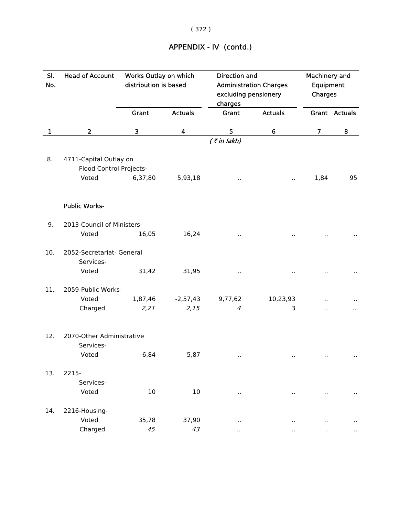# APPENDIX - IV (contd.)

| SI.<br>No. | <b>Head of Account</b>     | Works Outlay on which<br>distribution is based |                | <b>Direction and</b><br><b>Administration Charges</b><br>excluding pensionery<br>charges |                      | <b>Machinery and</b><br>Equipment<br>Charges |                      |  |  |
|------------|----------------------------|------------------------------------------------|----------------|------------------------------------------------------------------------------------------|----------------------|----------------------------------------------|----------------------|--|--|
|            |                            | Grant                                          | <b>Actuals</b> | Grant                                                                                    | <b>Actuals</b>       |                                              | Grant Actuals        |  |  |
| 1          | $\overline{2}$             | 3                                              | 4              | 5                                                                                        | 6                    | $\overline{7}$                               | 8                    |  |  |
|            |                            |                                                |                | $($ ₹ in lakh)                                                                           |                      |                                              |                      |  |  |
| 8.         | 4711-Capital Outlay on     |                                                |                |                                                                                          |                      |                                              |                      |  |  |
|            | Flood Control Projects-    |                                                |                |                                                                                          |                      |                                              |                      |  |  |
|            | Voted                      | 6,37,80                                        | 5,93,18        |                                                                                          | $\ddot{\phantom{a}}$ | 1,84                                         | 95                   |  |  |
|            | <b>Public Works-</b>       |                                                |                |                                                                                          |                      |                                              |                      |  |  |
| 9.         | 2013-Council of Ministers- |                                                |                |                                                                                          |                      |                                              |                      |  |  |
|            | Voted                      | 16,05                                          | 16,24          |                                                                                          |                      |                                              |                      |  |  |
| 10.        | 2052-Secretariat- General  |                                                |                |                                                                                          |                      |                                              |                      |  |  |
|            | Services-<br>Voted         | 31,42                                          | 31,95          |                                                                                          |                      |                                              |                      |  |  |
|            |                            |                                                |                |                                                                                          |                      |                                              |                      |  |  |
| 11.        | 2059-Public Works-         |                                                |                |                                                                                          |                      |                                              |                      |  |  |
|            | Voted                      | 1,87,46                                        | $-2,57,43$     | 9,77,62                                                                                  | 10,23,93             |                                              |                      |  |  |
|            | Charged                    | 2,21                                           | 2,15           | $\overline{4}$                                                                           | 3                    | Ω,                                           | $\ddot{\phantom{a}}$ |  |  |
| 12.        | 2070-Other Administrative  |                                                |                |                                                                                          |                      |                                              |                      |  |  |
|            | Services-                  |                                                |                |                                                                                          |                      |                                              |                      |  |  |
|            | Voted                      | 6,84                                           | 5,87           | $\cdot$ .                                                                                |                      |                                              |                      |  |  |
| 13.        | 2215-                      |                                                |                |                                                                                          |                      |                                              |                      |  |  |
|            | Services-                  |                                                |                |                                                                                          |                      |                                              |                      |  |  |
|            | Voted                      | 10                                             | $10\,$         | $\sim$                                                                                   | $\sim$               | $\cdot$ .                                    | $\cdot$ .            |  |  |
| 14.        | 2216-Housing-              |                                                |                |                                                                                          |                      |                                              |                      |  |  |
|            | Voted                      | 35,78                                          | 37,90          | $\cdot$ .                                                                                | $\cdot$ .            | $\cdot$ .                                    |                      |  |  |
|            | Charged                    | 45                                             | 43             | $\ddot{\phantom{a}}$                                                                     | $\ddot{\phantom{a}}$ | ò.                                           | $\ddot{\phantom{a}}$ |  |  |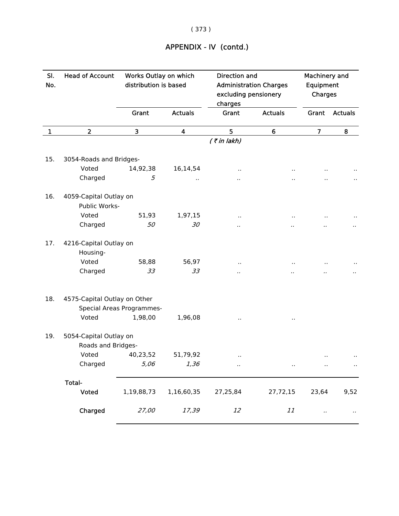# APPENDIX - IV (contd.)

| SI.<br>No. | <b>Head of Account</b>                                    |            | Works Outlay on which<br>Direction and<br>distribution is based<br><b>Administration Charges</b><br>excluding pensionery<br>charges |                      |                      | Machinery and<br>Equipment<br>Charges |                |
|------------|-----------------------------------------------------------|------------|-------------------------------------------------------------------------------------------------------------------------------------|----------------------|----------------------|---------------------------------------|----------------|
|            |                                                           | Grant      | <b>Actuals</b>                                                                                                                      | Grant                | <b>Actuals</b>       | Grant                                 | <b>Actuals</b> |
| 1          | $\overline{2}$                                            | 3          | 4                                                                                                                                   | 5                    | 6                    | $\overline{7}$                        | 8              |
|            |                                                           |            |                                                                                                                                     | $($ ₹ in lakh)       |                      |                                       |                |
| 15.        | 3054-Roads and Bridges-                                   |            |                                                                                                                                     |                      |                      |                                       |                |
|            | Voted                                                     | 14,92,38   | 16,14,54                                                                                                                            | $\ddot{\phantom{a}}$ |                      |                                       |                |
|            | Charged                                                   | 5          |                                                                                                                                     |                      |                      |                                       |                |
| 16.        | 4059-Capital Outlay on<br>Public Works-                   |            |                                                                                                                                     |                      |                      |                                       |                |
|            | Voted                                                     | 51,93      | 1,97,15                                                                                                                             | $\cdot$ .            |                      |                                       |                |
|            | Charged                                                   | 50         | 30                                                                                                                                  | $\ddot{\phantom{a}}$ |                      |                                       |                |
| 17.        | 4216-Capital Outlay on<br>Housing-                        |            |                                                                                                                                     |                      |                      |                                       |                |
|            | Voted                                                     | 58,88      | 56,97                                                                                                                               | $\cdot$              |                      |                                       |                |
|            | Charged                                                   | 33         | 33                                                                                                                                  | $\cdot$ .            |                      |                                       |                |
| 18.        | 4575-Capital Outlay on Other<br>Special Areas Programmes- |            |                                                                                                                                     |                      |                      |                                       |                |
|            | Voted                                                     | 1,98,00    | 1,96,08                                                                                                                             |                      |                      |                                       |                |
| 19.        | 5054-Capital Outlay on<br>Roads and Bridges-              |            |                                                                                                                                     |                      |                      |                                       |                |
|            | Voted                                                     | 40,23,52   | 51,79,92                                                                                                                            | $\cdot$ .            |                      |                                       |                |
|            | Charged                                                   | 5,06       | 1,36                                                                                                                                | $\ddot{\phantom{0}}$ | $\ddot{\phantom{1}}$ | $\ddot{\phantom{1}}$                  | $\sim$         |
|            | Total-                                                    |            |                                                                                                                                     |                      |                      |                                       |                |
|            | <b>Voted</b>                                              | 1,19,88,73 | 1,16,60,35                                                                                                                          | 27,25,84             | 27,72,15             | 23,64                                 | 9,52           |
|            | Charged                                                   | 27,00      | 17,39                                                                                                                               | 12                   | $11\,$               | $\ddot{\phantom{0}}$                  | $\cdot$ .      |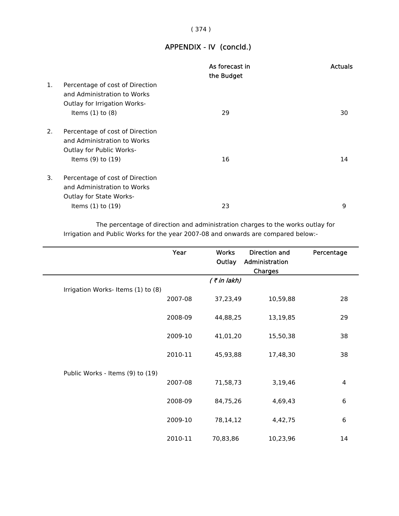## ( 374 )

# APPENDIX - IV (concld.)

|    |                                                                                                                            | As forecast in<br>the Budget | <b>Actuals</b> |
|----|----------------------------------------------------------------------------------------------------------------------------|------------------------------|----------------|
| 1. | Percentage of cost of Direction<br>and Administration to Works<br><b>Outlay for Irrigation Works-</b>                      |                              |                |
|    | Items $(1)$ to $(8)$                                                                                                       | 29                           | 30             |
| 2. | Percentage of cost of Direction<br>and Administration to Works<br><b>Outlay for Public Works-</b><br>Items $(9)$ to $(19)$ | 16                           | 14             |
| 3. | Percentage of cost of Direction<br>and Administration to Works<br><b>Outlay for State Works-</b><br>Items $(1)$ to $(19)$  | 23                           | 9              |
|    |                                                                                                                            |                              |                |

 The percentage of direction and administration charges to the works outlay for Irrigation and Public Works for the year 2007-08 and onwards are compared below:-

|                                   | Year    | <b>Works</b><br>Outlay | Direction and<br>Administration<br>Charges | Percentage |
|-----------------------------------|---------|------------------------|--------------------------------------------|------------|
|                                   |         | $($ ₹ in lakh)         |                                            |            |
| Irrigation Works-Items (1) to (8) | 2007-08 | 37,23,49               | 10,59,88                                   | 28         |
|                                   | 2008-09 | 44,88,25               | 13,19,85                                   | 29         |
|                                   | 2009-10 | 41,01,20               | 15,50,38                                   | 38         |
|                                   | 2010-11 | 45,93,88               | 17,48,30                                   | 38         |
| Public Works - Items (9) to (19)  |         |                        |                                            |            |
|                                   | 2007-08 | 71,58,73               | 3,19,46                                    | 4          |
|                                   | 2008-09 | 84,75,26               | 4,69,43                                    | 6          |
|                                   | 2009-10 | 78,14,12               | 4,42,75                                    | 6          |
|                                   | 2010-11 | 70,83,86               | 10,23,96                                   | 14         |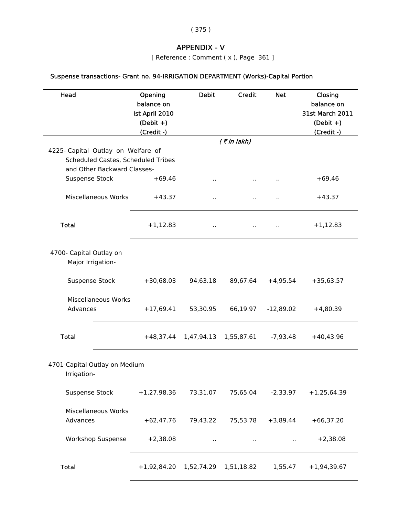( 375 )

# APPENDIX - V

[ Reference : Comment ( x ), Page 361 ]

# Suspense transactions- Grant no. 94-IRRIGATION DEPARTMENT (Works)-Capital Portion

| Head                                         | Opening<br>balance on<br>Ist April 2010<br>$(Debit +)$<br>(Credit -) | <b>Debit</b>         | <b>Credit</b>  | <b>Net</b>  | Closing<br>balance on<br><b>31st March 2011</b><br>$(Debit +)$<br>(Credit -) |
|----------------------------------------------|----------------------------------------------------------------------|----------------------|----------------|-------------|------------------------------------------------------------------------------|
|                                              |                                                                      |                      | $($ ₹ in lakh) |             |                                                                              |
| 4225- Capital Outlay on Welfare of           |                                                                      |                      |                |             |                                                                              |
| Scheduled Castes, Scheduled Tribes           |                                                                      |                      |                |             |                                                                              |
| and Other Backward Classes-                  |                                                                      |                      |                |             |                                                                              |
| Suspense Stock                               | $+69.46$                                                             | $\ddot{\phantom{1}}$ | ò.             |             | $+69.46$                                                                     |
| Miscellaneous Works                          | $+43.37$                                                             | $\sim$               | Ω.             |             | $+43.37$                                                                     |
| <b>Total</b>                                 | $+1,12.83$                                                           | ٠.                   |                |             | $+1,12.83$                                                                   |
| 4700- Capital Outlay on<br>Major Irrigation- |                                                                      |                      |                |             |                                                                              |
| Suspense Stock                               | $+30,68.03$                                                          | 94,63.18             | 89,67.64       | $+4,95.54$  | $+35,63.57$                                                                  |
| Miscellaneous Works<br>Advances              | $+17,69.41$                                                          | 53,30.95             | 66,19.97       | $-12,89.02$ | $+4,80.39$                                                                   |
| <b>Total</b>                                 | $+48,37.44$                                                          | 1,47,94.13           | 1,55,87.61     | $-7,93.48$  | $+40,43.96$                                                                  |
| 4701-Capital Outlay on Medium<br>Irrigation- |                                                                      |                      |                |             |                                                                              |
| <b>Suspense Stock</b>                        | $+1,27,98.36$                                                        | 73,31.07             | 75,65.04       | $-2,33.97$  | $+1,25,64.39$                                                                |
| Miscellaneous Works<br>Advances              | $+62,47.76$                                                          | 79,43.22             | 75,53.78       | $+3,89.44$  | $+66,37.20$                                                                  |
| <b>Workshop Suspense</b>                     | $+2,38.08$                                                           | $\ddot{\phantom{1}}$ | $\cdot$ .      | П,          | $+2,38.08$                                                                   |
| <b>Total</b>                                 | $+1,92,84.20$                                                        | 1,52,74.29           | 1,51,18.82     | 1,55.47     | $+1,94,39.67$                                                                |